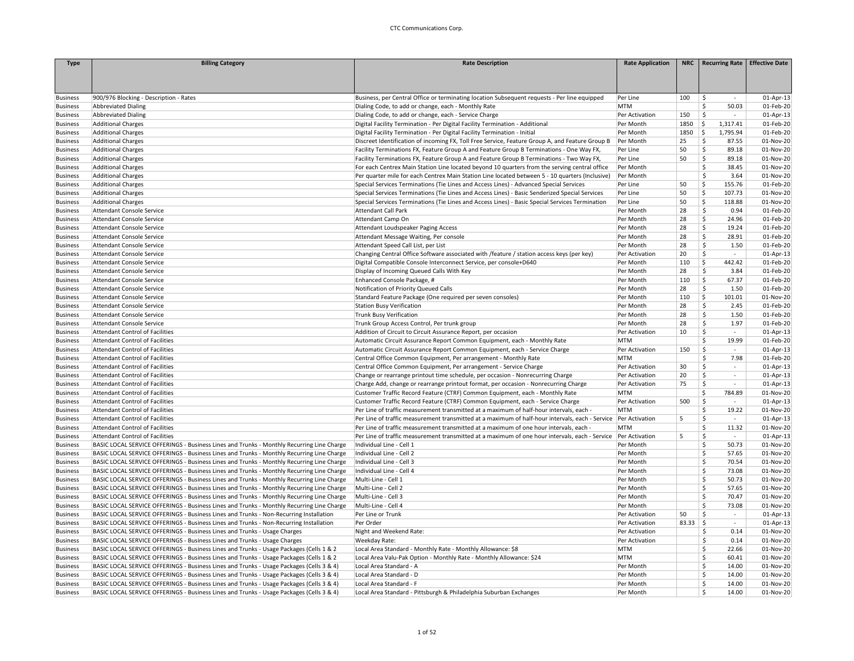| 01-Apr-13<br>900/976 Blocking - Description - Rates<br>Business, per Central Office or terminating location Subsequent requests - Per line equipped<br>Per Line<br>100<br>\$.<br>$\sim$<br><b>Abbreviated Dialing</b><br>Dialing Code, to add or change, each - Monthly Rate<br><b>MTM</b><br>Š.<br>50.03<br>01-Feb-20<br>\$<br><b>Abbreviated Dialing</b><br>Dialing Code, to add or change, each - Service Charge<br>150<br>01-Apr-13<br>Per Activation<br>$\omega$<br>\$<br><b>Additional Charges</b><br>Digital Facility Termination - Per Digital Facility Termination - Additional<br>1850<br>1,317.41<br>01-Feb-20<br>Per Month<br>\$<br><b>Additional Charges</b><br>Digital Facility Termination - Per Digital Facility Termination - Initial<br>Per Month<br>1850<br>1,795.94<br>01-Feb-20<br><b>Additional Charges</b><br>Discreet Identification of incoming FX, Toll Free Service, Feature Group A, and Feature Group B<br>Per Month<br>25<br>\$<br>87.55<br>01-Nov-20<br>Additional Charges<br>Facility Terminations FX, Feature Group A and Feature Group B Terminations - One Way FX,<br>Per Line<br>50<br>Š.<br>89.18<br>01-Nov-20<br>\$<br><b>Additional Charges</b><br>Facility Terminations FX, Feature Group A and Feature Group B Terminations - Two Way FX,<br>50<br>89.18<br>01-Nov-20<br>Per Line<br>\$<br>38.45<br><b>Additional Charges</b><br>For each Centrex Main Station Line located beyond 10 quarters from the serving central office<br>Per Month<br>01-Nov-20<br>\$<br>3.64<br><b>Additional Charges</b><br>Per quarter mile for each Centrex Main Station Line located between 5 - 10 quarters (Inclusive)<br>Per Month<br>01-Nov-20<br><b>Business</b><br>50<br>\$<br>155.76<br>01-Feb-20<br><b>Additional Charges</b><br>Special Services Terminations (Tie Lines and Access Lines) - Advanced Special Services<br>Per Line<br><b>Business</b><br><b>Additional Charges</b><br>Special Services Terminations (Tie Lines and Access Lines) - Basic Senderized Special Services<br>Per Line<br>50<br>\$<br>107.73<br>01-Nov-20<br><b>Business</b><br>50<br>\$<br>118.88<br>01-Nov-20<br><b>Business</b><br><b>Additional Charges</b><br>Special Services Terminations (Tie Lines and Access Lines) - Basic Special Services Termination<br>Per Line<br>28<br>$\mathsf{\hat{S}}$<br><b>Attendant Console Service</b><br><b>Attendant Call Park</b><br>Per Month<br>0.94<br>01-Feb-20<br><b>Business</b><br>28<br>\$<br>24.96<br>01-Feb-20<br><b>Business</b><br><b>Attendant Console Service</b><br>Attendant Camp On<br>Per Month<br>28<br>\$<br>19.24<br>Per Month<br>01-Feb-20<br><b>Business</b><br><b>Attendant Console Service</b><br>Attendant Loudspeaker Paging Access<br>28<br>\$<br>28.91<br>01-Feb-20<br><b>Attendant Console Service</b><br>Attendant Message Waiting, Per console<br>Per Month<br><b>Business</b><br>28<br>\$<br>1.50<br>01-Feb-20<br><b>Business</b><br><b>Attendant Console Service</b><br>Attendant Speed Call List, per List<br>Per Month<br>Changing Central Office Software associated with /feature / station access keys (per key)<br>20<br><b>S</b><br>01-Apr-13<br><b>Business</b><br><b>Attendant Console Service</b><br>Per Activation<br>$\sim$<br>\$<br>110<br>442.42<br>01-Feb-20<br><b>Business</b><br>Attendant Console Service<br>Digital Compatible Console Interconnect Service, per console+D640<br>Per Month<br>$\mathsf{\hat{S}}$<br>Display of Incoming Queued Calls With Key<br>28<br>3.84<br>01-Feb-20<br><b>Business</b><br><b>Attendant Console Service</b><br>Per Month<br>\$<br>67.37<br>01-Feb-20<br>Enhanced Console Package, #<br>110<br><b>Business</b><br>Attendant Console Service<br>Per Month<br>28<br>\$<br>1.50<br>01-Feb-20<br><b>Attendant Console Service</b><br>Notification of Priority Queued Calls<br>Per Month<br><b>Business</b><br>110<br>\$<br>101.01<br><b>Business</b><br><b>Attendant Console Service</b><br>Standard Feature Package (One required per seven consoles)<br>Per Month<br>01-Nov-20<br><b>Station Busy Verification</b><br>28<br>\$<br>2.45<br>01-Feb-20<br><b>Business</b><br><b>Attendant Console Service</b><br>Per Month<br>28<br>1.50<br>01-Feb-20<br><b>Business</b><br><b>Attendant Console Service</b><br><b>Trunk Busy Verification</b><br>Per Month<br>Ŝ<br>28<br>\$<br>1.97<br>01-Feb-20<br><b>Attendant Console Service</b><br>Trunk Group Access Control, Per trunk group<br>Per Month<br><b>Business</b><br>$\mathsf{\hat{S}}$<br><b>Attendant Control of Facilities</b><br>Addition of Circuit to Circuit Assurance Report, per occasion<br>10<br>01-Apr-13<br><b>Business</b><br>Per Activation<br>$\sim$<br><b>Attendant Control of Facilities</b><br>Automatic Circuit Assurance Report Common Equipment, each - Monthly Rate<br><b>MTM</b><br>Ŝ.<br>19.99<br>01-Feb-20<br><b>Business</b><br>Ś<br><b>Attendant Control of Facilities</b><br>Automatic Circuit Assurance Report Common Equipment, each - Service Charge<br>Per Activation<br>150<br>$\sim$<br>01-Apr-13<br><b>Business</b><br><b>Attendant Control of Facilities</b><br>Central Office Common Equipment, Per arrangement - Monthly Rate<br><b>MTM</b><br>Ŝ<br>7.98<br>01-Feb-20<br><b>Business</b><br>Ś<br>30<br><b>Business</b><br><b>Attendant Control of Facilities</b><br>Central Office Common Equipment, Per arrangement - Service Charge<br>Per Activation<br>$\sim$<br>01-Apr-13<br>20<br>Ś<br>01-Apr-13<br><b>Attendant Control of Facilities</b><br>Change or rearrange printout time schedule, per occasion - Nonrecurring Charge<br>Per Activation<br><b>Business</b><br>$\sim$<br>75<br>$\mathsf{\hat{S}}$<br>Charge Add, change or rearrange printout format, per occasion - Nonrecurring Charge<br>Per Activation<br>$\mathcal{L}_{\mathcal{A}}$<br>01-Apr-13<br><b>Attendant Control of Facilities</b><br><b>Attendant Control of Facilities</b><br>Customer Traffic Record Feature (CTRF) Common Equipment, each - Monthly Rate<br><b>MTM</b><br>\$<br>784.89<br>01-Nov-20<br><b>Business</b><br><b>Attendant Control of Facilities</b><br>Customer Traffic Record Feature (CTRF) Common Equipment, each - Service Charge<br>Per Activation<br>500<br>Ŝ<br>01-Apr-13<br><b>Business</b><br>$\sim$<br>\$<br><b>Attendant Control of Facilities</b><br>Per Line of traffic measurement transmitted at a maximum of half-hour intervals, each -<br><b>MTM</b><br>19.22<br>01-Nov-20<br>5<br>01-Apr-13<br><b>Attendant Control of Facilities</b><br>Per Line of traffic measurement transmitted at a maximum of half-hour intervals, each - Service  Per Activation<br>Ŝ<br>$\sim$<br>Ś<br><b>MTM</b><br>11.32<br><b>Attendant Control of Facilities</b><br>Per Line of traffic measurement transmitted at a maximum of one hour intervals, each -<br>01-Nov-20<br>Ś<br>01-Apr-13<br><b>Attendant Control of Facilities</b><br>Per Line of traffic measurement transmitted at a maximum of one hour intervals, each - Service  Per Activation<br>5<br>$\sim$<br>Individual Line - Cell 1<br>Per Month<br>\$.<br>50.73<br>01-Nov-20<br>BASIC LOCAL SERVICE OFFERINGS - Business Lines and Trunks - Monthly Recurring Line Charge<br>BASIC LOCAL SERVICE OFFERINGS - Business Lines and Trunks - Monthly Recurring Line Charge<br>Individual Line - Cell 2<br>\$<br>57.65<br>01-Nov-20<br>Per Month<br>BASIC LOCAL SERVICE OFFERINGS - Business Lines and Trunks - Monthly Recurring Line Charge<br>Individual Line - Cell 3<br>Per Month<br>Š.<br>70.54<br>01-Nov-20<br>\$<br>BASIC LOCAL SERVICE OFFERINGS - Business Lines and Trunks - Monthly Recurring Line Charge<br>Individual Line - Cell 4<br>73.08<br>01-Nov-20<br>Per Month<br>\$<br>50.73<br>BASIC LOCAL SERVICE OFFERINGS - Business Lines and Trunks - Monthly Recurring Line Charge<br>Multi-Line - Cell 1<br>Per Month<br>01-Nov-20<br>BASIC LOCAL SERVICE OFFERINGS - Business Lines and Trunks - Monthly Recurring Line Charge<br>Multi-Line - Cell 2<br>\$.<br>57.65<br>01-Nov-20<br>Per Month<br>\$.<br>70.47<br>BASIC LOCAL SERVICE OFFERINGS - Business Lines and Trunks - Monthly Recurring Line Charge<br>Multi-Line - Cell 3<br>Per Month<br>01-Nov-20<br>BASIC LOCAL SERVICE OFFERINGS - Business Lines and Trunks - Monthly Recurring Line Charge<br>Multi-Line - Cell 4<br>\$.<br>73.08<br>01-Nov-20<br><b>Business</b><br>Per Month<br>$\mathsf{\hat{S}}$<br>Per Line or Trunk<br>50<br>01-Apr-13<br>BASIC LOCAL SERVICE OFFERINGS - Business Lines and Trunks - Non-Recurring Installation<br>Per Activation<br>$\overline{\phantom{a}}$<br>\$<br>BASIC LOCAL SERVICE OFFERINGS - Business Lines and Trunks - Non-Recurring Installation<br>Per Order<br>83.33<br>01-Apr-13<br>Per Activation<br>$\sim$<br>BASIC LOCAL SERVICE OFFERINGS - Business Lines and Trunks - Usage Charges<br>Night and Weekend Rate:<br>Ŝ<br>0.14<br>01-Nov-20<br>Per Activation<br>BASIC LOCAL SERVICE OFFERINGS - Business Lines and Trunks - Usage Charges<br>Weekday Rate:<br>Per Activation<br>\$<br>0.14<br>01-Nov-20<br>BASIC LOCAL SERVICE OFFERINGS - Business Lines and Trunks - Usage Packages (Cells 1 & 2<br>\$.<br>01-Nov-20<br><b>Business</b><br>Local Area Standard - Monthly Rate - Monthly Allowance: \$8<br><b>MTM</b><br>22.66<br>\$<br>BASIC LOCAL SERVICE OFFERINGS - Business Lines and Trunks - Usage Packages (Cells 1 & 2<br>Local Area Valu-Pak Option - Monthly Rate - Monthly Allowance: \$24<br><b>MTM</b><br>60.41<br>01-Nov-20<br>\$.<br>14.00<br><b>Business</b><br>BASIC LOCAL SERVICE OFFERINGS - Business Lines and Trunks - Usage Packages (Cells 3 & 4)<br>Local Area Standard - A<br>Per Month<br>01-Nov-20<br>\$<br>14.00<br>01-Nov-20<br>BASIC LOCAL SERVICE OFFERINGS - Business Lines and Trunks - Usage Packages (Cells 3 & 4)<br>Local Area Standard - D<br>Per Month<br><b>Business</b><br>\$<br>14.00<br>BASIC LOCAL SERVICE OFFERINGS - Business Lines and Trunks - Usage Packages (Cells 3 & 4)<br>Local Area Standard - F<br>Per Month<br>01-Nov-20<br><b>Business</b><br>BASIC LOCAL SERVICE OFFERINGS - Business Lines and Trunks - Usage Packages (Cells 3 & 4)<br>Local Area Standard - Pittsburgh & Philadelphia Suburban Exchanges<br>Per Month<br>Ŝ.<br>14.00<br>01-Nov-20<br><b>Business</b> | <b>Type</b>     | <b>Billing Category</b> | <b>Rate Description</b> | <b>Rate Application</b> | NRC   Recurring Rate   Effective Date |  |
|------------------------------------------------------------------------------------------------------------------------------------------------------------------------------------------------------------------------------------------------------------------------------------------------------------------------------------------------------------------------------------------------------------------------------------------------------------------------------------------------------------------------------------------------------------------------------------------------------------------------------------------------------------------------------------------------------------------------------------------------------------------------------------------------------------------------------------------------------------------------------------------------------------------------------------------------------------------------------------------------------------------------------------------------------------------------------------------------------------------------------------------------------------------------------------------------------------------------------------------------------------------------------------------------------------------------------------------------------------------------------------------------------------------------------------------------------------------------------------------------------------------------------------------------------------------------------------------------------------------------------------------------------------------------------------------------------------------------------------------------------------------------------------------------------------------------------------------------------------------------------------------------------------------------------------------------------------------------------------------------------------------------------------------------------------------------------------------------------------------------------------------------------------------------------------------------------------------------------------------------------------------------------------------------------------------------------------------------------------------------------------------------------------------------------------------------------------------------------------------------------------------------------------------------------------------------------------------------------------------------------------------------------------------------------------------------------------------------------------------------------------------------------------------------------------------------------------------------------------------------------------------------------------------------------------------------------------------------------------------------------------------------------------------------------------------------------------------------------------------------------------------------------------------------------------------------------------------------------------------------------------------------------------------------------------------------------------------------------------------------------------------------------------------------------------------------------------------------------------------------------------------------------------------------------------------------------------------------------------------------------------------------------------------------------------------------------------------------------------------------------------------------------------------------------------------------------------------------------------------------------------------------------------------------------------------------------------------------------------------------------------------------------------------------------------------------------------------------------------------------------------------------------------------------------------------------------------------------------------------------------------------------------------------------------------------------------------------------------------------------------------------------------------------------------------------------------------------------------------------------------------------------------------------------------------------------------------------------------------------------------------------------------------------------------------------------------------------------------------------------------------------------------------------------------------------------------------------------------------------------------------------------------------------------------------------------------------------------------------------------------------------------------------------------------------------------------------------------------------------------------------------------------------------------------------------------------------------------------------------------------------------------------------------------------------------------------------------------------------------------------------------------------------------------------------------------------------------------------------------------------------------------------------------------------------------------------------------------------------------------------------------------------------------------------------------------------------------------------------------------------------------------------------------------------------------------------------------------------------------------------------------------------------------------------------------------------------------------------------------------------------------------------------------------------------------------------------------------------------------------------------------------------------------------------------------------------------------------------------------------------------------------------------------------------------------------------------------------------------------------------------------------------------------------------------------------------------------------------------------------------------------------------------------------------------------------------------------------------------------------------------------------------------------------------------------------------------------------------------------------------------------------------------------------------------------------------------------------------------------------------------------------------------------------------------------------------------------------------------------------------------------------------------------------------------------------------------------------------------------------------------------------------------------------------------------------------------------------------------------------------------------------------------------------------------------------------------------------------------------------------------------------------------------------------------------------------------------------------------------------------------------------------------------------------------------------------------------------------------------------------------------------------------------------------------------------------------------------------------------------------------------------------------------------------------------------------------------------------------------------------------------------------------------------------------------------------------------------------------------------------------------------------------------------------------------------------------------------------------------------------------------------------------------------------------------------------------------------------------------------------------------------------------------------------------------------------------------------------------------------------------------------------------------------------------------------------------------------------------------------------------------------------------------------------------------------------------------------------------------------------------------------------------------------------------------------------------------------------------------------------------------------------------------------------------------------------------------------------------------------------------------------------------------------------------------------------------------------------------------------------------------------------------------------------------------------------------------------------------------------------------------------------------------------------------------------------------------------------------------------------------------------------------------------------------------------------------------------------------------------------------------------------------------------------------------------------------------------------------------------------------------------------------------------------------------------------------------------------------------------------------------------------------------------------------------------------------------------------------------------------------------------------------------------------------------------------------------------------------------------------------------------------------------------------------------------------------------------------------------------------------------------------------------------------------------------------------------------------------------------------------------------------------------------------------------------------------------------------------------------------|-----------------|-------------------------|-------------------------|-------------------------|---------------------------------------|--|
|                                                                                                                                                                                                                                                                                                                                                                                                                                                                                                                                                                                                                                                                                                                                                                                                                                                                                                                                                                                                                                                                                                                                                                                                                                                                                                                                                                                                                                                                                                                                                                                                                                                                                                                                                                                                                                                                                                                                                                                                                                                                                                                                                                                                                                                                                                                                                                                                                                                                                                                                                                                                                                                                                                                                                                                                                                                                                                                                                                                                                                                                                                                                                                                                                                                                                                                                                                                                                                                                                                                                                                                                                                                                                                                                                                                                                                                                                                                                                                                                                                                                                                                                                                                                                                                                                                                                                                                                                                                                                                                                                                                                                                                                                                                                                                                                                                                                                                                                                                                                                                                                                                                                                                                                                                                                                                                                                                                                                                                                                                                                                                                                                                                                                                                                                                                                                                                                                                                                                                                                                                                                                                                                                                                                                                                                                                                                                                                                                                                                                                                                                                                                                                                                                                                                                                                                                                                                                                                                                                                                                                                                                                                                                                                                                                                                                                                                                                                                                                                                                                                                                                                                                                                                                                                                                                                                                                                                                                                                                                                                                                                                                                                                                                                                                                                                                                                                                                                                                                                                                                                                                                                                                                                                                                                                                                                                                                                                                                                                                                                                                                                                                                                                                                                                                                                                                                                                                                                                                                                                                                                                                                                                                                                                                                                                                                                                                                                                                                                                                                                                                                                                                                                                                                                                                                                      |                 |                         |                         |                         |                                       |  |
|                                                                                                                                                                                                                                                                                                                                                                                                                                                                                                                                                                                                                                                                                                                                                                                                                                                                                                                                                                                                                                                                                                                                                                                                                                                                                                                                                                                                                                                                                                                                                                                                                                                                                                                                                                                                                                                                                                                                                                                                                                                                                                                                                                                                                                                                                                                                                                                                                                                                                                                                                                                                                                                                                                                                                                                                                                                                                                                                                                                                                                                                                                                                                                                                                                                                                                                                                                                                                                                                                                                                                                                                                                                                                                                                                                                                                                                                                                                                                                                                                                                                                                                                                                                                                                                                                                                                                                                                                                                                                                                                                                                                                                                                                                                                                                                                                                                                                                                                                                                                                                                                                                                                                                                                                                                                                                                                                                                                                                                                                                                                                                                                                                                                                                                                                                                                                                                                                                                                                                                                                                                                                                                                                                                                                                                                                                                                                                                                                                                                                                                                                                                                                                                                                                                                                                                                                                                                                                                                                                                                                                                                                                                                                                                                                                                                                                                                                                                                                                                                                                                                                                                                                                                                                                                                                                                                                                                                                                                                                                                                                                                                                                                                                                                                                                                                                                                                                                                                                                                                                                                                                                                                                                                                                                                                                                                                                                                                                                                                                                                                                                                                                                                                                                                                                                                                                                                                                                                                                                                                                                                                                                                                                                                                                                                                                                                                                                                                                                                                                                                                                                                                                                                                                                                                                                                      |                 |                         |                         |                         |                                       |  |
|                                                                                                                                                                                                                                                                                                                                                                                                                                                                                                                                                                                                                                                                                                                                                                                                                                                                                                                                                                                                                                                                                                                                                                                                                                                                                                                                                                                                                                                                                                                                                                                                                                                                                                                                                                                                                                                                                                                                                                                                                                                                                                                                                                                                                                                                                                                                                                                                                                                                                                                                                                                                                                                                                                                                                                                                                                                                                                                                                                                                                                                                                                                                                                                                                                                                                                                                                                                                                                                                                                                                                                                                                                                                                                                                                                                                                                                                                                                                                                                                                                                                                                                                                                                                                                                                                                                                                                                                                                                                                                                                                                                                                                                                                                                                                                                                                                                                                                                                                                                                                                                                                                                                                                                                                                                                                                                                                                                                                                                                                                                                                                                                                                                                                                                                                                                                                                                                                                                                                                                                                                                                                                                                                                                                                                                                                                                                                                                                                                                                                                                                                                                                                                                                                                                                                                                                                                                                                                                                                                                                                                                                                                                                                                                                                                                                                                                                                                                                                                                                                                                                                                                                                                                                                                                                                                                                                                                                                                                                                                                                                                                                                                                                                                                                                                                                                                                                                                                                                                                                                                                                                                                                                                                                                                                                                                                                                                                                                                                                                                                                                                                                                                                                                                                                                                                                                                                                                                                                                                                                                                                                                                                                                                                                                                                                                                                                                                                                                                                                                                                                                                                                                                                                                                                                                                                      |                 |                         |                         |                         |                                       |  |
|                                                                                                                                                                                                                                                                                                                                                                                                                                                                                                                                                                                                                                                                                                                                                                                                                                                                                                                                                                                                                                                                                                                                                                                                                                                                                                                                                                                                                                                                                                                                                                                                                                                                                                                                                                                                                                                                                                                                                                                                                                                                                                                                                                                                                                                                                                                                                                                                                                                                                                                                                                                                                                                                                                                                                                                                                                                                                                                                                                                                                                                                                                                                                                                                                                                                                                                                                                                                                                                                                                                                                                                                                                                                                                                                                                                                                                                                                                                                                                                                                                                                                                                                                                                                                                                                                                                                                                                                                                                                                                                                                                                                                                                                                                                                                                                                                                                                                                                                                                                                                                                                                                                                                                                                                                                                                                                                                                                                                                                                                                                                                                                                                                                                                                                                                                                                                                                                                                                                                                                                                                                                                                                                                                                                                                                                                                                                                                                                                                                                                                                                                                                                                                                                                                                                                                                                                                                                                                                                                                                                                                                                                                                                                                                                                                                                                                                                                                                                                                                                                                                                                                                                                                                                                                                                                                                                                                                                                                                                                                                                                                                                                                                                                                                                                                                                                                                                                                                                                                                                                                                                                                                                                                                                                                                                                                                                                                                                                                                                                                                                                                                                                                                                                                                                                                                                                                                                                                                                                                                                                                                                                                                                                                                                                                                                                                                                                                                                                                                                                                                                                                                                                                                                                                                                                                                      | <b>Business</b> |                         |                         |                         |                                       |  |
|                                                                                                                                                                                                                                                                                                                                                                                                                                                                                                                                                                                                                                                                                                                                                                                                                                                                                                                                                                                                                                                                                                                                                                                                                                                                                                                                                                                                                                                                                                                                                                                                                                                                                                                                                                                                                                                                                                                                                                                                                                                                                                                                                                                                                                                                                                                                                                                                                                                                                                                                                                                                                                                                                                                                                                                                                                                                                                                                                                                                                                                                                                                                                                                                                                                                                                                                                                                                                                                                                                                                                                                                                                                                                                                                                                                                                                                                                                                                                                                                                                                                                                                                                                                                                                                                                                                                                                                                                                                                                                                                                                                                                                                                                                                                                                                                                                                                                                                                                                                                                                                                                                                                                                                                                                                                                                                                                                                                                                                                                                                                                                                                                                                                                                                                                                                                                                                                                                                                                                                                                                                                                                                                                                                                                                                                                                                                                                                                                                                                                                                                                                                                                                                                                                                                                                                                                                                                                                                                                                                                                                                                                                                                                                                                                                                                                                                                                                                                                                                                                                                                                                                                                                                                                                                                                                                                                                                                                                                                                                                                                                                                                                                                                                                                                                                                                                                                                                                                                                                                                                                                                                                                                                                                                                                                                                                                                                                                                                                                                                                                                                                                                                                                                                                                                                                                                                                                                                                                                                                                                                                                                                                                                                                                                                                                                                                                                                                                                                                                                                                                                                                                                                                                                                                                                                                      | <b>Business</b> |                         |                         |                         |                                       |  |
|                                                                                                                                                                                                                                                                                                                                                                                                                                                                                                                                                                                                                                                                                                                                                                                                                                                                                                                                                                                                                                                                                                                                                                                                                                                                                                                                                                                                                                                                                                                                                                                                                                                                                                                                                                                                                                                                                                                                                                                                                                                                                                                                                                                                                                                                                                                                                                                                                                                                                                                                                                                                                                                                                                                                                                                                                                                                                                                                                                                                                                                                                                                                                                                                                                                                                                                                                                                                                                                                                                                                                                                                                                                                                                                                                                                                                                                                                                                                                                                                                                                                                                                                                                                                                                                                                                                                                                                                                                                                                                                                                                                                                                                                                                                                                                                                                                                                                                                                                                                                                                                                                                                                                                                                                                                                                                                                                                                                                                                                                                                                                                                                                                                                                                                                                                                                                                                                                                                                                                                                                                                                                                                                                                                                                                                                                                                                                                                                                                                                                                                                                                                                                                                                                                                                                                                                                                                                                                                                                                                                                                                                                                                                                                                                                                                                                                                                                                                                                                                                                                                                                                                                                                                                                                                                                                                                                                                                                                                                                                                                                                                                                                                                                                                                                                                                                                                                                                                                                                                                                                                                                                                                                                                                                                                                                                                                                                                                                                                                                                                                                                                                                                                                                                                                                                                                                                                                                                                                                                                                                                                                                                                                                                                                                                                                                                                                                                                                                                                                                                                                                                                                                                                                                                                                                                                      | <b>Business</b> |                         |                         |                         |                                       |  |
|                                                                                                                                                                                                                                                                                                                                                                                                                                                                                                                                                                                                                                                                                                                                                                                                                                                                                                                                                                                                                                                                                                                                                                                                                                                                                                                                                                                                                                                                                                                                                                                                                                                                                                                                                                                                                                                                                                                                                                                                                                                                                                                                                                                                                                                                                                                                                                                                                                                                                                                                                                                                                                                                                                                                                                                                                                                                                                                                                                                                                                                                                                                                                                                                                                                                                                                                                                                                                                                                                                                                                                                                                                                                                                                                                                                                                                                                                                                                                                                                                                                                                                                                                                                                                                                                                                                                                                                                                                                                                                                                                                                                                                                                                                                                                                                                                                                                                                                                                                                                                                                                                                                                                                                                                                                                                                                                                                                                                                                                                                                                                                                                                                                                                                                                                                                                                                                                                                                                                                                                                                                                                                                                                                                                                                                                                                                                                                                                                                                                                                                                                                                                                                                                                                                                                                                                                                                                                                                                                                                                                                                                                                                                                                                                                                                                                                                                                                                                                                                                                                                                                                                                                                                                                                                                                                                                                                                                                                                                                                                                                                                                                                                                                                                                                                                                                                                                                                                                                                                                                                                                                                                                                                                                                                                                                                                                                                                                                                                                                                                                                                                                                                                                                                                                                                                                                                                                                                                                                                                                                                                                                                                                                                                                                                                                                                                                                                                                                                                                                                                                                                                                                                                                                                                                                                                      | <b>Business</b> |                         |                         |                         |                                       |  |
|                                                                                                                                                                                                                                                                                                                                                                                                                                                                                                                                                                                                                                                                                                                                                                                                                                                                                                                                                                                                                                                                                                                                                                                                                                                                                                                                                                                                                                                                                                                                                                                                                                                                                                                                                                                                                                                                                                                                                                                                                                                                                                                                                                                                                                                                                                                                                                                                                                                                                                                                                                                                                                                                                                                                                                                                                                                                                                                                                                                                                                                                                                                                                                                                                                                                                                                                                                                                                                                                                                                                                                                                                                                                                                                                                                                                                                                                                                                                                                                                                                                                                                                                                                                                                                                                                                                                                                                                                                                                                                                                                                                                                                                                                                                                                                                                                                                                                                                                                                                                                                                                                                                                                                                                                                                                                                                                                                                                                                                                                                                                                                                                                                                                                                                                                                                                                                                                                                                                                                                                                                                                                                                                                                                                                                                                                                                                                                                                                                                                                                                                                                                                                                                                                                                                                                                                                                                                                                                                                                                                                                                                                                                                                                                                                                                                                                                                                                                                                                                                                                                                                                                                                                                                                                                                                                                                                                                                                                                                                                                                                                                                                                                                                                                                                                                                                                                                                                                                                                                                                                                                                                                                                                                                                                                                                                                                                                                                                                                                                                                                                                                                                                                                                                                                                                                                                                                                                                                                                                                                                                                                                                                                                                                                                                                                                                                                                                                                                                                                                                                                                                                                                                                                                                                                                                                      | <b>Business</b> |                         |                         |                         |                                       |  |
|                                                                                                                                                                                                                                                                                                                                                                                                                                                                                                                                                                                                                                                                                                                                                                                                                                                                                                                                                                                                                                                                                                                                                                                                                                                                                                                                                                                                                                                                                                                                                                                                                                                                                                                                                                                                                                                                                                                                                                                                                                                                                                                                                                                                                                                                                                                                                                                                                                                                                                                                                                                                                                                                                                                                                                                                                                                                                                                                                                                                                                                                                                                                                                                                                                                                                                                                                                                                                                                                                                                                                                                                                                                                                                                                                                                                                                                                                                                                                                                                                                                                                                                                                                                                                                                                                                                                                                                                                                                                                                                                                                                                                                                                                                                                                                                                                                                                                                                                                                                                                                                                                                                                                                                                                                                                                                                                                                                                                                                                                                                                                                                                                                                                                                                                                                                                                                                                                                                                                                                                                                                                                                                                                                                                                                                                                                                                                                                                                                                                                                                                                                                                                                                                                                                                                                                                                                                                                                                                                                                                                                                                                                                                                                                                                                                                                                                                                                                                                                                                                                                                                                                                                                                                                                                                                                                                                                                                                                                                                                                                                                                                                                                                                                                                                                                                                                                                                                                                                                                                                                                                                                                                                                                                                                                                                                                                                                                                                                                                                                                                                                                                                                                                                                                                                                                                                                                                                                                                                                                                                                                                                                                                                                                                                                                                                                                                                                                                                                                                                                                                                                                                                                                                                                                                                                                      | <b>Business</b> |                         |                         |                         |                                       |  |
|                                                                                                                                                                                                                                                                                                                                                                                                                                                                                                                                                                                                                                                                                                                                                                                                                                                                                                                                                                                                                                                                                                                                                                                                                                                                                                                                                                                                                                                                                                                                                                                                                                                                                                                                                                                                                                                                                                                                                                                                                                                                                                                                                                                                                                                                                                                                                                                                                                                                                                                                                                                                                                                                                                                                                                                                                                                                                                                                                                                                                                                                                                                                                                                                                                                                                                                                                                                                                                                                                                                                                                                                                                                                                                                                                                                                                                                                                                                                                                                                                                                                                                                                                                                                                                                                                                                                                                                                                                                                                                                                                                                                                                                                                                                                                                                                                                                                                                                                                                                                                                                                                                                                                                                                                                                                                                                                                                                                                                                                                                                                                                                                                                                                                                                                                                                                                                                                                                                                                                                                                                                                                                                                                                                                                                                                                                                                                                                                                                                                                                                                                                                                                                                                                                                                                                                                                                                                                                                                                                                                                                                                                                                                                                                                                                                                                                                                                                                                                                                                                                                                                                                                                                                                                                                                                                                                                                                                                                                                                                                                                                                                                                                                                                                                                                                                                                                                                                                                                                                                                                                                                                                                                                                                                                                                                                                                                                                                                                                                                                                                                                                                                                                                                                                                                                                                                                                                                                                                                                                                                                                                                                                                                                                                                                                                                                                                                                                                                                                                                                                                                                                                                                                                                                                                                                                      | <b>Business</b> |                         |                         |                         |                                       |  |
|                                                                                                                                                                                                                                                                                                                                                                                                                                                                                                                                                                                                                                                                                                                                                                                                                                                                                                                                                                                                                                                                                                                                                                                                                                                                                                                                                                                                                                                                                                                                                                                                                                                                                                                                                                                                                                                                                                                                                                                                                                                                                                                                                                                                                                                                                                                                                                                                                                                                                                                                                                                                                                                                                                                                                                                                                                                                                                                                                                                                                                                                                                                                                                                                                                                                                                                                                                                                                                                                                                                                                                                                                                                                                                                                                                                                                                                                                                                                                                                                                                                                                                                                                                                                                                                                                                                                                                                                                                                                                                                                                                                                                                                                                                                                                                                                                                                                                                                                                                                                                                                                                                                                                                                                                                                                                                                                                                                                                                                                                                                                                                                                                                                                                                                                                                                                                                                                                                                                                                                                                                                                                                                                                                                                                                                                                                                                                                                                                                                                                                                                                                                                                                                                                                                                                                                                                                                                                                                                                                                                                                                                                                                                                                                                                                                                                                                                                                                                                                                                                                                                                                                                                                                                                                                                                                                                                                                                                                                                                                                                                                                                                                                                                                                                                                                                                                                                                                                                                                                                                                                                                                                                                                                                                                                                                                                                                                                                                                                                                                                                                                                                                                                                                                                                                                                                                                                                                                                                                                                                                                                                                                                                                                                                                                                                                                                                                                                                                                                                                                                                                                                                                                                                                                                                                                                      | <b>Business</b> |                         |                         |                         |                                       |  |
|                                                                                                                                                                                                                                                                                                                                                                                                                                                                                                                                                                                                                                                                                                                                                                                                                                                                                                                                                                                                                                                                                                                                                                                                                                                                                                                                                                                                                                                                                                                                                                                                                                                                                                                                                                                                                                                                                                                                                                                                                                                                                                                                                                                                                                                                                                                                                                                                                                                                                                                                                                                                                                                                                                                                                                                                                                                                                                                                                                                                                                                                                                                                                                                                                                                                                                                                                                                                                                                                                                                                                                                                                                                                                                                                                                                                                                                                                                                                                                                                                                                                                                                                                                                                                                                                                                                                                                                                                                                                                                                                                                                                                                                                                                                                                                                                                                                                                                                                                                                                                                                                                                                                                                                                                                                                                                                                                                                                                                                                                                                                                                                                                                                                                                                                                                                                                                                                                                                                                                                                                                                                                                                                                                                                                                                                                                                                                                                                                                                                                                                                                                                                                                                                                                                                                                                                                                                                                                                                                                                                                                                                                                                                                                                                                                                                                                                                                                                                                                                                                                                                                                                                                                                                                                                                                                                                                                                                                                                                                                                                                                                                                                                                                                                                                                                                                                                                                                                                                                                                                                                                                                                                                                                                                                                                                                                                                                                                                                                                                                                                                                                                                                                                                                                                                                                                                                                                                                                                                                                                                                                                                                                                                                                                                                                                                                                                                                                                                                                                                                                                                                                                                                                                                                                                                                                      | <b>Business</b> |                         |                         |                         |                                       |  |
|                                                                                                                                                                                                                                                                                                                                                                                                                                                                                                                                                                                                                                                                                                                                                                                                                                                                                                                                                                                                                                                                                                                                                                                                                                                                                                                                                                                                                                                                                                                                                                                                                                                                                                                                                                                                                                                                                                                                                                                                                                                                                                                                                                                                                                                                                                                                                                                                                                                                                                                                                                                                                                                                                                                                                                                                                                                                                                                                                                                                                                                                                                                                                                                                                                                                                                                                                                                                                                                                                                                                                                                                                                                                                                                                                                                                                                                                                                                                                                                                                                                                                                                                                                                                                                                                                                                                                                                                                                                                                                                                                                                                                                                                                                                                                                                                                                                                                                                                                                                                                                                                                                                                                                                                                                                                                                                                                                                                                                                                                                                                                                                                                                                                                                                                                                                                                                                                                                                                                                                                                                                                                                                                                                                                                                                                                                                                                                                                                                                                                                                                                                                                                                                                                                                                                                                                                                                                                                                                                                                                                                                                                                                                                                                                                                                                                                                                                                                                                                                                                                                                                                                                                                                                                                                                                                                                                                                                                                                                                                                                                                                                                                                                                                                                                                                                                                                                                                                                                                                                                                                                                                                                                                                                                                                                                                                                                                                                                                                                                                                                                                                                                                                                                                                                                                                                                                                                                                                                                                                                                                                                                                                                                                                                                                                                                                                                                                                                                                                                                                                                                                                                                                                                                                                                                                                      |                 |                         |                         |                         |                                       |  |
|                                                                                                                                                                                                                                                                                                                                                                                                                                                                                                                                                                                                                                                                                                                                                                                                                                                                                                                                                                                                                                                                                                                                                                                                                                                                                                                                                                                                                                                                                                                                                                                                                                                                                                                                                                                                                                                                                                                                                                                                                                                                                                                                                                                                                                                                                                                                                                                                                                                                                                                                                                                                                                                                                                                                                                                                                                                                                                                                                                                                                                                                                                                                                                                                                                                                                                                                                                                                                                                                                                                                                                                                                                                                                                                                                                                                                                                                                                                                                                                                                                                                                                                                                                                                                                                                                                                                                                                                                                                                                                                                                                                                                                                                                                                                                                                                                                                                                                                                                                                                                                                                                                                                                                                                                                                                                                                                                                                                                                                                                                                                                                                                                                                                                                                                                                                                                                                                                                                                                                                                                                                                                                                                                                                                                                                                                                                                                                                                                                                                                                                                                                                                                                                                                                                                                                                                                                                                                                                                                                                                                                                                                                                                                                                                                                                                                                                                                                                                                                                                                                                                                                                                                                                                                                                                                                                                                                                                                                                                                                                                                                                                                                                                                                                                                                                                                                                                                                                                                                                                                                                                                                                                                                                                                                                                                                                                                                                                                                                                                                                                                                                                                                                                                                                                                                                                                                                                                                                                                                                                                                                                                                                                                                                                                                                                                                                                                                                                                                                                                                                                                                                                                                                                                                                                                                                      |                 |                         |                         |                         |                                       |  |
|                                                                                                                                                                                                                                                                                                                                                                                                                                                                                                                                                                                                                                                                                                                                                                                                                                                                                                                                                                                                                                                                                                                                                                                                                                                                                                                                                                                                                                                                                                                                                                                                                                                                                                                                                                                                                                                                                                                                                                                                                                                                                                                                                                                                                                                                                                                                                                                                                                                                                                                                                                                                                                                                                                                                                                                                                                                                                                                                                                                                                                                                                                                                                                                                                                                                                                                                                                                                                                                                                                                                                                                                                                                                                                                                                                                                                                                                                                                                                                                                                                                                                                                                                                                                                                                                                                                                                                                                                                                                                                                                                                                                                                                                                                                                                                                                                                                                                                                                                                                                                                                                                                                                                                                                                                                                                                                                                                                                                                                                                                                                                                                                                                                                                                                                                                                                                                                                                                                                                                                                                                                                                                                                                                                                                                                                                                                                                                                                                                                                                                                                                                                                                                                                                                                                                                                                                                                                                                                                                                                                                                                                                                                                                                                                                                                                                                                                                                                                                                                                                                                                                                                                                                                                                                                                                                                                                                                                                                                                                                                                                                                                                                                                                                                                                                                                                                                                                                                                                                                                                                                                                                                                                                                                                                                                                                                                                                                                                                                                                                                                                                                                                                                                                                                                                                                                                                                                                                                                                                                                                                                                                                                                                                                                                                                                                                                                                                                                                                                                                                                                                                                                                                                                                                                                                                                      |                 |                         |                         |                         |                                       |  |
|                                                                                                                                                                                                                                                                                                                                                                                                                                                                                                                                                                                                                                                                                                                                                                                                                                                                                                                                                                                                                                                                                                                                                                                                                                                                                                                                                                                                                                                                                                                                                                                                                                                                                                                                                                                                                                                                                                                                                                                                                                                                                                                                                                                                                                                                                                                                                                                                                                                                                                                                                                                                                                                                                                                                                                                                                                                                                                                                                                                                                                                                                                                                                                                                                                                                                                                                                                                                                                                                                                                                                                                                                                                                                                                                                                                                                                                                                                                                                                                                                                                                                                                                                                                                                                                                                                                                                                                                                                                                                                                                                                                                                                                                                                                                                                                                                                                                                                                                                                                                                                                                                                                                                                                                                                                                                                                                                                                                                                                                                                                                                                                                                                                                                                                                                                                                                                                                                                                                                                                                                                                                                                                                                                                                                                                                                                                                                                                                                                                                                                                                                                                                                                                                                                                                                                                                                                                                                                                                                                                                                                                                                                                                                                                                                                                                                                                                                                                                                                                                                                                                                                                                                                                                                                                                                                                                                                                                                                                                                                                                                                                                                                                                                                                                                                                                                                                                                                                                                                                                                                                                                                                                                                                                                                                                                                                                                                                                                                                                                                                                                                                                                                                                                                                                                                                                                                                                                                                                                                                                                                                                                                                                                                                                                                                                                                                                                                                                                                                                                                                                                                                                                                                                                                                                                                                      |                 |                         |                         |                         |                                       |  |
|                                                                                                                                                                                                                                                                                                                                                                                                                                                                                                                                                                                                                                                                                                                                                                                                                                                                                                                                                                                                                                                                                                                                                                                                                                                                                                                                                                                                                                                                                                                                                                                                                                                                                                                                                                                                                                                                                                                                                                                                                                                                                                                                                                                                                                                                                                                                                                                                                                                                                                                                                                                                                                                                                                                                                                                                                                                                                                                                                                                                                                                                                                                                                                                                                                                                                                                                                                                                                                                                                                                                                                                                                                                                                                                                                                                                                                                                                                                                                                                                                                                                                                                                                                                                                                                                                                                                                                                                                                                                                                                                                                                                                                                                                                                                                                                                                                                                                                                                                                                                                                                                                                                                                                                                                                                                                                                                                                                                                                                                                                                                                                                                                                                                                                                                                                                                                                                                                                                                                                                                                                                                                                                                                                                                                                                                                                                                                                                                                                                                                                                                                                                                                                                                                                                                                                                                                                                                                                                                                                                                                                                                                                                                                                                                                                                                                                                                                                                                                                                                                                                                                                                                                                                                                                                                                                                                                                                                                                                                                                                                                                                                                                                                                                                                                                                                                                                                                                                                                                                                                                                                                                                                                                                                                                                                                                                                                                                                                                                                                                                                                                                                                                                                                                                                                                                                                                                                                                                                                                                                                                                                                                                                                                                                                                                                                                                                                                                                                                                                                                                                                                                                                                                                                                                                                                                      |                 |                         |                         |                         |                                       |  |
|                                                                                                                                                                                                                                                                                                                                                                                                                                                                                                                                                                                                                                                                                                                                                                                                                                                                                                                                                                                                                                                                                                                                                                                                                                                                                                                                                                                                                                                                                                                                                                                                                                                                                                                                                                                                                                                                                                                                                                                                                                                                                                                                                                                                                                                                                                                                                                                                                                                                                                                                                                                                                                                                                                                                                                                                                                                                                                                                                                                                                                                                                                                                                                                                                                                                                                                                                                                                                                                                                                                                                                                                                                                                                                                                                                                                                                                                                                                                                                                                                                                                                                                                                                                                                                                                                                                                                                                                                                                                                                                                                                                                                                                                                                                                                                                                                                                                                                                                                                                                                                                                                                                                                                                                                                                                                                                                                                                                                                                                                                                                                                                                                                                                                                                                                                                                                                                                                                                                                                                                                                                                                                                                                                                                                                                                                                                                                                                                                                                                                                                                                                                                                                                                                                                                                                                                                                                                                                                                                                                                                                                                                                                                                                                                                                                                                                                                                                                                                                                                                                                                                                                                                                                                                                                                                                                                                                                                                                                                                                                                                                                                                                                                                                                                                                                                                                                                                                                                                                                                                                                                                                                                                                                                                                                                                                                                                                                                                                                                                                                                                                                                                                                                                                                                                                                                                                                                                                                                                                                                                                                                                                                                                                                                                                                                                                                                                                                                                                                                                                                                                                                                                                                                                                                                                                                      |                 |                         |                         |                         |                                       |  |
|                                                                                                                                                                                                                                                                                                                                                                                                                                                                                                                                                                                                                                                                                                                                                                                                                                                                                                                                                                                                                                                                                                                                                                                                                                                                                                                                                                                                                                                                                                                                                                                                                                                                                                                                                                                                                                                                                                                                                                                                                                                                                                                                                                                                                                                                                                                                                                                                                                                                                                                                                                                                                                                                                                                                                                                                                                                                                                                                                                                                                                                                                                                                                                                                                                                                                                                                                                                                                                                                                                                                                                                                                                                                                                                                                                                                                                                                                                                                                                                                                                                                                                                                                                                                                                                                                                                                                                                                                                                                                                                                                                                                                                                                                                                                                                                                                                                                                                                                                                                                                                                                                                                                                                                                                                                                                                                                                                                                                                                                                                                                                                                                                                                                                                                                                                                                                                                                                                                                                                                                                                                                                                                                                                                                                                                                                                                                                                                                                                                                                                                                                                                                                                                                                                                                                                                                                                                                                                                                                                                                                                                                                                                                                                                                                                                                                                                                                                                                                                                                                                                                                                                                                                                                                                                                                                                                                                                                                                                                                                                                                                                                                                                                                                                                                                                                                                                                                                                                                                                                                                                                                                                                                                                                                                                                                                                                                                                                                                                                                                                                                                                                                                                                                                                                                                                                                                                                                                                                                                                                                                                                                                                                                                                                                                                                                                                                                                                                                                                                                                                                                                                                                                                                                                                                                                                      |                 |                         |                         |                         |                                       |  |
|                                                                                                                                                                                                                                                                                                                                                                                                                                                                                                                                                                                                                                                                                                                                                                                                                                                                                                                                                                                                                                                                                                                                                                                                                                                                                                                                                                                                                                                                                                                                                                                                                                                                                                                                                                                                                                                                                                                                                                                                                                                                                                                                                                                                                                                                                                                                                                                                                                                                                                                                                                                                                                                                                                                                                                                                                                                                                                                                                                                                                                                                                                                                                                                                                                                                                                                                                                                                                                                                                                                                                                                                                                                                                                                                                                                                                                                                                                                                                                                                                                                                                                                                                                                                                                                                                                                                                                                                                                                                                                                                                                                                                                                                                                                                                                                                                                                                                                                                                                                                                                                                                                                                                                                                                                                                                                                                                                                                                                                                                                                                                                                                                                                                                                                                                                                                                                                                                                                                                                                                                                                                                                                                                                                                                                                                                                                                                                                                                                                                                                                                                                                                                                                                                                                                                                                                                                                                                                                                                                                                                                                                                                                                                                                                                                                                                                                                                                                                                                                                                                                                                                                                                                                                                                                                                                                                                                                                                                                                                                                                                                                                                                                                                                                                                                                                                                                                                                                                                                                                                                                                                                                                                                                                                                                                                                                                                                                                                                                                                                                                                                                                                                                                                                                                                                                                                                                                                                                                                                                                                                                                                                                                                                                                                                                                                                                                                                                                                                                                                                                                                                                                                                                                                                                                                                                      |                 |                         |                         |                         |                                       |  |
|                                                                                                                                                                                                                                                                                                                                                                                                                                                                                                                                                                                                                                                                                                                                                                                                                                                                                                                                                                                                                                                                                                                                                                                                                                                                                                                                                                                                                                                                                                                                                                                                                                                                                                                                                                                                                                                                                                                                                                                                                                                                                                                                                                                                                                                                                                                                                                                                                                                                                                                                                                                                                                                                                                                                                                                                                                                                                                                                                                                                                                                                                                                                                                                                                                                                                                                                                                                                                                                                                                                                                                                                                                                                                                                                                                                                                                                                                                                                                                                                                                                                                                                                                                                                                                                                                                                                                                                                                                                                                                                                                                                                                                                                                                                                                                                                                                                                                                                                                                                                                                                                                                                                                                                                                                                                                                                                                                                                                                                                                                                                                                                                                                                                                                                                                                                                                                                                                                                                                                                                                                                                                                                                                                                                                                                                                                                                                                                                                                                                                                                                                                                                                                                                                                                                                                                                                                                                                                                                                                                                                                                                                                                                                                                                                                                                                                                                                                                                                                                                                                                                                                                                                                                                                                                                                                                                                                                                                                                                                                                                                                                                                                                                                                                                                                                                                                                                                                                                                                                                                                                                                                                                                                                                                                                                                                                                                                                                                                                                                                                                                                                                                                                                                                                                                                                                                                                                                                                                                                                                                                                                                                                                                                                                                                                                                                                                                                                                                                                                                                                                                                                                                                                                                                                                                                                      |                 |                         |                         |                         |                                       |  |
|                                                                                                                                                                                                                                                                                                                                                                                                                                                                                                                                                                                                                                                                                                                                                                                                                                                                                                                                                                                                                                                                                                                                                                                                                                                                                                                                                                                                                                                                                                                                                                                                                                                                                                                                                                                                                                                                                                                                                                                                                                                                                                                                                                                                                                                                                                                                                                                                                                                                                                                                                                                                                                                                                                                                                                                                                                                                                                                                                                                                                                                                                                                                                                                                                                                                                                                                                                                                                                                                                                                                                                                                                                                                                                                                                                                                                                                                                                                                                                                                                                                                                                                                                                                                                                                                                                                                                                                                                                                                                                                                                                                                                                                                                                                                                                                                                                                                                                                                                                                                                                                                                                                                                                                                                                                                                                                                                                                                                                                                                                                                                                                                                                                                                                                                                                                                                                                                                                                                                                                                                                                                                                                                                                                                                                                                                                                                                                                                                                                                                                                                                                                                                                                                                                                                                                                                                                                                                                                                                                                                                                                                                                                                                                                                                                                                                                                                                                                                                                                                                                                                                                                                                                                                                                                                                                                                                                                                                                                                                                                                                                                                                                                                                                                                                                                                                                                                                                                                                                                                                                                                                                                                                                                                                                                                                                                                                                                                                                                                                                                                                                                                                                                                                                                                                                                                                                                                                                                                                                                                                                                                                                                                                                                                                                                                                                                                                                                                                                                                                                                                                                                                                                                                                                                                                                                      |                 |                         |                         |                         |                                       |  |
|                                                                                                                                                                                                                                                                                                                                                                                                                                                                                                                                                                                                                                                                                                                                                                                                                                                                                                                                                                                                                                                                                                                                                                                                                                                                                                                                                                                                                                                                                                                                                                                                                                                                                                                                                                                                                                                                                                                                                                                                                                                                                                                                                                                                                                                                                                                                                                                                                                                                                                                                                                                                                                                                                                                                                                                                                                                                                                                                                                                                                                                                                                                                                                                                                                                                                                                                                                                                                                                                                                                                                                                                                                                                                                                                                                                                                                                                                                                                                                                                                                                                                                                                                                                                                                                                                                                                                                                                                                                                                                                                                                                                                                                                                                                                                                                                                                                                                                                                                                                                                                                                                                                                                                                                                                                                                                                                                                                                                                                                                                                                                                                                                                                                                                                                                                                                                                                                                                                                                                                                                                                                                                                                                                                                                                                                                                                                                                                                                                                                                                                                                                                                                                                                                                                                                                                                                                                                                                                                                                                                                                                                                                                                                                                                                                                                                                                                                                                                                                                                                                                                                                                                                                                                                                                                                                                                                                                                                                                                                                                                                                                                                                                                                                                                                                                                                                                                                                                                                                                                                                                                                                                                                                                                                                                                                                                                                                                                                                                                                                                                                                                                                                                                                                                                                                                                                                                                                                                                                                                                                                                                                                                                                                                                                                                                                                                                                                                                                                                                                                                                                                                                                                                                                                                                                                                      |                 |                         |                         |                         |                                       |  |
|                                                                                                                                                                                                                                                                                                                                                                                                                                                                                                                                                                                                                                                                                                                                                                                                                                                                                                                                                                                                                                                                                                                                                                                                                                                                                                                                                                                                                                                                                                                                                                                                                                                                                                                                                                                                                                                                                                                                                                                                                                                                                                                                                                                                                                                                                                                                                                                                                                                                                                                                                                                                                                                                                                                                                                                                                                                                                                                                                                                                                                                                                                                                                                                                                                                                                                                                                                                                                                                                                                                                                                                                                                                                                                                                                                                                                                                                                                                                                                                                                                                                                                                                                                                                                                                                                                                                                                                                                                                                                                                                                                                                                                                                                                                                                                                                                                                                                                                                                                                                                                                                                                                                                                                                                                                                                                                                                                                                                                                                                                                                                                                                                                                                                                                                                                                                                                                                                                                                                                                                                                                                                                                                                                                                                                                                                                                                                                                                                                                                                                                                                                                                                                                                                                                                                                                                                                                                                                                                                                                                                                                                                                                                                                                                                                                                                                                                                                                                                                                                                                                                                                                                                                                                                                                                                                                                                                                                                                                                                                                                                                                                                                                                                                                                                                                                                                                                                                                                                                                                                                                                                                                                                                                                                                                                                                                                                                                                                                                                                                                                                                                                                                                                                                                                                                                                                                                                                                                                                                                                                                                                                                                                                                                                                                                                                                                                                                                                                                                                                                                                                                                                                                                                                                                                                                                      |                 |                         |                         |                         |                                       |  |
|                                                                                                                                                                                                                                                                                                                                                                                                                                                                                                                                                                                                                                                                                                                                                                                                                                                                                                                                                                                                                                                                                                                                                                                                                                                                                                                                                                                                                                                                                                                                                                                                                                                                                                                                                                                                                                                                                                                                                                                                                                                                                                                                                                                                                                                                                                                                                                                                                                                                                                                                                                                                                                                                                                                                                                                                                                                                                                                                                                                                                                                                                                                                                                                                                                                                                                                                                                                                                                                                                                                                                                                                                                                                                                                                                                                                                                                                                                                                                                                                                                                                                                                                                                                                                                                                                                                                                                                                                                                                                                                                                                                                                                                                                                                                                                                                                                                                                                                                                                                                                                                                                                                                                                                                                                                                                                                                                                                                                                                                                                                                                                                                                                                                                                                                                                                                                                                                                                                                                                                                                                                                                                                                                                                                                                                                                                                                                                                                                                                                                                                                                                                                                                                                                                                                                                                                                                                                                                                                                                                                                                                                                                                                                                                                                                                                                                                                                                                                                                                                                                                                                                                                                                                                                                                                                                                                                                                                                                                                                                                                                                                                                                                                                                                                                                                                                                                                                                                                                                                                                                                                                                                                                                                                                                                                                                                                                                                                                                                                                                                                                                                                                                                                                                                                                                                                                                                                                                                                                                                                                                                                                                                                                                                                                                                                                                                                                                                                                                                                                                                                                                                                                                                                                                                                                                                      |                 |                         |                         |                         |                                       |  |
|                                                                                                                                                                                                                                                                                                                                                                                                                                                                                                                                                                                                                                                                                                                                                                                                                                                                                                                                                                                                                                                                                                                                                                                                                                                                                                                                                                                                                                                                                                                                                                                                                                                                                                                                                                                                                                                                                                                                                                                                                                                                                                                                                                                                                                                                                                                                                                                                                                                                                                                                                                                                                                                                                                                                                                                                                                                                                                                                                                                                                                                                                                                                                                                                                                                                                                                                                                                                                                                                                                                                                                                                                                                                                                                                                                                                                                                                                                                                                                                                                                                                                                                                                                                                                                                                                                                                                                                                                                                                                                                                                                                                                                                                                                                                                                                                                                                                                                                                                                                                                                                                                                                                                                                                                                                                                                                                                                                                                                                                                                                                                                                                                                                                                                                                                                                                                                                                                                                                                                                                                                                                                                                                                                                                                                                                                                                                                                                                                                                                                                                                                                                                                                                                                                                                                                                                                                                                                                                                                                                                                                                                                                                                                                                                                                                                                                                                                                                                                                                                                                                                                                                                                                                                                                                                                                                                                                                                                                                                                                                                                                                                                                                                                                                                                                                                                                                                                                                                                                                                                                                                                                                                                                                                                                                                                                                                                                                                                                                                                                                                                                                                                                                                                                                                                                                                                                                                                                                                                                                                                                                                                                                                                                                                                                                                                                                                                                                                                                                                                                                                                                                                                                                                                                                                                                                      |                 |                         |                         |                         |                                       |  |
|                                                                                                                                                                                                                                                                                                                                                                                                                                                                                                                                                                                                                                                                                                                                                                                                                                                                                                                                                                                                                                                                                                                                                                                                                                                                                                                                                                                                                                                                                                                                                                                                                                                                                                                                                                                                                                                                                                                                                                                                                                                                                                                                                                                                                                                                                                                                                                                                                                                                                                                                                                                                                                                                                                                                                                                                                                                                                                                                                                                                                                                                                                                                                                                                                                                                                                                                                                                                                                                                                                                                                                                                                                                                                                                                                                                                                                                                                                                                                                                                                                                                                                                                                                                                                                                                                                                                                                                                                                                                                                                                                                                                                                                                                                                                                                                                                                                                                                                                                                                                                                                                                                                                                                                                                                                                                                                                                                                                                                                                                                                                                                                                                                                                                                                                                                                                                                                                                                                                                                                                                                                                                                                                                                                                                                                                                                                                                                                                                                                                                                                                                                                                                                                                                                                                                                                                                                                                                                                                                                                                                                                                                                                                                                                                                                                                                                                                                                                                                                                                                                                                                                                                                                                                                                                                                                                                                                                                                                                                                                                                                                                                                                                                                                                                                                                                                                                                                                                                                                                                                                                                                                                                                                                                                                                                                                                                                                                                                                                                                                                                                                                                                                                                                                                                                                                                                                                                                                                                                                                                                                                                                                                                                                                                                                                                                                                                                                                                                                                                                                                                                                                                                                                                                                                                                                                      |                 |                         |                         |                         |                                       |  |
|                                                                                                                                                                                                                                                                                                                                                                                                                                                                                                                                                                                                                                                                                                                                                                                                                                                                                                                                                                                                                                                                                                                                                                                                                                                                                                                                                                                                                                                                                                                                                                                                                                                                                                                                                                                                                                                                                                                                                                                                                                                                                                                                                                                                                                                                                                                                                                                                                                                                                                                                                                                                                                                                                                                                                                                                                                                                                                                                                                                                                                                                                                                                                                                                                                                                                                                                                                                                                                                                                                                                                                                                                                                                                                                                                                                                                                                                                                                                                                                                                                                                                                                                                                                                                                                                                                                                                                                                                                                                                                                                                                                                                                                                                                                                                                                                                                                                                                                                                                                                                                                                                                                                                                                                                                                                                                                                                                                                                                                                                                                                                                                                                                                                                                                                                                                                                                                                                                                                                                                                                                                                                                                                                                                                                                                                                                                                                                                                                                                                                                                                                                                                                                                                                                                                                                                                                                                                                                                                                                                                                                                                                                                                                                                                                                                                                                                                                                                                                                                                                                                                                                                                                                                                                                                                                                                                                                                                                                                                                                                                                                                                                                                                                                                                                                                                                                                                                                                                                                                                                                                                                                                                                                                                                                                                                                                                                                                                                                                                                                                                                                                                                                                                                                                                                                                                                                                                                                                                                                                                                                                                                                                                                                                                                                                                                                                                                                                                                                                                                                                                                                                                                                                                                                                                                                                      |                 |                         |                         |                         |                                       |  |
|                                                                                                                                                                                                                                                                                                                                                                                                                                                                                                                                                                                                                                                                                                                                                                                                                                                                                                                                                                                                                                                                                                                                                                                                                                                                                                                                                                                                                                                                                                                                                                                                                                                                                                                                                                                                                                                                                                                                                                                                                                                                                                                                                                                                                                                                                                                                                                                                                                                                                                                                                                                                                                                                                                                                                                                                                                                                                                                                                                                                                                                                                                                                                                                                                                                                                                                                                                                                                                                                                                                                                                                                                                                                                                                                                                                                                                                                                                                                                                                                                                                                                                                                                                                                                                                                                                                                                                                                                                                                                                                                                                                                                                                                                                                                                                                                                                                                                                                                                                                                                                                                                                                                                                                                                                                                                                                                                                                                                                                                                                                                                                                                                                                                                                                                                                                                                                                                                                                                                                                                                                                                                                                                                                                                                                                                                                                                                                                                                                                                                                                                                                                                                                                                                                                                                                                                                                                                                                                                                                                                                                                                                                                                                                                                                                                                                                                                                                                                                                                                                                                                                                                                                                                                                                                                                                                                                                                                                                                                                                                                                                                                                                                                                                                                                                                                                                                                                                                                                                                                                                                                                                                                                                                                                                                                                                                                                                                                                                                                                                                                                                                                                                                                                                                                                                                                                                                                                                                                                                                                                                                                                                                                                                                                                                                                                                                                                                                                                                                                                                                                                                                                                                                                                                                                                                                      |                 |                         |                         |                         |                                       |  |
|                                                                                                                                                                                                                                                                                                                                                                                                                                                                                                                                                                                                                                                                                                                                                                                                                                                                                                                                                                                                                                                                                                                                                                                                                                                                                                                                                                                                                                                                                                                                                                                                                                                                                                                                                                                                                                                                                                                                                                                                                                                                                                                                                                                                                                                                                                                                                                                                                                                                                                                                                                                                                                                                                                                                                                                                                                                                                                                                                                                                                                                                                                                                                                                                                                                                                                                                                                                                                                                                                                                                                                                                                                                                                                                                                                                                                                                                                                                                                                                                                                                                                                                                                                                                                                                                                                                                                                                                                                                                                                                                                                                                                                                                                                                                                                                                                                                                                                                                                                                                                                                                                                                                                                                                                                                                                                                                                                                                                                                                                                                                                                                                                                                                                                                                                                                                                                                                                                                                                                                                                                                                                                                                                                                                                                                                                                                                                                                                                                                                                                                                                                                                                                                                                                                                                                                                                                                                                                                                                                                                                                                                                                                                                                                                                                                                                                                                                                                                                                                                                                                                                                                                                                                                                                                                                                                                                                                                                                                                                                                                                                                                                                                                                                                                                                                                                                                                                                                                                                                                                                                                                                                                                                                                                                                                                                                                                                                                                                                                                                                                                                                                                                                                                                                                                                                                                                                                                                                                                                                                                                                                                                                                                                                                                                                                                                                                                                                                                                                                                                                                                                                                                                                                                                                                                                                      |                 |                         |                         |                         |                                       |  |
|                                                                                                                                                                                                                                                                                                                                                                                                                                                                                                                                                                                                                                                                                                                                                                                                                                                                                                                                                                                                                                                                                                                                                                                                                                                                                                                                                                                                                                                                                                                                                                                                                                                                                                                                                                                                                                                                                                                                                                                                                                                                                                                                                                                                                                                                                                                                                                                                                                                                                                                                                                                                                                                                                                                                                                                                                                                                                                                                                                                                                                                                                                                                                                                                                                                                                                                                                                                                                                                                                                                                                                                                                                                                                                                                                                                                                                                                                                                                                                                                                                                                                                                                                                                                                                                                                                                                                                                                                                                                                                                                                                                                                                                                                                                                                                                                                                                                                                                                                                                                                                                                                                                                                                                                                                                                                                                                                                                                                                                                                                                                                                                                                                                                                                                                                                                                                                                                                                                                                                                                                                                                                                                                                                                                                                                                                                                                                                                                                                                                                                                                                                                                                                                                                                                                                                                                                                                                                                                                                                                                                                                                                                                                                                                                                                                                                                                                                                                                                                                                                                                                                                                                                                                                                                                                                                                                                                                                                                                                                                                                                                                                                                                                                                                                                                                                                                                                                                                                                                                                                                                                                                                                                                                                                                                                                                                                                                                                                                                                                                                                                                                                                                                                                                                                                                                                                                                                                                                                                                                                                                                                                                                                                                                                                                                                                                                                                                                                                                                                                                                                                                                                                                                                                                                                                                                      |                 |                         |                         |                         |                                       |  |
|                                                                                                                                                                                                                                                                                                                                                                                                                                                                                                                                                                                                                                                                                                                                                                                                                                                                                                                                                                                                                                                                                                                                                                                                                                                                                                                                                                                                                                                                                                                                                                                                                                                                                                                                                                                                                                                                                                                                                                                                                                                                                                                                                                                                                                                                                                                                                                                                                                                                                                                                                                                                                                                                                                                                                                                                                                                                                                                                                                                                                                                                                                                                                                                                                                                                                                                                                                                                                                                                                                                                                                                                                                                                                                                                                                                                                                                                                                                                                                                                                                                                                                                                                                                                                                                                                                                                                                                                                                                                                                                                                                                                                                                                                                                                                                                                                                                                                                                                                                                                                                                                                                                                                                                                                                                                                                                                                                                                                                                                                                                                                                                                                                                                                                                                                                                                                                                                                                                                                                                                                                                                                                                                                                                                                                                                                                                                                                                                                                                                                                                                                                                                                                                                                                                                                                                                                                                                                                                                                                                                                                                                                                                                                                                                                                                                                                                                                                                                                                                                                                                                                                                                                                                                                                                                                                                                                                                                                                                                                                                                                                                                                                                                                                                                                                                                                                                                                                                                                                                                                                                                                                                                                                                                                                                                                                                                                                                                                                                                                                                                                                                                                                                                                                                                                                                                                                                                                                                                                                                                                                                                                                                                                                                                                                                                                                                                                                                                                                                                                                                                                                                                                                                                                                                                                                                      |                 |                         |                         |                         |                                       |  |
|                                                                                                                                                                                                                                                                                                                                                                                                                                                                                                                                                                                                                                                                                                                                                                                                                                                                                                                                                                                                                                                                                                                                                                                                                                                                                                                                                                                                                                                                                                                                                                                                                                                                                                                                                                                                                                                                                                                                                                                                                                                                                                                                                                                                                                                                                                                                                                                                                                                                                                                                                                                                                                                                                                                                                                                                                                                                                                                                                                                                                                                                                                                                                                                                                                                                                                                                                                                                                                                                                                                                                                                                                                                                                                                                                                                                                                                                                                                                                                                                                                                                                                                                                                                                                                                                                                                                                                                                                                                                                                                                                                                                                                                                                                                                                                                                                                                                                                                                                                                                                                                                                                                                                                                                                                                                                                                                                                                                                                                                                                                                                                                                                                                                                                                                                                                                                                                                                                                                                                                                                                                                                                                                                                                                                                                                                                                                                                                                                                                                                                                                                                                                                                                                                                                                                                                                                                                                                                                                                                                                                                                                                                                                                                                                                                                                                                                                                                                                                                                                                                                                                                                                                                                                                                                                                                                                                                                                                                                                                                                                                                                                                                                                                                                                                                                                                                                                                                                                                                                                                                                                                                                                                                                                                                                                                                                                                                                                                                                                                                                                                                                                                                                                                                                                                                                                                                                                                                                                                                                                                                                                                                                                                                                                                                                                                                                                                                                                                                                                                                                                                                                                                                                                                                                                                                                      |                 |                         |                         |                         |                                       |  |
|                                                                                                                                                                                                                                                                                                                                                                                                                                                                                                                                                                                                                                                                                                                                                                                                                                                                                                                                                                                                                                                                                                                                                                                                                                                                                                                                                                                                                                                                                                                                                                                                                                                                                                                                                                                                                                                                                                                                                                                                                                                                                                                                                                                                                                                                                                                                                                                                                                                                                                                                                                                                                                                                                                                                                                                                                                                                                                                                                                                                                                                                                                                                                                                                                                                                                                                                                                                                                                                                                                                                                                                                                                                                                                                                                                                                                                                                                                                                                                                                                                                                                                                                                                                                                                                                                                                                                                                                                                                                                                                                                                                                                                                                                                                                                                                                                                                                                                                                                                                                                                                                                                                                                                                                                                                                                                                                                                                                                                                                                                                                                                                                                                                                                                                                                                                                                                                                                                                                                                                                                                                                                                                                                                                                                                                                                                                                                                                                                                                                                                                                                                                                                                                                                                                                                                                                                                                                                                                                                                                                                                                                                                                                                                                                                                                                                                                                                                                                                                                                                                                                                                                                                                                                                                                                                                                                                                                                                                                                                                                                                                                                                                                                                                                                                                                                                                                                                                                                                                                                                                                                                                                                                                                                                                                                                                                                                                                                                                                                                                                                                                                                                                                                                                                                                                                                                                                                                                                                                                                                                                                                                                                                                                                                                                                                                                                                                                                                                                                                                                                                                                                                                                                                                                                                                                                      |                 |                         |                         |                         |                                       |  |
|                                                                                                                                                                                                                                                                                                                                                                                                                                                                                                                                                                                                                                                                                                                                                                                                                                                                                                                                                                                                                                                                                                                                                                                                                                                                                                                                                                                                                                                                                                                                                                                                                                                                                                                                                                                                                                                                                                                                                                                                                                                                                                                                                                                                                                                                                                                                                                                                                                                                                                                                                                                                                                                                                                                                                                                                                                                                                                                                                                                                                                                                                                                                                                                                                                                                                                                                                                                                                                                                                                                                                                                                                                                                                                                                                                                                                                                                                                                                                                                                                                                                                                                                                                                                                                                                                                                                                                                                                                                                                                                                                                                                                                                                                                                                                                                                                                                                                                                                                                                                                                                                                                                                                                                                                                                                                                                                                                                                                                                                                                                                                                                                                                                                                                                                                                                                                                                                                                                                                                                                                                                                                                                                                                                                                                                                                                                                                                                                                                                                                                                                                                                                                                                                                                                                                                                                                                                                                                                                                                                                                                                                                                                                                                                                                                                                                                                                                                                                                                                                                                                                                                                                                                                                                                                                                                                                                                                                                                                                                                                                                                                                                                                                                                                                                                                                                                                                                                                                                                                                                                                                                                                                                                                                                                                                                                                                                                                                                                                                                                                                                                                                                                                                                                                                                                                                                                                                                                                                                                                                                                                                                                                                                                                                                                                                                                                                                                                                                                                                                                                                                                                                                                                                                                                                                                                      |                 |                         |                         |                         |                                       |  |
|                                                                                                                                                                                                                                                                                                                                                                                                                                                                                                                                                                                                                                                                                                                                                                                                                                                                                                                                                                                                                                                                                                                                                                                                                                                                                                                                                                                                                                                                                                                                                                                                                                                                                                                                                                                                                                                                                                                                                                                                                                                                                                                                                                                                                                                                                                                                                                                                                                                                                                                                                                                                                                                                                                                                                                                                                                                                                                                                                                                                                                                                                                                                                                                                                                                                                                                                                                                                                                                                                                                                                                                                                                                                                                                                                                                                                                                                                                                                                                                                                                                                                                                                                                                                                                                                                                                                                                                                                                                                                                                                                                                                                                                                                                                                                                                                                                                                                                                                                                                                                                                                                                                                                                                                                                                                                                                                                                                                                                                                                                                                                                                                                                                                                                                                                                                                                                                                                                                                                                                                                                                                                                                                                                                                                                                                                                                                                                                                                                                                                                                                                                                                                                                                                                                                                                                                                                                                                                                                                                                                                                                                                                                                                                                                                                                                                                                                                                                                                                                                                                                                                                                                                                                                                                                                                                                                                                                                                                                                                                                                                                                                                                                                                                                                                                                                                                                                                                                                                                                                                                                                                                                                                                                                                                                                                                                                                                                                                                                                                                                                                                                                                                                                                                                                                                                                                                                                                                                                                                                                                                                                                                                                                                                                                                                                                                                                                                                                                                                                                                                                                                                                                                                                                                                                                                                      |                 |                         |                         |                         |                                       |  |
|                                                                                                                                                                                                                                                                                                                                                                                                                                                                                                                                                                                                                                                                                                                                                                                                                                                                                                                                                                                                                                                                                                                                                                                                                                                                                                                                                                                                                                                                                                                                                                                                                                                                                                                                                                                                                                                                                                                                                                                                                                                                                                                                                                                                                                                                                                                                                                                                                                                                                                                                                                                                                                                                                                                                                                                                                                                                                                                                                                                                                                                                                                                                                                                                                                                                                                                                                                                                                                                                                                                                                                                                                                                                                                                                                                                                                                                                                                                                                                                                                                                                                                                                                                                                                                                                                                                                                                                                                                                                                                                                                                                                                                                                                                                                                                                                                                                                                                                                                                                                                                                                                                                                                                                                                                                                                                                                                                                                                                                                                                                                                                                                                                                                                                                                                                                                                                                                                                                                                                                                                                                                                                                                                                                                                                                                                                                                                                                                                                                                                                                                                                                                                                                                                                                                                                                                                                                                                                                                                                                                                                                                                                                                                                                                                                                                                                                                                                                                                                                                                                                                                                                                                                                                                                                                                                                                                                                                                                                                                                                                                                                                                                                                                                                                                                                                                                                                                                                                                                                                                                                                                                                                                                                                                                                                                                                                                                                                                                                                                                                                                                                                                                                                                                                                                                                                                                                                                                                                                                                                                                                                                                                                                                                                                                                                                                                                                                                                                                                                                                                                                                                                                                                                                                                                                                                      |                 |                         |                         |                         |                                       |  |
|                                                                                                                                                                                                                                                                                                                                                                                                                                                                                                                                                                                                                                                                                                                                                                                                                                                                                                                                                                                                                                                                                                                                                                                                                                                                                                                                                                                                                                                                                                                                                                                                                                                                                                                                                                                                                                                                                                                                                                                                                                                                                                                                                                                                                                                                                                                                                                                                                                                                                                                                                                                                                                                                                                                                                                                                                                                                                                                                                                                                                                                                                                                                                                                                                                                                                                                                                                                                                                                                                                                                                                                                                                                                                                                                                                                                                                                                                                                                                                                                                                                                                                                                                                                                                                                                                                                                                                                                                                                                                                                                                                                                                                                                                                                                                                                                                                                                                                                                                                                                                                                                                                                                                                                                                                                                                                                                                                                                                                                                                                                                                                                                                                                                                                                                                                                                                                                                                                                                                                                                                                                                                                                                                                                                                                                                                                                                                                                                                                                                                                                                                                                                                                                                                                                                                                                                                                                                                                                                                                                                                                                                                                                                                                                                                                                                                                                                                                                                                                                                                                                                                                                                                                                                                                                                                                                                                                                                                                                                                                                                                                                                                                                                                                                                                                                                                                                                                                                                                                                                                                                                                                                                                                                                                                                                                                                                                                                                                                                                                                                                                                                                                                                                                                                                                                                                                                                                                                                                                                                                                                                                                                                                                                                                                                                                                                                                                                                                                                                                                                                                                                                                                                                                                                                                                                                      | <b>Business</b> |                         |                         |                         |                                       |  |
|                                                                                                                                                                                                                                                                                                                                                                                                                                                                                                                                                                                                                                                                                                                                                                                                                                                                                                                                                                                                                                                                                                                                                                                                                                                                                                                                                                                                                                                                                                                                                                                                                                                                                                                                                                                                                                                                                                                                                                                                                                                                                                                                                                                                                                                                                                                                                                                                                                                                                                                                                                                                                                                                                                                                                                                                                                                                                                                                                                                                                                                                                                                                                                                                                                                                                                                                                                                                                                                                                                                                                                                                                                                                                                                                                                                                                                                                                                                                                                                                                                                                                                                                                                                                                                                                                                                                                                                                                                                                                                                                                                                                                                                                                                                                                                                                                                                                                                                                                                                                                                                                                                                                                                                                                                                                                                                                                                                                                                                                                                                                                                                                                                                                                                                                                                                                                                                                                                                                                                                                                                                                                                                                                                                                                                                                                                                                                                                                                                                                                                                                                                                                                                                                                                                                                                                                                                                                                                                                                                                                                                                                                                                                                                                                                                                                                                                                                                                                                                                                                                                                                                                                                                                                                                                                                                                                                                                                                                                                                                                                                                                                                                                                                                                                                                                                                                                                                                                                                                                                                                                                                                                                                                                                                                                                                                                                                                                                                                                                                                                                                                                                                                                                                                                                                                                                                                                                                                                                                                                                                                                                                                                                                                                                                                                                                                                                                                                                                                                                                                                                                                                                                                                                                                                                                                                      |                 |                         |                         |                         |                                       |  |
|                                                                                                                                                                                                                                                                                                                                                                                                                                                                                                                                                                                                                                                                                                                                                                                                                                                                                                                                                                                                                                                                                                                                                                                                                                                                                                                                                                                                                                                                                                                                                                                                                                                                                                                                                                                                                                                                                                                                                                                                                                                                                                                                                                                                                                                                                                                                                                                                                                                                                                                                                                                                                                                                                                                                                                                                                                                                                                                                                                                                                                                                                                                                                                                                                                                                                                                                                                                                                                                                                                                                                                                                                                                                                                                                                                                                                                                                                                                                                                                                                                                                                                                                                                                                                                                                                                                                                                                                                                                                                                                                                                                                                                                                                                                                                                                                                                                                                                                                                                                                                                                                                                                                                                                                                                                                                                                                                                                                                                                                                                                                                                                                                                                                                                                                                                                                                                                                                                                                                                                                                                                                                                                                                                                                                                                                                                                                                                                                                                                                                                                                                                                                                                                                                                                                                                                                                                                                                                                                                                                                                                                                                                                                                                                                                                                                                                                                                                                                                                                                                                                                                                                                                                                                                                                                                                                                                                                                                                                                                                                                                                                                                                                                                                                                                                                                                                                                                                                                                                                                                                                                                                                                                                                                                                                                                                                                                                                                                                                                                                                                                                                                                                                                                                                                                                                                                                                                                                                                                                                                                                                                                                                                                                                                                                                                                                                                                                                                                                                                                                                                                                                                                                                                                                                                                                                      |                 |                         |                         |                         |                                       |  |
|                                                                                                                                                                                                                                                                                                                                                                                                                                                                                                                                                                                                                                                                                                                                                                                                                                                                                                                                                                                                                                                                                                                                                                                                                                                                                                                                                                                                                                                                                                                                                                                                                                                                                                                                                                                                                                                                                                                                                                                                                                                                                                                                                                                                                                                                                                                                                                                                                                                                                                                                                                                                                                                                                                                                                                                                                                                                                                                                                                                                                                                                                                                                                                                                                                                                                                                                                                                                                                                                                                                                                                                                                                                                                                                                                                                                                                                                                                                                                                                                                                                                                                                                                                                                                                                                                                                                                                                                                                                                                                                                                                                                                                                                                                                                                                                                                                                                                                                                                                                                                                                                                                                                                                                                                                                                                                                                                                                                                                                                                                                                                                                                                                                                                                                                                                                                                                                                                                                                                                                                                                                                                                                                                                                                                                                                                                                                                                                                                                                                                                                                                                                                                                                                                                                                                                                                                                                                                                                                                                                                                                                                                                                                                                                                                                                                                                                                                                                                                                                                                                                                                                                                                                                                                                                                                                                                                                                                                                                                                                                                                                                                                                                                                                                                                                                                                                                                                                                                                                                                                                                                                                                                                                                                                                                                                                                                                                                                                                                                                                                                                                                                                                                                                                                                                                                                                                                                                                                                                                                                                                                                                                                                                                                                                                                                                                                                                                                                                                                                                                                                                                                                                                                                                                                                                                                      | <b>Business</b> |                         |                         |                         |                                       |  |
|                                                                                                                                                                                                                                                                                                                                                                                                                                                                                                                                                                                                                                                                                                                                                                                                                                                                                                                                                                                                                                                                                                                                                                                                                                                                                                                                                                                                                                                                                                                                                                                                                                                                                                                                                                                                                                                                                                                                                                                                                                                                                                                                                                                                                                                                                                                                                                                                                                                                                                                                                                                                                                                                                                                                                                                                                                                                                                                                                                                                                                                                                                                                                                                                                                                                                                                                                                                                                                                                                                                                                                                                                                                                                                                                                                                                                                                                                                                                                                                                                                                                                                                                                                                                                                                                                                                                                                                                                                                                                                                                                                                                                                                                                                                                                                                                                                                                                                                                                                                                                                                                                                                                                                                                                                                                                                                                                                                                                                                                                                                                                                                                                                                                                                                                                                                                                                                                                                                                                                                                                                                                                                                                                                                                                                                                                                                                                                                                                                                                                                                                                                                                                                                                                                                                                                                                                                                                                                                                                                                                                                                                                                                                                                                                                                                                                                                                                                                                                                                                                                                                                                                                                                                                                                                                                                                                                                                                                                                                                                                                                                                                                                                                                                                                                                                                                                                                                                                                                                                                                                                                                                                                                                                                                                                                                                                                                                                                                                                                                                                                                                                                                                                                                                                                                                                                                                                                                                                                                                                                                                                                                                                                                                                                                                                                                                                                                                                                                                                                                                                                                                                                                                                                                                                                                                                      | <b>Business</b> |                         |                         |                         |                                       |  |
|                                                                                                                                                                                                                                                                                                                                                                                                                                                                                                                                                                                                                                                                                                                                                                                                                                                                                                                                                                                                                                                                                                                                                                                                                                                                                                                                                                                                                                                                                                                                                                                                                                                                                                                                                                                                                                                                                                                                                                                                                                                                                                                                                                                                                                                                                                                                                                                                                                                                                                                                                                                                                                                                                                                                                                                                                                                                                                                                                                                                                                                                                                                                                                                                                                                                                                                                                                                                                                                                                                                                                                                                                                                                                                                                                                                                                                                                                                                                                                                                                                                                                                                                                                                                                                                                                                                                                                                                                                                                                                                                                                                                                                                                                                                                                                                                                                                                                                                                                                                                                                                                                                                                                                                                                                                                                                                                                                                                                                                                                                                                                                                                                                                                                                                                                                                                                                                                                                                                                                                                                                                                                                                                                                                                                                                                                                                                                                                                                                                                                                                                                                                                                                                                                                                                                                                                                                                                                                                                                                                                                                                                                                                                                                                                                                                                                                                                                                                                                                                                                                                                                                                                                                                                                                                                                                                                                                                                                                                                                                                                                                                                                                                                                                                                                                                                                                                                                                                                                                                                                                                                                                                                                                                                                                                                                                                                                                                                                                                                                                                                                                                                                                                                                                                                                                                                                                                                                                                                                                                                                                                                                                                                                                                                                                                                                                                                                                                                                                                                                                                                                                                                                                                                                                                                                                                      | <b>Business</b> |                         |                         |                         |                                       |  |
|                                                                                                                                                                                                                                                                                                                                                                                                                                                                                                                                                                                                                                                                                                                                                                                                                                                                                                                                                                                                                                                                                                                                                                                                                                                                                                                                                                                                                                                                                                                                                                                                                                                                                                                                                                                                                                                                                                                                                                                                                                                                                                                                                                                                                                                                                                                                                                                                                                                                                                                                                                                                                                                                                                                                                                                                                                                                                                                                                                                                                                                                                                                                                                                                                                                                                                                                                                                                                                                                                                                                                                                                                                                                                                                                                                                                                                                                                                                                                                                                                                                                                                                                                                                                                                                                                                                                                                                                                                                                                                                                                                                                                                                                                                                                                                                                                                                                                                                                                                                                                                                                                                                                                                                                                                                                                                                                                                                                                                                                                                                                                                                                                                                                                                                                                                                                                                                                                                                                                                                                                                                                                                                                                                                                                                                                                                                                                                                                                                                                                                                                                                                                                                                                                                                                                                                                                                                                                                                                                                                                                                                                                                                                                                                                                                                                                                                                                                                                                                                                                                                                                                                                                                                                                                                                                                                                                                                                                                                                                                                                                                                                                                                                                                                                                                                                                                                                                                                                                                                                                                                                                                                                                                                                                                                                                                                                                                                                                                                                                                                                                                                                                                                                                                                                                                                                                                                                                                                                                                                                                                                                                                                                                                                                                                                                                                                                                                                                                                                                                                                                                                                                                                                                                                                                                                                      | <b>Business</b> |                         |                         |                         |                                       |  |
|                                                                                                                                                                                                                                                                                                                                                                                                                                                                                                                                                                                                                                                                                                                                                                                                                                                                                                                                                                                                                                                                                                                                                                                                                                                                                                                                                                                                                                                                                                                                                                                                                                                                                                                                                                                                                                                                                                                                                                                                                                                                                                                                                                                                                                                                                                                                                                                                                                                                                                                                                                                                                                                                                                                                                                                                                                                                                                                                                                                                                                                                                                                                                                                                                                                                                                                                                                                                                                                                                                                                                                                                                                                                                                                                                                                                                                                                                                                                                                                                                                                                                                                                                                                                                                                                                                                                                                                                                                                                                                                                                                                                                                                                                                                                                                                                                                                                                                                                                                                                                                                                                                                                                                                                                                                                                                                                                                                                                                                                                                                                                                                                                                                                                                                                                                                                                                                                                                                                                                                                                                                                                                                                                                                                                                                                                                                                                                                                                                                                                                                                                                                                                                                                                                                                                                                                                                                                                                                                                                                                                                                                                                                                                                                                                                                                                                                                                                                                                                                                                                                                                                                                                                                                                                                                                                                                                                                                                                                                                                                                                                                                                                                                                                                                                                                                                                                                                                                                                                                                                                                                                                                                                                                                                                                                                                                                                                                                                                                                                                                                                                                                                                                                                                                                                                                                                                                                                                                                                                                                                                                                                                                                                                                                                                                                                                                                                                                                                                                                                                                                                                                                                                                                                                                                                                                      | <b>Business</b> |                         |                         |                         |                                       |  |
|                                                                                                                                                                                                                                                                                                                                                                                                                                                                                                                                                                                                                                                                                                                                                                                                                                                                                                                                                                                                                                                                                                                                                                                                                                                                                                                                                                                                                                                                                                                                                                                                                                                                                                                                                                                                                                                                                                                                                                                                                                                                                                                                                                                                                                                                                                                                                                                                                                                                                                                                                                                                                                                                                                                                                                                                                                                                                                                                                                                                                                                                                                                                                                                                                                                                                                                                                                                                                                                                                                                                                                                                                                                                                                                                                                                                                                                                                                                                                                                                                                                                                                                                                                                                                                                                                                                                                                                                                                                                                                                                                                                                                                                                                                                                                                                                                                                                                                                                                                                                                                                                                                                                                                                                                                                                                                                                                                                                                                                                                                                                                                                                                                                                                                                                                                                                                                                                                                                                                                                                                                                                                                                                                                                                                                                                                                                                                                                                                                                                                                                                                                                                                                                                                                                                                                                                                                                                                                                                                                                                                                                                                                                                                                                                                                                                                                                                                                                                                                                                                                                                                                                                                                                                                                                                                                                                                                                                                                                                                                                                                                                                                                                                                                                                                                                                                                                                                                                                                                                                                                                                                                                                                                                                                                                                                                                                                                                                                                                                                                                                                                                                                                                                                                                                                                                                                                                                                                                                                                                                                                                                                                                                                                                                                                                                                                                                                                                                                                                                                                                                                                                                                                                                                                                                                                                      | <b>Business</b> |                         |                         |                         |                                       |  |
|                                                                                                                                                                                                                                                                                                                                                                                                                                                                                                                                                                                                                                                                                                                                                                                                                                                                                                                                                                                                                                                                                                                                                                                                                                                                                                                                                                                                                                                                                                                                                                                                                                                                                                                                                                                                                                                                                                                                                                                                                                                                                                                                                                                                                                                                                                                                                                                                                                                                                                                                                                                                                                                                                                                                                                                                                                                                                                                                                                                                                                                                                                                                                                                                                                                                                                                                                                                                                                                                                                                                                                                                                                                                                                                                                                                                                                                                                                                                                                                                                                                                                                                                                                                                                                                                                                                                                                                                                                                                                                                                                                                                                                                                                                                                                                                                                                                                                                                                                                                                                                                                                                                                                                                                                                                                                                                                                                                                                                                                                                                                                                                                                                                                                                                                                                                                                                                                                                                                                                                                                                                                                                                                                                                                                                                                                                                                                                                                                                                                                                                                                                                                                                                                                                                                                                                                                                                                                                                                                                                                                                                                                                                                                                                                                                                                                                                                                                                                                                                                                                                                                                                                                                                                                                                                                                                                                                                                                                                                                                                                                                                                                                                                                                                                                                                                                                                                                                                                                                                                                                                                                                                                                                                                                                                                                                                                                                                                                                                                                                                                                                                                                                                                                                                                                                                                                                                                                                                                                                                                                                                                                                                                                                                                                                                                                                                                                                                                                                                                                                                                                                                                                                                                                                                                                                                      | <b>Business</b> |                         |                         |                         |                                       |  |
|                                                                                                                                                                                                                                                                                                                                                                                                                                                                                                                                                                                                                                                                                                                                                                                                                                                                                                                                                                                                                                                                                                                                                                                                                                                                                                                                                                                                                                                                                                                                                                                                                                                                                                                                                                                                                                                                                                                                                                                                                                                                                                                                                                                                                                                                                                                                                                                                                                                                                                                                                                                                                                                                                                                                                                                                                                                                                                                                                                                                                                                                                                                                                                                                                                                                                                                                                                                                                                                                                                                                                                                                                                                                                                                                                                                                                                                                                                                                                                                                                                                                                                                                                                                                                                                                                                                                                                                                                                                                                                                                                                                                                                                                                                                                                                                                                                                                                                                                                                                                                                                                                                                                                                                                                                                                                                                                                                                                                                                                                                                                                                                                                                                                                                                                                                                                                                                                                                                                                                                                                                                                                                                                                                                                                                                                                                                                                                                                                                                                                                                                                                                                                                                                                                                                                                                                                                                                                                                                                                                                                                                                                                                                                                                                                                                                                                                                                                                                                                                                                                                                                                                                                                                                                                                                                                                                                                                                                                                                                                                                                                                                                                                                                                                                                                                                                                                                                                                                                                                                                                                                                                                                                                                                                                                                                                                                                                                                                                                                                                                                                                                                                                                                                                                                                                                                                                                                                                                                                                                                                                                                                                                                                                                                                                                                                                                                                                                                                                                                                                                                                                                                                                                                                                                                                                                      | <b>Business</b> |                         |                         |                         |                                       |  |
|                                                                                                                                                                                                                                                                                                                                                                                                                                                                                                                                                                                                                                                                                                                                                                                                                                                                                                                                                                                                                                                                                                                                                                                                                                                                                                                                                                                                                                                                                                                                                                                                                                                                                                                                                                                                                                                                                                                                                                                                                                                                                                                                                                                                                                                                                                                                                                                                                                                                                                                                                                                                                                                                                                                                                                                                                                                                                                                                                                                                                                                                                                                                                                                                                                                                                                                                                                                                                                                                                                                                                                                                                                                                                                                                                                                                                                                                                                                                                                                                                                                                                                                                                                                                                                                                                                                                                                                                                                                                                                                                                                                                                                                                                                                                                                                                                                                                                                                                                                                                                                                                                                                                                                                                                                                                                                                                                                                                                                                                                                                                                                                                                                                                                                                                                                                                                                                                                                                                                                                                                                                                                                                                                                                                                                                                                                                                                                                                                                                                                                                                                                                                                                                                                                                                                                                                                                                                                                                                                                                                                                                                                                                                                                                                                                                                                                                                                                                                                                                                                                                                                                                                                                                                                                                                                                                                                                                                                                                                                                                                                                                                                                                                                                                                                                                                                                                                                                                                                                                                                                                                                                                                                                                                                                                                                                                                                                                                                                                                                                                                                                                                                                                                                                                                                                                                                                                                                                                                                                                                                                                                                                                                                                                                                                                                                                                                                                                                                                                                                                                                                                                                                                                                                                                                                                                      | <b>Business</b> |                         |                         |                         |                                       |  |
|                                                                                                                                                                                                                                                                                                                                                                                                                                                                                                                                                                                                                                                                                                                                                                                                                                                                                                                                                                                                                                                                                                                                                                                                                                                                                                                                                                                                                                                                                                                                                                                                                                                                                                                                                                                                                                                                                                                                                                                                                                                                                                                                                                                                                                                                                                                                                                                                                                                                                                                                                                                                                                                                                                                                                                                                                                                                                                                                                                                                                                                                                                                                                                                                                                                                                                                                                                                                                                                                                                                                                                                                                                                                                                                                                                                                                                                                                                                                                                                                                                                                                                                                                                                                                                                                                                                                                                                                                                                                                                                                                                                                                                                                                                                                                                                                                                                                                                                                                                                                                                                                                                                                                                                                                                                                                                                                                                                                                                                                                                                                                                                                                                                                                                                                                                                                                                                                                                                                                                                                                                                                                                                                                                                                                                                                                                                                                                                                                                                                                                                                                                                                                                                                                                                                                                                                                                                                                                                                                                                                                                                                                                                                                                                                                                                                                                                                                                                                                                                                                                                                                                                                                                                                                                                                                                                                                                                                                                                                                                                                                                                                                                                                                                                                                                                                                                                                                                                                                                                                                                                                                                                                                                                                                                                                                                                                                                                                                                                                                                                                                                                                                                                                                                                                                                                                                                                                                                                                                                                                                                                                                                                                                                                                                                                                                                                                                                                                                                                                                                                                                                                                                                                                                                                                                                                      | <b>Business</b> |                         |                         |                         |                                       |  |
|                                                                                                                                                                                                                                                                                                                                                                                                                                                                                                                                                                                                                                                                                                                                                                                                                                                                                                                                                                                                                                                                                                                                                                                                                                                                                                                                                                                                                                                                                                                                                                                                                                                                                                                                                                                                                                                                                                                                                                                                                                                                                                                                                                                                                                                                                                                                                                                                                                                                                                                                                                                                                                                                                                                                                                                                                                                                                                                                                                                                                                                                                                                                                                                                                                                                                                                                                                                                                                                                                                                                                                                                                                                                                                                                                                                                                                                                                                                                                                                                                                                                                                                                                                                                                                                                                                                                                                                                                                                                                                                                                                                                                                                                                                                                                                                                                                                                                                                                                                                                                                                                                                                                                                                                                                                                                                                                                                                                                                                                                                                                                                                                                                                                                                                                                                                                                                                                                                                                                                                                                                                                                                                                                                                                                                                                                                                                                                                                                                                                                                                                                                                                                                                                                                                                                                                                                                                                                                                                                                                                                                                                                                                                                                                                                                                                                                                                                                                                                                                                                                                                                                                                                                                                                                                                                                                                                                                                                                                                                                                                                                                                                                                                                                                                                                                                                                                                                                                                                                                                                                                                                                                                                                                                                                                                                                                                                                                                                                                                                                                                                                                                                                                                                                                                                                                                                                                                                                                                                                                                                                                                                                                                                                                                                                                                                                                                                                                                                                                                                                                                                                                                                                                                                                                                                                                      | <b>Business</b> |                         |                         |                         |                                       |  |
|                                                                                                                                                                                                                                                                                                                                                                                                                                                                                                                                                                                                                                                                                                                                                                                                                                                                                                                                                                                                                                                                                                                                                                                                                                                                                                                                                                                                                                                                                                                                                                                                                                                                                                                                                                                                                                                                                                                                                                                                                                                                                                                                                                                                                                                                                                                                                                                                                                                                                                                                                                                                                                                                                                                                                                                                                                                                                                                                                                                                                                                                                                                                                                                                                                                                                                                                                                                                                                                                                                                                                                                                                                                                                                                                                                                                                                                                                                                                                                                                                                                                                                                                                                                                                                                                                                                                                                                                                                                                                                                                                                                                                                                                                                                                                                                                                                                                                                                                                                                                                                                                                                                                                                                                                                                                                                                                                                                                                                                                                                                                                                                                                                                                                                                                                                                                                                                                                                                                                                                                                                                                                                                                                                                                                                                                                                                                                                                                                                                                                                                                                                                                                                                                                                                                                                                                                                                                                                                                                                                                                                                                                                                                                                                                                                                                                                                                                                                                                                                                                                                                                                                                                                                                                                                                                                                                                                                                                                                                                                                                                                                                                                                                                                                                                                                                                                                                                                                                                                                                                                                                                                                                                                                                                                                                                                                                                                                                                                                                                                                                                                                                                                                                                                                                                                                                                                                                                                                                                                                                                                                                                                                                                                                                                                                                                                                                                                                                                                                                                                                                                                                                                                                                                                                                                                                      |                 |                         |                         |                         |                                       |  |
|                                                                                                                                                                                                                                                                                                                                                                                                                                                                                                                                                                                                                                                                                                                                                                                                                                                                                                                                                                                                                                                                                                                                                                                                                                                                                                                                                                                                                                                                                                                                                                                                                                                                                                                                                                                                                                                                                                                                                                                                                                                                                                                                                                                                                                                                                                                                                                                                                                                                                                                                                                                                                                                                                                                                                                                                                                                                                                                                                                                                                                                                                                                                                                                                                                                                                                                                                                                                                                                                                                                                                                                                                                                                                                                                                                                                                                                                                                                                                                                                                                                                                                                                                                                                                                                                                                                                                                                                                                                                                                                                                                                                                                                                                                                                                                                                                                                                                                                                                                                                                                                                                                                                                                                                                                                                                                                                                                                                                                                                                                                                                                                                                                                                                                                                                                                                                                                                                                                                                                                                                                                                                                                                                                                                                                                                                                                                                                                                                                                                                                                                                                                                                                                                                                                                                                                                                                                                                                                                                                                                                                                                                                                                                                                                                                                                                                                                                                                                                                                                                                                                                                                                                                                                                                                                                                                                                                                                                                                                                                                                                                                                                                                                                                                                                                                                                                                                                                                                                                                                                                                                                                                                                                                                                                                                                                                                                                                                                                                                                                                                                                                                                                                                                                                                                                                                                                                                                                                                                                                                                                                                                                                                                                                                                                                                                                                                                                                                                                                                                                                                                                                                                                                                                                                                                                                      | <b>Business</b> |                         |                         |                         |                                       |  |
|                                                                                                                                                                                                                                                                                                                                                                                                                                                                                                                                                                                                                                                                                                                                                                                                                                                                                                                                                                                                                                                                                                                                                                                                                                                                                                                                                                                                                                                                                                                                                                                                                                                                                                                                                                                                                                                                                                                                                                                                                                                                                                                                                                                                                                                                                                                                                                                                                                                                                                                                                                                                                                                                                                                                                                                                                                                                                                                                                                                                                                                                                                                                                                                                                                                                                                                                                                                                                                                                                                                                                                                                                                                                                                                                                                                                                                                                                                                                                                                                                                                                                                                                                                                                                                                                                                                                                                                                                                                                                                                                                                                                                                                                                                                                                                                                                                                                                                                                                                                                                                                                                                                                                                                                                                                                                                                                                                                                                                                                                                                                                                                                                                                                                                                                                                                                                                                                                                                                                                                                                                                                                                                                                                                                                                                                                                                                                                                                                                                                                                                                                                                                                                                                                                                                                                                                                                                                                                                                                                                                                                                                                                                                                                                                                                                                                                                                                                                                                                                                                                                                                                                                                                                                                                                                                                                                                                                                                                                                                                                                                                                                                                                                                                                                                                                                                                                                                                                                                                                                                                                                                                                                                                                                                                                                                                                                                                                                                                                                                                                                                                                                                                                                                                                                                                                                                                                                                                                                                                                                                                                                                                                                                                                                                                                                                                                                                                                                                                                                                                                                                                                                                                                                                                                                                                                      | <b>Business</b> |                         |                         |                         |                                       |  |
|                                                                                                                                                                                                                                                                                                                                                                                                                                                                                                                                                                                                                                                                                                                                                                                                                                                                                                                                                                                                                                                                                                                                                                                                                                                                                                                                                                                                                                                                                                                                                                                                                                                                                                                                                                                                                                                                                                                                                                                                                                                                                                                                                                                                                                                                                                                                                                                                                                                                                                                                                                                                                                                                                                                                                                                                                                                                                                                                                                                                                                                                                                                                                                                                                                                                                                                                                                                                                                                                                                                                                                                                                                                                                                                                                                                                                                                                                                                                                                                                                                                                                                                                                                                                                                                                                                                                                                                                                                                                                                                                                                                                                                                                                                                                                                                                                                                                                                                                                                                                                                                                                                                                                                                                                                                                                                                                                                                                                                                                                                                                                                                                                                                                                                                                                                                                                                                                                                                                                                                                                                                                                                                                                                                                                                                                                                                                                                                                                                                                                                                                                                                                                                                                                                                                                                                                                                                                                                                                                                                                                                                                                                                                                                                                                                                                                                                                                                                                                                                                                                                                                                                                                                                                                                                                                                                                                                                                                                                                                                                                                                                                                                                                                                                                                                                                                                                                                                                                                                                                                                                                                                                                                                                                                                                                                                                                                                                                                                                                                                                                                                                                                                                                                                                                                                                                                                                                                                                                                                                                                                                                                                                                                                                                                                                                                                                                                                                                                                                                                                                                                                                                                                                                                                                                                                                      | <b>Business</b> |                         |                         |                         |                                       |  |
|                                                                                                                                                                                                                                                                                                                                                                                                                                                                                                                                                                                                                                                                                                                                                                                                                                                                                                                                                                                                                                                                                                                                                                                                                                                                                                                                                                                                                                                                                                                                                                                                                                                                                                                                                                                                                                                                                                                                                                                                                                                                                                                                                                                                                                                                                                                                                                                                                                                                                                                                                                                                                                                                                                                                                                                                                                                                                                                                                                                                                                                                                                                                                                                                                                                                                                                                                                                                                                                                                                                                                                                                                                                                                                                                                                                                                                                                                                                                                                                                                                                                                                                                                                                                                                                                                                                                                                                                                                                                                                                                                                                                                                                                                                                                                                                                                                                                                                                                                                                                                                                                                                                                                                                                                                                                                                                                                                                                                                                                                                                                                                                                                                                                                                                                                                                                                                                                                                                                                                                                                                                                                                                                                                                                                                                                                                                                                                                                                                                                                                                                                                                                                                                                                                                                                                                                                                                                                                                                                                                                                                                                                                                                                                                                                                                                                                                                                                                                                                                                                                                                                                                                                                                                                                                                                                                                                                                                                                                                                                                                                                                                                                                                                                                                                                                                                                                                                                                                                                                                                                                                                                                                                                                                                                                                                                                                                                                                                                                                                                                                                                                                                                                                                                                                                                                                                                                                                                                                                                                                                                                                                                                                                                                                                                                                                                                                                                                                                                                                                                                                                                                                                                                                                                                                                                                      | <b>Business</b> |                         |                         |                         |                                       |  |
|                                                                                                                                                                                                                                                                                                                                                                                                                                                                                                                                                                                                                                                                                                                                                                                                                                                                                                                                                                                                                                                                                                                                                                                                                                                                                                                                                                                                                                                                                                                                                                                                                                                                                                                                                                                                                                                                                                                                                                                                                                                                                                                                                                                                                                                                                                                                                                                                                                                                                                                                                                                                                                                                                                                                                                                                                                                                                                                                                                                                                                                                                                                                                                                                                                                                                                                                                                                                                                                                                                                                                                                                                                                                                                                                                                                                                                                                                                                                                                                                                                                                                                                                                                                                                                                                                                                                                                                                                                                                                                                                                                                                                                                                                                                                                                                                                                                                                                                                                                                                                                                                                                                                                                                                                                                                                                                                                                                                                                                                                                                                                                                                                                                                                                                                                                                                                                                                                                                                                                                                                                                                                                                                                                                                                                                                                                                                                                                                                                                                                                                                                                                                                                                                                                                                                                                                                                                                                                                                                                                                                                                                                                                                                                                                                                                                                                                                                                                                                                                                                                                                                                                                                                                                                                                                                                                                                                                                                                                                                                                                                                                                                                                                                                                                                                                                                                                                                                                                                                                                                                                                                                                                                                                                                                                                                                                                                                                                                                                                                                                                                                                                                                                                                                                                                                                                                                                                                                                                                                                                                                                                                                                                                                                                                                                                                                                                                                                                                                                                                                                                                                                                                                                                                                                                                                                      |                 |                         |                         |                         |                                       |  |
|                                                                                                                                                                                                                                                                                                                                                                                                                                                                                                                                                                                                                                                                                                                                                                                                                                                                                                                                                                                                                                                                                                                                                                                                                                                                                                                                                                                                                                                                                                                                                                                                                                                                                                                                                                                                                                                                                                                                                                                                                                                                                                                                                                                                                                                                                                                                                                                                                                                                                                                                                                                                                                                                                                                                                                                                                                                                                                                                                                                                                                                                                                                                                                                                                                                                                                                                                                                                                                                                                                                                                                                                                                                                                                                                                                                                                                                                                                                                                                                                                                                                                                                                                                                                                                                                                                                                                                                                                                                                                                                                                                                                                                                                                                                                                                                                                                                                                                                                                                                                                                                                                                                                                                                                                                                                                                                                                                                                                                                                                                                                                                                                                                                                                                                                                                                                                                                                                                                                                                                                                                                                                                                                                                                                                                                                                                                                                                                                                                                                                                                                                                                                                                                                                                                                                                                                                                                                                                                                                                                                                                                                                                                                                                                                                                                                                                                                                                                                                                                                                                                                                                                                                                                                                                                                                                                                                                                                                                                                                                                                                                                                                                                                                                                                                                                                                                                                                                                                                                                                                                                                                                                                                                                                                                                                                                                                                                                                                                                                                                                                                                                                                                                                                                                                                                                                                                                                                                                                                                                                                                                                                                                                                                                                                                                                                                                                                                                                                                                                                                                                                                                                                                                                                                                                                                                      | <b>Business</b> |                         |                         |                         |                                       |  |
|                                                                                                                                                                                                                                                                                                                                                                                                                                                                                                                                                                                                                                                                                                                                                                                                                                                                                                                                                                                                                                                                                                                                                                                                                                                                                                                                                                                                                                                                                                                                                                                                                                                                                                                                                                                                                                                                                                                                                                                                                                                                                                                                                                                                                                                                                                                                                                                                                                                                                                                                                                                                                                                                                                                                                                                                                                                                                                                                                                                                                                                                                                                                                                                                                                                                                                                                                                                                                                                                                                                                                                                                                                                                                                                                                                                                                                                                                                                                                                                                                                                                                                                                                                                                                                                                                                                                                                                                                                                                                                                                                                                                                                                                                                                                                                                                                                                                                                                                                                                                                                                                                                                                                                                                                                                                                                                                                                                                                                                                                                                                                                                                                                                                                                                                                                                                                                                                                                                                                                                                                                                                                                                                                                                                                                                                                                                                                                                                                                                                                                                                                                                                                                                                                                                                                                                                                                                                                                                                                                                                                                                                                                                                                                                                                                                                                                                                                                                                                                                                                                                                                                                                                                                                                                                                                                                                                                                                                                                                                                                                                                                                                                                                                                                                                                                                                                                                                                                                                                                                                                                                                                                                                                                                                                                                                                                                                                                                                                                                                                                                                                                                                                                                                                                                                                                                                                                                                                                                                                                                                                                                                                                                                                                                                                                                                                                                                                                                                                                                                                                                                                                                                                                                                                                                                                                      |                 |                         |                         |                         |                                       |  |
|                                                                                                                                                                                                                                                                                                                                                                                                                                                                                                                                                                                                                                                                                                                                                                                                                                                                                                                                                                                                                                                                                                                                                                                                                                                                                                                                                                                                                                                                                                                                                                                                                                                                                                                                                                                                                                                                                                                                                                                                                                                                                                                                                                                                                                                                                                                                                                                                                                                                                                                                                                                                                                                                                                                                                                                                                                                                                                                                                                                                                                                                                                                                                                                                                                                                                                                                                                                                                                                                                                                                                                                                                                                                                                                                                                                                                                                                                                                                                                                                                                                                                                                                                                                                                                                                                                                                                                                                                                                                                                                                                                                                                                                                                                                                                                                                                                                                                                                                                                                                                                                                                                                                                                                                                                                                                                                                                                                                                                                                                                                                                                                                                                                                                                                                                                                                                                                                                                                                                                                                                                                                                                                                                                                                                                                                                                                                                                                                                                                                                                                                                                                                                                                                                                                                                                                                                                                                                                                                                                                                                                                                                                                                                                                                                                                                                                                                                                                                                                                                                                                                                                                                                                                                                                                                                                                                                                                                                                                                                                                                                                                                                                                                                                                                                                                                                                                                                                                                                                                                                                                                                                                                                                                                                                                                                                                                                                                                                                                                                                                                                                                                                                                                                                                                                                                                                                                                                                                                                                                                                                                                                                                                                                                                                                                                                                                                                                                                                                                                                                                                                                                                                                                                                                                                                                                      |                 |                         |                         |                         |                                       |  |
|                                                                                                                                                                                                                                                                                                                                                                                                                                                                                                                                                                                                                                                                                                                                                                                                                                                                                                                                                                                                                                                                                                                                                                                                                                                                                                                                                                                                                                                                                                                                                                                                                                                                                                                                                                                                                                                                                                                                                                                                                                                                                                                                                                                                                                                                                                                                                                                                                                                                                                                                                                                                                                                                                                                                                                                                                                                                                                                                                                                                                                                                                                                                                                                                                                                                                                                                                                                                                                                                                                                                                                                                                                                                                                                                                                                                                                                                                                                                                                                                                                                                                                                                                                                                                                                                                                                                                                                                                                                                                                                                                                                                                                                                                                                                                                                                                                                                                                                                                                                                                                                                                                                                                                                                                                                                                                                                                                                                                                                                                                                                                                                                                                                                                                                                                                                                                                                                                                                                                                                                                                                                                                                                                                                                                                                                                                                                                                                                                                                                                                                                                                                                                                                                                                                                                                                                                                                                                                                                                                                                                                                                                                                                                                                                                                                                                                                                                                                                                                                                                                                                                                                                                                                                                                                                                                                                                                                                                                                                                                                                                                                                                                                                                                                                                                                                                                                                                                                                                                                                                                                                                                                                                                                                                                                                                                                                                                                                                                                                                                                                                                                                                                                                                                                                                                                                                                                                                                                                                                                                                                                                                                                                                                                                                                                                                                                                                                                                                                                                                                                                                                                                                                                                                                                                                                                      |                 |                         |                         |                         |                                       |  |
|                                                                                                                                                                                                                                                                                                                                                                                                                                                                                                                                                                                                                                                                                                                                                                                                                                                                                                                                                                                                                                                                                                                                                                                                                                                                                                                                                                                                                                                                                                                                                                                                                                                                                                                                                                                                                                                                                                                                                                                                                                                                                                                                                                                                                                                                                                                                                                                                                                                                                                                                                                                                                                                                                                                                                                                                                                                                                                                                                                                                                                                                                                                                                                                                                                                                                                                                                                                                                                                                                                                                                                                                                                                                                                                                                                                                                                                                                                                                                                                                                                                                                                                                                                                                                                                                                                                                                                                                                                                                                                                                                                                                                                                                                                                                                                                                                                                                                                                                                                                                                                                                                                                                                                                                                                                                                                                                                                                                                                                                                                                                                                                                                                                                                                                                                                                                                                                                                                                                                                                                                                                                                                                                                                                                                                                                                                                                                                                                                                                                                                                                                                                                                                                                                                                                                                                                                                                                                                                                                                                                                                                                                                                                                                                                                                                                                                                                                                                                                                                                                                                                                                                                                                                                                                                                                                                                                                                                                                                                                                                                                                                                                                                                                                                                                                                                                                                                                                                                                                                                                                                                                                                                                                                                                                                                                                                                                                                                                                                                                                                                                                                                                                                                                                                                                                                                                                                                                                                                                                                                                                                                                                                                                                                                                                                                                                                                                                                                                                                                                                                                                                                                                                                                                                                                                                                      |                 |                         |                         |                         |                                       |  |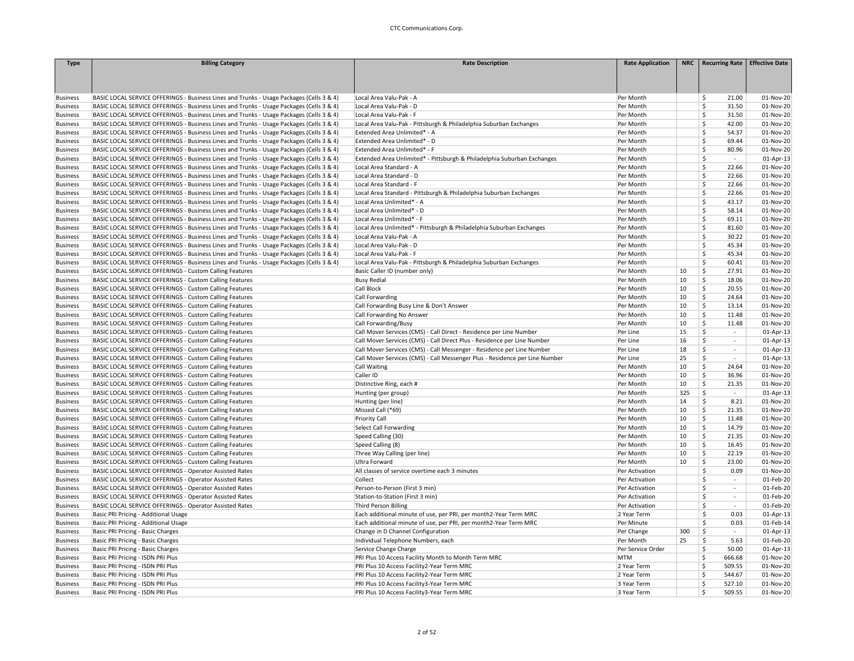| <b>Type</b>     | <b>Billing Category</b>                                                                  | <b>Rate Description</b>                                                     | <b>Rate Application</b> |     | NRC   Recurring Rate          | <b>Effective Date</b> |
|-----------------|------------------------------------------------------------------------------------------|-----------------------------------------------------------------------------|-------------------------|-----|-------------------------------|-----------------------|
|                 |                                                                                          |                                                                             |                         |     |                               |                       |
|                 |                                                                                          |                                                                             |                         |     |                               |                       |
|                 |                                                                                          |                                                                             |                         |     |                               |                       |
| <b>Business</b> | BASIC LOCAL SERVICE OFFERINGS - Business Lines and Trunks - Usage Packages (Cells 3 & 4) | Local Area Valu-Pak - A                                                     | Per Month               |     | \$<br>21.00                   | 01-Nov-20             |
| <b>Business</b> | BASIC LOCAL SERVICE OFFERINGS - Business Lines and Trunks - Usage Packages (Cells 3 & 4) | Local Area Valu-Pak - D                                                     | Per Month               |     | \$<br>31.50                   | 01-Nov-20             |
| <b>Business</b> | BASIC LOCAL SERVICE OFFERINGS - Business Lines and Trunks - Usage Packages (Cells 3 & 4) | Local Area Valu-Pak - F                                                     | Per Month               |     | \$<br>31.50                   | 01-Nov-20             |
| <b>Business</b> | BASIC LOCAL SERVICE OFFERINGS - Business Lines and Trunks - Usage Packages (Cells 3 & 4) | Local Area Valu-Pak - Pittsburgh & Philadelphia Suburban Exchanges          | Per Month               |     | Ś.<br>42.00                   | 01-Nov-20             |
| <b>Business</b> | BASIC LOCAL SERVICE OFFERINGS - Business Lines and Trunks - Usage Packages (Cells 3 & 4) | Extended Area Unlimited* - A                                                | Per Month               |     | Ś<br>54.37                    | 01-Nov-20             |
| <b>Business</b> | BASIC LOCAL SERVICE OFFERINGS - Business Lines and Trunks - Usage Packages (Cells 3 & 4) | Extended Area Unlimited* - D                                                | Per Month               |     | Ś<br>69.44                    | 01-Nov-20             |
| <b>Business</b> | BASIC LOCAL SERVICE OFFERINGS - Business Lines and Trunks - Usage Packages (Cells 3 & 4) | Extended Area Unlimited* - F                                                | Per Month               |     | \$<br>80.96                   | 01-Nov-20             |
| <b>Business</b> | BASIC LOCAL SERVICE OFFERINGS - Business Lines and Trunks - Usage Packages (Cells 3 & 4) | Extended Area Unlimited* - Pittsburgh & Philadelphia Suburban Exchanges     | Per Month               |     | \$<br>$\sim$                  | 01-Apr-13             |
| <b>Business</b> | BASIC LOCAL SERVICE OFFERINGS - Business Lines and Trunks - Usage Packages (Cells 3 & 4) | Local Area Standard - A                                                     | Per Month               |     | Ś<br>22.66                    | 01-Nov-20             |
| <b>Business</b> | BASIC LOCAL SERVICE OFFERINGS - Business Lines and Trunks - Usage Packages (Cells 3 & 4) | Local Area Standard - D                                                     | Per Month               |     | \$<br>22.66                   | 01-Nov-20             |
| <b>Business</b> | BASIC LOCAL SERVICE OFFERINGS - Business Lines and Trunks - Usage Packages (Cells 3 & 4) | Local Area Standard - F                                                     | Per Month               |     | \$<br>22.66                   | 01-Nov-20             |
| <b>Business</b> | BASIC LOCAL SERVICE OFFERINGS - Business Lines and Trunks - Usage Packages (Cells 3 & 4) | Local Area Standard - Pittsburgh & Philadelphia Suburban Exchanges          | Per Month               |     | \$<br>22.66                   | 01-Nov-20             |
| <b>Business</b> | BASIC LOCAL SERVICE OFFERINGS - Business Lines and Trunks - Usage Packages (Cells 3 & 4) | Local Area Unlimited* - A                                                   | Per Month               |     | \$<br>43.17                   | 01-Nov-20             |
| <b>Business</b> | BASIC LOCAL SERVICE OFFERINGS - Business Lines and Trunks - Usage Packages (Cells 3 & 4) | Local Area Unlimited* - D                                                   | Per Month               |     | \$<br>58.14                   | 01-Nov-20             |
| <b>Business</b> | BASIC LOCAL SERVICE OFFERINGS - Business Lines and Trunks - Usage Packages (Cells 3 & 4) | Local Area Unlimited* - F                                                   | Per Month               |     | \$<br>69.11                   | 01-Nov-20             |
| <b>Business</b> | BASIC LOCAL SERVICE OFFERINGS - Business Lines and Trunks - Usage Packages (Cells 3 & 4) | Local Area Unlimited* - Pittsburgh & Philadelphia Suburban Exchanges        | Per Month               |     | Ś<br>81.60                    | 01-Nov-20             |
| <b>Business</b> | BASIC LOCAL SERVICE OFFERINGS - Business Lines and Trunks - Usage Packages (Cells 3 & 4) | Local Area Valu-Pak - A                                                     | Per Month               |     | \$<br>30.22                   | 01-Nov-20             |
| <b>Business</b> | BASIC LOCAL SERVICE OFFERINGS - Business Lines and Trunks - Usage Packages (Cells 3 & 4) | Local Area Valu-Pak - D                                                     | Per Month               |     | \$<br>45.34                   | 01-Nov-20             |
| <b>Business</b> | BASIC LOCAL SERVICE OFFERINGS - Business Lines and Trunks - Usage Packages (Cells 3 & 4) | Local Area Valu-Pak - F                                                     | Per Month               |     | \$<br>45.34                   | 01-Nov-20             |
| <b>Business</b> | BASIC LOCAL SERVICE OFFERINGS - Business Lines and Trunks - Usage Packages (Cells 3 & 4) | Local Area Valu-Pak - Pittsburgh & Philadelphia Suburban Exchanges          | Per Month               |     | Ś<br>60.41                    | 01-Nov-20             |
| <b>Business</b> | BASIC LOCAL SERVICE OFFERINGS - Custom Calling Features                                  | Basic Caller ID (number only)                                               | Per Month               | 10  | \$<br>27.91                   | 01-Nov-20             |
| <b>Business</b> | BASIC LOCAL SERVICE OFFERINGS - Custom Calling Features                                  | <b>Busy Redial</b>                                                          | Per Month               | 10  | \$<br>18.06                   | 01-Nov-20             |
| <b>Business</b> | BASIC LOCAL SERVICE OFFERINGS - Custom Calling Features                                  | Call Block                                                                  | Per Month               | 10  | \$<br>20.55                   | 01-Nov-20             |
| <b>Business</b> | BASIC LOCAL SERVICE OFFERINGS - Custom Calling Features                                  | Call Forwarding                                                             | Per Month               | 10  | \$<br>24.64                   | 01-Nov-20             |
| <b>Business</b> | BASIC LOCAL SERVICE OFFERINGS - Custom Calling Features                                  | Call Forwarding Busy Line & Don't Answer                                    | Per Month               | 10  | Ś<br>13.14                    | 01-Nov-20             |
| <b>Business</b> | BASIC LOCAL SERVICE OFFERINGS - Custom Calling Features                                  | Call Forwarding No Answer                                                   | Per Month               | 10  | \$<br>11.48                   | 01-Nov-20             |
| <b>Business</b> | BASIC LOCAL SERVICE OFFERINGS - Custom Calling Features                                  | Call Forwarding/Busy                                                        | Per Month               | 10  | \$<br>11.48                   | 01-Nov-20             |
| <b>Business</b> | BASIC LOCAL SERVICE OFFERINGS - Custom Calling Features                                  | Call Mover Services (CMS) - Call Direct - Residence per Line Number         | Per Line                | 15  | \$<br>$\sim$                  | 01-Apr-13             |
|                 | BASIC LOCAL SERVICE OFFERINGS - Custom Calling Features                                  | Call Mover Services (CMS) - Call Direct Plus - Residence per Line Number    |                         | 16  | \$<br>$\mathbb{Z}^2$          | 01-Apr-13             |
| Business        | BASIC LOCAL SERVICE OFFERINGS - Custom Calling Features                                  | Call Mover Services (CMS) - Call Messenger - Residence per Line Number      | Per Line<br>Per Line    | 18  | \$<br>$\sim$                  | 01-Apr-13             |
| <b>Business</b> |                                                                                          |                                                                             |                         | 25  | \$<br>$\sim$                  |                       |
| <b>Business</b> | BASIC LOCAL SERVICE OFFERINGS - Custom Calling Features                                  | Call Mover Services (CMS) - Call Messenger Plus - Residence per Line Number | Per Line                |     |                               | 01-Apr-13             |
| <b>Business</b> | BASIC LOCAL SERVICE OFFERINGS - Custom Calling Features                                  | <b>Call Waiting</b>                                                         | Per Month               | 10  | \$<br>24.64                   | 01-Nov-20             |
| <b>Business</b> | BASIC LOCAL SERVICE OFFERINGS - Custom Calling Features                                  | Caller ID                                                                   | Per Month               | 10  | \$<br>36.96                   | 01-Nov-20             |
| <b>Business</b> | BASIC LOCAL SERVICE OFFERINGS - Custom Calling Features                                  | Distinctive Ring, each #                                                    | Per Month               | 10  | \$<br>21.35                   | 01-Nov-20             |
| <b>Business</b> | BASIC LOCAL SERVICE OFFERINGS - Custom Calling Features                                  | Hunting (per group)                                                         | Per Month               | 325 | \$<br>$\sim$                  | 01-Apr-13             |
| <b>Business</b> | BASIC LOCAL SERVICE OFFERINGS - Custom Calling Features                                  | Hunting (per line)                                                          | Per Month               | 14  | \$<br>8.21                    | 01-Nov-20             |
| <b>Business</b> | BASIC LOCAL SERVICE OFFERINGS - Custom Calling Features                                  | Missed Call (*69)                                                           | Per Month               | 10  | \$<br>21.35                   | 01-Nov-20             |
| <b>Business</b> | BASIC LOCAL SERVICE OFFERINGS - Custom Calling Features                                  | Priority Call                                                               | Per Month               | 10  | \$<br>11.48                   | 01-Nov-20             |
| <b>Business</b> | BASIC LOCAL SERVICE OFFERINGS - Custom Calling Features                                  | Select Call Forwarding                                                      | Per Month               | 10  | \$<br>14.79                   | 01-Nov-20             |
| Business        | BASIC LOCAL SERVICE OFFERINGS - Custom Calling Features                                  | Speed Calling (30)                                                          | Per Month               | 10  | \$<br>21.35                   | 01-Nov-20             |
| <b>Business</b> | BASIC LOCAL SERVICE OFFERINGS - Custom Calling Features                                  | Speed Calling (8)                                                           | Per Month               | 10  | 16.45<br>\$                   | 01-Nov-20             |
| <b>Business</b> | BASIC LOCAL SERVICE OFFERINGS - Custom Calling Features                                  | Three Way Calling (per line)                                                | Per Month               | 10  | \$<br>22.19                   | 01-Nov-20             |
| <b>Business</b> | BASIC LOCAL SERVICE OFFERINGS - Custom Calling Features                                  | Ultra Forward                                                               | Per Month               | 10  | \$<br>23.00                   | 01-Nov-20             |
| <b>Business</b> | BASIC LOCAL SERVICE OFFERINGS - Operator Assisted Rates                                  | All classes of service overtime each 3 minutes                              | Per Activation          |     | \$<br>0.09                    | 01-Nov-20             |
| Business        | BASIC LOCAL SERVICE OFFERINGS - Operator Assisted Rates                                  | Collect                                                                     | Per Activation          |     | \$<br>$\sim$                  | 01-Feb-20             |
| <b>Business</b> | BASIC LOCAL SERVICE OFFERINGS - Operator Assisted Rates                                  | Person-to-Person (First 3 min)                                              | Per Activation          |     | \$<br>$\overline{a}$          | 01-Feb-20             |
| <b>Business</b> | BASIC LOCAL SERVICE OFFERINGS - Operator Assisted Rates                                  | Station-to-Station (First 3 min)                                            | Per Activation          |     | Ś<br>$\overline{\phantom{a}}$ | 01-Feb-20             |
| <b>Business</b> | BASIC LOCAL SERVICE OFFERINGS - Operator Assisted Rates                                  | <b>Third Person Billing</b>                                                 | Per Activation          |     | Ś<br>$\sim$                   | 01-Feb-20             |
| <b>Business</b> | Basic PRI Pricing - Additional Usage                                                     | Each additional minute of use, per PRI, per month2-Year Term MRC            | 2 Year Term             |     | \$<br>0.03                    | 01-Apr-13             |
| <b>Business</b> | Basic PRI Pricing - Additional Usage                                                     | Each additional minute of use, per PRI, per month2-Year Term MRC            | Per Minute              |     | Ś<br>0.03                     | 01-Feb-14             |
| <b>Business</b> | Basic PRI Pricing - Basic Charges                                                        | Change in D Channel Configuration                                           | Per Change              | 300 | \$<br>÷                       | 01-Apr-13             |
| <b>Business</b> | Basic PRI Pricing - Basic Charges                                                        | Individual Telephone Numbers, each                                          | Per Month               | 25  | Ś<br>5.63                     | 01-Feb-20             |
| <b>Business</b> | Basic PRI Pricing - Basic Charges                                                        | Service Change Charge                                                       | Per Service Order       |     | Ś<br>50.00                    | $01-Apr-13$           |
| <b>Business</b> | Basic PRI Pricing - ISDN PRI Plus                                                        | PRI Plus 10 Access Facility Month to Month Term MRC                         | <b>MTM</b>              |     | Ś<br>666.68                   | 01-Nov-20             |
| <b>Business</b> | Basic PRI Pricing - ISDN PRI Plus                                                        | PRI Plus 10 Access Facility2-Year Term MRC                                  | 2 Year Term             |     | Ś<br>509.55                   | 01-Nov-20             |
| <b>Business</b> | Basic PRI Pricing - ISDN PRI Plus                                                        | PRI Plus 10 Access Facility2-Year Term MRC                                  | 2 Year Term             |     | Ś<br>544.67                   | 01-Nov-20             |
| <b>Business</b> | Basic PRI Pricing - ISDN PRI Plus                                                        | PRI Plus 10 Access Facility3-Year Term MRC                                  | 3 Year Term             |     | \$<br>527.10                  | 01-Nov-20             |
| <b>Business</b> | Basic PRI Pricing - ISDN PRI Plus                                                        | PRI Plus 10 Access Facility3-Year Term MRC                                  | 3 Year Term             |     | Ś<br>509.55                   | 01-Nov-20             |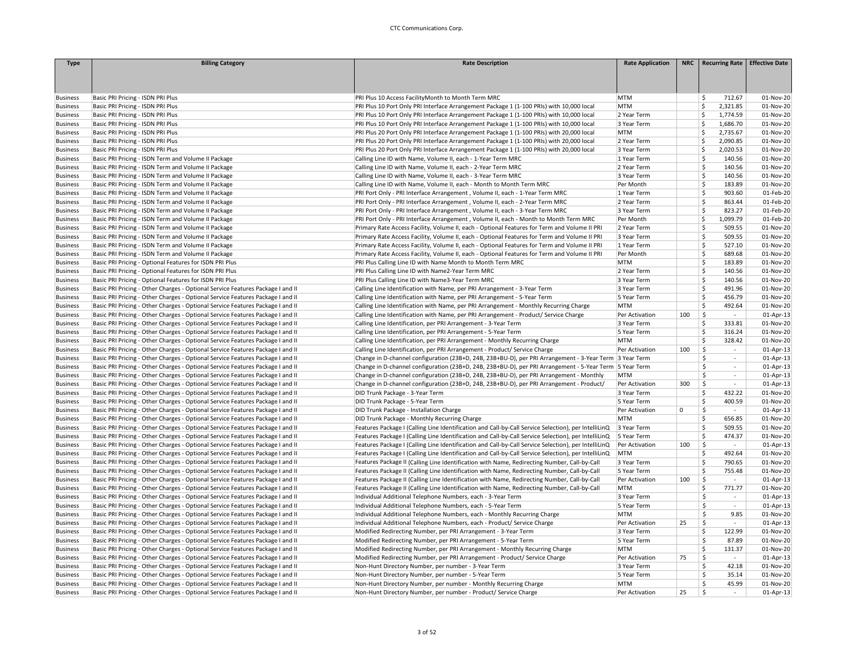| <b>Type</b>                        | <b>Billing Category</b>                                                                                                                                          | <b>Rate Description</b>                                                                                                           | <b>Rate Application</b> | <b>NRC</b>  | <b>Recurring Rate</b>                           | <b>Effective Date</b> |
|------------------------------------|------------------------------------------------------------------------------------------------------------------------------------------------------------------|-----------------------------------------------------------------------------------------------------------------------------------|-------------------------|-------------|-------------------------------------------------|-----------------------|
|                                    |                                                                                                                                                                  |                                                                                                                                   |                         |             |                                                 |                       |
|                                    |                                                                                                                                                                  |                                                                                                                                   |                         |             |                                                 |                       |
|                                    |                                                                                                                                                                  |                                                                                                                                   |                         |             |                                                 |                       |
| <b>Business</b>                    | Basic PRI Pricing - ISDN PRI Plus                                                                                                                                | PRI Plus 10 Access FacilityMonth to Month Term MRC                                                                                | <b>MTM</b>              |             | \$<br>712.67                                    | 01-Nov-20             |
| <b>Business</b>                    | Basic PRI Pricing - ISDN PRI Plus                                                                                                                                | PRI Plus 10 Port Only PRI Interface Arrangement Package 1 (1-100 PRIs) with 10,000 local                                          | <b>MTM</b>              |             | <sub>S</sub><br>2,321.85                        | 01-Nov-20             |
| <b>Business</b>                    | Basic PRI Pricing - ISDN PRI Plus                                                                                                                                | PRI Plus 10 Port Only PRI Interface Arrangement Package 1 (1-100 PRIs) with 10,000 local                                          | 2 Year Term             |             | 1,774.59<br>\$                                  | 01-Nov-20             |
| <b>Business</b>                    | Basic PRI Pricing - ISDN PRI Plus                                                                                                                                | PRI Plus 10 Port Only PRI Interface Arrangement Package 1 (1-100 PRIs) with 10,000 local                                          | 3 Year Term             |             | \$<br>1,686.70                                  | 01-Nov-20             |
| <b>Business</b>                    | Basic PRI Pricing - ISDN PRI Plus                                                                                                                                | PRI Plus 20 Port Only PRI Interface Arrangement Package 1 (1-100 PRIs) with 20,000 local                                          | <b>MTM</b>              |             | Ś<br>2,735.67                                   | 01-Nov-20             |
| <b>Business</b>                    | Basic PRI Pricing - ISDN PRI Plus                                                                                                                                | PRI Plus 20 Port Only PRI Interface Arrangement Package 1 (1-100 PRIs) with 20,000 local                                          | 2 Year Term             |             | -Ś<br>2,090.85                                  | 01-Nov-20             |
| <b>Business</b>                    | Basic PRI Pricing - ISDN PRI Plus                                                                                                                                | PRI Plus 20 Port Only PRI Interface Arrangement Package 1 (1-100 PRIs) with 20,000 local                                          | 3 Year Term             |             | Ś<br>2,020.53                                   | 01-Nov-20             |
| <b>Business</b>                    | Basic PRI Pricing - ISDN Term and Volume II Package                                                                                                              | Calling Line ID with Name, Volume II, each - 1-Year Term MRC                                                                      | 1 Year Term             |             | Ś<br>140.56                                     | 01-Nov-20             |
| <b>Business</b>                    | Basic PRI Pricing - ISDN Term and Volume II Package                                                                                                              | Calling Line ID with Name, Volume II, each - 2-Year Term MRC                                                                      | 2 Year Term             |             | \$<br>140.56                                    | 01-Nov-20             |
| <b>Business</b>                    | Basic PRI Pricing - ISDN Term and Volume II Package                                                                                                              | Calling Line ID with Name, Volume II, each - 3-Year Term MRC                                                                      | 3 Year Term             |             | \$<br>140.56                                    | 01-Nov-20             |
| <b>Business</b>                    | Basic PRI Pricing - ISDN Term and Volume II Package                                                                                                              | Calling Line ID with Name, Volume II, each - Month to Month Term MRC                                                              | Per Month               |             | \$<br>183.89                                    | 01-Nov-20             |
| <b>Business</b>                    | Basic PRI Pricing - ISDN Term and Volume II Package                                                                                                              | PRI Port Only - PRI Interface Arrangement, Volume II, each - 1-Year Term MRC                                                      | 1 Year Term             |             | \$<br>903.60                                    | 01-Feb-20             |
| <b>Business</b>                    | Basic PRI Pricing - ISDN Term and Volume II Package                                                                                                              | PRI Port Only - PRI Interface Arrangement, Volume II, each - 2-Year Term MRC                                                      | 2 Year Term             |             | Ś<br>863.44                                     | 01-Feb-20             |
| <b>Business</b>                    | Basic PRI Pricing - ISDN Term and Volume II Package                                                                                                              | PRI Port Only - PRI Interface Arrangement, Volume II, each - 3-Year Term MRC                                                      | 3 Year Term             |             | Ś<br>823.27                                     | 01-Feb-20             |
| <b>Business</b>                    | Basic PRI Pricing - ISDN Term and Volume II Package                                                                                                              | PRI Port Only - PRI Interface Arrangement, Volume II, each - Month to Month Term MRC                                              | Per Month               |             | \$<br>1,099.79                                  | 01-Feb-20             |
| <b>Business</b>                    | Basic PRI Pricing - ISDN Term and Volume II Package                                                                                                              | Primary Rate Access Facility, Volume II, each - Optional Features for Term and Volume II PRI                                      | 2 Year Term             |             | \$<br>509.55                                    | 01-Nov-20             |
| <b>Business</b>                    | Basic PRI Pricing - ISDN Term and Volume II Package                                                                                                              | Primary Rate Access Facility, Volume II, each - Optional Features for Term and Volume II PRI                                      | 3 Year Term             |             | \$<br>509.55                                    | 01-Nov-20             |
| <b>Business</b>                    | Basic PRI Pricing - ISDN Term and Volume II Package                                                                                                              | Primary Rate Access Facility, Volume II, each - Optional Features for Term and Volume II PRI                                      | 1 Year Term             |             | Ś<br>527.10                                     | 01-Nov-20             |
| <b>Business</b>                    | Basic PRI Pricing - ISDN Term and Volume II Package                                                                                                              | Primary Rate Access Facility, Volume II, each - Optional Features for Term and Volume II PRI                                      | Per Month               |             | Ś<br>689.68                                     | 01-Nov-20             |
| <b>Business</b>                    | Basic PRI Pricing - Optional Features for ISDN PRI Plus                                                                                                          | PRI Plus Calling Line ID with Name Month to Month Term MRC                                                                        | <b>MTM</b>              |             | \$<br>183.89                                    | 01-Nov-20             |
| <b>Business</b>                    | Basic PRI Pricing - Optional Features for ISDN PRI Plus                                                                                                          | PRI Plus Calling Line ID with Name2-Year Term MRC                                                                                 | 2 Year Term             |             | Ś<br>140.56                                     | 01-Nov-20             |
| <b>Business</b>                    | Basic PRI Pricing - Optional Features for ISDN PRI Plus                                                                                                          | PRI Plus Calling Line ID with Name3-Year Term MRC                                                                                 | 3 Year Term             |             | \$<br>140.56                                    | 01-Nov-20             |
| <b>Business</b>                    | Basic PRI Pricing - Other Charges - Optional Service Features Package I and II                                                                                   | Calling Line Identification with Name, per PRI Arrangement - 3-Year Term                                                          | 3 Year Term             |             | Ś<br>491.96                                     | 01-Nov-20             |
| <b>Business</b>                    | Basic PRI Pricing - Other Charges - Optional Service Features Package I and II                                                                                   | Calling Line Identification with Name, per PRI Arrangement - 5-Year Term                                                          | 5 Year Term             |             | Ś<br>456.79                                     | 01-Nov-20             |
| <b>Business</b>                    | Basic PRI Pricing - Other Charges - Optional Service Features Package I and II                                                                                   | Calling Line Identification with Name, per PRI Arrangement - Monthly Recurring Charge                                             | <b>MTM</b>              |             | Ś<br>492.64                                     | 01-Nov-20             |
| <b>Business</b>                    | Basic PRI Pricing - Other Charges - Optional Service Features Package I and II                                                                                   | Calling Line Identification with Name, per PRI Arrangement - Product/ Service Charge                                              | Per Activation          | 100         | $\ddot{\mathsf{S}}$<br>$\sim$                   | 01-Apr-13             |
| <b>Business</b>                    | Basic PRI Pricing - Other Charges - Optional Service Features Package I and II                                                                                   | Calling Line Identification, per PRI Arrangement - 3-Year Term                                                                    | 3 Year Term             |             | Ś<br>333.81                                     | 01-Nov-20             |
| <b>Business</b>                    | Basic PRI Pricing - Other Charges - Optional Service Features Package I and II                                                                                   | Calling Line Identification, per PRI Arrangement - 5-Year Term                                                                    | 5 Year Term             |             | \$<br>316.24                                    | 01-Nov-20             |
| <b>Business</b>                    | Basic PRI Pricing - Other Charges - Optional Service Features Package I and II                                                                                   | Calling Line Identification, per PRI Arrangement - Monthly Recurring Charge                                                       | <b>MTM</b>              |             | \$<br>328.42                                    | 01-Nov-20             |
| <b>Business</b>                    | Basic PRI Pricing - Other Charges - Optional Service Features Package I and II                                                                                   | Calling Line Identification, per PRI Arrangement - Product/ Service Charge                                                        | Per Activation          | 100         | \$<br>$\sim$                                    | 01-Apr-13             |
| <b>Business</b>                    | Basic PRI Pricing - Other Charges - Optional Service Features Package I and II                                                                                   | Change in D-channel configuration (23B+D, 24B, 23B+BU-D), per PRI Arrangement - 3-Year Term 3 Year Term                           |                         |             | \$<br>$\sim$                                    | 01-Apr-13             |
| <b>Business</b>                    | Basic PRI Pricing - Other Charges - Optional Service Features Package I and II                                                                                   | Change in D-channel configuration (23B+D, 24B, 23B+BU-D), per PRI Arrangement - 5-Year Term 5 Year Term                           |                         |             | \$<br>$\overline{\phantom{a}}$                  | 01-Apr-13             |
| <b>Business</b>                    | Basic PRI Pricing - Other Charges - Optional Service Features Package I and II                                                                                   | Change in D-channel configuration (23B+D, 24B, 23B+BU-D), per PRI Arrangement - Monthly                                           | <b>MTM</b>              |             | Ś.<br>$\sim$                                    | 01-Apr-13             |
| <b>Business</b>                    | Basic PRI Pricing - Other Charges - Optional Service Features Package I and II                                                                                   | Change in D-channel configuration (23B+D, 24B, 23B+BU-D), per PRI Arrangement - Product/                                          | Per Activation          | 300         | Ŝ.<br>$\sim$                                    | 01-Apr-13             |
| <b>Business</b>                    | Basic PRI Pricing - Other Charges - Optional Service Features Package I and II                                                                                   | DID Trunk Package - 3-Year Term                                                                                                   | 3 Year Term             |             | \$<br>432.22                                    | 01-Nov-20             |
| <b>Business</b>                    | Basic PRI Pricing - Other Charges - Optional Service Features Package I and II                                                                                   | DID Trunk Package - 5-Year Term                                                                                                   | 5 Year Term             |             | \$<br>400.59                                    | 01-Nov-20             |
| <b>Business</b>                    | Basic PRI Pricing - Other Charges - Optional Service Features Package I and II                                                                                   | DID Trunk Package - Installation Charge                                                                                           | Per Activation          | $\mathsf 0$ | $\mathsf{\hat{S}}$<br>$\sim$                    | 01-Apr-13             |
| <b>Business</b>                    | Basic PRI Pricing - Other Charges - Optional Service Features Package I and II                                                                                   | DID Trunk Package - Monthly Recurring Charge                                                                                      | <b>MTM</b>              |             | Ŝ<br>656.85                                     | 01-Nov-20             |
| <b>Business</b>                    | Basic PRI Pricing - Other Charges - Optional Service Features Package I and II                                                                                   | Features Package I (Calling Line Identification and Call-by-Call Service Selection), per IntelliLinQ                              | 3 Year Term             |             | Ś<br>509.55                                     | 01-Nov-20             |
| <b>Business</b>                    | Basic PRI Pricing - Other Charges - Optional Service Features Package I and II                                                                                   | Features Package I (Calling Line Identification and Call-by-Call Service Selection), per IntelliLinQ                              | 5 Year Term             |             | 474.37<br>\$                                    | 01-Nov-20             |
| <b>Business</b>                    | Basic PRI Pricing - Other Charges - Optional Service Features Package I and II                                                                                   | Features Package I (Calling Line Identification and Call-by-Call Service Selection), per IntelliLinQ                              | Per Activation          | 100         | $\ddot{\mathsf{S}}$<br>$\overline{\phantom{a}}$ | 01-Apr-13             |
| <b>Business</b>                    | Basic PRI Pricing - Other Charges - Optional Service Features Package I and II                                                                                   | Features Package I (Calling Line Identification and Call-by-Call Service Selection), per IntelliLinQ                              | MTM                     |             | \$<br>492.64                                    | 01-Nov-20             |
| <b>Business</b>                    | Basic PRI Pricing - Other Charges - Optional Service Features Package I and II                                                                                   | Features Package II (Calling Line Identification with Name, Redirecting Number, Call-by-Call                                      | 3 Year Term             |             | Ś<br>790.65                                     | 01-Nov-20             |
| <b>Business</b>                    | Basic PRI Pricing - Other Charges - Optional Service Features Package I and II                                                                                   | Features Package II (Calling Line Identification with Name, Redirecting Number, Call-by-Call                                      | 5 Year Term             |             | Ś<br>755.48                                     | 01-Nov-20             |
| <b>Business</b>                    | Basic PRI Pricing - Other Charges - Optional Service Features Package I and II                                                                                   | Features Package II (Calling Line Identification with Name, Redirecting Number, Call-by-Call                                      | Per Activation          | 100         | $\mathsf{S}$<br>$\sim$                          | 01-Apr-13             |
| <b>Business</b>                    | Basic PRI Pricing - Other Charges - Optional Service Features Package I and II                                                                                   | Features Package II (Calling Line Identification with Name, Redirecting Number, Call-by-Call                                      | <b>MTM</b>              |             | Ś<br>771.77                                     | 01-Nov-20             |
| <b>Business</b>                    | Basic PRI Pricing - Other Charges - Optional Service Features Package I and II                                                                                   | Individual Additional Telephone Numbers, each - 3-Year Term                                                                       | 3 Year Term             |             | \$<br>$\sim$                                    | 01-Apr-13             |
| <b>Business</b>                    | Basic PRI Pricing - Other Charges - Optional Service Features Package I and II                                                                                   | Individual Additional Telephone Numbers, each - 5-Year Term                                                                       | 5 Year Term             |             | Ś<br>$\mathcal{L}_{\mathcal{A}}$                | 01-Apr-13             |
| <b>Business</b>                    | Basic PRI Pricing - Other Charges - Optional Service Features Package I and II                                                                                   | Individual Additional Telephone Numbers, each - Monthly Recurring Charge                                                          | <b>MTM</b>              |             | \$<br>9.85                                      | 01-Nov-20             |
| <b>Business</b>                    | Basic PRI Pricing - Other Charges - Optional Service Features Package I and II                                                                                   | Individual Additional Telephone Numbers, each - Product/ Service Charge                                                           | Per Activation          | 25          | \$<br>$\sim$                                    | 01-Apr-13             |
| <b>Business</b>                    | Basic PRI Pricing - Other Charges - Optional Service Features Package I and II                                                                                   | Modified Redirecting Number, per PRI Arrangement - 3-Year Term                                                                    | 3 Year Term             |             | \$<br>122.99                                    | 01-Nov-20             |
| <b>Business</b>                    | Basic PRI Pricing - Other Charges - Optional Service Features Package I and II                                                                                   | Modified Redirecting Number, per PRI Arrangement - 5-Year Term                                                                    | 5 Year Term             |             | \$<br>87.89                                     | 01-Nov-20             |
|                                    | Basic PRI Pricing - Other Charges - Optional Service Features Package I and II                                                                                   | Modified Redirecting Number, per PRI Arrangement - Monthly Recurring Charge                                                       | <b>MTM</b>              |             | Ś<br>131.37                                     | 01-Nov-20             |
| <b>Business</b>                    |                                                                                                                                                                  |                                                                                                                                   | Per Activation          | 75          | Ś<br>$\sim$                                     | 01-Apr-13             |
| <b>Business</b>                    | Basic PRI Pricing - Other Charges - Optional Service Features Package I and II                                                                                   | Modified Redirecting Number, per PRI Arrangement - Product/ Service Charge<br>Non-Hunt Directory Number, per number - 3-Year Term | 3 Year Term             |             | \$<br>42.18                                     | 01-Nov-20             |
| <b>Business</b><br><b>Business</b> | Basic PRI Pricing - Other Charges - Optional Service Features Package I and II<br>Basic PRI Pricing - Other Charges - Optional Service Features Package I and II |                                                                                                                                   | 5 Year Term             |             | \$<br>35.14                                     | 01-Nov-20             |
| <b>Business</b>                    | Basic PRI Pricing - Other Charges - Optional Service Features Package I and II                                                                                   | Non-Hunt Directory Number, per number - 5-Year Term<br>Non-Hunt Directory Number, per number - Monthly Recurring Charge           | <b>MTM</b>              |             | Ś<br>45.99                                      | 01-Nov-20             |
| <b>Business</b>                    | Basic PRI Pricing - Other Charges - Optional Service Features Package I and II                                                                                   | Non-Hunt Directory Number, per number - Product/ Service Charge                                                                   | Per Activation          | 25          | Ś                                               | 01-Apr-13             |
|                                    |                                                                                                                                                                  |                                                                                                                                   |                         |             |                                                 |                       |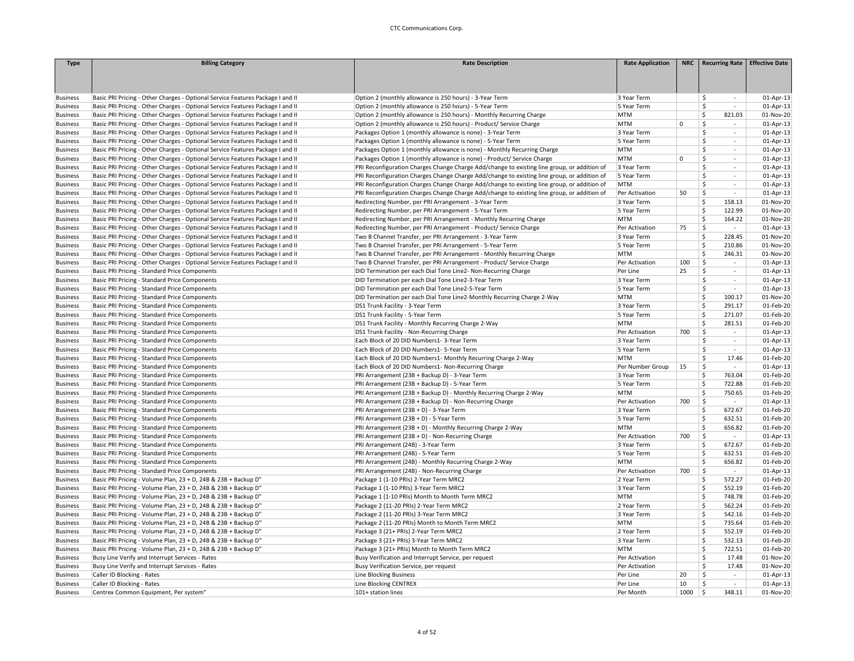| <b>Type</b>     | <b>Billing Category</b>                                                        | <b>Rate Description</b>                                                                     | <b>Rate Application</b> | NRC         | <b>Recurring Rate</b>                           | <b>Effective Date</b>  |
|-----------------|--------------------------------------------------------------------------------|---------------------------------------------------------------------------------------------|-------------------------|-------------|-------------------------------------------------|------------------------|
|                 |                                                                                |                                                                                             |                         |             |                                                 |                        |
|                 |                                                                                |                                                                                             |                         |             |                                                 |                        |
|                 |                                                                                |                                                                                             |                         |             |                                                 |                        |
| <b>Business</b> | Basic PRI Pricing - Other Charges - Optional Service Features Package I and II | Option 2 (monthly allowance is 250 hours) - 3-Year Term                                     | 3 Year Term             |             | \$<br>$\sim$                                    | 01-Apr-13              |
| <b>Business</b> | Basic PRI Pricing - Other Charges - Optional Service Features Package I and II | Option 2 (monthly allowance is 250 hours) - 5-Year Term                                     | 5 Year Term             |             | $\ddot{\mathsf{S}}$<br>÷                        | 01-Apr-13              |
| <b>Business</b> | Basic PRI Pricing - Other Charges - Optional Service Features Package I and II | Option 2 (monthly allowance is 250 hours) - Monthly Recurring Charge                        | <b>MTM</b>              |             | \$<br>821.03                                    | 01-Nov-20              |
| <b>Business</b> | Basic PRI Pricing - Other Charges - Optional Service Features Package I and II | Option 2 (monthly allowance is 250 hours) - Product/ Service Charge                         | MTM                     | $\mathbf 0$ | Ŝ.<br>÷                                         | 01-Apr-13              |
| <b>Business</b> | Basic PRI Pricing - Other Charges - Optional Service Features Package I and II | Packages Option 1 (monthly allowance is none) - 3-Year Term                                 | 3 Year Term             |             | Ŝ.<br>$\sim$                                    | 01-Apr-13              |
| <b>Business</b> | Basic PRI Pricing - Other Charges - Optional Service Features Package I and II | Packages Option 1 (monthly allowance is none) - 5-Year Term                                 | 5 Year Term             |             | Ŝ.<br>$\overline{\phantom{a}}$                  | 01-Apr-13              |
| <b>Business</b> | Basic PRI Pricing - Other Charges - Optional Service Features Package I and II | Packages Option 1 (monthly allowance is none) - Monthly Recurring Charge                    | <b>MTM</b>              |             | Ŝ.<br>$\mathbf{r}$                              | 01-Apr-13              |
| <b>Business</b> | Basic PRI Pricing - Other Charges - Optional Service Features Package I and II | Packages Option 1 (monthly allowance is none) - Product/ Service Charge                     | MTM                     | $\mathbf 0$ | $\ddot{\mathsf{S}}$<br>$\overline{\phantom{a}}$ | 01-Apr-13              |
| <b>Business</b> | Basic PRI Pricing - Other Charges - Optional Service Features Package I and II | PRI Reconfiguration Charges Change Charge Add/change to existing line group, or addition of | 3 Year Term             |             | $\mathsf{\hat{S}}$<br>$\mathbf{r}$              | 01-Apr-13              |
| <b>Business</b> | Basic PRI Pricing - Other Charges - Optional Service Features Package I and II | PRI Reconfiguration Charges Change Charge Add/change to existing line group, or addition of | 5 Year Term             |             | -Ś<br>$\overline{\phantom{a}}$                  | 01-Apr-13              |
| <b>Business</b> | Basic PRI Pricing - Other Charges - Optional Service Features Package I and II | PRI Reconfiguration Charges Change Charge Add/change to existing line group, or addition of | <b>MTM</b>              |             | Ŝ.<br>$\overline{\phantom{a}}$                  | 01-Apr-13              |
| <b>Business</b> | Basic PRI Pricing - Other Charges - Optional Service Features Package I and II | PRI Reconfiguration Charges Change Charge Add/change to existing line group, or addition of | Per Activation          | 50          | \$<br>$\sim$                                    | 01-Apr-13              |
| <b>Business</b> | Basic PRI Pricing - Other Charges - Optional Service Features Package I and II | Redirecting Number, per PRI Arrangement - 3-Year Term                                       | 3 Year Term             |             | -Ś<br>158.13                                    | 01-Nov-20              |
| <b>Business</b> | Basic PRI Pricing - Other Charges - Optional Service Features Package I and II | Redirecting Number, per PRI Arrangement - 5-Year Term                                       | 5 Year Term             |             | Ś<br>122.99                                     | 01-Nov-20              |
| <b>Business</b> | Basic PRI Pricing - Other Charges - Optional Service Features Package I and II | Redirecting Number, per PRI Arrangement - Monthly Recurring Charge                          | <b>MTM</b>              |             | Ŝ.<br>164.22                                    | 01-Nov-20              |
| <b>Business</b> | Basic PRI Pricing - Other Charges - Optional Service Features Package I and II | Redirecting Number, per PRI Arrangement - Product/ Service Charge                           | Per Activation          | 75          | Ŝ.<br>$\sim$                                    | 01-Apr-13              |
| <b>Business</b> | Basic PRI Pricing - Other Charges - Optional Service Features Package I and II | Two B Channel Transfer, per PRI Arrangement - 3-Year Term                                   | 3 Year Term             |             | Ŝ.<br>228.45                                    | 01-Nov-20              |
| <b>Business</b> | Basic PRI Pricing - Other Charges - Optional Service Features Package I and II | Two B Channel Transfer, per PRI Arrangement - 5-Year Term                                   | 5 Year Term             |             | \$<br>210.86                                    | 01-Nov-20              |
| <b>Business</b> | Basic PRI Pricing - Other Charges - Optional Service Features Package I and II | Two B Channel Transfer, per PRI Arrangement - Monthly Recurring Charge                      | <b>MTM</b>              |             | \$<br>246.31                                    | 01-Nov-20              |
| <b>Business</b> | Basic PRI Pricing - Other Charges - Optional Service Features Package I and II | Two B Channel Transfer, per PRI Arrangement - Product/ Service Charge                       | Per Activation          | 100         | \$<br>$\sim$                                    | 01-Apr-13              |
| <b>Business</b> | Basic PRI Pricing - Standard Price Components                                  | DID Termination per each Dial Tone Line2- Non-Recurring Charge                              | Per Line                | 25          | \$<br>÷                                         | 01-Apr-13              |
| <b>Business</b> | Basic PRI Pricing - Standard Price Components                                  | DID Termination per each Dial Tone Line2-3-Year Term                                        | 3 Year Term             |             | Ŝ.<br>$\overline{\phantom{a}}$                  | 01-Apr-13              |
| <b>Business</b> | Basic PRI Pricing - Standard Price Components                                  | DID Termination per each Dial Tone Line2-5-Year Term                                        | 5 Year Term             |             | \$<br>$\sim$                                    | 01-Apr-13              |
| <b>Business</b> | Basic PRI Pricing - Standard Price Components                                  | DID Termination per each Dial Tone Line2-Monthly Recurring Charge 2-Way                     | MTM                     |             | <b>S</b><br>100.17                              | 01-Nov-20              |
| <b>Business</b> | Basic PRI Pricing - Standard Price Components                                  | DS1 Trunk Facility - 3-Year Term                                                            | 3 Year Term             |             | <b>S</b><br>291.17                              | 01-Feb-20              |
| <b>Business</b> | Basic PRI Pricing - Standard Price Components                                  | DS1 Trunk Facility - 5-Year Term                                                            | 5 Year Term             |             | Ŝ.<br>271.07                                    | 01-Feb-20              |
| <b>Business</b> | Basic PRI Pricing - Standard Price Components                                  | DS1 Trunk Facility - Monthly Recurring Charge 2-Way                                         | <b>MTM</b>              |             | \$<br>281.51                                    | 01-Feb-20              |
| <b>Business</b> | Basic PRI Pricing - Standard Price Components                                  | DS1 Trunk Facility - Non-Recurring Charge                                                   | Per Activation          | 700         | -\$<br>$\sim$                                   | 01-Apr-13              |
| <b>Business</b> | Basic PRI Pricing - Standard Price Components                                  | Each Block of 20 DID Numbers1-3-Year Term                                                   | 3 Year Term             |             | \$<br>$\sim$                                    | 01-Apr-13              |
| <b>Business</b> | Basic PRI Pricing - Standard Price Components                                  | Each Block of 20 DID Numbers1-5-Year Term                                                   | 5 Year Term             |             | \$<br>$\sim$                                    | 01-Apr-13              |
| <b>Business</b> | Basic PRI Pricing - Standard Price Components                                  | Each Block of 20 DID Numbers1- Monthly Recurring Charge 2-Way                               | <b>MTM</b>              |             | $\ddot{\mathsf{S}}$<br>17.46                    | 01-Feb-20              |
| <b>Business</b> | Basic PRI Pricing - Standard Price Components                                  | Each Block of 20 DID Numbers1- Non-Recurring Charge                                         | Per Number Group        | 15          | $\ddot{\mathsf{S}}$<br>$\sim$                   | 01-Apr-13              |
| <b>Business</b> | Basic PRI Pricing - Standard Price Components                                  | PRI Arrangement (23B + Backup D) - 3-Year Term                                              | 3 Year Term             |             | 763.04<br>-Ś                                    | 01-Feb-20              |
| <b>Business</b> | Basic PRI Pricing - Standard Price Components                                  | PRI Arrangement (23B + Backup D) - 5-Year Term                                              | 5 Year Term             |             | <b>S</b><br>722.88                              | 01-Feb-20              |
| <b>Business</b> | Basic PRI Pricing - Standard Price Components                                  | PRI Arrangement (23B + Backup D) - Monthly Recurring Charge 2-Way                           | MTM                     |             | 750.65<br>\$.                                   | 01-Feb-20              |
| <b>Business</b> | Basic PRI Pricing - Standard Price Components                                  | PRI Arrangement (23B + Backup D) - Non-Recurring Charge                                     | Per Activation          | 700         | -\$<br>$\sim$                                   | 01-Apr-13              |
| <b>Business</b> | Basic PRI Pricing - Standard Price Components                                  | PRI Arrangement (23B + D) - 3-Year Term                                                     | 3 Year Term             |             | Ŝ.<br>672.67                                    | 01-Feb-20              |
| <b>Business</b> | Basic PRI Pricing - Standard Price Components                                  | PRI Arrangement (23B + D) - 5-Year Term                                                     | 5 Year Term             |             | Ŝ.<br>632.51                                    | 01-Feb-20              |
| <b>Business</b> | Basic PRI Pricing - Standard Price Components                                  | PRI Arrangement (23B + D) - Monthly Recurring Charge 2-Way                                  | <b>MTM</b>              |             | \$<br>656.82                                    | 01-Feb-20              |
| <b>Business</b> | Basic PRI Pricing - Standard Price Components                                  | PRI Arrangement (23B + D) - Non-Recurring Charge                                            | Per Activation          | 700         | -\$<br>$\sim$                                   | 01-Apr-13              |
| <b>Business</b> | Basic PRI Pricing - Standard Price Components                                  | PRI Arrangement (24B) - 3-Year Term                                                         | 3 Year Term             |             | <b>S</b><br>672.67                              | 01-Feb-20              |
|                 | Basic PRI Pricing - Standard Price Components                                  | PRI Arrangement (24B) - 5-Year Term                                                         | 5 Year Term             |             | Ŝ.<br>632.51                                    | 01-Feb-20              |
| Business        |                                                                                |                                                                                             | <b>MTM</b>              |             | \$                                              |                        |
| <b>Business</b> | Basic PRI Pricing - Standard Price Components                                  | PRI Arrangement (24B) - Monthly Recurring Charge 2-Way                                      |                         | 700         | 656.82<br>-\$                                   | 01-Feb-20              |
| <b>Business</b> | Basic PRI Pricing - Standard Price Components                                  | PRI Arrangement (24B) - Non-Recurring Charge                                                | Per Activation          |             | $\sim$                                          | 01-Apr-13<br>01-Feb-20 |
| <b>Business</b> | Basic PRI Pricing - Volume Plan, 23 + D, 24B & 23B + Backup D"                 | Package 1 (1-10 PRIs) 2-Year Term MRC2                                                      | 2 Year Term             |             | \$.<br>572.27                                   |                        |
| <b>Business</b> | Basic PRI Pricing - Volume Plan, 23 + D, 24B & 23B + Backup D"                 | Package 1 (1-10 PRIs) 3-Year Term MRC2                                                      | 3 Year Term             |             | \$<br>552.19<br>Ŝ.                              | 01-Feb-20              |
| <b>Business</b> | Basic PRI Pricing - Volume Plan, 23 + D, 24B & 23B + Backup D"                 | Package 1 (1-10 PRIs) Month to Month Term MRC2                                              | <b>MTM</b>              |             | 748.78                                          | 01-Feb-20              |
| Business        | Basic PRI Pricing - Volume Plan, 23 + D, 24B & 23B + Backup D"                 | Package 2 (11-20 PRIs) 2-Year Term MRC2                                                     | 2 Year Term             |             | Ŝ.<br>562.24<br><b>S</b>                        | 01-Feb-20              |
| <b>Business</b> | Basic PRI Pricing - Volume Plan, 23 + D, 24B & 23B + Backup D'                 | Package 2 (11-20 PRIs) 3-Year Term MRC2                                                     | 3 Year Term             |             | 542.16                                          | 01-Feb-20              |
| <b>Business</b> | Basic PRI Pricing - Volume Plan, 23 + D, 24B & 23B + Backup D"                 | Package 2 (11-20 PRIs) Month to Month Term MRC2                                             | MTM                     |             | \$<br>735.64                                    | 01-Feb-20              |
| <b>Business</b> | Basic PRI Pricing - Volume Plan, 23 + D, 24B & 23B + Backup D"                 | Package 3 (21+ PRIs) 2-Year Term MRC2                                                       | 2 Year Term             |             | \$.<br>552.19                                   | 01-Feb-20              |
| <b>Business</b> | Basic PRI Pricing - Volume Plan, 23 + D, 24B & 23B + Backup D"                 | Package 3 (21+ PRIs) 3-Year Term MRC2                                                       | 3 Year Term             |             | Ŝ.<br>532.13                                    | 01-Feb-20              |
| <b>Business</b> | Basic PRI Pricing - Volume Plan, 23 + D, 24B & 23B + Backup D"                 | Package 3 (21+ PRIs) Month to Month Term MRC2                                               | <b>MTM</b>              |             | Ŝ.<br>722.51                                    | 01-Feb-20              |
| <b>Business</b> | Busy Line Verify and Interrupt Services - Rates                                | Busy Verification and Interrupt Service, per request                                        | Per Activation          |             | Ŝ.<br>17.48                                     | 01-Nov-20              |
| <b>Business</b> | Busy Line Verify and Interrupt Services - Rates                                | Busy Verification Service, per request                                                      | Per Activation          |             | \$<br>17.48                                     | 01-Nov-20              |
| <b>Business</b> | Caller ID Blocking - Rates                                                     | Line Blocking Business                                                                      | Per Line                | 20          | $\ddot{\mathsf{S}}$<br>$\sim$                   | 01-Apr-13              |
| <b>Business</b> | Caller ID Blocking - Rates                                                     | Line Blocking CENTREX                                                                       | Per Line                | 10          | $\mathsf{\$}$<br>$\sim$                         | 01-Apr-13              |
| <b>Business</b> | Centrex Common Equipment, Per system"                                          | 101+ station lines                                                                          | Per Month               | 1000        | l \$<br>348.11                                  | 01-Nov-20              |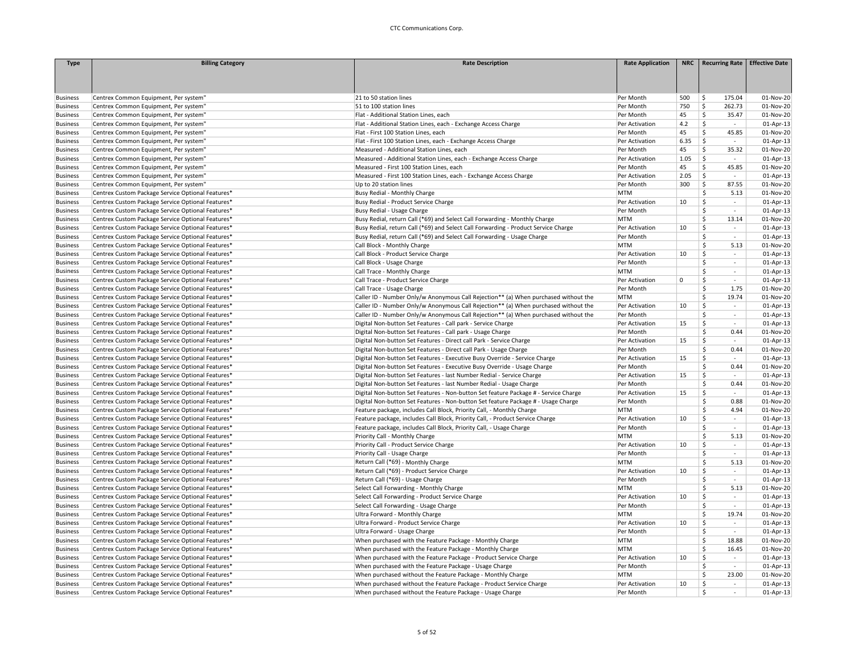| <b>Type</b>     | <b>Billing Category</b>                           | <b>Rate Description</b>                                                             | <b>Rate Application</b> | <b>NRC</b>  | <b>Recurring Rate</b>             | <b>Effective Date</b> |
|-----------------|---------------------------------------------------|-------------------------------------------------------------------------------------|-------------------------|-------------|-----------------------------------|-----------------------|
|                 |                                                   |                                                                                     |                         |             |                                   |                       |
|                 |                                                   |                                                                                     |                         |             |                                   |                       |
|                 |                                                   |                                                                                     |                         |             |                                   |                       |
| <b>Business</b> | Centrex Common Equipment, Per system'             | 21 to 50 station lines                                                              | Per Month               | 500         | 175.04<br>\$                      | 01-Nov-20             |
| <b>Business</b> | Centrex Common Equipment, Per system'             | 51 to 100 station lines                                                             | Per Month               | 750         | \$<br>262.73                      | 01-Nov-20             |
| <b>Business</b> | Centrex Common Equipment, Per system"             | Flat - Additional Station Lines, each                                               | Per Month               | 45          | \$<br>35.47                       | 01-Nov-20             |
| <b>Business</b> | Centrex Common Equipment, Per system"             | Flat - Additional Station Lines, each - Exchange Access Charge                      | Per Activation          | 4.2         | \$<br>$\sim$                      | 01-Apr-13             |
| <b>Business</b> | Centrex Common Equipment, Per system"             | Flat - First 100 Station Lines, each                                                | Per Month               | 45          | Ś<br>45.85                        | 01-Nov-20             |
| <b>Business</b> | Centrex Common Equipment, Per system"             | Flat - First 100 Station Lines, each - Exchange Access Charge                       | Per Activation          | 6.35        | \$<br>$\sim$                      | 01-Apr-13             |
| <b>Business</b> | Centrex Common Equipment, Per system"             | Measured - Additional Station Lines, each                                           | Per Month               | 45          | Ś<br>35.32                        | 01-Nov-20             |
| <b>Business</b> | Centrex Common Equipment, Per system"             | Measured - Additional Station Lines, each - Exchange Access Charge                  | Per Activation          | 1.05        | \$<br>$\sim$                      | $01$ -Apr-13          |
| <b>Business</b> | Centrex Common Equipment, Per system"             | Measured - First 100 Station Lines, each                                            | Per Month               | 45          | \$<br>45.85                       | 01-Nov-20             |
| <b>Business</b> | Centrex Common Equipment, Per system"             | Measured - First 100 Station Lines, each - Exchange Access Charge                   | Per Activation          | 2.05        | Ś.<br>$\sim$                      | $01-Apr-13$           |
| <b>Business</b> | Centrex Common Equipment, Per system"             | Up to 20 station lines                                                              | Per Month               | 300         | \$<br>87.55                       | 01-Nov-20             |
| <b>Business</b> | Centrex Custom Package Service Optional Features* | Busy Redial - Monthly Charge                                                        | <b>MTM</b>              |             | Ś<br>5.13                         | 01-Nov-20             |
| <b>Business</b> | Centrex Custom Package Service Optional Features* | Busy Redial - Product Service Charge                                                | Per Activation          | 10          | \$<br>$\sim$                      | $01$ -Apr-13          |
| <b>Business</b> | Centrex Custom Package Service Optional Features* | Busy Redial - Usage Charge                                                          | Per Month               |             | Ś<br>$\sim$                       | $01-Apr-13$           |
| <b>Business</b> | Centrex Custom Package Service Optional Features* | Busy Redial, return Call (*69) and Select Call Forwarding - Monthly Charge          | <b>MTM</b>              |             | Ś.<br>13.14                       | 01-Nov-20             |
| <b>Business</b> | Centrex Custom Package Service Optional Features* | Busy Redial, return Call (*69) and Select Call Forwarding - Product Service Charge  | Per Activation          | 10          | Š.<br>$\sim$                      | 01-Apr-13             |
| <b>Business</b> | Centrex Custom Package Service Optional Features* | Busy Redial, return Call (*69) and Select Call Forwarding - Usage Charge            | Per Month               |             | \$<br>$\omega$                    | $01-Apr-13$           |
| <b>Business</b> | Centrex Custom Package Service Optional Features* | Call Block - Monthly Charge                                                         | <b>MTM</b>              |             | Ś<br>5.13                         | 01-Nov-20             |
| <b>Business</b> | Centrex Custom Package Service Optional Features* | Call Block - Product Service Charge                                                 | Per Activation          | 10          | \$<br>$\sim$                      | 01-Apr-13             |
| <b>Business</b> | Centrex Custom Package Service Optional Features* | Call Block - Usage Charge                                                           | Per Month               |             | Ś<br>$\omega$                     | 01-Apr-13             |
| <b>Business</b> | Centrex Custom Package Service Optional Features* | Call Trace - Monthly Charge                                                         | <b>MTM</b>              |             | Š.<br>$\sim$                      | 01-Apr-13             |
| <b>Business</b> | Centrex Custom Package Service Optional Features* | Call Trace - Product Service Charge                                                 | Per Activation          | $\mathsf 0$ | \$<br>$\sim$                      | 01-Apr-13             |
| <b>Business</b> | Centrex Custom Package Service Optional Features* | Call Trace - Usage Charge                                                           | Per Month               |             | Ś<br>1.75                         | 01-Nov-20             |
| <b>Business</b> | Centrex Custom Package Service Optional Features* | Caller ID - Number Only/w Anonymous Call Rejection** (a) When purchased without the | <b>MTM</b>              |             | \$<br>19.74                       | 01-Nov-20             |
| <b>Business</b> | Centrex Custom Package Service Optional Features* | Caller ID - Number Only/w Anonymous Call Rejection** (a) When purchased without the | Per Activation          | 10          | Ś<br>$\sim$                       | $01-Apr-13$           |
| <b>Business</b> | Centrex Custom Package Service Optional Features* | Caller ID - Number Only/w Anonymous Call Rejection** (a) When purchased without the | Per Month               |             | Š.<br>$\sim$                      | 01-Apr-13             |
| <b>Business</b> | Centrex Custom Package Service Optional Features* | Digital Non-button Set Features - Call park - Service Charge                        | Per Activation          | 15          | \$<br>$\sim$                      | 01-Apr-13             |
| <b>Business</b> | Centrex Custom Package Service Optional Features* | Digital Non-button Set Features - Call park - Usage Charge                          | Per Month               |             | Ś<br>0.44                         | 01-Nov-20             |
| <b>Business</b> | Centrex Custom Package Service Optional Features* | Digital Non-button Set Features - Direct call Park - Service Charge                 | Per Activation          | 15          | \$<br>$\sim$                      | 01-Apr-13             |
| <b>Business</b> | Centrex Custom Package Service Optional Features* | Digital Non-button Set Features - Direct call Park - Usage Charge                   | Per Month               |             | Ś<br>0.44                         | 01-Nov-20             |
| <b>Business</b> | Centrex Custom Package Service Optional Features* | Digital Non-button Set Features - Executive Busy Override - Service Charge          | Per Activation          | 15          | Ś.<br>$\sim$                      | 01-Apr-13             |
| <b>Business</b> | Centrex Custom Package Service Optional Features* | Digital Non-button Set Features - Executive Busy Override - Usage Charge            | Per Month               |             | Ś<br>0.44                         | 01-Nov-20             |
| <b>Business</b> | Centrex Custom Package Service Optional Features* | Digital Non-button Set Features - last Number Redial - Service Charge               | Per Activation          | 15          | \$<br>$\sim$                      | 01-Apr-13             |
| <b>Business</b> | Centrex Custom Package Service Optional Features* | Digital Non-button Set Features - last Number Redial - Usage Charge                 | Per Month               |             | Ś<br>0.44                         | 01-Nov-20             |
| <b>Business</b> | Centrex Custom Package Service Optional Features* | Digital Non-button Set Features - Non-button Set feature Package # - Service Charge | Per Activation          | 15          | \$<br>$\sim$                      | $01$ -Apr-13          |
| <b>Business</b> | Centrex Custom Package Service Optional Features* | Digital Non-button Set Features - Non-button Set feature Package # - Usage Charge   | Per Month               |             | 0.88<br>Ŝ.                        | 01-Nov-20             |
| <b>Business</b> | Centrex Custom Package Service Optional Features* | Feature package, includes Call Block, Priority Call, - Monthly Charge               | <b>MTM</b>              |             | Ś<br>4.94                         | 01-Nov-20             |
| <b>Business</b> | Centrex Custom Package Service Optional Features* | Feature package, includes Call Block, Priority Call, - Product Service Charge       | Per Activation          | 10          | \$<br>$\sim$                      | $01-Apr-13$           |
| <b>Business</b> | Centrex Custom Package Service Optional Features* | Feature package, includes Call Block, Priority Call, - Usage Charge                 | Per Month               |             | Ś<br>$\sim$                       | 01-Apr-13             |
| <b>Business</b> | Centrex Custom Package Service Optional Features* | Priority Call - Monthly Charge                                                      | <b>MTM</b>              |             | Ś<br>5.13                         | 01-Nov-20             |
| <b>Business</b> | Centrex Custom Package Service Optional Features* | Priority Call - Product Service Charge                                              | Per Activation          | 10          | Ś<br>$\sim$<br>$\sim$             | 01-Apr-13             |
| <b>Business</b> | Centrex Custom Package Service Optional Features* | Priority Call - Usage Charge                                                        | Per Month               |             | Ś<br>Ś                            | $01-Apr-13$           |
| <b>Business</b> | Centrex Custom Package Service Optional Features* | Return Call (*69) - Monthly Charge                                                  | <b>MTM</b>              |             | 5.13<br>Ś                         | 01-Nov-20             |
| <b>Business</b> | Centrex Custom Package Service Optional Features* | Return Call (*69) - Product Service Charge                                          | Per Activation          | 10          | $\sim$                            | 01-Apr-13             |
| <b>Business</b> | Centrex Custom Package Service Optional Features* | Return Call (*69) - Usage Charge                                                    | Per Month               |             | Ś<br>$\sim$                       | 01-Apr-13             |
| <b>Business</b> | Centrex Custom Package Service Optional Features* | Select Call Forwarding - Monthly Charge                                             | <b>MTM</b>              |             | \$.<br>5.13<br>Š.                 | 01-Nov-20             |
| <b>Business</b> | Centrex Custom Package Service Optional Features* | Select Call Forwarding - Product Service Charge                                     | Per Activation          | 10          | $\sim$                            | $01-Apr-13$           |
| <b>Business</b> | Centrex Custom Package Service Optional Features* | Select Call Forwarding - Usage Charge                                               | Per Month               |             | Ś.<br>$\sim$<br>\$                | 01-Apr-13             |
| <b>Business</b> | Centrex Custom Package Service Optional Features* | Ultra Forward - Monthly Charge                                                      | <b>MTM</b>              |             | 19.74<br>Ś                        | 01-Nov-20             |
| <b>Business</b> | Centrex Custom Package Service Optional Features* | Ultra Forward - Product Service Charge                                              | Per Activation          | 10          | $\sim$<br>i.                      | 01-Apr-13             |
| <b>Business</b> | Centrex Custom Package Service Optional Features* | Ultra Forward - Usage Charge                                                        | Per Month               |             | Ś                                 | 01-Apr-13             |
| <b>Business</b> | Centrex Custom Package Service Optional Features* | When purchased with the Feature Package - Monthly Charge                            | <b>MTM</b>              |             | \$<br>18.88                       | 01-Nov-20             |
| <b>Business</b> | Centrex Custom Package Service Optional Features* | When purchased with the Feature Package - Monthly Charge                            | <b>MTM</b>              |             | Ś<br>16.45                        | 01-Nov-20             |
| <b>Business</b> | Centrex Custom Package Service Optional Features* | When purchased with the Feature Package - Product Service Charge                    | Per Activation          | 10          | \$<br>$\sim$                      | 01-Apr-13             |
| <b>Business</b> | Centrex Custom Package Service Optional Features* | When purchased with the Feature Package - Usage Charge                              | Per Month               |             | Ś<br>$\sim$                       | $01$ -Apr-13          |
| <b>Business</b> | Centrex Custom Package Service Optional Features* | When purchased without the Feature Package - Monthly Charge                         | <b>MTM</b>              |             | \$<br>23.00                       | 01-Nov-20             |
| <b>Business</b> | Centrex Custom Package Service Optional Features* | When purchased without the Feature Package - Product Service Charge                 | Per Activation          | 10          | \$<br>$\mathcal{L}_{\mathcal{A}}$ | $01-Apr-13$           |
| <b>Business</b> | Centrex Custom Package Service Optional Features* | When purchased without the Feature Package - Usage Charge                           | Per Month               |             | Ś<br>$\sim$                       | $01-Apr-13$           |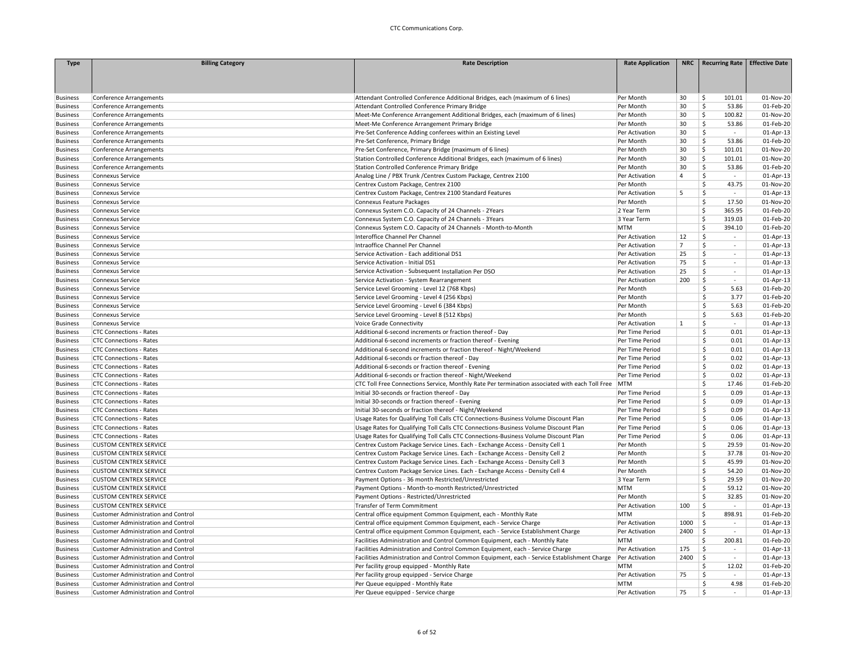| <b>Type</b>     | <b>Billing Category</b>                    | <b>Rate Description</b>                                                                        | <b>Rate Application</b> |                | NRC   Recurring Rate   Effective Date |           |
|-----------------|--------------------------------------------|------------------------------------------------------------------------------------------------|-------------------------|----------------|---------------------------------------|-----------|
|                 |                                            |                                                                                                |                         |                |                                       |           |
|                 |                                            |                                                                                                |                         |                |                                       |           |
| <b>Business</b> | Conference Arrangements                    | Attendant Controlled Conference Additional Bridges, each (maximum of 6 lines)                  | Per Month               | 30             | \$<br>101.01                          | 01-Nov-20 |
| <b>Business</b> | Conference Arrangements                    | Attendant Controlled Conference Primary Bridge                                                 | Per Month               | 30             | Š.<br>53.86                           | 01-Feb-20 |
| <b>Business</b> | Conference Arrangements                    | Meet-Me Conference Arrangement Additional Bridges, each (maximum of 6 lines)                   | Per Month               | 30             | Ś<br>100.82                           | 01-Nov-20 |
| <b>Business</b> | Conference Arrangements                    | Meet-Me Conference Arrangement Primary Bridge                                                  | Per Month               | 30             | \$<br>53.86                           | 01-Feb-20 |
| <b>Business</b> | Conference Arrangements                    | Pre-Set Conference Adding conferees within an Existing Level                                   | Per Activation          | 30             | $\mathsf{\hat{S}}$<br>$\sim$          | 01-Apr-13 |
| <b>Business</b> | Conference Arrangements                    | Pre-Set Conference, Primary Bridge                                                             | Per Month               | 30             | \$<br>53.86                           | 01-Feb-20 |
| <b>Business</b> | Conference Arrangements                    | Pre-Set Conference, Primary Bridge (maximum of 6 lines)                                        | Per Month               | 30             | Ś.<br>101.01                          | 01-Nov-20 |
| <b>Business</b> | Conference Arrangements                    | Station Controlled Conference Additional Bridges, each (maximum of 6 lines)                    | Per Month               | 30             | Ś<br>101.01                           | 01-Nov-20 |
| <b>Business</b> | Conference Arrangements                    | Station Controlled Conference Primary Bridge                                                   | Per Month               | 30             | \$<br>53.86                           | 01-Feb-20 |
| <b>Business</b> | <b>Connexus Service</b>                    | Analog Line / PBX Trunk / Centrex Custom Package, Centrex 2100                                 | Per Activation          | $\overline{4}$ | Ś<br>$\sim$                           | 01-Apr-13 |
| <b>Business</b> | <b>Connexus Service</b>                    | Centrex Custom Package, Centrex 2100                                                           | Per Month               |                | \$<br>43.75                           | 01-Nov-20 |
| <b>Business</b> | <b>Connexus Service</b>                    | Centrex Custom Package, Centrex 2100 Standard Features                                         | Per Activation          | 5              | \$<br>÷                               | 01-Apr-13 |
| <b>Business</b> | <b>Connexus Service</b>                    | Connexus Feature Packages                                                                      | Per Month               |                | \$<br>17.50                           | 01-Nov-20 |
| <b>Business</b> | <b>Connexus Service</b>                    | Connexus System C.O. Capacity of 24 Channels - 2Years                                          | 2 Year Term             |                | Ś.<br>365.95                          | 01-Feb-20 |
| <b>Business</b> | <b>Connexus Service</b>                    | Connexus System C.O. Capacity of 24 Channels - 3Years                                          | 3 Year Term             |                | Ś<br>319.03                           | 01-Feb-20 |
| <b>Business</b> | Connexus Service                           | Connexus System C.O. Capacity of 24 Channels - Month-to-Month                                  | <b>MTM</b>              |                | Ś<br>394.10                           | 01-Feb-20 |
| <b>Business</b> | <b>Connexus Service</b>                    | Interoffice Channel Per Channel                                                                | Per Activation          | 12             | \$<br>$\mathbf{r}$                    | 01-Apr-13 |
| <b>Business</b> | <b>Connexus Service</b>                    | Intraoffice Channel Per Channel                                                                | Per Activation          | $\overline{7}$ | Ś<br>$\mathbf{r}$                     | 01-Apr-13 |
| <b>Business</b> | <b>Connexus Service</b>                    | Service Activation - Each additional DS1                                                       | Per Activation          | 25             | <b>S</b><br>$\sim$                    | 01-Apr-13 |
| <b>Business</b> | <b>Connexus Service</b>                    | Service Activation - Initial DS1                                                               | Per Activation          | 75             | \$<br>$\omega$                        | 01-Apr-13 |
| <b>Business</b> | <b>Connexus Service</b>                    | Service Activation - Subsequent Installation Per DSO                                           | Per Activation          | 25             | Ś<br>$\sim$                           | 01-Apr-13 |
| <b>Business</b> | <b>Connexus Service</b>                    | Service Activation - System Rearrangement                                                      | Per Activation          | 200            | \$<br>$\sim$                          | 01-Apr-13 |
| <b>Business</b> | <b>Connexus Service</b>                    | Service Level Grooming - Level 12 (768 Kbps)                                                   | Per Month               |                | \$<br>5.63                            | 01-Feb-20 |
| <b>Business</b> | <b>Connexus Service</b>                    | Service Level Grooming - Level 4 (256 Kbps)                                                    | Per Month               |                | Ŝ.<br>3.77                            | 01-Feb-20 |
| <b>Business</b> | Connexus Service                           | Service Level Grooming - Level 6 (384 Kbps)                                                    | Per Month               |                | <sup>\$</sup><br>5.63                 | 01-Feb-20 |
| <b>Business</b> | <b>Connexus Service</b>                    | Service Level Grooming - Level 8 (512 Kbps)                                                    | Per Month               |                | Ŝ<br>5.63                             | 01-Feb-20 |
| <b>Business</b> | <b>Connexus Service</b>                    | Voice Grade Connectivity                                                                       | Per Activation          | $\mathbf{1}$   | \$<br>÷                               | 01-Apr-13 |
| <b>Business</b> | <b>CTC Connections - Rates</b>             | Additional 6-second increments or fraction thereof - Day                                       | Per Time Period         |                | $\mathsf{\hat{S}}$<br>0.01            | 01-Apr-13 |
| <b>Business</b> | <b>CTC Connections - Rates</b>             | Additional 6-second increments or fraction thereof - Evening                                   | Per Time Period         |                | Ŝ<br>0.01                             | 01-Apr-13 |
| <b>Business</b> | <b>CTC Connections - Rates</b>             | Additional 6-second increments or fraction thereof - Night/Weekend                             | Per Time Period         |                | \$<br>0.01                            | 01-Apr-13 |
| <b>Business</b> | <b>CTC Connections - Rates</b>             | Additional 6-seconds or fraction thereof - Day                                                 | Per Time Period         |                | Ŝ<br>0.02                             | 01-Apr-13 |
| <b>Business</b> | <b>CTC Connections - Rates</b>             | Additional 6-seconds or fraction thereof - Evening                                             | Per Time Period         |                | \$<br>0.02                            | 01-Apr-13 |
| <b>Business</b> | <b>CTC Connections - Rates</b>             | Additional 6-seconds or fraction thereof - Night/Weekend                                       | Per Time Period         |                | \$<br>0.02                            | 01-Apr-13 |
| <b>Business</b> | <b>CTC Connections - Rates</b>             | CTC Toll Free Connections Service, Monthly Rate Per termination associated with each Toll Free | MTM                     |                | \$<br>17.46                           | 01-Feb-20 |
| <b>Business</b> | <b>CTC Connections - Rates</b>             | Initial 30-seconds or fraction thereof - Day                                                   | Per Time Period         |                | \$<br>0.09                            | 01-Apr-13 |
| <b>Business</b> | <b>CTC Connections - Rates</b>             | Initial 30-seconds or fraction thereof - Evening                                               | Per Time Period         |                | 0.09<br>.s                            | 01-Apr-13 |
| <b>Business</b> | <b>CTC Connections - Rates</b>             | Initial 30-seconds or fraction thereof - Night/Weekend                                         | Per Time Period         |                | \$<br>0.09                            | 01-Apr-13 |
| <b>Business</b> | <b>CTC Connections - Rates</b>             | Usage Rates for Qualifying Toll Calls CTC Connections-Business Volume Discount Plan            | Per Time Period         |                | Ŝ<br>0.06                             | 01-Apr-13 |
| <b>Business</b> | <b>CTC Connections - Rates</b>             | Usage Rates for Qualifying Toll Calls CTC Connections-Business Volume Discount Plan            | Per Time Period         |                | $\mathsf{\hat{S}}$<br>0.06            | 01-Apr-13 |
| <b>Business</b> | <b>CTC Connections - Rates</b>             | Usage Rates for Qualifying Toll Calls CTC Connections-Business Volume Discount Plan            | Per Time Period         |                | \$<br>0.06                            | 01-Apr-13 |
| <b>Business</b> | <b>CUSTOM CENTREX SERVICE</b>              | Centrex Custom Package Service Lines. Each - Exchange Access - Density Cell 1                  | Per Month               |                | \$.<br>29.59                          | 01-Nov-20 |
| <b>Business</b> | <b>CUSTOM CENTREX SERVICE</b>              | Centrex Custom Package Service Lines. Each - Exchange Access - Density Cell 2                  | Per Month               |                | \$<br>37.78                           | 01-Nov-20 |
| <b>Business</b> | <b>CUSTOM CENTREX SERVICE</b>              | Centrex Custom Package Service Lines. Each - Exchange Access - Density Cell 3                  | Per Month               |                | Š.<br>45.99                           | 01-Nov-20 |
| <b>Business</b> | <b>CUSTOM CENTREX SERVICE</b>              | Centrex Custom Package Service Lines. Each - Exchange Access - Density Cell 4                  | Per Month               |                | \$<br>54.20                           | 01-Nov-20 |
| <b>Business</b> | <b>CUSTOM CENTREX SERVICE</b>              | Payment Options - 36 month Restricted/Unrestricted                                             | 3 Year Term             |                | 29.59<br>\$                           | 01-Nov-20 |
| <b>Business</b> | <b>CUSTOM CENTREX SERVICE</b>              | Payment Options - Month-to-month Restricted/Unrestricted                                       | <b>MTM</b>              |                | \$.<br>59.12                          | 01-Nov-20 |
| <b>Business</b> | <b>CUSTOM CENTREX SERVICE</b>              | Payment Options - Restricted/Unrestricted                                                      | Per Month               |                | 32.85<br>Š.                           | 01-Nov-20 |
| <b>Business</b> | <b>CUSTOM CENTREX SERVICE</b>              | Transfer of Term Commitment                                                                    | Per Activation          | 100            | <b>S</b><br>$\sim$                    | 01-Apr-13 |
| <b>Business</b> | Customer Administration and Control        | Central office equipment Common Equipment, each - Monthly Rate                                 | <b>MTM</b>              |                | \$<br>898.91                          | 01-Feb-20 |
| <b>Business</b> | <b>Customer Administration and Control</b> | Central office equipment Common Equipment, each - Service Charge                               | Per Activation          | 1000           | \$<br>$\sim$                          | 01-Apr-13 |
| <b>Business</b> | Customer Administration and Control        | Central office equipment Common Equipment, each - Service Establishment Charge                 | Per Activation          | 2400           | \$                                    | 01-Apr-13 |
| <b>Business</b> | <b>Customer Administration and Control</b> | Facilities Administration and Control Common Equipment, each - Monthly Rate                    | <b>MTM</b>              |                | \$<br>200.81                          | 01-Feb-20 |
| <b>Business</b> | <b>Customer Administration and Control</b> | Facilities Administration and Control Common Equipment, each - Service Charge                  | Per Activation          | 175            | \$<br>$\sim$                          | 01-Apr-13 |
| <b>Business</b> | <b>Customer Administration and Control</b> | Facilities Administration and Control Common Equipment, each - Service Establishment Charge    | Per Activation          | 2400           | \$<br>$\sim$                          | 01-Apr-13 |
| <b>Business</b> | Customer Administration and Control        | Per facility group equipped - Monthly Rate                                                     | <b>MTM</b>              |                | \$<br>12.02                           | 01-Feb-20 |
| <b>Business</b> | Customer Administration and Control        | Per facility group equipped - Service Charge                                                   | Per Activation          | 75             | \$                                    | 01-Apr-13 |
| <b>Business</b> | <b>Customer Administration and Control</b> | Per Queue equipped - Monthly Rate                                                              | <b>MTM</b>              |                | $\mathsf{\hat{S}}$<br>4.98            | 01-Feb-20 |
| <b>Business</b> | <b>Customer Administration and Control</b> | Per Queue equipped - Service charge                                                            | Per Activation          | 75             | Ŝ<br>$\mathbf{r}$                     | 01-Apr-13 |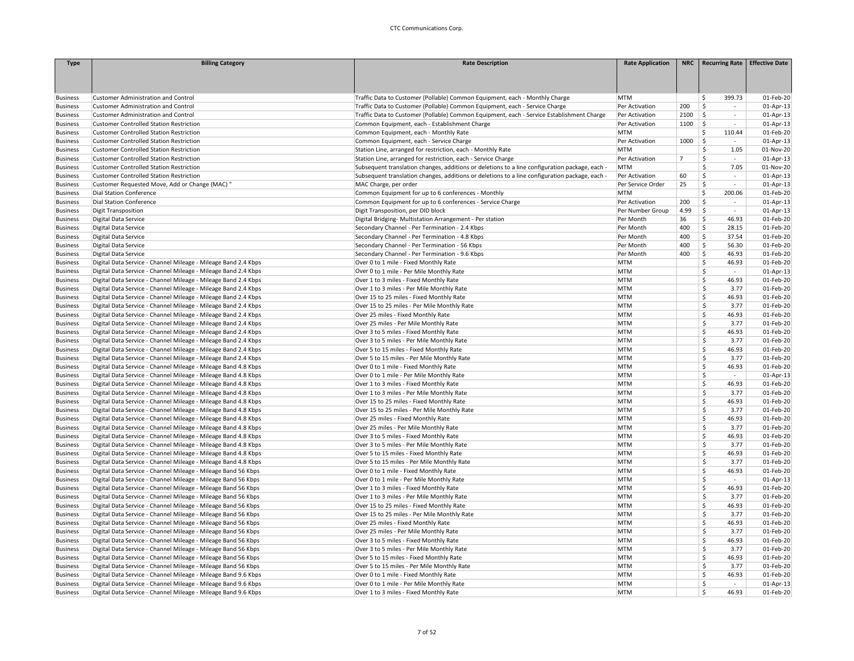| <b>Type</b>     | <b>Billing Category</b>                                        | <b>Rate Description</b>                                                                        | <b>Rate Application</b> |                | NRC   Recurring Rate   Effective Date |           |
|-----------------|----------------------------------------------------------------|------------------------------------------------------------------------------------------------|-------------------------|----------------|---------------------------------------|-----------|
|                 |                                                                |                                                                                                |                         |                |                                       |           |
|                 |                                                                |                                                                                                |                         |                |                                       |           |
|                 |                                                                |                                                                                                |                         |                |                                       |           |
| <b>Business</b> | <b>Customer Administration and Control</b>                     | Traffic Data to Customer (Pollable) Common Equipment, each - Monthly Charge                    | <b>MTM</b>              |                | Ś.<br>399.73                          | 01-Feb-20 |
| <b>Business</b> | <b>Customer Administration and Control</b>                     | Traffic Data to Customer (Pollable) Common Equipment, each - Service Charge                    | Per Activation          | 200            | Ŝ<br>$\sim$                           | 01-Apr-13 |
| <b>Business</b> | <b>Customer Administration and Control</b>                     | Traffic Data to Customer (Pollable) Common Equipment, each - Service Establishment Charge      | Per Activation          | 2100           | \$<br>$\sim$                          | 01-Apr-13 |
| <b>Business</b> | <b>Customer Controlled Station Restriction</b>                 | Common Equipment, each - Establishment Charge                                                  | Per Activation          | 1100           | \$<br>$\sim$                          | 01-Apr-13 |
| <b>Business</b> | <b>Customer Controlled Station Restriction</b>                 | Common Equipment, each - Monthly Rate                                                          | <b>MTM</b>              |                | \$<br>110.44                          | 01-Feb-20 |
| <b>Business</b> | <b>Customer Controlled Station Restriction</b>                 | Common Equipment, each - Service Charge                                                        | Per Activation          | 1000           | \$<br>$\sim$                          | 01-Apr-13 |
| <b>Business</b> | <b>Customer Controlled Station Restriction</b>                 | Station Line, arranged for restriction, each - Monthly Rate                                    | <b>MTM</b>              |                | Ŝ.<br>1.05                            | 01-Nov-20 |
| <b>Business</b> | <b>Customer Controlled Station Restriction</b>                 | Station Line, arranged for restriction, each - Service Charge                                  | Per Activation          | $\overline{7}$ | Ŝ<br>$\overline{\phantom{a}}$         | 01-Apr-13 |
| <b>Business</b> | <b>Customer Controlled Station Restriction</b>                 | Subsequent translation changes, additions or deletions to a line configuration package, each - | <b>MTM</b>              |                | \$<br>7.05                            | 01-Nov-20 |
| <b>Business</b> | <b>Customer Controlled Station Restriction</b>                 | Subsequent translation changes, additions or deletions to a line configuration package, each - | Per Activation          | 60             | Ś<br>$\overline{\phantom{a}}$         | 01-Apr-13 |
| <b>Business</b> | Customer Requested Move, Add or Change (MAC) "                 | MAC Charge, per order                                                                          | Per Service Order       | 25             | \$<br>$\sim$                          | 01-Apr-13 |
| <b>Business</b> | <b>Dial Station Conference</b>                                 | Common Equipment for up to 6 conferences - Monthly                                             | <b>MTM</b>              |                | Š.<br>200.06                          | 01-Feb-20 |
| <b>Business</b> | <b>Dial Station Conference</b>                                 | Common Equipment for up to 6 conferences - Service Charge                                      | Per Activation          | 200            | Ś<br>$\sim$                           | 01-Apr-13 |
| <b>Business</b> | <b>Digit Transposition</b>                                     | Digit Transposition, per DID block                                                             | Per Number Group        | 4.99           | Ŝ<br>$\sim$                           | 01-Apr-13 |
| <b>Business</b> | Digital Data Service                                           | Digital Bridging- Multistation Arrangement - Per station                                       | Per Month               | 36             | \$<br>46.93                           | 01-Feb-20 |
| <b>Business</b> | Digital Data Service                                           | Secondary Channel - Per Termination - 2.4 Kbps                                                 | Per Month               | 400            | \$<br>28.15                           | 01-Feb-20 |
| <b>Business</b> | Digital Data Service                                           | Secondary Channel - Per Termination - 4.8 Kbps                                                 | Per Month               | 400            | \$<br>37.54                           | 01-Feb-20 |
| <b>Business</b> | Digital Data Service                                           | Secondary Channel - Per Termination - 56 Kbps                                                  | Per Month               | 400            | \$<br>56.30                           | 01-Feb-20 |
| <b>Business</b> | Digital Data Service                                           | Secondary Channel - Per Termination - 9.6 Kbps                                                 | Per Month               | 400            | Ŝ.<br>46.93                           | 01-Feb-20 |
| <b>Business</b> | Digital Data Service - Channel Mileage - Mileage Band 2.4 Kbps | Over 0 to 1 mile - Fixed Monthly Rate                                                          | <b>MTM</b>              |                | \$<br>46.93                           | 01-Feb-20 |
|                 |                                                                |                                                                                                | <b>MTM</b>              |                | Ś                                     |           |
| <b>Business</b> | Digital Data Service - Channel Mileage - Mileage Band 2.4 Kbps | Over 0 to 1 mile - Per Mile Monthly Rate                                                       |                         |                | $\sim$<br>\$                          | 01-Apr-13 |
| <b>Business</b> | Digital Data Service - Channel Mileage - Mileage Band 2.4 Kbps | Over 1 to 3 miles - Fixed Monthly Rate                                                         | <b>MTM</b>              |                | 46.93                                 | 01-Feb-20 |
| <b>Business</b> | Digital Data Service - Channel Mileage - Mileage Band 2.4 Kbps | Over 1 to 3 miles - Per Mile Monthly Rate                                                      | <b>MTM</b>              |                | \$<br>3.77                            | 01-Feb-20 |
| <b>Business</b> | Digital Data Service - Channel Mileage - Mileage Band 2.4 Kbps | Over 15 to 25 miles - Fixed Monthly Rate                                                       | <b>MTM</b>              |                | Ŝ.<br>46.93                           | 01-Feb-20 |
| <b>Business</b> | Digital Data Service - Channel Mileage - Mileage Band 2.4 Kbps | Over 15 to 25 miles - Per Mile Monthly Rate                                                    | <b>MTM</b>              |                | <sup>\$</sup><br>3.77                 | 01-Feb-20 |
| <b>Business</b> | Digital Data Service - Channel Mileage - Mileage Band 2.4 Kbps | Over 25 miles - Fixed Monthly Rate                                                             | <b>MTM</b>              |                | 46.93<br>Š.                           | 01-Feb-20 |
| <b>Business</b> | Digital Data Service - Channel Mileage - Mileage Band 2.4 Kbps | Over 25 miles - Per Mile Monthly Rate                                                          | <b>MTM</b>              |                | \$<br>3.77                            | 01-Feb-20 |
| <b>Business</b> | Digital Data Service - Channel Mileage - Mileage Band 2.4 Kbps | Over 3 to 5 miles - Fixed Monthly Rate                                                         | <b>MTM</b>              |                | \$<br>46.93                           | 01-Feb-20 |
| <b>Business</b> | Digital Data Service - Channel Mileage - Mileage Band 2.4 Kbps | Over 3 to 5 miles - Per Mile Monthly Rate                                                      | <b>MTM</b>              |                | Ŝ<br>3.77                             | 01-Feb-20 |
| <b>Business</b> | Digital Data Service - Channel Mileage - Mileage Band 2.4 Kbps | Over 5 to 15 miles - Fixed Monthly Rate                                                        | <b>MTM</b>              |                | \$<br>46.93                           | 01-Feb-20 |
| <b>Business</b> | Digital Data Service - Channel Mileage - Mileage Band 2.4 Kbps | Over 5 to 15 miles - Per Mile Monthly Rate                                                     | <b>MTM</b>              |                | Ŝ<br>3.77                             | 01-Feb-20 |
| <b>Business</b> | Digital Data Service - Channel Mileage - Mileage Band 4.8 Kbps | Over 0 to 1 mile - Fixed Monthly Rate                                                          | <b>MTM</b>              |                | Ś<br>46.93                            | 01-Feb-20 |
| <b>Business</b> | Digital Data Service - Channel Mileage - Mileage Band 4.8 Kbps | Over 0 to 1 mile - Per Mile Monthly Rate                                                       | <b>MTM</b>              |                | Ś<br>$\sim$                           | 01-Apr-13 |
| <b>Business</b> | Digital Data Service - Channel Mileage - Mileage Band 4.8 Kbps | Over 1 to 3 miles - Fixed Monthly Rate                                                         | <b>MTM</b>              |                | \$<br>46.93                           | 01-Feb-20 |
| <b>Business</b> | Digital Data Service - Channel Mileage - Mileage Band 4.8 Kbps | Over 1 to 3 miles - Per Mile Monthly Rate                                                      | <b>MTM</b>              |                | \$<br>3.77                            | 01-Feb-20 |
| <b>Business</b> | Digital Data Service - Channel Mileage - Mileage Band 4.8 Kbps | Over 15 to 25 miles - Fixed Monthly Rate                                                       | <b>MTM</b>              |                | Š.<br>46.93                           | 01-Feb-20 |
| <b>Business</b> | Digital Data Service - Channel Mileage - Mileage Band 4.8 Kbps | Over 15 to 25 miles - Per Mile Monthly Rate                                                    | <b>MTM</b>              |                | \$<br>3.77                            | 01-Feb-20 |
| <b>Business</b> | Digital Data Service - Channel Mileage - Mileage Band 4.8 Kbps | Over 25 miles - Fixed Monthly Rate                                                             | <b>MTM</b>              |                | \$<br>46.93                           | 01-Feb-20 |
| <b>Business</b> | Digital Data Service - Channel Mileage - Mileage Band 4.8 Kbps | Over 25 miles - Per Mile Monthly Rate                                                          | <b>MTM</b>              |                | $\mathsf{\hat{S}}$<br>3.77            | 01-Feb-20 |
| <b>Business</b> | Digital Data Service - Channel Mileage - Mileage Band 4.8 Kbps | Over 3 to 5 miles - Fixed Monthly Rate                                                         | <b>MTM</b>              |                | \$<br>46.93                           | 01-Feb-20 |
| <b>Business</b> | Digital Data Service - Channel Mileage - Mileage Band 4.8 Kbps | Over 3 to 5 miles - Per Mile Monthly Rate                                                      | <b>MTM</b>              |                | <sup>\$</sup><br>3.77                 | 01-Feb-20 |
| <b>Business</b> | Digital Data Service - Channel Mileage - Mileage Band 4.8 Kbps | Over 5 to 15 miles - Fixed Monthly Rate                                                        | <b>MTM</b>              |                | \$<br>46.93                           | 01-Feb-20 |
| <b>Business</b> | Digital Data Service - Channel Mileage - Mileage Band 4.8 Kbps | Over 5 to 15 miles - Per Mile Monthly Rate                                                     | <b>MTM</b>              |                | $\mathsf{\hat{S}}$<br>3.77            | 01-Feb-20 |
| <b>Business</b> | Digital Data Service - Channel Mileage - Mileage Band 56 Kbps  | Over 0 to 1 mile - Fixed Monthly Rate                                                          | <b>MTM</b>              |                | \$<br>46.93                           | 01-Feb-20 |
| <b>Business</b> | Digital Data Service - Channel Mileage - Mileage Band 56 Kbps  | Over 0 to 1 mile - Per Mile Monthly Rate                                                       | <b>MTM</b>              |                | \$<br>$\sim$                          | 01-Apr-13 |
| <b>Business</b> | Digital Data Service - Channel Mileage - Mileage Band 56 Kbps  | Over 1 to 3 miles - Fixed Monthly Rate                                                         | <b>MTM</b>              |                | \$<br>46.93                           | 01-Feb-20 |
| <b>Business</b> | Digital Data Service - Channel Mileage - Mileage Band 56 Kbps  | Over 1 to 3 miles - Per Mile Monthly Rate                                                      | <b>MTM</b>              |                | Ŝ<br>3.77                             | 01-Feb-20 |
| <b>Business</b> | Digital Data Service - Channel Mileage - Mileage Band 56 Kbps  | Over 15 to 25 miles - Fixed Monthly Rate                                                       | <b>MTM</b>              |                | \$.<br>46.93                          | 01-Feb-20 |
| <b>Business</b> | Digital Data Service - Channel Mileage - Mileage Band 56 Kbps  | Over 15 to 25 miles - Per Mile Monthly Rate                                                    | <b>MTM</b>              |                | $\mathsf{\hat{S}}$<br>3.77            | 01-Feb-20 |
| <b>Business</b> | Digital Data Service - Channel Mileage - Mileage Band 56 Kbps  | Over 25 miles - Fixed Monthly Rate                                                             | <b>MTM</b>              |                | Ś<br>46.93                            | 01-Feb-20 |
| <b>Business</b> | Digital Data Service - Channel Mileage - Mileage Band 56 Kbps  | Over 25 miles - Per Mile Monthly Rate                                                          | <b>MTM</b>              |                | \$<br>3.77                            | 01-Feb-20 |
| <b>Business</b> | Digital Data Service - Channel Mileage - Mileage Band 56 Kbps  | Over 3 to 5 miles - Fixed Monthly Rate                                                         | <b>MTM</b>              |                | \$<br>46.93                           | 01-Feb-20 |
| <b>Business</b> | Digital Data Service - Channel Mileage - Mileage Band 56 Kbps  | Over 3 to 5 miles - Per Mile Monthly Rate                                                      | <b>MTM</b>              |                | <sup>\$</sup><br>3.77                 | 01-Feb-20 |
| <b>Business</b> |                                                                | Over 5 to 15 miles - Fixed Monthly Rate                                                        | <b>MTM</b>              |                | Ś<br>46.93                            | 01-Feb-20 |
|                 | Digital Data Service - Channel Mileage - Mileage Band 56 Kbps  |                                                                                                |                         |                | \$                                    |           |
| <b>Business</b> | Digital Data Service - Channel Mileage - Mileage Band 56 Kbps  | Over 5 to 15 miles - Per Mile Monthly Rate                                                     | <b>MTM</b>              |                | 3.77                                  | 01-Feb-20 |
| <b>Business</b> | Digital Data Service - Channel Mileage - Mileage Band 9.6 Kbps | Over 0 to 1 mile - Fixed Monthly Rate                                                          | <b>MTM</b>              |                | \$<br>46.93                           | 01-Feb-20 |
| <b>Business</b> | Digital Data Service - Channel Mileage - Mileage Band 9.6 Kbps | Over 0 to 1 mile - Per Mile Monthly Rate                                                       | <b>MTM</b>              |                | $\mathsf{\hat{S}}$<br>$\sim$          | 01-Apr-13 |
| <b>Business</b> | Digital Data Service - Channel Mileage - Mileage Band 9.6 Kbps | Over 1 to 3 miles - Fixed Monthly Rate                                                         | <b>MTM</b>              |                | Ŝ.<br>46.93                           | 01-Feb-20 |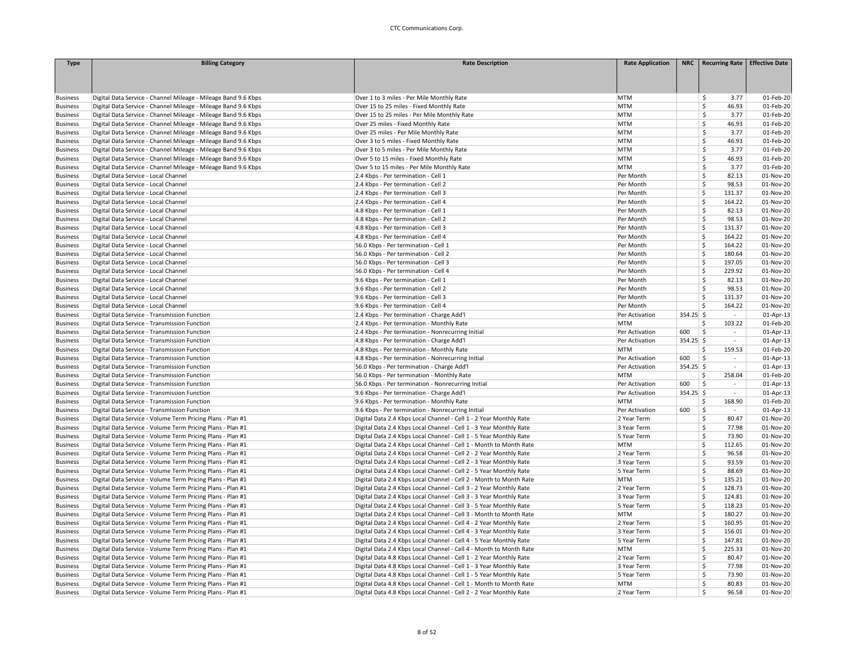| <b>Type</b>     | <b>Billing Category</b>                                        | <b>Rate Description</b>                                            | <b>Rate Application</b> |             | NRC   Recurring Rate   Effective Date |              |
|-----------------|----------------------------------------------------------------|--------------------------------------------------------------------|-------------------------|-------------|---------------------------------------|--------------|
|                 |                                                                |                                                                    |                         |             |                                       |              |
|                 |                                                                |                                                                    |                         |             |                                       |              |
|                 |                                                                |                                                                    |                         |             |                                       |              |
| <b>Business</b> | Digital Data Service - Channel Mileage - Mileage Band 9.6 Kbps | Over 1 to 3 miles - Per Mile Monthly Rate                          | <b>MTM</b>              |             | 3.77<br>\$                            | 01-Feb-20    |
| <b>Business</b> | Digital Data Service - Channel Mileage - Mileage Band 9.6 Kbps | Over 15 to 25 miles - Fixed Monthly Rate                           | <b>MTM</b>              |             | 46.93<br>Ś.                           | 01-Feb-20    |
| <b>Business</b> | Digital Data Service - Channel Mileage - Mileage Band 9.6 Kbps | Over 15 to 25 miles - Per Mile Monthly Rate                        | MTM                     |             | \$.<br>3.77                           | 01-Feb-20    |
| <b>Business</b> | Digital Data Service - Channel Mileage - Mileage Band 9.6 Kbps | Over 25 miles - Fixed Monthly Rate                                 | MTM                     |             | \$<br>46.93                           | 01-Feb-20    |
| <b>Business</b> | Digital Data Service - Channel Mileage - Mileage Band 9.6 Kbps | Over 25 miles - Per Mile Monthly Rate                              | <b>MTM</b>              |             | Ś<br>3.77                             | 01-Feb-20    |
| <b>Business</b> | Digital Data Service - Channel Mileage - Mileage Band 9.6 Kbps | Over 3 to 5 miles - Fixed Monthly Rate                             | <b>MTM</b>              |             | \$<br>46.93                           | 01-Feb-20    |
| <b>Business</b> | Digital Data Service - Channel Mileage - Mileage Band 9.6 Kbps | Over 3 to 5 miles - Per Mile Monthly Rate                          | <b>MTM</b>              |             | Ś<br>3.77                             | 01-Feb-20    |
| <b>Business</b> | Digital Data Service - Channel Mileage - Mileage Band 9.6 Kbps | Over 5 to 15 miles - Fixed Monthly Rate                            | <b>MTM</b>              |             | \$<br>46.93                           | 01-Feb-20    |
| <b>Business</b> | Digital Data Service - Channel Mileage - Mileage Band 9.6 Kbps | Over 5 to 15 miles - Per Mile Monthly Rate                         | <b>MTM</b>              |             | Ś<br>3.77                             | 01-Feb-20    |
| <b>Business</b> | Digital Data Service - Local Channel                           | 2.4 Kbps - Per termination - Cell 1                                | Per Month               |             | Ś<br>82.13                            | 01-Nov-20    |
| <b>Business</b> | Digital Data Service - Local Channel                           | 2.4 Kbps - Per termination - Cell 2                                | Per Month               |             | \$<br>98.53                           | 01-Nov-20    |
| <b>Business</b> | Digital Data Service - Local Channel                           | 2.4 Kbps - Per termination - Cell 3                                | Per Month               |             | \$<br>131.37                          | 01-Nov-20    |
| <b>Business</b> | Digital Data Service - Local Channel                           | 2.4 Kbps - Per termination - Cell 4                                | Per Month               |             | \$<br>164.22                          | 01-Nov-20    |
| <b>Business</b> | Digital Data Service - Local Channel                           | 4.8 Kbps - Per termination - Cell 1                                | Per Month               |             | Ś.<br>82.13                           | 01-Nov-20    |
| <b>Business</b> | Digital Data Service - Local Channel                           | 4.8 Kbps - Per termination - Cell 2                                | Per Month               |             | \$<br>98.53                           | 01-Nov-20    |
| <b>Business</b> | Digital Data Service - Local Channel                           | 4.8 Kbps - Per termination - Cell 3                                | Per Month               |             | \$<br>131.37                          | 01-Nov-20    |
| <b>Business</b> | Digital Data Service - Local Channel                           | 4.8 Kbps - Per termination - Cell 4                                | Per Month               |             | \$<br>164.22                          | 01-Nov-20    |
| <b>Business</b> | Digital Data Service - Local Channel                           | 56.0 Kbps - Per termination - Cell 1                               | Per Month               |             | \$<br>164.22                          | 01-Nov-20    |
| <b>Business</b> | Digital Data Service - Local Channel                           | 56.0 Kbps - Per termination - Cell 2                               | Per Month               |             | Ś.<br>180.64                          | 01-Nov-20    |
| <b>Business</b> | Digital Data Service - Local Channel                           | 56.0 Kbps - Per termination - Cell 3                               | Per Month               |             | \$<br>197.05                          | 01-Nov-20    |
| <b>Business</b> | Digital Data Service - Local Channel                           | 56.0 Kbps - Per termination - Cell 4                               | Per Month               |             | \$<br>229.92                          | 01-Nov-20    |
| <b>Business</b> | Digital Data Service - Local Channel                           | 9.6 Kbps - Per termination - Cell 1                                | Per Month               |             | \$<br>82.13                           | 01-Nov-20    |
| <b>Business</b> | Digital Data Service - Local Channel                           | 9.6 Kbps - Per termination - Cell 2                                | Per Month               |             | \$<br>98.53                           | 01-Nov-20    |
| <b>Business</b> | Digital Data Service - Local Channel                           | 9.6 Kbps - Per termination - Cell 3                                | Per Month               |             | 131.37<br>Ś                           | 01-Nov-20    |
| <b>Business</b> | Digital Data Service - Local Channel                           | 9.6 Kbps - Per termination - Cell 4                                | Per Month               |             | Ś.<br>164.22                          | 01-Nov-20    |
| <b>Business</b> | Digital Data Service - Transmission Function                   | 2.4 Kbps - Per termination - Charge Add'l                          | Per Activation          | $354.25$ \$ | $\sim$                                | 01-Apr-13    |
| <b>Business</b> | Digital Data Service - Transmission Function                   | 2.4 Kbps - Per termination - Monthly Rate                          | <b>MTM</b>              |             | \$<br>103.22                          | 01-Feb-20    |
| <b>Business</b> | Digital Data Service - Transmission Function                   | 2.4 Kbps - Per termination - Nonrecurring Initial                  | Per Activation          | 600         | $\ddot{\mathsf{S}}$<br>$\sim$         | $01$ -Apr-13 |
| <b>Business</b> | Digital Data Service - Transmission Function                   | 4.8 Kbps - Per termination - Charge Add'l                          | Per Activation          | $354.25$ \$ | $\sim$                                | 01-Apr-13    |
| <b>Business</b> | Digital Data Service - Transmission Function                   | 4.8 Kbps - Per termination - Monthly Rate                          | <b>MTM</b>              |             | 159.53<br>Ś                           | 01-Feb-20    |
| <b>Business</b> | Digital Data Service - Transmission Function                   | 4.8 Kbps - Per termination - Nonrecurring Initial                  | Per Activation          | 600         | \$<br>$\sim$                          | 01-Apr-13    |
| <b>Business</b> | Digital Data Service - Transmission Function                   | 56.0 Kbps - Per termination - Charge Add'l                         | Per Activation          | $354.25$ \$ | $\sim$                                | 01-Apr-13    |
| <b>Business</b> | Digital Data Service - Transmission Function                   | 56.0 Kbps - Per termination - Monthly Rate                         | <b>MTM</b>              |             | \$<br>258.04                          | 01-Feb-20    |
| <b>Business</b> | Digital Data Service - Transmission Function                   | 56.0 Kbps - Per termination - Nonrecurring Initial                 | Per Activation          | 600         | $\zeta$<br>$\sim$                     | 01-Apr-13    |
| <b>Business</b> | Digital Data Service - Transmission Function                   | 9.6 Kbps - Per termination - Charge Add'l                          | Per Activation          | $354.25$ \$ | $\sim$                                | 01-Apr-13    |
| <b>Business</b> | Digital Data Service - Transmission Function                   | 9.6 Kbps - Per termination - Monthly Rate                          | <b>MTM</b>              |             | Ś<br>168.90                           | 01-Feb-20    |
| <b>Business</b> | Digital Data Service - Transmission Function                   | 9.6 Kbps - Per termination - Nonrecurring Initial                  | Per Activation          | 600         | \$<br>$\sim$                          | 01-Apr-13    |
| <b>Business</b> | Digital Data Service - Volume Term Pricing Plans - Plan #1     | Digital Data 2.4 Kbps Local Channel - Cell 1 - 2 Year Monthly Rate | 2 Year Term             |             | \$<br>80.47                           | 01-Nov-20    |
| <b>Business</b> | Digital Data Service - Volume Term Pricing Plans - Plan #1     | Digital Data 2.4 Kbps Local Channel - Cell 1 - 3 Year Monthly Rate | 3 Year Term             |             | \$<br>77.98                           | 01-Nov-20    |
| <b>Business</b> | Digital Data Service - Volume Term Pricing Plans - Plan #1     | Digital Data 2.4 Kbps Local Channel - Cell 1 - 5 Year Monthly Rate | 5 Year Term             |             | \$<br>73.90                           | 01-Nov-20    |
| <b>Business</b> | Digital Data Service - Volume Term Pricing Plans - Plan #1     | Digital Data 2.4 Kbps Local Channel - Cell 1 - Month to Month Rate | <b>MTM</b>              |             | \$<br>112.65                          | 01-Nov-20    |
| <b>Business</b> | Digital Data Service - Volume Term Pricing Plans - Plan #1     | Digital Data 2.4 Kbps Local Channel - Cell 2 - 2 Year Monthly Rate | 2 Year Term             |             | \$<br>96.58                           | 01-Nov-20    |
| <b>Business</b> | Digital Data Service - Volume Term Pricing Plans - Plan #1     | Digital Data 2.4 Kbps Local Channel - Cell 2 - 3 Year Monthly Rate | 3 Year Term             |             | Ś<br>93.59                            | 01-Nov-20    |
| <b>Business</b> | Digital Data Service - Volume Term Pricing Plans - Plan #1     | Digital Data 2.4 Kbps Local Channel - Cell 2 - 5 Year Monthly Rate | 5 Year Term             |             | \$<br>88.69                           | 01-Nov-20    |
| <b>Business</b> | Digital Data Service - Volume Term Pricing Plans - Plan #1     | Digital Data 2.4 Kbps Local Channel - Cell 2 - Month to Month Rate | <b>MTM</b>              |             | \$<br>135.21                          | 01-Nov-20    |
| <b>Business</b> | Digital Data Service - Volume Term Pricing Plans - Plan #1     | Digital Data 2.4 Kbps Local Channel - Cell 3 - 2 Year Monthly Rate | 2 Year Term             |             | 128.73<br>\$                          | 01-Nov-20    |
| <b>Business</b> | Digital Data Service - Volume Term Pricing Plans - Plan #1     | Digital Data 2.4 Kbps Local Channel - Cell 3 - 3 Year Monthly Rate | 3 Year Term             |             | \$<br>124.81                          | 01-Nov-20    |
| <b>Business</b> | Digital Data Service - Volume Term Pricing Plans - Plan #1     | Digital Data 2.4 Kbps Local Channel - Cell 3 - 5 Year Monthly Rate | 5 Year Term             |             | Ś<br>118.23                           | 01-Nov-20    |
| <b>Business</b> | Digital Data Service - Volume Term Pricing Plans - Plan #1     | Digital Data 2.4 Kbps Local Channel - Cell 3 - Month to Month Rate | <b>MTM</b>              |             | \$<br>180.27                          | 01-Nov-20    |
| <b>Business</b> | Digital Data Service - Volume Term Pricing Plans - Plan #1     | Digital Data 2.4 Kbps Local Channel - Cell 4 - 2 Year Monthly Rate | 2 Year Term             |             | \$<br>160.95                          | 01-Nov-20    |
| <b>Business</b> | Digital Data Service - Volume Term Pricing Plans - Plan #1     | Digital Data 2.4 Kbps Local Channel - Cell 4 - 3 Year Monthly Rate | 3 Year Term             |             | \$<br>156.01                          | 01-Nov-20    |
| <b>Business</b> | Digital Data Service - Volume Term Pricing Plans - Plan #1     | Digital Data 2.4 Kbps Local Channel - Cell 4 - 5 Year Monthly Rate | 5 Year Term             |             | \$<br>147.81                          | 01-Nov-20    |
| <b>Business</b> | Digital Data Service - Volume Term Pricing Plans - Plan #1     | Digital Data 2.4 Kbps Local Channel - Cell 4 - Month to Month Rate | <b>MTM</b>              |             | Ś<br>225.33                           | 01-Nov-20    |
| <b>Business</b> | Digital Data Service - Volume Term Pricing Plans - Plan #1     | Digital Data 4.8 Kbps Local Channel - Cell 1 - 2 Year Monthly Rate | 2 Year Term             |             | \$<br>80.47                           | 01-Nov-20    |
| <b>Business</b> | Digital Data Service - Volume Term Pricing Plans - Plan #1     | Digital Data 4.8 Kbps Local Channel - Cell 1 - 3 Year Monthly Rate | 3 Year Term             |             | Ś<br>77.98                            | 01-Nov-20    |
| <b>Business</b> | Digital Data Service - Volume Term Pricing Plans - Plan #1     | Digital Data 4.8 Kbps Local Channel - Cell 1 - 5 Year Monthly Rate | 5 Year Term             |             | \$<br>73.90                           | 01-Nov-20    |
| <b>Business</b> | Digital Data Service - Volume Term Pricing Plans - Plan #1     | Digital Data 4.8 Kbps Local Channel - Cell 1 - Month to Month Rate | <b>MTM</b>              |             | \$<br>80.83                           | 01-Nov-20    |
| <b>Business</b> | Digital Data Service - Volume Term Pricing Plans - Plan #1     | Digital Data 4.8 Kbps Local Channel - Cell 2 - 2 Year Monthly Rate | 2 Year Term             |             | \$<br>96.58                           | 01-Nov-20    |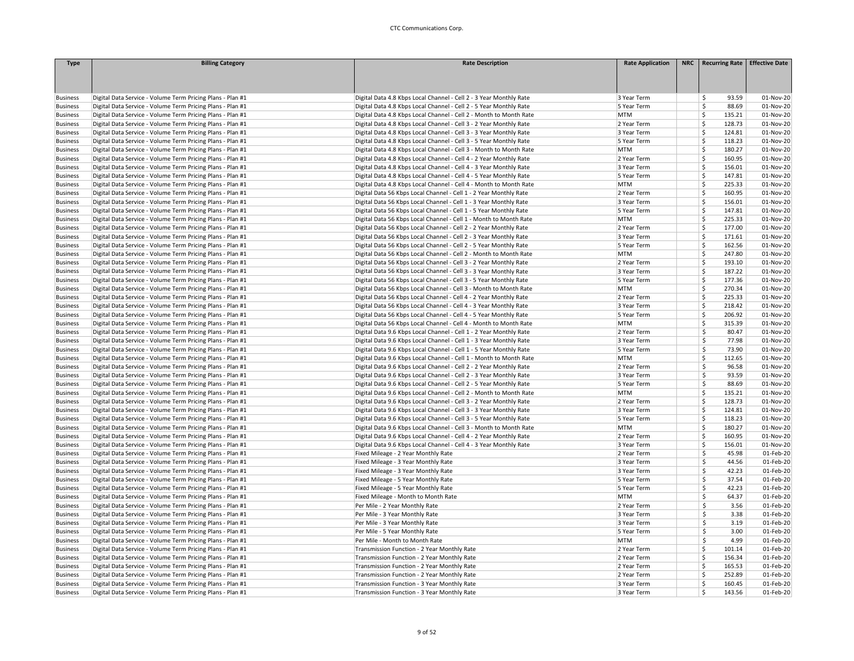| <b>Type</b>                        | <b>Billing Category</b>                                    | <b>Rate Description</b>                                            | <b>Rate Application</b> | NRC   Recurring Rate   Effective Date |           |
|------------------------------------|------------------------------------------------------------|--------------------------------------------------------------------|-------------------------|---------------------------------------|-----------|
|                                    |                                                            |                                                                    |                         |                                       |           |
|                                    |                                                            |                                                                    |                         |                                       |           |
|                                    |                                                            |                                                                    |                         |                                       |           |
| <b>Business</b>                    | Digital Data Service - Volume Term Pricing Plans - Plan #1 | Digital Data 4.8 Kbps Local Channel - Cell 2 - 3 Year Monthly Rate | 3 Year Term             | 93.59<br>Š.                           | 01-Nov-20 |
| <b>Business</b>                    | Digital Data Service - Volume Term Pricing Plans - Plan #1 | Digital Data 4.8 Kbps Local Channel - Cell 2 - 5 Year Monthly Rate | 5 Year Term             | 88.69<br>Ŝ.                           | 01-Nov-20 |
| <b>Business</b>                    | Digital Data Service - Volume Term Pricing Plans - Plan #1 | Digital Data 4.8 Kbps Local Channel - Cell 2 - Month to Month Rate | <b>MTM</b>              | Š.<br>135.21                          | 01-Nov-20 |
| <b>Business</b>                    | Digital Data Service - Volume Term Pricing Plans - Plan #1 | Digital Data 4.8 Kbps Local Channel - Cell 3 - 2 Year Monthly Rate | 2 Year Term             | \$<br>128.73                          | 01-Nov-20 |
| <b>Business</b>                    | Digital Data Service - Volume Term Pricing Plans - Plan #1 | Digital Data 4.8 Kbps Local Channel - Cell 3 - 3 Year Monthly Rate | 3 Year Term             | Ś<br>124.81                           | 01-Nov-20 |
| <b>Business</b>                    | Digital Data Service - Volume Term Pricing Plans - Plan #1 | Digital Data 4.8 Kbps Local Channel - Cell 3 - 5 Year Monthly Rate | 5 Year Term             | \$<br>118.23                          | 01-Nov-20 |
| <b>Business</b>                    | Digital Data Service - Volume Term Pricing Plans - Plan #1 | Digital Data 4.8 Kbps Local Channel - Cell 3 - Month to Month Rate | <b>MTM</b>              | Ś<br>180.27                           | 01-Nov-20 |
| <b>Business</b>                    | Digital Data Service - Volume Term Pricing Plans - Plan #1 | Digital Data 4.8 Kbps Local Channel - Cell 4 - 2 Year Monthly Rate | 2 Year Term             | Ś<br>160.95                           | 01-Nov-20 |
| <b>Business</b>                    | Digital Data Service - Volume Term Pricing Plans - Plan #1 | Digital Data 4.8 Kbps Local Channel - Cell 4 - 3 Year Monthly Rate | 3 Year Term             | Ś<br>156.01                           | 01-Nov-20 |
| <b>Business</b>                    | Digital Data Service - Volume Term Pricing Plans - Plan #1 | Digital Data 4.8 Kbps Local Channel - Cell 4 - 5 Year Monthly Rate | 5 Year Term             | \$<br>147.81                          | 01-Nov-20 |
| <b>Business</b>                    | Digital Data Service - Volume Term Pricing Plans - Plan #1 | Digital Data 4.8 Kbps Local Channel - Cell 4 - Month to Month Rate | <b>MTM</b>              | \$<br>225.33                          | 01-Nov-20 |
| <b>Business</b>                    | Digital Data Service - Volume Term Pricing Plans - Plan #1 | Digital Data 56 Kbps Local Channel - Cell 1 - 2 Year Monthly Rate  | 2 Year Term             | Ś<br>160.95                           | 01-Nov-20 |
| <b>Business</b>                    | Digital Data Service - Volume Term Pricing Plans - Plan #1 | Digital Data 56 Kbps Local Channel - Cell 1 - 3 Year Monthly Rate  | 3 Year Term             | 156.01<br>Ś.                          | 01-Nov-20 |
| <b>Business</b>                    | Digital Data Service - Volume Term Pricing Plans - Plan #1 | Digital Data 56 Kbps Local Channel - Cell 1 - 5 Year Monthly Rate  | 5 Year Term             | Š.<br>147.81                          | 01-Nov-20 |
| <b>Business</b>                    | Digital Data Service - Volume Term Pricing Plans - Plan #1 | Digital Data 56 Kbps Local Channel - Cell 1 - Month to Month Rate  | <b>MTM</b>              | \$<br>225.33                          | 01-Nov-20 |
|                                    | Digital Data Service - Volume Term Pricing Plans - Plan #1 | Digital Data 56 Kbps Local Channel - Cell 2 - 2 Year Monthly Rate  | 2 Year Term             | Ś<br>177.00                           | 01-Nov-20 |
| <b>Business</b><br><b>Business</b> | Digital Data Service - Volume Term Pricing Plans - Plan #1 | Digital Data 56 Kbps Local Channel - Cell 2 - 3 Year Monthly Rate  | 3 Year Term             | \$<br>171.61                          | 01-Nov-20 |
|                                    |                                                            |                                                                    |                         |                                       |           |
| <b>Business</b>                    | Digital Data Service - Volume Term Pricing Plans - Plan #1 | Digital Data 56 Kbps Local Channel - Cell 2 - 5 Year Monthly Rate  | 5 Year Term             | \$<br>162.56<br>Š.<br>247.80          | 01-Nov-20 |
| <b>Business</b>                    | Digital Data Service - Volume Term Pricing Plans - Plan #1 | Digital Data 56 Kbps Local Channel - Cell 2 - Month to Month Rate  | <b>MTM</b>              | \$                                    | 01-Nov-20 |
| <b>Business</b>                    | Digital Data Service - Volume Term Pricing Plans - Plan #1 | Digital Data 56 Kbps Local Channel - Cell 3 - 2 Year Monthly Rate  | 2 Year Term             | 193.10                                | 01-Nov-20 |
| <b>Business</b>                    | Digital Data Service - Volume Term Pricing Plans - Plan #1 | Digital Data 56 Kbps Local Channel - Cell 3 - 3 Year Monthly Rate  | 3 Year Term             | Ś<br>187.22                           | 01-Nov-20 |
| <b>Business</b>                    | Digital Data Service - Volume Term Pricing Plans - Plan #1 | Digital Data 56 Kbps Local Channel - Cell 3 - 5 Year Monthly Rate  | 5 Year Term             | \$<br>177.36                          | 01-Nov-20 |
| <b>Business</b>                    | Digital Data Service - Volume Term Pricing Plans - Plan #1 | Digital Data 56 Kbps Local Channel - Cell 3 - Month to Month Rate  | <b>MTM</b>              | \$<br>270.34                          | 01-Nov-20 |
| <b>Business</b>                    | Digital Data Service - Volume Term Pricing Plans - Plan #1 | Digital Data 56 Kbps Local Channel - Cell 4 - 2 Year Monthly Rate  | 2 Year Term             | 225.33<br>Ś.                          | 01-Nov-20 |
| <b>Business</b>                    | Digital Data Service - Volume Term Pricing Plans - Plan #1 | Digital Data 56 Kbps Local Channel - Cell 4 - 3 Year Monthly Rate  | 3 Year Term             | Š.<br>218.42                          | 01-Nov-20 |
| <b>Business</b>                    | Digital Data Service - Volume Term Pricing Plans - Plan #1 | Digital Data 56 Kbps Local Channel - Cell 4 - 5 Year Monthly Rate  | 5 Year Term             | \$<br>206.92                          | 01-Nov-20 |
| <b>Business</b>                    | Digital Data Service - Volume Term Pricing Plans - Plan #1 | Digital Data 56 Kbps Local Channel - Cell 4 - Month to Month Rate  | <b>MTM</b>              | \$<br>315.39                          | 01-Nov-20 |
| <b>Business</b>                    | Digital Data Service - Volume Term Pricing Plans - Plan #1 | Digital Data 9.6 Kbps Local Channel - Cell 1 - 2 Year Monthly Rate | 2 Year Term             | \$<br>80.47                           | 01-Nov-20 |
| <b>Business</b>                    | Digital Data Service - Volume Term Pricing Plans - Plan #1 | Digital Data 9.6 Kbps Local Channel - Cell 1 - 3 Year Monthly Rate | 3 Year Term             | Š.<br>77.98                           | 01-Nov-20 |
| <b>Business</b>                    | Digital Data Service - Volume Term Pricing Plans - Plan #1 | Digital Data 9.6 Kbps Local Channel - Cell 1 - 5 Year Monthly Rate | 5 Year Term             | \$.<br>73.90                          | 01-Nov-20 |
| <b>Business</b>                    | Digital Data Service - Volume Term Pricing Plans - Plan #1 | Digital Data 9.6 Kbps Local Channel - Cell 1 - Month to Month Rate | <b>MTM</b>              | 112.65<br>Ś.                          | 01-Nov-20 |
| <b>Business</b>                    | Digital Data Service - Volume Term Pricing Plans - Plan #1 | Digital Data 9.6 Kbps Local Channel - Cell 2 - 2 Year Monthly Rate | 2 Year Term             | Ś<br>96.58                            | 01-Nov-20 |
| <b>Business</b>                    | Digital Data Service - Volume Term Pricing Plans - Plan #1 | Digital Data 9.6 Kbps Local Channel - Cell 2 - 3 Year Monthly Rate | 3 Year Term             | 93.59<br>\$                           | 01-Nov-20 |
| <b>Business</b>                    | Digital Data Service - Volume Term Pricing Plans - Plan #1 | Digital Data 9.6 Kbps Local Channel - Cell 2 - 5 Year Monthly Rate | 5 Year Term             | Ś<br>88.69                            | 01-Nov-20 |
| <b>Business</b>                    | Digital Data Service - Volume Term Pricing Plans - Plan #1 | Digital Data 9.6 Kbps Local Channel - Cell 2 - Month to Month Rate | <b>MTM</b>              | Ś<br>135.21                           | 01-Nov-20 |
| <b>Business</b>                    | Digital Data Service - Volume Term Pricing Plans - Plan #1 | Digital Data 9.6 Kbps Local Channel - Cell 3 - 2 Year Monthly Rate | 2 Year Term             | Ś.<br>128.73                          | 01-Nov-20 |
| <b>Business</b>                    | Digital Data Service - Volume Term Pricing Plans - Plan #1 | Digital Data 9.6 Kbps Local Channel - Cell 3 - 3 Year Monthly Rate | 3 Year Term             | \$<br>124.81                          | 01-Nov-20 |
| <b>Business</b>                    | Digital Data Service - Volume Term Pricing Plans - Plan #1 | Digital Data 9.6 Kbps Local Channel - Cell 3 - 5 Year Monthly Rate | 5 Year Term             | 118.23<br>Ś                           | 01-Nov-20 |
| <b>Business</b>                    | Digital Data Service - Volume Term Pricing Plans - Plan #1 | Digital Data 9.6 Kbps Local Channel - Cell 3 - Month to Month Rate | <b>MTM</b>              | \$<br>180.27                          | 01-Nov-20 |
| <b>Business</b>                    | Digital Data Service - Volume Term Pricing Plans - Plan #1 | Digital Data 9.6 Kbps Local Channel - Cell 4 - 2 Year Monthly Rate | 2 Year Term             | \$<br>160.95                          | 01-Nov-20 |
| <b>Business</b>                    | Digital Data Service - Volume Term Pricing Plans - Plan #1 | Digital Data 9.6 Kbps Local Channel - Cell 4 - 3 Year Monthly Rate | 3 Year Term             | 156.01<br>Ś.                          | 01-Nov-20 |
| <b>Business</b>                    | Digital Data Service - Volume Term Pricing Plans - Plan #1 | Fixed Mileage - 2 Year Monthly Rate                                | 2 Year Term             | \$<br>45.98                           | 01-Feb-20 |
| <b>Business</b>                    | Digital Data Service - Volume Term Pricing Plans - Plan #1 | Fixed Mileage - 3 Year Monthly Rate                                | 3 Year Term             | \$<br>44.56                           | 01-Feb-20 |
| <b>Business</b>                    | Digital Data Service - Volume Term Pricing Plans - Plan #1 | Fixed Mileage - 3 Year Monthly Rate                                | 3 Year Term             | Ś<br>42.23                            | 01-Feb-20 |
| <b>Business</b>                    | Digital Data Service - Volume Term Pricing Plans - Plan #1 | Fixed Mileage - 5 Year Monthly Rate                                | 5 Year Term             | \$<br>37.54                           | 01-Feb-20 |
| <b>Business</b>                    | Digital Data Service - Volume Term Pricing Plans - Plan #1 | Fixed Mileage - 5 Year Monthly Rate                                | 5 Year Term             | 42.23<br>\$.                          | 01-Feb-20 |
| <b>Business</b>                    | Digital Data Service - Volume Term Pricing Plans - Plan #1 | Fixed Mileage - Month to Month Rate                                | <b>MTM</b>              | Š.<br>64.37                           | 01-Feb-20 |
| <b>Business</b>                    | Digital Data Service - Volume Term Pricing Plans - Plan #1 | Per Mile - 2 Year Monthly Rate                                     | 2 Year Term             | \$<br>3.56                            | 01-Feb-20 |
| <b>Business</b>                    | Digital Data Service - Volume Term Pricing Plans - Plan #1 | Per Mile - 3 Year Monthly Rate                                     | 3 Year Term             | $\mathsf{\hat{S}}$<br>3.38            | 01-Feb-20 |
| <b>Business</b>                    | Digital Data Service - Volume Term Pricing Plans - Plan #1 | Per Mile - 3 Year Monthly Rate                                     | 3 Year Term             | \$<br>3.19                            | 01-Feb-20 |
| <b>Business</b>                    | Digital Data Service - Volume Term Pricing Plans - Plan #1 | Per Mile - 5 Year Monthly Rate                                     | 5 Year Term             | \$<br>3.00                            | 01-Feb-20 |
| <b>Business</b>                    | Digital Data Service - Volume Term Pricing Plans - Plan #1 | Per Mile - Month to Month Rate                                     | <b>MTM</b>              | \$<br>4.99                            | 01-Feb-20 |
|                                    | Digital Data Service - Volume Term Pricing Plans - Plan #1 | Transmission Function - 2 Year Monthly Rate                        | 2 Year Term             | Ś<br>101.14                           | 01-Feb-20 |
| <b>Business</b>                    |                                                            |                                                                    | 2 Year Term             | Ś<br>156.34                           | 01-Feb-20 |
| <b>Business</b>                    | Digital Data Service - Volume Term Pricing Plans - Plan #1 | Transmission Function - 2 Year Monthly Rate                        |                         | Ś                                     |           |
| <b>Business</b>                    | Digital Data Service - Volume Term Pricing Plans - Plan #1 | Transmission Function - 2 Year Monthly Rate                        | 2 Year Term             | 165.53                                | 01-Feb-20 |
| <b>Business</b>                    | Digital Data Service - Volume Term Pricing Plans - Plan #1 | Transmission Function - 2 Year Monthly Rate                        | 2 Year Term             | Ś<br>252.89                           | 01-Feb-20 |
| <b>Business</b>                    | Digital Data Service - Volume Term Pricing Plans - Plan #1 | Transmission Function - 3 Year Monthly Rate                        | 3 Year Term             | 160.45<br>Ś                           | 01-Feb-20 |
| <b>Business</b>                    | Digital Data Service - Volume Term Pricing Plans - Plan #1 | Transmission Function - 3 Year Monthly Rate                        | 3 Year Term             | 143.56<br>Ś                           | 01-Feb-20 |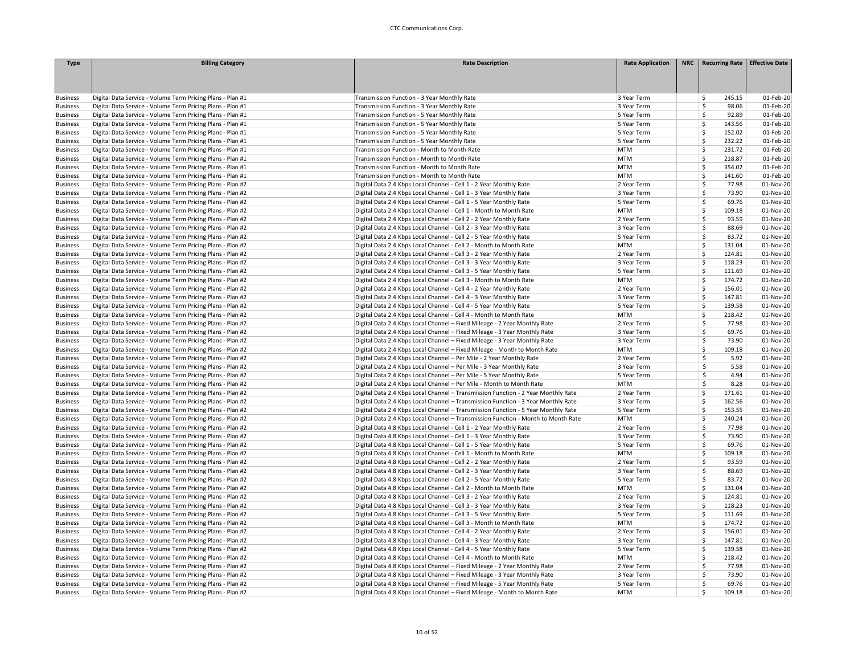| <b>Type</b>                        | <b>Billing Category</b>                                                                                                  | <b>Rate Description</b>                                                                    | <b>Rate Application</b>    | NRC   Recurring Rate   Effective Date |                        |
|------------------------------------|--------------------------------------------------------------------------------------------------------------------------|--------------------------------------------------------------------------------------------|----------------------------|---------------------------------------|------------------------|
|                                    |                                                                                                                          |                                                                                            |                            |                                       |                        |
|                                    |                                                                                                                          |                                                                                            |                            |                                       |                        |
|                                    |                                                                                                                          |                                                                                            |                            |                                       |                        |
| <b>Business</b>                    | Digital Data Service - Volume Term Pricing Plans - Plan #1                                                               | Transmission Function - 3 Year Monthly Rate                                                | 3 Year Term                | 245.15<br>Ś.                          | 01-Feb-20              |
| <b>Business</b>                    | Digital Data Service - Volume Term Pricing Plans - Plan #1                                                               | Transmission Function - 3 Year Monthly Rate                                                | 3 Year Term                | \$.<br>98.06                          | 01-Feb-20              |
| <b>Business</b>                    | Digital Data Service - Volume Term Pricing Plans - Plan #1                                                               | Transmission Function - 5 Year Monthly Rate                                                | 5 Year Term                | \$<br>92.89                           | 01-Feb-20              |
| <b>Business</b>                    | Digital Data Service - Volume Term Pricing Plans - Plan #1                                                               | Transmission Function - 5 Year Monthly Rate                                                | 5 Year Term                | Ś.<br>143.56                          | 01-Feb-20              |
| <b>Business</b>                    | Digital Data Service - Volume Term Pricing Plans - Plan #1                                                               | Transmission Function - 5 Year Monthly Rate                                                | 5 Year Term                | \$<br>152.02                          | 01-Feb-20              |
| <b>Business</b>                    | Digital Data Service - Volume Term Pricing Plans - Plan #1                                                               | Transmission Function - 5 Year Monthly Rate                                                | 5 Year Term                | Ś<br>232.22                           | 01-Feb-20              |
| <b>Business</b>                    | Digital Data Service - Volume Term Pricing Plans - Plan #1                                                               | Transmission Function - Month to Month Rate                                                | <b>MTM</b><br><b>MTM</b>   | \$<br>231.72                          | 01-Feb-20              |
| <b>Business</b>                    | Digital Data Service - Volume Term Pricing Plans - Plan #1                                                               | Transmission Function - Month to Month Rate                                                | <b>MTM</b>                 | \$<br>218.87<br>Ś                     | 01-Feb-20<br>01-Feb-20 |
| <b>Business</b><br><b>Business</b> | Digital Data Service - Volume Term Pricing Plans - Plan #1<br>Digital Data Service - Volume Term Pricing Plans - Plan #1 | Transmission Function - Month to Month Rate<br>Transmission Function - Month to Month Rate | <b>MTM</b>                 | 354.02<br>Ś<br>141.60                 | 01-Feb-20              |
| <b>Business</b>                    | Digital Data Service - Volume Term Pricing Plans - Plan #2                                                               | Digital Data 2.4 Kbps Local Channel - Cell 1 - 2 Year Monthly Rate                         | 2 Year Term                | \$<br>77.98                           | 01-Nov-20              |
|                                    | Digital Data Service - Volume Term Pricing Plans - Plan #2                                                               |                                                                                            |                            | Ś<br>73.90                            | 01-Nov-20              |
| <b>Business</b>                    |                                                                                                                          | Digital Data 2.4 Kbps Local Channel - Cell 1 - 3 Year Monthly Rate                         | 3 Year Term<br>5 Year Term | \$<br>69.76                           | 01-Nov-20              |
| <b>Business</b>                    | Digital Data Service - Volume Term Pricing Plans - Plan #2                                                               | Digital Data 2.4 Kbps Local Channel - Cell 1 - 5 Year Monthly Rate                         | <b>MTM</b>                 | Ś<br>109.18                           | 01-Nov-20              |
| <b>Business</b>                    | Digital Data Service - Volume Term Pricing Plans - Plan #2                                                               | Digital Data 2.4 Kbps Local Channel - Cell 1 - Month to Month Rate                         |                            | \$                                    |                        |
| <b>Business</b>                    | Digital Data Service - Volume Term Pricing Plans - Plan #2                                                               | Digital Data 2.4 Kbps Local Channel - Cell 2 - 2 Year Monthly Rate                         | 2 Year Term                | 93.59<br>\$<br>88.69                  | 01-Nov-20              |
| <b>Business</b>                    | Digital Data Service - Volume Term Pricing Plans - Plan #2                                                               | Digital Data 2.4 Kbps Local Channel - Cell 2 - 3 Year Monthly Rate                         | 3 Year Term                | \$                                    | 01-Nov-20              |
| <b>Business</b>                    | Digital Data Service - Volume Term Pricing Plans - Plan #2                                                               | Digital Data 2.4 Kbps Local Channel - Cell 2 - 5 Year Monthly Rate                         | 5 Year Term                | 83.72                                 | 01-Nov-20              |
| <b>Business</b>                    | Digital Data Service - Volume Term Pricing Plans - Plan #2                                                               | Digital Data 2.4 Kbps Local Channel - Cell 2 - Month to Month Rate                         | <b>MTM</b>                 | \$<br>131.04                          | 01-Nov-20              |
| <b>Business</b>                    | Digital Data Service - Volume Term Pricing Plans - Plan #2                                                               | Digital Data 2.4 Kbps Local Channel - Cell 3 - 2 Year Monthly Rate                         | 2 Year Term                | Ś<br>124.81                           | 01-Nov-20              |
| <b>Business</b>                    | Digital Data Service - Volume Term Pricing Plans - Plan #2                                                               | Digital Data 2.4 Kbps Local Channel - Cell 3 - 3 Year Monthly Rate                         | 3 Year Term                | Ś<br>118.23                           | 01-Nov-20              |
| <b>Business</b>                    | Digital Data Service - Volume Term Pricing Plans - Plan #2                                                               | Digital Data 2.4 Kbps Local Channel - Cell 3 - 5 Year Monthly Rate                         | 5 Year Term                | Ś<br>111.69                           | 01-Nov-20              |
| <b>Business</b>                    | Digital Data Service - Volume Term Pricing Plans - Plan #2                                                               | Digital Data 2.4 Kbps Local Channel - Cell 3 - Month to Month Rate                         | <b>MTM</b>                 | Ś<br>174.72                           | 01-Nov-20              |
| <b>Business</b>                    | Digital Data Service - Volume Term Pricing Plans - Plan #2                                                               | Digital Data 2.4 Kbps Local Channel - Cell 4 - 2 Year Monthly Rate                         | 2 Year Term                | Ś<br>156.01                           | 01-Nov-20              |
| <b>Business</b>                    | Digital Data Service - Volume Term Pricing Plans - Plan #2                                                               | Digital Data 2.4 Kbps Local Channel - Cell 4 - 3 Year Monthly Rate                         | 3 Year Term                | \$<br>147.81                          | 01-Nov-20              |
| <b>Business</b>                    | Digital Data Service - Volume Term Pricing Plans - Plan #2                                                               | Digital Data 2.4 Kbps Local Channel - Cell 4 - 5 Year Monthly Rate                         | 5 Year Term                | Ś<br>139.58                           | 01-Nov-20              |
| <b>Business</b>                    | Digital Data Service - Volume Term Pricing Plans - Plan #2                                                               | Digital Data 2.4 Kbps Local Channel - Cell 4 - Month to Month Rate                         | <b>MTM</b>                 | Ś.<br>218.42                          | 01-Nov-20              |
| <b>Business</b>                    | Digital Data Service - Volume Term Pricing Plans - Plan #2                                                               | Digital Data 2.4 Kbps Local Channel - Fixed Mileage - 2 Year Monthly Rate                  | 2 Year Term                | \$<br>77.98                           | 01-Nov-20              |
| <b>Business</b>                    | Digital Data Service - Volume Term Pricing Plans - Plan #2                                                               | Digital Data 2.4 Kbps Local Channel - Fixed Mileage - 3 Year Monthly Rate                  | 3 Year Term                | \$<br>69.76                           | 01-Nov-20              |
| <b>Business</b>                    | Digital Data Service - Volume Term Pricing Plans - Plan #2                                                               | Digital Data 2.4 Kbps Local Channel - Fixed Mileage - 3 Year Monthly Rate                  | 3 Year Term                | \$<br>73.90                           | 01-Nov-20              |
| <b>Business</b>                    | Digital Data Service - Volume Term Pricing Plans - Plan #2                                                               | Digital Data 2.4 Kbps Local Channel - Fixed Mileage - Month to Month Rate                  | <b>MTM</b>                 | \$<br>109.18                          | 01-Nov-20              |
| <b>Business</b>                    | Digital Data Service - Volume Term Pricing Plans - Plan #2                                                               | Digital Data 2.4 Kbps Local Channel - Per Mile - 2 Year Monthly Rate                       | 2 Year Term                | Ŝ<br>5.92                             | 01-Nov-20              |
| <b>Business</b>                    | Digital Data Service - Volume Term Pricing Plans - Plan #2                                                               | Digital Data 2.4 Kbps Local Channel - Per Mile - 3 Year Monthly Rate                       | 3 Year Term                | \$<br>5.58                            | 01-Nov-20              |
| <b>Business</b>                    | Digital Data Service - Volume Term Pricing Plans - Plan #2                                                               | Digital Data 2.4 Kbps Local Channel - Per Mile - 5 Year Monthly Rate                       | 5 Year Term                | \$<br>4.94                            | 01-Nov-20              |
| <b>Business</b>                    | Digital Data Service - Volume Term Pricing Plans - Plan #2                                                               | Digital Data 2.4 Kbps Local Channel - Per Mile - Month to Month Rate                       | <b>MTM</b>                 | $\mathsf{\hat{S}}$<br>8.28            | 01-Nov-20              |
| <b>Business</b>                    | Digital Data Service - Volume Term Pricing Plans - Plan #2                                                               | Digital Data 2.4 Kbps Local Channel - Transmission Function - 2 Year Monthly Rate          | 2 Year Term                | \$<br>171.61                          | 01-Nov-20              |
| <b>Business</b>                    | Digital Data Service - Volume Term Pricing Plans - Plan #2                                                               | Digital Data 2.4 Kbps Local Channel - Transmission Function - 3 Year Monthly Rate          | 3 Year Term                | Ś<br>162.56                           | 01-Nov-20              |
| <b>Business</b>                    | Digital Data Service - Volume Term Pricing Plans - Plan #2                                                               | Digital Data 2.4 Kbps Local Channel - Transmission Function - 5 Year Monthly Rate          | 5 Year Term                | \$<br>153.55                          | 01-Nov-20              |
| <b>Business</b>                    | Digital Data Service - Volume Term Pricing Plans - Plan #2                                                               | Digital Data 2.4 Kbps Local Channel - Transmission Function - Month to Month Rate          | <b>MTM</b>                 | Ś<br>240.24                           | 01-Nov-20              |
| <b>Business</b>                    | Digital Data Service - Volume Term Pricing Plans - Plan #2                                                               | Digital Data 4.8 Kbps Local Channel - Cell 1 - 2 Year Monthly Rate                         | 2 Year Term                | Ś<br>77.98                            | 01-Nov-20              |
| <b>Business</b>                    | Digital Data Service - Volume Term Pricing Plans - Plan #2                                                               | Digital Data 4.8 Kbps Local Channel - Cell 1 - 3 Year Monthly Rate                         | 3 Year Term                | \$<br>73.90                           | 01-Nov-20              |
| <b>Business</b>                    | Digital Data Service - Volume Term Pricing Plans - Plan #2                                                               | Digital Data 4.8 Kbps Local Channel - Cell 1 - 5 Year Monthly Rate                         | 5 Year Term                | \$<br>69.76                           | 01-Nov-20              |
| <b>Business</b>                    | Digital Data Service - Volume Term Pricing Plans - Plan #2                                                               | Digital Data 4.8 Kbps Local Channel - Cell 1 - Month to Month Rate                         | <b>MTM</b>                 | Ś.<br>109.18                          | 01-Nov-20              |
| <b>Business</b>                    | Digital Data Service - Volume Term Pricing Plans - Plan #2                                                               | Digital Data 4.8 Kbps Local Channel - Cell 2 - 2 Year Monthly Rate                         | 2 Year Term                | \$<br>93.59                           | 01-Nov-20              |
| <b>Business</b>                    | Digital Data Service - Volume Term Pricing Plans - Plan #2                                                               | Digital Data 4.8 Kbps Local Channel - Cell 2 - 3 Year Monthly Rate                         | 3 Year Term                | Ś<br>88.69                            | 01-Nov-20              |
| <b>Business</b>                    | Digital Data Service - Volume Term Pricing Plans - Plan #2                                                               | Digital Data 4.8 Kbps Local Channel - Cell 2 - 5 Year Monthly Rate                         | 5 Year Term                | \$<br>83.72                           | 01-Nov-20              |
| <b>Business</b>                    | Digital Data Service - Volume Term Pricing Plans - Plan #2                                                               | Digital Data 4.8 Kbps Local Channel - Cell 2 - Month to Month Rate                         | <b>MTM</b>                 | Ś<br>131.04                           | 01-Nov-20              |
| <b>Business</b>                    | Digital Data Service - Volume Term Pricing Plans - Plan #2                                                               | Digital Data 4.8 Kbps Local Channel - Cell 3 - 2 Year Monthly Rate                         | 2 Year Term                | Ś<br>124.81                           | 01-Nov-20              |
| <b>Business</b>                    | Digital Data Service - Volume Term Pricing Plans - Plan #2                                                               | Digital Data 4.8 Kbps Local Channel - Cell 3 - 3 Year Monthly Rate                         | 3 Year Term                | Ś<br>118.23                           | 01-Nov-20              |
| <b>Business</b>                    | Digital Data Service - Volume Term Pricing Plans - Plan #2                                                               | Digital Data 4.8 Kbps Local Channel - Cell 3 - 5 Year Monthly Rate                         | 5 Year Term                | Ś<br>111.69                           | 01-Nov-20              |
| <b>Business</b>                    | Digital Data Service - Volume Term Pricing Plans - Plan #2                                                               | Digital Data 4.8 Kbps Local Channel - Cell 3 - Month to Month Rate                         | <b>MTM</b>                 | Ś<br>174.72                           | 01-Nov-20              |
| <b>Business</b>                    | Digital Data Service - Volume Term Pricing Plans - Plan #2                                                               | Digital Data 4.8 Kbps Local Channel - Cell 4 - 2 Year Monthly Rate                         | 2 Year Term                | \$<br>156.01                          | 01-Nov-20              |
| <b>Business</b>                    | Digital Data Service - Volume Term Pricing Plans - Plan #2                                                               | Digital Data 4.8 Kbps Local Channel - Cell 4 - 3 Year Monthly Rate                         | 3 Year Term                | \$<br>147.81                          | 01-Nov-20              |
| <b>Business</b>                    | Digital Data Service - Volume Term Pricing Plans - Plan #2                                                               | Digital Data 4.8 Kbps Local Channel - Cell 4 - 5 Year Monthly Rate                         | 5 Year Term                | Ś<br>139.58                           | 01-Nov-20              |
| <b>Business</b>                    | Digital Data Service - Volume Term Pricing Plans - Plan #2                                                               | Digital Data 4.8 Kbps Local Channel - Cell 4 - Month to Month Rate                         | <b>MTM</b>                 | Ś<br>218.42                           | 01-Nov-20              |
| <b>Business</b>                    | Digital Data Service - Volume Term Pricing Plans - Plan #2                                                               | Digital Data 4.8 Kbps Local Channel - Fixed Mileage - 2 Year Monthly Rate                  | 2 Year Term                | \$<br>77.98                           | 01-Nov-20              |
| <b>Business</b>                    | Digital Data Service - Volume Term Pricing Plans - Plan #2                                                               | Digital Data 4.8 Kbps Local Channel - Fixed Mileage - 3 Year Monthly Rate                  | 3 Year Term                | \$<br>73.90                           | 01-Nov-20              |
| <b>Business</b>                    | Digital Data Service - Volume Term Pricing Plans - Plan #2                                                               | Digital Data 4.8 Kbps Local Channel - Fixed Mileage - 5 Year Monthly Rate                  | 5 Year Term                | \$<br>69.76                           | 01-Nov-20              |
| <b>Business</b>                    | Digital Data Service - Volume Term Pricing Plans - Plan #2                                                               | Digital Data 4.8 Kbps Local Channel - Fixed Mileage - Month to Month Rate                  | <b>MTM</b>                 | 109.18<br>Ś                           | 01-Nov-20              |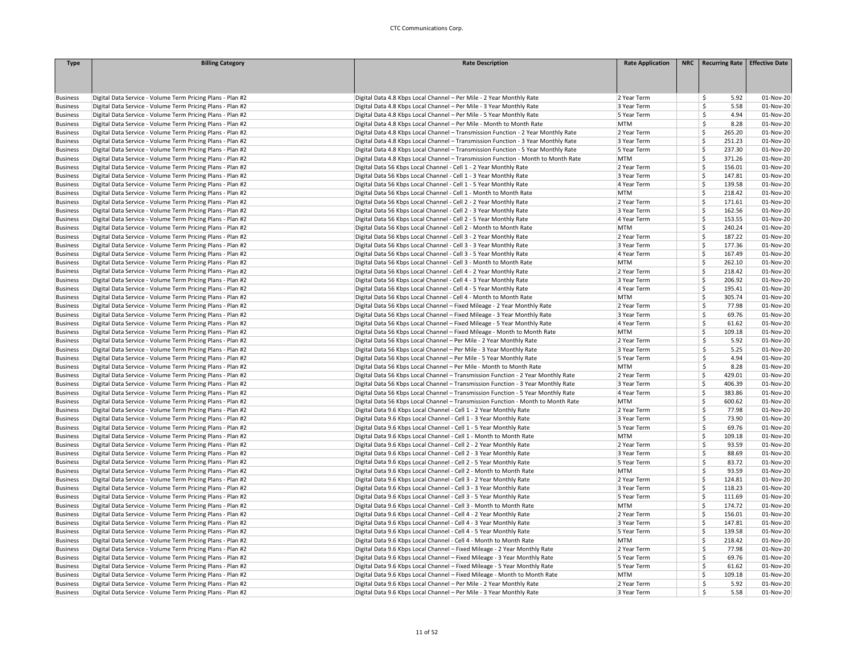| <b>Type</b>     | <b>Billing Category</b>                                    | <b>Rate Description</b>                                                           | <b>Rate Application</b> | NRC Recurring Rate               | <b>Effective Date</b> |
|-----------------|------------------------------------------------------------|-----------------------------------------------------------------------------------|-------------------------|----------------------------------|-----------------------|
|                 |                                                            |                                                                                   |                         |                                  |                       |
|                 |                                                            |                                                                                   |                         |                                  |                       |
|                 |                                                            |                                                                                   |                         |                                  |                       |
| <b>Business</b> | Digital Data Service - Volume Term Pricing Plans - Plan #2 | Digital Data 4.8 Kbps Local Channel - Per Mile - 2 Year Monthly Rate              | 2 Year Term             | 5.92<br>\$                       | 01-Nov-20             |
| <b>Business</b> | Digital Data Service - Volume Term Pricing Plans - Plan #2 | Digital Data 4.8 Kbps Local Channel - Per Mile - 3 Year Monthly Rate              | 3 Year Term             | \$<br>5.58                       | 01-Nov-20             |
| <b>Business</b> | Digital Data Service - Volume Term Pricing Plans - Plan #2 | Digital Data 4.8 Kbps Local Channel - Per Mile - 5 Year Monthly Rate              | 5 Year Term             | 4.94<br>\$                       | 01-Nov-20             |
| <b>Business</b> | Digital Data Service - Volume Term Pricing Plans - Plan #2 | Digital Data 4.8 Kbps Local Channel - Per Mile - Month to Month Rate              | <b>MTM</b>              | 8.28<br>\$                       | 01-Nov-20             |
| <b>Business</b> | Digital Data Service - Volume Term Pricing Plans - Plan #2 | Digital Data 4.8 Kbps Local Channel - Transmission Function - 2 Year Monthly Rate | 2 Year Term             | Ś<br>265.20                      | 01-Nov-20             |
| <b>Business</b> | Digital Data Service - Volume Term Pricing Plans - Plan #2 | Digital Data 4.8 Kbps Local Channel - Transmission Function - 3 Year Monthly Rate | 3 Year Term             | Ś<br>251.23                      | 01-Nov-20             |
| <b>Business</b> | Digital Data Service - Volume Term Pricing Plans - Plan #2 | Digital Data 4.8 Kbps Local Channel - Transmission Function - 5 Year Monthly Rate | 5 Year Term             | \$<br>237.30                     | 01-Nov-20             |
| <b>Business</b> | Digital Data Service - Volume Term Pricing Plans - Plan #2 | Digital Data 4.8 Kbps Local Channel - Transmission Function - Month to Month Rate | <b>MTM</b>              | \$<br>371.26                     | 01-Nov-20             |
| <b>Business</b> | Digital Data Service - Volume Term Pricing Plans - Plan #2 | Digital Data 56 Kbps Local Channel - Cell 1 - 2 Year Monthly Rate                 | 2 Year Term             | \$<br>156.01                     | 01-Nov-20             |
| <b>Business</b> | Digital Data Service - Volume Term Pricing Plans - Plan #2 | Digital Data 56 Kbps Local Channel - Cell 1 - 3 Year Monthly Rate                 | 3 Year Term             | \$<br>147.81                     | 01-Nov-20             |
| <b>Business</b> | Digital Data Service - Volume Term Pricing Plans - Plan #2 | Digital Data 56 Kbps Local Channel - Cell 1 - 5 Year Monthly Rate                 | 4 Year Term             | \$<br>139.58                     | 01-Nov-20             |
| <b>Business</b> | Digital Data Service - Volume Term Pricing Plans - Plan #2 | Digital Data 56 Kbps Local Channel - Cell 1 - Month to Month Rate                 | <b>MTM</b>              | \$<br>218.42                     | 01-Nov-20             |
| <b>Business</b> | Digital Data Service - Volume Term Pricing Plans - Plan #2 | Digital Data 56 Kbps Local Channel - Cell 2 - 2 Year Monthly Rate                 | 2 Year Term             | \$<br>171.61                     | 01-Nov-20             |
| <b>Business</b> | Digital Data Service - Volume Term Pricing Plans - Plan #2 | Digital Data 56 Kbps Local Channel - Cell 2 - 3 Year Monthly Rate                 | 3 Year Term             | 162.56<br>\$                     | 01-Nov-20             |
| <b>Business</b> | Digital Data Service - Volume Term Pricing Plans - Plan #2 | Digital Data 56 Kbps Local Channel - Cell 2 - 5 Year Monthly Rate                 | 4 Year Term             | \$<br>153.55                     | 01-Nov-20             |
| <b>Business</b> | Digital Data Service - Volume Term Pricing Plans - Plan #2 | Digital Data 56 Kbps Local Channel - Cell 2 - Month to Month Rate                 | <b>MTM</b>              | \$<br>240.24                     | 01-Nov-20             |
| <b>Business</b> | Digital Data Service - Volume Term Pricing Plans - Plan #2 | Digital Data 56 Kbps Local Channel - Cell 3 - 2 Year Monthly Rate                 | 2 Year Term             | \$<br>187.22                     | 01-Nov-20             |
| <b>Business</b> | Digital Data Service - Volume Term Pricing Plans - Plan #2 | Digital Data 56 Kbps Local Channel - Cell 3 - 3 Year Monthly Rate                 | 3 Year Term             | \$<br>177.36                     | 01-Nov-20             |
| <b>Business</b> | Digital Data Service - Volume Term Pricing Plans - Plan #2 | Digital Data 56 Kbps Local Channel - Cell 3 - 5 Year Monthly Rate                 | 4 Year Term             | \$<br>167.49                     | 01-Nov-20             |
| <b>Business</b> | Digital Data Service - Volume Term Pricing Plans - Plan #2 | Digital Data 56 Kbps Local Channel - Cell 3 - Month to Month Rate                 | <b>MTM</b>              | \$<br>262.10                     | 01-Nov-20             |
| <b>Business</b> | Digital Data Service - Volume Term Pricing Plans - Plan #2 | Digital Data 56 Kbps Local Channel - Cell 4 - 2 Year Monthly Rate                 | 2 Year Term             | \$<br>218.42                     | 01-Nov-20             |
| <b>Business</b> | Digital Data Service - Volume Term Pricing Plans - Plan #2 | Digital Data 56 Kbps Local Channel - Cell 4 - 3 Year Monthly Rate                 | 3 Year Term             | \$<br>206.92                     | 01-Nov-20             |
| <b>Business</b> | Digital Data Service - Volume Term Pricing Plans - Plan #2 | Digital Data 56 Kbps Local Channel - Cell 4 - 5 Year Monthly Rate                 | 4 Year Term             | \$<br>195.41                     | 01-Nov-20             |
| <b>Business</b> | Digital Data Service - Volume Term Pricing Plans - Plan #2 | Digital Data 56 Kbps Local Channel - Cell 4 - Month to Month Rate                 | <b>MTM</b>              | \$<br>305.74                     | 01-Nov-20             |
| <b>Business</b> | Digital Data Service - Volume Term Pricing Plans - Plan #2 | Digital Data 56 Kbps Local Channel - Fixed Mileage - 2 Year Monthly Rate          | 2 Year Term             | \$<br>77.98                      | 01-Nov-20             |
| <b>Business</b> | Digital Data Service - Volume Term Pricing Plans - Plan #2 | Digital Data 56 Kbps Local Channel - Fixed Mileage - 3 Year Monthly Rate          | 3 Year Term             | 69.76<br>\$                      | 01-Nov-20             |
| <b>Business</b> | Digital Data Service - Volume Term Pricing Plans - Plan #2 | Digital Data 56 Kbps Local Channel - Fixed Mileage - 5 Year Monthly Rate          | 4 Year Term             | \$<br>61.62                      | 01-Nov-20             |
| <b>Business</b> | Digital Data Service - Volume Term Pricing Plans - Plan #2 | Digital Data 56 Kbps Local Channel - Fixed Mileage - Month to Month Rate          | <b>MTM</b>              | Ś<br>109.18                      | 01-Nov-20             |
| <b>Business</b> | Digital Data Service - Volume Term Pricing Plans - Plan #2 | Digital Data 56 Kbps Local Channel - Per Mile - 2 Year Monthly Rate               | 2 Year Term             | \$<br>5.92                       | 01-Nov-20             |
| <b>Business</b> | Digital Data Service - Volume Term Pricing Plans - Plan #2 | Digital Data 56 Kbps Local Channel - Per Mile - 3 Year Monthly Rate               | 3 Year Term             | 5.25<br>\$                       | 01-Nov-20             |
| <b>Business</b> | Digital Data Service - Volume Term Pricing Plans - Plan #2 | Digital Data 56 Kbps Local Channel - Per Mile - 5 Year Monthly Rate               | 5 Year Term             | 4.94<br>\$                       | 01-Nov-20             |
| <b>Business</b> | Digital Data Service - Volume Term Pricing Plans - Plan #2 | Digital Data 56 Kbps Local Channel - Per Mile - Month to Month Rate               | <b>MTM</b>              | \$<br>8.28                       | 01-Nov-20             |
| <b>Business</b> | Digital Data Service - Volume Term Pricing Plans - Plan #2 | Digital Data 56 Kbps Local Channel - Transmission Function - 2 Year Monthly Rate  | 2 Year Term             | Ś<br>429.01                      | 01-Nov-20             |
| <b>Business</b> | Digital Data Service - Volume Term Pricing Plans - Plan #2 | Digital Data 56 Kbps Local Channel - Transmission Function - 3 Year Monthly Rate  | 3 Year Term             | Ś<br>406.39                      | 01-Nov-20             |
| <b>Business</b> | Digital Data Service - Volume Term Pricing Plans - Plan #2 | Digital Data 56 Kbps Local Channel - Transmission Function - 5 Year Monthly Rate  | 4 Year Term             | \$<br>383.86                     | 01-Nov-20             |
| <b>Business</b> | Digital Data Service - Volume Term Pricing Plans - Plan #2 | Digital Data 56 Kbps Local Channel - Transmission Function - Month to Month Rate  | <b>MTM</b>              | \$<br>600.62                     | 01-Nov-20             |
| <b>Business</b> | Digital Data Service - Volume Term Pricing Plans - Plan #2 | Digital Data 9.6 Kbps Local Channel - Cell 1 - 2 Year Monthly Rate                | 2 Year Term             | $\overline{\mathsf{S}}$<br>77.98 | 01-Nov-20             |
| <b>Business</b> | Digital Data Service - Volume Term Pricing Plans - Plan #2 | Digital Data 9.6 Kbps Local Channel - Cell 1 - 3 Year Monthly Rate                | 3 Year Term             | \$<br>73.90                      | 01-Nov-20             |
| <b>Business</b> | Digital Data Service - Volume Term Pricing Plans - Plan #2 | Digital Data 9.6 Kbps Local Channel - Cell 1 - 5 Year Monthly Rate                | 5 Year Term             | \$<br>69.76                      | 01-Nov-20             |
| <b>Business</b> | Digital Data Service - Volume Term Pricing Plans - Plan #2 | Digital Data 9.6 Kbps Local Channel - Cell 1 - Month to Month Rate                | <b>MTM</b>              | Ś<br>109.18                      | 01-Nov-20             |
| <b>Business</b> | Digital Data Service - Volume Term Pricing Plans - Plan #2 | Digital Data 9.6 Kbps Local Channel - Cell 2 - 2 Year Monthly Rate                | 2 Year Term             | 93.59<br>\$                      | 01-Nov-20             |
| <b>Business</b> | Digital Data Service - Volume Term Pricing Plans - Plan #2 | Digital Data 9.6 Kbps Local Channel - Cell 2 - 3 Year Monthly Rate                | 3 Year Term             | \$<br>88.69                      | 01-Nov-20             |
| <b>Business</b> | Digital Data Service - Volume Term Pricing Plans - Plan #2 | Digital Data 9.6 Kbps Local Channel - Cell 2 - 5 Year Monthly Rate                | 5 Year Term             | \$<br>83.72                      | 01-Nov-20             |
| <b>Business</b> | Digital Data Service - Volume Term Pricing Plans - Plan #2 | Digital Data 9.6 Kbps Local Channel - Cell 2 - Month to Month Rate                | <b>MTM</b>              | \$<br>93.59                      | 01-Nov-20             |
| <b>Business</b> | Digital Data Service - Volume Term Pricing Plans - Plan #2 | Digital Data 9.6 Kbps Local Channel - Cell 3 - 2 Year Monthly Rate                | 2 Year Term             | Ś<br>124.81                      | 01-Nov-20             |
| <b>Business</b> | Digital Data Service - Volume Term Pricing Plans - Plan #2 | Digital Data 9.6 Kbps Local Channel - Cell 3 - 3 Year Monthly Rate                | 3 Year Term             | 118.23<br>\$                     | 01-Nov-20             |
| <b>Business</b> | Digital Data Service - Volume Term Pricing Plans - Plan #2 | Digital Data 9.6 Kbps Local Channel - Cell 3 - 5 Year Monthly Rate                | 5 Year Term             | \$<br>111.69                     | 01-Nov-20             |
| <b>Business</b> | Digital Data Service - Volume Term Pricing Plans - Plan #2 | Digital Data 9.6 Kbps Local Channel - Cell 3 - Month to Month Rate                | <b>MTM</b>              | \$<br>174.72                     | 01-Nov-20             |
| <b>Business</b> | Digital Data Service - Volume Term Pricing Plans - Plan #2 | Digital Data 9.6 Kbps Local Channel - Cell 4 - 2 Year Monthly Rate                | 2 Year Term             | \$<br>156.01                     | 01-Nov-20             |
| <b>Business</b> | Digital Data Service - Volume Term Pricing Plans - Plan #2 | Digital Data 9.6 Kbps Local Channel - Cell 4 - 3 Year Monthly Rate                | 3 Year Term             | \$<br>147.81                     | 01-Nov-20             |
| <b>Business</b> | Digital Data Service - Volume Term Pricing Plans - Plan #2 | Digital Data 9.6 Kbps Local Channel - Cell 4 - 5 Year Monthly Rate                | 5 Year Term             | \$<br>139.58                     | 01-Nov-20             |
| <b>Business</b> | Digital Data Service - Volume Term Pricing Plans - Plan #2 | Digital Data 9.6 Kbps Local Channel - Cell 4 - Month to Month Rate                | <b>MTM</b>              | \$<br>218.42                     | 01-Nov-20             |
| <b>Business</b> | Digital Data Service - Volume Term Pricing Plans - Plan #2 | Digital Data 9.6 Kbps Local Channel - Fixed Mileage - 2 Year Monthly Rate         | 2 Year Term             | \$<br>77.98                      | 01-Nov-20             |
| <b>Business</b> | Digital Data Service - Volume Term Pricing Plans - Plan #2 | Digital Data 9.6 Kbps Local Channel - Fixed Mileage - 3 Year Monthly Rate         | 5 Year Term             | \$<br>69.76                      | 01-Nov-20             |
| <b>Business</b> | Digital Data Service - Volume Term Pricing Plans - Plan #2 | Digital Data 9.6 Kbps Local Channel - Fixed Mileage - 5 Year Monthly Rate         | 5 Year Term             | \$<br>61.62                      | 01-Nov-20             |
| <b>Business</b> | Digital Data Service - Volume Term Pricing Plans - Plan #2 | Digital Data 9.6 Kbps Local Channel - Fixed Mileage - Month to Month Rate         | <b>MTM</b>              | \$<br>109.18                     | 01-Nov-20             |
| <b>Business</b> | Digital Data Service - Volume Term Pricing Plans - Plan #2 | Digital Data 9.6 Kbps Local Channel - Per Mile - 2 Year Monthly Rate              | 2 Year Term             | 5.92<br>\$                       | 01-Nov-20             |
| <b>Business</b> | Digital Data Service - Volume Term Pricing Plans - Plan #2 | Digital Data 9.6 Kbps Local Channel - Per Mile - 3 Year Monthly Rate              | 3 Year Term             | 5.58<br>\$                       | 01-Nov-20             |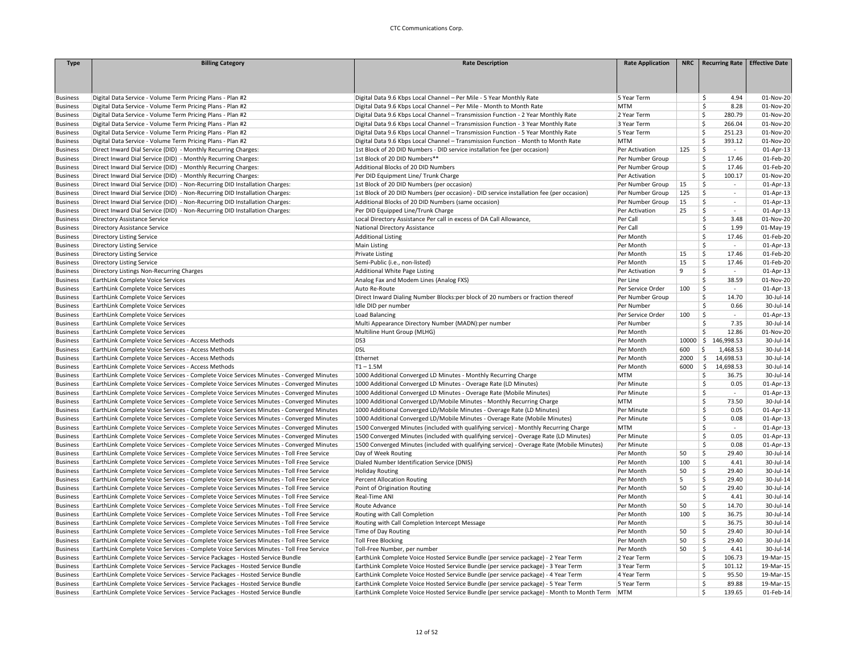| <b>Type</b>                        | <b>Billing Category</b>                                                                                                  | <b>Rate Description</b>                                                                                                                                                | <b>Rate Application</b>    |      | NRC Recurring Rate              | <b>Effective Date</b>  |
|------------------------------------|--------------------------------------------------------------------------------------------------------------------------|------------------------------------------------------------------------------------------------------------------------------------------------------------------------|----------------------------|------|---------------------------------|------------------------|
|                                    |                                                                                                                          |                                                                                                                                                                        |                            |      |                                 |                        |
|                                    |                                                                                                                          |                                                                                                                                                                        |                            |      |                                 |                        |
|                                    |                                                                                                                          |                                                                                                                                                                        |                            |      |                                 |                        |
| <b>Business</b>                    | Digital Data Service - Volume Term Pricing Plans - Plan #2                                                               | Digital Data 9.6 Kbps Local Channel - Per Mile - 5 Year Monthly Rate                                                                                                   | 5 Year Term                |      | 4.94<br>\$                      | 01-Nov-20              |
| <b>Business</b>                    | Digital Data Service - Volume Term Pricing Plans - Plan #2                                                               | Digital Data 9.6 Kbps Local Channel - Per Mile - Month to Month Rate                                                                                                   | <b>MTM</b>                 |      | \$<br>8.28<br>\$<br>280.79      | 01-Nov-20              |
| <b>Business</b>                    | Digital Data Service - Volume Term Pricing Plans - Plan #2                                                               | Digital Data 9.6 Kbps Local Channel - Transmission Function - 2 Year Monthly Rate                                                                                      | 2 Year Term<br>3 Year Term |      | Ś<br>266.04                     | 01-Nov-20<br>01-Nov-20 |
| <b>Business</b><br><b>Business</b> | Digital Data Service - Volume Term Pricing Plans - Plan #2<br>Digital Data Service - Volume Term Pricing Plans - Plan #2 | Digital Data 9.6 Kbps Local Channel - Transmission Function - 3 Year Monthly Rate<br>Digital Data 9.6 Kbps Local Channel - Transmission Function - 5 Year Monthly Rate | 5 Year Term                |      | Ś<br>251.23                     | 01-Nov-20              |
| <b>Business</b>                    | Digital Data Service - Volume Term Pricing Plans - Plan #2                                                               | Digital Data 9.6 Kbps Local Channel - Transmission Function - Month to Month Rate                                                                                      | <b>MTM</b>                 |      | Ś<br>393.12                     | 01-Nov-20              |
| <b>Business</b>                    | Direct Inward Dial Service (DID) - Monthly Recurring Charges:                                                            | 1st Block of 20 DID Numbers - DID service installation fee (per occasion)                                                                                              | Per Activation             | 125  | \$<br>$\sim$                    | 01-Apr-13              |
| <b>Business</b>                    | Direct Inward Dial Service (DID) - Monthly Recurring Charges:                                                            | 1st Block of 20 DID Numbers**                                                                                                                                          | Per Number Group           |      | \$<br>17.46                     | 01-Feb-20              |
| <b>Business</b>                    | Direct Inward Dial Service (DID) - Monthly Recurring Charges:                                                            | Additional Blocks of 20 DID Numbers                                                                                                                                    | Per Number Group           |      | \$<br>17.46                     | 01-Feb-20              |
| <b>Business</b>                    | Direct Inward Dial Service (DID) - Monthly Recurring Charges:                                                            | Per DID Equipment Line/ Trunk Charge                                                                                                                                   | Per Activation             |      | Ś<br>100.17                     | 01-Nov-20              |
| <b>Business</b>                    | Direct Inward Dial Service (DID) - Non-Recurring DID Installation Charges:                                               | 1st Block of 20 DID Numbers (per occasion)                                                                                                                             | Per Number Group           | 15   | \$<br>$\sim$                    | 01-Apr-13              |
| <b>Business</b>                    | Direct Inward Dial Service (DID) - Non-Recurring DID Installation Charges:                                               | 1st Block of 20 DID Numbers (per occasion) - DID service installation fee (per occasion)                                                                               | Per Number Group           | 125  | \$<br>$\sim$                    | 01-Apr-13              |
| <b>Business</b>                    | Direct Inward Dial Service (DID) - Non-Recurring DID Installation Charges:                                               | Additional Blocks of 20 DID Numbers (same occasion)                                                                                                                    | Per Number Group           | 15   | \$<br>$\sim$                    | 01-Apr-13              |
| <b>Business</b>                    | Direct Inward Dial Service (DID) - Non-Recurring DID Installation Charges:                                               | Per DID Equipped Line/Trunk Charge                                                                                                                                     | Per Activation             | 25   | \$<br>$\sim$                    | 01-Apr-13              |
| <b>Business</b>                    | Directory Assistance Service                                                                                             | Local Directory Assistance Per call in excess of DA Call Allowance,                                                                                                    | Per Call                   |      | \$<br>3.48                      | 01-Nov-20              |
| <b>Business</b>                    | Directory Assistance Service                                                                                             | National Directory Assistance                                                                                                                                          | Per Call                   |      | \$<br>1.99                      | 01-May-19              |
| <b>Business</b>                    | Directory Listing Service                                                                                                | <b>Additional Listing</b>                                                                                                                                              | Per Month                  |      | Ś<br>17.46                      | 01-Feb-20              |
| <b>Business</b>                    | Directory Listing Service                                                                                                | Main Listing                                                                                                                                                           | Per Month                  |      | \$<br>$\sim$                    | 01-Apr-13              |
| <b>Business</b>                    | Directory Listing Service                                                                                                | <b>Private Listing</b>                                                                                                                                                 | Per Month                  | 15   | \$<br>17.46                     | 01-Feb-20              |
| <b>Business</b>                    | Directory Listing Service                                                                                                | Semi-Public (i.e., non-listed)                                                                                                                                         | Per Month                  | 15   | \$<br>17.46                     | 01-Feb-20              |
| <b>Business</b>                    | Directory Listings Non-Recurring Charges                                                                                 | Additional White Page Listing                                                                                                                                          | Per Activation             | 9    | \$<br>$\sim$                    | 01-Apr-13              |
| <b>Business</b>                    | EarthLink Complete Voice Services                                                                                        | Analog Fax and Modem Lines (Analog FXS)                                                                                                                                | Per Line                   |      | Ś<br>38.59                      | 01-Nov-20              |
| <b>Business</b>                    | EarthLink Complete Voice Services                                                                                        | Auto Re-Route                                                                                                                                                          | Per Service Order          | 100  | Ś<br>$\sim$                     | 01-Apr-13              |
| <b>Business</b>                    | EarthLink Complete Voice Services                                                                                        | Direct Inward Dialing Number Blocks:per block of 20 numbers or fraction thereof                                                                                        | Per Number Group           |      | \$<br>14.70                     | 30-Jul-14              |
| <b>Business</b>                    | EarthLink Complete Voice Services                                                                                        | Idle DID per number                                                                                                                                                    | Per Number                 |      | \$<br>0.66                      | 30-Jul-14              |
| <b>Business</b>                    | EarthLink Complete Voice Services                                                                                        | Load Balancing                                                                                                                                                         | Per Service Order          | 100  | Ŝ<br>$\sim$                     | 01-Apr-13              |
| <b>Business</b>                    | EarthLink Complete Voice Services                                                                                        | Multi Appearance Directory Number (MADN):per number                                                                                                                    | Per Number                 |      | \$<br>7.35                      | 30-Jul-14              |
| <b>Business</b>                    | EarthLink Complete Voice Services                                                                                        | Multiline Hunt Group (MLHG)                                                                                                                                            | Per Month                  |      | Ś<br>12.86                      | 01-Nov-20              |
| <b>Business</b>                    | EarthLink Complete Voice Services - Access Methods                                                                       | DS3                                                                                                                                                                    | Per Month                  |      | 10000 \$ 146,998.53             | 30-Jul-14              |
| <b>Business</b>                    | EarthLink Complete Voice Services - Access Methods                                                                       | <b>DSL</b>                                                                                                                                                             | Per Month                  | 600  | \$<br>1,468.53                  | 30-Jul-14              |
| <b>Business</b>                    | EarthLink Complete Voice Services - Access Methods                                                                       | Ethernet                                                                                                                                                               | Per Month                  | 2000 | $\vert$ \$<br>14,698.53         | 30-Jul-14              |
| <b>Business</b>                    | EarthLink Complete Voice Services - Access Methods                                                                       | $T1 - 1.5M$                                                                                                                                                            | Per Month                  | 6000 | l \$<br>14,698.53               | 30-Jul-14              |
| <b>Business</b>                    | EarthLink Complete Voice Services - Complete Voice Services Minutes - Converged Minutes                                  | 1000 Additional Converged LD Minutes - Monthly Recurring Charge                                                                                                        | <b>MTM</b>                 |      | \$<br>36.75                     | 30-Jul-14              |
| <b>Business</b>                    | EarthLink Complete Voice Services - Complete Voice Services Minutes - Converged Minutes                                  | 1000 Additional Converged LD Minutes - Overage Rate (LD Minutes)                                                                                                       | Per Minute                 |      | \$<br>0.05                      | 01-Apr-13              |
| <b>Business</b>                    | EarthLink Complete Voice Services - Complete Voice Services Minutes - Converged Minutes                                  | 1000 Additional Converged LD Minutes - Overage Rate (Mobile Minutes)                                                                                                   | Per Minute                 |      | \$<br>$\sim$                    | 01-Apr-13              |
| <b>Business</b>                    | EarthLink Complete Voice Services - Complete Voice Services Minutes - Converged Minutes                                  | 1000 Additional Converged LD/Mobile Minutes - Monthly Recurring Charge                                                                                                 | <b>MTM</b>                 |      | \$<br>73.50                     | 30-Jul-14              |
| <b>Business</b>                    | EarthLink Complete Voice Services - Complete Voice Services Minutes - Converged Minutes                                  | 1000 Additional Converged LD/Mobile Minutes - Overage Rate (LD Minutes)                                                                                                | Per Minute                 |      | $\overline{\mathsf{S}}$<br>0.05 | 01-Apr-13              |
| <b>Business</b>                    | EarthLink Complete Voice Services - Complete Voice Services Minutes - Converged Minutes                                  | 1000 Additional Converged LD/Mobile Minutes - Overage Rate (Mobile Minutes)                                                                                            | Per Minute                 |      | \$<br>0.08                      | 01-Apr-13              |
| <b>Business</b>                    | EarthLink Complete Voice Services - Complete Voice Services Minutes - Converged Minutes                                  | 1500 Converged Minutes (included with qualifying service) - Monthly Recurring Charge                                                                                   | <b>MTM</b>                 |      | \$<br>$\sim$                    | 01-Apr-13              |
| <b>Business</b>                    | EarthLink Complete Voice Services - Complete Voice Services Minutes - Converged Minutes                                  | 1500 Converged Minutes (included with qualifying service) - Overage Rate (LD Minutes)                                                                                  | Per Minute                 |      | \$<br>0.05                      | 01-Apr-13              |
| <b>Business</b>                    | EarthLink Complete Voice Services - Complete Voice Services Minutes - Converged Minutes                                  | 1500 Converged Minutes (included with qualifying service) - Overage Rate (Mobile Minutes)                                                                              | Per Minute                 |      | \$<br>0.08                      | 01-Apr-13              |
| <b>Business</b>                    | EarthLink Complete Voice Services - Complete Voice Services Minutes - Toll Free Service                                  | Day of Week Routing                                                                                                                                                    | Per Month                  | 50   | \$<br>29.40                     | 30-Jul-14              |
| <b>Business</b>                    | EarthLink Complete Voice Services - Complete Voice Services Minutes - Toll Free Service                                  | Dialed Number Identification Service (DNIS)                                                                                                                            | Per Month                  | 100  | \$<br>4.41                      | 30-Jul-14              |
| <b>Business</b>                    | EarthLink Complete Voice Services - Complete Voice Services Minutes - Toll Free Service                                  | <b>Holiday Routing</b>                                                                                                                                                 | Per Month                  | 50   | Ś<br>29.40                      | 30-Jul-14              |
| <b>Business</b>                    | EarthLink Complete Voice Services - Complete Voice Services Minutes - Toll Free Service                                  | <b>Percent Allocation Routing</b>                                                                                                                                      | Per Month                  | 5    | \$<br>29.40                     | 30-Jul-14              |
| <b>Business</b>                    | EarthLink Complete Voice Services - Complete Voice Services Minutes - Toll Free Service                                  | Point of Origination Routing                                                                                                                                           | Per Month                  | 50   | 29.40<br>\$                     | 30-Jul-14              |
| <b>Business</b>                    | EarthLink Complete Voice Services - Complete Voice Services Minutes - Toll Free Service                                  | Real-Time ANI                                                                                                                                                          | Per Month                  |      | \$<br>4.41                      | 30-Jul-14              |
| <b>Business</b>                    | EarthLink Complete Voice Services - Complete Voice Services Minutes - Toll Free Service                                  | Route Advance                                                                                                                                                          | Per Month                  | 50   | \$<br>14.70                     | 30-Jul-14              |
| <b>Business</b>                    | EarthLink Complete Voice Services - Complete Voice Services Minutes - Toll Free Service                                  | Routing with Call Completion                                                                                                                                           | Per Month                  | 100  | \$<br>36.75                     | 30-Jul-14              |
| <b>Business</b>                    | EarthLink Complete Voice Services - Complete Voice Services Minutes - Toll Free Service                                  | Routing with Call Completion Intercept Message                                                                                                                         | Per Month                  |      | \$<br>36.75                     | 30-Jul-14              |
| <b>Business</b>                    | EarthLink Complete Voice Services - Complete Voice Services Minutes - Toll Free Service                                  | Time of Day Routing                                                                                                                                                    | Per Month                  | 50   | \$<br>29.40                     | 30-Jul-14              |
| <b>Business</b>                    | EarthLink Complete Voice Services - Complete Voice Services Minutes - Toll Free Service                                  | <b>Toll Free Blocking</b>                                                                                                                                              | Per Month                  | 50   | \$<br>29.40                     | 30-Jul-14              |
| <b>Business</b>                    | EarthLink Complete Voice Services - Complete Voice Services Minutes - Toll Free Service                                  | Toll-Free Number, per number                                                                                                                                           | Per Month                  | 50   | \$<br>4.41                      | 30-Jul-14              |
| <b>Business</b>                    | EarthLink Complete Voice Services - Service Packages - Hosted Service Bundle                                             | EarthLink Complete Voice Hosted Service Bundle (per service package) - 2 Year Term                                                                                     | 2 Year Term                |      | Ś<br>106.73                     | 19-Mar-15              |
| <b>Business</b>                    | EarthLink Complete Voice Services - Service Packages - Hosted Service Bundle                                             | EarthLink Complete Voice Hosted Service Bundle (per service package) - 3 Year Term                                                                                     | 3 Year Term                |      | Ś<br>101.12                     | 19-Mar-15              |
| <b>Business</b>                    | EarthLink Complete Voice Services - Service Packages - Hosted Service Bundle                                             | EarthLink Complete Voice Hosted Service Bundle (per service package) - 4 Year Term                                                                                     | 4 Year Term                |      | \$<br>95.50                     | 19-Mar-15              |
| <b>Business</b>                    | EarthLink Complete Voice Services - Service Packages - Hosted Service Bundle                                             | EarthLink Complete Voice Hosted Service Bundle (per service package) - 5 Year Term                                                                                     | 5 Year Term                |      | \$<br>89.88                     | 19-Mar-15              |
| <b>Business</b>                    | EarthLink Complete Voice Services - Service Packages - Hosted Service Bundle                                             | EarthLink Complete Voice Hosted Service Bundle (per service package) - Month to Month Term                                                                             | MTM                        |      | Ś<br>139.65                     | 01-Feb-14              |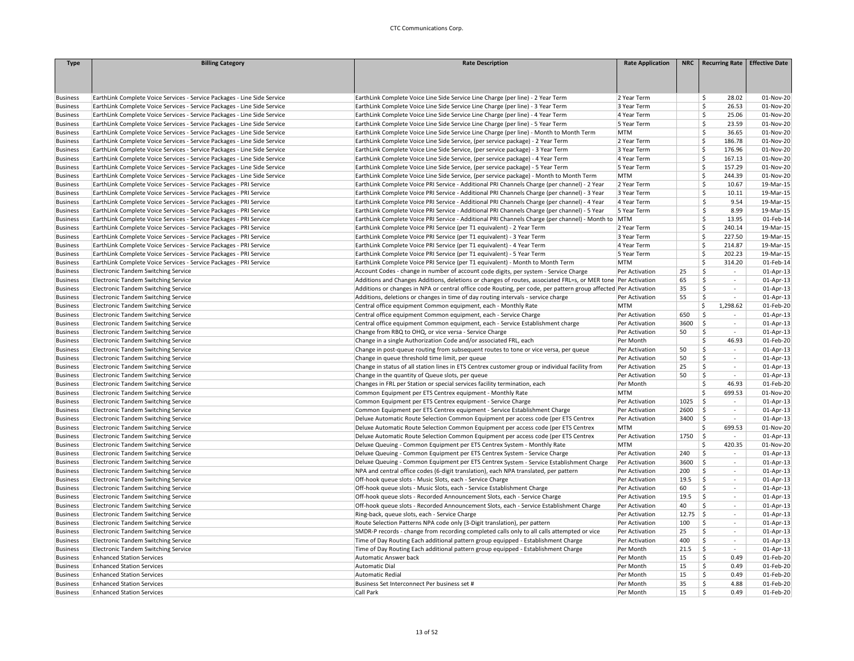| <b>Type</b>     | <b>Billing Category</b>                                                  | <b>Rate Description</b>                                                                                         | <b>Rate Application</b> | <b>NRC</b> | <b>Recurring Rate</b>          | <b>Effective Date</b> |
|-----------------|--------------------------------------------------------------------------|-----------------------------------------------------------------------------------------------------------------|-------------------------|------------|--------------------------------|-----------------------|
|                 |                                                                          |                                                                                                                 |                         |            |                                |                       |
|                 |                                                                          |                                                                                                                 |                         |            |                                |                       |
|                 |                                                                          |                                                                                                                 |                         |            |                                |                       |
| <b>Business</b> | EarthLink Complete Voice Services - Service Packages - Line Side Service | EarthLink Complete Voice Line Side Service Line Charge (per line) - 2 Year Term                                 | 2 Year Term             |            | \$<br>28.02                    | 01-Nov-20             |
| <b>Business</b> | EarthLink Complete Voice Services - Service Packages - Line Side Service | EarthLink Complete Voice Line Side Service Line Charge (per line) - 3 Year Term                                 | 3 Year Term             |            | \$<br>26.53                    | 01-Nov-20             |
| <b>Business</b> | EarthLink Complete Voice Services - Service Packages - Line Side Service | EarthLink Complete Voice Line Side Service Line Charge (per line) - 4 Year Term                                 | 4 Year Term             |            | Ś<br>25.06                     | 01-Nov-20             |
| <b>Business</b> | EarthLink Complete Voice Services - Service Packages - Line Side Service | EarthLink Complete Voice Line Side Service Line Charge (per line) - 5 Year Term                                 | 5 Year Term             |            | \$.<br>23.59                   | 01-Nov-20             |
| <b>Business</b> | EarthLink Complete Voice Services - Service Packages - Line Side Service | EarthLink Complete Voice Line Side Service Line Charge (per line) - Month to Month Term                         | <b>MTM</b>              |            | Ś<br>36.65                     | 01-Nov-20             |
| <b>Business</b> | EarthLink Complete Voice Services - Service Packages - Line Side Service | EarthLink Complete Voice Line Side Service, (per service package) - 2 Year Term                                 | 2 Year Term             |            | 186.78<br>-Ś                   | 01-Nov-20             |
| <b>Business</b> | EarthLink Complete Voice Services - Service Packages - Line Side Service | EarthLink Complete Voice Line Side Service, (per service package) - 3 Year Term                                 | 3 Year Term             |            | \$<br>176.96                   | 01-Nov-20             |
| <b>Business</b> | EarthLink Complete Voice Services - Service Packages - Line Side Service | EarthLink Complete Voice Line Side Service, (per service package) - 4 Year Term                                 | 4 Year Term             |            | $\mathsf{\hat{S}}$<br>167.13   | 01-Nov-20             |
| <b>Business</b> | EarthLink Complete Voice Services - Service Packages - Line Side Service | EarthLink Complete Voice Line Side Service, (per service package) - 5 Year Term                                 | 5 Year Term             |            | \$<br>157.29                   | 01-Nov-20             |
| <b>Business</b> | EarthLink Complete Voice Services - Service Packages - Line Side Service | EarthLink Complete Voice Line Side Service, (per service package) - Month to Month Term                         | <b>MTM</b>              |            | <b>S</b><br>244.39             | 01-Nov-20             |
| <b>Business</b> | EarthLink Complete Voice Services - Service Packages - PRI Service       | EarthLink Complete Voice PRI Service - Additional PRI Channels Charge (per channel) - 2 Year                    | 2 Year Term             |            | \$<br>10.67                    | 19-Mar-15             |
| <b>Business</b> | EarthLink Complete Voice Services - Service Packages - PRI Service       | EarthLink Complete Voice PRI Service - Additional PRI Channels Charge (per channel) - 3 Year                    | 3 Year Term             |            | Ś<br>10.11                     | 19-Mar-15             |
| <b>Business</b> | EarthLink Complete Voice Services - Service Packages - PRI Service       | EarthLink Complete Voice PRI Service - Additional PRI Channels Charge (per channel) - 4 Year                    | 4 Year Term             |            | \$<br>9.54                     | 19-Mar-15             |
| <b>Business</b> | EarthLink Complete Voice Services - Service Packages - PRI Service       | EarthLink Complete Voice PRI Service - Additional PRI Channels Charge (per channel) - 5 Year                    | 5 Year Term             |            | Ś<br>8.99                      | 19-Mar-15             |
| <b>Business</b> | EarthLink Complete Voice Services - Service Packages - PRI Service       | EarthLink Complete Voice PRI Service - Additional PRI Channels Charge (per channel) - Month to MTM              |                         |            | Ś.<br>13.95                    | 01-Feb-14             |
| <b>Business</b> | EarthLink Complete Voice Services - Service Packages - PRI Service       | EarthLink Complete Voice PRI Service (per T1 equivalent) - 2 Year Term                                          | 2 Year Term             |            | Ŝ.<br>240.14                   | 19-Mar-15             |
| <b>Business</b> | EarthLink Complete Voice Services - Service Packages - PRI Service       | EarthLink Complete Voice PRI Service (per T1 equivalent) - 3 Year Term                                          | 3 Year Term             |            | \$<br>227.50                   | 19-Mar-15             |
| <b>Business</b> | EarthLink Complete Voice Services - Service Packages - PRI Service       | EarthLink Complete Voice PRI Service (per T1 equivalent) - 4 Year Term                                          | 4 Year Term             |            | <sup>\$</sup><br>214.87        | 19-Mar-15             |
| <b>Business</b> | EarthLink Complete Voice Services - Service Packages - PRI Service       | EarthLink Complete Voice PRI Service (per T1 equivalent) - 5 Year Term                                          | 5 Year Term             |            | $\dot{\mathsf{S}}$<br>202.23   | 19-Mar-15             |
| <b>Business</b> | EarthLink Complete Voice Services - Service Packages - PRI Service       | EarthLink Complete Voice PRI Service (per T1 equivalent) - Month to Month Term                                  | <b>MTM</b>              |            | \$<br>314.20                   | 01-Feb-14             |
| <b>Business</b> | Electronic Tandem Switching Service                                      | Account Codes - change in number of account code digits, per system - Service Charge                            | Per Activation          | 25         | \$<br>$\sim$                   | $01-Apr-13$           |
| <b>Business</b> | <b>Electronic Tandem Switching Service</b>                               | Additions and Changes Additions, deletions or changes of routes, associated FRL=s, or MER tone Per Activation   |                         | 65         | \$<br>$\sim$                   | 01-Apr-13             |
| <b>Business</b> | <b>Electronic Tandem Switching Service</b>                               | Additions or changes in NPA or central office code Routing, per code, per pattern group affected Per Activation |                         | 35         | Ś<br>$\overline{\phantom{a}}$  | 01-Apr-13             |
| <b>Business</b> | Electronic Tandem Switching Service                                      | Additions, deletions or changes in time of day routing intervals - service charge                               | Per Activation          | 55         | \$<br>$\omega$                 | 01-Apr-13             |
| <b>Business</b> | Electronic Tandem Switching Service                                      | Central office equipment Common equipment, each - Monthly Rate                                                  | MTM                     |            | \$<br>1,298.62                 | 01-Feb-20             |
| <b>Business</b> | Electronic Tandem Switching Service                                      | Central office equipment Common equipment, each - Service Charge                                                | Per Activation          | 650        | \$                             | 01-Apr-13             |
| <b>Business</b> | Electronic Tandem Switching Service                                      | Central office equipment Common equipment, each - Service Establishment charge                                  | Per Activation          | 3600       | \$<br>$\sim$                   | 01-Apr-13             |
| <b>Business</b> | <b>Electronic Tandem Switching Service</b>                               | Change from RBQ to OHQ, or vice versa - Service Charge                                                          | Per Activation          | 50         | Ś.<br>$\sim$                   | 01-Apr-13             |
| <b>Business</b> | Electronic Tandem Switching Service                                      | Change in a single Authorization Code and/or associated FRL, each                                               | Per Month               |            | \$<br>46.93                    | 01-Feb-20             |
| <b>Business</b> | <b>Electronic Tandem Switching Service</b>                               | Change in post-queue routing from subsequent routes to tone or vice versa, per queue                            | Per Activation          | 50         | Ś<br>$\sim$                    | 01-Apr-13             |
| <b>Business</b> | Electronic Tandem Switching Service                                      | Change in queue threshold time limit, per queue                                                                 | Per Activation          | 50         | \$<br>$\omega$                 | 01-Apr-13             |
| <b>Business</b> | Electronic Tandem Switching Service                                      | Change in status of all station lines in ETS Centrex customer group or individual facility from                 | Per Activation          | 25         | \$<br>$\sim$                   | 01-Apr-13             |
| <b>Business</b> | <b>Electronic Tandem Switching Service</b>                               | Change in the quantity of Queue slots, per queue                                                                | Per Activation          | 50         | \$<br>$\sim$                   | 01-Apr-13             |
| <b>Business</b> | <b>Electronic Tandem Switching Service</b>                               | Changes in FRL per Station or special services facility termination, each                                       | Per Month               |            | Ś<br>46.93                     | 01-Feb-20             |
| <b>Business</b> | Electronic Tandem Switching Service                                      | Common Equipment per ETS Centrex equipment - Monthly Rate                                                       | MTM                     |            | -Ś<br>699.53                   | 01-Nov-20             |
| <b>Business</b> | Electronic Tandem Switching Service                                      | Common Equipment per ETS Centrex equipment - Service Charge                                                     | Per Activation          | 1025       | 5<br>$\sim$                    | 01-Apr-13             |
| <b>Business</b> | Electronic Tandem Switching Service                                      | Common Equipment per ETS Centrex equipment - Service Establishment Charge                                       | Per Activation          | 2600       | -\$<br>$\sim$                  | 01-Apr-13             |
| <b>Business</b> | Electronic Tandem Switching Service                                      | Deluxe Automatic Route Selection Common Equipment per access code (per ETS Centrex                              | Per Activation          | 3400       | ۱Ś.<br>$\sim$                  | 01-Apr-13             |
| <b>Business</b> | Electronic Tandem Switching Service                                      | Deluxe Automatic Route Selection Common Equipment per access code (per ETS Centrex                              | <b>MTM</b>              |            | Ś<br>699.53                    | 01-Nov-20             |
| <b>Business</b> | Electronic Tandem Switching Service                                      | Deluxe Automatic Route Selection Common Equipment per access code (per ETS Centrex                              | Per Activation          | 1750       | ∣\$<br>$\sim$                  | 01-Apr-13             |
| <b>Business</b> | Electronic Tandem Switching Service                                      | Deluxe Queuing - Common Equipment per ETS Centrex System - Monthly Rate                                         | <b>MTM</b>              |            | \$<br>420.35                   | 01-Nov-20             |
| <b>Business</b> | Electronic Tandem Switching Service                                      | Deluxe Queuing - Common Equipment per ETS Centrex System - Service Charge                                       | Per Activation          | 240        | $\zeta$<br>$\sim$              | 01-Apr-13             |
| <b>Business</b> | <b>Electronic Tandem Switching Service</b>                               | Deluxe Queuing - Common Equipment per ETS Centrex System - Service Establishment Charge                         | Per Activation          | 3600       | \$<br>$\omega$                 | 01-Apr-13             |
| <b>Business</b> | Electronic Tandem Switching Service                                      | NPA and central office codes (6-digit translation), each NPA translated, per pattern                            | Per Activation          | 200        | \$<br>$\overline{\phantom{a}}$ | 01-Apr-13             |
| <b>Business</b> | Electronic Tandem Switching Service                                      | Off-hook queue slots - Music Slots, each - Service Charge                                                       | Per Activation          | 19.5       | S.<br>$\sim$                   | 01-Apr-13             |
| <b>Business</b> | Electronic Tandem Switching Service                                      | Off-hook queue slots - Music Slots, each - Service Establishment Charge                                         | Per Activation          | 60         | \$<br>$\sim$                   | 01-Apr-13             |
| <b>Business</b> | Electronic Tandem Switching Service                                      | Off-hook queue slots - Recorded Announcement Slots, each - Service Charge                                       | Per Activation          | 19.5       | \$<br>$\sim$                   | 01-Apr-13             |
| <b>Business</b> | Electronic Tandem Switching Service                                      | Off-hook queue slots - Recorded Announcement Slots, each - Service Establishment Charge                         | Per Activation          | 40         | \$<br>÷                        | 01-Apr-13             |
| <b>Business</b> | Electronic Tandem Switching Service                                      | Ring-back, queue slots, each - Service Charge                                                                   | Per Activation          | 12.75      | ا \$<br>$\sim$                 | 01-Apr-13             |
| <b>Business</b> | Electronic Tandem Switching Service                                      | Route Selection Patterns NPA code only (3-Digit translation), per pattern                                       | Per Activation          | 100        | Ŝ.<br>$\sim$                   | 01-Apr-13             |
| <b>Business</b> | Electronic Tandem Switching Service                                      | SMDR-P records - change from recording completed calls only to all calls attempted or vice                      | Per Activation          | 25         | \$<br>$\sim$                   | 01-Apr-13             |
| <b>Business</b> | Electronic Tandem Switching Service                                      | Time of Day Routing Each additional pattern group equipped - Establishment Charge                               | Per Activation          | 400        | \$<br>$\overline{\phantom{a}}$ | 01-Apr-13             |
| <b>Business</b> | Electronic Tandem Switching Service                                      | Time of Day Routing Each additional pattern group equipped - Establishment Charge                               | Per Month               | 21.5       | \$<br>$\sim$                   | 01-Apr-13             |
| <b>Business</b> | <b>Enhanced Station Services</b>                                         | Automatic Answer back                                                                                           | Per Month               | 15         | \$<br>0.49                     | 01-Feb-20             |
| <b>Business</b> | <b>Enhanced Station Services</b>                                         | Automatic Dial                                                                                                  | Per Month               | 15         | 0.49<br>\$                     | 01-Feb-20             |
| <b>Business</b> | <b>Enhanced Station Services</b>                                         | <b>Automatic Redial</b>                                                                                         | Per Month               | 15         | \$<br>0.49                     | 01-Feb-20             |
| <b>Business</b> | <b>Enhanced Station Services</b>                                         | Business Set Interconnect Per business set #                                                                    | Per Month               | 35         | \$<br>4.88                     | 01-Feb-20             |
| <b>Business</b> | <b>Enhanced Station Services</b>                                         | Call Park                                                                                                       | Per Month               | 15         | Ś<br>0.49                      | 01-Feb-20             |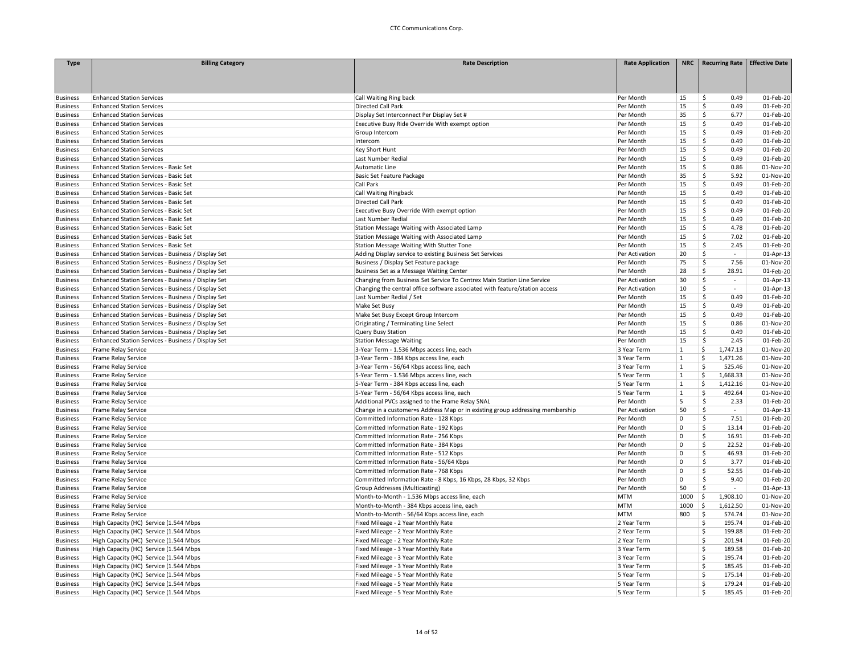| <b>Type</b>                        | <b>Billing Category</b>                            | <b>Rate Description</b>                                                       | <b>Rate Application</b> |                         | NRC   Recurring Rate   Effective Date |              |
|------------------------------------|----------------------------------------------------|-------------------------------------------------------------------------------|-------------------------|-------------------------|---------------------------------------|--------------|
|                                    |                                                    |                                                                               |                         |                         |                                       |              |
|                                    |                                                    |                                                                               |                         |                         |                                       |              |
|                                    |                                                    |                                                                               |                         |                         |                                       |              |
| <b>Business</b>                    | <b>Enhanced Station Services</b>                   | Call Waiting Ring back                                                        | Per Month               | 15                      | \$<br>0.49                            | 01-Feb-20    |
| <b>Business</b>                    | <b>Enhanced Station Services</b>                   | Directed Call Park                                                            | Per Month               | 15                      | Ś<br>0.49                             | 01-Feb-20    |
| <b>Business</b>                    | <b>Enhanced Station Services</b>                   | Display Set Interconnect Per Display Set #                                    | Per Month               | 35                      | \$<br>6.77                            | 01-Feb-20    |
| <b>Business</b>                    | <b>Enhanced Station Services</b>                   | Executive Busy Ride Override With exempt option                               | Per Month               | 15                      | \$<br>0.49                            | 01-Feb-20    |
| <b>Business</b>                    | <b>Enhanced Station Services</b>                   | Group Intercom                                                                | Per Month               | 15                      | \$<br>0.49                            | 01-Feb-20    |
| <b>Business</b>                    | <b>Enhanced Station Services</b>                   | Intercom                                                                      | Per Month               | 15                      | \$<br>0.49                            | $01$ -Feb-20 |
| <b>Business</b>                    | <b>Enhanced Station Services</b>                   | <b>Key Short Hunt</b>                                                         | Per Month               | 15                      | \$<br>0.49                            | 01-Feb-20    |
| <b>Business</b>                    | <b>Enhanced Station Services</b>                   | Last Number Redial                                                            | Per Month               | 15                      | Ś<br>0.49                             | 01-Feb-20    |
| <b>Business</b>                    | <b>Enhanced Station Services - Basic Set</b>       | Automatic Line                                                                | Per Month               | 15                      | Ś<br>0.86                             | 01-Nov-20    |
| <b>Business</b>                    | <b>Enhanced Station Services - Basic Set</b>       | <b>Basic Set Feature Package</b>                                              | Per Month               | 35                      | \$<br>5.92                            | 01-Nov-20    |
| <b>Business</b>                    | <b>Enhanced Station Services - Basic Set</b>       | Call Park                                                                     | Per Month               | 15                      | \$<br>0.49                            | 01-Feb-20    |
|                                    | Enhanced Station Services - Basic Set              | <b>Call Waiting Ringback</b>                                                  | Per Month               | 15                      | \$<br>0.49                            | 01-Feb-20    |
| <b>Business</b><br><b>Business</b> | <b>Enhanced Station Services - Basic Set</b>       | Directed Call Park                                                            | Per Month               | 15                      | \$<br>0.49                            | 01-Feb-20    |
|                                    |                                                    |                                                                               |                         | 15                      | Ś<br>0.49                             |              |
| <b>Business</b>                    | Enhanced Station Services - Basic Set              | Executive Busy Override With exempt option                                    | Per Month               |                         |                                       | 01-Feb-20    |
| <b>Business</b>                    | Enhanced Station Services - Basic Set              | Last Number Redial                                                            | Per Month               | 15                      | \$<br>0.49                            | 01-Feb-20    |
| <b>Business</b>                    | <b>Enhanced Station Services - Basic Set</b>       | Station Message Waiting with Associated Lamp                                  | Per Month               | 15                      | \$<br>4.78                            | 01-Feb-20    |
| <b>Business</b>                    | Enhanced Station Services - Basic Set              | Station Message Waiting with Associated Lamp                                  | Per Month               | 15                      | \$<br>7.02                            | 01-Feb-20    |
| <b>Business</b>                    | Enhanced Station Services - Basic Set              | Station Message Waiting With Stutter Tone                                     | Per Month               | 15                      | \$<br>2.45                            | 01-Feb-20    |
| <b>Business</b>                    | Enhanced Station Services - Business / Display Set | Adding Display service to existing Business Set Services                      | Per Activation          | 20                      | Ś<br>$\sim$                           | 01-Apr-13    |
| <b>Business</b>                    | Enhanced Station Services - Business / Display Set | Business / Display Set Feature package                                        | Per Month               | 75                      | Ś<br>7.56                             | 01-Nov-20    |
| <b>Business</b>                    | Enhanced Station Services - Business / Display Set | Business Set as a Message Waiting Center                                      | Per Month               | 28                      | \$<br>28.91                           | 01-Feb-20    |
| <b>Business</b>                    | Enhanced Station Services - Business / Display Set | Changing from Business Set Service To Centrex Main Station Line Service       | Per Activation          | 30                      | \$<br>$\sim$                          | 01-Apr-13    |
| <b>Business</b>                    | Enhanced Station Services - Business / Display Set | Changing the central office software associated with feature/station access   | Per Activation          | 10                      | \$<br>$\sim$                          | 01-Apr-13    |
| <b>Business</b>                    | Enhanced Station Services - Business / Display Set | Last Number Redial / Set                                                      | Per Month               | 15                      | Š.<br>0.49                            | 01-Feb-20    |
| <b>Business</b>                    | Enhanced Station Services - Business / Display Set | Make Set Busy                                                                 | Per Month               | 15                      | Ś<br>0.49                             | 01-Feb-20    |
| <b>Business</b>                    | Enhanced Station Services - Business / Display Set | Make Set Busy Except Group Intercom                                           | Per Month               | 15                      | Ś<br>0.49                             | 01-Feb-20    |
| <b>Business</b>                    | Enhanced Station Services - Business / Display Set | Originating / Terminating Line Select                                         | Per Month               | 15                      | \$<br>0.86                            | 01-Nov-20    |
| <b>Business</b>                    | Enhanced Station Services - Business / Display Set | Query Busy Station                                                            | Per Month               | 15                      | \$<br>0.49                            | 01-Feb-20    |
| <b>Business</b>                    | Enhanced Station Services - Business / Display Set | <b>Station Message Waiting</b>                                                | Per Month               | 15                      | 2.45<br>\$                            | 01-Feb-20    |
| <b>Business</b>                    | Frame Relay Service                                | 3-Year Term - 1.536 Mbps access line, each                                    | 3 Year Term             | 1                       | \$<br>1,747.13                        | 01-Nov-20    |
| <b>Business</b>                    | Frame Relay Service                                | 3-Year Term - 384 Kbps access line, each                                      | 3 Year Term             | $\mathbf{1}$            | 1,471.26<br>Ś                         | 01-Nov-20    |
| <b>Business</b>                    | Frame Relay Service                                | 3-Year Term - 56/64 Kbps access line, each                                    | 3 Year Term             | $\mathbf{1}$            | Ś<br>525.46                           | 01-Nov-20    |
| <b>Business</b>                    | Frame Relay Service                                | 5-Year Term - 1.536 Mbps access line, each                                    | 5 Year Term             | 1                       | \$<br>1,668.33                        | 01-Nov-20    |
| <b>Business</b>                    | Frame Relay Service                                | 5-Year Term - 384 Kbps access line, each                                      | 5 Year Term             | $\overline{1}$          | \$<br>1,412.16                        | 01-Nov-20    |
| <b>Business</b>                    | Frame Relay Service                                | 5-Year Term - 56/64 Kbps access line, each                                    | 5 Year Term             | 1                       | Ś<br>492.64                           | 01-Nov-20    |
| <b>Business</b>                    | Frame Relay Service                                | Additional PVCs assigned to the Frame Relay SNAL                              | Per Month               | 5                       | Š.<br>2.33                            | 01-Feb-20    |
| <b>Business</b>                    | Frame Relay Service                                | Change in a customer=s Address Map or in existing group addressing membership | Per Activation          | 50                      | Ś<br>$\sim$                           | 01-Apr-13    |
| <b>Business</b>                    | Frame Relay Service                                | Committed Information Rate - 128 Kbps                                         | Per Month               | 0                       | Ś<br>7.51                             | 01-Feb-20    |
| <b>Business</b>                    | Frame Relay Service                                | Committed Information Rate - 192 Kbps                                         | Per Month               | $\mathsf 0$             | \$<br>13.14                           | 01-Feb-20    |
| <b>Business</b>                    | Frame Relay Service                                | Committed Information Rate - 256 Kbps                                         | Per Month               | $\mathbf 0$             | \$<br>16.91                           | 01-Feb-20    |
| <b>Business</b>                    | Frame Relay Service                                | Committed Information Rate - 384 Kbps                                         | Per Month               | 0                       | 22.52<br>Ś.                           | 01-Feb-20    |
| <b>Business</b>                    | Frame Relay Service                                | Committed Information Rate - 512 Kbps                                         | Per Month               | 0                       | \$<br>46.93                           | 01-Feb-20    |
|                                    |                                                    |                                                                               |                         | $\mathbf 0$             | Ś<br>3.77                             | 01-Feb-20    |
| <b>Business</b>                    | Frame Relay Service                                | Committed Information Rate - 56/64 Kbps                                       | Per Month               |                         | Ś                                     |              |
| <b>Business</b>                    | Frame Relay Service                                | Committed Information Rate - 768 Kbps                                         | Per Month               | $\mathbf 0$<br>$\Omega$ | 52.55<br>\$<br>9.40                   | 01-Feb-20    |
| <b>Business</b>                    | Frame Relay Service                                | Committed Information Rate - 8 Kbps, 16 Kbps, 28 Kbps, 32 Kbps                | Per Month               |                         | $\mathcal{L}$                         | 01-Feb-20    |
| <b>Business</b>                    | Frame Relay Service                                | Group Addresses (Multicasting)                                                | Per Month               | 50                      | Ś                                     | 01-Apr-13    |
| <b>Business</b>                    | Frame Relay Service                                | Month-to-Month - 1.536 Mbps access line, each                                 | <b>MTM</b>              | 1000                    | \$<br>1,908.10                        | 01-Nov-20    |
| <b>Business</b>                    | Frame Relay Service                                | Month-to-Month - 384 Kbps access line, each                                   | <b>MTM</b>              | 1000                    | \$<br>1,612.50                        | 01-Nov-20    |
| <b>Business</b>                    | Frame Relay Service                                | Month-to-Month - 56/64 Kbps access line, each                                 | <b>MTM</b>              | 800                     | Ś<br>574.74                           | 01-Nov-20    |
| <b>Business</b>                    | High Capacity (HC) Service (1.544 Mbps             | Fixed Mileage - 2 Year Monthly Rate                                           | 2 Year Term             |                         | \$<br>195.74                          | 01-Feb-20    |
| <b>Business</b>                    | High Capacity (HC) Service (1.544 Mbps             | Fixed Mileage - 2 Year Monthly Rate                                           | 2 Year Term             |                         | \$<br>199.88                          | 01-Feb-20    |
| <b>Business</b>                    | High Capacity (HC) Service (1.544 Mbps             | Fixed Mileage - 2 Year Monthly Rate                                           | 2 Year Term             |                         | \$<br>201.94                          | 01-Feb-20    |
| <b>Business</b>                    | High Capacity (HC) Service (1.544 Mbps             | Fixed Mileage - 3 Year Monthly Rate                                           | 3 Year Term             |                         | Ś<br>189.58                           | 01-Feb-20    |
| <b>Business</b>                    | High Capacity (HC) Service (1.544 Mbps             | Fixed Mileage - 3 Year Monthly Rate                                           | 3 Year Term             |                         | Ś<br>195.74                           | 01-Feb-20    |
| <b>Business</b>                    | High Capacity (HC) Service (1.544 Mbps             | Fixed Mileage - 3 Year Monthly Rate                                           | 3 Year Term             |                         | Ś<br>185.45                           | 01-Feb-20    |
| <b>Business</b>                    | High Capacity (HC) Service (1.544 Mbps             | Fixed Mileage - 5 Year Monthly Rate                                           | 5 Year Term             |                         | Ś<br>175.14                           | 01-Feb-20    |
| <b>Business</b>                    | High Capacity (HC) Service (1.544 Mbps             | Fixed Mileage - 5 Year Monthly Rate                                           | 5 Year Term             |                         | \$<br>179.24                          | 01-Feb-20    |
| <b>Business</b>                    | High Capacity (HC) Service (1.544 Mbps             | Fixed Mileage - 5 Year Monthly Rate                                           | 5 Year Term             |                         | 185.45<br>Ś                           | 01-Feb-20    |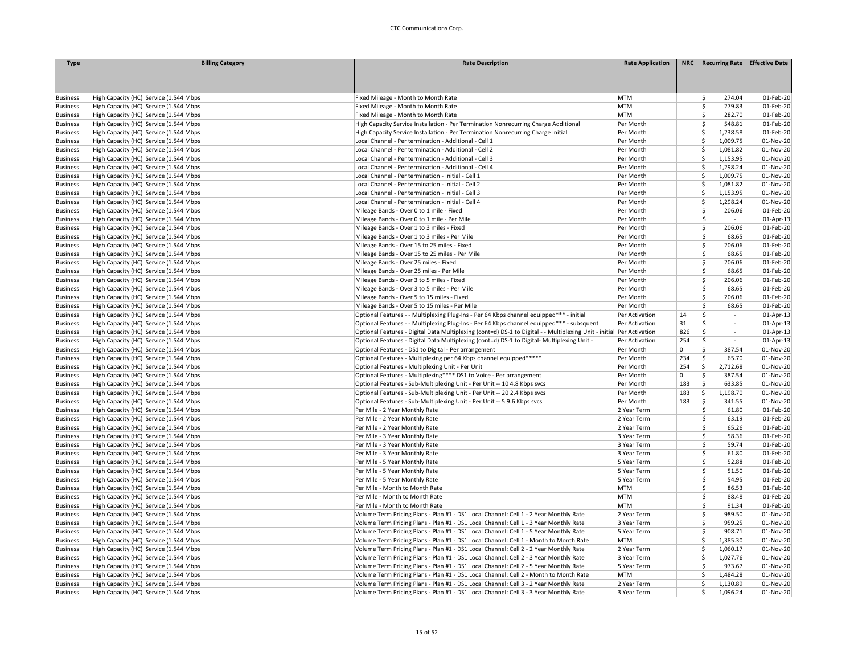| <b>Type</b>     | <b>Billing Category</b>                | <b>Rate Description</b>                                                                                               | <b>Rate Application</b>    |             | NRC   Recurring Rate   Effective Date |                        |
|-----------------|----------------------------------------|-----------------------------------------------------------------------------------------------------------------------|----------------------------|-------------|---------------------------------------|------------------------|
|                 |                                        |                                                                                                                       |                            |             |                                       |                        |
|                 |                                        |                                                                                                                       |                            |             |                                       |                        |
|                 |                                        |                                                                                                                       |                            |             |                                       |                        |
| <b>Business</b> | High Capacity (HC) Service (1.544 Mbps | Fixed Mileage - Month to Month Rate                                                                                   | <b>MTM</b>                 |             | 274.04<br>\$                          | 01-Feb-20              |
| <b>Business</b> | High Capacity (HC) Service (1.544 Mbps | Fixed Mileage - Month to Month Rate                                                                                   | <b>MTM</b>                 |             | 279.83<br>Ś.                          | 01-Feb-20              |
| <b>Business</b> | High Capacity (HC) Service (1.544 Mbps | Fixed Mileage - Month to Month Rate                                                                                   | <b>MTM</b>                 |             | Š.<br>282.70                          | 01-Feb-20              |
| <b>Business</b> | High Capacity (HC) Service (1.544 Mbps | High Capacity Service Installation - Per Termination Nonrecurring Charge Additional                                   | Per Month                  |             | \$<br>548.81                          | 01-Feb-20              |
| <b>Business</b> | High Capacity (HC) Service (1.544 Mbps | High Capacity Service Installation - Per Termination Nonrecurring Charge Initial                                      | Per Month                  |             | Ś<br>1,238.58                         | 01-Feb-20              |
| <b>Business</b> | High Capacity (HC) Service (1.544 Mbps | Local Channel - Per termination - Additional - Cell 1                                                                 | Per Month                  |             | \$<br>1,009.75                        | 01-Nov-20              |
| <b>Business</b> | High Capacity (HC) Service (1.544 Mbps | Local Channel - Per termination - Additional - Cell 2                                                                 | Per Month                  |             | \$<br>1,081.82                        | 01-Nov-20              |
| <b>Business</b> | High Capacity (HC) Service (1.544 Mbps | Local Channel - Per termination - Additional - Cell 3                                                                 | Per Month                  |             | Ś<br>1,153.95                         | 01-Nov-20              |
| <b>Business</b> | High Capacity (HC) Service (1.544 Mbps | Local Channel - Per termination - Additional - Cell 4                                                                 | Per Month                  |             | Ś<br>1.298.24                         | 01-Nov-20              |
| <b>Business</b> | High Capacity (HC) Service (1.544 Mbps | Local Channel - Per termination - Initial - Cell 1                                                                    | Per Month                  |             | Ś<br>1,009.75                         | 01-Nov-20              |
| <b>Business</b> | High Capacity (HC) Service (1.544 Mbps | Local Channel - Per termination - Initial - Cell 2                                                                    | Per Month                  |             | Ś<br>1,081.82                         | 01-Nov-20              |
| <b>Business</b> | High Capacity (HC) Service (1.544 Mbps | Local Channel - Per termination - Initial - Cell 3                                                                    | Per Month                  |             | Ś<br>1,153.95                         | 01-Nov-20              |
| <b>Business</b> | High Capacity (HC) Service (1.544 Mbps | Local Channel - Per termination - Initial - Cell 4                                                                    | Per Month                  |             | \$<br>1,298.24                        | 01-Nov-20              |
| <b>Business</b> | High Capacity (HC) Service (1.544 Mbps | Mileage Bands - Over 0 to 1 mile - Fixed                                                                              | Per Month                  |             | Ś<br>206.06                           | 01-Feb-20              |
| <b>Business</b> | High Capacity (HC) Service (1.544 Mbps | Mileage Bands - Over 0 to 1 mile - Per Mile                                                                           | Per Month                  |             | Ś<br>$\sim$                           | 01-Apr-13              |
| <b>Business</b> | High Capacity (HC) Service (1.544 Mbps | Mileage Bands - Over 1 to 3 miles - Fixed                                                                             | Per Month                  |             | $\mathsf{\hat{S}}$<br>206.06          | 01-Feb-20              |
| <b>Business</b> | High Capacity (HC) Service (1.544 Mbps | Mileage Bands - Over 1 to 3 miles - Per Mile                                                                          | Per Month                  |             | \$<br>68.65                           | 01-Feb-20              |
| <b>Business</b> | High Capacity (HC) Service (1.544 Mbps | Mileage Bands - Over 15 to 25 miles - Fixed                                                                           | Per Month                  |             | \$<br>206.06                          | 01-Feb-20              |
| <b>Business</b> | High Capacity (HC) Service (1.544 Mbps | Mileage Bands - Over 15 to 25 miles - Per Mile                                                                        | Per Month                  |             | Š.<br>68.65                           | 01-Feb-20              |
| <b>Business</b> | High Capacity (HC) Service (1.544 Mbps | Mileage Bands - Over 25 miles - Fixed                                                                                 | Per Month                  |             | Ś<br>206.06                           | 01-Feb-20              |
| <b>Business</b> | High Capacity (HC) Service (1.544 Mbps | Mileage Bands - Over 25 miles - Per Mile                                                                              | Per Month                  |             | \$<br>68.65                           | 01-Feb-20              |
| <b>Business</b> | High Capacity (HC) Service (1.544 Mbps | Mileage Bands - Over 3 to 5 miles - Fixed                                                                             | Per Month                  |             | Ś<br>206.06                           | 01-Feb-20              |
| <b>Business</b> | High Capacity (HC) Service (1.544 Mbps | Mileage Bands - Over 3 to 5 miles - Per Mile                                                                          | Per Month                  |             | \$<br>68.65                           | 01-Feb-20              |
| <b>Business</b> | High Capacity (HC) Service (1.544 Mbps | Mileage Bands - Over 5 to 15 miles - Fixed                                                                            | Per Month                  |             | Ś<br>206.06                           | 01-Feb-20              |
| <b>Business</b> | High Capacity (HC) Service (1.544 Mbps | Mileage Bands - Over 5 to 15 miles - Per Mile                                                                         | Per Month                  |             | Ś<br>68.65                            | 01-Feb-20              |
| <b>Business</b> | High Capacity (HC) Service (1.544 Mbps | Optional Features - - Multiplexing Plug-Ins - Per 64 Kbps channel equipped*** - initial                               | Per Activation             | 14          | Ŝ<br>$\sim$                           | 01-Apr-13              |
| <b>Business</b> | High Capacity (HC) Service (1.544 Mbps | Optional Features - - Multiplexing Plug-Ins - Per 64 Kbps channel equipped*** - subsquent                             | Per Activation             | 31          | Ś<br>$\sim$                           | 01-Apr-13              |
| <b>Business</b> | High Capacity (HC) Service (1.544 Mbps | Optional Features - Digital Data Multiplexing (cont=d) DS-1 to Digital - - Multiplexing Unit - initial Per Activation |                            | 826         | Ś<br>$\sim$                           | 01-Apr-13              |
| <b>Business</b> | High Capacity (HC) Service (1.544 Mbps | Optional Features - Digital Data Multiplexing (cont=d) DS-1 to Digital- Multiplexing Unit -                           | Per Activation             | 254         | Ś<br>$\sim$                           | 01-Apr-13              |
| <b>Business</b> | High Capacity (HC) Service (1.544 Mbps | Optional Features - DS1 to Digital - Per arrangement                                                                  | Per Month                  | $\mathbf 0$ | \$<br>387.54                          | 01-Nov-20              |
| <b>Business</b> | High Capacity (HC) Service (1.544 Mbps | Optional Features - Multiplexing per 64 Kbps channel equipped*****                                                    | Per Month                  | 234         | \$<br>65.70                           | 01-Nov-20              |
| <b>Business</b> | High Capacity (HC) Service (1.544 Mbps | Optional Features - Multiplexing Unit - Per Unit                                                                      | Per Month                  | 254         | \$<br>2,712.68                        | 01-Nov-20              |
| <b>Business</b> | High Capacity (HC) Service (1.544 Mbps | Optional Features - Multiplexing**** DS1 to Voice - Per arrangement                                                   | Per Month                  | 0           | \$<br>387.54                          | 01-Nov-20              |
| <b>Business</b> | High Capacity (HC) Service (1.544 Mbps | Optional Features - Sub-Multiplexing Unit - Per Unit -- 10 4.8 Kbps svcs                                              | Per Month                  | 183         | \$<br>633.85                          | 01-Nov-20              |
| <b>Business</b> | High Capacity (HC) Service (1.544 Mbps | Optional Features - Sub-Multiplexing Unit - Per Unit -- 20 2.4 Kbps svcs                                              | Per Month                  | 183         | \$<br>1,198.70                        | 01-Nov-20              |
| <b>Business</b> | High Capacity (HC) Service (1.544 Mbps | Optional Features - Sub-Multiplexing Unit - Per Unit -- 5 9.6 Kbps svcs                                               | Per Month                  | 183         | \$<br>341.55                          | 01-Nov-20              |
| <b>Business</b> | High Capacity (HC) Service (1.544 Mbps | Per Mile - 2 Year Monthly Rate                                                                                        | 2 Year Term                |             | \$<br>61.80                           | 01-Feb-20              |
|                 |                                        | Per Mile - 2 Year Monthly Rate                                                                                        |                            |             | \$<br>63.19                           | 01-Feb-20              |
| <b>Business</b> | High Capacity (HC) Service (1.544 Mbps |                                                                                                                       | 2 Year Term                |             | Ś                                     |                        |
| <b>Business</b> | High Capacity (HC) Service (1.544 Mbps | Per Mile - 2 Year Monthly Rate                                                                                        | 2 Year Term<br>3 Year Term |             | 65.26<br>\$<br>58.36                  | 01-Feb-20<br>01-Feb-20 |
| <b>Business</b> | High Capacity (HC) Service (1.544 Mbps | Per Mile - 3 Year Monthly Rate                                                                                        |                            |             | \$                                    |                        |
| <b>Business</b> | High Capacity (HC) Service (1.544 Mbps | Per Mile - 3 Year Monthly Rate                                                                                        | 3 Year Term                |             | 59.74<br>\$                           | 01-Feb-20<br>01-Feb-20 |
| <b>Business</b> | High Capacity (HC) Service (1.544 Mbps | Per Mile - 3 Year Monthly Rate                                                                                        | 3 Year Term                |             | 61.80                                 |                        |
| <b>Business</b> | High Capacity (HC) Service (1.544 Mbps | Per Mile - 5 Year Monthly Rate                                                                                        | 5 Year Term                |             | \$<br>52.88                           | 01-Feb-20              |
| <b>Business</b> | High Capacity (HC) Service (1.544 Mbps | Per Mile - 5 Year Monthly Rate                                                                                        | 5 Year Term                |             | \$<br>51.50                           | 01-Feb-20              |
| <b>Business</b> | High Capacity (HC) Service (1.544 Mbps | Per Mile - 5 Year Monthly Rate                                                                                        | 5 Year Term                |             | \$<br>54.95                           | 01-Feb-20              |
| <b>Business</b> | High Capacity (HC) Service (1.544 Mbps | Per Mile - Month to Month Rate                                                                                        | <b>MTM</b>                 |             | \$<br>86.53                           | 01-Feb-20              |
| <b>Business</b> | High Capacity (HC) Service (1.544 Mbps | Per Mile - Month to Month Rate                                                                                        | <b>MTM</b>                 |             | Š.<br>88.48                           | 01-Feb-20              |
| <b>Business</b> | High Capacity (HC) Service (1.544 Mbps | Per Mile - Month to Month Rate                                                                                        | <b>MTM</b>                 |             | \$.<br>91.34                          | 01-Feb-20              |
| <b>Business</b> | High Capacity (HC) Service (1.544 Mbps | Volume Term Pricing Plans - Plan #1 - DS1 Local Channel: Cell 1 - 2 Year Monthly Rate                                 | 2 Year Term                |             | $\mathsf{\hat{S}}$<br>989.50          | 01-Nov-20              |
| <b>Business</b> | High Capacity (HC) Service (1.544 Mbps | Volume Term Pricing Plans - Plan #1 - DS1 Local Channel: Cell 1 - 3 Year Monthly Rate                                 | 3 Year Term                |             | Ś<br>959.25                           | 01-Nov-20              |
| <b>Business</b> | High Capacity (HC) Service (1.544 Mbps | Volume Term Pricing Plans - Plan #1 - DS1 Local Channel: Cell 1 - 5 Year Monthly Rate                                 | 5 Year Term                |             | \$<br>908.71                          | 01-Nov-20              |
| <b>Business</b> | High Capacity (HC) Service (1.544 Mbps | Volume Term Pricing Plans - Plan #1 - DS1 Local Channel: Cell 1 - Month to Month Rate                                 | <b>MTM</b>                 |             | \$<br>1,385.30                        | 01-Nov-20              |
| <b>Business</b> | High Capacity (HC) Service (1.544 Mbps | Volume Term Pricing Plans - Plan #1 - DS1 Local Channel: Cell 2 - 2 Year Monthly Rate                                 | 2 Year Term                |             | Ś<br>1,060.17                         | 01-Nov-20              |
| <b>Business</b> | High Capacity (HC) Service (1.544 Mbps | Volume Term Pricing Plans - Plan #1 - DS1 Local Channel: Cell 2 - 3 Year Monthly Rate                                 | 3 Year Term                |             | Ś<br>1,027.76                         | 01-Nov-20              |
| <b>Business</b> | High Capacity (HC) Service (1.544 Mbps | Volume Term Pricing Plans - Plan #1 - DS1 Local Channel: Cell 2 - 5 Year Monthly Rate                                 | 5 Year Term                |             | $\mathsf{\hat{S}}$<br>973.67          | 01-Nov-20              |
| <b>Business</b> | High Capacity (HC) Service (1.544 Mbps | Volume Term Pricing Plans - Plan #1 - DS1 Local Channel: Cell 2 - Month to Month Rate                                 | <b>MTM</b>                 |             | Ś<br>1,484.28                         | 01-Nov-20              |
| <b>Business</b> | High Capacity (HC) Service (1.544 Mbps | Volume Term Pricing Plans - Plan #1 - DS1 Local Channel: Cell 3 - 2 Year Monthly Rate                                 | 2 Year Term                |             | Ś<br>1,130.89                         | 01-Nov-20              |
| <b>Business</b> | High Capacity (HC) Service (1.544 Mbps | Volume Term Pricing Plans - Plan #1 - DS1 Local Channel: Cell 3 - 3 Year Monthly Rate                                 | 3 Year Term                |             | Ś<br>1,096.24                         | 01-Nov-20              |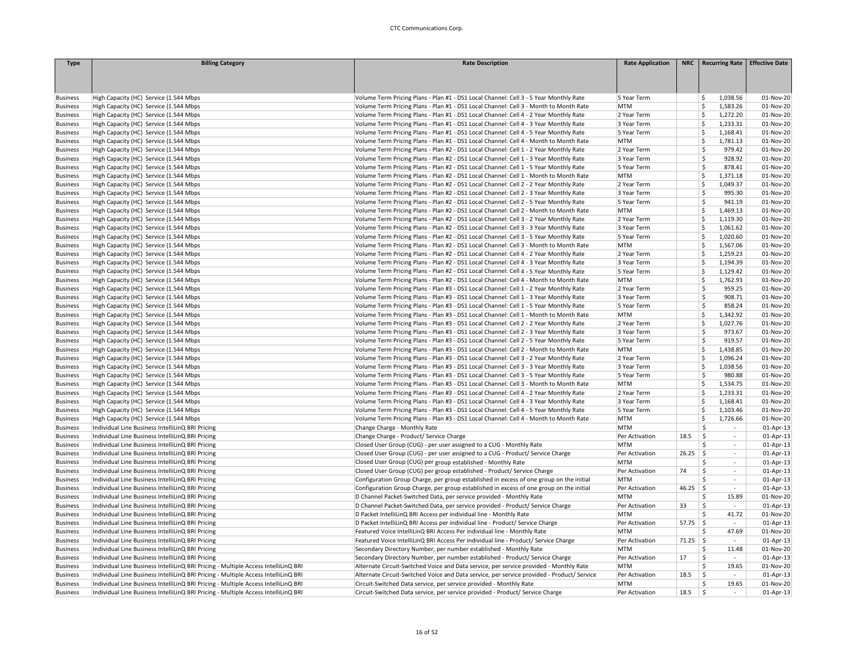| <b>Type</b>     | <b>Billing Category</b>                                                            | <b>Rate Description</b>                                                                    | <b>Rate Application</b> |            | NRC   Recurring Rate   Effective Date |           |
|-----------------|------------------------------------------------------------------------------------|--------------------------------------------------------------------------------------------|-------------------------|------------|---------------------------------------|-----------|
|                 |                                                                                    |                                                                                            |                         |            |                                       |           |
|                 |                                                                                    |                                                                                            |                         |            |                                       |           |
|                 |                                                                                    |                                                                                            |                         |            |                                       |           |
| <b>Business</b> | High Capacity (HC) Service (1.544 Mbps                                             | Volume Term Pricing Plans - Plan #1 - DS1 Local Channel: Cell 3 - 5 Year Monthly Rate      | 5 Year Term             |            | 1,038.56<br>\$                        | 01-Nov-20 |
| <b>Business</b> | High Capacity (HC) Service (1.544 Mbps                                             | Volume Term Pricing Plans - Plan #1 - DS1 Local Channel: Cell 3 - Month to Month Rate      | <b>MTM</b>              |            | Ś<br>1,583.26                         | 01-Nov-20 |
| <b>Business</b> | High Capacity (HC) Service (1.544 Mbps                                             | Volume Term Pricing Plans - Plan #1 - DS1 Local Channel: Cell 4 - 2 Year Monthly Rate      | 2 Year Term             |            | Ś<br>1,272.20                         | 01-Nov-20 |
| <b>Business</b> | High Capacity (HC) Service (1.544 Mbps                                             | Volume Term Pricing Plans - Plan #1 - DS1 Local Channel: Cell 4 - 3 Year Monthly Rate      | 3 Year Term             |            | Ś<br>1,233.31                         | 01-Nov-20 |
| <b>Business</b> | High Capacity (HC) Service (1.544 Mbps                                             | Volume Term Pricing Plans - Plan #1 - DS1 Local Channel: Cell 4 - 5 Year Monthly Rate      | 5 Year Term             |            | Ś<br>1,168.41                         | 01-Nov-20 |
| <b>Business</b> | High Capacity (HC) Service (1.544 Mbps                                             | Volume Term Pricing Plans - Plan #1 - DS1 Local Channel: Cell 4 - Month to Month Rate      | <b>MTM</b>              |            | 1,781.13<br>Ŝ.                        | 01-Nov-20 |
| <b>Business</b> | High Capacity (HC) Service (1.544 Mbps                                             | Volume Term Pricing Plans - Plan #2 - DS1 Local Channel: Cell 1 - 2 Year Monthly Rate      | 2 Year Term             |            | Ś<br>979.42                           | 01-Nov-20 |
| <b>Business</b> | High Capacity (HC) Service (1.544 Mbps                                             | Volume Term Pricing Plans - Plan #2 - DS1 Local Channel: Cell 1 - 3 Year Monthly Rate      | 3 Year Term             |            | \$<br>928.92                          | 01-Nov-20 |
| <b>Business</b> | High Capacity (HC) Service (1.544 Mbps                                             | Volume Term Pricing Plans - Plan #2 - DS1 Local Channel: Cell 1 - 5 Year Monthly Rate      | 5 Year Term             |            | Ś<br>878.41                           | 01-Nov-20 |
| <b>Business</b> | High Capacity (HC) Service (1.544 Mbps                                             | Volume Term Pricing Plans - Plan #2 - DS1 Local Channel: Cell 1 - Month to Month Rate      | <b>MTM</b>              |            | \$.<br>1,371.18                       | 01-Nov-20 |
| <b>Business</b> | High Capacity (HC) Service (1.544 Mbps                                             | Volume Term Pricing Plans - Plan #2 - DS1 Local Channel: Cell 2 - 2 Year Monthly Rate      | 2 Year Term             |            | Ś<br>1,049.37                         | 01-Nov-20 |
| <b>Business</b> | High Capacity (HC) Service (1.544 Mbps                                             | Volume Term Pricing Plans - Plan #2 - DS1 Local Channel: Cell 2 - 3 Year Monthly Rate      | 3 Year Term             |            | Ś<br>995.30                           | 01-Nov-20 |
| <b>Business</b> | High Capacity (HC) Service (1.544 Mbps                                             | Volume Term Pricing Plans - Plan #2 - DS1 Local Channel: Cell 2 - 5 Year Monthly Rate      | 5 Year Term             |            | \$<br>941.19                          | 01-Nov-20 |
| <b>Business</b> | High Capacity (HC) Service (1.544 Mbps                                             | Volume Term Pricing Plans - Plan #2 - DS1 Local Channel: Cell 2 - Month to Month Rate      | <b>MTM</b>              |            | Ś<br>1,469.13                         | 01-Nov-20 |
| <b>Business</b> | High Capacity (HC) Service (1.544 Mbps                                             | Volume Term Pricing Plans - Plan #2 - DS1 Local Channel: Cell 3 - 2 Year Monthly Rate      | 2 Year Term             |            | Ś<br>1,119.30                         | 01-Nov-20 |
| <b>Business</b> | High Capacity (HC) Service (1.544 Mbps                                             | Volume Term Pricing Plans - Plan #2 - DS1 Local Channel: Cell 3 - 3 Year Monthly Rate      | 3 Year Term             |            | Ś<br>1,061.62                         | 01-Nov-20 |
| <b>Business</b> | High Capacity (HC) Service (1.544 Mbps                                             | Volume Term Pricing Plans - Plan #2 - DS1 Local Channel: Cell 3 - 5 Year Monthly Rate      | 5 Year Term             |            | Ś<br>1,020.60                         | 01-Nov-20 |
| <b>Business</b> | High Capacity (HC) Service (1.544 Mbps                                             | Volume Term Pricing Plans - Plan #2 - DS1 Local Channel: Cell 3 - Month to Month Rate      | <b>MTM</b>              |            | Ś<br>1,567.06                         | 01-Nov-20 |
| <b>Business</b> | High Capacity (HC) Service (1.544 Mbps                                             | Volume Term Pricing Plans - Plan #2 - DS1 Local Channel: Cell 4 - 2 Year Monthly Rate      | 2 Year Term             |            | \$<br>1,259.23                        | 01-Nov-20 |
| <b>Business</b> | High Capacity (HC) Service (1.544 Mbps                                             | Volume Term Pricing Plans - Plan #2 - DS1 Local Channel: Cell 4 - 3 Year Monthly Rate      | 3 Year Term             |            | Ś<br>1,194.39                         | 01-Nov-20 |
| <b>Business</b> | High Capacity (HC) Service (1.544 Mbps                                             | Volume Term Pricing Plans - Plan #2 - DS1 Local Channel: Cell 4 - 5 Year Monthly Rate      | 5 Year Term             |            | 1,129.42<br>Ś.                        | 01-Nov-20 |
| <b>Business</b> | High Capacity (HC) Service (1.544 Mbps                                             | Volume Term Pricing Plans - Plan #2 - DS1 Local Channel: Cell 4 - Month to Month Rate      | <b>MTM</b>              |            | Ś<br>1,762.93                         | 01-Nov-20 |
| <b>Business</b> | High Capacity (HC) Service (1.544 Mbps                                             | Volume Term Pricing Plans - Plan #3 - DS1 Local Channel: Cell 1 - 2 Year Monthly Rate      | 2 Year Term             |            | Ś<br>959.25                           | 01-Nov-20 |
| <b>Business</b> | High Capacity (HC) Service (1.544 Mbps                                             | Volume Term Pricing Plans - Plan #3 - DS1 Local Channel: Cell 1 - 3 Year Monthly Rate      | 3 Year Term             |            | Ś<br>908.71                           | 01-Nov-20 |
| <b>Business</b> | High Capacity (HC) Service (1.544 Mbps                                             | Volume Term Pricing Plans - Plan #3 - DS1 Local Channel: Cell 1 - 5 Year Monthly Rate      | 5 Year Term             |            | \$<br>858.24                          | 01-Nov-20 |
| <b>Business</b> | High Capacity (HC) Service (1.544 Mbps                                             | Volume Term Pricing Plans - Plan #3 - DS1 Local Channel: Cell 1 - Month to Month Rate      | <b>MTM</b>              |            | Ś<br>1,342.92                         | 01-Nov-20 |
| <b>Business</b> | High Capacity (HC) Service (1.544 Mbps                                             | Volume Term Pricing Plans - Plan #3 - DS1 Local Channel: Cell 2 - 2 Year Monthly Rate      | 2 Year Term             |            | Ś<br>1,027.76                         | 01-Nov-20 |
| <b>Business</b> | High Capacity (HC) Service (1.544 Mbps                                             | Volume Term Pricing Plans - Plan #3 - DS1 Local Channel: Cell 2 - 3 Year Monthly Rate      | 3 Year Term             |            | Ś<br>973.67                           | 01-Nov-20 |
| <b>Business</b> | High Capacity (HC) Service (1.544 Mbps                                             | Volume Term Pricing Plans - Plan #3 - DS1 Local Channel: Cell 2 - 5 Year Monthly Rate      | 5 Year Term             |            | Ś<br>919.57                           | 01-Nov-20 |
| <b>Business</b> | High Capacity (HC) Service (1.544 Mbps                                             | Volume Term Pricing Plans - Plan #3 - DS1 Local Channel: Cell 2 - Month to Month Rate      | <b>MTM</b>              |            | Ś<br>1,438.85                         | 01-Nov-20 |
| <b>Business</b> | High Capacity (HC) Service (1.544 Mbps                                             | Volume Term Pricing Plans - Plan #3 - DS1 Local Channel: Cell 3 - 2 Year Monthly Rate      | 2 Year Term             |            | \$<br>1,096.24                        | 01-Nov-20 |
| <b>Business</b> | High Capacity (HC) Service (1.544 Mbps                                             | Volume Term Pricing Plans - Plan #3 - DS1 Local Channel: Cell 3 - 3 Year Monthly Rate      | 3 Year Term             |            | \$<br>1,038.56                        | 01-Nov-20 |
| <b>Business</b> | High Capacity (HC) Service (1.544 Mbps                                             | Volume Term Pricing Plans - Plan #3 - DS1 Local Channel: Cell 3 - 5 Year Monthly Rate      | 5 Year Term             |            | Ś<br>980.88                           | 01-Nov-20 |
| <b>Business</b> | High Capacity (HC) Service (1.544 Mbps                                             | Volume Term Pricing Plans - Plan #3 - DS1 Local Channel: Cell 3 - Month to Month Rate      | <b>MTM</b>              |            | Ś<br>1,534.75                         | 01-Nov-20 |
| <b>Business</b> | High Capacity (HC) Service (1.544 Mbps                                             | Volume Term Pricing Plans - Plan #3 - DS1 Local Channel: Cell 4 - 2 Year Monthly Rate      | 2 Year Term             |            | Ś<br>1,233.31                         | 01-Nov-20 |
| <b>Business</b> | High Capacity (HC) Service (1.544 Mbps                                             | Volume Term Pricing Plans - Plan #3 - DS1 Local Channel: Cell 4 - 3 Year Monthly Rate      | 3 Year Term             |            | Ś<br>1,168.41                         | 01-Nov-20 |
| <b>Business</b> | High Capacity (HC) Service (1.544 Mbps                                             | Volume Term Pricing Plans - Plan #3 - DS1 Local Channel: Cell 4 - 5 Year Monthly Rate      | 5 Year Term             |            | Ś<br>1,103.46                         | 01-Nov-20 |
| <b>Business</b> | High Capacity (HC) Service (1.544 Mbps                                             | Volume Term Pricing Plans - Plan #3 - DS1 Local Channel: Cell 4 - Month to Month Rate      | <b>MTM</b>              |            | 1,726.66<br>Ś.                        | 01-Nov-20 |
| <b>Business</b> | Individual Line Business IntelliLinQ BRI Pricing                                   | Change Charge - Monthly Rate                                                               | <b>MTM</b>              |            | \$<br>$\sim$                          | 01-Apr-13 |
| <b>Business</b> | Individual Line Business IntelliLinQ BRI Pricing                                   | Change Charge - Product/ Service Charge                                                    | Per Activation          | 18.5       | \$<br>$\sim$                          | 01-Apr-13 |
| <b>Business</b> | Individual Line Business IntelliLinQ BRI Pricing                                   | Closed User Group (CUG) - per user assigned to a CUG - Monthly Rate                        | <b>MTM</b>              |            | Ś<br>$\sim$                           | 01-Apr-13 |
| <b>Business</b> | Individual Line Business IntelliLinQ BRI Pricing                                   | Closed User Group (CUG) - per user assigned to a CUG - Product/ Service Charge             | Per Activation          | 26.25      | $\mathsf{S}$<br>$\sim$                | 01-Apr-13 |
| <b>Business</b> | Individual Line Business IntelliLinQ BRI Pricing                                   | Closed User Group (CUG) per group established - Monthly Rate                               | <b>MTM</b>              |            | Ś<br>$\sim$                           | 01-Apr-13 |
| <b>Business</b> | Individual Line Business IntelliLinQ BRI Pricing                                   | Closed User Group (CUG) per group established - Product/ Service Charge                    | Per Activation          | 74         | Ś<br>$\sim$                           | 01-Apr-13 |
| <b>Business</b> | Individual Line Business IntelliLinQ BRI Pricing                                   | Configuration Group Charge, per group established in excess of one group on the initial    | <b>MTM</b>              |            | Ŝ<br>$\sim$                           | 01-Apr-13 |
| <b>Business</b> | Individual Line Business IntelliLinQ BRI Pricing                                   | Configuration Group Charge, per group established in excess of one group on the initial    | Per Activation          | $46.25$ \$ | $\sim$                                | 01-Apr-13 |
| <b>Business</b> | Individual Line Business IntelliLinQ BRI Pricing                                   | D Channel Packet-Switched Data, per service provided - Monthly Rate                        | <b>MTM</b>              |            | \$<br>15.89                           | 01-Nov-20 |
| <b>Business</b> | Individual Line Business IntelliLinQ BRI Pricing                                   | D Channel Packet-Switched Data, per service provided - Product/ Service Charge             | Per Activation          | 33         | $\mathsf{\hat{S}}$<br>$\sim$          | 01-Apr-13 |
| <b>Business</b> | Individual Line Business IntelliLinQ BRI Pricing                                   | D Packet IntelliLinQ BRI Access per individual line - Monthly Rate                         | <b>MTM</b>              |            | Ś<br>41.72                            | 01-Nov-20 |
| <b>Business</b> | Individual Line Business IntelliLinQ BRI Pricing                                   | D Packet IntelliLinQ BRI Access per individual line - Product/ Service Charge              | Per Activation          | $57.75$ \$ | $\sim$                                | 01-Apr-13 |
| <b>Business</b> | Individual Line Business IntelliLinQ BRI Pricing                                   | Featured Voice IntelliLinQ BRI Access Per individual line - Monthly Rate                   | <b>MTM</b>              |            | \$<br>47.69                           | 01-Nov-20 |
| <b>Business</b> | Individual Line Business IntelliLinQ BRI Pricing                                   | Featured Voice IntelliLinQ BRI Access Per individual line - Product/ Service Charge        | Per Activation          | $71.25$ \$ | $\sim$                                | 01-Apr-13 |
| <b>Business</b> | Individual Line Business IntelliLinQ BRI Pricing                                   | Secondary Directory Number, per number established - Monthly Rate                          | <b>MTM</b>              |            | Ś<br>11.48                            | 01-Nov-20 |
| <b>Business</b> | Individual Line Business IntelliLinQ BRI Pricing                                   | Secondary Directory Number, per number established - Product/ Service Charge               | Per Activation          | 17         | \$<br>$\sim$                          | 01-Apr-13 |
| <b>Business</b> | Individual Line Business IntelliLinQ BRI Pricing - Multiple Access IntelliLinQ BRI | Alternate Circuit-Switched Voice and Data service, per service provided - Monthly Rate     | <b>MTM</b>              |            | \$.<br>19.65                          | 01-Nov-20 |
| <b>Business</b> | Individual Line Business IntelliLinQ BRI Pricing - Multiple Access IntelliLinQ BRI | Alternate Circuit-Switched Voice and Data service, per service provided - Product/ Service | Per Activation          | 18.5       | \$<br>$\sim$                          | 01-Apr-13 |
| <b>Business</b> | Individual Line Business IntelliLinQ BRI Pricing - Multiple Access IntelliLinQ BRI | Circuit-Switched Data service, per service provided - Monthly Rate                         | <b>MTM</b>              |            | \$<br>19.65                           | 01-Nov-20 |
| <b>Business</b> | Individual Line Business IntelliLinQ BRI Pricing - Multiple Access IntelliLinQ BRI | Circuit-Switched Data service, per service provided - Product/ Service Charge              | Per Activation          | 18.5       | $\mathsf{S}$                          | 01-Apr-13 |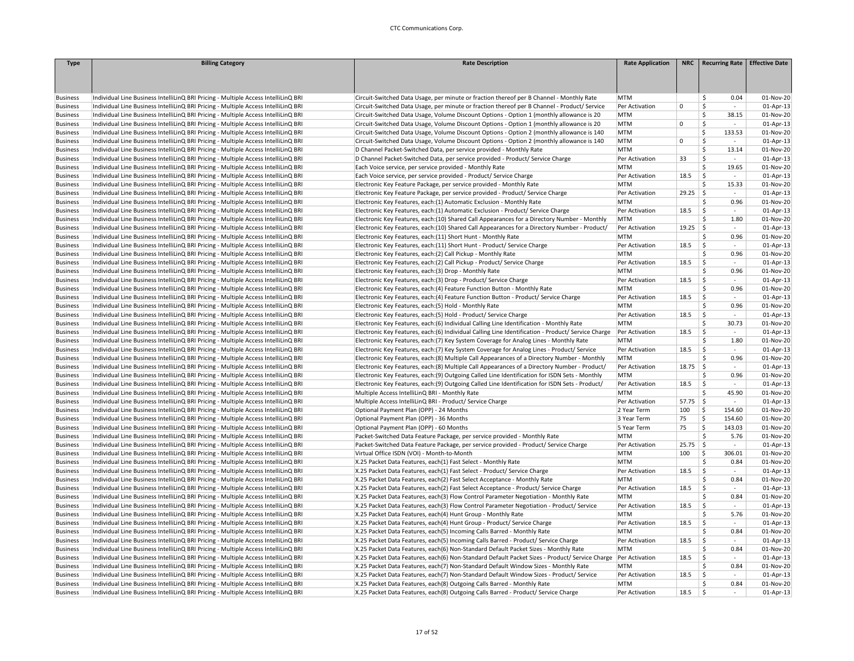| <b>Type</b>     | <b>Billing Category</b>                                                                                                                                                  | <b>Rate Description</b>                                                                                                                   | <b>Rate Application</b> | <b>NRC</b>  | <b>Recurring Rate</b>          | <b>Effective Date</b> |
|-----------------|--------------------------------------------------------------------------------------------------------------------------------------------------------------------------|-------------------------------------------------------------------------------------------------------------------------------------------|-------------------------|-------------|--------------------------------|-----------------------|
|                 |                                                                                                                                                                          |                                                                                                                                           |                         |             |                                |                       |
|                 |                                                                                                                                                                          |                                                                                                                                           |                         |             |                                |                       |
|                 |                                                                                                                                                                          |                                                                                                                                           |                         |             |                                |                       |
| <b>Business</b> | Individual Line Business IntelliLinQ BRI Pricing - Multiple Access IntelliLinQ BRI                                                                                       | Circuit-Switched Data Usage, per minute or fraction thereof per B Channel - Monthly Rate                                                  | <b>MTM</b>              |             | 0.04<br>Ŝ.                     | 01-Nov-20             |
| <b>Business</b> | Individual Line Business IntelliLinQ BRI Pricing - Multiple Access IntelliLinQ BRI                                                                                       | Circuit-Switched Data Usage, per minute or fraction thereof per B Channel - Product/ Service                                              | Per Activation          | $\mathbf 0$ | \$                             | 01-Apr-13             |
| <b>Business</b> | Individual Line Business IntelliLinQ BRI Pricing - Multiple Access IntelliLinQ BRI                                                                                       | Circuit-Switched Data Usage, Volume Discount Options - Option 1 (monthly allowance is 20                                                  | <b>MTM</b>              |             | Ś<br>38.15                     | 01-Nov-20             |
| <b>Business</b> | Individual Line Business IntelliLinQ BRI Pricing - Multiple Access IntelliLinQ BRI                                                                                       | Circuit-Switched Data Usage, Volume Discount Options - Option 1 (monthly allowance is 20                                                  | MTM                     | $\mathsf 0$ | \$<br>$\overline{\phantom{a}}$ | 01-Apr-13             |
| <b>Business</b> | Individual Line Business IntelliLinQ BRI Pricing - Multiple Access IntelliLinQ BRI                                                                                       | Circuit-Switched Data Usage, Volume Discount Options - Option 2 (monthly allowance is 140                                                 | <b>MTM</b>              |             | \$<br>133.53                   | 01-Nov-20             |
| <b>Business</b> | Individual Line Business IntelliLinQ BRI Pricing - Multiple Access IntelliLinQ BRI                                                                                       | Circuit-Switched Data Usage, Volume Discount Options - Option 2 (monthly allowance is 140                                                 | <b>MTM</b>              | $\mathbf 0$ | Ś.<br>$\sim$                   | 01-Apr-13             |
| <b>Business</b> | Individual Line Business IntelliLinQ BRI Pricing - Multiple Access IntelliLinQ BRI                                                                                       | D Channel Packet-Switched Data, per service provided - Monthly Rate                                                                       | <b>MTM</b>              |             | Ś.<br>13.14                    | 01-Nov-20             |
| <b>Business</b> | Individual Line Business IntelliLinQ BRI Pricing - Multiple Access IntelliLinQ BRI                                                                                       | D Channel Packet-Switched Data, per service provided - Product/ Service Charge                                                            | Per Activation          | 33          | \$<br>$\sim$                   | 01-Apr-13             |
| <b>Business</b> | Individual Line Business IntelliLinQ BRI Pricing - Multiple Access IntelliLinQ BRI                                                                                       | Each Voice service, per service provided - Monthly Rate                                                                                   | <b>MTM</b>              |             | \$<br>19.65                    | 01-Nov-20             |
| <b>Business</b> | Individual Line Business IntelliLinQ BRI Pricing - Multiple Access IntelliLinQ BRI                                                                                       | Each Voice service, per service provided - Product/ Service Charge                                                                        | Per Activation          | 18.5        | $\mathsf{S}$<br>$\sim$         | 01-Apr-13             |
| <b>Business</b> | Individual Line Business IntelliLinQ BRI Pricing - Multiple Access IntelliLinQ BRI                                                                                       | Electronic Key Feature Package, per service provided - Monthly Rate                                                                       | <b>MTM</b>              |             | Ś.<br>15.33                    | 01-Nov-20             |
| <b>Business</b> | Individual Line Business IntelliLinQ BRI Pricing - Multiple Access IntelliLinQ BRI                                                                                       | Electronic Key Feature Package, per service provided - Product/ Service Charge                                                            | Per Activation          | 29.25       | ۱ś.                            | 01-Apr-13             |
| <b>Business</b> | Individual Line Business IntelliLinQ BRI Pricing - Multiple Access IntelliLinQ BRI                                                                                       | Electronic Key Features, each: (1) Automatic Exclusion - Monthly Rate                                                                     | <b>MTM</b>              |             | Š.<br>0.96                     | 01-Nov-20             |
| <b>Business</b> | Individual Line Business IntelliLinQ BRI Pricing - Multiple Access IntelliLinQ BRI                                                                                       | Electronic Key Features, each:(1) Automatic Exclusion - Product/ Service Charge                                                           | Per Activation          | 18.5        | $\ddot{\mathsf{S}}$<br>$\sim$  | 01-Apr-13             |
| <b>Business</b> | Individual Line Business IntelliLinQ BRI Pricing - Multiple Access IntelliLinQ BRI                                                                                       | Electronic Key Features, each: (10) Shared Call Appearances for a Directory Number - Monthly                                              | MTM                     |             | \$<br>1.80                     | 01-Nov-20             |
| <b>Business</b> | Individual Line Business IntelliLinQ BRI Pricing - Multiple Access IntelliLinQ BRI                                                                                       | Electronic Key Features, each:(10) Shared Call Appearances for a Directory Number - Product/                                              | Per Activation          | 19.25       | ∣\$                            | 01-Apr-13             |
| <b>Business</b> | Individual Line Business IntelliLinQ BRI Pricing - Multiple Access IntelliLinQ BRI                                                                                       | Electronic Key Features, each: (11) Short Hunt - Monthly Rate                                                                             | <b>MTM</b>              |             | Š.<br>0.96                     | 01-Nov-20             |
| <b>Business</b> | Individual Line Business IntelliLinQ BRI Pricing - Multiple Access IntelliLinQ BRI                                                                                       | Electronic Key Features, each: (11) Short Hunt - Product/ Service Charge                                                                  | Per Activation          | 18.5        | Ŝ.<br>$\sim$                   | 01-Apr-13             |
| <b>Business</b> | Individual Line Business IntelliLinQ BRI Pricing - Multiple Access IntelliLinQ BRI                                                                                       | Electronic Key Features, each: (2) Call Pickup - Monthly Rate                                                                             | <b>MTM</b>              |             | Ś<br>0.96                      | 01-Nov-20             |
| <b>Business</b> | Individual Line Business IntelliLinQ BRI Pricing - Multiple Access IntelliLinQ BRI                                                                                       | Electronic Key Features, each:(2) Call Pickup - Product/ Service Charge                                                                   | Per Activation          | 18.5        | \$<br>$\sim$                   | 01-Apr-13             |
| <b>Business</b> | Individual Line Business IntelliLinQ BRI Pricing - Multiple Access IntelliLinQ BRI                                                                                       | Electronic Key Features, each: (3) Drop - Monthly Rate                                                                                    | <b>MTM</b>              |             | $\mathsf{\hat{S}}$<br>0.96     | 01-Nov-20             |
| <b>Business</b> | Individual Line Business IntelliLinQ BRI Pricing - Multiple Access IntelliLinQ BRI                                                                                       | Electronic Key Features, each: (3) Drop - Product/ Service Charge                                                                         | Per Activation          | 18.5        | \$<br>$\sim$                   | 01-Apr-13             |
| <b>Business</b> | Individual Line Business IntelliLinQ BRI Pricing - Multiple Access IntelliLinQ BRI                                                                                       | Electronic Key Features, each: (4) Feature Function Button - Monthly Rate                                                                 | <b>MTM</b>              |             | Š.<br>0.96                     | 01-Nov-20             |
| <b>Business</b> | Individual Line Business IntelliLinQ BRI Pricing - Multiple Access IntelliLinQ BRI                                                                                       | Electronic Key Features, each: (4) Feature Function Button - Product/ Service Charge                                                      | Per Activation          | 18.5        | \$<br>$\sim$                   | 01-Apr-13             |
| <b>Business</b> | Individual Line Business IntelliLinQ BRI Pricing - Multiple Access IntelliLinQ BRI                                                                                       | Electronic Key Features, each: (5) Hold - Monthly Rate                                                                                    | <b>MTM</b>              |             | Š.<br>0.96                     | 01-Nov-20             |
| <b>Business</b> | Individual Line Business IntelliLinQ BRI Pricing - Multiple Access IntelliLinQ BRI                                                                                       | Electronic Key Features, each:(5) Hold - Product/ Service Charge                                                                          | Per Activation          | 18.5        | \$                             | 01-Apr-13             |
| <b>Business</b> | Individual Line Business IntelliLinQ BRI Pricing - Multiple Access IntelliLinQ BRI                                                                                       | Electronic Key Features, each: (6) Individual Calling Line Identification - Monthly Rate                                                  | <b>MTM</b>              |             | Ś<br>30.73                     | 01-Nov-20             |
| <b>Business</b> | Individual Line Business IntelliLinQ BRI Pricing - Multiple Access IntelliLinQ BRI                                                                                       | Electronic Key Features, each: (6) Individual Calling Line Identification - Product/ Service Charge                                       | Per Activation          | 18.5        | -\$<br>in 1                    | 01-Apr-13             |
| <b>Business</b> | Individual Line Business IntelliLinQ BRI Pricing - Multiple Access IntelliLinQ BRI                                                                                       | Electronic Key Features, each: (7) Key System Coverage for Analog Lines - Monthly Rate                                                    | <b>MTM</b>              |             | Ś<br>1.80                      | 01-Nov-20             |
| <b>Business</b> | Individual Line Business IntelliLinQ BRI Pricing - Multiple Access IntelliLinQ BRI                                                                                       | Electronic Key Features, each: (7) Key System Coverage for Analog Lines - Product/ Service                                                | Per Activation          | 18.5        | Ŝ.<br>$\sim$                   | 01-Apr-13             |
| <b>Business</b> | Individual Line Business IntelliLinQ BRI Pricing - Multiple Access IntelliLinQ BRI                                                                                       | Electronic Key Features, each: (8) Multiple Call Appearances of a Directory Number - Monthly                                              | <b>MTM</b>              |             | Ś<br>0.96                      | 01-Nov-20             |
| <b>Business</b> | Individual Line Business IntelliLinQ BRI Pricing - Multiple Access IntelliLinQ BRI                                                                                       | Electronic Key Features, each: (8) Multiple Call Appearances of a Directory Number - Product/                                             | Per Activation          | 18.75       | l \$<br>$\sim$                 | 01-Apr-13             |
| <b>Business</b> | Individual Line Business IntelliLinQ BRI Pricing - Multiple Access IntelliLinQ BRI                                                                                       | Electronic Key Features, each:(9) Outgoing Called Line Identification for ISDN Sets - Monthly                                             | <b>MTM</b>              |             | Ś<br>0.96                      | 01-Nov-20             |
| <b>Business</b> | Individual Line Business IntelliLinQ BRI Pricing - Multiple Access IntelliLinQ BRI                                                                                       | Electronic Key Features, each: (9) Outgoing Called Line Identification for ISDN Sets - Product/                                           | Per Activation          | 18.5        | \$<br>$\sim$                   | 01-Apr-13             |
| <b>Business</b> | Individual Line Business IntelliLinQ BRI Pricing - Multiple Access IntelliLinQ BRI                                                                                       | Multiple Access IntelliLinQ BRI - Monthly Rate                                                                                            | <b>MTM</b>              |             | 45.90<br>\$                    | 01-Nov-20             |
| <b>Business</b> | Individual Line Business IntelliLinQ BRI Pricing - Multiple Access IntelliLinQ BRI                                                                                       | Multiple Access IntelliLinQ BRI - Product/ Service Charge                                                                                 | Per Activation          | 57.75       | ۱\$                            | 01-Apr-13             |
| <b>Business</b> | Individual Line Business IntelliLinQ BRI Pricing - Multiple Access IntelliLinQ BRI                                                                                       | Optional Payment Plan (OPP) - 24 Months                                                                                                   | 2 Year Term             | 100         | \$<br>154.60                   | 01-Nov-20             |
| <b>Business</b> | Individual Line Business IntelliLinQ BRI Pricing - Multiple Access IntelliLinQ BRI                                                                                       | Optional Payment Plan (OPP) - 36 Months                                                                                                   | 3 Year Term             | 75          | $\mathsf{\hat{S}}$<br>154.60   | 01-Nov-20             |
| <b>Business</b> | Individual Line Business IntelliLinQ BRI Pricing - Multiple Access IntelliLinQ BRI                                                                                       | Optional Payment Plan (OPP) - 60 Months                                                                                                   | 5 Year Term             | 75          | Ŝ.<br>143.03                   | 01-Nov-20             |
| <b>Business</b> | Individual Line Business IntelliLinQ BRI Pricing - Multiple Access IntelliLinQ BRI                                                                                       | Packet-Switched Data Feature Package, per service provided - Monthly Rate                                                                 | <b>MTM</b>              |             | \$.<br>5.76                    | 01-Nov-20             |
| <b>Business</b> | Individual Line Business IntelliLinQ BRI Pricing - Multiple Access IntelliLinQ BRI                                                                                       | Packet-Switched Data Feature Package, per service provided - Product/ Service Charge                                                      | Per Activation          | 25.75       | S.                             | 01-Apr-13             |
| <b>Business</b> | Individual Line Business IntelliLinQ BRI Pricing - Multiple Access IntelliLinQ BRI                                                                                       | Virtual Office ISDN (VOI) - Month-to-Month                                                                                                | <b>MTM</b>              | 100         | \$<br>306.01                   | 01-Nov-20             |
|                 |                                                                                                                                                                          |                                                                                                                                           | <b>MTM</b>              |             | \$<br>0.84                     | 01-Nov-20             |
| <b>Business</b> | Individual Line Business IntelliLinQ BRI Pricing - Multiple Access IntelliLinQ BRI<br>Individual Line Business IntelliLinQ BRI Pricing - Multiple Access IntelliLinQ BRI | X.25 Packet Data Features, each(1) Fast Select - Monthly Rate<br>X.25 Packet Data Features, each(1) Fast Select - Product/ Service Charge | Per Activation          | 18.5        | -\$<br>$\sim$                  | 01-Apr-13             |
| <b>Business</b> |                                                                                                                                                                          |                                                                                                                                           | <b>MTM</b>              |             | 0.84<br>Š.                     |                       |
| <b>Business</b> | Individual Line Business IntelliLinQ BRI Pricing - Multiple Access IntelliLinQ BRI                                                                                       | X.25 Packet Data Features, each(2) Fast Select Acceptance - Monthly Rate                                                                  |                         | 18.5        | Ŝ.                             | 01-Nov-20             |
| <b>Business</b> | Individual Line Business IntelliLinQ BRI Pricing - Multiple Access IntelliLinQ BRI                                                                                       | X.25 Packet Data Features, each(2) Fast Select Acceptance - Product/ Service Charge                                                       | Per Activation          |             | 0.84<br>Š.                     | 01-Apr-13             |
| <b>Business</b> | Individual Line Business IntelliLinQ BRI Pricing - Multiple Access IntelliLinQ BRI                                                                                       | X.25 Packet Data Features, each(3) Flow Control Parameter Negotiation - Monthly Rate                                                      | <b>MTM</b>              |             |                                | 01-Nov-20             |
| <b>Business</b> | Individual Line Business IntelliLinQ BRI Pricing - Multiple Access IntelliLinQ BRI                                                                                       | X.25 Packet Data Features, each(3) Flow Control Parameter Negotiation - Product/ Service                                                  | Per Activation          | 18.5        | $\mathsf{\$}$<br>$\mathcal{L}$ | 01-Apr-13             |
| <b>Business</b> | Individual Line Business IntelliLinQ BRI Pricing - Multiple Access IntelliLinQ BRI                                                                                       | X.25 Packet Data Features, each(4) Hunt Group - Monthly Rate                                                                              | <b>MTM</b>              |             | \$<br>5.76                     | 01-Nov-20             |
| <b>Business</b> | Individual Line Business IntelliLinQ BRI Pricing - Multiple Access IntelliLinQ BRI                                                                                       | X.25 Packet Data Features, each(4) Hunt Group - Product/ Service Charge                                                                   | Per Activation          | 18.5        | -\$<br>$\sim$                  | 01-Apr-13             |
| <b>Business</b> | Individual Line Business IntelliLinQ BRI Pricing - Multiple Access IntelliLinQ BRI                                                                                       | X.25 Packet Data Features, each(5) Incoming Calls Barred - Monthly Rate                                                                   | <b>MTM</b>              |             | Ŝ.<br>0.84                     | 01-Nov-20             |
| <b>Business</b> | Individual Line Business IntelliLinQ BRI Pricing - Multiple Access IntelliLinQ BRI                                                                                       | X.25 Packet Data Features, each(5) Incoming Calls Barred - Product/ Service Charge                                                        | Per Activation          | 18.5        | S.<br>$\sim$                   | 01-Apr-13             |
| <b>Business</b> | Individual Line Business IntelliLinQ BRI Pricing - Multiple Access IntelliLinQ BRI                                                                                       | X.25 Packet Data Features, each(6) Non-Standard Default Packet Sizes - Monthly Rate                                                       | <b>MTM</b>              |             | \$<br>0.84                     | 01-Nov-20             |
| <b>Business</b> | Individual Line Business IntelliLinQ BRI Pricing - Multiple Access IntelliLinQ BRI                                                                                       | X.25 Packet Data Features, each(6) Non-Standard Default Packet Sizes - Product/ Service Charge                                            | Per Activation          | 18.5        | $\ddot{\varsigma}$<br>$\sim$   | 01-Apr-13             |
| <b>Business</b> | Individual Line Business IntelliLinQ BRI Pricing - Multiple Access IntelliLinQ BRI                                                                                       | X.25 Packet Data Features, each(7) Non-Standard Default Window Sizes - Monthly Rate                                                       | <b>MTM</b>              |             | Ś<br>0.84                      | 01-Nov-20             |
| <b>Business</b> | Individual Line Business IntelliLinQ BRI Pricing - Multiple Access IntelliLinQ BRI                                                                                       | X.25 Packet Data Features, each(7) Non-Standard Default Window Sizes - Product/ Service                                                   | Per Activation          | 18.5        | \$                             | 01-Apr-13             |
| <b>Business</b> | Individual Line Business IntelliLinQ BRI Pricing - Multiple Access IntelliLinQ BRI                                                                                       | X.25 Packet Data Features, each(8) Outgoing Calls Barred - Monthly Rate                                                                   | <b>MTM</b>              |             | \$.<br>0.84                    | 01-Nov-20             |
| <b>Business</b> | Individual Line Business IntelliLinQ BRI Pricing - Multiple Access IntelliLinQ BRI                                                                                       | X.25 Packet Data Features, each(8) Outgoing Calls Barred - Product/ Service Charge                                                        | Per Activation          | 18.5        | S.                             | 01-Apr-13             |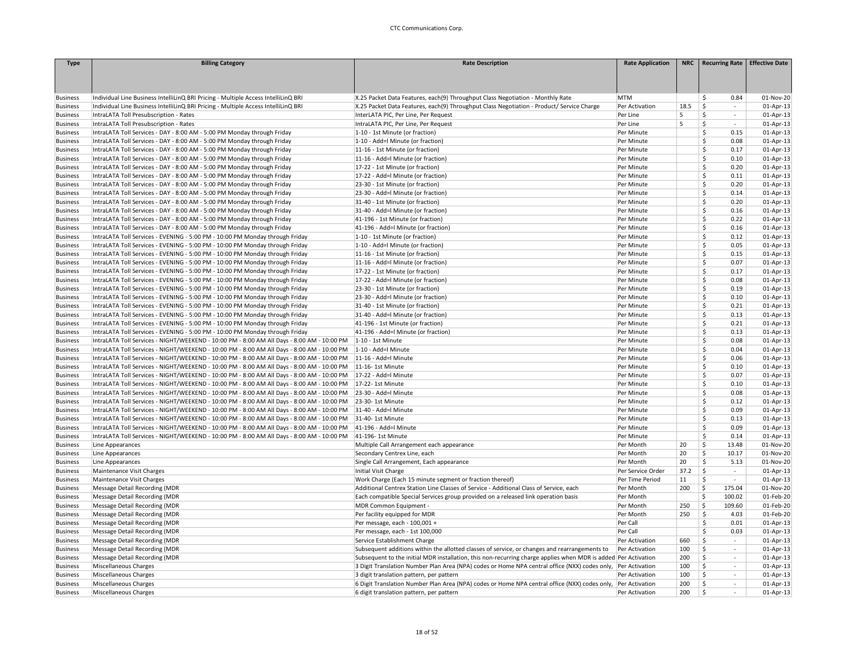| <b>Type</b>     | <b>Billing Category</b>                                                                    | <b>Rate Description</b>                                                                                         | <b>Rate Application</b> |      | NRC   Recurring Rate   Effective Date |           |
|-----------------|--------------------------------------------------------------------------------------------|-----------------------------------------------------------------------------------------------------------------|-------------------------|------|---------------------------------------|-----------|
|                 |                                                                                            |                                                                                                                 |                         |      |                                       |           |
|                 |                                                                                            |                                                                                                                 |                         |      |                                       |           |
|                 |                                                                                            |                                                                                                                 |                         |      |                                       |           |
| <b>Business</b> | Individual Line Business IntelliLinQ BRI Pricing - Multiple Access IntelliLinQ BRI         | X.25 Packet Data Features, each(9) Throughput Class Negotiation - Monthly Rate                                  | <b>MTM</b>              |      | \$<br>0.84                            | 01-Nov-20 |
| <b>Business</b> | Individual Line Business IntelliLinQ BRI Pricing - Multiple Access IntelliLinQ BRI         | X.25 Packet Data Features, each(9) Throughput Class Negotiation - Product/ Service Charge                       | Per Activation          | 18.5 | \$<br>$\sim$                          | 01-Apr-13 |
| <b>Business</b> | IntraLATA Toll Presubscription - Rates                                                     | InterLATA PIC, Per Line, Per Request                                                                            | Per Line                | 5    | Ś<br>$\mathcal{L}_{\mathcal{A}}$      | 01-Apr-13 |
| <b>Business</b> | IntraLATA Toll Presubscription - Rates                                                     | IntraLATA PIC, Per Line, Per Request                                                                            | Per Line                | 5    | \$<br>$\sim$                          | 01-Apr-13 |
| <b>Business</b> | IntraLATA Toll Services - DAY - 8:00 AM - 5:00 PM Monday through Friday                    | 1-10 - 1st Minute (or fraction)                                                                                 | Per Minute              |      | \$<br>0.15                            | 01-Apr-13 |
| <b>Business</b> | IntraLATA Toll Services - DAY - 8:00 AM - 5:00 PM Monday through Friday                    | 1-10 - Add=l Minute (or fraction)                                                                               | Per Minute              |      | \$<br>0.08                            | 01-Apr-13 |
| <b>Business</b> | IntraLATA Toll Services - DAY - 8:00 AM - 5:00 PM Monday through Friday                    | 11-16 - 1st Minute (or fraction)                                                                                | Per Minute              |      | \$<br>0.17                            | 01-Apr-13 |
| <b>Business</b> | IntraLATA Toll Services - DAY - 8:00 AM - 5:00 PM Monday through Friday                    | 11-16 - Add=l Minute (or fraction)                                                                              | Per Minute              |      | \$<br>0.10                            | 01-Apr-13 |
| <b>Business</b> | IntraLATA Toll Services - DAY - 8:00 AM - 5:00 PM Monday through Friday                    | 17-22 - 1st Minute (or fraction)                                                                                | Per Minute              |      | \$<br>0.20                            | 01-Apr-13 |
| <b>Business</b> | IntraLATA Toll Services - DAY - 8:00 AM - 5:00 PM Monday through Friday                    | 17-22 - Add=I Minute (or fraction)                                                                              | Per Minute              |      | \$<br>0.11                            | 01-Apr-13 |
| <b>Business</b> | IntraLATA Toll Services - DAY - 8:00 AM - 5:00 PM Monday through Friday                    | 23-30 - 1st Minute (or fraction)                                                                                | Per Minute              |      | \$<br>0.20                            | 01-Apr-13 |
| <b>Business</b> | IntraLATA Toll Services - DAY - 8:00 AM - 5:00 PM Monday through Friday                    | 23-30 - Add=I Minute (or fraction)                                                                              | Per Minute              |      | \$<br>0.14                            | 01-Apr-13 |
| <b>Business</b> | IntraLATA Toll Services - DAY - 8:00 AM - 5:00 PM Monday through Friday                    | 31-40 - 1st Minute (or fraction)                                                                                | Per Minute              |      | \$<br>0.20                            | 01-Apr-13 |
|                 |                                                                                            | 31-40 - Add=I Minute (or fraction)                                                                              |                         |      | \$<br>0.16                            | 01-Apr-13 |
| <b>Business</b> | IntraLATA Toll Services - DAY - 8:00 AM - 5:00 PM Monday through Friday                    | 41-196 - 1st Minute (or fraction)                                                                               | Per Minute              |      | \$<br>0.22                            |           |
| <b>Business</b> | IntraLATA Toll Services - DAY - 8:00 AM - 5:00 PM Monday through Friday                    |                                                                                                                 | Per Minute              |      |                                       | 01-Apr-13 |
| <b>Business</b> | IntraLATA Toll Services - DAY - 8:00 AM - 5:00 PM Monday through Friday                    | 41-196 - Add=I Minute (or fraction)                                                                             | Per Minute              |      | \$<br>0.16                            | 01-Apr-13 |
| <b>Business</b> | IntraLATA Toll Services - EVENING - 5:00 PM - 10:00 PM Monday through Friday               | 1-10 - 1st Minute (or fraction)                                                                                 | Per Minute              |      | \$<br>0.12                            | 01-Apr-13 |
| <b>Business</b> | IntraLATA Toll Services - EVENING - 5:00 PM - 10:00 PM Monday through Friday               | 1-10 - Add=l Minute (or fraction)                                                                               | Per Minute              |      | \$<br>0.05                            | 01-Apr-13 |
| <b>Business</b> | IntraLATA Toll Services - EVENING - 5:00 PM - 10:00 PM Monday through Friday               | 11-16 - 1st Minute (or fraction)                                                                                | Per Minute              |      | \$<br>0.15                            | 01-Apr-13 |
| <b>Business</b> | IntraLATA Toll Services - EVENING - 5:00 PM - 10:00 PM Monday through Friday               | 11-16 - Add=l Minute (or fraction)                                                                              | Per Minute              |      | Š.<br>0.07                            | 01-Apr-13 |
| <b>Business</b> | IntraLATA Toll Services - EVENING - 5:00 PM - 10:00 PM Monday through Friday               | 17-22 - 1st Minute (or fraction)                                                                                | Per Minute              |      | \$<br>0.17                            | 01-Apr-13 |
| <b>Business</b> | IntraLATA Toll Services - EVENING - 5:00 PM - 10:00 PM Monday through Friday               | 17-22 - Add=l Minute (or fraction)                                                                              | Per Minute              |      | \$<br>0.08                            | 01-Apr-13 |
| <b>Business</b> | IntraLATA Toll Services - EVENING - 5:00 PM - 10:00 PM Monday through Friday               | 23-30 - 1st Minute (or fraction)                                                                                | Per Minute              |      | \$<br>0.19                            | 01-Apr-13 |
| <b>Business</b> | IntraLATA Toll Services - EVENING - 5:00 PM - 10:00 PM Monday through Friday               | 23-30 - Add=I Minute (or fraction)                                                                              | Per Minute              |      | \$<br>0.10                            | 01-Apr-13 |
| <b>Business</b> | IntraLATA Toll Services - EVENING - 5:00 PM - 10:00 PM Monday through Friday               | 31-40 - 1st Minute (or fraction)                                                                                | Per Minute              |      | \$<br>0.21                            | 01-Apr-13 |
| <b>Business</b> | IntraLATA Toll Services - EVENING - 5:00 PM - 10:00 PM Monday through Friday               | 31-40 - Add=l Minute (or fraction)                                                                              | Per Minute              |      | 0.13<br>Ŝ.                            | 01-Apr-13 |
| <b>Business</b> | IntraLATA Toll Services - EVENING - 5:00 PM - 10:00 PM Monday through Friday               | 41-196 - 1st Minute (or fraction)                                                                               | Per Minute              |      | \$<br>0.21                            | 01-Apr-13 |
| <b>Business</b> | IntraLATA Toll Services - EVENING - 5:00 PM - 10:00 PM Monday through Friday               | 41-196 - Add=I Minute (or fraction)                                                                             | Per Minute              |      | \$<br>0.13                            | 01-Apr-13 |
| <b>Business</b> | IntraLATA Toll Services - NIGHT/WEEKEND - 10:00 PM - 8:00 AM All Days - 8:00 AM - 10:00 PM | 1-10 - 1st Minute                                                                                               | Per Minute              |      | \$<br>0.08                            | 01-Apr-13 |
| <b>Business</b> | IntraLATA Toll Services - NIGHT/WEEKEND - 10:00 PM - 8:00 AM All Days - 8:00 AM - 10:00 PM | 1-10 - Add=I Minute                                                                                             | Per Minute              |      | \$<br>0.04                            | 01-Apr-13 |
| <b>Business</b> | IntraLATA Toll Services - NIGHT/WEEKEND - 10:00 PM - 8:00 AM All Days - 8:00 AM - 10:00 PM | 11-16 - Add=l Minute                                                                                            | Per Minute              |      | \$<br>0.06                            | 01-Apr-13 |
| <b>Business</b> | IntraLATA Toll Services - NIGHT/WEEKEND - 10:00 PM - 8:00 AM All Days - 8:00 AM - 10:00 PM | 11-16-1st Minute                                                                                                | Per Minute              |      | \$<br>0.10                            | 01-Apr-13 |
| <b>Business</b> | IntraLATA Toll Services - NIGHT/WEEKEND - 10:00 PM - 8:00 AM All Days - 8:00 AM - 10:00 PM | 17-22 - Add=l Minute                                                                                            | Per Minute              |      | \$<br>0.07                            | 01-Apr-13 |
| <b>Business</b> | IntraLATA Toll Services - NIGHT/WEEKEND - 10:00 PM - 8:00 AM All Days - 8:00 AM - 10:00 PM | 17-22-1st Minute                                                                                                | Per Minute              |      | \$<br>0.10                            | 01-Apr-13 |
| <b>Business</b> | IntraLATA Toll Services - NIGHT/WEEKEND - 10:00 PM - 8:00 AM All Days - 8:00 AM - 10:00 PM | 23-30 - Add=l Minute                                                                                            | Per Minute              |      | \$<br>0.08                            | 01-Apr-13 |
| <b>Business</b> | IntraLATA Toll Services - NIGHT/WEEKEND - 10:00 PM - 8:00 AM All Days - 8:00 AM - 10:00 PM | 23-30-1st Minute                                                                                                | Per Minute              |      | \$<br>0.12                            | 01-Apr-13 |
| <b>Business</b> | IntraLATA Toll Services - NIGHT/WEEKEND - 10:00 PM - 8:00 AM All Days - 8:00 AM - 10:00 PM | 31-40 - Add=l Minute                                                                                            | Per Minute              |      | \$<br>0.09                            | 01-Apr-13 |
| <b>Business</b> | IntraLATA Toll Services - NIGHT/WEEKEND - 10:00 PM - 8:00 AM All Days - 8:00 AM - 10:00 PM | 31-40-1st Minute                                                                                                | Per Minute              |      | \$<br>0.13                            | 01-Apr-13 |
| <b>Business</b> | IntraLATA Toll Services - NIGHT/WEEKEND - 10:00 PM - 8:00 AM All Days - 8:00 AM - 10:00 PM | 41-196 - Add=l Minute                                                                                           | Per Minute              |      | Ś.<br>0.09                            | 01-Apr-13 |
| <b>Business</b> | IntraLATA Toll Services - NIGHT/WEEKEND - 10:00 PM - 8:00 AM All Days - 8:00 AM - 10:00 PM | 41-196-1st Minute                                                                                               | Per Minute              |      | \$<br>0.14                            | 01-Apr-13 |
| <b>Business</b> | Line Appearances                                                                           | Multiple Call Arrangement each appearance                                                                       | Per Month               | 20   | \$<br>13.48                           | 01-Nov-20 |
| <b>Business</b> | Line Appearances                                                                           | Secondary Centrex Line, each                                                                                    | Per Month               | 20   | \$<br>10.17                           | 01-Nov-20 |
| <b>Business</b> | Line Appearances                                                                           | Single Call Arrangement, Each appearance                                                                        | Per Month               | 20   | \$<br>5.13                            | 01-Nov-20 |
| <b>Business</b> | Maintenance Visit Charges                                                                  | Initial Visit Charge                                                                                            | Per Service Order       | 37.2 | -\$<br>$\sim$                         | 01-Apr-13 |
| <b>Business</b> | Maintenance Visit Charges                                                                  | Work Charge (Each 15 minute segment or fraction thereof)                                                        | Per Time Period         | 11   | Ŝ<br>$\sim$                           | 01-Apr-13 |
| <b>Business</b> | Message Detail Recording (MDR                                                              | Additional Centrex Station Line Classes of Service - Additional Class of Service, each                          | Per Month               | 200  | -\$<br>175.04                         | 01-Nov-20 |
|                 | Message Detail Recording (MDR                                                              | Each compatible Special Services group provided on a released link operation basis                              | Per Month               |      | 100.02<br>Ś                           | 01-Feb-20 |
| <b>Business</b> |                                                                                            |                                                                                                                 |                         | 250  | $\mathsf{\$}$<br>109.60               | 01-Feb-20 |
| <b>Business</b> | Message Detail Recording (MDR                                                              | MDR Common Equipment -                                                                                          | Per Month               | 250  |                                       | 01-Feb-20 |
| <b>Business</b> | Message Detail Recording (MDR                                                              | Per facility equipped for MDR                                                                                   | Per Month               |      | \$<br>4.03                            |           |
| <b>Business</b> | Message Detail Recording (MDR                                                              | Per message, each - 100,001 +                                                                                   | Per Call                |      | \$<br>0.01                            | 01-Apr-13 |
| <b>Business</b> | Message Detail Recording (MDR                                                              | Per message, each - 1st 100,000                                                                                 | Per Call                |      | \$<br>0.03                            | 01-Apr-13 |
| <b>Business</b> | Message Detail Recording (MDR                                                              | Service Establishment Charge                                                                                    | Per Activation          | 660  | \$<br>$\sim$                          | 01-Apr-13 |
| <b>Business</b> | Message Detail Recording (MDR                                                              | Subsequent additions within the allotted classes of service, or changes and rearrangements to                   | Per Activation          | 100  | \$<br>$\sim$                          | 01-Apr-13 |
| <b>Business</b> | Message Detail Recording (MDR                                                              | Subsequent to the initial MDR installation, this non-recurring charge applies when MDR is added  Per Activation |                         | 200  | \$<br>$\sim$                          | 01-Apr-13 |
| <b>Business</b> | Miscellaneous Charges                                                                      | 3 Digit Translation Number Plan Area (NPA) codes or Home NPA central office (NXX) codes only,                   | Per Activation          | 100  | \$<br>$\sim$                          | 01-Apr-13 |
| <b>Business</b> | <b>Miscellaneous Charges</b>                                                               | 3 digit translation pattern, per pattern                                                                        | Per Activation          | 100  | \$<br>$\sim$                          | 01-Apr-13 |
| <b>Business</b> | Miscellaneous Charges                                                                      | 6 Digit Translation Number Plan Area (NPA) codes or Home NPA central office (NXX) codes only,                   | Per Activation          | 200  | \$<br>$\sim$                          | 01-Apr-13 |
| <b>Business</b> | Miscellaneous Charges                                                                      | 6 digit translation pattern, per pattern                                                                        | Per Activation          | 200  | Ś                                     | 01-Apr-13 |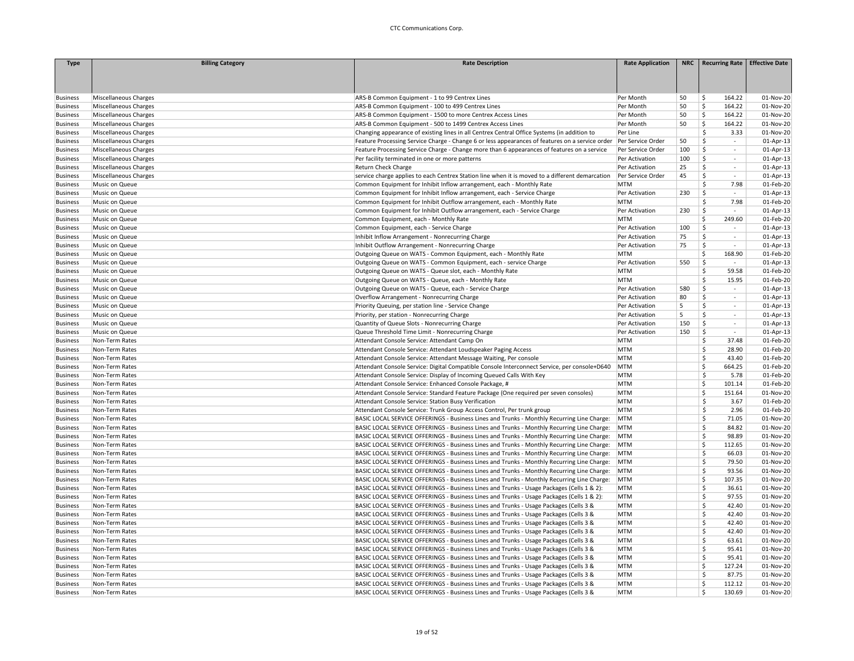| <b>Type</b>     | <b>Billing Category</b> | <b>Rate Description</b>                                                                                            | <b>Rate Application</b> |     | NRC   Recurring Rate   Effective Date |              |
|-----------------|-------------------------|--------------------------------------------------------------------------------------------------------------------|-------------------------|-----|---------------------------------------|--------------|
|                 |                         |                                                                                                                    |                         |     |                                       |              |
|                 |                         |                                                                                                                    |                         |     |                                       |              |
|                 |                         |                                                                                                                    |                         |     |                                       |              |
| <b>Business</b> | Miscellaneous Charges   | ARS-B Common Equipment - 1 to 99 Centrex Lines                                                                     | Per Month               | 50  | 164.22<br>\$                          | 01-Nov-20    |
| <b>Business</b> | Miscellaneous Charges   | ARS-B Common Equipment - 100 to 499 Centrex Lines                                                                  | Per Month               | 50  | \$<br>164.22                          | 01-Nov-20    |
| <b>Business</b> | Miscellaneous Charges   | ARS-B Common Equipment - 1500 to more Centrex Access Lines                                                         | Per Month               | 50  | \$<br>164.22                          | 01-Nov-20    |
| <b>Business</b> | Miscellaneous Charges   | ARS-B Common Equipment - 500 to 1499 Centrex Access Lines                                                          | Per Month               | 50  | \$<br>164.22                          | 01-Nov-20    |
| <b>Business</b> | Miscellaneous Charges   | Changing appearance of existing lines in all Centrex Central Office Systems (in addition to                        | Per Line                |     | \$<br>3.33                            | 01-Nov-20    |
| <b>Business</b> | Miscellaneous Charges   | Feature Processing Service Charge - Change 6 or less appearances of features on a service order  Per Service Order |                         | 50  | \$<br>$\sim$                          | 01-Apr-13    |
| <b>Business</b> | Miscellaneous Charges   | Feature Processing Service Charge - Change more than 6 appearances of features on a service                        | Per Service Order       | 100 | \$<br>$\sim$                          | 01-Apr-13    |
| <b>Business</b> | Miscellaneous Charges   | Per facility terminated in one or more patterns                                                                    | Per Activation          | 100 | \$<br>$\sim$                          | 01-Apr-13    |
| <b>Business</b> | Miscellaneous Charges   | Return Check Charge                                                                                                | Per Activation          | 25  | Š.<br>$\sim$                          | 01-Apr-13    |
| <b>Business</b> | Miscellaneous Charges   | service charge applies to each Centrex Station line when it is moved to a different demarcation                    | Per Service Order       | 45  | \$<br>$\omega$                        | 01-Apr-13    |
| <b>Business</b> | Music on Queue          | Common Equipment for Inhibit Inflow arrangement, each - Monthly Rate                                               | <b>MTM</b>              |     | \$<br>7.98                            | 01-Feb-20    |
| <b>Business</b> | Music on Queue          | Common Equipment for Inhibit Inflow arrangement, each - Service Charge                                             | Per Activation          | 230 | \$<br>$\overline{\phantom{a}}$        | 01-Apr-13    |
| <b>Business</b> | Music on Queue          | Common Equipment for Inhibit Outflow arrangement, each - Monthly Rate                                              | <b>MTM</b>              |     | Ŝ.<br>7.98                            | 01-Feb-20    |
| <b>Business</b> | Music on Queue          | Common Equipment for Inhibit Outflow arrangement, each - Service Charge                                            | Per Activation          | 230 | \$<br>$\sim$                          | 01-Apr-13    |
| <b>Business</b> | Music on Queue          | Common Equipment, each - Monthly Rate                                                                              | <b>MTM</b>              |     | Ś<br>249.60                           | 01-Feb-20    |
| <b>Business</b> | Music on Queue          | Common Equipment, each - Service Charge                                                                            | Per Activation          | 100 | \$<br>$\sim$                          | 01-Apr-13    |
| <b>Business</b> | Music on Queue          | Inhibit Inflow Arrangement - Nonrecurring Charge                                                                   | Per Activation          | 75  | \$<br>$\mathcal{L}_{\mathcal{A}}$     | 01-Apr-13    |
| <b>Business</b> | Music on Queue          | Inhibit Outflow Arrangement - Nonrecurring Charge                                                                  | Per Activation          | 75  | \$<br>$\sim$                          | 01-Apr-13    |
| <b>Business</b> | Music on Queue          | Outgoing Queue on WATS - Common Equipment, each - Monthly Rate                                                     | <b>MTM</b>              |     | 168.90<br>Ś.                          | 01-Feb-20    |
| <b>Business</b> | Music on Queue          | Outgoing Queue on WATS - Common Equipment, each - service Charge                                                   | Per Activation          | 550 | \$<br>$\sim$                          | 01-Apr-13    |
| <b>Business</b> | Music on Queue          | Outgoing Queue on WATS - Queue slot, each - Monthly Rate                                                           | <b>MTM</b>              |     | \$<br>59.58                           | 01-Feb-20    |
| <b>Business</b> | Music on Queue          | Outgoing Queue on WATS - Queue, each - Monthly Rate                                                                | <b>MTM</b>              |     | Ś<br>15.95                            | 01-Feb-20    |
| <b>Business</b> | Music on Queue          | Outgoing Queue on WATS - Queue, each - Service Charge                                                              | Per Activation          | 580 | \$<br>$\sim$                          | $01$ -Apr-13 |
| <b>Business</b> | Music on Queue          | Overflow Arrangement - Nonrecurring Charge                                                                         | Per Activation          | 80  | \$<br>$\sim$                          | 01-Apr-13    |
| <b>Business</b> | Music on Queue          | Priority Queuing, per station line - Service Change                                                                | Per Activation          | 5   | Ś<br>$\sim$                           | 01-Apr-13    |
| <b>Business</b> | Music on Queue          | Priority, per station - Nonrecurring Charge                                                                        | Per Activation          | 5   | Ś.<br>$\sim$                          | 01-Apr-13    |
| <b>Business</b> | Music on Queue          | Quantity of Queue Slots - Nonrecurring Charge                                                                      | Per Activation          | 150 | \$<br>$\sim$                          | 01-Apr-13    |
| <b>Business</b> | Music on Queue          | Queue Threshold Time Limit - Nonrecurring Charge                                                                   | Per Activation          | 150 | \$<br>$\sim$                          | $01$ -Apr-13 |
| <b>Business</b> | Non-Term Rates          | Attendant Console Service: Attendant Camp On                                                                       | <b>MTM</b>              |     | \$<br>37.48                           | 01-Feb-20    |
| <b>Business</b> | Non-Term Rates          | Attendant Console Service: Attendant Loudspeaker Paging Access                                                     | <b>MTM</b>              |     | \$<br>28.90                           | 01-Feb-20    |
| <b>Business</b> | Non-Term Rates          | Attendant Console Service: Attendant Message Waiting, Per console                                                  | <b>MTM</b>              |     | \$<br>43.40                           | 01-Feb-20    |
| <b>Business</b> | Non-Term Rates          | Attendant Console Service: Digital Compatible Console Interconnect Service, per console+D640                       | MTM                     |     | \$<br>664.25                          | 01-Feb-20    |
| <b>Business</b> | Non-Term Rates          | Attendant Console Service: Display of Incoming Queued Calls With Key                                               | <b>MTM</b>              |     | Ś<br>5.78                             | 01-Feb-20    |
| <b>Business</b> | Non-Term Rates          | Attendant Console Service: Enhanced Console Package, #                                                             | <b>MTM</b>              |     | Ś<br>101.14                           | 01-Feb-20    |
| <b>Business</b> | Non-Term Rates          | Attendant Console Service: Standard Feature Package (One required per seven consoles)                              | <b>MTM</b>              |     | \$<br>151.64                          | 01-Nov-20    |
| <b>Business</b> | Non-Term Rates          | Attendant Console Service: Station Busy Verification                                                               | <b>MTM</b>              |     | Ś<br>3.67                             | 01-Feb-20    |
| <b>Business</b> | Non-Term Rates          | Attendant Console Service: Trunk Group Access Control, Per trunk group                                             | MTM                     |     | Ś<br>2.96                             | 01-Feb-20    |
| <b>Business</b> | Non-Term Rates          | BASIC LOCAL SERVICE OFFERINGS - Business Lines and Trunks - Monthly Recurring Line Charge:                         | MTM                     |     | \$<br>71.05                           | 01-Nov-20    |
| <b>Business</b> | Non-Term Rates          | BASIC LOCAL SERVICE OFFERINGS - Business Lines and Trunks - Monthly Recurring Line Charge:                         | MTM                     |     | Ś<br>84.82                            | 01-Nov-20    |
| <b>Business</b> | Non-Term Rates          | BASIC LOCAL SERVICE OFFERINGS - Business Lines and Trunks - Monthly Recurring Line Charge:                         | MTM                     |     | \$<br>98.89                           | 01-Nov-20    |
| <b>Business</b> | Non-Term Rates          | BASIC LOCAL SERVICE OFFERINGS - Business Lines and Trunks - Monthly Recurring Line Charge:                         | MTM                     |     | \$<br>112.65                          | 01-Nov-20    |
| <b>Business</b> | Non-Term Rates          | BASIC LOCAL SERVICE OFFERINGS - Business Lines and Trunks - Monthly Recurring Line Charge:                         | MTM                     |     | \$<br>66.03                           | 01-Nov-20    |
| <b>Business</b> | Non-Term Rates          | BASIC LOCAL SERVICE OFFERINGS - Business Lines and Trunks - Monthly Recurring Line Charge:                         | MTM                     |     | \$<br>79.50                           | 01-Nov-20    |
| <b>Business</b> | Non-Term Rates          | BASIC LOCAL SERVICE OFFERINGS - Business Lines and Trunks - Monthly Recurring Line Charge:                         | <b>MTM</b>              |     | \$<br>93.56                           | 01-Nov-20    |
| <b>Business</b> | Non-Term Rates          | BASIC LOCAL SERVICE OFFERINGS - Business Lines and Trunks - Monthly Recurring Line Charge:                         | MTM                     |     | \$<br>107.35                          | 01-Nov-20    |
| <b>Business</b> | Non-Term Rates          | BASIC LOCAL SERVICE OFFERINGS - Business Lines and Trunks - Usage Packages (Cells 1 & 2):                          | <b>MTM</b>              |     | \$<br>36.61                           | 01-Nov-20    |
| <b>Business</b> | Non-Term Rates          | BASIC LOCAL SERVICE OFFERINGS - Business Lines and Trunks - Usage Packages (Cells 1 & 2):                          | <b>MTM</b>              |     | \$<br>97.55                           | 01-Nov-20    |
| <b>Business</b> | Non-Term Rates          | BASIC LOCAL SERVICE OFFERINGS - Business Lines and Trunks - Usage Packages (Cells 3 &                              | <b>MTM</b>              |     | Ś.<br>42.40                           | 01-Nov-20    |
| <b>Business</b> | Non-Term Rates          | BASIC LOCAL SERVICE OFFERINGS - Business Lines and Trunks - Usage Packages (Cells 3 &                              | <b>MTM</b>              |     | \$<br>42.40                           | 01-Nov-20    |
| <b>Business</b> | Non-Term Rates          | BASIC LOCAL SERVICE OFFERINGS - Business Lines and Trunks - Usage Packages (Cells 3 &                              | <b>MTM</b>              |     | Ś<br>42.40                            | 01-Nov-20    |
| <b>Business</b> | Non-Term Rates          | BASIC LOCAL SERVICE OFFERINGS - Business Lines and Trunks - Usage Packages (Cells 3 &                              | <b>MTM</b>              |     | \$<br>42.40                           | 01-Nov-20    |
| <b>Business</b> | Non-Term Rates          | BASIC LOCAL SERVICE OFFERINGS - Business Lines and Trunks - Usage Packages (Cells 3 &                              | <b>MTM</b>              |     | \$<br>63.61                           | 01-Nov-20    |
| <b>Business</b> | Non-Term Rates          | BASIC LOCAL SERVICE OFFERINGS - Business Lines and Trunks - Usage Packages (Cells 3 &                              | <b>MTM</b>              |     | \$<br>95.41                           | 01-Nov-20    |
| <b>Business</b> | Non-Term Rates          | BASIC LOCAL SERVICE OFFERINGS - Business Lines and Trunks - Usage Packages (Cells 3 &                              | <b>MTM</b>              |     | Ś<br>95.41                            | 01-Nov-20    |
| <b>Business</b> | Non-Term Rates          | BASIC LOCAL SERVICE OFFERINGS - Business Lines and Trunks - Usage Packages (Cells 3 &                              | <b>MTM</b>              |     | \$<br>127.24                          | 01-Nov-20    |
| <b>Business</b> | Non-Term Rates          | BASIC LOCAL SERVICE OFFERINGS - Business Lines and Trunks - Usage Packages (Cells 3 &                              | <b>MTM</b>              |     | \$<br>87.75                           | 01-Nov-20    |
| <b>Business</b> | Non-Term Rates          | BASIC LOCAL SERVICE OFFERINGS - Business Lines and Trunks - Usage Packages (Cells 3 &                              | <b>MTM</b>              |     | $\mathsf{\hat{S}}$<br>112.12          | 01-Nov-20    |
| <b>Business</b> | Non-Term Rates          | BASIC LOCAL SERVICE OFFERINGS - Business Lines and Trunks - Usage Packages (Cells 3 &                              | <b>MTM</b>              |     | 130.69<br>Ŝ                           | 01-Nov-20    |
|                 |                         |                                                                                                                    |                         |     |                                       |              |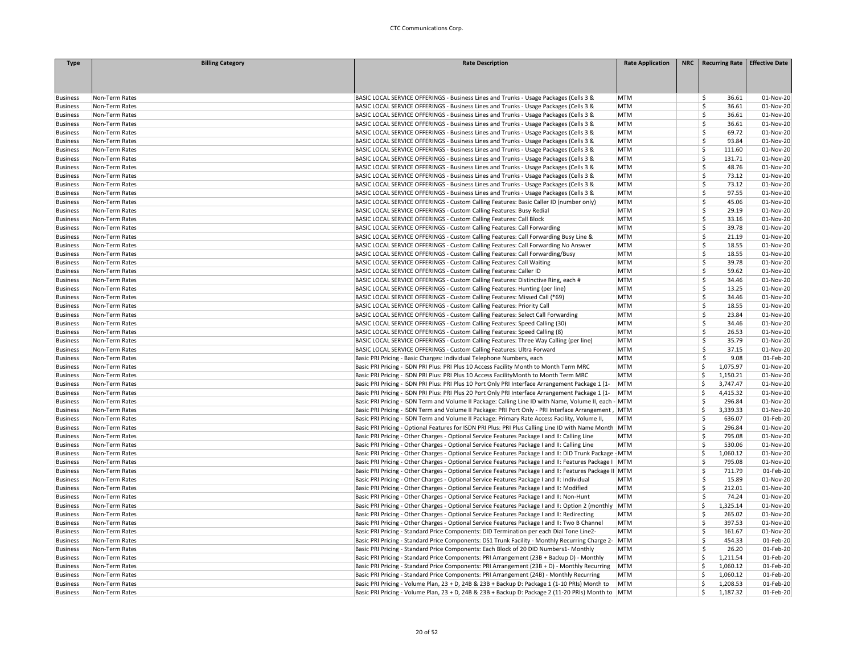| <b>Type</b>                        | <b>Billing Category</b>          | <b>Rate Description</b>                                                                                                                                                                              | <b>Rate Application</b>  | NRC   Recurring Rate   Effective Date |                        |
|------------------------------------|----------------------------------|------------------------------------------------------------------------------------------------------------------------------------------------------------------------------------------------------|--------------------------|---------------------------------------|------------------------|
|                                    |                                  |                                                                                                                                                                                                      |                          |                                       |                        |
|                                    |                                  |                                                                                                                                                                                                      |                          |                                       |                        |
| <b>Business</b>                    | Non-Term Rates                   | BASIC LOCAL SERVICE OFFERINGS - Business Lines and Trunks - Usage Packages (Cells 3 &                                                                                                                | <b>MTM</b>               | 36.61<br>\$.                          | 01-Nov-20              |
| <b>Business</b>                    | Non-Term Rates                   | BASIC LOCAL SERVICE OFFERINGS - Business Lines and Trunks - Usage Packages (Cells 3 &                                                                                                                | <b>MTM</b>               | Š.<br>36.61                           | 01-Nov-20              |
| <b>Business</b>                    | Non-Term Rates                   | BASIC LOCAL SERVICE OFFERINGS - Business Lines and Trunks - Usage Packages (Cells 3 &                                                                                                                | <b>MTM</b>               | \$<br>36.61                           | 01-Nov-20              |
| <b>Business</b>                    | Non-Term Rates                   | BASIC LOCAL SERVICE OFFERINGS - Business Lines and Trunks - Usage Packages (Cells 3 &                                                                                                                | <b>MTM</b>               | Š.<br>36.61                           | 01-Nov-20              |
| <b>Business</b>                    | Non-Term Rates                   | BASIC LOCAL SERVICE OFFERINGS - Business Lines and Trunks - Usage Packages (Cells 3 &                                                                                                                | <b>MTM</b>               | Ś<br>69.72                            | 01-Nov-20              |
| <b>Business</b>                    | Non-Term Rates                   | BASIC LOCAL SERVICE OFFERINGS - Business Lines and Trunks - Usage Packages (Cells 3 &                                                                                                                | <b>MTM</b>               | \$<br>93.84                           | 01-Nov-20              |
| <b>Business</b>                    | Non-Term Rates                   | BASIC LOCAL SERVICE OFFERINGS - Business Lines and Trunks - Usage Packages (Cells 3 &                                                                                                                | <b>MTM</b>               | Ś<br>111.60                           | 01-Nov-20              |
| <b>Business</b>                    | Non-Term Rates                   | BASIC LOCAL SERVICE OFFERINGS - Business Lines and Trunks - Usage Packages (Cells 3 &                                                                                                                | <b>MTM</b>               | Ś<br>131.71                           | 01-Nov-20              |
| <b>Business</b>                    | Non-Term Rates                   | BASIC LOCAL SERVICE OFFERINGS - Business Lines and Trunks - Usage Packages (Cells 3 &                                                                                                                | <b>MTM</b>               | \$.<br>48.76                          | 01-Nov-20              |
| <b>Business</b>                    | Non-Term Rates                   | BASIC LOCAL SERVICE OFFERINGS - Business Lines and Trunks - Usage Packages (Cells 3 &                                                                                                                | <b>MTM</b>               | \$<br>73.12                           | 01-Nov-20              |
| <b>Business</b>                    | Non-Term Rates                   | BASIC LOCAL SERVICE OFFERINGS - Business Lines and Trunks - Usage Packages (Cells 3 &                                                                                                                | <b>MTM</b>               | \$<br>73.12                           | 01-Nov-20              |
| <b>Business</b>                    | Non-Term Rates                   | BASIC LOCAL SERVICE OFFERINGS - Business Lines and Trunks - Usage Packages (Cells 3 &                                                                                                                | <b>MTM</b>               | Ś<br>97.55                            | 01-Nov-20              |
| <b>Business</b>                    | Non-Term Rates                   | BASIC LOCAL SERVICE OFFERINGS - Custom Calling Features: Basic Caller ID (number only)                                                                                                               | <b>MTM</b>               | Š.<br>45.06                           | 01-Nov-20              |
| <b>Business</b>                    | Non-Term Rates                   | BASIC LOCAL SERVICE OFFERINGS - Custom Calling Features: Busy Redial                                                                                                                                 | <b>MTM</b>               | \$.<br>29.19                          | 01-Nov-20              |
| <b>Business</b>                    | Non-Term Rates                   | BASIC LOCAL SERVICE OFFERINGS - Custom Calling Features: Call Block                                                                                                                                  | <b>MTM</b>               | \$<br>33.16                           | 01-Nov-20              |
| <b>Business</b>                    | Non-Term Rates                   | BASIC LOCAL SERVICE OFFERINGS - Custom Calling Features: Call Forwarding                                                                                                                             | <b>MTM</b>               | \$<br>39.78                           | 01-Nov-20              |
| <b>Business</b>                    | Non-Term Rates                   | BASIC LOCAL SERVICE OFFERINGS - Custom Calling Features: Call Forwarding Busy Line &                                                                                                                 | <b>MTM</b>               | \$<br>21.19                           | 01-Nov-20              |
| <b>Business</b>                    | Non-Term Rates                   | BASIC LOCAL SERVICE OFFERINGS - Custom Calling Features: Call Forwarding No Answer                                                                                                                   | <b>MTM</b>               | \$<br>18.55                           | 01-Nov-20              |
| <b>Business</b>                    | Non-Term Rates                   | BASIC LOCAL SERVICE OFFERINGS - Custom Calling Features: Call Forwarding/Busy                                                                                                                        | <b>MTM</b>               | \$.<br>18.55                          | 01-Nov-20              |
| <b>Business</b>                    | Non-Term Rates                   | BASIC LOCAL SERVICE OFFERINGS - Custom Calling Features: Call Waiting                                                                                                                                | <b>MTM</b>               | \$.<br>39.78                          | 01-Nov-20              |
| <b>Business</b>                    | Non-Term Rates                   | BASIC LOCAL SERVICE OFFERINGS - Custom Calling Features: Caller ID                                                                                                                                   | <b>MTM</b>               | \$<br>59.62                           | 01-Nov-20              |
| <b>Business</b>                    | Non-Term Rates                   | BASIC LOCAL SERVICE OFFERINGS - Custom Calling Features: Distinctive Ring, each #                                                                                                                    | <b>MTM</b>               | \$<br>34.46                           | 01-Nov-20              |
| <b>Business</b>                    | Non-Term Rates                   | BASIC LOCAL SERVICE OFFERINGS - Custom Calling Features: Hunting (per line)                                                                                                                          | <b>MTM</b>               | \$<br>13.25                           | 01-Nov-20              |
| <b>Business</b>                    | Non-Term Rates                   | BASIC LOCAL SERVICE OFFERINGS - Custom Calling Features: Missed Call (*69)                                                                                                                           | <b>MTM</b>               | \$<br>34.46                           | 01-Nov-20              |
| <b>Business</b>                    | Non-Term Rates                   | BASIC LOCAL SERVICE OFFERINGS - Custom Calling Features: Priority Call                                                                                                                               | <b>MTM</b>               | \$<br>18.55                           | 01-Nov-20              |
| <b>Business</b>                    | Non-Term Rates                   | BASIC LOCAL SERVICE OFFERINGS - Custom Calling Features: Select Call Forwarding                                                                                                                      | <b>MTM</b>               | 23.84<br>Ŝ.<br>\$                     | 01-Nov-20              |
| <b>Business</b>                    | Non-Term Rates                   | BASIC LOCAL SERVICE OFFERINGS - Custom Calling Features: Speed Calling (30)                                                                                                                          | <b>MTM</b>               | 34.46                                 | 01-Nov-20              |
| <b>Business</b>                    | Non-Term Rates                   | BASIC LOCAL SERVICE OFFERINGS - Custom Calling Features: Speed Calling (8)                                                                                                                           | <b>MTM</b>               | \$<br>26.53<br>Ś                      | 01-Nov-20              |
| <b>Business</b>                    | Non-Term Rates                   | BASIC LOCAL SERVICE OFFERINGS - Custom Calling Features: Three Way Calling (per line)                                                                                                                | <b>MTM</b>               | 35.79                                 | 01-Nov-20              |
| <b>Business</b>                    | Non-Term Rates                   | BASIC LOCAL SERVICE OFFERINGS - Custom Calling Features: Ultra Forward                                                                                                                               | <b>MTM</b><br><b>MTM</b> | \$<br>37.15<br>\$                     | 01-Nov-20              |
| <b>Business</b>                    | Non-Term Rates                   | Basic PRI Pricing - Basic Charges: Individual Telephone Numbers, each                                                                                                                                | <b>MTM</b>               | 9.08                                  | 01-Feb-20              |
| <b>Business</b>                    | Non-Term Rates                   | Basic PRI Pricing - ISDN PRI Plus: PRI Plus 10 Access Facility Month to Month Term MRC                                                                                                               |                          | \$<br>1,075.97<br>Ś                   | 01-Nov-20              |
| <b>Business</b>                    | Non-Term Rates                   | Basic PRI Pricing - ISDN PRI Plus: PRI Plus 10 Access Facility Month to Month Term MRC                                                                                                               | <b>MTM</b>               | 1,150.21<br>Ś                         | 01-Nov-20              |
| <b>Business</b>                    | Non-Term Rates                   | Basic PRI Pricing - ISDN PRI Plus: PRI Plus 10 Port Only PRI Interface Arrangement Package 1 (1-                                                                                                     | MTM<br>MTM               | 3,747.47<br>Ś<br>4,415.32             | 01-Nov-20<br>01-Nov-20 |
| <b>Business</b>                    | Non-Term Rates                   | Basic PRI Pricing - ISDN PRI Plus: PRI Plus 20 Port Only PRI Interface Arrangement Package 1 (1-                                                                                                     |                          | Ś                                     |                        |
| <b>Business</b>                    | Non-Term Rates                   | Basic PRI Pricing - ISDN Term and Volume II Package: Calling Line ID with Name, Volume II, each - MTM                                                                                                |                          | 296.84<br>Ś<br>3,339.33               | 01-Nov-20<br>01-Nov-20 |
| <b>Business</b><br><b>Business</b> | Non-Term Rates<br>Non-Term Rates | Basic PRI Pricing - ISDN Term and Volume II Package: PRI Port Only - PRI Interface Arrangement, MTM<br>Basic PRI Pricing - ISDN Term and Volume II Package: Primary Rate Access Facility, Volume II, | <b>MTM</b>               | \$<br>636.07                          | 01-Feb-20              |
| <b>Business</b>                    | Non-Term Rates                   | Basic PRI Pricing - Optional Features for ISDN PRI Plus: PRI Plus Calling Line ID with Name Month   MTM                                                                                              |                          | Š.<br>296.84                          | 01-Nov-20              |
| <b>Business</b>                    | Non-Term Rates                   | Basic PRI Pricing - Other Charges - Optional Service Features Package I and II: Calling Line                                                                                                         | <b>MTM</b>               | Ś<br>795.08                           | 01-Nov-20              |
| <b>Business</b>                    | Non-Term Rates                   | Basic PRI Pricing - Other Charges - Optional Service Features Package I and II: Calling Line                                                                                                         | <b>MTM</b>               | Ś<br>530.06                           | 01-Nov-20              |
| <b>Business</b>                    | Non-Term Rates                   | Basic PRI Pricing - Other Charges - Optional Service Features Package I and II: DID Trunk Package - MTM                                                                                              |                          | \$<br>1,060.12                        | 01-Nov-20              |
| <b>Business</b>                    | Non-Term Rates                   | Basic PRI Pricing - Other Charges - Optional Service Features Package I and II: Features Package I MTM                                                                                               |                          | Ś<br>795.08                           | 01-Nov-20              |
| <b>Business</b>                    | Non-Term Rates                   | Basic PRI Pricing - Other Charges - Optional Service Features Package I and II: Features Package II MTM                                                                                              |                          | Ś<br>711.79                           | 01-Feb-20              |
| <b>Business</b>                    | Non-Term Rates                   | Basic PRI Pricing - Other Charges - Optional Service Features Package I and II: Individual                                                                                                           | <b>MTM</b>               | Š.<br>15.89                           | 01-Nov-20              |
| <b>Business</b>                    | Non-Term Rates                   | Basic PRI Pricing - Other Charges - Optional Service Features Package I and II: Modified                                                                                                             | <b>MTM</b>               | Ś<br>212.01                           | 01-Nov-20              |
| <b>Business</b>                    | Non-Term Rates                   | Basic PRI Pricing - Other Charges - Optional Service Features Package I and II: Non-Hunt                                                                                                             | <b>MTM</b>               | 74.24<br>Š.                           | 01-Nov-20              |
| <b>Business</b>                    | Non-Term Rates                   | Basic PRI Pricing - Other Charges - Optional Service Features Package I and II: Option 2 (monthly                                                                                                    | MTM                      | Ś<br>1,325.14                         | 01-Nov-20              |
| <b>Business</b>                    | Non-Term Rates                   | Basic PRI Pricing - Other Charges - Optional Service Features Package I and II: Redirecting                                                                                                          | <b>MTM</b>               | Ś<br>265.02                           | 01-Nov-20              |
| <b>Business</b>                    | Non-Term Rates                   | Basic PRI Pricing - Other Charges - Optional Service Features Package I and II: Two B Channel                                                                                                        | MTM                      | Š.<br>397.53                          | 01-Nov-20              |
| <b>Business</b>                    | Non-Term Rates                   | Basic PRI Pricing - Standard Price Components: DID Termination per each Dial Tone Line2-                                                                                                             | <b>MTM</b>               | Ś<br>161.67                           | 01-Nov-20              |
| <b>Business</b>                    | Non-Term Rates                   | Basic PRI Pricing - Standard Price Components: DS1 Trunk Facility - Monthly Recurring Charge 2- MTM                                                                                                  |                          | \$<br>454.33                          | 01-Feb-20              |
| <b>Business</b>                    | Non-Term Rates                   | Basic PRI Pricing - Standard Price Components: Each Block of 20 DID Numbers1- Monthly                                                                                                                | <b>MTM</b>               | \$<br>26.20                           | 01-Feb-20              |
| <b>Business</b>                    | Non-Term Rates                   | Basic PRI Pricing - Standard Price Components: PRI Arrangement (23B + Backup D) - Monthly                                                                                                            | MTM                      | \$<br>1,211.54                        | 01-Feb-20              |
| <b>Business</b>                    | Non-Term Rates                   | Basic PRI Pricing - Standard Price Components: PRI Arrangement (23B + D) - Monthly Recurring                                                                                                         | MTM                      | Ś<br>1,060.12                         | 01-Feb-20              |
| <b>Business</b>                    | Non-Term Rates                   | Basic PRI Pricing - Standard Price Components: PRI Arrangement (24B) - Monthly Recurring                                                                                                             | <b>MTM</b>               | Ś<br>1,060.12                         | 01-Feb-20              |
| <b>Business</b>                    | Non-Term Rates                   | Basic PRI Pricing - Volume Plan, 23 + D, 24B & 23B + Backup D: Package 1 (1-10 PRIs) Month to                                                                                                        | MTM                      | Ś<br>1,208.53                         | 01-Feb-20              |
| <b>Business</b>                    | Non-Term Rates                   | Basic PRI Pricing - Volume Plan, 23 + D, 24B & 23B + Backup D: Package 2 (11-20 PRIs) Month to MTM                                                                                                   |                          | Ś<br>1,187.32                         | 01-Feb-20              |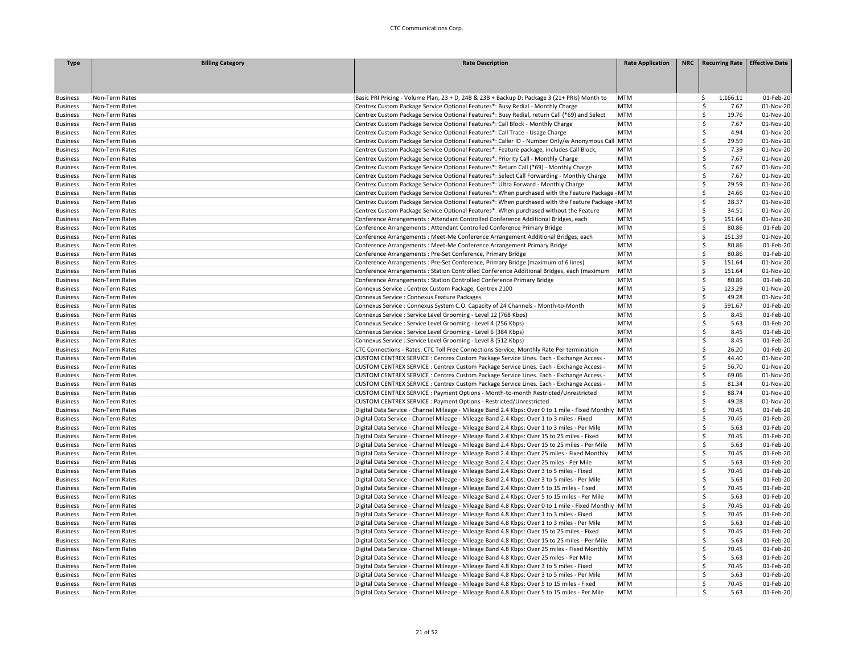| <b>Type</b>                        | <b>Billing Category</b>          | <b>Rate Description</b>                                                                                                                                                                     | <b>Rate Application</b>  | NRC   Recurring Rate   Effective Date |                        |
|------------------------------------|----------------------------------|---------------------------------------------------------------------------------------------------------------------------------------------------------------------------------------------|--------------------------|---------------------------------------|------------------------|
|                                    |                                  |                                                                                                                                                                                             |                          |                                       |                        |
|                                    |                                  |                                                                                                                                                                                             |                          |                                       |                        |
|                                    |                                  |                                                                                                                                                                                             |                          |                                       |                        |
| <b>Business</b>                    | Non-Term Rates                   | Basic PRI Pricing - Volume Plan, 23 + D, 24B & 23B + Backup D: Package 3 (21+ PRIs) Month to                                                                                                | MTM                      | 1,166.11<br>S.                        | 01-Feb-20              |
| <b>Business</b>                    | Non-Term Rates                   | Centrex Custom Package Service Optional Features*: Busy Redial - Monthly Charge                                                                                                             | <b>MTM</b>               | \$<br>7.67                            | 01-Nov-20              |
| <b>Business</b>                    | Non-Term Rates                   | Centrex Custom Package Service Optional Features*: Busy Redial, return Call (*69) and Select                                                                                                | <b>MTM</b>               | \$<br>19.76                           | 01-Nov-20              |
| <b>Business</b>                    | Non-Term Rates                   | Centrex Custom Package Service Optional Features*: Call Block - Monthly Charge                                                                                                              | <b>MTM</b>               | \$<br>7.67                            | 01-Nov-20              |
| <b>Business</b>                    | Non-Term Rates                   | Centrex Custom Package Service Optional Features*: Call Trace - Usage Charge                                                                                                                | <b>MTM</b>               | \$<br>4.94                            | 01-Nov-20              |
| <b>Business</b>                    | Non-Term Rates                   | Centrex Custom Package Service Optional Features*: Caller ID - Number Only/w Anonymous Call MTM                                                                                             |                          | \$<br>29.59                           | 01-Nov-20              |
| <b>Business</b>                    | Non-Term Rates                   | Centrex Custom Package Service Optional Features*: Feature package, includes Call Block,                                                                                                    | <b>MTM</b>               | \$<br>7.39                            | 01-Nov-20              |
| <b>Business</b>                    | Non-Term Rates                   | Centrex Custom Package Service Optional Features*: Priority Call - Monthly Charge                                                                                                           | <b>MTM</b>               | \$<br>7.67                            | 01-Nov-20              |
| <b>Business</b>                    | Non-Term Rates                   | Centrex Custom Package Service Optional Features*: Return Call (*69) - Monthly Charge                                                                                                       | <b>MTM</b>               | \$<br>7.67                            | 01-Nov-20              |
| <b>Business</b>                    | Non-Term Rates                   | Centrex Custom Package Service Optional Features*: Select Call Forwarding - Monthly Charge                                                                                                  | <b>MTM</b><br><b>MTM</b> | Ŝ.<br>7.67<br>\$<br>29.59             | 01-Nov-20              |
| <b>Business</b>                    | Non-Term Rates                   | Centrex Custom Package Service Optional Features*: Ultra Forward - Monthly Charge                                                                                                           |                          | \$                                    | 01-Nov-20              |
| <b>Business</b>                    | Non-Term Rates                   | Centrex Custom Package Service Optional Features*: When purchased with the Feature Package - MTM                                                                                            |                          | 24.66<br>\$<br>28.37                  | 01-Nov-20              |
| <b>Business</b>                    | Non-Term Rates                   | Centrex Custom Package Service Optional Features*: When purchased with the Feature Package - MTM                                                                                            |                          | \$<br>34.51                           | 01-Nov-20              |
| <b>Business</b><br><b>Business</b> | Non-Term Rates<br>Non-Term Rates | Centrex Custom Package Service Optional Features*: When purchased without the Feature                                                                                                       | <b>MTM</b><br><b>MTM</b> | \$<br>151.64                          | 01-Nov-20<br>01-Nov-20 |
|                                    | Non-Term Rates                   | Conference Arrangements : Attendant Controlled Conference Additional Bridges, each                                                                                                          | <b>MTM</b>               | Ŝ.<br>80.86                           | 01-Feb-20              |
| <b>Business</b><br><b>Business</b> | Non-Term Rates                   | Conference Arrangements : Attendant Controlled Conference Primary Bridge<br>Conference Arrangements : Meet-Me Conference Arrangement Additional Bridges, each                               | <b>MTM</b>               | \$<br>151.39                          | 01-Nov-20              |
|                                    |                                  |                                                                                                                                                                                             | <b>MTM</b>               | \$<br>80.86                           | 01-Feb-20              |
| <b>Business</b>                    | Non-Term Rates<br>Non-Term Rates | Conference Arrangements : Meet-Me Conference Arrangement Primary Bridge                                                                                                                     | <b>MTM</b>               | \$<br>80.86                           | 01-Feb-20              |
| <b>Business</b><br><b>Business</b> | Non-Term Rates                   | Conference Arrangements : Pre-Set Conference, Primary Bridge<br>Conference Arrangements : Pre-Set Conference, Primary Bridge (maximum of 6 lines)                                           | <b>MTM</b>               | \$<br>151.64                          | 01-Nov-20              |
|                                    |                                  |                                                                                                                                                                                             |                          | \$<br>151.64                          | 01-Nov-20              |
| <b>Business</b><br><b>Business</b> | Non-Term Rates<br>Non-Term Rates | Conference Arrangements : Station Controlled Conference Additional Bridges, each (maximum<br>Conference Arrangements : Station Controlled Conference Primary Bridge                         | MTM<br><b>MTM</b>        | \$<br>80.86                           | 01-Feb-20              |
|                                    |                                  |                                                                                                                                                                                             | <b>MTM</b>               | Ś<br>123.29                           |                        |
| <b>Business</b>                    | Non-Term Rates<br>Non-Term Rates | Connexus Service : Centrex Custom Package, Centrex 2100<br>Connexus Service : Connexus Feature Packages                                                                                     | <b>MTM</b>               | Ś<br>49.28                            | 01-Nov-20<br>01-Nov-20 |
| <b>Business</b>                    |                                  |                                                                                                                                                                                             |                          | \$                                    |                        |
| <b>Business</b>                    | Non-Term Rates                   | Connexus Service : Connexus System C.O. Capacity of 24 Channels - Month-to-Month                                                                                                            | <b>MTM</b><br><b>MTM</b> | 591.67<br>\$<br>8.45                  | 01-Feb-20              |
| <b>Business</b><br><b>Business</b> | Non-Term Rates<br>Non-Term Rates | Connexus Service : Service Level Grooming - Level 12 (768 Kbps)<br>Connexus Service : Service Level Grooming - Level 4 (256 Kbps)                                                           | <b>MTM</b>               | \$<br>5.63                            | 01-Feb-20<br>01-Feb-20 |
|                                    |                                  |                                                                                                                                                                                             |                          | \$<br>8.45                            |                        |
| <b>Business</b>                    | Non-Term Rates<br>Non-Term Rates | Connexus Service : Service Level Grooming - Level 6 (384 Kbps)                                                                                                                              | <b>MTM</b><br><b>MTM</b> | \$<br>8.45                            | 01-Feb-20<br>01-Feb-20 |
| <b>Business</b>                    |                                  | Connexus Service : Service Level Grooming - Level 8 (512 Kbps)                                                                                                                              |                          | \$<br>26.20                           |                        |
| <b>Business</b>                    | Non-Term Rates                   | CTC Connections - Rates: CTC Toll Free Connections Service, Monthly Rate Per termination                                                                                                    | <b>MTM</b><br><b>MTM</b> | \$<br>44.40                           | 01-Feb-20<br>01-Nov-20 |
| <b>Business</b>                    | Non-Term Rates                   | CUSTOM CENTREX SERVICE : Centrex Custom Package Service Lines. Each - Exchange Access -                                                                                                     |                          |                                       |                        |
| <b>Business</b>                    | Non-Term Rates<br>Non-Term Rates | CUSTOM CENTREX SERVICE : Centrex Custom Package Service Lines. Each - Exchange Access -                                                                                                     | <b>MTM</b><br><b>MTM</b> | \$<br>56.70<br>\$<br>69.06            | 01-Nov-20              |
| <b>Business</b>                    |                                  | CUSTOM CENTREX SERVICE : Centrex Custom Package Service Lines. Each - Exchange Access -                                                                                                     |                          | \$                                    | 01-Nov-20              |
| <b>Business</b>                    | Non-Term Rates                   | CUSTOM CENTREX SERVICE : Centrex Custom Package Service Lines. Each - Exchange Access -                                                                                                     | <b>MTM</b>               | 81.34<br>\$<br>88.74                  | 01-Nov-20              |
| <b>Business</b>                    | Non-Term Rates<br>Non-Term Rates | CUSTOM CENTREX SERVICE : Payment Options - Month-to-month Restricted/Unrestricted                                                                                                           | <b>MTM</b><br><b>MTM</b> | \$<br>49.28                           | 01-Nov-20<br>01-Nov-20 |
| <b>Business</b>                    |                                  | CUSTOM CENTREX SERVICE : Payment Options - Restricted/Unrestricted                                                                                                                          |                          | \$<br>70.45                           | 01-Feb-20              |
| <b>Business</b>                    | Non-Term Rates                   | Digital Data Service - Channel Mileage - Mileage Band 2.4 Kbps: Over 0 to 1 mile - Fixed Monthly MTM                                                                                        | <b>MTM</b>               | \$<br>70.45                           | 01-Feb-20              |
| <b>Business</b>                    | Non-Term Rates<br>Non-Term Rates | Digital Data Service - Channel Mileage - Mileage Band 2.4 Kbps: Over 1 to 3 miles - Fixed                                                                                                   | <b>MTM</b>               | Ś.<br>5.63                            |                        |
| <b>Business</b>                    |                                  | Digital Data Service - Channel Mileage - Mileage Band 2.4 Kbps: Over 1 to 3 miles - Per Mile                                                                                                | <b>MTM</b>               | \$<br>70.45                           | 01-Feb-20              |
| <b>Business</b>                    | Non-Term Rates                   | Digital Data Service - Channel Mileage - Mileage Band 2.4 Kbps: Over 15 to 25 miles - Fixed                                                                                                 |                          | \$<br>5.63                            | 01-Feb-20              |
| <b>Business</b>                    | Non-Term Rates<br>Non-Term Rates | Digital Data Service - Channel Mileage - Mileage Band 2.4 Kbps: Over 15 to 25 miles - Per Mile                                                                                              | MTM<br>MTM               | \$<br>70.45                           | 01-Feb-20<br>01-Feb-20 |
| <b>Business</b>                    |                                  | Digital Data Service - Channel Mileage - Mileage Band 2.4 Kbps: Over 25 miles - Fixed Monthly                                                                                               |                          | \$                                    |                        |
| <b>Business</b><br><b>Business</b> | Non-Term Rates<br>Non-Term Rates | Digital Data Service - Channel Mileage - Mileage Band 2.4 Kbps: Over 25 miles - Per Mile                                                                                                    | <b>MTM</b><br><b>MTM</b> | 5.63<br>\$<br>70.45                   | 01-Feb-20<br>01-Feb-20 |
| <b>Business</b>                    | Non-Term Rates                   | Digital Data Service - Channel Mileage - Mileage Band 2.4 Kbps: Over 3 to 5 miles - Fixed<br>Digital Data Service - Channel Mileage - Mileage Band 2.4 Kbps: Over 3 to 5 miles - Per Mile   | MTM                      | \$<br>5.63                            | 01-Feb-20              |
|                                    |                                  | Digital Data Service - Channel Mileage - Mileage Band 2.4 Kbps: Over 5 to 15 miles - Fixed                                                                                                  | <b>MTM</b>               | \$<br>70.45                           | 01-Feb-20              |
| <b>Business</b><br><b>Business</b> | Non-Term Rates<br>Non-Term Rates | Digital Data Service - Channel Mileage - Mileage Band 2.4 Kbps: Over 5 to 15 miles - Per Mile                                                                                               | MTM                      | \$<br>5.63                            | 01-Feb-20              |
|                                    | Non-Term Rates                   | Digital Data Service - Channel Mileage - Mileage Band 4.8 Kbps: Over 0 to 1 mile - Fixed Monthly                                                                                            | MTM                      | \$<br>70.45                           | 01-Feb-20              |
| <b>Business</b>                    |                                  |                                                                                                                                                                                             | <b>MTM</b>               | \$                                    |                        |
| <b>Business</b><br><b>Business</b> | Non-Term Rates<br>Non-Term Rates | Digital Data Service - Channel Mileage - Mileage Band 4.8 Kbps: Over 1 to 3 miles - Fixed<br>Digital Data Service - Channel Mileage - Mileage Band 4.8 Kbps: Over 1 to 3 miles - Per Mile   | <b>MTM</b>               | 70.45<br>\$<br>5.63                   | 01-Feb-20<br>01-Feb-20 |
| <b>Business</b>                    | Non-Term Rates                   | Digital Data Service - Channel Mileage - Mileage Band 4.8 Kbps: Over 15 to 25 miles - Fixed                                                                                                 | <b>MTM</b>               | \$<br>70.45                           | 01-Feb-20              |
|                                    | Non-Term Rates                   |                                                                                                                                                                                             | MTM                      | \$<br>5.63                            | 01-Feb-20              |
| <b>Business</b>                    |                                  | Digital Data Service - Channel Mileage - Mileage Band 4.8 Kbps: Over 15 to 25 miles - Per Mile                                                                                              |                          | Ś                                     |                        |
| <b>Business</b>                    | Non-Term Rates                   | Digital Data Service - Channel Mileage - Mileage Band 4.8 Kbps: Over 25 miles - Fixed Monthly                                                                                               | MTM<br><b>MTM</b>        | 70.45<br>\$<br>5.63                   | 01-Feb-20<br>01-Feb-20 |
| <b>Business</b>                    | Non-Term Rates<br>Non-Term Rates | Digital Data Service - Channel Mileage - Mileage Band 4.8 Kbps: Over 25 miles - Per Mile                                                                                                    | <b>MTM</b>               | \$<br>70.45                           | 01-Feb-20              |
| <b>Business</b>                    | Non-Term Rates                   | Digital Data Service - Channel Mileage - Mileage Band 4.8 Kbps: Over 3 to 5 miles - Fixed                                                                                                   | <b>MTM</b>               | \$<br>5.63                            | 01-Feb-20              |
| <b>Business</b>                    |                                  | Digital Data Service - Channel Mileage - Mileage Band 4.8 Kbps: Over 3 to 5 miles - Per Mile                                                                                                |                          | \$<br>70.45                           |                        |
| <b>Business</b><br><b>Business</b> | Non-Term Rates<br>Non-Term Rates | Digital Data Service - Channel Mileage - Mileage Band 4.8 Kbps: Over 5 to 15 miles - Fixed<br>Digital Data Service - Channel Mileage - Mileage Band 4.8 Kbps: Over 5 to 15 miles - Per Mile | <b>MTM</b><br><b>MTM</b> | \$<br>5.63                            | 01-Feb-20<br>01-Feb-20 |
|                                    |                                  |                                                                                                                                                                                             |                          |                                       |                        |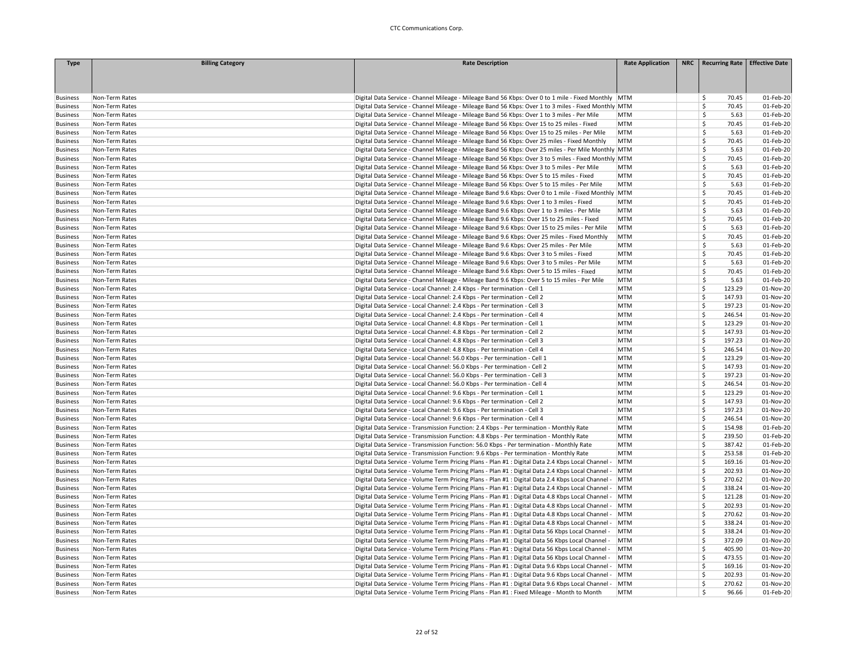| <b>Type</b>     | <b>Billing Category</b> | <b>Rate Description</b>                                                                                | <b>Rate Application</b> | NRC   Recurring Rate   Effective Date |           |
|-----------------|-------------------------|--------------------------------------------------------------------------------------------------------|-------------------------|---------------------------------------|-----------|
|                 |                         |                                                                                                        |                         |                                       |           |
|                 |                         |                                                                                                        |                         |                                       |           |
|                 |                         |                                                                                                        |                         |                                       |           |
| <b>Business</b> | Non-Term Rates          | Digital Data Service - Channel Mileage - Mileage Band 56 Kbps: Over 0 to 1 mile - Fixed Monthly MTM    |                         | 70.45<br>Ŝ.                           | 01-Feb-20 |
| <b>Business</b> | Non-Term Rates          | Digital Data Service - Channel Mileage - Mileage Band 56 Kbps: Over 1 to 3 miles - Fixed Monthly MTM   |                         | Š.<br>70.45                           | 01-Feb-20 |
| <b>Business</b> | Non-Term Rates          | Digital Data Service - Channel Mileage - Mileage Band 56 Kbps: Over 1 to 3 miles - Per Mile            | <b>MTM</b>              | \$<br>5.63                            | 01-Feb-20 |
| <b>Business</b> | Non-Term Rates          | Digital Data Service - Channel Mileage - Mileage Band 56 Kbps: Over 15 to 25 miles - Fixed             | <b>MTM</b>              | \$<br>70.45                           | 01-Feb-20 |
| <b>Business</b> | Non-Term Rates          | Digital Data Service - Channel Mileage - Mileage Band 56 Kbps: Over 15 to 25 miles - Per Mile          | MTM                     | $\mathsf{\hat{S}}$<br>5.63            | 01-Feb-20 |
| <b>Business</b> | Non-Term Rates          | Digital Data Service - Channel Mileage - Mileage Band 56 Kbps: Over 25 miles - Fixed Monthly           | <b>MTM</b>              | \$<br>70.45                           | 01-Feb-20 |
| <b>Business</b> | Non-Term Rates          | Digital Data Service - Channel Mileage - Mileage Band 56 Kbps: Over 25 miles - Per Mile Monthly MTM    |                         | <sup>\$</sup><br>5.63                 | 01-Feb-20 |
| <b>Business</b> | Non-Term Rates          | Digital Data Service - Channel Mileage - Mileage Band 56 Kbps: Over 3 to 5 miles - Fixed Monthly MTM   |                         | \$.<br>70.45                          | 01-Feb-20 |
| <b>Business</b> | Non-Term Rates          | Digital Data Service - Channel Mileage - Mileage Band 56 Kbps: Over 3 to 5 miles - Per Mile            | <b>MTM</b>              | \$<br>5.63                            | 01-Feb-20 |
| <b>Business</b> | Non-Term Rates          | Digital Data Service - Channel Mileage - Mileage Band 56 Kbps: Over 5 to 15 miles - Fixed              | <b>MTM</b>              | Ś<br>70.45                            | 01-Feb-20 |
| <b>Business</b> | Non-Term Rates          | Digital Data Service - Channel Mileage - Mileage Band 56 Kbps: Over 5 to 15 miles - Per Mile           | <b>MTM</b>              | \$<br>5.63                            | 01-Feb-20 |
| <b>Business</b> | Non-Term Rates          | Digital Data Service - Channel Mileage - Mileage Band 9.6 Kbps: Over 0 to 1 mile - Fixed Monthly MTM   |                         | \$<br>70.45                           | 01-Feb-20 |
| <b>Business</b> | Non-Term Rates          | Digital Data Service - Channel Mileage - Mileage Band 9.6 Kbps: Over 1 to 3 miles - Fixed              | <b>MTM</b>              | \$<br>70.45                           | 01-Feb-20 |
| <b>Business</b> | Non-Term Rates          | Digital Data Service - Channel Mileage - Mileage Band 9.6 Kbps: Over 1 to 3 miles - Per Mile           | <b>MTM</b>              | <sup>\$</sup><br>5.63                 | 01-Feb-20 |
| <b>Business</b> | Non-Term Rates          | Digital Data Service - Channel Mileage - Mileage Band 9.6 Kbps: Over 15 to 25 miles - Fixed            | <b>MTM</b>              | Ś<br>70.45                            | 01-Feb-20 |
| <b>Business</b> | Non-Term Rates          | Digital Data Service - Channel Mileage - Mileage Band 9.6 Kbps: Over 15 to 25 miles - Per Mile         | MTM                     | <sup>\$</sup><br>5.63                 | 01-Feb-20 |
| <b>Business</b> | Non-Term Rates          | Digital Data Service - Channel Mileage - Mileage Band 9.6 Kbps: Over 25 miles - Fixed Monthly          | <b>MTM</b>              | \$<br>70.45                           | 01-Feb-20 |
|                 | Non-Term Rates          | Digital Data Service - Channel Mileage - Mileage Band 9.6 Kbps: Over 25 miles - Per Mile               | <b>MTM</b>              | $\mathsf{\hat{S}}$<br>5.63            | 01-Feb-20 |
| <b>Business</b> | Non-Term Rates          |                                                                                                        | <b>MTM</b>              | Ŝ.<br>70.45                           | 01-Feb-20 |
| <b>Business</b> |                         | Digital Data Service - Channel Mileage - Mileage Band 9.6 Kbps: Over 3 to 5 miles - Fixed              | <b>MTM</b>              | Ŝ<br>5.63                             | 01-Feb-20 |
| <b>Business</b> | Non-Term Rates          | Digital Data Service - Channel Mileage - Mileage Band 9.6 Kbps: Over 3 to 5 miles - Per Mile           |                         |                                       |           |
| <b>Business</b> | Non-Term Rates          | Digital Data Service - Channel Mileage - Mileage Band 9.6 Kbps: Over 5 to 15 miles - Fixed             | <b>MTM</b>              | \$<br>70.45                           | 01-Feb-20 |
| <b>Business</b> | Non-Term Rates          | Digital Data Service - Channel Mileage - Mileage Band 9.6 Kbps: Over 5 to 15 miles - Per Mile          | <b>MTM</b>              | \$<br>5.63                            | 01-Feb-20 |
| <b>Business</b> | Non-Term Rates          | Digital Data Service - Local Channel: 2.4 Kbps - Per termination - Cell 1                              | <b>MTM</b>              | Ś<br>123.29                           | 01-Nov-20 |
| <b>Business</b> | Non-Term Rates          | Digital Data Service - Local Channel: 2.4 Kbps - Per termination - Cell 2                              | <b>MTM</b>              | Ś<br>147.93                           | 01-Nov-20 |
| <b>Business</b> | Non-Term Rates          | Digital Data Service - Local Channel: 2.4 Kbps - Per termination - Cell 3                              | <b>MTM</b>              | \$<br>197.23                          | 01-Nov-20 |
| <b>Business</b> | Non-Term Rates          | Digital Data Service - Local Channel: 2.4 Kbps - Per termination - Cell 4                              | <b>MTM</b>              | Š.<br>246.54                          | 01-Nov-20 |
| <b>Business</b> | Non-Term Rates          | Digital Data Service - Local Channel: 4.8 Kbps - Per termination - Cell 1                              | <b>MTM</b>              | Ś<br>123.29                           | 01-Nov-20 |
| <b>Business</b> | Non-Term Rates          | Digital Data Service - Local Channel: 4.8 Kbps - Per termination - Cell 2                              | <b>MTM</b>              | Ś<br>147.93                           | 01-Nov-20 |
| <b>Business</b> | Non-Term Rates          | Digital Data Service - Local Channel: 4.8 Kbps - Per termination - Cell 3                              | <b>MTM</b>              | Ś<br>197.23                           | 01-Nov-20 |
| <b>Business</b> | Non-Term Rates          | Digital Data Service - Local Channel: 4.8 Kbps - Per termination - Cell 4                              | <b>MTM</b>              | Ś<br>246.54                           | 01-Nov-20 |
| <b>Business</b> | Non-Term Rates          | Digital Data Service - Local Channel: 56.0 Kbps - Per termination - Cell 1                             | <b>MTM</b>              | 123.29<br>Ś.                          | 01-Nov-20 |
| <b>Business</b> | Non-Term Rates          | Digital Data Service - Local Channel: 56.0 Kbps - Per termination - Cell 2                             | <b>MTM</b>              | Š.<br>147.93                          | 01-Nov-20 |
| <b>Business</b> | Non-Term Rates          | Digital Data Service - Local Channel: 56.0 Kbps - Per termination - Cell 3                             | <b>MTM</b>              | Ś<br>197.23                           | 01-Nov-20 |
| <b>Business</b> | Non-Term Rates          | Digital Data Service - Local Channel: 56.0 Kbps - Per termination - Cell 4                             | <b>MTM</b>              | $\mathsf{\hat{S}}$<br>246.54          | 01-Nov-20 |
| <b>Business</b> | Non-Term Rates          | Digital Data Service - Local Channel: 9.6 Kbps - Per termination - Cell 1                              | <b>MTM</b>              | \$<br>123.29                          | 01-Nov-20 |
| <b>Business</b> | Non-Term Rates          | Digital Data Service - Local Channel: 9.6 Kbps - Per termination - Cell 2                              | <b>MTM</b>              | \$<br>147.93                          | 01-Nov-20 |
| <b>Business</b> | Non-Term Rates          | Digital Data Service - Local Channel: 9.6 Kbps - Per termination - Cell 3                              | <b>MTM</b>              | 197.23<br>Ś.                          | 01-Nov-20 |
| <b>Business</b> | Non-Term Rates          | Digital Data Service - Local Channel: 9.6 Kbps - Per termination - Cell 4                              | <b>MTM</b>              | Ś.<br>246.54                          | 01-Nov-20 |
| <b>Business</b> | Non-Term Rates          | Digital Data Service - Transmission Function: 2.4 Kbps - Per termination - Monthly Rate                | <b>MTM</b>              | Ś<br>154.98                           | 01-Feb-20 |
| <b>Business</b> | Non-Term Rates          | Digital Data Service - Transmission Function: 4.8 Kbps - Per termination - Monthly Rate                | <b>MTM</b>              | Ś<br>239.50                           | 01-Feb-20 |
| <b>Business</b> | Non-Term Rates          | Digital Data Service - Transmission Function: 56.0 Kbps - Per termination - Monthly Rate               | <b>MTM</b>              | Ś<br>387.42                           | 01-Feb-20 |
| <b>Business</b> | Non-Term Rates          | Digital Data Service - Transmission Function: 9.6 Kbps - Per termination - Monthly Rate                | <b>MTM</b>              | Ś<br>253.58                           | 01-Feb-20 |
| <b>Business</b> | Non-Term Rates          | Digital Data Service - Volume Term Pricing Plans - Plan #1 : Digital Data 2.4 Kbps Local Channel -     | MTM                     | Š.<br>169.16                          | 01-Nov-20 |
| <b>Business</b> | Non-Term Rates          | Digital Data Service - Volume Term Pricing Plans - Plan #1 : Digital Data 2.4 Kbps Local Channel -     | MTM                     | Š.<br>202.93                          | 01-Nov-20 |
| <b>Business</b> | Non-Term Rates          | Digital Data Service - Volume Term Pricing Plans - Plan #1 : Digital Data 2.4 Kbps Local Channel -     | MTM                     | Ś<br>270.62                           | 01-Nov-20 |
| <b>Business</b> | Non-Term Rates          | Digital Data Service - Volume Term Pricing Plans - Plan #1 : Digital Data 2.4 Kbps Local Channel -     | MTM                     | Ś<br>338.24                           | 01-Nov-20 |
| <b>Business</b> | Non-Term Rates          | Digital Data Service - Volume Term Pricing Plans - Plan #1 : Digital Data 4.8 Kbps Local Channel -     | MTM                     | \$<br>121.28                          | 01-Nov-20 |
| <b>Business</b> | Non-Term Rates          | Digital Data Service - Volume Term Pricing Plans - Plan #1 : Digital Data 4.8 Kbps Local Channel -     | MTM                     | Ś<br>202.93                           | 01-Nov-20 |
| <b>Business</b> | Non-Term Rates          | Digital Data Service - Volume Term Pricing Plans - Plan #1 : Digital Data 4.8 Kbps Local Channel - MTM |                         | Ś<br>270.62                           | 01-Nov-20 |
| <b>Business</b> | Non-Term Rates          | Digital Data Service - Volume Term Pricing Plans - Plan #1 : Digital Data 4.8 Kbps Local Channel -     | MTM                     | Š.<br>338.24                          | 01-Nov-20 |
| <b>Business</b> | Non-Term Rates          | Digital Data Service - Volume Term Pricing Plans - Plan #1 : Digital Data 56 Kbps Local Channel -      | <b>MTM</b>              | \$<br>338.24                          | 01-Nov-20 |
|                 |                         |                                                                                                        |                         | Ś<br>372.09                           | 01-Nov-20 |
| <b>Business</b> | Non-Term Rates          | Digital Data Service - Volume Term Pricing Plans - Plan #1 : Digital Data 56 Kbps Local Channel -      | <b>MTM</b>              | \$                                    |           |
| <b>Business</b> | Non-Term Rates          | Digital Data Service - Volume Term Pricing Plans - Plan #1 : Digital Data 56 Kbps Local Channel -      | <b>MTM</b>              | 405.90                                | 01-Nov-20 |
| <b>Business</b> | Non-Term Rates          | Digital Data Service - Volume Term Pricing Plans - Plan #1 : Digital Data 56 Kbps Local Channel -      | <b>MTM</b>              | \$<br>473.55                          | 01-Nov-20 |
| <b>Business</b> | Non-Term Rates          | Digital Data Service - Volume Term Pricing Plans - Plan #1 : Digital Data 9.6 Kbps Local Channel -     | MTM                     | Ś.<br>169.16                          | 01-Nov-20 |
| <b>Business</b> | Non-Term Rates          | Digital Data Service - Volume Term Pricing Plans - Plan #1 : Digital Data 9.6 Kbps Local Channel -     | MTM                     | Ś<br>202.93                           | 01-Nov-20 |
| <b>Business</b> | Non-Term Rates          | Digital Data Service - Volume Term Pricing Plans - Plan #1 : Digital Data 9.6 Kbps Local Channel -     | <b>MTM</b>              | Ś<br>270.62                           | 01-Nov-20 |
| <b>Business</b> | Non-Term Rates          | Digital Data Service - Volume Term Pricing Plans - Plan #1 : Fixed Mileage - Month to Month            | <b>MTM</b>              | \$<br>96.66                           | 01-Feb-20 |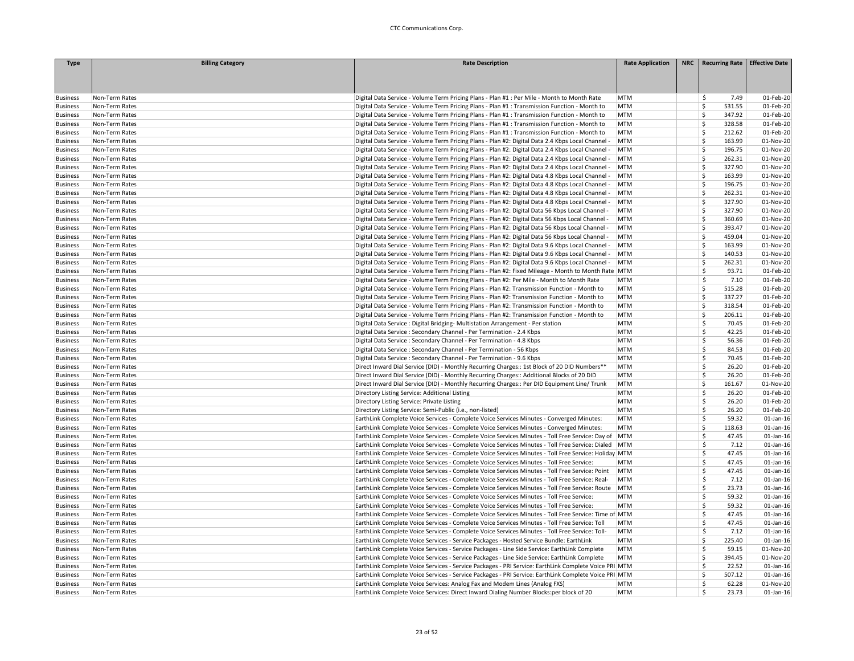| <b>Type</b>                        | <b>Billing Category</b>          | <b>Rate Description</b>                                                                                                                                                                                | <b>Rate Application</b>  | NRC Recurring Rate           | <b>Effective Date</b>  |
|------------------------------------|----------------------------------|--------------------------------------------------------------------------------------------------------------------------------------------------------------------------------------------------------|--------------------------|------------------------------|------------------------|
|                                    |                                  |                                                                                                                                                                                                        |                          |                              |                        |
|                                    |                                  |                                                                                                                                                                                                        |                          |                              |                        |
|                                    |                                  |                                                                                                                                                                                                        |                          |                              |                        |
| <b>Business</b>                    | Non-Term Rates                   | Digital Data Service - Volume Term Pricing Plans - Plan #1 : Per Mile - Month to Month Rate                                                                                                            | <b>MTM</b>               | 7.49<br>Ŝ                    | 01-Feb-20              |
| <b>Business</b>                    | Non-Term Rates                   | Digital Data Service - Volume Term Pricing Plans - Plan #1 : Transmission Function - Month to                                                                                                          | MTM                      | Ś<br>531.55                  | 01-Feb-20              |
| <b>Business</b>                    | Non-Term Rates                   | Digital Data Service - Volume Term Pricing Plans - Plan #1 : Transmission Function - Month to                                                                                                          | <b>MTM</b>               | Ś<br>347.92                  | 01-Feb-20              |
| <b>Business</b>                    | Non-Term Rates                   | Digital Data Service - Volume Term Pricing Plans - Plan #1 : Transmission Function - Month to                                                                                                          | <b>MTM</b>               | Ś<br>328.58                  | 01-Feb-20              |
| <b>Business</b>                    | Non-Term Rates                   | Digital Data Service - Volume Term Pricing Plans - Plan #1 : Transmission Function - Month to                                                                                                          | <b>MTM</b>               | \$<br>212.62                 | 01-Feb-20              |
| <b>Business</b>                    | Non-Term Rates                   | Digital Data Service - Volume Term Pricing Plans - Plan #2: Digital Data 2.4 Kbps Local Channel -                                                                                                      | MTM                      | \$<br>163.99                 | 01-Nov-20              |
| <b>Business</b>                    | Non-Term Rates                   | Digital Data Service - Volume Term Pricing Plans - Plan #2: Digital Data 2.4 Kbps Local Channel -                                                                                                      | MTM                      | Ś<br>196.75                  | 01-Nov-20              |
| <b>Business</b>                    | Non-Term Rates                   | Digital Data Service - Volume Term Pricing Plans - Plan #2: Digital Data 2.4 Kbps Local Channel -                                                                                                      | MTM                      | Ś<br>262.31                  | 01-Nov-20              |
| <b>Business</b>                    | Non-Term Rates                   | Digital Data Service - Volume Term Pricing Plans - Plan #2: Digital Data 2.4 Kbps Local Channel -                                                                                                      | MTM                      | Ś<br>327.90                  | 01-Nov-20              |
| <b>Business</b>                    | Non-Term Rates                   | Digital Data Service - Volume Term Pricing Plans - Plan #2: Digital Data 4.8 Kbps Local Channel -                                                                                                      | MTM<br>MTM               | Ś<br>163.99<br>\$            | 01-Nov-20              |
| <b>Business</b>                    | Non-Term Rates                   | Digital Data Service - Volume Term Pricing Plans - Plan #2: Digital Data 4.8 Kbps Local Channel -                                                                                                      |                          | 196.75<br>Ś<br>262.31        | 01-Nov-20              |
| <b>Business</b>                    | Non-Term Rates                   | Digital Data Service - Volume Term Pricing Plans - Plan #2: Digital Data 4.8 Kbps Local Channel -                                                                                                      | MTM                      | \$<br>327.90                 | 01-Nov-20              |
| <b>Business</b>                    | Non-Term Rates                   | Digital Data Service - Volume Term Pricing Plans - Plan #2: Digital Data 4.8 Kbps Local Channel -                                                                                                      | MTM                      | Ś                            | 01-Nov-20              |
| <b>Business</b>                    | Non-Term Rates                   | Digital Data Service - Volume Term Pricing Plans - Plan #2: Digital Data 56 Kbps Local Channel -                                                                                                       | <b>MTM</b>               | 327.90                       | 01-Nov-20              |
| <b>Business</b>                    | Non-Term Rates                   | Digital Data Service - Volume Term Pricing Plans - Plan #2: Digital Data 56 Kbps Local Channel -                                                                                                       | <b>MTM</b><br><b>MTM</b> | \$<br>360.69<br>Ś.<br>393.47 | 01-Nov-20              |
| <b>Business</b><br><b>Business</b> | Non-Term Rates<br>Non-Term Rates | Digital Data Service - Volume Term Pricing Plans - Plan #2: Digital Data 56 Kbps Local Channel -<br>Digital Data Service - Volume Term Pricing Plans - Plan #2: Digital Data 56 Kbps Local Channel -   | <b>MTM</b>               | \$<br>459.04                 | 01-Nov-20<br>01-Nov-20 |
|                                    |                                  |                                                                                                                                                                                                        | MTM                      | Ś<br>163.99                  | 01-Nov-20              |
| <b>Business</b>                    | Non-Term Rates                   | Digital Data Service - Volume Term Pricing Plans - Plan #2: Digital Data 9.6 Kbps Local Channel -<br>Digital Data Service - Volume Term Pricing Plans - Plan #2: Digital Data 9.6 Kbps Local Channel - | MTM                      | \$<br>140.53                 | 01-Nov-20              |
| <b>Business</b><br><b>Business</b> | Non-Term Rates<br>Non-Term Rates | Digital Data Service - Volume Term Pricing Plans - Plan #2: Digital Data 9.6 Kbps Local Channel -                                                                                                      | MTM                      | \$<br>262.31                 | 01-Nov-20              |
|                                    |                                  |                                                                                                                                                                                                        |                          | 93.71<br>Ś.                  | 01-Feb-20              |
| <b>Business</b><br><b>Business</b> | Non-Term Rates<br>Non-Term Rates | Digital Data Service - Volume Term Pricing Plans - Plan #2: Fixed Mileage - Month to Month Rate MTM<br>Digital Data Service - Volume Term Pricing Plans - Plan #2: Per Mile - Month to Month Rate      | <b>MTM</b>               | Ś<br>7.10                    | 01-Feb-20              |
| <b>Business</b>                    | Non-Term Rates                   | Digital Data Service - Volume Term Pricing Plans - Plan #2: Transmission Function - Month to                                                                                                           | <b>MTM</b>               | Ś<br>515.28                  | 01-Feb-20              |
|                                    | Non-Term Rates                   |                                                                                                                                                                                                        | <b>MTM</b>               | Ś<br>337.27                  | 01-Feb-20              |
| <b>Business</b>                    |                                  | Digital Data Service - Volume Term Pricing Plans - Plan #2: Transmission Function - Month to                                                                                                           | <b>MTM</b>               | \$<br>318.54                 |                        |
| <b>Business</b>                    | Non-Term Rates<br>Non-Term Rates | Digital Data Service - Volume Term Pricing Plans - Plan #2: Transmission Function - Month to                                                                                                           | MTM                      | \$<br>206.11                 | 01-Feb-20<br>01-Feb-20 |
| <b>Business</b><br><b>Business</b> | Non-Term Rates                   | Digital Data Service - Volume Term Pricing Plans - Plan #2: Transmission Function - Month to<br>Digital Data Service : Digital Bridging- Multistation Arrangement - Per station                        | <b>MTM</b>               | \$<br>70.45                  | 01-Feb-20              |
| <b>Business</b>                    | Non-Term Rates                   | Digital Data Service : Secondary Channel - Per Termination - 2.4 Kbps                                                                                                                                  | <b>MTM</b>               | \$<br>42.25                  | 01-Feb-20              |
| <b>Business</b>                    | Non-Term Rates                   | Digital Data Service : Secondary Channel - Per Termination - 4.8 Kbps                                                                                                                                  | <b>MTM</b>               | Ś<br>56.36                   | 01-Feb-20              |
| <b>Business</b>                    | Non-Term Rates                   | Digital Data Service : Secondary Channel - Per Termination - 56 Kbps                                                                                                                                   | <b>MTM</b>               | Ś<br>84.53                   | 01-Feb-20              |
| <b>Business</b>                    | Non-Term Rates                   | Digital Data Service : Secondary Channel - Per Termination - 9.6 Kbps                                                                                                                                  | <b>MTM</b>               | \$<br>70.45                  | 01-Feb-20              |
| <b>Business</b>                    | Non-Term Rates                   | Direct Inward Dial Service (DID) - Monthly Recurring Charges:: 1st Block of 20 DID Numbers**                                                                                                           | <b>MTM</b>               | \$<br>26.20                  | 01-Feb-20              |
| <b>Business</b>                    | Non-Term Rates                   | Direct Inward Dial Service (DID) - Monthly Recurring Charges:: Additional Blocks of 20 DID                                                                                                             | <b>MTM</b>               | \$<br>26.20                  | 01-Feb-20              |
| <b>Business</b>                    | Non-Term Rates                   | Direct Inward Dial Service (DID) - Monthly Recurring Charges:: Per DID Equipment Line/ Trunk                                                                                                           | <b>MTM</b>               | \$<br>161.67                 | 01-Nov-20              |
| <b>Business</b>                    | Non-Term Rates                   | Directory Listing Service: Additional Listing                                                                                                                                                          | <b>MTM</b>               | \$<br>26.20                  | 01-Feb-20              |
| <b>Business</b>                    | Non-Term Rates                   | Directory Listing Service: Private Listing                                                                                                                                                             | <b>MTM</b>               | \$<br>26.20                  | 01-Feb-20              |
| <b>Business</b>                    | Non-Term Rates                   | Directory Listing Service: Semi-Public (i.e., non-listed)                                                                                                                                              | <b>MTM</b>               | \$<br>26.20                  | 01-Feb-20              |
| <b>Business</b>                    | Non-Term Rates                   | EarthLink Complete Voice Services - Complete Voice Services Minutes - Converged Minutes:                                                                                                               | <b>MTM</b>               | Ś.<br>59.32                  | $01$ -Jan-16           |
| <b>Business</b>                    | Non-Term Rates                   | EarthLink Complete Voice Services - Complete Voice Services Minutes - Converged Minutes:                                                                                                               | <b>MTM</b>               | Ś.<br>118.63                 | $01$ -Jan-16           |
| <b>Business</b>                    | Non-Term Rates                   | EarthLink Complete Voice Services - Complete Voice Services Minutes - Toll Free Service: Day of MTM                                                                                                    |                          | \$<br>47.45                  | $01$ -Jan-16           |
| <b>Business</b>                    | Non-Term Rates                   | EarthLink Complete Voice Services - Complete Voice Services Minutes - Toll Free Service: Dialed                                                                                                        | MTM                      | Ś<br>7.12                    | $01$ -Jan-16           |
| <b>Business</b>                    | Non-Term Rates                   | EarthLink Complete Voice Services - Complete Voice Services Minutes - Toll Free Service: Holiday MTM                                                                                                   |                          | \$<br>47.45                  | $01$ -Jan-16           |
| <b>Business</b>                    | Non-Term Rates                   | EarthLink Complete Voice Services - Complete Voice Services Minutes - Toll Free Service:                                                                                                               | <b>MTM</b>               | \$<br>47.45                  | $01$ -Jan-16           |
| <b>Business</b>                    | Non-Term Rates                   | EarthLink Complete Voice Services - Complete Voice Services Minutes - Toll Free Service: Point                                                                                                         | <b>MTM</b>               | Ś.<br>47.45                  | $01$ -Jan-16           |
| <b>Business</b>                    | Non-Term Rates                   | EarthLink Complete Voice Services - Complete Voice Services Minutes - Toll Free Service: Real-                                                                                                         | <b>MTM</b>               | Š.<br>7.12                   | $01$ -Jan-16           |
| <b>Business</b>                    | Non-Term Rates                   | EarthLink Complete Voice Services - Complete Voice Services Minutes - Toll Free Service: Route                                                                                                         | MTM                      | Ś<br>23.73                   | $01$ -Jan-16           |
| <b>Business</b>                    | Non-Term Rates                   | EarthLink Complete Voice Services - Complete Voice Services Minutes - Toll Free Service:                                                                                                               | <b>MTM</b>               | \$<br>59.32                  | $01$ -Jan-16           |
| <b>Business</b>                    | Non-Term Rates                   | EarthLink Complete Voice Services - Complete Voice Services Minutes - Toll Free Service:                                                                                                               | <b>MTM</b>               | \$<br>59.32                  | $01$ -Jan-16           |
| <b>Business</b>                    | Non-Term Rates                   | EarthLink Complete Voice Services - Complete Voice Services Minutes - Toll Free Service: Time of MTM                                                                                                   |                          | Ś.<br>47.45                  | $01$ -Jan-16           |
| <b>Business</b>                    | Non-Term Rates                   | EarthLink Complete Voice Services - Complete Voice Services Minutes - Toll Free Service: Toll                                                                                                          | <b>MTM</b>               | 47.45<br>Ś.                  | $01$ -Jan-16           |
| <b>Business</b>                    | Non-Term Rates                   | EarthLink Complete Voice Services - Complete Voice Services Minutes - Toll Free Service: Toll-                                                                                                         | MTM                      | Ś<br>7.12                    | $01$ -Jan-16           |
| <b>Business</b>                    | Non-Term Rates                   | EarthLink Complete Voice Services - Service Packages - Hosted Service Bundle: EarthLink                                                                                                                | <b>MTM</b>               | Ś<br>225.40                  | $01$ -Jan-16           |
| <b>Business</b>                    | Non-Term Rates                   | EarthLink Complete Voice Services - Service Packages - Line Side Service: EarthLink Complete                                                                                                           | MTM                      | \$<br>59.15                  | 01-Nov-20              |
| <b>Business</b>                    | Non-Term Rates                   | EarthLink Complete Voice Services - Service Packages - Line Side Service: EarthLink Complete                                                                                                           | <b>MTM</b>               | \$<br>394.45                 | 01-Nov-20              |
| <b>Business</b>                    | Non-Term Rates                   | EarthLink Complete Voice Services - Service Packages - PRI Service: EarthLink Complete Voice PRI MTM                                                                                                   |                          | \$<br>22.52                  | $01$ -Jan-16           |
| <b>Business</b>                    | Non-Term Rates                   | EarthLink Complete Voice Services - Service Packages - PRI Service: EarthLink Complete Voice PRI MTM                                                                                                   |                          | Ś<br>507.12                  | $01$ -Jan-16           |
| <b>Business</b>                    | Non-Term Rates                   | EarthLink Complete Voice Services: Analog Fax and Modem Lines (Analog FXS)                                                                                                                             | <b>MTM</b>               | \$<br>62.28                  | 01-Nov-20              |
| <b>Business</b>                    | Non-Term Rates                   | EarthLink Complete Voice Services: Direct Inward Dialing Number Blocks:per block of 20                                                                                                                 | <b>MTM</b>               | Ś<br>23.73                   | $01$ -Jan-16           |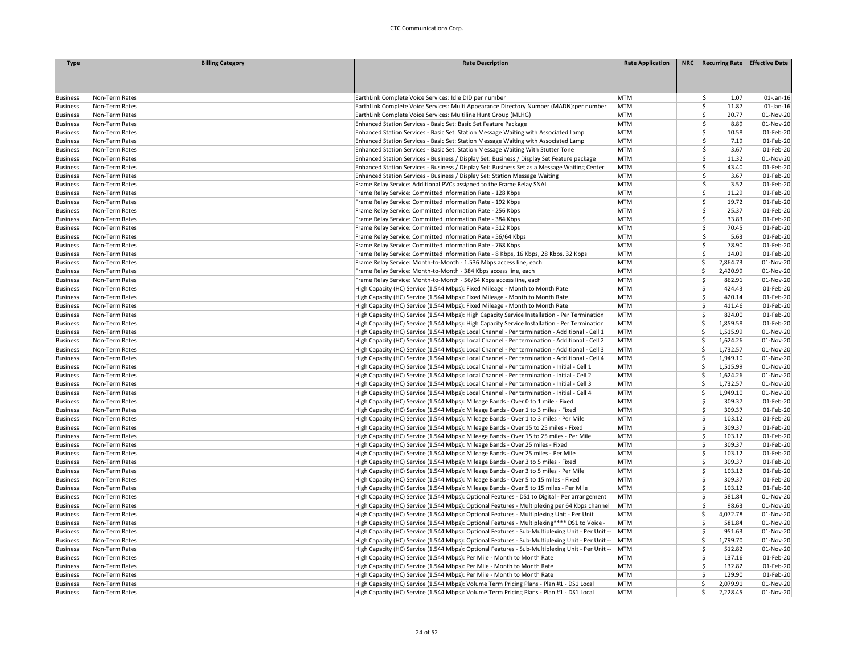| <b>Type</b>                        | <b>Billing Category</b> | <b>Rate Description</b>                                                                                                                          | <b>Rate Application</b> | NRC   Recurring Rate   Effective Date |              |
|------------------------------------|-------------------------|--------------------------------------------------------------------------------------------------------------------------------------------------|-------------------------|---------------------------------------|--------------|
|                                    |                         |                                                                                                                                                  |                         |                                       |              |
|                                    |                         |                                                                                                                                                  |                         |                                       |              |
|                                    | Non-Term Rates          |                                                                                                                                                  | <b>MTM</b>              | 1.07                                  | $01$ -Jan-16 |
| <b>Business</b><br><b>Business</b> | Non-Term Rates          | EarthLink Complete Voice Services: Idle DID per number<br>EarthLink Complete Voice Services: Multi Appearance Directory Number (MADN):per number | <b>MTM</b>              | \$<br>Š.<br>11.87                     | $01$ -Jan-16 |
| <b>Business</b>                    | Non-Term Rates          | EarthLink Complete Voice Services: Multiline Hunt Group (MLHG)                                                                                   | <b>MTM</b>              | \$<br>20.77                           | 01-Nov-20    |
| <b>Business</b>                    | Non-Term Rates          | Enhanced Station Services - Basic Set: Basic Set Feature Package                                                                                 | <b>MTM</b>              | Ŝ<br>8.89                             | 01-Nov-20    |
| <b>Business</b>                    | Non-Term Rates          | Enhanced Station Services - Basic Set: Station Message Waiting with Associated Lamp                                                              | <b>MTM</b>              | Ś<br>10.58                            | 01-Feb-20    |
| <b>Business</b>                    | Non-Term Rates          | Enhanced Station Services - Basic Set: Station Message Waiting with Associated Lamp                                                              | <b>MTM</b>              | \$<br>7.19                            | 01-Feb-20    |
| <b>Business</b>                    | Non-Term Rates          | Enhanced Station Services - Basic Set: Station Message Waiting With Stutter Tone                                                                 | <b>MTM</b>              | \$<br>3.67                            | 01-Feb-20    |
| <b>Business</b>                    | Non-Term Rates          | Enhanced Station Services - Business / Display Set: Business / Display Set Feature package                                                       | <b>MTM</b>              | \$.<br>11.32                          | 01-Nov-20    |
| <b>Business</b>                    | Non-Term Rates          | Enhanced Station Services - Business / Display Set: Business Set as a Message Waiting Center                                                     | <b>MTM</b>              | \$<br>43.40                           | 01-Feb-20    |
| <b>Business</b>                    | Non-Term Rates          | Enhanced Station Services - Business / Display Set: Station Message Waiting                                                                      | <b>MTM</b>              | $\mathsf{\hat{S}}$<br>3.67            | 01-Feb-20    |
| <b>Business</b>                    | Non-Term Rates          | Frame Relay Service: Additional PVCs assigned to the Frame Relay SNAL                                                                            | <b>MTM</b>              | \$<br>3.52                            | 01-Feb-20    |
| <b>Business</b>                    | Non-Term Rates          | Frame Relay Service: Committed Information Rate - 128 Kbps                                                                                       | <b>MTM</b>              | \$<br>11.29                           | 01-Feb-20    |
| <b>Business</b>                    | Non-Term Rates          | Frame Relay Service: Committed Information Rate - 192 Kbps                                                                                       | <b>MTM</b>              | \$<br>19.72                           | 01-Feb-20    |
| <b>Business</b>                    | Non-Term Rates          | Frame Relay Service: Committed Information Rate - 256 Kbps                                                                                       | <b>MTM</b>              | \$.<br>25.37                          | 01-Feb-20    |
| <b>Business</b>                    | Non-Term Rates          | Frame Relay Service: Committed Information Rate - 384 Kbps                                                                                       | <b>MTM</b>              | \$<br>33.83                           | 01-Feb-20    |
| <b>Business</b>                    | Non-Term Rates          | Frame Relay Service: Committed Information Rate - 512 Kbps                                                                                       | <b>MTM</b>              | \$.<br>70.45                          | 01-Feb-20    |
| <b>Business</b>                    | Non-Term Rates          | Frame Relay Service: Committed Information Rate - 56/64 Kbps                                                                                     | <b>MTM</b>              | \$<br>5.63                            | 01-Feb-20    |
| <b>Business</b>                    | Non-Term Rates          | Frame Relay Service: Committed Information Rate - 768 Kbps                                                                                       | <b>MTM</b>              | \$<br>78.90                           | 01-Feb-20    |
| <b>Business</b>                    | Non-Term Rates          | Frame Relay Service: Committed Information Rate - 8 Kbps, 16 Kbps, 28 Kbps, 32 Kbps                                                              | <b>MTM</b>              | Š.<br>14.09                           | 01-Feb-20    |
| <b>Business</b>                    | Non-Term Rates          | Frame Relay Service: Month-to-Month - 1.536 Mbps access line, each                                                                               | <b>MTM</b>              | Ś<br>2,864.73                         | 01-Nov-20    |
| <b>Business</b>                    | Non-Term Rates          | Frame Relay Service: Month-to-Month - 384 Kbps access line, each                                                                                 | <b>MTM</b>              | Ś<br>2,420.99                         | 01-Nov-20    |
| <b>Business</b>                    | Non-Term Rates          | Frame Relay Service: Month-to-Month - 56/64 Kbps access line, each                                                                               | <b>MTM</b>              | Ś<br>862.91                           | 01-Nov-20    |
| <b>Business</b>                    | Non-Term Rates          | High Capacity (HC) Service (1.544 Mbps): Fixed Mileage - Month to Month Rate                                                                     | <b>MTM</b>              | Ś<br>424.43                           | 01-Feb-20    |
| <b>Business</b>                    | Non-Term Rates          | High Capacity (HC) Service (1.544 Mbps): Fixed Mileage - Month to Month Rate                                                                     | <b>MTM</b>              | Ś<br>420.14                           | 01-Feb-20    |
| <b>Business</b>                    | Non-Term Rates          | High Capacity (HC) Service (1.544 Mbps): Fixed Mileage - Month to Month Rate                                                                     | <b>MTM</b>              | \$<br>411.46                          | 01-Feb-20    |
| <b>Business</b>                    | Non-Term Rates          | High Capacity (HC) Service (1.544 Mbps): High Capacity Service Installation - Per Termination                                                    | <b>MTM</b>              | Š.<br>824.00                          | 01-Feb-20    |
| <b>Business</b>                    | Non-Term Rates          | High Capacity (HC) Service (1.544 Mbps): High Capacity Service Installation - Per Termination                                                    | <b>MTM</b>              | \$<br>1,859.58                        | 01-Feb-20    |
| <b>Business</b>                    | Non-Term Rates          | High Capacity (HC) Service (1.544 Mbps): Local Channel - Per termination - Additional - Cell 1                                                   | <b>MTM</b>              | Ś<br>1,515.99                         | 01-Nov-20    |
| <b>Business</b>                    | Non-Term Rates          | High Capacity (HC) Service (1.544 Mbps): Local Channel - Per termination - Additional - Cell 2                                                   | <b>MTM</b>              | Ś<br>1,624.26                         | 01-Nov-20    |
| <b>Business</b>                    | Non-Term Rates          | High Capacity (HC) Service (1.544 Mbps): Local Channel - Per termination - Additional - Cell 3                                                   | <b>MTM</b>              | Ś<br>1,732.57                         | 01-Nov-20    |
| <b>Business</b>                    | Non-Term Rates          | High Capacity (HC) Service (1.544 Mbps): Local Channel - Per termination - Additional - Cell 4                                                   | <b>MTM</b>              | 1,949.10<br>Ś                         | 01-Nov-20    |
| <b>Business</b>                    | Non-Term Rates          | High Capacity (HC) Service (1.544 Mbps): Local Channel - Per termination - Initial - Cell 1                                                      | <b>MTM</b>              | Ś<br>1,515.99                         | 01-Nov-20    |
| <b>Business</b>                    | Non-Term Rates          | High Capacity (HC) Service (1.544 Mbps): Local Channel - Per termination - Initial - Cell 2                                                      | <b>MTM</b>              | Ś<br>1,624.26                         | 01-Nov-20    |
| <b>Business</b>                    | Non-Term Rates          | High Capacity (HC) Service (1.544 Mbps): Local Channel - Per termination - Initial - Cell 3                                                      | <b>MTM</b>              | Ś<br>1,732.57                         | 01-Nov-20    |
| <b>Business</b>                    | Non-Term Rates          | High Capacity (HC) Service (1.544 Mbps): Local Channel - Per termination - Initial - Cell 4                                                      | <b>MTM</b>              | \$<br>1,949.10                        | 01-Nov-20    |
| <b>Business</b>                    | Non-Term Rates          | High Capacity (HC) Service (1.544 Mbps): Mileage Bands - Over 0 to 1 mile - Fixed                                                                | <b>MTM</b>              | \$<br>309.37                          | 01-Feb-20    |
| <b>Business</b>                    | Non-Term Rates          | High Capacity (HC) Service (1.544 Mbps): Mileage Bands - Over 1 to 3 miles - Fixed                                                               | <b>MTM</b>              | Ś.<br>309.37                          | 01-Feb-20    |
| <b>Business</b>                    | Non-Term Rates          | High Capacity (HC) Service (1.544 Mbps): Mileage Bands - Over 1 to 3 miles - Per Mile                                                            | <b>MTM</b>              | Ś.<br>103.12                          | 01-Feb-20    |
| <b>Business</b>                    | Non-Term Rates          | High Capacity (HC) Service (1.544 Mbps): Mileage Bands - Over 15 to 25 miles - Fixed                                                             | <b>MTM</b>              | Ś<br>309.37                           | 01-Feb-20    |
| <b>Business</b>                    | Non-Term Rates          | High Capacity (HC) Service (1.544 Mbps): Mileage Bands - Over 15 to 25 miles - Per Mile                                                          | <b>MTM</b>              | Ś<br>103.12                           | 01-Feb-20    |
| <b>Business</b>                    | Non-Term Rates          | High Capacity (HC) Service (1.544 Mbps): Mileage Bands - Over 25 miles - Fixed                                                                   | <b>MTM</b>              | Ś<br>309.37                           | 01-Feb-20    |
| <b>Business</b>                    | Non-Term Rates          | High Capacity (HC) Service (1.544 Mbps): Mileage Bands - Over 25 miles - Per Mile                                                                | <b>MTM</b>              | Ś<br>103.12                           | 01-Feb-20    |
| <b>Business</b>                    | Non-Term Rates          | High Capacity (HC) Service (1.544 Mbps): Mileage Bands - Over 3 to 5 miles - Fixed                                                               | <b>MTM</b>              | Š.<br>309.37                          | 01-Feb-20    |
| <b>Business</b>                    | Non-Term Rates          | High Capacity (HC) Service (1.544 Mbps): Mileage Bands - Over 3 to 5 miles - Per Mile                                                            | <b>MTM</b>              | Š.<br>103.12                          | 01-Feb-20    |
| <b>Business</b>                    | Non-Term Rates          | High Capacity (HC) Service (1.544 Mbps): Mileage Bands - Over 5 to 15 miles - Fixed                                                              | <b>MTM</b>              | Ś<br>309.37                           | 01-Feb-20    |
| <b>Business</b>                    | Non-Term Rates          | High Capacity (HC) Service (1.544 Mbps): Mileage Bands - Over 5 to 15 miles - Per Mile                                                           | <b>MTM</b>              | Ś<br>103.12                           | 01-Feb-20    |
| <b>Business</b>                    | Non-Term Rates          | High Capacity (HC) Service (1.544 Mbps): Optional Features - DS1 to Digital - Per arrangement                                                    | MTM                     | 581.84<br>\$                          | 01-Nov-20    |
| <b>Business</b>                    | Non-Term Rates          | High Capacity (HC) Service (1.544 Mbps): Optional Features - Multiplexing per 64 Kbps channel                                                    | MTM                     | \$<br>98.63                           | 01-Nov-20    |
| <b>Business</b>                    | Non-Term Rates          | High Capacity (HC) Service (1.544 Mbps): Optional Features - Multiplexing Unit - Per Unit                                                        | <b>MTM</b>              | \$<br>4,072.78                        | 01-Nov-20    |
| <b>Business</b>                    | Non-Term Rates          | High Capacity (HC) Service (1.544 Mbps): Optional Features - Multiplexing**** DS1 to Voice -                                                     | <b>MTM</b>              | Š.<br>581.84                          | 01-Nov-20    |
| <b>Business</b>                    | Non-Term Rates          | High Capacity (HC) Service (1.544 Mbps): Optional Features - Sub-Multiplexing Unit - Per Unit --                                                 | MTM                     | Ś<br>951.63                           | 01-Nov-20    |
| <b>Business</b>                    | Non-Term Rates          | High Capacity (HC) Service (1.544 Mbps): Optional Features - Sub-Multiplexing Unit - Per Unit --                                                 | MTM                     | Ś<br>1,799.70                         | 01-Nov-20    |
| <b>Business</b>                    | Non-Term Rates          | High Capacity (HC) Service (1.544 Mbps): Optional Features - Sub-Multiplexing Unit - Per Unit --                                                 | MTM                     | \$<br>512.82                          | 01-Nov-20    |
| <b>Business</b>                    | Non-Term Rates          | High Capacity (HC) Service (1.544 Mbps): Per Mile - Month to Month Rate                                                                          | <b>MTM</b>              | \$<br>137.16                          | 01-Feb-20    |
| <b>Business</b>                    | Non-Term Rates          | High Capacity (HC) Service (1.544 Mbps): Per Mile - Month to Month Rate                                                                          | <b>MTM</b>              | 132.82<br>Ś.                          | 01-Feb-20    |
| <b>Business</b>                    | Non-Term Rates          | High Capacity (HC) Service (1.544 Mbps): Per Mile - Month to Month Rate                                                                          | <b>MTM</b>              | Ś<br>129.90                           | 01-Feb-20    |
| <b>Business</b>                    | Non-Term Rates          | High Capacity (HC) Service (1.544 Mbps): Volume Term Pricing Plans - Plan #1 - DS1 Local                                                         | <b>MTM</b>              | Ś<br>2,079.91                         | 01-Nov-20    |
| <b>Business</b>                    | Non-Term Rates          | High Capacity (HC) Service (1.544 Mbps): Volume Term Pricing Plans - Plan #1 - DS1 Local                                                         | <b>MTM</b>              | Ś<br>2,228.45                         | 01-Nov-20    |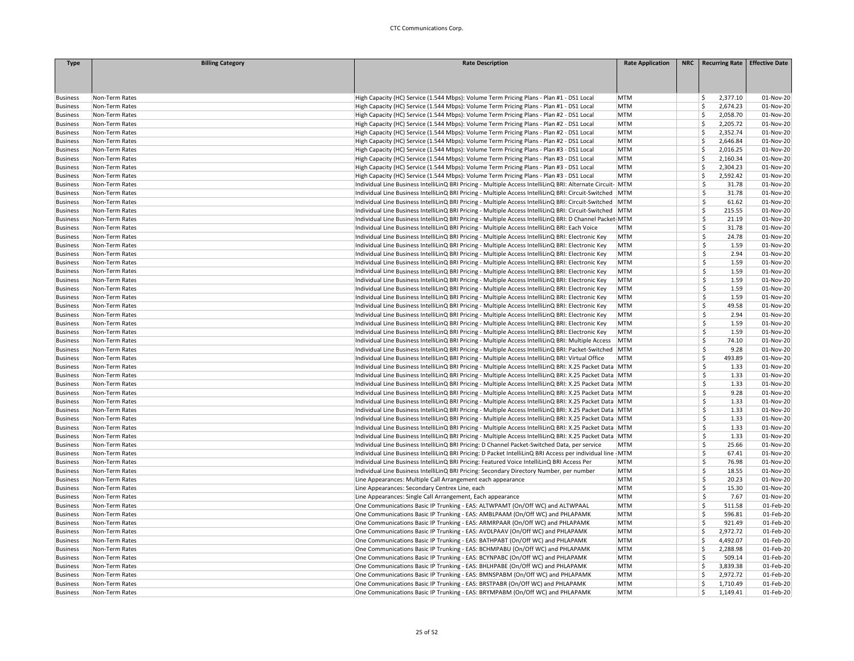| <b>Type</b>                        | <b>Billing Category</b>          | <b>Rate Description</b>                                                                                                                                                                                              | <b>Rate Application</b> | NRC   Recurring Rate   Effective Date |           |
|------------------------------------|----------------------------------|----------------------------------------------------------------------------------------------------------------------------------------------------------------------------------------------------------------------|-------------------------|---------------------------------------|-----------|
|                                    |                                  |                                                                                                                                                                                                                      |                         |                                       |           |
|                                    |                                  |                                                                                                                                                                                                                      |                         |                                       |           |
|                                    |                                  |                                                                                                                                                                                                                      |                         |                                       |           |
| <b>Business</b>                    | Non-Term Rates                   | High Capacity (HC) Service (1.544 Mbps): Volume Term Pricing Plans - Plan #1 - DS1 Local                                                                                                                             | <b>MTM</b>              | \$<br>2,377.10                        | 01-Nov-20 |
| <b>Business</b>                    | Non-Term Rates                   | High Capacity (HC) Service (1.544 Mbps): Volume Term Pricing Plans - Plan #1 - DS1 Local                                                                                                                             | <b>MTM</b>              | Ś<br>2,674.23                         | 01-Nov-20 |
| <b>Business</b>                    | Non-Term Rates                   | High Capacity (HC) Service (1.544 Mbps): Volume Term Pricing Plans - Plan #2 - DS1 Local                                                                                                                             | <b>MTM</b>              | Ś<br>2,058.70                         | 01-Nov-20 |
| <b>Business</b>                    | Non-Term Rates                   | High Capacity (HC) Service (1.544 Mbps): Volume Term Pricing Plans - Plan #2 - DS1 Local                                                                                                                             | <b>MTM</b>              | 2,205.72<br>Ś                         | 01-Nov-20 |
| <b>Business</b>                    | Non-Term Rates                   | High Capacity (HC) Service (1.544 Mbps): Volume Term Pricing Plans - Plan #2 - DS1 Local                                                                                                                             | <b>MTM</b>              | Ś<br>2,352.74                         | 01-Nov-20 |
| <b>Business</b>                    | Non-Term Rates                   | High Capacity (HC) Service (1.544 Mbps): Volume Term Pricing Plans - Plan #2 - DS1 Local                                                                                                                             | <b>MTM</b>              | \$<br>2,646.84                        | 01-Nov-20 |
| <b>Business</b>                    | Non-Term Rates                   | High Capacity (HC) Service (1.544 Mbps): Volume Term Pricing Plans - Plan #3 - DS1 Local                                                                                                                             | <b>MTM</b>              | Ś<br>2,016.25                         | 01-Nov-20 |
| <b>Business</b>                    | Non-Term Rates                   | High Capacity (HC) Service (1.544 Mbps): Volume Term Pricing Plans - Plan #3 - DS1 Local                                                                                                                             | <b>MTM</b>              | Ś<br>2,160.34                         | 01-Nov-20 |
| <b>Business</b>                    | Non-Term Rates                   | High Capacity (HC) Service (1.544 Mbps): Volume Term Pricing Plans - Plan #3 - DS1 Local                                                                                                                             | <b>MTM</b>              | 2,304.23<br>Ś                         | 01-Nov-20 |
| <b>Business</b>                    | Non-Term Rates                   | High Capacity (HC) Service (1.544 Mbps): Volume Term Pricing Plans - Plan #3 - DS1 Local                                                                                                                             | <b>MTM</b>              | Ś<br>2,592.42                         | 01-Nov-20 |
| <b>Business</b>                    | Non-Term Rates                   | Individual Line Business IntelliLinQ BRI Pricing - Multiple Access IntelliLinQ BRI: Alternate Circuit- MTM                                                                                                           |                         | \$<br>31.78                           | 01-Nov-20 |
| <b>Business</b>                    | Non-Term Rates                   | Individual Line Business IntelliLinQ BRI Pricing - Multiple Access IntelliLinQ BRI: Circuit-Switched MTM                                                                                                             |                         | \$<br>31.78                           | 01-Nov-20 |
| <b>Business</b>                    | Non-Term Rates                   | Individual Line Business IntelliLinQ BRI Pricing - Multiple Access IntelliLinQ BRI: Circuit-Switched   MTM                                                                                                           |                         | Ś<br>61.62                            | 01-Nov-20 |
| <b>Business</b>                    | Non-Term Rates                   | Individual Line Business IntelliLinQ BRI Pricing - Multiple Access IntelliLinQ BRI: Circuit-Switched MTM                                                                                                             |                         | Ś<br>215.55                           | 01-Nov-20 |
| <b>Business</b>                    | Non-Term Rates                   | Individual Line Business IntelliLinQ BRI Pricing - Multiple Access IntelliLinQ BRI: D Channel Packet-MTM                                                                                                             |                         | \$<br>21.19                           | 01-Nov-20 |
| <b>Business</b>                    | Non-Term Rates                   | Individual Line Business IntelliLinQ BRI Pricing - Multiple Access IntelliLinQ BRI: Each Voice                                                                                                                       | <b>MTM</b>              | Ś<br>31.78                            | 01-Nov-20 |
| <b>Business</b>                    | Non-Term Rates                   | Individual Line Business IntelliLinQ BRI Pricing - Multiple Access IntelliLinQ BRI: Electronic Key                                                                                                                   | MTM                     | \$<br>24.78                           | 01-Nov-20 |
| <b>Business</b>                    | Non-Term Rates                   | Individual Line Business IntelliLinQ BRI Pricing - Multiple Access IntelliLinQ BRI: Electronic Key                                                                                                                   | <b>MTM</b>              | \$<br>1.59                            | 01-Nov-20 |
| <b>Business</b>                    | Non-Term Rates                   | Individual Line Business IntelliLinQ BRI Pricing - Multiple Access IntelliLinQ BRI: Electronic Key                                                                                                                   | <b>MTM</b>              | 2.94<br>Š.                            | 01-Nov-20 |
| <b>Business</b>                    | Non-Term Rates                   | Individual Line Business IntelliLinQ BRI Pricing - Multiple Access IntelliLinQ BRI: Electronic Key                                                                                                                   | <b>MTM</b>              | Ś<br>1.59                             | 01-Nov-20 |
| <b>Business</b>                    | Non-Term Rates                   | Individual Line Business IntelliLinQ BRI Pricing - Multiple Access IntelliLinQ BRI: Electronic Key                                                                                                                   | <b>MTM</b>              | Ś<br>1.59                             | 01-Nov-20 |
| <b>Business</b>                    | Non-Term Rates                   | Individual Line Business IntelliLinQ BRI Pricing - Multiple Access IntelliLinQ BRI: Electronic Key                                                                                                                   | MTM                     | \$<br>1.59                            | 01-Nov-20 |
| <b>Business</b>                    | Non-Term Rates                   | Individual Line Business IntelliLinQ BRI Pricing - Multiple Access IntelliLinQ BRI: Electronic Key                                                                                                                   | <b>MTM</b>              | \$<br>1.59                            | 01-Nov-20 |
| <b>Business</b>                    | Non-Term Rates                   | Individual Line Business IntelliLinQ BRI Pricing - Multiple Access IntelliLinQ BRI: Electronic Key                                                                                                                   | MTM                     | Ś<br>1.59                             | 01-Nov-20 |
| <b>Business</b>                    | Non-Term Rates                   | Individual Line Business IntelliLinQ BRI Pricing - Multiple Access IntelliLinQ BRI: Electronic Key                                                                                                                   | <b>MTM</b>              | Ś<br>49.58                            | 01-Nov-20 |
| <b>Business</b>                    | Non-Term Rates                   | Individual Line Business IntelliLinQ BRI Pricing - Multiple Access IntelliLinQ BRI: Electronic Key                                                                                                                   | <b>MTM</b>              | Š.<br>2.94                            | 01-Nov-20 |
| <b>Business</b>                    | Non-Term Rates                   | Individual Line Business IntelliLinQ BRI Pricing - Multiple Access IntelliLinQ BRI: Electronic Key                                                                                                                   | <b>MTM</b>              | Ś<br>1.59                             | 01-Nov-20 |
| <b>Business</b>                    | Non-Term Rates                   | Individual Line Business IntelliLinQ BRI Pricing - Multiple Access IntelliLinQ BRI: Electronic Key                                                                                                                   | <b>MTM</b>              | Ś<br>1.59                             | 01-Nov-20 |
| <b>Business</b>                    | Non-Term Rates                   | Individual Line Business IntelliLinQ BRI Pricing - Multiple Access IntelliLinQ BRI: Multiple Access                                                                                                                  | MTM                     | \$<br>74.10                           | 01-Nov-20 |
|                                    | Non-Term Rates                   | Individual Line Business IntelliLinQ BRI Pricing - Multiple Access IntelliLinQ BRI: Packet-Switched MTM                                                                                                              |                         | \$<br>9.28                            | 01-Nov-20 |
| <b>Business</b><br><b>Business</b> | Non-Term Rates                   | Individual Line Business IntelliLinQ BRI Pricing - Multiple Access IntelliLinQ BRI: Virtual Office                                                                                                                   | MTM                     | Ś<br>493.89                           | 01-Nov-20 |
|                                    | Non-Term Rates                   | Individual Line Business IntelliLinQ BRI Pricing - Multiple Access IntelliLinQ BRI: X.25 Packet Data MTM                                                                                                             |                         | Ś<br>1.33                             | 01-Nov-20 |
| <b>Business</b>                    | Non-Term Rates                   | Individual Line Business IntelliLinQ BRI Pricing - Multiple Access IntelliLinQ BRI: X.25 Packet Data MTM                                                                                                             |                         | Ŝ.<br>1.33                            | 01-Nov-20 |
| <b>Business</b>                    |                                  |                                                                                                                                                                                                                      |                         | Ś<br>1.33                             | 01-Nov-20 |
| <b>Business</b>                    | Non-Term Rates<br>Non-Term Rates | Individual Line Business IntelliLinQ BRI Pricing - Multiple Access IntelliLinQ BRI: X.25 Packet Data MTM<br>Individual Line Business IntelliLinQ BRI Pricing - Multiple Access IntelliLinQ BRI: X.25 Packet Data MTM |                         | Ś<br>9.28                             | 01-Nov-20 |
| <b>Business</b><br><b>Business</b> | Non-Term Rates                   | Individual Line Business IntelliLinQ BRI Pricing - Multiple Access IntelliLinQ BRI: X.25 Packet Data MTM                                                                                                             |                         | 1.33<br>Ŝ.                            | 01-Nov-20 |
|                                    | Non-Term Rates                   |                                                                                                                                                                                                                      |                         | Ś<br>1.33                             | 01-Nov-20 |
| <b>Business</b>                    |                                  | Individual Line Business IntelliLinQ BRI Pricing - Multiple Access IntelliLinQ BRI: X.25 Packet Data MTM                                                                                                             |                         | 1.33<br>Ŝ.                            | 01-Nov-20 |
| <b>Business</b>                    | Non-Term Rates                   | Individual Line Business IntelliLinQ BRI Pricing - Multiple Access IntelliLinQ BRI: X.25 Packet Data MTM                                                                                                             |                         | Ś                                     |           |
| <b>Business</b>                    | Non-Term Rates                   | Individual Line Business IntelliLinQ BRI Pricing - Multiple Access IntelliLinQ BRI: X.25 Packet Data MTM                                                                                                             |                         | 1.33<br>\$<br>1.33                    | 01-Nov-20 |
| <b>Business</b>                    | Non-Term Rates                   | Individual Line Business IntelliLinQ BRI Pricing - Multiple Access IntelliLinQ BRI: X.25 Packet Data MTM                                                                                                             |                         |                                       | 01-Nov-20 |
| <b>Business</b>                    | Non-Term Rates                   | Individual Line Business IntelliLinQ BRI Pricing: D Channel Packet-Switched Data, per service                                                                                                                        | <b>MTM</b>              | \$<br>25.66                           | 01-Nov-20 |
| <b>Business</b>                    | Non-Term Rates                   | Individual Line Business IntelliLinQ BRI Pricing: D Packet IntelliLinQ BRI Access per individual line - MTM                                                                                                          |                         | Ś<br>67.41                            | 01-Nov-20 |
| <b>Business</b>                    | Non-Term Rates                   | Individual Line Business IntelliLinQ BRI Pricing: Featured Voice IntelliLinQ BRI Access Per                                                                                                                          | <b>MTM</b>              | Ś<br>76.98<br>\$                      | 01-Nov-20 |
| <b>Business</b>                    | Non-Term Rates                   | Individual Line Business IntelliLinQ BRI Pricing: Secondary Directory Number, per number                                                                                                                             | <b>MTM</b>              | 18.55                                 | 01-Nov-20 |
| <b>Business</b>                    | Non-Term Rates                   | Line Appearances: Multiple Call Arrangement each appearance                                                                                                                                                          | <b>MTM</b>              | \$<br>20.23                           | 01-Nov-20 |
| <b>Business</b>                    | Non-Term Rates                   | Line Appearances: Secondary Centrex Line, each                                                                                                                                                                       | <b>MTM</b>              | \$<br>15.30                           | 01-Nov-20 |
| <b>Business</b>                    | Non-Term Rates                   | Line Appearances: Single Call Arrangement, Each appearance                                                                                                                                                           | <b>MTM</b>              | \$<br>7.67                            | 01-Nov-20 |
| <b>Business</b>                    | Non-Term Rates                   | One Communications Basic IP Trunking - EAS: ALTWPAMT (On/Off WC) and ALTWPAAL                                                                                                                                        | <b>MTM</b>              | Ś<br>511.58                           | 01-Feb-20 |
| <b>Business</b>                    | Non-Term Rates                   | One Communications Basic IP Trunking - EAS: AMBLPAAM (On/Off WC) and PHLAPAMK                                                                                                                                        | <b>MTM</b>              | Ś<br>596.81                           | 01-Feb-20 |
| <b>Business</b>                    | Non-Term Rates                   | One Communications Basic IP Trunking - EAS: ARMRPAAR (On/Off WC) and PHLAPAMK                                                                                                                                        | <b>MTM</b>              | Ś<br>921.49                           | 01-Feb-20 |
| <b>Business</b>                    | Non-Term Rates                   | One Communications Basic IP Trunking - EAS: AVDLPAAV (On/Off WC) and PHLAPAMK                                                                                                                                        | <b>MTM</b>              | Ś<br>2,972.72                         | 01-Feb-20 |
| <b>Business</b>                    | Non-Term Rates                   | One Communications Basic IP Trunking - EAS: BATHPABT (On/Off WC) and PHLAPAMK                                                                                                                                        | <b>MTM</b>              | \$<br>4,492.07                        | 01-Feb-20 |
| <b>Business</b>                    | Non-Term Rates                   | One Communications Basic IP Trunking - EAS: BCHMPABU (On/Off WC) and PHLAPAMK                                                                                                                                        | <b>MTM</b>              | Ś<br>2,288.98                         | 01-Feb-20 |
| <b>Business</b>                    | Non-Term Rates                   | One Communications Basic IP Trunking - EAS: BCYNPABC (On/Off WC) and PHLAPAMK                                                                                                                                        | <b>MTM</b>              | Ś<br>509.14                           | 01-Feb-20 |
| <b>Business</b>                    | Non-Term Rates                   | One Communications Basic IP Trunking - EAS: BHLHPABE (On/Off WC) and PHLAPAMK                                                                                                                                        | <b>MTM</b>              | Ś<br>3,839.38                         | 01-Feb-20 |
| <b>Business</b>                    | Non-Term Rates                   | One Communications Basic IP Trunking - EAS: BMNSPABM (On/Off WC) and PHLAPAMK                                                                                                                                        | <b>MTM</b>              | Ś<br>2,972.72                         | 01-Feb-20 |
| <b>Business</b>                    | Non-Term Rates                   | One Communications Basic IP Trunking - EAS: BRSTPABR (On/Off WC) and PHLAPAMK                                                                                                                                        | <b>MTM</b>              | 1,710.49<br>Ś                         | 01-Feb-20 |
| <b>Business</b>                    | Non-Term Rates                   | One Communications Basic IP Trunking - EAS: BRYMPABM (On/Off WC) and PHLAPAMK                                                                                                                                        | <b>MTM</b>              | Ś<br>1,149.41                         | 01-Feb-20 |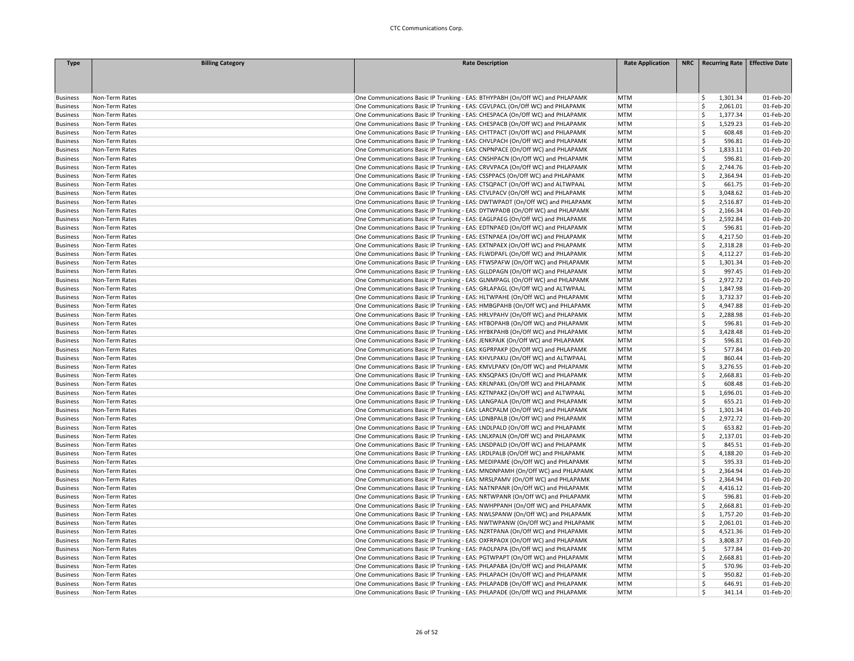| <b>Type</b>                        | <b>Billing Category</b>          | <b>Rate Description</b>                                                                                                                                        | <b>Rate Application</b>  | NRC   Recurring Rate   Effective Date |                        |
|------------------------------------|----------------------------------|----------------------------------------------------------------------------------------------------------------------------------------------------------------|--------------------------|---------------------------------------|------------------------|
|                                    |                                  |                                                                                                                                                                |                          |                                       |                        |
|                                    |                                  |                                                                                                                                                                |                          |                                       |                        |
| <b>Business</b>                    | Non-Term Rates                   | One Communications Basic IP Trunking - EAS: BTHYPABH (On/Off WC) and PHLAPAMK                                                                                  | <b>MTM</b>               | 1,301.34<br>\$                        | 01-Feb-20              |
| <b>Business</b>                    | Non-Term Rates                   | One Communications Basic IP Trunking - EAS: CGVLPACL (On/Off WC) and PHLAPAMK                                                                                  | <b>MTM</b>               | Ś<br>2,061.01                         | 01-Feb-20              |
| <b>Business</b>                    | Non-Term Rates                   | One Communications Basic IP Trunking - EAS: CHESPACA (On/Off WC) and PHLAPAMK                                                                                  | <b>MTM</b>               | Ś<br>1.377.34                         | 01-Feb-20              |
| <b>Business</b>                    | Non-Term Rates                   | One Communications Basic IP Trunking - EAS: CHESPACB (On/Off WC) and PHLAPAMK                                                                                  | <b>MTM</b>               | Ś<br>1,529.23                         | 01-Feb-20              |
| <b>Business</b>                    | Non-Term Rates                   | One Communications Basic IP Trunking - EAS: CHTTPACT (On/Off WC) and PHLAPAMK                                                                                  | <b>MTM</b>               | Ś<br>608.48                           | 01-Feb-20              |
| <b>Business</b>                    | Non-Term Rates                   | One Communications Basic IP Trunking - EAS: CHVLPACH (On/Off WC) and PHLAPAMK                                                                                  | <b>MTM</b>               | \$<br>596.81                          | 01-Feb-20              |
| <b>Business</b>                    | Non-Term Rates                   | One Communications Basic IP Trunking - EAS: CNPNPACE (On/Off WC) and PHLAPAMK                                                                                  | <b>MTM</b>               | \$<br>1,833.11                        | 01-Feb-20              |
| <b>Business</b>                    | Non-Term Rates                   | One Communications Basic IP Trunking - EAS: CNSHPACN (On/Off WC) and PHLAPAMK                                                                                  | <b>MTM</b>               | \$<br>596.81<br>Ś                     | 01-Feb-20              |
| <b>Business</b>                    | Non-Term Rates                   | One Communications Basic IP Trunking - EAS: CRVVPACA (On/Off WC) and PHLAPAMK                                                                                  | <b>MTM</b>               | 2.744.76<br>Ś                         | 01-Feb-20              |
| <b>Business</b>                    | Non-Term Rates<br>Non-Term Rates | One Communications Basic IP Trunking - EAS: CSSPPACS (On/Off WC) and PHLAPAMK<br>One Communications Basic IP Trunking - EAS: CTSQPACT (On/Off WC) and ALTWPAAL | <b>MTM</b><br><b>MTM</b> | 2,364.94<br>\$<br>661.75              | 01-Feb-20<br>01-Feb-20 |
| <b>Business</b><br><b>Business</b> | Non-Term Rates                   | One Communications Basic IP Trunking - EAS: CTVLPACV (On/Off WC) and PHLAPAMK                                                                                  | <b>MTM</b>               | 3,048.62<br>Ś                         | 01-Feb-20              |
| <b>Business</b>                    | Non-Term Rates                   | One Communications Basic IP Trunking - EAS: DWTWPADT (On/Off WC) and PHLAPAMK                                                                                  | <b>MTM</b>               | Ś<br>2,516.87                         | 01-Feb-20              |
| <b>Business</b>                    | Non-Term Rates                   | One Communications Basic IP Trunking - EAS: DYTWPADB (On/Off WC) and PHLAPAMK                                                                                  | <b>MTM</b>               | Ś<br>2,166.34                         | 01-Feb-20              |
| <b>Business</b>                    | Non-Term Rates                   | One Communications Basic IP Trunking - EAS: EAGLPAEG (On/Off WC) and PHLAPAMK                                                                                  | <b>MTM</b>               | Ś<br>2,592.84                         | 01-Feb-20              |
| <b>Business</b>                    | Non-Term Rates                   | One Communications Basic IP Trunking - EAS: EDTNPAED (On/Off WC) and PHLAPAMK                                                                                  | <b>MTM</b>               | Ś<br>596.81                           | 01-Feb-20              |
| <b>Business</b>                    | Non-Term Rates                   | One Communications Basic IP Trunking - EAS: ESTNPAEA (On/Off WC) and PHLAPAMK                                                                                  | <b>MTM</b>               | Ś<br>4,217.50                         | 01-Feb-20              |
| <b>Business</b>                    | Non-Term Rates                   | One Communications Basic IP Trunking - EAS: EXTNPAEX (On/Off WC) and PHLAPAMK                                                                                  | <b>MTM</b>               | Ś<br>2,318.28                         | 01-Feb-20              |
| <b>Business</b>                    | Non-Term Rates                   | One Communications Basic IP Trunking - EAS: FLWDPAFL (On/Off WC) and PHLAPAMK                                                                                  | <b>MTM</b>               | Ś<br>4,112.27                         | 01-Feb-20              |
| <b>Business</b>                    | Non-Term Rates                   | One Communications Basic IP Trunking - EAS: FTWSPAFW (On/Off WC) and PHLAPAMK                                                                                  | <b>MTM</b>               | Ś<br>1,301.34                         | 01-Feb-20              |
| <b>Business</b>                    | Non-Term Rates                   | One Communications Basic IP Trunking - EAS: GLLDPAGN (On/Off WC) and PHLAPAMK                                                                                  | <b>MTM</b>               | Ś.<br>997.45                          | 01-Feb-20              |
| <b>Business</b>                    | Non-Term Rates                   | One Communications Basic IP Trunking - EAS: GLNMPAGL (On/Off WC) and PHLAPAMK                                                                                  | <b>MTM</b>               | 2,972.72<br>Ś                         | 01-Feb-20              |
| <b>Business</b>                    | Non-Term Rates                   | One Communications Basic IP Trunking - EAS: GRLAPAGL (On/Off WC) and ALTWPAAL                                                                                  | <b>MTM</b>               | \$<br>1,847.98                        | 01-Feb-20              |
| <b>Business</b>                    | Non-Term Rates                   | One Communications Basic IP Trunking - EAS: HLTWPAHE (On/Off WC) and PHLAPAMK                                                                                  | <b>MTM</b>               | Ś<br>3,732.37                         | 01-Feb-20              |
| <b>Business</b>                    | Non-Term Rates                   | One Communications Basic IP Trunking - EAS: HMBGPAHB (On/Off WC) and PHLAPAMK                                                                                  | <b>MTM</b>               | Ś<br>4,947.88                         | 01-Feb-20              |
| <b>Business</b>                    | Non-Term Rates                   | One Communications Basic IP Trunking - EAS: HRLVPAHV (On/Off WC) and PHLAPAMK                                                                                  | <b>MTM</b>               | Ś<br>2,288.98                         | 01-Feb-20              |
| <b>Business</b>                    | Non-Term Rates                   | One Communications Basic IP Trunking - EAS: HTBOPAHB (On/Off WC) and PHLAPAMK                                                                                  | <b>MTM</b>               | Ś<br>596.81                           | 01-Feb-20              |
| <b>Business</b>                    | Non-Term Rates                   | One Communications Basic IP Trunking - EAS: HYBKPAHB (On/Off WC) and PHLAPAMK                                                                                  | <b>MTM</b>               | Ś<br>3,428.48                         | 01-Feb-20              |
| <b>Business</b>                    | Non-Term Rates                   | One Communications Basic IP Trunking - EAS: JENKPAJK (On/Off WC) and PHLAPAMK                                                                                  | <b>MTM</b>               | Š.<br>596.81                          | 01-Feb-20              |
| <b>Business</b>                    | Non-Term Rates                   | One Communications Basic IP Trunking - EAS: KGPRPAKP (On/Off WC) and PHLAPAMK                                                                                  | <b>MTM</b>               | Ś<br>577.84                           | 01-Feb-20              |
| <b>Business</b>                    | Non-Term Rates                   | One Communications Basic IP Trunking - EAS: KHVLPAKU (On/Off WC) and ALTWPAAL                                                                                  | <b>MTM</b>               | Ś<br>860.44                           | 01-Feb-20              |
| <b>Business</b>                    | Non-Term Rates                   | One Communications Basic IP Trunking - EAS: KMVLPAKV (On/Off WC) and PHLAPAMK                                                                                  | <b>MTM</b>               | Ś<br>3,276.55                         | 01-Feb-20              |
| <b>Business</b>                    | Non-Term Rates                   | One Communications Basic IP Trunking - EAS: KNSQPAKS (On/Off WC) and PHLAPAMK                                                                                  | <b>MTM</b>               | Ś<br>2,668.81                         | 01-Feb-20              |
| <b>Business</b>                    | Non-Term Rates                   | One Communications Basic IP Trunking - EAS: KRLNPAKL (On/Off WC) and PHLAPAMK                                                                                  | <b>MTM</b>               | Ś<br>608.48                           | 01-Feb-20              |
| <b>Business</b>                    | Non-Term Rates                   | One Communications Basic IP Trunking - EAS: KZTNPAKZ (On/Off WC) and ALTWPAAL                                                                                  | <b>MTM</b>               | Ś<br>1,696.01                         | 01-Feb-20              |
| <b>Business</b>                    | Non-Term Rates                   | One Communications Basic IP Trunking - EAS: LANGPALA (On/Off WC) and PHLAPAMK                                                                                  | <b>MTM</b>               | Ś.<br>655.21                          | 01-Feb-20              |
| <b>Business</b>                    | Non-Term Rates                   | One Communications Basic IP Trunking - EAS: LARCPALM (On/Off WC) and PHLAPAMK                                                                                  | <b>MTM</b>               | Ś<br>1,301.34                         | 01-Feb-20              |
| <b>Business</b>                    | Non-Term Rates                   | One Communications Basic IP Trunking - EAS: LDNBPALB (On/Off WC) and PHLAPAMK                                                                                  | <b>MTM</b>               | Ś<br>2,972.72                         | 01-Feb-20              |
| <b>Business</b>                    | Non-Term Rates                   | One Communications Basic IP Trunking - EAS: LNDLPALD (On/Off WC) and PHLAPAMK                                                                                  | <b>MTM</b>               | Ś<br>653.82                           | 01-Feb-20              |
| <b>Business</b>                    | Non-Term Rates                   | One Communications Basic IP Trunking - EAS: LNLXPALN (On/Off WC) and PHLAPAMK                                                                                  | <b>MTM</b>               | \$<br>2,137.01                        | 01-Feb-20              |
| <b>Business</b>                    | Non-Term Rates                   | One Communications Basic IP Trunking - EAS: LNSDPALD (On/Off WC) and PHLAPAMK                                                                                  | <b>MTM</b>               | Š.<br>845.51                          | 01-Feb-20              |
| <b>Business</b>                    | Non-Term Rates                   | One Communications Basic IP Trunking - EAS: LRDLPALB (On/Off WC) and PHLAPAMK                                                                                  | <b>MTM</b>               | 4,188.20<br>Ś                         | 01-Feb-20              |
| <b>Business</b>                    | Non-Term Rates                   | One Communications Basic IP Trunking - EAS: MEDIPAME (On/Off WC) and PHLAPAMK                                                                                  | <b>MTM</b>               | Ś<br>595.33                           | 01-Feb-20              |
| <b>Business</b>                    | Non-Term Rates                   | One Communications Basic IP Trunking - EAS: MNDNPAMH (On/Off WC) and PHLAPAMK                                                                                  | <b>MTM</b>               | Ś<br>2,364.94                         | 01-Feb-20              |
| <b>Business</b>                    | Non-Term Rates                   | One Communications Basic IP Trunking - EAS: MRSLPAMV (On/Off WC) and PHLAPAMK                                                                                  | <b>MTM</b>               | Ś<br>2,364.94                         | 01-Feb-20              |
| <b>Business</b>                    | Non-Term Rates                   | One Communications Basic IP Trunking - EAS: NATNPANR (On/Off WC) and PHLAPAMK                                                                                  | <b>MTM</b>               | Ś<br>4,416.12                         | 01-Feb-20              |
| <b>Business</b>                    | Non-Term Rates                   | One Communications Basic IP Trunking - EAS: NRTWPANR (On/Off WC) and PHLAPAMK                                                                                  | <b>MTM</b>               | \$<br>596.81                          | 01-Feb-20              |
| <b>Business</b>                    | Non-Term Rates                   | One Communications Basic IP Trunking - EAS: NWHPPANH (On/Off WC) and PHLAPAMK                                                                                  | <b>MTM</b>               | Ś<br>2.668.81                         | 01-Feb-20              |
| <b>Business</b>                    | Non-Term Rates                   | One Communications Basic IP Trunking - EAS: NWLSPANW (On/Off WC) and PHLAPAMK                                                                                  | <b>MTM</b>               | Ś<br>1,757.20                         | 01-Feb-20              |
| <b>Business</b>                    | Non-Term Rates                   | One Communications Basic IP Trunking - EAS: NWTWPANW (On/Off WC) and PHLAPAMK                                                                                  | <b>MTM</b>               | Ś<br>2,061.01                         | 01-Feb-20              |
| <b>Business</b>                    | Non-Term Rates                   | One Communications Basic IP Trunking - EAS: NZRTPANA (On/Off WC) and PHLAPAMK                                                                                  | <b>MTM</b>               | Ś<br>4,521.36                         | 01-Feb-20              |
| <b>Business</b>                    | Non-Term Rates                   | One Communications Basic IP Trunking - EAS: OXFRPAOX (On/Off WC) and PHLAPAMK                                                                                  | <b>MTM</b>               | Ś<br>3,808.37                         | 01-Feb-20              |
| <b>Business</b>                    | Non-Term Rates                   | One Communications Basic IP Trunking - EAS: PAOLPAPA (On/Off WC) and PHLAPAMK                                                                                  | <b>MTM</b>               | \$<br>577.84                          | 01-Feb-20              |
| <b>Business</b>                    | Non-Term Rates                   | One Communications Basic IP Trunking - EAS: PGTWPAPT (On/Off WC) and PHLAPAMK                                                                                  | <b>MTM</b>               | Ś<br>2,668.81                         | 01-Feb-20              |
| <b>Business</b>                    | Non-Term Rates                   | One Communications Basic IP Trunking - EAS: PHLAPABA (On/Off WC) and PHLAPAMK                                                                                  | <b>MTM</b>               | Ś<br>570.96                           | 01-Feb-20              |
| <b>Business</b>                    | Non-Term Rates                   | One Communications Basic IP Trunking - EAS: PHLAPACH (On/Off WC) and PHLAPAMK                                                                                  | <b>MTM</b>               | Ś<br>950.82                           | 01-Feb-20              |
| <b>Business</b>                    | Non-Term Rates                   | One Communications Basic IP Trunking - EAS: PHLAPADB (On/Off WC) and PHLAPAMK                                                                                  | <b>MTM</b>               | \$<br>646.91                          | 01-Feb-20              |
| <b>Business</b>                    | Non-Term Rates                   | One Communications Basic IP Trunking - EAS: PHLAPADE (On/Off WC) and PHLAPAMK                                                                                  | <b>MTM</b>               | Ś.<br>341.14                          | 01-Feb-20              |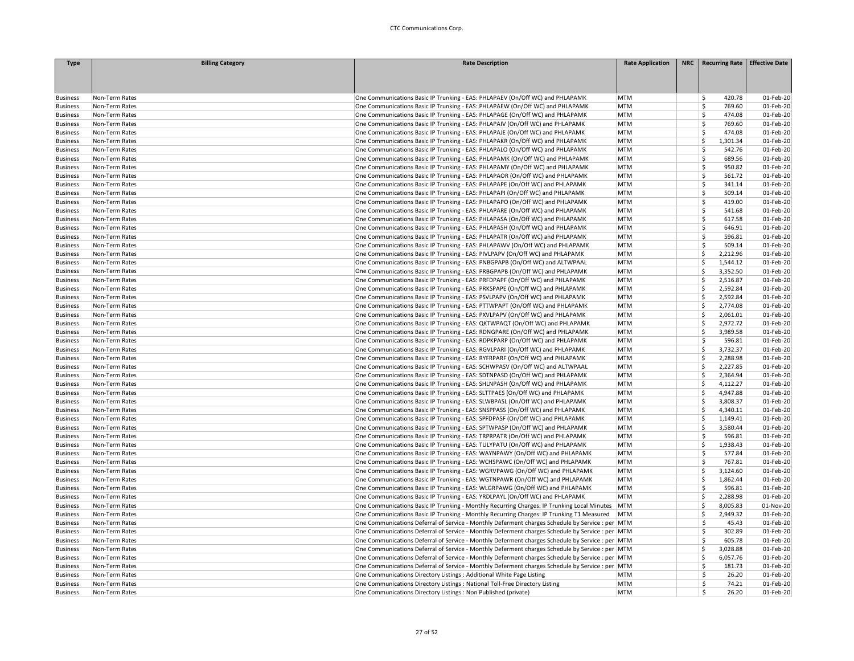| <b>Type</b>     | <b>Billing Category</b> | <b>Rate Description</b>                                                                          | <b>Rate Application</b> | NRC   Recurring Rate   Effective Date |           |
|-----------------|-------------------------|--------------------------------------------------------------------------------------------------|-------------------------|---------------------------------------|-----------|
|                 |                         |                                                                                                  |                         |                                       |           |
|                 |                         |                                                                                                  |                         |                                       |           |
| <b>Business</b> | Non-Term Rates          | One Communications Basic IP Trunking - EAS: PHLAPAEV (On/Off WC) and PHLAPAMK                    | <b>MTM</b>              | 420.78<br>\$                          | 01-Feb-20 |
| <b>Business</b> | Non-Term Rates          | One Communications Basic IP Trunking - EAS: PHLAPAEW (On/Off WC) and PHLAPAMK                    | <b>MTM</b>              | Ś.<br>769.60                          | 01-Feb-20 |
| <b>Business</b> | Non-Term Rates          | One Communications Basic IP Trunking - EAS: PHLAPAGE (On/Off WC) and PHLAPAMK                    | <b>MTM</b>              | Ś<br>474.08                           | 01-Feb-20 |
| <b>Business</b> | Non-Term Rates          | One Communications Basic IP Trunking - EAS: PHLAPAIV (On/Off WC) and PHLAPAMK                    | <b>MTM</b>              | \$<br>769.60                          | 01-Feb-20 |
| <b>Business</b> | Non-Term Rates          | One Communications Basic IP Trunking - EAS: PHLAPAJE (On/Off WC) and PHLAPAMK                    | <b>MTM</b>              | Ś<br>474.08                           | 01-Feb-20 |
| <b>Business</b> | Non-Term Rates          | One Communications Basic IP Trunking - EAS: PHLAPAKR (On/Off WC) and PHLAPAMK                    | <b>MTM</b>              | \$<br>1,301.34                        | 01-Feb-20 |
| <b>Business</b> | Non-Term Rates          | One Communications Basic IP Trunking - EAS: PHLAPALO (On/Off WC) and PHLAPAMK                    | <b>MTM</b>              | Ś<br>542.76                           | 01-Feb-20 |
| <b>Business</b> | Non-Term Rates          | One Communications Basic IP Trunking - EAS: PHLAPAMK (On/Off WC) and PHLAPAMK                    | <b>MTM</b>              | Ś<br>689.56                           | 01-Feb-20 |
| <b>Business</b> | Non-Term Rates          | One Communications Basic IP Trunking - EAS: PHLAPAMY (On/Off WC) and PHLAPAMK                    | <b>MTM</b>              | Ś<br>950.82                           | 01-Feb-20 |
| <b>Business</b> | Non-Term Rates          | One Communications Basic IP Trunking - EAS: PHLAPAOR (On/Off WC) and PHLAPAMK                    | <b>MTM</b>              | Ś<br>561.72                           | 01-Feb-20 |
| <b>Business</b> | Non-Term Rates          | One Communications Basic IP Trunking - EAS: PHLAPAPE (On/Off WC) and PHLAPAMK                    | <b>MTM</b>              | \$<br>341.14                          | 01-Feb-20 |
| <b>Business</b> | Non-Term Rates          | One Communications Basic IP Trunking - EAS: PHLAPAPI (On/Off WC) and PHLAPAMK                    | <b>MTM</b>              | Ś<br>509.14                           | 01-Feb-20 |
| <b>Business</b> | Non-Term Rates          | One Communications Basic IP Trunking - EAS: PHLAPAPO (On/Off WC) and PHLAPAMK                    | <b>MTM</b>              | Ś<br>419.00                           | 01-Feb-20 |
| <b>Business</b> | Non-Term Rates          | One Communications Basic IP Trunking - EAS: PHLAPARE (On/Off WC) and PHLAPAMK                    | <b>MTM</b>              | \$<br>541.68                          | 01-Feb-20 |
| <b>Business</b> | Non-Term Rates          | One Communications Basic IP Trunking - EAS: PHLAPASA (On/Off WC) and PHLAPAMK                    | <b>MTM</b>              | Ś<br>617.58                           | 01-Feb-20 |
| <b>Business</b> | Non-Term Rates          | One Communications Basic IP Trunking - EAS: PHLAPASH (On/Off WC) and PHLAPAMK                    | <b>MTM</b>              | Š.<br>646.91                          | 01-Feb-20 |
| <b>Business</b> | Non-Term Rates          | One Communications Basic IP Trunking - EAS: PHLAPATR (On/Off WC) and PHLAPAMK                    | <b>MTM</b>              | \$<br>596.81                          | 01-Feb-20 |
| <b>Business</b> | Non-Term Rates          | One Communications Basic IP Trunking - EAS: PHLAPAWV (On/Off WC) and PHLAPAMK                    | <b>MTM</b>              | \$<br>509.14                          | 01-Feb-20 |
| <b>Business</b> | Non-Term Rates          | One Communications Basic IP Trunking - EAS: PIVLPAPV (On/Off WC) and PHLAPAMK                    | <b>MTM</b>              | Ś<br>2,212.96                         | 01-Feb-20 |
| <b>Business</b> | Non-Term Rates          | One Communications Basic IP Trunking - EAS: PNBGPAPB (On/Off WC) and ALTWPAAL                    | <b>MTM</b>              | Ś<br>1,544.12                         | 01-Feb-20 |
| <b>Business</b> | Non-Term Rates          | One Communications Basic IP Trunking - EAS: PRBGPAPB (On/Off WC) and PHLAPAMK                    | <b>MTM</b>              | Ś<br>3,352.50                         | 01-Feb-20 |
| <b>Business</b> | Non-Term Rates          | One Communications Basic IP Trunking - EAS: PRFDPAPF (On/Off WC) and PHLAPAMK                    | <b>MTM</b>              | Ś<br>2,516.87                         | 01-Feb-20 |
| <b>Business</b> | Non-Term Rates          | One Communications Basic IP Trunking - EAS: PRKSPAPE (On/Off WC) and PHLAPAMK                    | <b>MTM</b>              | \$<br>2,592.84                        | 01-Feb-20 |
| <b>Business</b> | Non-Term Rates          | One Communications Basic IP Trunking - EAS: PSVLPAPV (On/Off WC) and PHLAPAMK                    | <b>MTM</b>              | Ś<br>2,592.84                         | 01-Feb-20 |
| <b>Business</b> | Non-Term Rates          | One Communications Basic IP Trunking - EAS: PTTWPAPT (On/Off WC) and PHLAPAMK                    | <b>MTM</b>              | Ś<br>2,774.08                         | 01-Feb-20 |
| <b>Business</b> | Non-Term Rates          | One Communications Basic IP Trunking - EAS: PXVLPAPV (On/Off WC) and PHLAPAMK                    | <b>MTM</b>              | Ś<br>2,061.01                         | 01-Feb-20 |
| <b>Business</b> | Non-Term Rates          | One Communications Basic IP Trunking - EAS: QKTWPAQT (On/Off WC) and PHLAPAMK                    | <b>MTM</b>              | Ś<br>2,972.72                         | 01-Feb-20 |
| <b>Business</b> | Non-Term Rates          | One Communications Basic IP Trunking - EAS: RDNGPARE (On/Off WC) and PHLAPAMK                    | <b>MTM</b>              | Ś<br>3,989.58                         | 01-Feb-20 |
| <b>Business</b> | Non-Term Rates          | One Communications Basic IP Trunking - EAS: RDPKPARP (On/Off WC) and PHLAPAMK                    | <b>MTM</b>              | Š.<br>596.81                          | 01-Feb-20 |
| <b>Business</b> | Non-Term Rates          | One Communications Basic IP Trunking - EAS: RGVLPARI (On/Off WC) and PHLAPAMK                    | <b>MTM</b>              | \$<br>3,732.37                        | 01-Feb-20 |
| <b>Business</b> | Non-Term Rates          | One Communications Basic IP Trunking - EAS: RYFRPARF (On/Off WC) and PHLAPAMK                    | <b>MTM</b>              | Ś<br>2,288.98                         | 01-Feb-20 |
| <b>Business</b> | Non-Term Rates          | One Communications Basic IP Trunking - EAS: SCHWPASV (On/Off WC) and ALTWPAAL                    | <b>MTM</b>              | Ś<br>2,227.85                         | 01-Feb-20 |
| <b>Business</b> | Non-Term Rates          | One Communications Basic IP Trunking - EAS: SDTNPASD (On/Off WC) and PHLAPAMK                    | <b>MTM</b>              | Ś<br>2,364.94                         | 01-Feb-20 |
| <b>Business</b> | Non-Term Rates          | One Communications Basic IP Trunking - EAS: SHLNPASH (On/Off WC) and PHLAPAMK                    | <b>MTM</b>              | Ś<br>4,112.27                         | 01-Feb-20 |
| <b>Business</b> | Non-Term Rates          | One Communications Basic IP Trunking - EAS: SLTTPAES (On/Off WC) and PHLAPAMK                    | <b>MTM</b>              | Ś<br>4,947.88                         | 01-Feb-20 |
| <b>Business</b> | Non-Term Rates          | One Communications Basic IP Trunking - EAS: SLWBPASL (On/Off WC) and PHLAPAMK                    | <b>MTM</b>              | 3,808.37<br>Ś                         | 01-Feb-20 |
| <b>Business</b> | Non-Term Rates          | One Communications Basic IP Trunking - EAS: SNSPPASS (On/Off WC) and PHLAPAMK                    | <b>MTM</b>              | Ś<br>4,340.11                         | 01-Feb-20 |
| <b>Business</b> | Non-Term Rates          | One Communications Basic IP Trunking - EAS: SPFDPASF (On/Off WC) and PHLAPAMK                    | <b>MTM</b>              | Ś<br>1,149.41                         | 01-Feb-20 |
| <b>Business</b> | Non-Term Rates          | One Communications Basic IP Trunking - EAS: SPTWPASP (On/Off WC) and PHLAPAMK                    | <b>MTM</b>              | Ś<br>3,580.44                         | 01-Feb-20 |
| <b>Business</b> | Non-Term Rates          | One Communications Basic IP Trunking - EAS: TRPRPATR (On/Off WC) and PHLAPAMK                    | <b>MTM</b>              | \$<br>596.81                          | 01-Feb-20 |
| <b>Business</b> | Non-Term Rates          | One Communications Basic IP Trunking - EAS: TULYPATU (On/Off WC) and PHLAPAMK                    | <b>MTM</b>              | Š.<br>1,938.43                        | 01-Feb-20 |
| <b>Business</b> | Non-Term Rates          | One Communications Basic IP Trunking - EAS: WAYNPAWY (On/Off WC) and PHLAPAMK                    | <b>MTM</b>              | 577.84<br>\$                          | 01-Feb-20 |
| <b>Business</b> | Non-Term Rates          | One Communications Basic IP Trunking - EAS: WCHSPAWC (On/Off WC) and PHLAPAMK                    | <b>MTM</b>              | Ś<br>767.81                           | 01-Feb-20 |
| <b>Business</b> | Non-Term Rates          | One Communications Basic IP Trunking - EAS: WGRVPAWG (On/Off WC) and PHLAPAMK                    | <b>MTM</b>              | Ś<br>3,124.60                         | 01-Feb-20 |
| <b>Business</b> | Non-Term Rates          | One Communications Basic IP Trunking - EAS: WGTNPAWR (On/Off WC) and PHLAPAMK                    | <b>MTM</b>              | Ś<br>1,862.44                         | 01-Feb-20 |
| <b>Business</b> | Non-Term Rates          | One Communications Basic IP Trunking - EAS: WLGRPAWG (On/Off WC) and PHLAPAMK                    | <b>MTM</b>              | Ś<br>596.81                           | 01-Feb-20 |
| <b>Business</b> | Non-Term Rates          | One Communications Basic IP Trunking - EAS: YRDLPAYL (On/Off WC) and PHLAPAMK                    | <b>MTM</b>              | Ś<br>2,288.98                         | 01-Feb-20 |
| <b>Business</b> | Non-Term Rates          | One Communications Basic IP Trunking - Monthly Recurring Charges: IP Trunking Local Minutes      | MTM                     | Ś<br>8.005.83                         | 01-Nov-20 |
| <b>Business</b> | Non-Term Rates          | One Communications Basic IP Trunking - Monthly Recurring Charges: IP Trunking T1 Measured        | MTM                     | Ś<br>2,949.32                         | 01-Feb-20 |
| <b>Business</b> | Non-Term Rates          | One Communications Deferral of Service - Monthly Deferment charges Schedule by Service : per MTM |                         | \$<br>45.43                           | 01-Feb-20 |
| <b>Business</b> | Non-Term Rates          | One Communications Deferral of Service - Monthly Deferment charges Schedule by Service : per MTM |                         | Ś.<br>302.89                          | 01-Feb-20 |
| <b>Business</b> | Non-Term Rates          | One Communications Deferral of Service - Monthly Deferment charges Schedule by Service : per MTM |                         | Ś<br>605.78                           | 01-Feb-20 |
| <b>Business</b> | Non-Term Rates          | One Communications Deferral of Service - Monthly Deferment charges Schedule by Service : per MTM |                         | 3,028.88<br>Ś                         | 01-Feb-20 |
| <b>Business</b> | Non-Term Rates          | One Communications Deferral of Service - Monthly Deferment charges Schedule by Service : per MTM |                         | Ś<br>6,057.76                         | 01-Feb-20 |
| <b>Business</b> | Non-Term Rates          | One Communications Deferral of Service - Monthly Deferment charges Schedule by Service : per MTM |                         | Š.<br>181.73                          | 01-Feb-20 |
| <b>Business</b> | Non-Term Rates          | One Communications Directory Listings : Additional White Page Listing                            | <b>MTM</b>              | \$.<br>26.20                          | 01-Feb-20 |
| <b>Business</b> | Non-Term Rates          | One Communications Directory Listings : National Toll-Free Directory Listing                     | <b>MTM</b>              | \$<br>74.21                           | 01-Feb-20 |
| <b>Business</b> | Non-Term Rates          | One Communications Directory Listings : Non Published (private)                                  | <b>MTM</b>              | Ŝ.<br>26.20                           | 01-Feb-20 |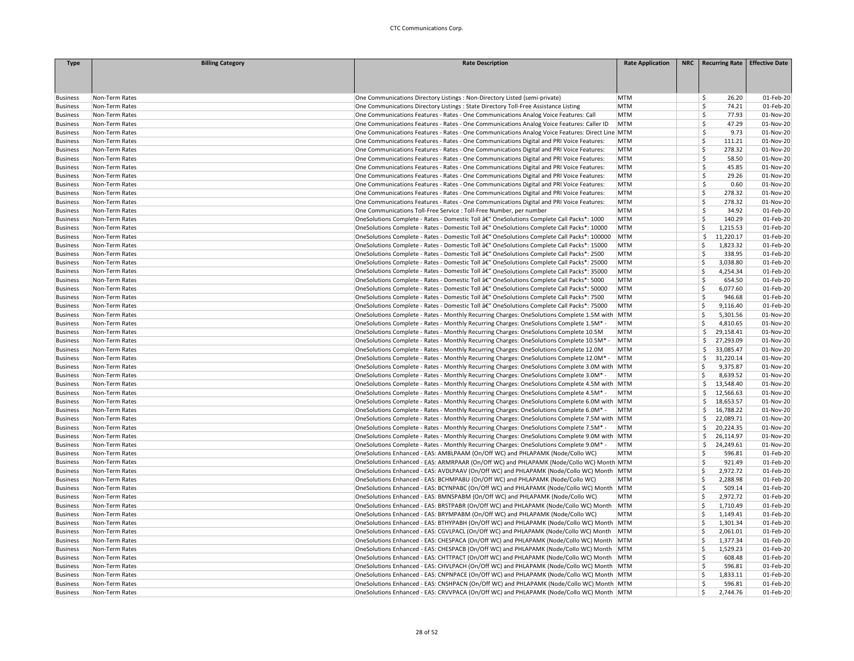| <b>Type</b>                        | <b>Billing Category</b>          | <b>Rate Description</b>                                                                                                                                                                     | <b>Rate Application</b> | NRC   Recurring Rate   Effective Date |                        |
|------------------------------------|----------------------------------|---------------------------------------------------------------------------------------------------------------------------------------------------------------------------------------------|-------------------------|---------------------------------------|------------------------|
|                                    |                                  |                                                                                                                                                                                             |                         |                                       |                        |
|                                    |                                  |                                                                                                                                                                                             |                         |                                       |                        |
|                                    |                                  |                                                                                                                                                                                             |                         |                                       |                        |
| <b>Business</b>                    | Non-Term Rates                   | One Communications Directory Listings : Non-Directory Listed (semi-private)                                                                                                                 | <b>MTM</b>              | 26.20<br>S                            | 01-Feb-20              |
| <b>Business</b>                    | Non-Term Rates                   | One Communications Directory Listings : State Directory Toll-Free Assistance Listing                                                                                                        | <b>MTM</b>              | Š.<br>74.21                           | 01-Feb-20              |
| <b>Business</b>                    | Non-Term Rates                   | One Communications Features - Rates - One Communications Analog Voice Features: Call                                                                                                        | <b>MTM</b>              | Ŝ.<br>77.93                           | 01-Nov-20              |
| <b>Business</b>                    | Non-Term Rates                   | One Communications Features - Rates - One Communications Analog Voice Features: Caller ID                                                                                                   | MTM                     | Š.<br>47.29<br>$\mathsf{\hat{S}}$     | 01-Nov-20              |
| <b>Business</b>                    | Non-Term Rates<br>Non-Term Rates | One Communications Features - Rates - One Communications Analog Voice Features: Direct Line MTM<br>One Communications Features - Rates - One Communications Digital and PRI Voice Features: | MTM                     | 9.73<br>Ś<br>111.21                   | 01-Nov-20<br>01-Nov-20 |
| <b>Business</b>                    |                                  |                                                                                                                                                                                             | <b>MTM</b>              | \$<br>278.32                          | 01-Nov-20              |
| <b>Business</b><br><b>Business</b> | Non-Term Rates<br>Non-Term Rates | One Communications Features - Rates - One Communications Digital and PRI Voice Features:<br>One Communications Features - Rates - One Communications Digital and PRI Voice Features:        | <b>MTM</b>              | \$<br>58.50                           | 01-Nov-20              |
| <b>Business</b>                    | Non-Term Rates                   | One Communications Features - Rates - One Communications Digital and PRI Voice Features:                                                                                                    | <b>MTM</b>              | Ŝ.<br>45.85                           | 01-Nov-20              |
| <b>Business</b>                    | Non-Term Rates                   | One Communications Features - Rates - One Communications Digital and PRI Voice Features:                                                                                                    | <b>MTM</b>              | Ś<br>29.26                            | 01-Nov-20              |
| <b>Business</b>                    | Non-Term Rates                   | One Communications Features - Rates - One Communications Digital and PRI Voice Features:                                                                                                    | <b>MTM</b>              | Ŝ<br>0.60                             | 01-Nov-20              |
| <b>Business</b>                    | Non-Term Rates                   | One Communications Features - Rates - One Communications Digital and PRI Voice Features:                                                                                                    | <b>MTM</b>              | Ś<br>278.32                           | 01-Nov-20              |
| <b>Business</b>                    | Non-Term Rates                   | One Communications Features - Rates - One Communications Digital and PRI Voice Features:                                                                                                    | <b>MTM</b>              | \$<br>278.32                          | 01-Nov-20              |
| <b>Business</b>                    | Non-Term Rates                   | One Communications Toll-Free Service : Toll-Free Number, per number                                                                                                                         | <b>MTM</b>              | \$.<br>34.92                          | 01-Feb-20              |
| <b>Business</b>                    | Non-Term Rates                   | OneSolutions Complete - Rates - Domestic Toll â€" OneSolutions Complete Call Packs*: 1000                                                                                                   | <b>MTM</b>              | Ś<br>140.29                           | 01-Feb-20              |
| <b>Business</b>                    | Non-Term Rates                   | OneSolutions Complete - Rates - Domestic Toll â€" OneSolutions Complete Call Packs*: 10000                                                                                                  | <b>MTM</b>              | Ś<br>1,215.53                         | 01-Feb-20              |
| <b>Business</b>                    | Non-Term Rates                   | OneSolutions Complete - Rates - Domestic Toll â€" OneSolutions Complete Call Packs*: 100000                                                                                                 | <b>MTM</b>              | \$<br>11,220.17                       | 01-Feb-20              |
| <b>Business</b>                    | Non-Term Rates                   | OneSolutions Complete - Rates - Domestic Toll â€" OneSolutions Complete Call Packs*: 15000                                                                                                  | <b>MTM</b>              | Ś<br>1,823.32                         | 01-Feb-20              |
| <b>Business</b>                    | Non-Term Rates                   | OneSolutions Complete - Rates - Domestic Toll â€" OneSolutions Complete Call Packs*: 2500                                                                                                   | <b>MTM</b>              | Ś<br>338.95                           | 01-Feb-20              |
| <b>Business</b>                    | Non-Term Rates                   | OneSolutions Complete - Rates - Domestic Toll â€" OneSolutions Complete Call Packs*: 25000                                                                                                  | <b>MTM</b>              | Ś<br>3,038.80                         | 01-Feb-20              |
| <b>Business</b>                    | Non-Term Rates                   | OneSolutions Complete - Rates - Domestic Toll â€" OneSolutions Complete Call Packs*: 35000                                                                                                  | MTM                     | 4,254.34<br>Ś                         | 01-Feb-20              |
| <b>Business</b>                    | Non-Term Rates                   | OneSolutions Complete - Rates - Domestic Toll â€" OneSolutions Complete Call Packs*: 5000                                                                                                   | <b>MTM</b>              | Ś<br>654.50                           | 01-Feb-20              |
| <b>Business</b>                    | Non-Term Rates                   | OneSolutions Complete - Rates - Domestic Toll â€" OneSolutions Complete Call Packs*: 50000                                                                                                  | <b>MTM</b>              | Ś<br>6,077.60                         | 01-Feb-20              |
| <b>Business</b>                    | Non-Term Rates                   | OneSolutions Complete - Rates - Domestic Toll â€" OneSolutions Complete Call Packs*: 7500                                                                                                   | <b>MTM</b>              | Ś<br>946.68                           | 01-Feb-20              |
| <b>Business</b>                    | Non-Term Rates                   | OneSolutions Complete - Rates - Domestic Toll â€" OneSolutions Complete Call Packs*: 75000                                                                                                  | MTM                     | \$<br>9,116.40                        | 01-Feb-20              |
| <b>Business</b>                    | Non-Term Rates                   | OneSolutions Complete - Rates - Monthly Recurring Charges: OneSolutions Complete 1.5M with   MTM                                                                                            |                         | \$<br>5,301.56                        | 01-Nov-20              |
| <b>Business</b>                    | Non-Term Rates                   | OneSolutions Complete - Rates - Monthly Recurring Charges: OneSolutions Complete 1.5M* -                                                                                                    | <b>MTM</b>              | Ś<br>4,810.65                         | 01-Nov-20              |
| <b>Business</b>                    | Non-Term Rates                   | OneSolutions Complete - Rates - Monthly Recurring Charges: OneSolutions Complete 10.5M                                                                                                      | <b>MTM</b>              | \$.<br>29,158.41                      | 01-Nov-20              |
| <b>Business</b>                    | Non-Term Rates                   | OneSolutions Complete - Rates - Monthly Recurring Charges: OneSolutions Complete 10.5M* -                                                                                                   | MTM                     | \$.<br>27,293.09                      | 01-Nov-20              |
| <b>Business</b>                    | Non-Term Rates                   | OneSolutions Complete - Rates - Monthly Recurring Charges: OneSolutions Complete 12.0M                                                                                                      | <b>MTM</b>              | \$.<br>33,085.47                      | 01-Nov-20              |
| <b>Business</b>                    | Non-Term Rates                   | OneSolutions Complete - Rates - Monthly Recurring Charges: OneSolutions Complete 12.0M* -                                                                                                   | MTM                     | 31,220.14<br>\$.                      | 01-Nov-20              |
| <b>Business</b>                    | Non-Term Rates                   | OneSolutions Complete - Rates - Monthly Recurring Charges: OneSolutions Complete 3.0M with   MTM                                                                                            |                         | Ś<br>9,375.87                         | 01-Nov-20              |
| <b>Business</b>                    | Non-Term Rates                   | OneSolutions Complete - Rates - Monthly Recurring Charges: OneSolutions Complete 3.0M* -                                                                                                    | <b>MTM</b>              | 8,639.52<br>Ś                         | 01-Nov-20              |
| <b>Business</b>                    | Non-Term Rates                   | OneSolutions Complete - Rates - Monthly Recurring Charges: OneSolutions Complete 4.5M with MTM                                                                                              |                         | \$<br>13,548.40                       | 01-Nov-20              |
| <b>Business</b>                    | Non-Term Rates                   | OneSolutions Complete - Rates - Monthly Recurring Charges: OneSolutions Complete 4.5M* -                                                                                                    | <b>MTM</b>              | 12,566.63<br>S.                       | 01-Nov-20              |
| <b>Business</b>                    | Non-Term Rates                   | OneSolutions Complete - Rates - Monthly Recurring Charges: OneSolutions Complete 6.0M with MTM                                                                                              |                         | <sub>S</sub><br>18,653.57             | 01-Nov-20              |
| <b>Business</b>                    | Non-Term Rates                   | OneSolutions Complete - Rates - Monthly Recurring Charges: OneSolutions Complete 6.0M* -                                                                                                    | MTM                     | -Ś<br>16,788.22                       | 01-Nov-20              |
| <b>Business</b>                    | Non-Term Rates                   | OneSolutions Complete - Rates - Monthly Recurring Charges: OneSolutions Complete 7.5M with MTM                                                                                              |                         | Ŝ.<br>22,089.71                       | 01-Nov-20              |
| <b>Business</b>                    | Non-Term Rates                   | OneSolutions Complete - Rates - Monthly Recurring Charges: OneSolutions Complete 7.5M* -                                                                                                    | <b>MTM</b>              | Ŝ.<br>20,224.35                       | 01-Nov-20              |
| <b>Business</b>                    | Non-Term Rates                   | OneSolutions Complete - Rates - Monthly Recurring Charges: OneSolutions Complete 9.0M with MTM                                                                                              |                         | -Ś<br>26,114.97                       | 01-Nov-20              |
| <b>Business</b>                    | Non-Term Rates                   | OneSolutions Complete - Rates - Monthly Recurring Charges: OneSolutions Complete 9.0M* -                                                                                                    | <b>MTM</b>              | -Ś<br>24,249.61                       | 01-Nov-20              |
| <b>Business</b>                    | Non-Term Rates                   | OneSolutions Enhanced - EAS: AMBLPAAM (On/Off WC) and PHLAPAMK (Node/Collo WC)                                                                                                              | <b>MTM</b>              | Ś<br>596.81                           | 01-Feb-20              |
| <b>Business</b>                    | Non-Term Rates                   | OneSolutions Enhanced - EAS: ARMRPAAR (On/Off WC) and PHLAPAMK (Node/Collo WC) Month MTM                                                                                                    |                         | Ś<br>921.49                           | 01-Feb-20              |
| <b>Business</b>                    | Non-Term Rates                   | OneSolutions Enhanced - EAS: AVDLPAAV (On/Off WC) and PHLAPAMK (Node/Collo WC) Month   MTM                                                                                                  |                         | \$<br>2,972.72                        | 01-Feb-20              |
| <b>Business</b>                    | Non-Term Rates                   | OneSolutions Enhanced - EAS: BCHMPABU (On/Off WC) and PHLAPAMK (Node/Collo WC)                                                                                                              | <b>MTM</b>              | Ś<br>2,288.98                         | 01-Feb-20              |
| <b>Business</b>                    | Non-Term Rates                   | OneSolutions Enhanced - EAS: BCYNPABC (On/Off WC) and PHLAPAMK (Node/Collo WC) Month MTM                                                                                                    |                         | Ś<br>509.14                           | 01-Feb-20              |
| <b>Business</b>                    | Non-Term Rates                   | OneSolutions Enhanced - EAS: BMNSPABM (On/Off WC) and PHLAPAMK (Node/Collo WC)                                                                                                              | <b>MTM</b>              | Ś<br>2,972.72                         | 01-Feb-20              |
| <b>Business</b>                    | Non-Term Rates                   | OneSolutions Enhanced - EAS: BRSTPABR (On/Off WC) and PHLAPAMK (Node/Collo WC) Month                                                                                                        | MTM                     | Ś<br>1,710.49                         | 01-Feb-20              |
| <b>Business</b>                    | Non-Term Rates                   | OneSolutions Enhanced - EAS: BRYMPABM (On/Off WC) and PHLAPAMK (Node/Collo WC)                                                                                                              | <b>MTM</b>              | Ś<br>1,149.41                         | 01-Feb-20              |
| <b>Business</b>                    | Non-Term Rates                   | OneSolutions Enhanced - EAS: BTHYPABH (On/Off WC) and PHLAPAMK (Node/Collo WC) Month MTM                                                                                                    |                         | Ś<br>1,301.34                         | 01-Feb-20              |
| <b>Business</b>                    | Non-Term Rates                   | OneSolutions Enhanced - EAS: CGVLPACL (On/Off WC) and PHLAPAMK (Node/Collo WC) Month   MTM                                                                                                  |                         | 2,061.01<br>Ś                         | 01-Feb-20              |
| <b>Business</b>                    | Non-Term Rates                   | OneSolutions Enhanced - EAS: CHESPACA (On/Off WC) and PHLAPAMK (Node/Collo WC) Month MTM                                                                                                    |                         | Ś<br>1,377.34                         | 01-Feb-20              |
| <b>Business</b>                    | Non-Term Rates                   | OneSolutions Enhanced - EAS: CHESPACB (On/Off WC) and PHLAPAMK (Node/Collo WC) Month   MTM                                                                                                  |                         | Ś<br>1,529.23                         | 01-Feb-20              |
| <b>Business</b>                    | Non-Term Rates                   | OneSolutions Enhanced - EAS: CHTTPACT (On/Off WC) and PHLAPAMK (Node/Collo WC) Month   MTM                                                                                                  |                         | \$<br>608.48                          | 01-Feb-20              |
| <b>Business</b>                    | Non-Term Rates                   | OneSolutions Enhanced - EAS: CHVLPACH (On/Off WC) and PHLAPAMK (Node/Collo WC) Month MTM                                                                                                    |                         | Ś<br>596.81                           | 01-Feb-20              |
| <b>Business</b>                    | Non-Term Rates                   | OneSolutions Enhanced - EAS: CNPNPACE (On/Off WC) and PHLAPAMK (Node/Collo WC) Month MTM                                                                                                    |                         | Ś<br>1,833.11                         | 01-Feb-20              |
| <b>Business</b>                    | Non-Term Rates                   | OneSolutions Enhanced - EAS: CNSHPACN (On/Off WC) and PHLAPAMK (Node/Collo WC) Month MTM                                                                                                    |                         | Ś<br>596.81                           | 01-Feb-20              |
| <b>Business</b>                    | Non-Term Rates                   | OneSolutions Enhanced - EAS: CRVVPACA (On/Off WC) and PHLAPAMK (Node/Collo WC) Month MTM                                                                                                    |                         | Ś<br>2,744.76                         | 01-Feb-20              |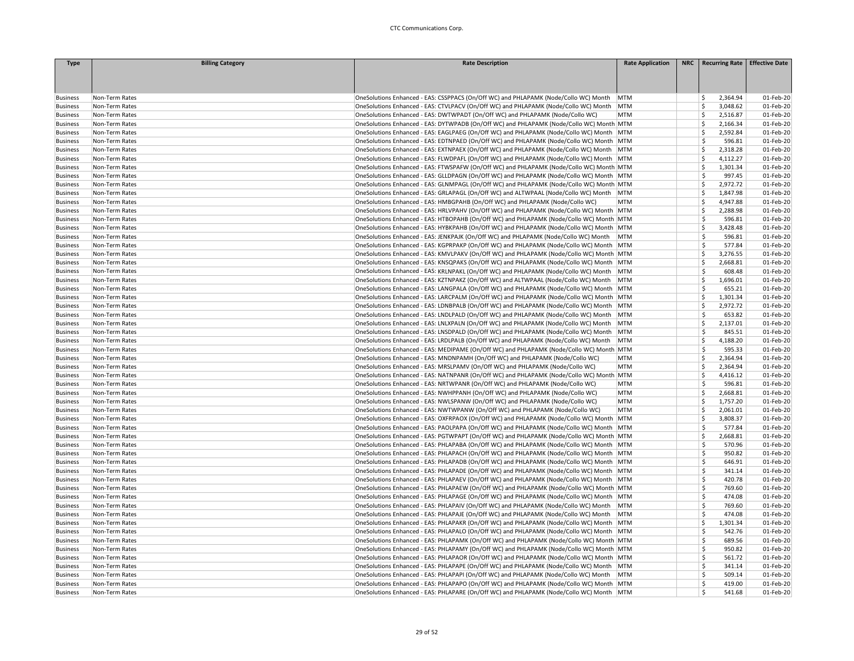| <b>Type</b>     | <b>Billing Category</b> | <b>Rate Description</b>                                                                    | <b>Rate Application</b> | NRC   Recurring Rate   Effective Date |           |
|-----------------|-------------------------|--------------------------------------------------------------------------------------------|-------------------------|---------------------------------------|-----------|
|                 |                         |                                                                                            |                         |                                       |           |
|                 |                         |                                                                                            |                         |                                       |           |
|                 |                         |                                                                                            |                         |                                       |           |
| <b>Business</b> | Non-Term Rates          | OneSolutions Enhanced - EAS: CSSPPACS (On/Off WC) and PHLAPAMK (Node/Collo WC) Month   MTM |                         | 2,364.94<br>\$                        | 01-Feb-20 |
| <b>Business</b> | Non-Term Rates          | OneSolutions Enhanced - EAS: CTVLPACV (On/Off WC) and PHLAPAMK (Node/Collo WC) Month       | MTM                     | Ś<br>3,048.62                         | 01-Feb-20 |
| <b>Business</b> | Non-Term Rates          | OneSolutions Enhanced - EAS: DWTWPADT (On/Off WC) and PHLAPAMK (Node/Collo WC)             | <b>MTM</b>              | Ś<br>2,516.87                         | 01-Feb-20 |
| <b>Business</b> | Non-Term Rates          | OneSolutions Enhanced - EAS: DYTWPADB (On/Off WC) and PHLAPAMK (Node/Collo WC) Month MTM   |                         | Ś<br>2,166.34                         | 01-Feb-20 |
| <b>Business</b> | Non-Term Rates          | OneSolutions Enhanced - EAS: EAGLPAEG (On/Off WC) and PHLAPAMK (Node/Collo WC) Month MTM   |                         | Ś<br>2,592.84                         | 01-Feb-20 |
| <b>Business</b> | Non-Term Rates          | OneSolutions Enhanced - EAS: EDTNPAED (On/Off WC) and PHLAPAMK (Node/Collo WC) Month   MTM |                         | \$<br>596.81                          | 01-Feb-20 |
| <b>Business</b> | Non-Term Rates          | OneSolutions Enhanced - EAS: EXTNPAEX (On/Off WC) and PHLAPAMK (Node/Collo WC) Month   MTM |                         | Ś<br>2,318.28                         | 01-Feb-20 |
| <b>Business</b> | Non-Term Rates          | OneSolutions Enhanced - EAS: FLWDPAFL (On/Off WC) and PHLAPAMK (Node/Collo WC) Month   MTM |                         | \$<br>4,112.27                        | 01-Feb-20 |
| <b>Business</b> | Non-Term Rates          | OneSolutions Enhanced - EAS: FTWSPAFW (On/Off WC) and PHLAPAMK (Node/Collo WC) Month MTM   |                         | Ś<br>1,301.34                         | 01-Feb-20 |
| <b>Business</b> | Non-Term Rates          | OneSolutions Enhanced - EAS: GLLDPAGN (On/Off WC) and PHLAPAMK (Node/Collo WC) Month MTM   |                         | Ś<br>997.45                           | 01-Feb-20 |
| <b>Business</b> | Non-Term Rates          | OneSolutions Enhanced - EAS: GLNMPAGL (On/Off WC) and PHLAPAMK (Node/Collo WC) Month MTM   |                         | Ś<br>2,972.72                         | 01-Feb-20 |
| <b>Business</b> | Non-Term Rates          | OneSolutions Enhanced - EAS: GRLAPAGL (On/Off WC) and ALTWPAAL (Node/Collo WC) Month MTM   |                         | Ś<br>1,847.98                         | 01-Feb-20 |
| <b>Business</b> | Non-Term Rates          | OneSolutions Enhanced - EAS: HMBGPAHB (On/Off WC) and PHLAPAMK (Node/Collo WC)             | <b>MTM</b>              | 4,947.88<br>Ś                         | 01-Feb-20 |
| <b>Business</b> | Non-Term Rates          | OneSolutions Enhanced - EAS: HRLVPAHV (On/Off WC) and PHLAPAMK (Node/Collo WC) Month   MTM |                         | Ś<br>2,288.98                         | 01-Feb-20 |
| <b>Business</b> | Non-Term Rates          | OneSolutions Enhanced - EAS: HTBOPAHB (On/Off WC) and PHLAPAMK (Node/Collo WC) Month   MTM |                         | Ś<br>596.81                           | 01-Feb-20 |
| <b>Business</b> | Non-Term Rates          | OneSolutions Enhanced - EAS: HYBKPAHB (On/Off WC) and PHLAPAMK (Node/Collo WC) Month MTM   |                         | Ś<br>3,428.48                         | 01-Feb-20 |
| <b>Business</b> | Non-Term Rates          | OneSolutions Enhanced - EAS: JENKPAJK (On/Off WC) and PHLAPAMK (Node/Collo WC) Month       | <b>MTM</b>              | Ś<br>596.81                           | 01-Feb-20 |
| <b>Business</b> | Non-Term Rates          | OneSolutions Enhanced - EAS: KGPRPAKP (On/Off WC) and PHLAPAMK (Node/Collo WC) Month MTM   |                         | Ś<br>577.84                           | 01-Feb-20 |
| <b>Business</b> | Non-Term Rates          | OneSolutions Enhanced - EAS: KMVLPAKV (On/Off WC) and PHLAPAMK (Node/Collo WC) Month   MTM |                         | Ś<br>3,276.55                         | 01-Feb-20 |
| <b>Business</b> | Non-Term Rates          | OneSolutions Enhanced - EAS: KNSQPAKS (On/Off WC) and PHLAPAMK (Node/Collo WC) Month MTM   |                         | Ś<br>2,668.81                         | 01-Feb-20 |
| <b>Business</b> | Non-Term Rates          | OneSolutions Enhanced - EAS: KRLNPAKL (On/Off WC) and PHLAPAMK (Node/Collo WC) Month   MTM |                         | 608.48<br>\$                          | 01-Feb-20 |
| <b>Business</b> | Non-Term Rates          | OneSolutions Enhanced - EAS: KZTNPAKZ (On/Off WC) and ALTWPAAL (Node/Collo WC) Month       | MTM                     | Ś<br>1,696.01                         | 01-Feb-20 |
| <b>Business</b> | Non-Term Rates          | OneSolutions Enhanced - EAS: LANGPALA (On/Off WC) and PHLAPAMK (Node/Collo WC) Month MTM   |                         | Ś<br>655.21                           | 01-Feb-20 |
| <b>Business</b> | Non-Term Rates          | OneSolutions Enhanced - EAS: LARCPALM (On/Off WC) and PHLAPAMK (Node/Collo WC) Month MTM   |                         | Ś<br>1,301.34                         | 01-Feb-20 |
| <b>Business</b> | Non-Term Rates          | OneSolutions Enhanced - EAS: LDNBPALB (On/Off WC) and PHLAPAMK (Node/Collo WC) Month MTM   |                         | Ś<br>2,972.72                         | 01-Feb-20 |
| <b>Business</b> | Non-Term Rates          | OneSolutions Enhanced - EAS: LNDLPALD (On/Off WC) and PHLAPAMK (Node/Collo WC) Month MTM   |                         | \$<br>653.82                          | 01-Feb-20 |
| <b>Business</b> | Non-Term Rates          | OneSolutions Enhanced - EAS: LNLXPALN (On/Off WC) and PHLAPAMK (Node/Collo WC) Month       | MTM                     | Ś<br>2,137.01                         | 01-Feb-20 |
| <b>Business</b> | Non-Term Rates          | OneSolutions Enhanced - EAS: LNSDPALD (On/Off WC) and PHLAPAMK (Node/Collo WC) Month MTM   |                         | Ś<br>845.51                           | 01-Feb-20 |
| <b>Business</b> | Non-Term Rates          | OneSolutions Enhanced - EAS: LRDLPALB (On/Off WC) and PHLAPAMK (Node/Collo WC) Month       | MTM                     | Ś<br>4,188.20                         | 01-Feb-20 |
| <b>Business</b> | Non-Term Rates          | OneSolutions Enhanced - EAS: MEDIPAME (On/Off WC) and PHLAPAMK (Node/Collo WC) Month MTM   |                         | \$<br>595.33                          | 01-Feb-20 |
| <b>Business</b> | Non-Term Rates          | OneSolutions Enhanced - EAS: MNDNPAMH (On/Off WC) and PHLAPAMK (Node/Collo WC)             | <b>MTM</b>              | Ś<br>2,364.94                         | 01-Feb-20 |
| <b>Business</b> | Non-Term Rates          | OneSolutions Enhanced - EAS: MRSLPAMV (On/Off WC) and PHLAPAMK (Node/Collo WC)             | <b>MTM</b>              | Ś<br>2,364.94                         | 01-Feb-20 |
| <b>Business</b> | Non-Term Rates          | OneSolutions Enhanced - EAS: NATNPANR (On/Off WC) and PHLAPAMK (Node/Collo WC) Month MTM   |                         | Ś<br>4,416.12                         | 01-Feb-20 |
| <b>Business</b> | Non-Term Rates          | OneSolutions Enhanced - EAS: NRTWPANR (On/Off WC) and PHLAPAMK (Node/Collo WC)             | <b>MTM</b>              | Ś<br>596.81                           | 01-Feb-20 |
| <b>Business</b> | Non-Term Rates          | OneSolutions Enhanced - EAS: NWHPPANH (On/Off WC) and PHLAPAMK (Node/Collo WC)             | <b>MTM</b>              | Ś<br>2,668.81                         | 01-Feb-20 |
| <b>Business</b> | Non-Term Rates          | OneSolutions Enhanced - EAS: NWLSPANW (On/Off WC) and PHLAPAMK (Node/Collo WC)             | <b>MTM</b>              | Ś<br>1,757.20                         | 01-Feb-20 |
| <b>Business</b> | Non-Term Rates          | OneSolutions Enhanced - EAS: NWTWPANW (On/Off WC) and PHLAPAMK (Node/Collo WC)             | <b>MTM</b>              | \$<br>2,061.01                        | 01-Feb-20 |
| <b>Business</b> | Non-Term Rates          | OneSolutions Enhanced - EAS: OXFRPAOX (On/Off WC) and PHLAPAMK (Node/Collo WC) Month MTM   |                         | 3,808.37<br>Ś                         | 01-Feb-20 |
| <b>Business</b> | Non-Term Rates          | OneSolutions Enhanced - EAS: PAOLPAPA (On/Off WC) and PHLAPAMK (Node/Collo WC) Month MTM   |                         | Ś<br>577.84                           | 01-Feb-20 |
| <b>Business</b> | Non-Term Rates          | OneSolutions Enhanced - EAS: PGTWPAPT (On/Off WC) and PHLAPAMK (Node/Collo WC) Month MTM   |                         | 2,668.81<br>Ś                         | 01-Feb-20 |
| <b>Business</b> | Non-Term Rates          | OneSolutions Enhanced - EAS: PHLAPABA (On/Off WC) and PHLAPAMK (Node/Collo WC) Month MTM   |                         | Ś<br>570.96                           | 01-Feb-20 |
| <b>Business</b> | Non-Term Rates          | OneSolutions Enhanced - EAS: PHLAPACH (On/Off WC) and PHLAPAMK (Node/Collo WC) Month MTM   |                         | \$<br>950.82                          | 01-Feb-20 |
| <b>Business</b> | Non-Term Rates          | OneSolutions Enhanced - EAS: PHLAPADB (On/Off WC) and PHLAPAMK (Node/Collo WC) Month MTM   |                         | Ś<br>646.91                           | 01-Feb-20 |
| <b>Business</b> | Non-Term Rates          | OneSolutions Enhanced - EAS: PHLAPADE (On/Off WC) and PHLAPAMK (Node/Collo WC) Month MTM   |                         | Ś<br>341.14                           | 01-Feb-20 |
| <b>Business</b> | Non-Term Rates          | OneSolutions Enhanced - EAS: PHLAPAEV (On/Off WC) and PHLAPAMK (Node/Collo WC) Month MTM   |                         | Ś<br>420.78                           | 01-Feb-20 |
| <b>Business</b> | Non-Term Rates          | OneSolutions Enhanced - EAS: PHLAPAEW (On/Off WC) and PHLAPAMK (Node/Collo WC) Month   MTM |                         | Ś<br>769.60                           | 01-Feb-20 |
| <b>Business</b> | Non-Term Rates          | OneSolutions Enhanced - EAS: PHLAPAGE (On/Off WC) and PHLAPAMK (Node/Collo WC) Month   MTM |                         | \$<br>474.08                          | 01-Feb-20 |
| <b>Business</b> | Non-Term Rates          | OneSolutions Enhanced - EAS: PHLAPAIV (On/Off WC) and PHLAPAMK (Node/Collo WC) Month       | MTM                     | Ś<br>769.60                           | 01-Feb-20 |
| <b>Business</b> | Non-Term Rates          | OneSolutions Enhanced - EAS: PHLAPAJE (On/Off WC) and PHLAPAMK (Node/Collo WC) Month MTM   |                         | Ś<br>474.08                           | 01-Feb-20 |
| <b>Business</b> | Non-Term Rates          | OneSolutions Enhanced - EAS: PHLAPAKR (On/Off WC) and PHLAPAMK (Node/Collo WC) Month MTM   |                         | Ś<br>1,301.34                         | 01-Feb-20 |
| <b>Business</b> | Non-Term Rates          | OneSolutions Enhanced - EAS: PHLAPALO (On/Off WC) and PHLAPAMK (Node/Collo WC) Month MTM   |                         | Ś<br>542.76                           | 01-Feb-20 |
| <b>Business</b> | Non-Term Rates          | OneSolutions Enhanced - EAS: PHLAPAMK (On/Off WC) and PHLAPAMK (Node/Collo WC) Month MTM   |                         | Ś<br>689.56                           | 01-Feb-20 |
| <b>Business</b> | Non-Term Rates          | OneSolutions Enhanced - EAS: PHLAPAMY (On/Off WC) and PHLAPAMK (Node/Collo WC) Month   MTM |                         | \$<br>950.82                          | 01-Feb-20 |
| <b>Business</b> | Non-Term Rates          | OneSolutions Enhanced - EAS: PHLAPAOR (On/Off WC) and PHLAPAMK (Node/Collo WC) Month   MTM |                         | \$<br>561.72                          | 01-Feb-20 |
| <b>Business</b> | Non-Term Rates          | OneSolutions Enhanced - EAS: PHLAPAPE (On/Off WC) and PHLAPAMK (Node/Collo WC) Month   MTM |                         | Ś<br>341.14                           | 01-Feb-20 |
| <b>Business</b> | Non-Term Rates          | OneSolutions Enhanced - EAS: PHLAPAPI (On/Off WC) and PHLAPAMK (Node/Collo WC) Month       | <b>MTM</b>              | Ś<br>509.14                           | 01-Feb-20 |
| <b>Business</b> | Non-Term Rates          | OneSolutions Enhanced - EAS: PHLAPAPO (On/Off WC) and PHLAPAMK (Node/Collo WC) Month MTM   |                         | Ś<br>419.00                           | 01-Feb-20 |
| <b>Business</b> | Non-Term Rates          | OneSolutions Enhanced - EAS: PHLAPARE (On/Off WC) and PHLAPAMK (Node/Collo WC) Month MTM   |                         | Ś<br>541.68                           | 01-Feb-20 |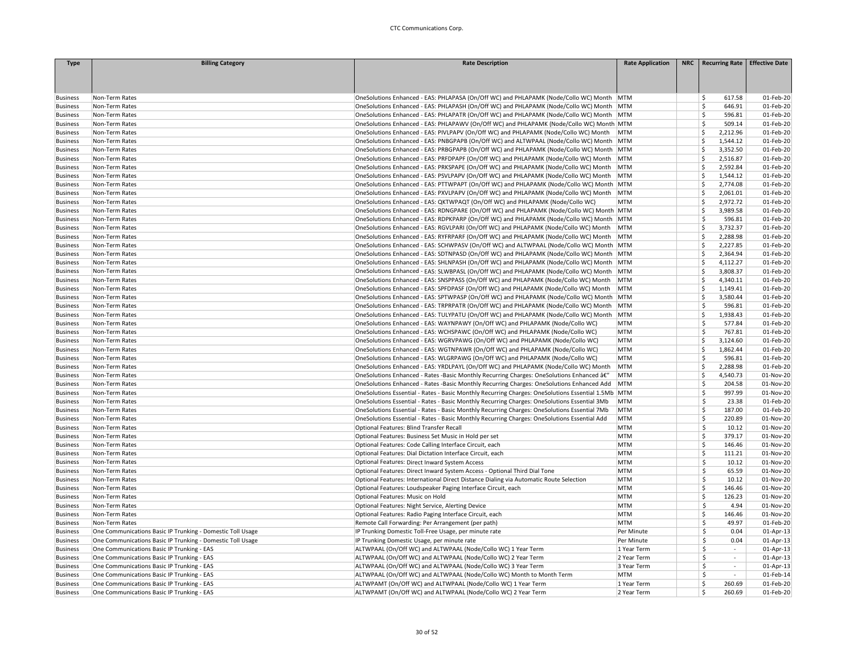| <b>Type</b>     | <b>Billing Category</b>                                    | <b>Rate Description</b>                                                                            | <b>Rate Application</b> | NRC   Recurring Rate   Effective Date |           |
|-----------------|------------------------------------------------------------|----------------------------------------------------------------------------------------------------|-------------------------|---------------------------------------|-----------|
|                 |                                                            |                                                                                                    |                         |                                       |           |
|                 |                                                            |                                                                                                    |                         |                                       |           |
|                 |                                                            |                                                                                                    |                         |                                       |           |
| <b>Business</b> | Non-Term Rates                                             | OneSolutions Enhanced - EAS: PHLAPASA (On/Off WC) and PHLAPAMK (Node/Collo WC) Month MTM           |                         | Ś.<br>617.58                          | 01-Feb-20 |
| <b>Business</b> | Non-Term Rates                                             | OneSolutions Enhanced - EAS: PHLAPASH (On/Off WC) and PHLAPAMK (Node/Collo WC) Month MTM           |                         | Ś.<br>646.91                          | 01-Feb-20 |
| <b>Business</b> | Non-Term Rates                                             | OneSolutions Enhanced - EAS: PHLAPATR (On/Off WC) and PHLAPAMK (Node/Collo WC) Month   MTM         |                         | Š.<br>596.81                          | 01-Feb-20 |
| <b>Business</b> | Non-Term Rates                                             | OneSolutions Enhanced - EAS: PHLAPAWV (On/Off WC) and PHLAPAMK (Node/Collo WC) Month MTM           |                         | \$<br>509.14                          | 01-Feb-20 |
| <b>Business</b> | Non-Term Rates                                             | OneSolutions Enhanced - EAS: PIVLPAPV (On/Off WC) and PHLAPAMK (Node/Collo WC) Month               | <b>MTM</b>              | Ś<br>2,212.96                         | 01-Feb-20 |
| <b>Business</b> | Non-Term Rates                                             | OneSolutions Enhanced - EAS: PNBGPAPB (On/Off WC) and ALTWPAAL (Node/Collo WC) Month MTM           |                         | Ś<br>1,544.12                         | 01-Feb-20 |
| <b>Business</b> | Non-Term Rates                                             | OneSolutions Enhanced - EAS: PRBGPAPB (On/Off WC) and PHLAPAMK (Node/Collo WC) Month MTM           |                         | 3,352.50<br>Ś                         | 01-Feb-20 |
| <b>Business</b> | Non-Term Rates                                             | OneSolutions Enhanced - EAS: PRFDPAPF (On/Off WC) and PHLAPAMK (Node/Collo WC) Month MTM           |                         | Ś<br>2,516.87                         | 01-Feb-20 |
| <b>Business</b> | Non-Term Rates                                             | OneSolutions Enhanced - EAS: PRKSPAPE (On/Off WC) and PHLAPAMK (Node/Collo WC) Month               | MTM                     | Ś<br>2,592.84                         | 01-Feb-20 |
| <b>Business</b> | Non-Term Rates                                             | OneSolutions Enhanced - EAS: PSVLPAPV (On/Off WC) and PHLAPAMK (Node/Collo WC) Month   MTM         |                         | Ś<br>1,544.12                         | 01-Feb-20 |
| <b>Business</b> | Non-Term Rates                                             | OneSolutions Enhanced - EAS: PTTWPAPT (On/Off WC) and PHLAPAMK (Node/Collo WC) Month   MTM         |                         | \$<br>2,774.08                        | 01-Feb-20 |
| <b>Business</b> | Non-Term Rates                                             | OneSolutions Enhanced - EAS: PXVLPAPV (On/Off WC) and PHLAPAMK (Node/Collo WC) Month MTM           |                         | Ś<br>2,061.01                         | 01-Feb-20 |
| <b>Business</b> | Non-Term Rates                                             | OneSolutions Enhanced - EAS: QKTWPAQT (On/Off WC) and PHLAPAMK (Node/Collo WC)                     | <b>MTM</b>              | Ś<br>2,972.72                         | 01-Feb-20 |
| <b>Business</b> | Non-Term Rates                                             | OneSolutions Enhanced - EAS: RDNGPARE (On/Off WC) and PHLAPAMK (Node/Collo WC) Month MTM           |                         | Ś<br>3,989.58                         | 01-Feb-20 |
| <b>Business</b> | Non-Term Rates                                             | OneSolutions Enhanced - EAS: RDPKPARP (On/Off WC) and PHLAPAMK (Node/Collo WC) Month MTM           |                         | Ś<br>596.81                           | 01-Feb-20 |
| <b>Business</b> | Non-Term Rates                                             | OneSolutions Enhanced - EAS: RGVLPARI (On/Off WC) and PHLAPAMK (Node/Collo WC) Month   MTM         |                         | Ś<br>3,732.37                         | 01-Feb-20 |
| <b>Business</b> | Non-Term Rates                                             | OneSolutions Enhanced - EAS: RYFRPARF (On/Off WC) and PHLAPAMK (Node/Collo WC) Month               | MTM                     | Ś<br>2,288.98                         | 01-Feb-20 |
| <b>Business</b> | Non-Term Rates                                             | OneSolutions Enhanced - EAS: SCHWPASV (On/Off WC) and ALTWPAAL (Node/Collo WC) Month MTM           |                         | Ś<br>2,227.85                         | 01-Feb-20 |
| <b>Business</b> | Non-Term Rates                                             | OneSolutions Enhanced - EAS: SDTNPASD (On/Off WC) and PHLAPAMK (Node/Collo WC) Month MTM           |                         | Ś<br>2,364.94                         | 01-Feb-20 |
| <b>Business</b> | Non-Term Rates                                             | OneSolutions Enhanced - EAS: SHLNPASH (On/Off WC) and PHLAPAMK (Node/Collo WC) Month   MTM         |                         | Ś<br>4,112.27                         | 01-Feb-20 |
| <b>Business</b> | Non-Term Rates                                             | OneSolutions Enhanced - EAS: SLWBPASL (On/Off WC) and PHLAPAMK (Node/Collo WC) Month   MTM         |                         | \$<br>3,808.37                        | 01-Feb-20 |
| <b>Business</b> | Non-Term Rates                                             | OneSolutions Enhanced - EAS: SNSPPASS (On/Off WC) and PHLAPAMK (Node/Collo WC) Month               | MTM                     | Ś<br>4,340.11                         | 01-Feb-20 |
| <b>Business</b> | Non-Term Rates                                             | OneSolutions Enhanced - EAS: SPFDPASF (On/Off WC) and PHLAPAMK (Node/Collo WC) Month               | <b>MTM</b>              | Ś<br>1,149.41                         | 01-Feb-20 |
| <b>Business</b> | Non-Term Rates                                             | OneSolutions Enhanced - EAS: SPTWPASP (On/Off WC) and PHLAPAMK (Node/Collo WC) Month MTM           |                         | Ś<br>3,580.44                         | 01-Feb-20 |
| <b>Business</b> | Non-Term Rates                                             | OneSolutions Enhanced - EAS: TRPRPATR (On/Off WC) and PHLAPAMK (Node/Collo WC) Month MTM           |                         | Ś<br>596.81                           | 01-Feb-20 |
| <b>Business</b> | Non-Term Rates                                             | OneSolutions Enhanced - EAS: TULYPATU (On/Off WC) and PHLAPAMK (Node/Collo WC) Month MTM           |                         | Ś<br>1,938.43                         | 01-Feb-20 |
| <b>Business</b> | Non-Term Rates                                             | OneSolutions Enhanced - EAS: WAYNPAWY (On/Off WC) and PHLAPAMK (Node/Collo WC)                     | <b>MTM</b>              | Ś<br>577.84                           | 01-Feb-20 |
| <b>Business</b> | Non-Term Rates                                             | OneSolutions Enhanced - EAS: WCHSPAWC (On/Off WC) and PHLAPAMK (Node/Collo WC)                     | <b>MTM</b>              | Ś<br>767.81                           | 01-Feb-20 |
| <b>Business</b> | Non-Term Rates                                             | OneSolutions Enhanced - EAS: WGRVPAWG (On/Off WC) and PHLAPAMK (Node/Collo WC)                     | <b>MTM</b>              | Ś<br>3,124.60                         | 01-Feb-20 |
| <b>Business</b> | Non-Term Rates                                             | OneSolutions Enhanced - EAS: WGTNPAWR (On/Off WC) and PHLAPAMK (Node/Collo WC)                     | <b>MTM</b>              | Ś<br>1,862.44                         | 01-Feb-20 |
| <b>Business</b> | Non-Term Rates                                             | OneSolutions Enhanced - EAS: WLGRPAWG (On/Off WC) and PHLAPAMK (Node/Collo WC)                     | <b>MTM</b>              | Ś<br>596.81                           | 01-Feb-20 |
| <b>Business</b> | Non-Term Rates                                             | OneSolutions Enhanced - EAS: YRDLPAYL (On/Off WC) and PHLAPAMK (Node/Collo WC) Month               | MTM                     | Ś<br>2,288.98                         | 01-Feb-20 |
| <b>Business</b> | Non-Term Rates                                             | OneSolutions Enhanced - Rates -Basic Monthly Recurring Charges: OneSolutions Enhanced â€"          | MTM                     | Ś<br>4,540.73                         | 01-Nov-20 |
| <b>Business</b> | Non-Term Rates                                             | OneSolutions Enhanced - Rates -Basic Monthly Recurring Charges: OneSolutions Enhanced Add          | MTM                     | Ś<br>204.58                           | 01-Nov-20 |
| <b>Business</b> | Non-Term Rates                                             | OneSolutions Essential - Rates - Basic Monthly Recurring Charges: OneSolutions Essential 1.5Mb MTM |                         | Ś<br>997.99                           | 01-Nov-20 |
| <b>Business</b> | Non-Term Rates                                             | OneSolutions Essential - Rates - Basic Monthly Recurring Charges: OneSolutions Essential 3Mb       | MTM                     | Š.<br>23.38                           | 01-Feb-20 |
| <b>Business</b> | Non-Term Rates                                             | OneSolutions Essential - Rates - Basic Monthly Recurring Charges: OneSolutions Essential 7Mb       | MTM                     | Ś<br>187.00                           | 01-Feb-20 |
| <b>Business</b> | Non-Term Rates                                             | OneSolutions Essential - Rates - Basic Monthly Recurring Charges: OneSolutions Essential Add       | MTM                     | Ś<br>220.89                           | 01-Nov-20 |
| <b>Business</b> | Non-Term Rates                                             | Optional Features: Blind Transfer Recall                                                           | <b>MTM</b>              | \$.<br>10.12                          | 01-Nov-20 |
| <b>Business</b> | Non-Term Rates                                             | Optional Features: Business Set Music in Hold per set                                              | <b>MTM</b>              | Ś<br>379.17                           | 01-Nov-20 |
| <b>Business</b> | Non-Term Rates                                             | Optional Features: Code Calling Interface Circuit, each                                            | <b>MTM</b>              | Ś.<br>146.46                          | 01-Nov-20 |
| <b>Business</b> | Non-Term Rates                                             | Optional Features: Dial Dictation Interface Circuit, each                                          | <b>MTM</b>              | Ś<br>111.21                           | 01-Nov-20 |
| <b>Business</b> | Non-Term Rates                                             | Optional Features: Direct Inward System Access                                                     | <b>MTM</b>              | \$<br>10.12                           | 01-Nov-20 |
| <b>Business</b> | Non-Term Rates                                             | Optional Features: Direct Inward System Access - Optional Third Dial Tone                          | <b>MTM</b>              | \$.<br>65.59                          | 01-Nov-20 |
| <b>Business</b> | Non-Term Rates                                             | Optional Features: International Direct Distance Dialing via Automatic Route Selection             | <b>MTM</b>              | \$.<br>10.12                          | 01-Nov-20 |
| <b>Business</b> | Non-Term Rates                                             | Optional Features: Loudspeaker Paging Interface Circuit, each                                      | <b>MTM</b>              | Ś<br>146.46                           | 01-Nov-20 |
| <b>Business</b> | Non-Term Rates                                             | Optional Features: Music on Hold                                                                   | <b>MTM</b>              | Ś<br>126.23                           | 01-Nov-20 |
| <b>Business</b> | Non-Term Rates                                             | Optional Features: Night Service, Alerting Device                                                  | <b>MTM</b>              | Ŝ<br>4.94                             | 01-Nov-20 |
| <b>Business</b> | Non-Term Rates                                             | Optional Features: Radio Paging Interface Circuit, each                                            | <b>MTM</b>              | Ś<br>146.46                           | 01-Nov-20 |
| <b>Business</b> | Non-Term Rates                                             | Remote Call Forwarding: Per Arrangement (per path)                                                 | <b>MTM</b>              | \$<br>49.97                           | 01-Feb-20 |
| <b>Business</b> | One Communications Basic IP Trunking - Domestic Toll Usage | IP Trunking Domestic Toll-Free Usage, per minute rate                                              | Per Minute              | Ŝ.<br>0.04                            | 01-Apr-13 |
| <b>Business</b> | One Communications Basic IP Trunking - Domestic Toll Usage | IP Trunking Domestic Usage, per minute rate                                                        | Per Minute              | \$<br>0.04                            | 01-Apr-13 |
| <b>Business</b> | One Communications Basic IP Trunking - EAS                 | ALTWPAAL (On/Off WC) and ALTWPAAL (Node/Collo WC) 1 Year Term                                      | 1 Year Term             | Ŝ<br>$\overline{\phantom{a}}$         | 01-Apr-13 |
| <b>Business</b> | One Communications Basic IP Trunking - EAS                 | ALTWPAAL (On/Off WC) and ALTWPAAL (Node/Collo WC) 2 Year Term                                      | 2 Year Term             | Ś<br>$\mathcal{L}$                    | 01-Apr-13 |
| <b>Business</b> | One Communications Basic IP Trunking - EAS                 | ALTWPAAL (On/Off WC) and ALTWPAAL (Node/Collo WC) 3 Year Term                                      | 3 Year Term             | Ś<br>$\sim$                           | 01-Apr-13 |
| <b>Business</b> | One Communications Basic IP Trunking - EAS                 | ALTWPAAL (On/Off WC) and ALTWPAAL (Node/Collo WC) Month to Month Term                              | <b>MTM</b>              | Ŝ                                     | 01-Feb-14 |
| <b>Business</b> | One Communications Basic IP Trunking - EAS                 | ALTWPAMT (On/Off WC) and ALTWPAAL (Node/Collo WC) 1 Year Term                                      | 1 Year Term             | Ś<br>260.69                           | 01-Feb-20 |
| <b>Business</b> | One Communications Basic IP Trunking - EAS                 | ALTWPAMT (On/Off WC) and ALTWPAAL (Node/Collo WC) 2 Year Term                                      | 2 Year Term             | Ś<br>260.69                           | 01-Feb-20 |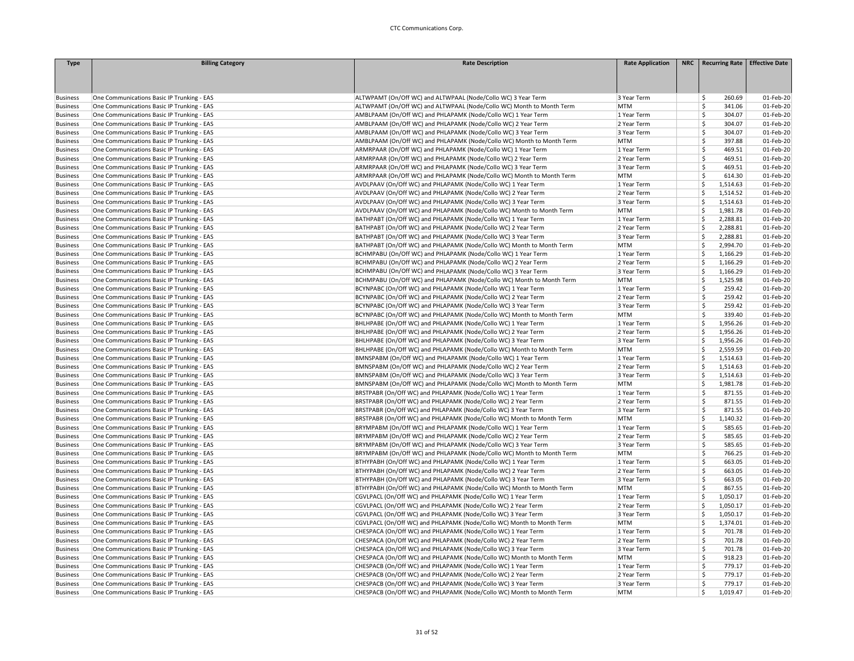| 260.69<br>01-Feb-20<br>One Communications Basic IP Trunking - EAS<br>ALTWPAMT (On/Off WC) and ALTWPAAL (Node/Collo WC) 3 Year Term<br>3 Year Term<br>\$.<br><b>Business</b><br>One Communications Basic IP Trunking - EAS<br>ALTWPAMT (On/Off WC) and ALTWPAAL (Node/Collo WC) Month to Month Term<br>MTM<br>Ŝ<br>341.06<br>01-Feb-20<br><b>Business</b><br><b>Business</b><br>One Communications Basic IP Trunking - EAS<br>AMBLPAAM (On/Off WC) and PHLAPAMK (Node/Collo WC) 1 Year Term<br>1 Year Term<br>Ŝ<br>304.07<br>01-Feb-20<br>One Communications Basic IP Trunking - EAS<br>AMBLPAAM (On/Off WC) and PHLAPAMK (Node/Collo WC) 2 Year Term<br>2 Year Term<br>Ŝ<br>304.07<br>01-Feb-20<br><b>Business</b><br>\$<br><b>Business</b><br>One Communications Basic IP Trunking - EAS<br>AMBLPAAM (On/Off WC) and PHLAPAMK (Node/Collo WC) 3 Year Term<br>3 Year Term<br>304.07<br>01-Feb-20<br>Ś<br>One Communications Basic IP Trunking - EAS<br>AMBLPAAM (On/Off WC) and PHLAPAMK (Node/Collo WC) Month to Month Term<br><b>MTM</b><br>397.88<br>01-Feb-20<br><b>Business</b><br>$\mathsf{\hat{S}}$<br>One Communications Basic IP Trunking - EAS<br>ARMRPAAR (On/Off WC) and PHLAPAMK (Node/Collo WC) 1 Year Term<br>469.51<br>01-Feb-20<br><b>Business</b><br>1 Year Term<br>One Communications Basic IP Trunking - EAS<br>ARMRPAAR (On/Off WC) and PHLAPAMK (Node/Collo WC) 2 Year Term<br>2 Year Term<br>\$<br>469.51<br>01-Feb-20<br><b>Business</b><br>One Communications Basic IP Trunking - EAS<br>ARMRPAAR (On/Off WC) and PHLAPAMK (Node/Collo WC) 3 Year Term<br>3 Year Term<br>Ŝ<br>469.51<br>01-Feb-20<br><b>Business</b><br>Ś<br>One Communications Basic IP Trunking - EAS<br>ARMRPAAR (On/Off WC) and PHLAPAMK (Node/Collo WC) Month to Month Term<br><b>MTM</b><br>614.30<br>01-Feb-20<br><b>Business</b><br>AVDLPAAV (On/Off WC) and PHLAPAMK (Node/Collo WC) 1 Year Term<br>Ŝ.<br>1,514.63<br>01-Feb-20<br><b>Business</b><br>One Communications Basic IP Trunking - EAS<br>1 Year Term<br>Ś<br>One Communications Basic IP Trunking - EAS<br>AVDLPAAV (On/Off WC) and PHLAPAMK (Node/Collo WC) 2 Year Term<br>2 Year Term<br>1,514.52<br>01-Feb-20<br><b>Business</b><br>One Communications Basic IP Trunking - EAS<br>AVDLPAAV (On/Off WC) and PHLAPAMK (Node/Collo WC) 3 Year Term<br>3 Year Term<br>\$<br>1,514.63<br>01-Feb-20<br><b>Business</b><br>AVDLPAAV (On/Off WC) and PHLAPAMK (Node/Collo WC) Month to Month Term<br><b>MTM</b><br>Ś<br>1,981.78<br>01-Feb-20<br>One Communications Basic IP Trunking - EAS<br><b>Business</b><br>\$<br>2,288.81<br><b>Business</b><br>One Communications Basic IP Trunking - EAS<br>BATHPABT (On/Off WC) and PHLAPAMK (Node/Collo WC) 1 Year Term<br>1 Year Term<br>01-Feb-20<br>BATHPABT (On/Off WC) and PHLAPAMK (Node/Collo WC) 2 Year Term<br>Ś<br>2,288.81<br>01-Feb-20<br><b>Business</b><br>One Communications Basic IP Trunking - EAS<br>2 Year Term<br>2,288.81<br>01-Feb-20<br><b>Business</b><br>One Communications Basic IP Trunking - EAS<br>BATHPABT (On/Off WC) and PHLAPAMK (Node/Collo WC) 3 Year Term<br>3 Year Term<br>Ŝ<br>BATHPABT (On/Off WC) and PHLAPAMK (Node/Collo WC) Month to Month Term<br>Ś<br>2,994.70<br>01-Feb-20<br><b>Business</b><br>One Communications Basic IP Trunking - EAS<br><b>MTM</b><br>\$<br>One Communications Basic IP Trunking - EAS<br>BCHMPABU (On/Off WC) and PHLAPAMK (Node/Collo WC) 1 Year Term<br>1,166.29<br>01-Feb-20<br>1 Year Term<br><b>Business</b><br>One Communications Basic IP Trunking - EAS<br>BCHMPABU (On/Off WC) and PHLAPAMK (Node/Collo WC) 2 Year Term<br>2 Year Term<br>Ś<br>1,166.29<br>01-Feb-20<br><b>Business</b><br>01-Feb-20<br><b>Business</b><br>One Communications Basic IP Trunking - EAS<br>BCHMPABU (On/Off WC) and PHLAPAMK (Node/Collo WC) 3 Year Term<br>3 Year Term<br>Š.<br>1,166.29<br>One Communications Basic IP Trunking - EAS<br>BCHMPABU (On/Off WC) and PHLAPAMK (Node/Collo WC) Month to Month Term<br><b>MTM</b><br>Ś<br>1,525.98<br>01-Feb-20<br><b>Business</b><br><sup>\$</sup><br>One Communications Basic IP Trunking - EAS<br>BCYNPABC (On/Off WC) and PHLAPAMK (Node/Collo WC) 1 Year Term<br>1 Year Term<br>259.42<br>01-Feb-20<br><b>Business</b><br><b>S</b><br>01-Feb-20<br>One Communications Basic IP Trunking - EAS<br>BCYNPABC (On/Off WC) and PHLAPAMK (Node/Collo WC) 2 Year Term<br>2 Year Term<br>259.42<br><b>Business</b><br>$\mathsf{\hat{S}}$<br>BCYNPABC (On/Off WC) and PHLAPAMK (Node/Collo WC) 3 Year Term<br>259.42<br>One Communications Basic IP Trunking - EAS<br>3 Year Term<br>01-Feb-20<br><b>Business</b><br>One Communications Basic IP Trunking - EAS<br>BCYNPABC (On/Off WC) and PHLAPAMK (Node/Collo WC) Month to Month Term<br><b>MTM</b><br>Ś<br>339.40<br>01-Feb-20<br><b>Business</b><br>BHLHPABE (On/Off WC) and PHLAPAMK (Node/Collo WC) 1 Year Term<br>\$<br>1,956.26<br>01-Feb-20<br><b>Business</b><br>One Communications Basic IP Trunking - EAS<br>1 Year Term<br>One Communications Basic IP Trunking - EAS<br>BHLHPABE (On/Off WC) and PHLAPAMK (Node/Collo WC) 2 Year Term<br>2 Year Term<br>Ś<br>1,956.26<br>01-Feb-20<br><b>Business</b><br>Ś<br>One Communications Basic IP Trunking - EAS<br>BHLHPABE (On/Off WC) and PHLAPAMK (Node/Collo WC) 3 Year Term<br>3 Year Term<br>1,956.26<br>01-Feb-20<br><b>Business</b><br>Ś<br>BHLHPABE (On/Off WC) and PHLAPAMK (Node/Collo WC) Month to Month Term<br>MTM<br>2,559.59<br>01-Feb-20<br><b>Business</b><br>One Communications Basic IP Trunking - EAS<br>Ś<br>1,514.63<br>01-Feb-20<br>One Communications Basic IP Trunking - EAS<br>BMNSPABM (On/Off WC) and PHLAPAMK (Node/Collo WC) 1 Year Term<br><b>Business</b><br>1 Year Term<br>BMNSPABM (On/Off WC) and PHLAPAMK (Node/Collo WC) 2 Year Term<br>Ś<br>1,514.63<br>01-Feb-20<br>One Communications Basic IP Trunking - EAS<br>2 Year Term<br><b>Business</b><br>BMNSPABM (On/Off WC) and PHLAPAMK (Node/Collo WC) 3 Year Term<br>01-Feb-20<br><b>Business</b><br>One Communications Basic IP Trunking - EAS<br>3 Year Term<br>Ŝ<br>1,514.63<br>Ś<br>One Communications Basic IP Trunking - EAS<br>BMNSPABM (On/Off WC) and PHLAPAMK (Node/Collo WC) Month to Month Term<br><b>MTM</b><br>1,981.78<br>01-Feb-20<br><b>Business</b><br><b>Business</b><br>One Communications Basic IP Trunking - EAS<br>BRSTPABR (On/Off WC) and PHLAPAMK (Node/Collo WC) 1 Year Term<br>1 Year Term<br>Ŝ.<br>871.55<br>01-Feb-20<br>BRSTPABR (On/Off WC) and PHLAPAMK (Node/Collo WC) 2 Year Term<br>Ś<br>871.55<br>01-Feb-20<br>One Communications Basic IP Trunking - EAS<br>2 Year Term<br><b>Business</b><br>\$<br>871.55<br>One Communications Basic IP Trunking - EAS<br>BRSTPABR (On/Off WC) and PHLAPAMK (Node/Collo WC) 3 Year Term<br>3 Year Term<br>01-Feb-20<br><b>Business</b><br>One Communications Basic IP Trunking - EAS<br>BRSTPABR (On/Off WC) and PHLAPAMK (Node/Collo WC) Month to Month Term<br><b>MTM</b><br>Ś<br>1,140.32<br>01-Feb-20<br><b>Business</b><br><b>S</b><br>One Communications Basic IP Trunking - EAS<br>BRYMPABM (On/Off WC) and PHLAPAMK (Node/Collo WC) 1 Year Term<br>1 Year Term<br>585.65<br>01-Feb-20<br><b>Business</b><br>One Communications Basic IP Trunking - EAS<br>BRYMPABM (On/Off WC) and PHLAPAMK (Node/Collo WC) 2 Year Term<br>2 Year Term<br>Ŝ<br>585.65<br>01-Feb-20<br><b>Business</b><br><b>S</b><br><b>Business</b><br>One Communications Basic IP Trunking - EAS<br>BRYMPABM (On/Off WC) and PHLAPAMK (Node/Collo WC) 3 Year Term<br>3 Year Term<br>585.65<br>01-Feb-20<br>Ś<br>766.25<br>01-Feb-20<br>One Communications Basic IP Trunking - EAS<br>BRYMPABM (On/Off WC) and PHLAPAMK (Node/Collo WC) Month to Month Term<br><b>MTM</b><br><b>Business</b><br>$\mathsf{\hat{S}}$<br>BTHYPABH (On/Off WC) and PHLAPAMK (Node/Collo WC) 1 Year Term<br>663.05<br>01-Feb-20<br>One Communications Basic IP Trunking - EAS<br>1 Year Term<br><b>Business</b><br>BTHYPABH (On/Off WC) and PHLAPAMK (Node/Collo WC) 2 Year Term<br>\$<br>663.05<br>01-Feb-20<br><b>Business</b><br>One Communications Basic IP Trunking - EAS<br>2 Year Term<br>One Communications Basic IP Trunking - EAS<br>BTHYPABH (On/Off WC) and PHLAPAMK (Node/Collo WC) 3 Year Term<br>3 Year Term<br>Ś<br>663.05<br>01-Feb-20<br><b>Business</b><br>Ś<br>One Communications Basic IP Trunking - EAS<br>BTHYPABH (On/Off WC) and PHLAPAMK (Node/Collo WC) Month to Month Term<br><b>MTM</b><br>867.55<br>01-Feb-20<br><b>Business</b><br>CGVLPACL (On/Off WC) and PHLAPAMK (Node/Collo WC) 1 Year Term<br>Ś<br>1,050.17<br>01-Feb-20<br><b>Business</b><br>One Communications Basic IP Trunking - EAS<br>1 Year Term<br>Ś<br>One Communications Basic IP Trunking - EAS<br>CGVLPACL (On/Off WC) and PHLAPAMK (Node/Collo WC) 2 Year Term<br>2 Year Term<br>1,050.17<br>01-Feb-20<br><b>Business</b><br>\$<br>One Communications Basic IP Trunking - EAS<br>CGVLPACL (On/Off WC) and PHLAPAMK (Node/Collo WC) 3 Year Term<br>3 Year Term<br>1,050.17<br>01-Feb-20<br><b>Business</b><br>One Communications Basic IP Trunking - EAS<br>CGVLPACL (On/Off WC) and PHLAPAMK (Node/Collo WC) Month to Month Term<br><b>MTM</b><br>Ś<br>1,374.01<br>01-Feb-20<br><b>Business</b><br><b>Business</b><br>One Communications Basic IP Trunking - EAS<br>CHESPACA (On/Off WC) and PHLAPAMK (Node/Collo WC) 1 Year Term<br>1 Year Term<br>Ŝ.<br>701.78<br>01-Feb-20<br>One Communications Basic IP Trunking - EAS<br>CHESPACA (On/Off WC) and PHLAPAMK (Node/Collo WC) 2 Year Term<br>2 Year Term<br>Ŝ.<br>701.78<br>01-Feb-20<br><b>Business</b><br>Ś<br>CHESPACA (On/Off WC) and PHLAPAMK (Node/Collo WC) 3 Year Term<br>01-Feb-20<br><b>Business</b><br>One Communications Basic IP Trunking - EAS<br>3 Year Term<br>701.78<br>\$<br>01-Feb-20<br>One Communications Basic IP Trunking - EAS<br>CHESPACA (On/Off WC) and PHLAPAMK (Node/Collo WC) Month to Month Term<br><b>MTM</b><br>918.23<br><b>Business</b> | <b>Type</b>     | <b>Billing Category</b>                    | <b>Rate Description</b>                                       | <b>Rate Application</b> | NRC   Recurring Rate   Effective Date |           |
|-----------------------------------------------------------------------------------------------------------------------------------------------------------------------------------------------------------------------------------------------------------------------------------------------------------------------------------------------------------------------------------------------------------------------------------------------------------------------------------------------------------------------------------------------------------------------------------------------------------------------------------------------------------------------------------------------------------------------------------------------------------------------------------------------------------------------------------------------------------------------------------------------------------------------------------------------------------------------------------------------------------------------------------------------------------------------------------------------------------------------------------------------------------------------------------------------------------------------------------------------------------------------------------------------------------------------------------------------------------------------------------------------------------------------------------------------------------------------------------------------------------------------------------------------------------------------------------------------------------------------------------------------------------------------------------------------------------------------------------------------------------------------------------------------------------------------------------------------------------------------------------------------------------------------------------------------------------------------------------------------------------------------------------------------------------------------------------------------------------------------------------------------------------------------------------------------------------------------------------------------------------------------------------------------------------------------------------------------------------------------------------------------------------------------------------------------------------------------------------------------------------------------------------------------------------------------------------------------------------------------------------------------------------------------------------------------------------------------------------------------------------------------------------------------------------------------------------------------------------------------------------------------------------------------------------------------------------------------------------------------------------------------------------------------------------------------------------------------------------------------------------------------------------------------------------------------------------------------------------------------------------------------------------------------------------------------------------------------------------------------------------------------------------------------------------------------------------------------------------------------------------------------------------------------------------------------------------------------------------------------------------------------------------------------------------------------------------------------------------------------------------------------------------------------------------------------------------------------------------------------------------------------------------------------------------------------------------------------------------------------------------------------------------------------------------------------------------------------------------------------------------------------------------------------------------------------------------------------------------------------------------------------------------------------------------------------------------------------------------------------------------------------------------------------------------------------------------------------------------------------------------------------------------------------------------------------------------------------------------------------------------------------------------------------------------------------------------------------------------------------------------------------------------------------------------------------------------------------------------------------------------------------------------------------------------------------------------------------------------------------------------------------------------------------------------------------------------------------------------------------------------------------------------------------------------------------------------------------------------------------------------------------------------------------------------------------------------------------------------------------------------------------------------------------------------------------------------------------------------------------------------------------------------------------------------------------------------------------------------------------------------------------------------------------------------------------------------------------------------------------------------------------------------------------------------------------------------------------------------------------------------------------------------------------------------------------------------------------------------------------------------------------------------------------------------------------------------------------------------------------------------------------------------------------------------------------------------------------------------------------------------------------------------------------------------------------------------------------------------------------------------------------------------------------------------------------------------------------------------------------------------------------------------------------------------------------------------------------------------------------------------------------------------------------------------------------------------------------------------------------------------------------------------------------------------------------------------------------------------------------------------------------------------------------------------------------------------------------------------------------------------------------------------------------------------------------------------------------------------------------------------------------------------------------------------------------------------------------------------------------------------------------------------------------------------------------------------------------------------------------------------------------------------------------------------------------------------------------------------------------------------------------------------------------------------------------------------------------------------------------------------------------------------------------------------------------------------------------------------------------------------------------------------------------------------------------------------------------------------------------------------------------------------------------------------------------------------------------------------------------------------------------------------------------------------------------------------------------------------------------------------------------------------------------------------------------------------------------------------------------------------------------------------------------------------------------------------------------------------------------------------------------------------------------------------------------------------------------------------------------------------------------------------------------------------------------------------------------------------------------------------------------------------------------------------------------------------------------------------------------------------------------------------------------------------------------------------------------------------------------------------------------------------------------------------------------------------------------------------------------------------------------------------------------------------------------------------------------------------------------------------------------------------------------------------------------------------------------------------------------------------------------------------------------------------------------------------------------------------------------------------------------------------------------------------------------------------------------------------------------------------------------------------------------------------------------------------------------------------------------------------------------------------------------------------------------------------------------------------------------------------------------------------------------------------------------------------------------------------------------------------------------------------------------------------------------------------------------|-----------------|--------------------------------------------|---------------------------------------------------------------|-------------------------|---------------------------------------|-----------|
|                                                                                                                                                                                                                                                                                                                                                                                                                                                                                                                                                                                                                                                                                                                                                                                                                                                                                                                                                                                                                                                                                                                                                                                                                                                                                                                                                                                                                                                                                                                                                                                                                                                                                                                                                                                                                                                                                                                                                                                                                                                                                                                                                                                                                                                                                                                                                                                                                                                                                                                                                                                                                                                                                                                                                                                                                                                                                                                                                                                                                                                                                                                                                                                                                                                                                                                                                                                                                                                                                                                                                                                                                                                                                                                                                                                                                                                                                                                                                                                                                                                                                                                                                                                                                                                                                                                                                                                                                                                                                                                                                                                                                                                                                                                                                                                                                                                                                                                                                                                                                                                                                                                                                                                                                                                                                                                                                                                                                                                                                                                                                                                                                                                                                                                                                                                                                                                                                                                                                                                                                                                                                                                                                                                                                                                                                                                                                                                                                                                                                                                                                                                                                                                                                                                                                                                                                                                                                                                                                                                                                                                                                                                                                                                                                                                                                                                                                                                                                                                                                                                                                                                                                                                                                                                                                                                                                                                                                                                                                                                                                                                                                                                                                                                                                                                                                                                                                                                                                                                                                                                                                                                                                                                                                                                                                                                                                                                                                                                                                                                                                                                                                                                                                                                                                                                                                                                                                                                                                                                                                                                                                                                                                                                                                                                                                                                                                                                                                                                                                                       |                 |                                            |                                                               |                         |                                       |           |
|                                                                                                                                                                                                                                                                                                                                                                                                                                                                                                                                                                                                                                                                                                                                                                                                                                                                                                                                                                                                                                                                                                                                                                                                                                                                                                                                                                                                                                                                                                                                                                                                                                                                                                                                                                                                                                                                                                                                                                                                                                                                                                                                                                                                                                                                                                                                                                                                                                                                                                                                                                                                                                                                                                                                                                                                                                                                                                                                                                                                                                                                                                                                                                                                                                                                                                                                                                                                                                                                                                                                                                                                                                                                                                                                                                                                                                                                                                                                                                                                                                                                                                                                                                                                                                                                                                                                                                                                                                                                                                                                                                                                                                                                                                                                                                                                                                                                                                                                                                                                                                                                                                                                                                                                                                                                                                                                                                                                                                                                                                                                                                                                                                                                                                                                                                                                                                                                                                                                                                                                                                                                                                                                                                                                                                                                                                                                                                                                                                                                                                                                                                                                                                                                                                                                                                                                                                                                                                                                                                                                                                                                                                                                                                                                                                                                                                                                                                                                                                                                                                                                                                                                                                                                                                                                                                                                                                                                                                                                                                                                                                                                                                                                                                                                                                                                                                                                                                                                                                                                                                                                                                                                                                                                                                                                                                                                                                                                                                                                                                                                                                                                                                                                                                                                                                                                                                                                                                                                                                                                                                                                                                                                                                                                                                                                                                                                                                                                                                                                                                       |                 |                                            |                                                               |                         |                                       |           |
|                                                                                                                                                                                                                                                                                                                                                                                                                                                                                                                                                                                                                                                                                                                                                                                                                                                                                                                                                                                                                                                                                                                                                                                                                                                                                                                                                                                                                                                                                                                                                                                                                                                                                                                                                                                                                                                                                                                                                                                                                                                                                                                                                                                                                                                                                                                                                                                                                                                                                                                                                                                                                                                                                                                                                                                                                                                                                                                                                                                                                                                                                                                                                                                                                                                                                                                                                                                                                                                                                                                                                                                                                                                                                                                                                                                                                                                                                                                                                                                                                                                                                                                                                                                                                                                                                                                                                                                                                                                                                                                                                                                                                                                                                                                                                                                                                                                                                                                                                                                                                                                                                                                                                                                                                                                                                                                                                                                                                                                                                                                                                                                                                                                                                                                                                                                                                                                                                                                                                                                                                                                                                                                                                                                                                                                                                                                                                                                                                                                                                                                                                                                                                                                                                                                                                                                                                                                                                                                                                                                                                                                                                                                                                                                                                                                                                                                                                                                                                                                                                                                                                                                                                                                                                                                                                                                                                                                                                                                                                                                                                                                                                                                                                                                                                                                                                                                                                                                                                                                                                                                                                                                                                                                                                                                                                                                                                                                                                                                                                                                                                                                                                                                                                                                                                                                                                                                                                                                                                                                                                                                                                                                                                                                                                                                                                                                                                                                                                                                                                                       |                 |                                            |                                                               |                         |                                       |           |
|                                                                                                                                                                                                                                                                                                                                                                                                                                                                                                                                                                                                                                                                                                                                                                                                                                                                                                                                                                                                                                                                                                                                                                                                                                                                                                                                                                                                                                                                                                                                                                                                                                                                                                                                                                                                                                                                                                                                                                                                                                                                                                                                                                                                                                                                                                                                                                                                                                                                                                                                                                                                                                                                                                                                                                                                                                                                                                                                                                                                                                                                                                                                                                                                                                                                                                                                                                                                                                                                                                                                                                                                                                                                                                                                                                                                                                                                                                                                                                                                                                                                                                                                                                                                                                                                                                                                                                                                                                                                                                                                                                                                                                                                                                                                                                                                                                                                                                                                                                                                                                                                                                                                                                                                                                                                                                                                                                                                                                                                                                                                                                                                                                                                                                                                                                                                                                                                                                                                                                                                                                                                                                                                                                                                                                                                                                                                                                                                                                                                                                                                                                                                                                                                                                                                                                                                                                                                                                                                                                                                                                                                                                                                                                                                                                                                                                                                                                                                                                                                                                                                                                                                                                                                                                                                                                                                                                                                                                                                                                                                                                                                                                                                                                                                                                                                                                                                                                                                                                                                                                                                                                                                                                                                                                                                                                                                                                                                                                                                                                                                                                                                                                                                                                                                                                                                                                                                                                                                                                                                                                                                                                                                                                                                                                                                                                                                                                                                                                                                                                       |                 |                                            |                                                               |                         |                                       |           |
|                                                                                                                                                                                                                                                                                                                                                                                                                                                                                                                                                                                                                                                                                                                                                                                                                                                                                                                                                                                                                                                                                                                                                                                                                                                                                                                                                                                                                                                                                                                                                                                                                                                                                                                                                                                                                                                                                                                                                                                                                                                                                                                                                                                                                                                                                                                                                                                                                                                                                                                                                                                                                                                                                                                                                                                                                                                                                                                                                                                                                                                                                                                                                                                                                                                                                                                                                                                                                                                                                                                                                                                                                                                                                                                                                                                                                                                                                                                                                                                                                                                                                                                                                                                                                                                                                                                                                                                                                                                                                                                                                                                                                                                                                                                                                                                                                                                                                                                                                                                                                                                                                                                                                                                                                                                                                                                                                                                                                                                                                                                                                                                                                                                                                                                                                                                                                                                                                                                                                                                                                                                                                                                                                                                                                                                                                                                                                                                                                                                                                                                                                                                                                                                                                                                                                                                                                                                                                                                                                                                                                                                                                                                                                                                                                                                                                                                                                                                                                                                                                                                                                                                                                                                                                                                                                                                                                                                                                                                                                                                                                                                                                                                                                                                                                                                                                                                                                                                                                                                                                                                                                                                                                                                                                                                                                                                                                                                                                                                                                                                                                                                                                                                                                                                                                                                                                                                                                                                                                                                                                                                                                                                                                                                                                                                                                                                                                                                                                                                                                                       |                 |                                            |                                                               |                         |                                       |           |
|                                                                                                                                                                                                                                                                                                                                                                                                                                                                                                                                                                                                                                                                                                                                                                                                                                                                                                                                                                                                                                                                                                                                                                                                                                                                                                                                                                                                                                                                                                                                                                                                                                                                                                                                                                                                                                                                                                                                                                                                                                                                                                                                                                                                                                                                                                                                                                                                                                                                                                                                                                                                                                                                                                                                                                                                                                                                                                                                                                                                                                                                                                                                                                                                                                                                                                                                                                                                                                                                                                                                                                                                                                                                                                                                                                                                                                                                                                                                                                                                                                                                                                                                                                                                                                                                                                                                                                                                                                                                                                                                                                                                                                                                                                                                                                                                                                                                                                                                                                                                                                                                                                                                                                                                                                                                                                                                                                                                                                                                                                                                                                                                                                                                                                                                                                                                                                                                                                                                                                                                                                                                                                                                                                                                                                                                                                                                                                                                                                                                                                                                                                                                                                                                                                                                                                                                                                                                                                                                                                                                                                                                                                                                                                                                                                                                                                                                                                                                                                                                                                                                                                                                                                                                                                                                                                                                                                                                                                                                                                                                                                                                                                                                                                                                                                                                                                                                                                                                                                                                                                                                                                                                                                                                                                                                                                                                                                                                                                                                                                                                                                                                                                                                                                                                                                                                                                                                                                                                                                                                                                                                                                                                                                                                                                                                                                                                                                                                                                                                                                       |                 |                                            |                                                               |                         |                                       |           |
|                                                                                                                                                                                                                                                                                                                                                                                                                                                                                                                                                                                                                                                                                                                                                                                                                                                                                                                                                                                                                                                                                                                                                                                                                                                                                                                                                                                                                                                                                                                                                                                                                                                                                                                                                                                                                                                                                                                                                                                                                                                                                                                                                                                                                                                                                                                                                                                                                                                                                                                                                                                                                                                                                                                                                                                                                                                                                                                                                                                                                                                                                                                                                                                                                                                                                                                                                                                                                                                                                                                                                                                                                                                                                                                                                                                                                                                                                                                                                                                                                                                                                                                                                                                                                                                                                                                                                                                                                                                                                                                                                                                                                                                                                                                                                                                                                                                                                                                                                                                                                                                                                                                                                                                                                                                                                                                                                                                                                                                                                                                                                                                                                                                                                                                                                                                                                                                                                                                                                                                                                                                                                                                                                                                                                                                                                                                                                                                                                                                                                                                                                                                                                                                                                                                                                                                                                                                                                                                                                                                                                                                                                                                                                                                                                                                                                                                                                                                                                                                                                                                                                                                                                                                                                                                                                                                                                                                                                                                                                                                                                                                                                                                                                                                                                                                                                                                                                                                                                                                                                                                                                                                                                                                                                                                                                                                                                                                                                                                                                                                                                                                                                                                                                                                                                                                                                                                                                                                                                                                                                                                                                                                                                                                                                                                                                                                                                                                                                                                                                                       |                 |                                            |                                                               |                         |                                       |           |
|                                                                                                                                                                                                                                                                                                                                                                                                                                                                                                                                                                                                                                                                                                                                                                                                                                                                                                                                                                                                                                                                                                                                                                                                                                                                                                                                                                                                                                                                                                                                                                                                                                                                                                                                                                                                                                                                                                                                                                                                                                                                                                                                                                                                                                                                                                                                                                                                                                                                                                                                                                                                                                                                                                                                                                                                                                                                                                                                                                                                                                                                                                                                                                                                                                                                                                                                                                                                                                                                                                                                                                                                                                                                                                                                                                                                                                                                                                                                                                                                                                                                                                                                                                                                                                                                                                                                                                                                                                                                                                                                                                                                                                                                                                                                                                                                                                                                                                                                                                                                                                                                                                                                                                                                                                                                                                                                                                                                                                                                                                                                                                                                                                                                                                                                                                                                                                                                                                                                                                                                                                                                                                                                                                                                                                                                                                                                                                                                                                                                                                                                                                                                                                                                                                                                                                                                                                                                                                                                                                                                                                                                                                                                                                                                                                                                                                                                                                                                                                                                                                                                                                                                                                                                                                                                                                                                                                                                                                                                                                                                                                                                                                                                                                                                                                                                                                                                                                                                                                                                                                                                                                                                                                                                                                                                                                                                                                                                                                                                                                                                                                                                                                                                                                                                                                                                                                                                                                                                                                                                                                                                                                                                                                                                                                                                                                                                                                                                                                                                                                       |                 |                                            |                                                               |                         |                                       |           |
|                                                                                                                                                                                                                                                                                                                                                                                                                                                                                                                                                                                                                                                                                                                                                                                                                                                                                                                                                                                                                                                                                                                                                                                                                                                                                                                                                                                                                                                                                                                                                                                                                                                                                                                                                                                                                                                                                                                                                                                                                                                                                                                                                                                                                                                                                                                                                                                                                                                                                                                                                                                                                                                                                                                                                                                                                                                                                                                                                                                                                                                                                                                                                                                                                                                                                                                                                                                                                                                                                                                                                                                                                                                                                                                                                                                                                                                                                                                                                                                                                                                                                                                                                                                                                                                                                                                                                                                                                                                                                                                                                                                                                                                                                                                                                                                                                                                                                                                                                                                                                                                                                                                                                                                                                                                                                                                                                                                                                                                                                                                                                                                                                                                                                                                                                                                                                                                                                                                                                                                                                                                                                                                                                                                                                                                                                                                                                                                                                                                                                                                                                                                                                                                                                                                                                                                                                                                                                                                                                                                                                                                                                                                                                                                                                                                                                                                                                                                                                                                                                                                                                                                                                                                                                                                                                                                                                                                                                                                                                                                                                                                                                                                                                                                                                                                                                                                                                                                                                                                                                                                                                                                                                                                                                                                                                                                                                                                                                                                                                                                                                                                                                                                                                                                                                                                                                                                                                                                                                                                                                                                                                                                                                                                                                                                                                                                                                                                                                                                                                                       |                 |                                            |                                                               |                         |                                       |           |
|                                                                                                                                                                                                                                                                                                                                                                                                                                                                                                                                                                                                                                                                                                                                                                                                                                                                                                                                                                                                                                                                                                                                                                                                                                                                                                                                                                                                                                                                                                                                                                                                                                                                                                                                                                                                                                                                                                                                                                                                                                                                                                                                                                                                                                                                                                                                                                                                                                                                                                                                                                                                                                                                                                                                                                                                                                                                                                                                                                                                                                                                                                                                                                                                                                                                                                                                                                                                                                                                                                                                                                                                                                                                                                                                                                                                                                                                                                                                                                                                                                                                                                                                                                                                                                                                                                                                                                                                                                                                                                                                                                                                                                                                                                                                                                                                                                                                                                                                                                                                                                                                                                                                                                                                                                                                                                                                                                                                                                                                                                                                                                                                                                                                                                                                                                                                                                                                                                                                                                                                                                                                                                                                                                                                                                                                                                                                                                                                                                                                                                                                                                                                                                                                                                                                                                                                                                                                                                                                                                                                                                                                                                                                                                                                                                                                                                                                                                                                                                                                                                                                                                                                                                                                                                                                                                                                                                                                                                                                                                                                                                                                                                                                                                                                                                                                                                                                                                                                                                                                                                                                                                                                                                                                                                                                                                                                                                                                                                                                                                                                                                                                                                                                                                                                                                                                                                                                                                                                                                                                                                                                                                                                                                                                                                                                                                                                                                                                                                                                                                       |                 |                                            |                                                               |                         |                                       |           |
|                                                                                                                                                                                                                                                                                                                                                                                                                                                                                                                                                                                                                                                                                                                                                                                                                                                                                                                                                                                                                                                                                                                                                                                                                                                                                                                                                                                                                                                                                                                                                                                                                                                                                                                                                                                                                                                                                                                                                                                                                                                                                                                                                                                                                                                                                                                                                                                                                                                                                                                                                                                                                                                                                                                                                                                                                                                                                                                                                                                                                                                                                                                                                                                                                                                                                                                                                                                                                                                                                                                                                                                                                                                                                                                                                                                                                                                                                                                                                                                                                                                                                                                                                                                                                                                                                                                                                                                                                                                                                                                                                                                                                                                                                                                                                                                                                                                                                                                                                                                                                                                                                                                                                                                                                                                                                                                                                                                                                                                                                                                                                                                                                                                                                                                                                                                                                                                                                                                                                                                                                                                                                                                                                                                                                                                                                                                                                                                                                                                                                                                                                                                                                                                                                                                                                                                                                                                                                                                                                                                                                                                                                                                                                                                                                                                                                                                                                                                                                                                                                                                                                                                                                                                                                                                                                                                                                                                                                                                                                                                                                                                                                                                                                                                                                                                                                                                                                                                                                                                                                                                                                                                                                                                                                                                                                                                                                                                                                                                                                                                                                                                                                                                                                                                                                                                                                                                                                                                                                                                                                                                                                                                                                                                                                                                                                                                                                                                                                                                                                                       |                 |                                            |                                                               |                         |                                       |           |
|                                                                                                                                                                                                                                                                                                                                                                                                                                                                                                                                                                                                                                                                                                                                                                                                                                                                                                                                                                                                                                                                                                                                                                                                                                                                                                                                                                                                                                                                                                                                                                                                                                                                                                                                                                                                                                                                                                                                                                                                                                                                                                                                                                                                                                                                                                                                                                                                                                                                                                                                                                                                                                                                                                                                                                                                                                                                                                                                                                                                                                                                                                                                                                                                                                                                                                                                                                                                                                                                                                                                                                                                                                                                                                                                                                                                                                                                                                                                                                                                                                                                                                                                                                                                                                                                                                                                                                                                                                                                                                                                                                                                                                                                                                                                                                                                                                                                                                                                                                                                                                                                                                                                                                                                                                                                                                                                                                                                                                                                                                                                                                                                                                                                                                                                                                                                                                                                                                                                                                                                                                                                                                                                                                                                                                                                                                                                                                                                                                                                                                                                                                                                                                                                                                                                                                                                                                                                                                                                                                                                                                                                                                                                                                                                                                                                                                                                                                                                                                                                                                                                                                                                                                                                                                                                                                                                                                                                                                                                                                                                                                                                                                                                                                                                                                                                                                                                                                                                                                                                                                                                                                                                                                                                                                                                                                                                                                                                                                                                                                                                                                                                                                                                                                                                                                                                                                                                                                                                                                                                                                                                                                                                                                                                                                                                                                                                                                                                                                                                                                       |                 |                                            |                                                               |                         |                                       |           |
|                                                                                                                                                                                                                                                                                                                                                                                                                                                                                                                                                                                                                                                                                                                                                                                                                                                                                                                                                                                                                                                                                                                                                                                                                                                                                                                                                                                                                                                                                                                                                                                                                                                                                                                                                                                                                                                                                                                                                                                                                                                                                                                                                                                                                                                                                                                                                                                                                                                                                                                                                                                                                                                                                                                                                                                                                                                                                                                                                                                                                                                                                                                                                                                                                                                                                                                                                                                                                                                                                                                                                                                                                                                                                                                                                                                                                                                                                                                                                                                                                                                                                                                                                                                                                                                                                                                                                                                                                                                                                                                                                                                                                                                                                                                                                                                                                                                                                                                                                                                                                                                                                                                                                                                                                                                                                                                                                                                                                                                                                                                                                                                                                                                                                                                                                                                                                                                                                                                                                                                                                                                                                                                                                                                                                                                                                                                                                                                                                                                                                                                                                                                                                                                                                                                                                                                                                                                                                                                                                                                                                                                                                                                                                                                                                                                                                                                                                                                                                                                                                                                                                                                                                                                                                                                                                                                                                                                                                                                                                                                                                                                                                                                                                                                                                                                                                                                                                                                                                                                                                                                                                                                                                                                                                                                                                                                                                                                                                                                                                                                                                                                                                                                                                                                                                                                                                                                                                                                                                                                                                                                                                                                                                                                                                                                                                                                                                                                                                                                                                                       |                 |                                            |                                                               |                         |                                       |           |
|                                                                                                                                                                                                                                                                                                                                                                                                                                                                                                                                                                                                                                                                                                                                                                                                                                                                                                                                                                                                                                                                                                                                                                                                                                                                                                                                                                                                                                                                                                                                                                                                                                                                                                                                                                                                                                                                                                                                                                                                                                                                                                                                                                                                                                                                                                                                                                                                                                                                                                                                                                                                                                                                                                                                                                                                                                                                                                                                                                                                                                                                                                                                                                                                                                                                                                                                                                                                                                                                                                                                                                                                                                                                                                                                                                                                                                                                                                                                                                                                                                                                                                                                                                                                                                                                                                                                                                                                                                                                                                                                                                                                                                                                                                                                                                                                                                                                                                                                                                                                                                                                                                                                                                                                                                                                                                                                                                                                                                                                                                                                                                                                                                                                                                                                                                                                                                                                                                                                                                                                                                                                                                                                                                                                                                                                                                                                                                                                                                                                                                                                                                                                                                                                                                                                                                                                                                                                                                                                                                                                                                                                                                                                                                                                                                                                                                                                                                                                                                                                                                                                                                                                                                                                                                                                                                                                                                                                                                                                                                                                                                                                                                                                                                                                                                                                                                                                                                                                                                                                                                                                                                                                                                                                                                                                                                                                                                                                                                                                                                                                                                                                                                                                                                                                                                                                                                                                                                                                                                                                                                                                                                                                                                                                                                                                                                                                                                                                                                                                                                       |                 |                                            |                                                               |                         |                                       |           |
|                                                                                                                                                                                                                                                                                                                                                                                                                                                                                                                                                                                                                                                                                                                                                                                                                                                                                                                                                                                                                                                                                                                                                                                                                                                                                                                                                                                                                                                                                                                                                                                                                                                                                                                                                                                                                                                                                                                                                                                                                                                                                                                                                                                                                                                                                                                                                                                                                                                                                                                                                                                                                                                                                                                                                                                                                                                                                                                                                                                                                                                                                                                                                                                                                                                                                                                                                                                                                                                                                                                                                                                                                                                                                                                                                                                                                                                                                                                                                                                                                                                                                                                                                                                                                                                                                                                                                                                                                                                                                                                                                                                                                                                                                                                                                                                                                                                                                                                                                                                                                                                                                                                                                                                                                                                                                                                                                                                                                                                                                                                                                                                                                                                                                                                                                                                                                                                                                                                                                                                                                                                                                                                                                                                                                                                                                                                                                                                                                                                                                                                                                                                                                                                                                                                                                                                                                                                                                                                                                                                                                                                                                                                                                                                                                                                                                                                                                                                                                                                                                                                                                                                                                                                                                                                                                                                                                                                                                                                                                                                                                                                                                                                                                                                                                                                                                                                                                                                                                                                                                                                                                                                                                                                                                                                                                                                                                                                                                                                                                                                                                                                                                                                                                                                                                                                                                                                                                                                                                                                                                                                                                                                                                                                                                                                                                                                                                                                                                                                                                                       |                 |                                            |                                                               |                         |                                       |           |
|                                                                                                                                                                                                                                                                                                                                                                                                                                                                                                                                                                                                                                                                                                                                                                                                                                                                                                                                                                                                                                                                                                                                                                                                                                                                                                                                                                                                                                                                                                                                                                                                                                                                                                                                                                                                                                                                                                                                                                                                                                                                                                                                                                                                                                                                                                                                                                                                                                                                                                                                                                                                                                                                                                                                                                                                                                                                                                                                                                                                                                                                                                                                                                                                                                                                                                                                                                                                                                                                                                                                                                                                                                                                                                                                                                                                                                                                                                                                                                                                                                                                                                                                                                                                                                                                                                                                                                                                                                                                                                                                                                                                                                                                                                                                                                                                                                                                                                                                                                                                                                                                                                                                                                                                                                                                                                                                                                                                                                                                                                                                                                                                                                                                                                                                                                                                                                                                                                                                                                                                                                                                                                                                                                                                                                                                                                                                                                                                                                                                                                                                                                                                                                                                                                                                                                                                                                                                                                                                                                                                                                                                                                                                                                                                                                                                                                                                                                                                                                                                                                                                                                                                                                                                                                                                                                                                                                                                                                                                                                                                                                                                                                                                                                                                                                                                                                                                                                                                                                                                                                                                                                                                                                                                                                                                                                                                                                                                                                                                                                                                                                                                                                                                                                                                                                                                                                                                                                                                                                                                                                                                                                                                                                                                                                                                                                                                                                                                                                                                                                       |                 |                                            |                                                               |                         |                                       |           |
|                                                                                                                                                                                                                                                                                                                                                                                                                                                                                                                                                                                                                                                                                                                                                                                                                                                                                                                                                                                                                                                                                                                                                                                                                                                                                                                                                                                                                                                                                                                                                                                                                                                                                                                                                                                                                                                                                                                                                                                                                                                                                                                                                                                                                                                                                                                                                                                                                                                                                                                                                                                                                                                                                                                                                                                                                                                                                                                                                                                                                                                                                                                                                                                                                                                                                                                                                                                                                                                                                                                                                                                                                                                                                                                                                                                                                                                                                                                                                                                                                                                                                                                                                                                                                                                                                                                                                                                                                                                                                                                                                                                                                                                                                                                                                                                                                                                                                                                                                                                                                                                                                                                                                                                                                                                                                                                                                                                                                                                                                                                                                                                                                                                                                                                                                                                                                                                                                                                                                                                                                                                                                                                                                                                                                                                                                                                                                                                                                                                                                                                                                                                                                                                                                                                                                                                                                                                                                                                                                                                                                                                                                                                                                                                                                                                                                                                                                                                                                                                                                                                                                                                                                                                                                                                                                                                                                                                                                                                                                                                                                                                                                                                                                                                                                                                                                                                                                                                                                                                                                                                                                                                                                                                                                                                                                                                                                                                                                                                                                                                                                                                                                                                                                                                                                                                                                                                                                                                                                                                                                                                                                                                                                                                                                                                                                                                                                                                                                                                                                                       |                 |                                            |                                                               |                         |                                       |           |
|                                                                                                                                                                                                                                                                                                                                                                                                                                                                                                                                                                                                                                                                                                                                                                                                                                                                                                                                                                                                                                                                                                                                                                                                                                                                                                                                                                                                                                                                                                                                                                                                                                                                                                                                                                                                                                                                                                                                                                                                                                                                                                                                                                                                                                                                                                                                                                                                                                                                                                                                                                                                                                                                                                                                                                                                                                                                                                                                                                                                                                                                                                                                                                                                                                                                                                                                                                                                                                                                                                                                                                                                                                                                                                                                                                                                                                                                                                                                                                                                                                                                                                                                                                                                                                                                                                                                                                                                                                                                                                                                                                                                                                                                                                                                                                                                                                                                                                                                                                                                                                                                                                                                                                                                                                                                                                                                                                                                                                                                                                                                                                                                                                                                                                                                                                                                                                                                                                                                                                                                                                                                                                                                                                                                                                                                                                                                                                                                                                                                                                                                                                                                                                                                                                                                                                                                                                                                                                                                                                                                                                                                                                                                                                                                                                                                                                                                                                                                                                                                                                                                                                                                                                                                                                                                                                                                                                                                                                                                                                                                                                                                                                                                                                                                                                                                                                                                                                                                                                                                                                                                                                                                                                                                                                                                                                                                                                                                                                                                                                                                                                                                                                                                                                                                                                                                                                                                                                                                                                                                                                                                                                                                                                                                                                                                                                                                                                                                                                                                                                       |                 |                                            |                                                               |                         |                                       |           |
|                                                                                                                                                                                                                                                                                                                                                                                                                                                                                                                                                                                                                                                                                                                                                                                                                                                                                                                                                                                                                                                                                                                                                                                                                                                                                                                                                                                                                                                                                                                                                                                                                                                                                                                                                                                                                                                                                                                                                                                                                                                                                                                                                                                                                                                                                                                                                                                                                                                                                                                                                                                                                                                                                                                                                                                                                                                                                                                                                                                                                                                                                                                                                                                                                                                                                                                                                                                                                                                                                                                                                                                                                                                                                                                                                                                                                                                                                                                                                                                                                                                                                                                                                                                                                                                                                                                                                                                                                                                                                                                                                                                                                                                                                                                                                                                                                                                                                                                                                                                                                                                                                                                                                                                                                                                                                                                                                                                                                                                                                                                                                                                                                                                                                                                                                                                                                                                                                                                                                                                                                                                                                                                                                                                                                                                                                                                                                                                                                                                                                                                                                                                                                                                                                                                                                                                                                                                                                                                                                                                                                                                                                                                                                                                                                                                                                                                                                                                                                                                                                                                                                                                                                                                                                                                                                                                                                                                                                                                                                                                                                                                                                                                                                                                                                                                                                                                                                                                                                                                                                                                                                                                                                                                                                                                                                                                                                                                                                                                                                                                                                                                                                                                                                                                                                                                                                                                                                                                                                                                                                                                                                                                                                                                                                                                                                                                                                                                                                                                                                                       |                 |                                            |                                                               |                         |                                       |           |
|                                                                                                                                                                                                                                                                                                                                                                                                                                                                                                                                                                                                                                                                                                                                                                                                                                                                                                                                                                                                                                                                                                                                                                                                                                                                                                                                                                                                                                                                                                                                                                                                                                                                                                                                                                                                                                                                                                                                                                                                                                                                                                                                                                                                                                                                                                                                                                                                                                                                                                                                                                                                                                                                                                                                                                                                                                                                                                                                                                                                                                                                                                                                                                                                                                                                                                                                                                                                                                                                                                                                                                                                                                                                                                                                                                                                                                                                                                                                                                                                                                                                                                                                                                                                                                                                                                                                                                                                                                                                                                                                                                                                                                                                                                                                                                                                                                                                                                                                                                                                                                                                                                                                                                                                                                                                                                                                                                                                                                                                                                                                                                                                                                                                                                                                                                                                                                                                                                                                                                                                                                                                                                                                                                                                                                                                                                                                                                                                                                                                                                                                                                                                                                                                                                                                                                                                                                                                                                                                                                                                                                                                                                                                                                                                                                                                                                                                                                                                                                                                                                                                                                                                                                                                                                                                                                                                                                                                                                                                                                                                                                                                                                                                                                                                                                                                                                                                                                                                                                                                                                                                                                                                                                                                                                                                                                                                                                                                                                                                                                                                                                                                                                                                                                                                                                                                                                                                                                                                                                                                                                                                                                                                                                                                                                                                                                                                                                                                                                                                                                       |                 |                                            |                                                               |                         |                                       |           |
|                                                                                                                                                                                                                                                                                                                                                                                                                                                                                                                                                                                                                                                                                                                                                                                                                                                                                                                                                                                                                                                                                                                                                                                                                                                                                                                                                                                                                                                                                                                                                                                                                                                                                                                                                                                                                                                                                                                                                                                                                                                                                                                                                                                                                                                                                                                                                                                                                                                                                                                                                                                                                                                                                                                                                                                                                                                                                                                                                                                                                                                                                                                                                                                                                                                                                                                                                                                                                                                                                                                                                                                                                                                                                                                                                                                                                                                                                                                                                                                                                                                                                                                                                                                                                                                                                                                                                                                                                                                                                                                                                                                                                                                                                                                                                                                                                                                                                                                                                                                                                                                                                                                                                                                                                                                                                                                                                                                                                                                                                                                                                                                                                                                                                                                                                                                                                                                                                                                                                                                                                                                                                                                                                                                                                                                                                                                                                                                                                                                                                                                                                                                                                                                                                                                                                                                                                                                                                                                                                                                                                                                                                                                                                                                                                                                                                                                                                                                                                                                                                                                                                                                                                                                                                                                                                                                                                                                                                                                                                                                                                                                                                                                                                                                                                                                                                                                                                                                                                                                                                                                                                                                                                                                                                                                                                                                                                                                                                                                                                                                                                                                                                                                                                                                                                                                                                                                                                                                                                                                                                                                                                                                                                                                                                                                                                                                                                                                                                                                                                                       |                 |                                            |                                                               |                         |                                       |           |
|                                                                                                                                                                                                                                                                                                                                                                                                                                                                                                                                                                                                                                                                                                                                                                                                                                                                                                                                                                                                                                                                                                                                                                                                                                                                                                                                                                                                                                                                                                                                                                                                                                                                                                                                                                                                                                                                                                                                                                                                                                                                                                                                                                                                                                                                                                                                                                                                                                                                                                                                                                                                                                                                                                                                                                                                                                                                                                                                                                                                                                                                                                                                                                                                                                                                                                                                                                                                                                                                                                                                                                                                                                                                                                                                                                                                                                                                                                                                                                                                                                                                                                                                                                                                                                                                                                                                                                                                                                                                                                                                                                                                                                                                                                                                                                                                                                                                                                                                                                                                                                                                                                                                                                                                                                                                                                                                                                                                                                                                                                                                                                                                                                                                                                                                                                                                                                                                                                                                                                                                                                                                                                                                                                                                                                                                                                                                                                                                                                                                                                                                                                                                                                                                                                                                                                                                                                                                                                                                                                                                                                                                                                                                                                                                                                                                                                                                                                                                                                                                                                                                                                                                                                                                                                                                                                                                                                                                                                                                                                                                                                                                                                                                                                                                                                                                                                                                                                                                                                                                                                                                                                                                                                                                                                                                                                                                                                                                                                                                                                                                                                                                                                                                                                                                                                                                                                                                                                                                                                                                                                                                                                                                                                                                                                                                                                                                                                                                                                                                                                       |                 |                                            |                                                               |                         |                                       |           |
|                                                                                                                                                                                                                                                                                                                                                                                                                                                                                                                                                                                                                                                                                                                                                                                                                                                                                                                                                                                                                                                                                                                                                                                                                                                                                                                                                                                                                                                                                                                                                                                                                                                                                                                                                                                                                                                                                                                                                                                                                                                                                                                                                                                                                                                                                                                                                                                                                                                                                                                                                                                                                                                                                                                                                                                                                                                                                                                                                                                                                                                                                                                                                                                                                                                                                                                                                                                                                                                                                                                                                                                                                                                                                                                                                                                                                                                                                                                                                                                                                                                                                                                                                                                                                                                                                                                                                                                                                                                                                                                                                                                                                                                                                                                                                                                                                                                                                                                                                                                                                                                                                                                                                                                                                                                                                                                                                                                                                                                                                                                                                                                                                                                                                                                                                                                                                                                                                                                                                                                                                                                                                                                                                                                                                                                                                                                                                                                                                                                                                                                                                                                                                                                                                                                                                                                                                                                                                                                                                                                                                                                                                                                                                                                                                                                                                                                                                                                                                                                                                                                                                                                                                                                                                                                                                                                                                                                                                                                                                                                                                                                                                                                                                                                                                                                                                                                                                                                                                                                                                                                                                                                                                                                                                                                                                                                                                                                                                                                                                                                                                                                                                                                                                                                                                                                                                                                                                                                                                                                                                                                                                                                                                                                                                                                                                                                                                                                                                                                                                                       |                 |                                            |                                                               |                         |                                       |           |
|                                                                                                                                                                                                                                                                                                                                                                                                                                                                                                                                                                                                                                                                                                                                                                                                                                                                                                                                                                                                                                                                                                                                                                                                                                                                                                                                                                                                                                                                                                                                                                                                                                                                                                                                                                                                                                                                                                                                                                                                                                                                                                                                                                                                                                                                                                                                                                                                                                                                                                                                                                                                                                                                                                                                                                                                                                                                                                                                                                                                                                                                                                                                                                                                                                                                                                                                                                                                                                                                                                                                                                                                                                                                                                                                                                                                                                                                                                                                                                                                                                                                                                                                                                                                                                                                                                                                                                                                                                                                                                                                                                                                                                                                                                                                                                                                                                                                                                                                                                                                                                                                                                                                                                                                                                                                                                                                                                                                                                                                                                                                                                                                                                                                                                                                                                                                                                                                                                                                                                                                                                                                                                                                                                                                                                                                                                                                                                                                                                                                                                                                                                                                                                                                                                                                                                                                                                                                                                                                                                                                                                                                                                                                                                                                                                                                                                                                                                                                                                                                                                                                                                                                                                                                                                                                                                                                                                                                                                                                                                                                                                                                                                                                                                                                                                                                                                                                                                                                                                                                                                                                                                                                                                                                                                                                                                                                                                                                                                                                                                                                                                                                                                                                                                                                                                                                                                                                                                                                                                                                                                                                                                                                                                                                                                                                                                                                                                                                                                                                                                       |                 |                                            |                                                               |                         |                                       |           |
|                                                                                                                                                                                                                                                                                                                                                                                                                                                                                                                                                                                                                                                                                                                                                                                                                                                                                                                                                                                                                                                                                                                                                                                                                                                                                                                                                                                                                                                                                                                                                                                                                                                                                                                                                                                                                                                                                                                                                                                                                                                                                                                                                                                                                                                                                                                                                                                                                                                                                                                                                                                                                                                                                                                                                                                                                                                                                                                                                                                                                                                                                                                                                                                                                                                                                                                                                                                                                                                                                                                                                                                                                                                                                                                                                                                                                                                                                                                                                                                                                                                                                                                                                                                                                                                                                                                                                                                                                                                                                                                                                                                                                                                                                                                                                                                                                                                                                                                                                                                                                                                                                                                                                                                                                                                                                                                                                                                                                                                                                                                                                                                                                                                                                                                                                                                                                                                                                                                                                                                                                                                                                                                                                                                                                                                                                                                                                                                                                                                                                                                                                                                                                                                                                                                                                                                                                                                                                                                                                                                                                                                                                                                                                                                                                                                                                                                                                                                                                                                                                                                                                                                                                                                                                                                                                                                                                                                                                                                                                                                                                                                                                                                                                                                                                                                                                                                                                                                                                                                                                                                                                                                                                                                                                                                                                                                                                                                                                                                                                                                                                                                                                                                                                                                                                                                                                                                                                                                                                                                                                                                                                                                                                                                                                                                                                                                                                                                                                                                                                                       |                 |                                            |                                                               |                         |                                       |           |
|                                                                                                                                                                                                                                                                                                                                                                                                                                                                                                                                                                                                                                                                                                                                                                                                                                                                                                                                                                                                                                                                                                                                                                                                                                                                                                                                                                                                                                                                                                                                                                                                                                                                                                                                                                                                                                                                                                                                                                                                                                                                                                                                                                                                                                                                                                                                                                                                                                                                                                                                                                                                                                                                                                                                                                                                                                                                                                                                                                                                                                                                                                                                                                                                                                                                                                                                                                                                                                                                                                                                                                                                                                                                                                                                                                                                                                                                                                                                                                                                                                                                                                                                                                                                                                                                                                                                                                                                                                                                                                                                                                                                                                                                                                                                                                                                                                                                                                                                                                                                                                                                                                                                                                                                                                                                                                                                                                                                                                                                                                                                                                                                                                                                                                                                                                                                                                                                                                                                                                                                                                                                                                                                                                                                                                                                                                                                                                                                                                                                                                                                                                                                                                                                                                                                                                                                                                                                                                                                                                                                                                                                                                                                                                                                                                                                                                                                                                                                                                                                                                                                                                                                                                                                                                                                                                                                                                                                                                                                                                                                                                                                                                                                                                                                                                                                                                                                                                                                                                                                                                                                                                                                                                                                                                                                                                                                                                                                                                                                                                                                                                                                                                                                                                                                                                                                                                                                                                                                                                                                                                                                                                                                                                                                                                                                                                                                                                                                                                                                                                       |                 |                                            |                                                               |                         |                                       |           |
|                                                                                                                                                                                                                                                                                                                                                                                                                                                                                                                                                                                                                                                                                                                                                                                                                                                                                                                                                                                                                                                                                                                                                                                                                                                                                                                                                                                                                                                                                                                                                                                                                                                                                                                                                                                                                                                                                                                                                                                                                                                                                                                                                                                                                                                                                                                                                                                                                                                                                                                                                                                                                                                                                                                                                                                                                                                                                                                                                                                                                                                                                                                                                                                                                                                                                                                                                                                                                                                                                                                                                                                                                                                                                                                                                                                                                                                                                                                                                                                                                                                                                                                                                                                                                                                                                                                                                                                                                                                                                                                                                                                                                                                                                                                                                                                                                                                                                                                                                                                                                                                                                                                                                                                                                                                                                                                                                                                                                                                                                                                                                                                                                                                                                                                                                                                                                                                                                                                                                                                                                                                                                                                                                                                                                                                                                                                                                                                                                                                                                                                                                                                                                                                                                                                                                                                                                                                                                                                                                                                                                                                                                                                                                                                                                                                                                                                                                                                                                                                                                                                                                                                                                                                                                                                                                                                                                                                                                                                                                                                                                                                                                                                                                                                                                                                                                                                                                                                                                                                                                                                                                                                                                                                                                                                                                                                                                                                                                                                                                                                                                                                                                                                                                                                                                                                                                                                                                                                                                                                                                                                                                                                                                                                                                                                                                                                                                                                                                                                                                                       |                 |                                            |                                                               |                         |                                       |           |
|                                                                                                                                                                                                                                                                                                                                                                                                                                                                                                                                                                                                                                                                                                                                                                                                                                                                                                                                                                                                                                                                                                                                                                                                                                                                                                                                                                                                                                                                                                                                                                                                                                                                                                                                                                                                                                                                                                                                                                                                                                                                                                                                                                                                                                                                                                                                                                                                                                                                                                                                                                                                                                                                                                                                                                                                                                                                                                                                                                                                                                                                                                                                                                                                                                                                                                                                                                                                                                                                                                                                                                                                                                                                                                                                                                                                                                                                                                                                                                                                                                                                                                                                                                                                                                                                                                                                                                                                                                                                                                                                                                                                                                                                                                                                                                                                                                                                                                                                                                                                                                                                                                                                                                                                                                                                                                                                                                                                                                                                                                                                                                                                                                                                                                                                                                                                                                                                                                                                                                                                                                                                                                                                                                                                                                                                                                                                                                                                                                                                                                                                                                                                                                                                                                                                                                                                                                                                                                                                                                                                                                                                                                                                                                                                                                                                                                                                                                                                                                                                                                                                                                                                                                                                                                                                                                                                                                                                                                                                                                                                                                                                                                                                                                                                                                                                                                                                                                                                                                                                                                                                                                                                                                                                                                                                                                                                                                                                                                                                                                                                                                                                                                                                                                                                                                                                                                                                                                                                                                                                                                                                                                                                                                                                                                                                                                                                                                                                                                                                                                       |                 |                                            |                                                               |                         |                                       |           |
|                                                                                                                                                                                                                                                                                                                                                                                                                                                                                                                                                                                                                                                                                                                                                                                                                                                                                                                                                                                                                                                                                                                                                                                                                                                                                                                                                                                                                                                                                                                                                                                                                                                                                                                                                                                                                                                                                                                                                                                                                                                                                                                                                                                                                                                                                                                                                                                                                                                                                                                                                                                                                                                                                                                                                                                                                                                                                                                                                                                                                                                                                                                                                                                                                                                                                                                                                                                                                                                                                                                                                                                                                                                                                                                                                                                                                                                                                                                                                                                                                                                                                                                                                                                                                                                                                                                                                                                                                                                                                                                                                                                                                                                                                                                                                                                                                                                                                                                                                                                                                                                                                                                                                                                                                                                                                                                                                                                                                                                                                                                                                                                                                                                                                                                                                                                                                                                                                                                                                                                                                                                                                                                                                                                                                                                                                                                                                                                                                                                                                                                                                                                                                                                                                                                                                                                                                                                                                                                                                                                                                                                                                                                                                                                                                                                                                                                                                                                                                                                                                                                                                                                                                                                                                                                                                                                                                                                                                                                                                                                                                                                                                                                                                                                                                                                                                                                                                                                                                                                                                                                                                                                                                                                                                                                                                                                                                                                                                                                                                                                                                                                                                                                                                                                                                                                                                                                                                                                                                                                                                                                                                                                                                                                                                                                                                                                                                                                                                                                                                                       |                 |                                            |                                                               |                         |                                       |           |
|                                                                                                                                                                                                                                                                                                                                                                                                                                                                                                                                                                                                                                                                                                                                                                                                                                                                                                                                                                                                                                                                                                                                                                                                                                                                                                                                                                                                                                                                                                                                                                                                                                                                                                                                                                                                                                                                                                                                                                                                                                                                                                                                                                                                                                                                                                                                                                                                                                                                                                                                                                                                                                                                                                                                                                                                                                                                                                                                                                                                                                                                                                                                                                                                                                                                                                                                                                                                                                                                                                                                                                                                                                                                                                                                                                                                                                                                                                                                                                                                                                                                                                                                                                                                                                                                                                                                                                                                                                                                                                                                                                                                                                                                                                                                                                                                                                                                                                                                                                                                                                                                                                                                                                                                                                                                                                                                                                                                                                                                                                                                                                                                                                                                                                                                                                                                                                                                                                                                                                                                                                                                                                                                                                                                                                                                                                                                                                                                                                                                                                                                                                                                                                                                                                                                                                                                                                                                                                                                                                                                                                                                                                                                                                                                                                                                                                                                                                                                                                                                                                                                                                                                                                                                                                                                                                                                                                                                                                                                                                                                                                                                                                                                                                                                                                                                                                                                                                                                                                                                                                                                                                                                                                                                                                                                                                                                                                                                                                                                                                                                                                                                                                                                                                                                                                                                                                                                                                                                                                                                                                                                                                                                                                                                                                                                                                                                                                                                                                                                                                       |                 |                                            |                                                               |                         |                                       |           |
|                                                                                                                                                                                                                                                                                                                                                                                                                                                                                                                                                                                                                                                                                                                                                                                                                                                                                                                                                                                                                                                                                                                                                                                                                                                                                                                                                                                                                                                                                                                                                                                                                                                                                                                                                                                                                                                                                                                                                                                                                                                                                                                                                                                                                                                                                                                                                                                                                                                                                                                                                                                                                                                                                                                                                                                                                                                                                                                                                                                                                                                                                                                                                                                                                                                                                                                                                                                                                                                                                                                                                                                                                                                                                                                                                                                                                                                                                                                                                                                                                                                                                                                                                                                                                                                                                                                                                                                                                                                                                                                                                                                                                                                                                                                                                                                                                                                                                                                                                                                                                                                                                                                                                                                                                                                                                                                                                                                                                                                                                                                                                                                                                                                                                                                                                                                                                                                                                                                                                                                                                                                                                                                                                                                                                                                                                                                                                                                                                                                                                                                                                                                                                                                                                                                                                                                                                                                                                                                                                                                                                                                                                                                                                                                                                                                                                                                                                                                                                                                                                                                                                                                                                                                                                                                                                                                                                                                                                                                                                                                                                                                                                                                                                                                                                                                                                                                                                                                                                                                                                                                                                                                                                                                                                                                                                                                                                                                                                                                                                                                                                                                                                                                                                                                                                                                                                                                                                                                                                                                                                                                                                                                                                                                                                                                                                                                                                                                                                                                                                                       |                 |                                            |                                                               |                         |                                       |           |
|                                                                                                                                                                                                                                                                                                                                                                                                                                                                                                                                                                                                                                                                                                                                                                                                                                                                                                                                                                                                                                                                                                                                                                                                                                                                                                                                                                                                                                                                                                                                                                                                                                                                                                                                                                                                                                                                                                                                                                                                                                                                                                                                                                                                                                                                                                                                                                                                                                                                                                                                                                                                                                                                                                                                                                                                                                                                                                                                                                                                                                                                                                                                                                                                                                                                                                                                                                                                                                                                                                                                                                                                                                                                                                                                                                                                                                                                                                                                                                                                                                                                                                                                                                                                                                                                                                                                                                                                                                                                                                                                                                                                                                                                                                                                                                                                                                                                                                                                                                                                                                                                                                                                                                                                                                                                                                                                                                                                                                                                                                                                                                                                                                                                                                                                                                                                                                                                                                                                                                                                                                                                                                                                                                                                                                                                                                                                                                                                                                                                                                                                                                                                                                                                                                                                                                                                                                                                                                                                                                                                                                                                                                                                                                                                                                                                                                                                                                                                                                                                                                                                                                                                                                                                                                                                                                                                                                                                                                                                                                                                                                                                                                                                                                                                                                                                                                                                                                                                                                                                                                                                                                                                                                                                                                                                                                                                                                                                                                                                                                                                                                                                                                                                                                                                                                                                                                                                                                                                                                                                                                                                                                                                                                                                                                                                                                                                                                                                                                                                                                       |                 |                                            |                                                               |                         |                                       |           |
|                                                                                                                                                                                                                                                                                                                                                                                                                                                                                                                                                                                                                                                                                                                                                                                                                                                                                                                                                                                                                                                                                                                                                                                                                                                                                                                                                                                                                                                                                                                                                                                                                                                                                                                                                                                                                                                                                                                                                                                                                                                                                                                                                                                                                                                                                                                                                                                                                                                                                                                                                                                                                                                                                                                                                                                                                                                                                                                                                                                                                                                                                                                                                                                                                                                                                                                                                                                                                                                                                                                                                                                                                                                                                                                                                                                                                                                                                                                                                                                                                                                                                                                                                                                                                                                                                                                                                                                                                                                                                                                                                                                                                                                                                                                                                                                                                                                                                                                                                                                                                                                                                                                                                                                                                                                                                                                                                                                                                                                                                                                                                                                                                                                                                                                                                                                                                                                                                                                                                                                                                                                                                                                                                                                                                                                                                                                                                                                                                                                                                                                                                                                                                                                                                                                                                                                                                                                                                                                                                                                                                                                                                                                                                                                                                                                                                                                                                                                                                                                                                                                                                                                                                                                                                                                                                                                                                                                                                                                                                                                                                                                                                                                                                                                                                                                                                                                                                                                                                                                                                                                                                                                                                                                                                                                                                                                                                                                                                                                                                                                                                                                                                                                                                                                                                                                                                                                                                                                                                                                                                                                                                                                                                                                                                                                                                                                                                                                                                                                                                                       |                 |                                            |                                                               |                         |                                       |           |
|                                                                                                                                                                                                                                                                                                                                                                                                                                                                                                                                                                                                                                                                                                                                                                                                                                                                                                                                                                                                                                                                                                                                                                                                                                                                                                                                                                                                                                                                                                                                                                                                                                                                                                                                                                                                                                                                                                                                                                                                                                                                                                                                                                                                                                                                                                                                                                                                                                                                                                                                                                                                                                                                                                                                                                                                                                                                                                                                                                                                                                                                                                                                                                                                                                                                                                                                                                                                                                                                                                                                                                                                                                                                                                                                                                                                                                                                                                                                                                                                                                                                                                                                                                                                                                                                                                                                                                                                                                                                                                                                                                                                                                                                                                                                                                                                                                                                                                                                                                                                                                                                                                                                                                                                                                                                                                                                                                                                                                                                                                                                                                                                                                                                                                                                                                                                                                                                                                                                                                                                                                                                                                                                                                                                                                                                                                                                                                                                                                                                                                                                                                                                                                                                                                                                                                                                                                                                                                                                                                                                                                                                                                                                                                                                                                                                                                                                                                                                                                                                                                                                                                                                                                                                                                                                                                                                                                                                                                                                                                                                                                                                                                                                                                                                                                                                                                                                                                                                                                                                                                                                                                                                                                                                                                                                                                                                                                                                                                                                                                                                                                                                                                                                                                                                                                                                                                                                                                                                                                                                                                                                                                                                                                                                                                                                                                                                                                                                                                                                                                       |                 |                                            |                                                               |                         |                                       |           |
|                                                                                                                                                                                                                                                                                                                                                                                                                                                                                                                                                                                                                                                                                                                                                                                                                                                                                                                                                                                                                                                                                                                                                                                                                                                                                                                                                                                                                                                                                                                                                                                                                                                                                                                                                                                                                                                                                                                                                                                                                                                                                                                                                                                                                                                                                                                                                                                                                                                                                                                                                                                                                                                                                                                                                                                                                                                                                                                                                                                                                                                                                                                                                                                                                                                                                                                                                                                                                                                                                                                                                                                                                                                                                                                                                                                                                                                                                                                                                                                                                                                                                                                                                                                                                                                                                                                                                                                                                                                                                                                                                                                                                                                                                                                                                                                                                                                                                                                                                                                                                                                                                                                                                                                                                                                                                                                                                                                                                                                                                                                                                                                                                                                                                                                                                                                                                                                                                                                                                                                                                                                                                                                                                                                                                                                                                                                                                                                                                                                                                                                                                                                                                                                                                                                                                                                                                                                                                                                                                                                                                                                                                                                                                                                                                                                                                                                                                                                                                                                                                                                                                                                                                                                                                                                                                                                                                                                                                                                                                                                                                                                                                                                                                                                                                                                                                                                                                                                                                                                                                                                                                                                                                                                                                                                                                                                                                                                                                                                                                                                                                                                                                                                                                                                                                                                                                                                                                                                                                                                                                                                                                                                                                                                                                                                                                                                                                                                                                                                                                                       |                 |                                            |                                                               |                         |                                       |           |
|                                                                                                                                                                                                                                                                                                                                                                                                                                                                                                                                                                                                                                                                                                                                                                                                                                                                                                                                                                                                                                                                                                                                                                                                                                                                                                                                                                                                                                                                                                                                                                                                                                                                                                                                                                                                                                                                                                                                                                                                                                                                                                                                                                                                                                                                                                                                                                                                                                                                                                                                                                                                                                                                                                                                                                                                                                                                                                                                                                                                                                                                                                                                                                                                                                                                                                                                                                                                                                                                                                                                                                                                                                                                                                                                                                                                                                                                                                                                                                                                                                                                                                                                                                                                                                                                                                                                                                                                                                                                                                                                                                                                                                                                                                                                                                                                                                                                                                                                                                                                                                                                                                                                                                                                                                                                                                                                                                                                                                                                                                                                                                                                                                                                                                                                                                                                                                                                                                                                                                                                                                                                                                                                                                                                                                                                                                                                                                                                                                                                                                                                                                                                                                                                                                                                                                                                                                                                                                                                                                                                                                                                                                                                                                                                                                                                                                                                                                                                                                                                                                                                                                                                                                                                                                                                                                                                                                                                                                                                                                                                                                                                                                                                                                                                                                                                                                                                                                                                                                                                                                                                                                                                                                                                                                                                                                                                                                                                                                                                                                                                                                                                                                                                                                                                                                                                                                                                                                                                                                                                                                                                                                                                                                                                                                                                                                                                                                                                                                                                                                       |                 |                                            |                                                               |                         |                                       |           |
|                                                                                                                                                                                                                                                                                                                                                                                                                                                                                                                                                                                                                                                                                                                                                                                                                                                                                                                                                                                                                                                                                                                                                                                                                                                                                                                                                                                                                                                                                                                                                                                                                                                                                                                                                                                                                                                                                                                                                                                                                                                                                                                                                                                                                                                                                                                                                                                                                                                                                                                                                                                                                                                                                                                                                                                                                                                                                                                                                                                                                                                                                                                                                                                                                                                                                                                                                                                                                                                                                                                                                                                                                                                                                                                                                                                                                                                                                                                                                                                                                                                                                                                                                                                                                                                                                                                                                                                                                                                                                                                                                                                                                                                                                                                                                                                                                                                                                                                                                                                                                                                                                                                                                                                                                                                                                                                                                                                                                                                                                                                                                                                                                                                                                                                                                                                                                                                                                                                                                                                                                                                                                                                                                                                                                                                                                                                                                                                                                                                                                                                                                                                                                                                                                                                                                                                                                                                                                                                                                                                                                                                                                                                                                                                                                                                                                                                                                                                                                                                                                                                                                                                                                                                                                                                                                                                                                                                                                                                                                                                                                                                                                                                                                                                                                                                                                                                                                                                                                                                                                                                                                                                                                                                                                                                                                                                                                                                                                                                                                                                                                                                                                                                                                                                                                                                                                                                                                                                                                                                                                                                                                                                                                                                                                                                                                                                                                                                                                                                                                                       |                 |                                            |                                                               |                         |                                       |           |
|                                                                                                                                                                                                                                                                                                                                                                                                                                                                                                                                                                                                                                                                                                                                                                                                                                                                                                                                                                                                                                                                                                                                                                                                                                                                                                                                                                                                                                                                                                                                                                                                                                                                                                                                                                                                                                                                                                                                                                                                                                                                                                                                                                                                                                                                                                                                                                                                                                                                                                                                                                                                                                                                                                                                                                                                                                                                                                                                                                                                                                                                                                                                                                                                                                                                                                                                                                                                                                                                                                                                                                                                                                                                                                                                                                                                                                                                                                                                                                                                                                                                                                                                                                                                                                                                                                                                                                                                                                                                                                                                                                                                                                                                                                                                                                                                                                                                                                                                                                                                                                                                                                                                                                                                                                                                                                                                                                                                                                                                                                                                                                                                                                                                                                                                                                                                                                                                                                                                                                                                                                                                                                                                                                                                                                                                                                                                                                                                                                                                                                                                                                                                                                                                                                                                                                                                                                                                                                                                                                                                                                                                                                                                                                                                                                                                                                                                                                                                                                                                                                                                                                                                                                                                                                                                                                                                                                                                                                                                                                                                                                                                                                                                                                                                                                                                                                                                                                                                                                                                                                                                                                                                                                                                                                                                                                                                                                                                                                                                                                                                                                                                                                                                                                                                                                                                                                                                                                                                                                                                                                                                                                                                                                                                                                                                                                                                                                                                                                                                                                       |                 |                                            |                                                               |                         |                                       |           |
|                                                                                                                                                                                                                                                                                                                                                                                                                                                                                                                                                                                                                                                                                                                                                                                                                                                                                                                                                                                                                                                                                                                                                                                                                                                                                                                                                                                                                                                                                                                                                                                                                                                                                                                                                                                                                                                                                                                                                                                                                                                                                                                                                                                                                                                                                                                                                                                                                                                                                                                                                                                                                                                                                                                                                                                                                                                                                                                                                                                                                                                                                                                                                                                                                                                                                                                                                                                                                                                                                                                                                                                                                                                                                                                                                                                                                                                                                                                                                                                                                                                                                                                                                                                                                                                                                                                                                                                                                                                                                                                                                                                                                                                                                                                                                                                                                                                                                                                                                                                                                                                                                                                                                                                                                                                                                                                                                                                                                                                                                                                                                                                                                                                                                                                                                                                                                                                                                                                                                                                                                                                                                                                                                                                                                                                                                                                                                                                                                                                                                                                                                                                                                                                                                                                                                                                                                                                                                                                                                                                                                                                                                                                                                                                                                                                                                                                                                                                                                                                                                                                                                                                                                                                                                                                                                                                                                                                                                                                                                                                                                                                                                                                                                                                                                                                                                                                                                                                                                                                                                                                                                                                                                                                                                                                                                                                                                                                                                                                                                                                                                                                                                                                                                                                                                                                                                                                                                                                                                                                                                                                                                                                                                                                                                                                                                                                                                                                                                                                                                                       |                 |                                            |                                                               |                         |                                       |           |
|                                                                                                                                                                                                                                                                                                                                                                                                                                                                                                                                                                                                                                                                                                                                                                                                                                                                                                                                                                                                                                                                                                                                                                                                                                                                                                                                                                                                                                                                                                                                                                                                                                                                                                                                                                                                                                                                                                                                                                                                                                                                                                                                                                                                                                                                                                                                                                                                                                                                                                                                                                                                                                                                                                                                                                                                                                                                                                                                                                                                                                                                                                                                                                                                                                                                                                                                                                                                                                                                                                                                                                                                                                                                                                                                                                                                                                                                                                                                                                                                                                                                                                                                                                                                                                                                                                                                                                                                                                                                                                                                                                                                                                                                                                                                                                                                                                                                                                                                                                                                                                                                                                                                                                                                                                                                                                                                                                                                                                                                                                                                                                                                                                                                                                                                                                                                                                                                                                                                                                                                                                                                                                                                                                                                                                                                                                                                                                                                                                                                                                                                                                                                                                                                                                                                                                                                                                                                                                                                                                                                                                                                                                                                                                                                                                                                                                                                                                                                                                                                                                                                                                                                                                                                                                                                                                                                                                                                                                                                                                                                                                                                                                                                                                                                                                                                                                                                                                                                                                                                                                                                                                                                                                                                                                                                                                                                                                                                                                                                                                                                                                                                                                                                                                                                                                                                                                                                                                                                                                                                                                                                                                                                                                                                                                                                                                                                                                                                                                                                                                       |                 |                                            |                                                               |                         |                                       |           |
|                                                                                                                                                                                                                                                                                                                                                                                                                                                                                                                                                                                                                                                                                                                                                                                                                                                                                                                                                                                                                                                                                                                                                                                                                                                                                                                                                                                                                                                                                                                                                                                                                                                                                                                                                                                                                                                                                                                                                                                                                                                                                                                                                                                                                                                                                                                                                                                                                                                                                                                                                                                                                                                                                                                                                                                                                                                                                                                                                                                                                                                                                                                                                                                                                                                                                                                                                                                                                                                                                                                                                                                                                                                                                                                                                                                                                                                                                                                                                                                                                                                                                                                                                                                                                                                                                                                                                                                                                                                                                                                                                                                                                                                                                                                                                                                                                                                                                                                                                                                                                                                                                                                                                                                                                                                                                                                                                                                                                                                                                                                                                                                                                                                                                                                                                                                                                                                                                                                                                                                                                                                                                                                                                                                                                                                                                                                                                                                                                                                                                                                                                                                                                                                                                                                                                                                                                                                                                                                                                                                                                                                                                                                                                                                                                                                                                                                                                                                                                                                                                                                                                                                                                                                                                                                                                                                                                                                                                                                                                                                                                                                                                                                                                                                                                                                                                                                                                                                                                                                                                                                                                                                                                                                                                                                                                                                                                                                                                                                                                                                                                                                                                                                                                                                                                                                                                                                                                                                                                                                                                                                                                                                                                                                                                                                                                                                                                                                                                                                                                                       |                 |                                            |                                                               |                         |                                       |           |
|                                                                                                                                                                                                                                                                                                                                                                                                                                                                                                                                                                                                                                                                                                                                                                                                                                                                                                                                                                                                                                                                                                                                                                                                                                                                                                                                                                                                                                                                                                                                                                                                                                                                                                                                                                                                                                                                                                                                                                                                                                                                                                                                                                                                                                                                                                                                                                                                                                                                                                                                                                                                                                                                                                                                                                                                                                                                                                                                                                                                                                                                                                                                                                                                                                                                                                                                                                                                                                                                                                                                                                                                                                                                                                                                                                                                                                                                                                                                                                                                                                                                                                                                                                                                                                                                                                                                                                                                                                                                                                                                                                                                                                                                                                                                                                                                                                                                                                                                                                                                                                                                                                                                                                                                                                                                                                                                                                                                                                                                                                                                                                                                                                                                                                                                                                                                                                                                                                                                                                                                                                                                                                                                                                                                                                                                                                                                                                                                                                                                                                                                                                                                                                                                                                                                                                                                                                                                                                                                                                                                                                                                                                                                                                                                                                                                                                                                                                                                                                                                                                                                                                                                                                                                                                                                                                                                                                                                                                                                                                                                                                                                                                                                                                                                                                                                                                                                                                                                                                                                                                                                                                                                                                                                                                                                                                                                                                                                                                                                                                                                                                                                                                                                                                                                                                                                                                                                                                                                                                                                                                                                                                                                                                                                                                                                                                                                                                                                                                                                                                       |                 |                                            |                                                               |                         |                                       |           |
|                                                                                                                                                                                                                                                                                                                                                                                                                                                                                                                                                                                                                                                                                                                                                                                                                                                                                                                                                                                                                                                                                                                                                                                                                                                                                                                                                                                                                                                                                                                                                                                                                                                                                                                                                                                                                                                                                                                                                                                                                                                                                                                                                                                                                                                                                                                                                                                                                                                                                                                                                                                                                                                                                                                                                                                                                                                                                                                                                                                                                                                                                                                                                                                                                                                                                                                                                                                                                                                                                                                                                                                                                                                                                                                                                                                                                                                                                                                                                                                                                                                                                                                                                                                                                                                                                                                                                                                                                                                                                                                                                                                                                                                                                                                                                                                                                                                                                                                                                                                                                                                                                                                                                                                                                                                                                                                                                                                                                                                                                                                                                                                                                                                                                                                                                                                                                                                                                                                                                                                                                                                                                                                                                                                                                                                                                                                                                                                                                                                                                                                                                                                                                                                                                                                                                                                                                                                                                                                                                                                                                                                                                                                                                                                                                                                                                                                                                                                                                                                                                                                                                                                                                                                                                                                                                                                                                                                                                                                                                                                                                                                                                                                                                                                                                                                                                                                                                                                                                                                                                                                                                                                                                                                                                                                                                                                                                                                                                                                                                                                                                                                                                                                                                                                                                                                                                                                                                                                                                                                                                                                                                                                                                                                                                                                                                                                                                                                                                                                                                                       |                 |                                            |                                                               |                         |                                       |           |
|                                                                                                                                                                                                                                                                                                                                                                                                                                                                                                                                                                                                                                                                                                                                                                                                                                                                                                                                                                                                                                                                                                                                                                                                                                                                                                                                                                                                                                                                                                                                                                                                                                                                                                                                                                                                                                                                                                                                                                                                                                                                                                                                                                                                                                                                                                                                                                                                                                                                                                                                                                                                                                                                                                                                                                                                                                                                                                                                                                                                                                                                                                                                                                                                                                                                                                                                                                                                                                                                                                                                                                                                                                                                                                                                                                                                                                                                                                                                                                                                                                                                                                                                                                                                                                                                                                                                                                                                                                                                                                                                                                                                                                                                                                                                                                                                                                                                                                                                                                                                                                                                                                                                                                                                                                                                                                                                                                                                                                                                                                                                                                                                                                                                                                                                                                                                                                                                                                                                                                                                                                                                                                                                                                                                                                                                                                                                                                                                                                                                                                                                                                                                                                                                                                                                                                                                                                                                                                                                                                                                                                                                                                                                                                                                                                                                                                                                                                                                                                                                                                                                                                                                                                                                                                                                                                                                                                                                                                                                                                                                                                                                                                                                                                                                                                                                                                                                                                                                                                                                                                                                                                                                                                                                                                                                                                                                                                                                                                                                                                                                                                                                                                                                                                                                                                                                                                                                                                                                                                                                                                                                                                                                                                                                                                                                                                                                                                                                                                                                                                       |                 |                                            |                                                               |                         |                                       |           |
|                                                                                                                                                                                                                                                                                                                                                                                                                                                                                                                                                                                                                                                                                                                                                                                                                                                                                                                                                                                                                                                                                                                                                                                                                                                                                                                                                                                                                                                                                                                                                                                                                                                                                                                                                                                                                                                                                                                                                                                                                                                                                                                                                                                                                                                                                                                                                                                                                                                                                                                                                                                                                                                                                                                                                                                                                                                                                                                                                                                                                                                                                                                                                                                                                                                                                                                                                                                                                                                                                                                                                                                                                                                                                                                                                                                                                                                                                                                                                                                                                                                                                                                                                                                                                                                                                                                                                                                                                                                                                                                                                                                                                                                                                                                                                                                                                                                                                                                                                                                                                                                                                                                                                                                                                                                                                                                                                                                                                                                                                                                                                                                                                                                                                                                                                                                                                                                                                                                                                                                                                                                                                                                                                                                                                                                                                                                                                                                                                                                                                                                                                                                                                                                                                                                                                                                                                                                                                                                                                                                                                                                                                                                                                                                                                                                                                                                                                                                                                                                                                                                                                                                                                                                                                                                                                                                                                                                                                                                                                                                                                                                                                                                                                                                                                                                                                                                                                                                                                                                                                                                                                                                                                                                                                                                                                                                                                                                                                                                                                                                                                                                                                                                                                                                                                                                                                                                                                                                                                                                                                                                                                                                                                                                                                                                                                                                                                                                                                                                                                                       |                 |                                            |                                                               |                         |                                       |           |
|                                                                                                                                                                                                                                                                                                                                                                                                                                                                                                                                                                                                                                                                                                                                                                                                                                                                                                                                                                                                                                                                                                                                                                                                                                                                                                                                                                                                                                                                                                                                                                                                                                                                                                                                                                                                                                                                                                                                                                                                                                                                                                                                                                                                                                                                                                                                                                                                                                                                                                                                                                                                                                                                                                                                                                                                                                                                                                                                                                                                                                                                                                                                                                                                                                                                                                                                                                                                                                                                                                                                                                                                                                                                                                                                                                                                                                                                                                                                                                                                                                                                                                                                                                                                                                                                                                                                                                                                                                                                                                                                                                                                                                                                                                                                                                                                                                                                                                                                                                                                                                                                                                                                                                                                                                                                                                                                                                                                                                                                                                                                                                                                                                                                                                                                                                                                                                                                                                                                                                                                                                                                                                                                                                                                                                                                                                                                                                                                                                                                                                                                                                                                                                                                                                                                                                                                                                                                                                                                                                                                                                                                                                                                                                                                                                                                                                                                                                                                                                                                                                                                                                                                                                                                                                                                                                                                                                                                                                                                                                                                                                                                                                                                                                                                                                                                                                                                                                                                                                                                                                                                                                                                                                                                                                                                                                                                                                                                                                                                                                                                                                                                                                                                                                                                                                                                                                                                                                                                                                                                                                                                                                                                                                                                                                                                                                                                                                                                                                                                                                       |                 |                                            |                                                               |                         |                                       |           |
|                                                                                                                                                                                                                                                                                                                                                                                                                                                                                                                                                                                                                                                                                                                                                                                                                                                                                                                                                                                                                                                                                                                                                                                                                                                                                                                                                                                                                                                                                                                                                                                                                                                                                                                                                                                                                                                                                                                                                                                                                                                                                                                                                                                                                                                                                                                                                                                                                                                                                                                                                                                                                                                                                                                                                                                                                                                                                                                                                                                                                                                                                                                                                                                                                                                                                                                                                                                                                                                                                                                                                                                                                                                                                                                                                                                                                                                                                                                                                                                                                                                                                                                                                                                                                                                                                                                                                                                                                                                                                                                                                                                                                                                                                                                                                                                                                                                                                                                                                                                                                                                                                                                                                                                                                                                                                                                                                                                                                                                                                                                                                                                                                                                                                                                                                                                                                                                                                                                                                                                                                                                                                                                                                                                                                                                                                                                                                                                                                                                                                                                                                                                                                                                                                                                                                                                                                                                                                                                                                                                                                                                                                                                                                                                                                                                                                                                                                                                                                                                                                                                                                                                                                                                                                                                                                                                                                                                                                                                                                                                                                                                                                                                                                                                                                                                                                                                                                                                                                                                                                                                                                                                                                                                                                                                                                                                                                                                                                                                                                                                                                                                                                                                                                                                                                                                                                                                                                                                                                                                                                                                                                                                                                                                                                                                                                                                                                                                                                                                                                                       |                 |                                            |                                                               |                         |                                       |           |
|                                                                                                                                                                                                                                                                                                                                                                                                                                                                                                                                                                                                                                                                                                                                                                                                                                                                                                                                                                                                                                                                                                                                                                                                                                                                                                                                                                                                                                                                                                                                                                                                                                                                                                                                                                                                                                                                                                                                                                                                                                                                                                                                                                                                                                                                                                                                                                                                                                                                                                                                                                                                                                                                                                                                                                                                                                                                                                                                                                                                                                                                                                                                                                                                                                                                                                                                                                                                                                                                                                                                                                                                                                                                                                                                                                                                                                                                                                                                                                                                                                                                                                                                                                                                                                                                                                                                                                                                                                                                                                                                                                                                                                                                                                                                                                                                                                                                                                                                                                                                                                                                                                                                                                                                                                                                                                                                                                                                                                                                                                                                                                                                                                                                                                                                                                                                                                                                                                                                                                                                                                                                                                                                                                                                                                                                                                                                                                                                                                                                                                                                                                                                                                                                                                                                                                                                                                                                                                                                                                                                                                                                                                                                                                                                                                                                                                                                                                                                                                                                                                                                                                                                                                                                                                                                                                                                                                                                                                                                                                                                                                                                                                                                                                                                                                                                                                                                                                                                                                                                                                                                                                                                                                                                                                                                                                                                                                                                                                                                                                                                                                                                                                                                                                                                                                                                                                                                                                                                                                                                                                                                                                                                                                                                                                                                                                                                                                                                                                                                                                       |                 |                                            |                                                               |                         |                                       |           |
|                                                                                                                                                                                                                                                                                                                                                                                                                                                                                                                                                                                                                                                                                                                                                                                                                                                                                                                                                                                                                                                                                                                                                                                                                                                                                                                                                                                                                                                                                                                                                                                                                                                                                                                                                                                                                                                                                                                                                                                                                                                                                                                                                                                                                                                                                                                                                                                                                                                                                                                                                                                                                                                                                                                                                                                                                                                                                                                                                                                                                                                                                                                                                                                                                                                                                                                                                                                                                                                                                                                                                                                                                                                                                                                                                                                                                                                                                                                                                                                                                                                                                                                                                                                                                                                                                                                                                                                                                                                                                                                                                                                                                                                                                                                                                                                                                                                                                                                                                                                                                                                                                                                                                                                                                                                                                                                                                                                                                                                                                                                                                                                                                                                                                                                                                                                                                                                                                                                                                                                                                                                                                                                                                                                                                                                                                                                                                                                                                                                                                                                                                                                                                                                                                                                                                                                                                                                                                                                                                                                                                                                                                                                                                                                                                                                                                                                                                                                                                                                                                                                                                                                                                                                                                                                                                                                                                                                                                                                                                                                                                                                                                                                                                                                                                                                                                                                                                                                                                                                                                                                                                                                                                                                                                                                                                                                                                                                                                                                                                                                                                                                                                                                                                                                                                                                                                                                                                                                                                                                                                                                                                                                                                                                                                                                                                                                                                                                                                                                                                                       |                 |                                            |                                                               |                         |                                       |           |
|                                                                                                                                                                                                                                                                                                                                                                                                                                                                                                                                                                                                                                                                                                                                                                                                                                                                                                                                                                                                                                                                                                                                                                                                                                                                                                                                                                                                                                                                                                                                                                                                                                                                                                                                                                                                                                                                                                                                                                                                                                                                                                                                                                                                                                                                                                                                                                                                                                                                                                                                                                                                                                                                                                                                                                                                                                                                                                                                                                                                                                                                                                                                                                                                                                                                                                                                                                                                                                                                                                                                                                                                                                                                                                                                                                                                                                                                                                                                                                                                                                                                                                                                                                                                                                                                                                                                                                                                                                                                                                                                                                                                                                                                                                                                                                                                                                                                                                                                                                                                                                                                                                                                                                                                                                                                                                                                                                                                                                                                                                                                                                                                                                                                                                                                                                                                                                                                                                                                                                                                                                                                                                                                                                                                                                                                                                                                                                                                                                                                                                                                                                                                                                                                                                                                                                                                                                                                                                                                                                                                                                                                                                                                                                                                                                                                                                                                                                                                                                                                                                                                                                                                                                                                                                                                                                                                                                                                                                                                                                                                                                                                                                                                                                                                                                                                                                                                                                                                                                                                                                                                                                                                                                                                                                                                                                                                                                                                                                                                                                                                                                                                                                                                                                                                                                                                                                                                                                                                                                                                                                                                                                                                                                                                                                                                                                                                                                                                                                                                                                       |                 |                                            |                                                               |                         |                                       |           |
|                                                                                                                                                                                                                                                                                                                                                                                                                                                                                                                                                                                                                                                                                                                                                                                                                                                                                                                                                                                                                                                                                                                                                                                                                                                                                                                                                                                                                                                                                                                                                                                                                                                                                                                                                                                                                                                                                                                                                                                                                                                                                                                                                                                                                                                                                                                                                                                                                                                                                                                                                                                                                                                                                                                                                                                                                                                                                                                                                                                                                                                                                                                                                                                                                                                                                                                                                                                                                                                                                                                                                                                                                                                                                                                                                                                                                                                                                                                                                                                                                                                                                                                                                                                                                                                                                                                                                                                                                                                                                                                                                                                                                                                                                                                                                                                                                                                                                                                                                                                                                                                                                                                                                                                                                                                                                                                                                                                                                                                                                                                                                                                                                                                                                                                                                                                                                                                                                                                                                                                                                                                                                                                                                                                                                                                                                                                                                                                                                                                                                                                                                                                                                                                                                                                                                                                                                                                                                                                                                                                                                                                                                                                                                                                                                                                                                                                                                                                                                                                                                                                                                                                                                                                                                                                                                                                                                                                                                                                                                                                                                                                                                                                                                                                                                                                                                                                                                                                                                                                                                                                                                                                                                                                                                                                                                                                                                                                                                                                                                                                                                                                                                                                                                                                                                                                                                                                                                                                                                                                                                                                                                                                                                                                                                                                                                                                                                                                                                                                                                                       |                 |                                            |                                                               |                         |                                       |           |
|                                                                                                                                                                                                                                                                                                                                                                                                                                                                                                                                                                                                                                                                                                                                                                                                                                                                                                                                                                                                                                                                                                                                                                                                                                                                                                                                                                                                                                                                                                                                                                                                                                                                                                                                                                                                                                                                                                                                                                                                                                                                                                                                                                                                                                                                                                                                                                                                                                                                                                                                                                                                                                                                                                                                                                                                                                                                                                                                                                                                                                                                                                                                                                                                                                                                                                                                                                                                                                                                                                                                                                                                                                                                                                                                                                                                                                                                                                                                                                                                                                                                                                                                                                                                                                                                                                                                                                                                                                                                                                                                                                                                                                                                                                                                                                                                                                                                                                                                                                                                                                                                                                                                                                                                                                                                                                                                                                                                                                                                                                                                                                                                                                                                                                                                                                                                                                                                                                                                                                                                                                                                                                                                                                                                                                                                                                                                                                                                                                                                                                                                                                                                                                                                                                                                                                                                                                                                                                                                                                                                                                                                                                                                                                                                                                                                                                                                                                                                                                                                                                                                                                                                                                                                                                                                                                                                                                                                                                                                                                                                                                                                                                                                                                                                                                                                                                                                                                                                                                                                                                                                                                                                                                                                                                                                                                                                                                                                                                                                                                                                                                                                                                                                                                                                                                                                                                                                                                                                                                                                                                                                                                                                                                                                                                                                                                                                                                                                                                                                                                       |                 |                                            |                                                               |                         |                                       |           |
|                                                                                                                                                                                                                                                                                                                                                                                                                                                                                                                                                                                                                                                                                                                                                                                                                                                                                                                                                                                                                                                                                                                                                                                                                                                                                                                                                                                                                                                                                                                                                                                                                                                                                                                                                                                                                                                                                                                                                                                                                                                                                                                                                                                                                                                                                                                                                                                                                                                                                                                                                                                                                                                                                                                                                                                                                                                                                                                                                                                                                                                                                                                                                                                                                                                                                                                                                                                                                                                                                                                                                                                                                                                                                                                                                                                                                                                                                                                                                                                                                                                                                                                                                                                                                                                                                                                                                                                                                                                                                                                                                                                                                                                                                                                                                                                                                                                                                                                                                                                                                                                                                                                                                                                                                                                                                                                                                                                                                                                                                                                                                                                                                                                                                                                                                                                                                                                                                                                                                                                                                                                                                                                                                                                                                                                                                                                                                                                                                                                                                                                                                                                                                                                                                                                                                                                                                                                                                                                                                                                                                                                                                                                                                                                                                                                                                                                                                                                                                                                                                                                                                                                                                                                                                                                                                                                                                                                                                                                                                                                                                                                                                                                                                                                                                                                                                                                                                                                                                                                                                                                                                                                                                                                                                                                                                                                                                                                                                                                                                                                                                                                                                                                                                                                                                                                                                                                                                                                                                                                                                                                                                                                                                                                                                                                                                                                                                                                                                                                                                                       |                 |                                            |                                                               |                         |                                       |           |
|                                                                                                                                                                                                                                                                                                                                                                                                                                                                                                                                                                                                                                                                                                                                                                                                                                                                                                                                                                                                                                                                                                                                                                                                                                                                                                                                                                                                                                                                                                                                                                                                                                                                                                                                                                                                                                                                                                                                                                                                                                                                                                                                                                                                                                                                                                                                                                                                                                                                                                                                                                                                                                                                                                                                                                                                                                                                                                                                                                                                                                                                                                                                                                                                                                                                                                                                                                                                                                                                                                                                                                                                                                                                                                                                                                                                                                                                                                                                                                                                                                                                                                                                                                                                                                                                                                                                                                                                                                                                                                                                                                                                                                                                                                                                                                                                                                                                                                                                                                                                                                                                                                                                                                                                                                                                                                                                                                                                                                                                                                                                                                                                                                                                                                                                                                                                                                                                                                                                                                                                                                                                                                                                                                                                                                                                                                                                                                                                                                                                                                                                                                                                                                                                                                                                                                                                                                                                                                                                                                                                                                                                                                                                                                                                                                                                                                                                                                                                                                                                                                                                                                                                                                                                                                                                                                                                                                                                                                                                                                                                                                                                                                                                                                                                                                                                                                                                                                                                                                                                                                                                                                                                                                                                                                                                                                                                                                                                                                                                                                                                                                                                                                                                                                                                                                                                                                                                                                                                                                                                                                                                                                                                                                                                                                                                                                                                                                                                                                                                                                       |                 |                                            |                                                               |                         |                                       |           |
|                                                                                                                                                                                                                                                                                                                                                                                                                                                                                                                                                                                                                                                                                                                                                                                                                                                                                                                                                                                                                                                                                                                                                                                                                                                                                                                                                                                                                                                                                                                                                                                                                                                                                                                                                                                                                                                                                                                                                                                                                                                                                                                                                                                                                                                                                                                                                                                                                                                                                                                                                                                                                                                                                                                                                                                                                                                                                                                                                                                                                                                                                                                                                                                                                                                                                                                                                                                                                                                                                                                                                                                                                                                                                                                                                                                                                                                                                                                                                                                                                                                                                                                                                                                                                                                                                                                                                                                                                                                                                                                                                                                                                                                                                                                                                                                                                                                                                                                                                                                                                                                                                                                                                                                                                                                                                                                                                                                                                                                                                                                                                                                                                                                                                                                                                                                                                                                                                                                                                                                                                                                                                                                                                                                                                                                                                                                                                                                                                                                                                                                                                                                                                                                                                                                                                                                                                                                                                                                                                                                                                                                                                                                                                                                                                                                                                                                                                                                                                                                                                                                                                                                                                                                                                                                                                                                                                                                                                                                                                                                                                                                                                                                                                                                                                                                                                                                                                                                                                                                                                                                                                                                                                                                                                                                                                                                                                                                                                                                                                                                                                                                                                                                                                                                                                                                                                                                                                                                                                                                                                                                                                                                                                                                                                                                                                                                                                                                                                                                                                                       |                 |                                            |                                                               |                         |                                       |           |
|                                                                                                                                                                                                                                                                                                                                                                                                                                                                                                                                                                                                                                                                                                                                                                                                                                                                                                                                                                                                                                                                                                                                                                                                                                                                                                                                                                                                                                                                                                                                                                                                                                                                                                                                                                                                                                                                                                                                                                                                                                                                                                                                                                                                                                                                                                                                                                                                                                                                                                                                                                                                                                                                                                                                                                                                                                                                                                                                                                                                                                                                                                                                                                                                                                                                                                                                                                                                                                                                                                                                                                                                                                                                                                                                                                                                                                                                                                                                                                                                                                                                                                                                                                                                                                                                                                                                                                                                                                                                                                                                                                                                                                                                                                                                                                                                                                                                                                                                                                                                                                                                                                                                                                                                                                                                                                                                                                                                                                                                                                                                                                                                                                                                                                                                                                                                                                                                                                                                                                                                                                                                                                                                                                                                                                                                                                                                                                                                                                                                                                                                                                                                                                                                                                                                                                                                                                                                                                                                                                                                                                                                                                                                                                                                                                                                                                                                                                                                                                                                                                                                                                                                                                                                                                                                                                                                                                                                                                                                                                                                                                                                                                                                                                                                                                                                                                                                                                                                                                                                                                                                                                                                                                                                                                                                                                                                                                                                                                                                                                                                                                                                                                                                                                                                                                                                                                                                                                                                                                                                                                                                                                                                                                                                                                                                                                                                                                                                                                                                                                       |                 |                                            |                                                               |                         |                                       |           |
|                                                                                                                                                                                                                                                                                                                                                                                                                                                                                                                                                                                                                                                                                                                                                                                                                                                                                                                                                                                                                                                                                                                                                                                                                                                                                                                                                                                                                                                                                                                                                                                                                                                                                                                                                                                                                                                                                                                                                                                                                                                                                                                                                                                                                                                                                                                                                                                                                                                                                                                                                                                                                                                                                                                                                                                                                                                                                                                                                                                                                                                                                                                                                                                                                                                                                                                                                                                                                                                                                                                                                                                                                                                                                                                                                                                                                                                                                                                                                                                                                                                                                                                                                                                                                                                                                                                                                                                                                                                                                                                                                                                                                                                                                                                                                                                                                                                                                                                                                                                                                                                                                                                                                                                                                                                                                                                                                                                                                                                                                                                                                                                                                                                                                                                                                                                                                                                                                                                                                                                                                                                                                                                                                                                                                                                                                                                                                                                                                                                                                                                                                                                                                                                                                                                                                                                                                                                                                                                                                                                                                                                                                                                                                                                                                                                                                                                                                                                                                                                                                                                                                                                                                                                                                                                                                                                                                                                                                                                                                                                                                                                                                                                                                                                                                                                                                                                                                                                                                                                                                                                                                                                                                                                                                                                                                                                                                                                                                                                                                                                                                                                                                                                                                                                                                                                                                                                                                                                                                                                                                                                                                                                                                                                                                                                                                                                                                                                                                                                                                                       |                 |                                            |                                                               |                         |                                       |           |
|                                                                                                                                                                                                                                                                                                                                                                                                                                                                                                                                                                                                                                                                                                                                                                                                                                                                                                                                                                                                                                                                                                                                                                                                                                                                                                                                                                                                                                                                                                                                                                                                                                                                                                                                                                                                                                                                                                                                                                                                                                                                                                                                                                                                                                                                                                                                                                                                                                                                                                                                                                                                                                                                                                                                                                                                                                                                                                                                                                                                                                                                                                                                                                                                                                                                                                                                                                                                                                                                                                                                                                                                                                                                                                                                                                                                                                                                                                                                                                                                                                                                                                                                                                                                                                                                                                                                                                                                                                                                                                                                                                                                                                                                                                                                                                                                                                                                                                                                                                                                                                                                                                                                                                                                                                                                                                                                                                                                                                                                                                                                                                                                                                                                                                                                                                                                                                                                                                                                                                                                                                                                                                                                                                                                                                                                                                                                                                                                                                                                                                                                                                                                                                                                                                                                                                                                                                                                                                                                                                                                                                                                                                                                                                                                                                                                                                                                                                                                                                                                                                                                                                                                                                                                                                                                                                                                                                                                                                                                                                                                                                                                                                                                                                                                                                                                                                                                                                                                                                                                                                                                                                                                                                                                                                                                                                                                                                                                                                                                                                                                                                                                                                                                                                                                                                                                                                                                                                                                                                                                                                                                                                                                                                                                                                                                                                                                                                                                                                                                                                       |                 |                                            |                                                               |                         |                                       |           |
|                                                                                                                                                                                                                                                                                                                                                                                                                                                                                                                                                                                                                                                                                                                                                                                                                                                                                                                                                                                                                                                                                                                                                                                                                                                                                                                                                                                                                                                                                                                                                                                                                                                                                                                                                                                                                                                                                                                                                                                                                                                                                                                                                                                                                                                                                                                                                                                                                                                                                                                                                                                                                                                                                                                                                                                                                                                                                                                                                                                                                                                                                                                                                                                                                                                                                                                                                                                                                                                                                                                                                                                                                                                                                                                                                                                                                                                                                                                                                                                                                                                                                                                                                                                                                                                                                                                                                                                                                                                                                                                                                                                                                                                                                                                                                                                                                                                                                                                                                                                                                                                                                                                                                                                                                                                                                                                                                                                                                                                                                                                                                                                                                                                                                                                                                                                                                                                                                                                                                                                                                                                                                                                                                                                                                                                                                                                                                                                                                                                                                                                                                                                                                                                                                                                                                                                                                                                                                                                                                                                                                                                                                                                                                                                                                                                                                                                                                                                                                                                                                                                                                                                                                                                                                                                                                                                                                                                                                                                                                                                                                                                                                                                                                                                                                                                                                                                                                                                                                                                                                                                                                                                                                                                                                                                                                                                                                                                                                                                                                                                                                                                                                                                                                                                                                                                                                                                                                                                                                                                                                                                                                                                                                                                                                                                                                                                                                                                                                                                                                                       | <b>Business</b> | One Communications Basic IP Trunking - EAS | CHESPACB (On/Off WC) and PHLAPAMK (Node/Collo WC) 1 Year Term | 1 Year Term             | Ś<br>779.17                           | 01-Feb-20 |
| One Communications Basic IP Trunking - EAS<br>CHESPACB (On/Off WC) and PHLAPAMK (Node/Collo WC) 2 Year Term<br>2 Year Term<br>\$<br>779.17<br>01-Feb-20<br><b>Business</b>                                                                                                                                                                                                                                                                                                                                                                                                                                                                                                                                                                                                                                                                                                                                                                                                                                                                                                                                                                                                                                                                                                                                                                                                                                                                                                                                                                                                                                                                                                                                                                                                                                                                                                                                                                                                                                                                                                                                                                                                                                                                                                                                                                                                                                                                                                                                                                                                                                                                                                                                                                                                                                                                                                                                                                                                                                                                                                                                                                                                                                                                                                                                                                                                                                                                                                                                                                                                                                                                                                                                                                                                                                                                                                                                                                                                                                                                                                                                                                                                                                                                                                                                                                                                                                                                                                                                                                                                                                                                                                                                                                                                                                                                                                                                                                                                                                                                                                                                                                                                                                                                                                                                                                                                                                                                                                                                                                                                                                                                                                                                                                                                                                                                                                                                                                                                                                                                                                                                                                                                                                                                                                                                                                                                                                                                                                                                                                                                                                                                                                                                                                                                                                                                                                                                                                                                                                                                                                                                                                                                                                                                                                                                                                                                                                                                                                                                                                                                                                                                                                                                                                                                                                                                                                                                                                                                                                                                                                                                                                                                                                                                                                                                                                                                                                                                                                                                                                                                                                                                                                                                                                                                                                                                                                                                                                                                                                                                                                                                                                                                                                                                                                                                                                                                                                                                                                                                                                                                                                                                                                                                                                                                                                                                                                                                                                                            |                 |                                            |                                                               |                         |                                       |           |
| CHESPACB (On/Off WC) and PHLAPAMK (Node/Collo WC) 3 Year Term<br><b>S</b><br>779.17<br>One Communications Basic IP Trunking - EAS<br>3 Year Term<br>01-Feb-20<br><b>Business</b>                                                                                                                                                                                                                                                                                                                                                                                                                                                                                                                                                                                                                                                                                                                                                                                                                                                                                                                                                                                                                                                                                                                                                                                                                                                                                                                                                                                                                                                                                                                                                                                                                                                                                                                                                                                                                                                                                                                                                                                                                                                                                                                                                                                                                                                                                                                                                                                                                                                                                                                                                                                                                                                                                                                                                                                                                                                                                                                                                                                                                                                                                                                                                                                                                                                                                                                                                                                                                                                                                                                                                                                                                                                                                                                                                                                                                                                                                                                                                                                                                                                                                                                                                                                                                                                                                                                                                                                                                                                                                                                                                                                                                                                                                                                                                                                                                                                                                                                                                                                                                                                                                                                                                                                                                                                                                                                                                                                                                                                                                                                                                                                                                                                                                                                                                                                                                                                                                                                                                                                                                                                                                                                                                                                                                                                                                                                                                                                                                                                                                                                                                                                                                                                                                                                                                                                                                                                                                                                                                                                                                                                                                                                                                                                                                                                                                                                                                                                                                                                                                                                                                                                                                                                                                                                                                                                                                                                                                                                                                                                                                                                                                                                                                                                                                                                                                                                                                                                                                                                                                                                                                                                                                                                                                                                                                                                                                                                                                                                                                                                                                                                                                                                                                                                                                                                                                                                                                                                                                                                                                                                                                                                                                                                                                                                                                                                      |                 |                                            |                                                               |                         |                                       |           |
| Ś<br>1,019.47<br><b>Business</b><br>One Communications Basic IP Trunking - EAS<br>CHESPACB (On/Off WC) and PHLAPAMK (Node/Collo WC) Month to Month Term<br>MTM<br>01-Feb-20                                                                                                                                                                                                                                                                                                                                                                                                                                                                                                                                                                                                                                                                                                                                                                                                                                                                                                                                                                                                                                                                                                                                                                                                                                                                                                                                                                                                                                                                                                                                                                                                                                                                                                                                                                                                                                                                                                                                                                                                                                                                                                                                                                                                                                                                                                                                                                                                                                                                                                                                                                                                                                                                                                                                                                                                                                                                                                                                                                                                                                                                                                                                                                                                                                                                                                                                                                                                                                                                                                                                                                                                                                                                                                                                                                                                                                                                                                                                                                                                                                                                                                                                                                                                                                                                                                                                                                                                                                                                                                                                                                                                                                                                                                                                                                                                                                                                                                                                                                                                                                                                                                                                                                                                                                                                                                                                                                                                                                                                                                                                                                                                                                                                                                                                                                                                                                                                                                                                                                                                                                                                                                                                                                                                                                                                                                                                                                                                                                                                                                                                                                                                                                                                                                                                                                                                                                                                                                                                                                                                                                                                                                                                                                                                                                                                                                                                                                                                                                                                                                                                                                                                                                                                                                                                                                                                                                                                                                                                                                                                                                                                                                                                                                                                                                                                                                                                                                                                                                                                                                                                                                                                                                                                                                                                                                                                                                                                                                                                                                                                                                                                                                                                                                                                                                                                                                                                                                                                                                                                                                                                                                                                                                                                                                                                                                                           |                 |                                            |                                                               |                         |                                       |           |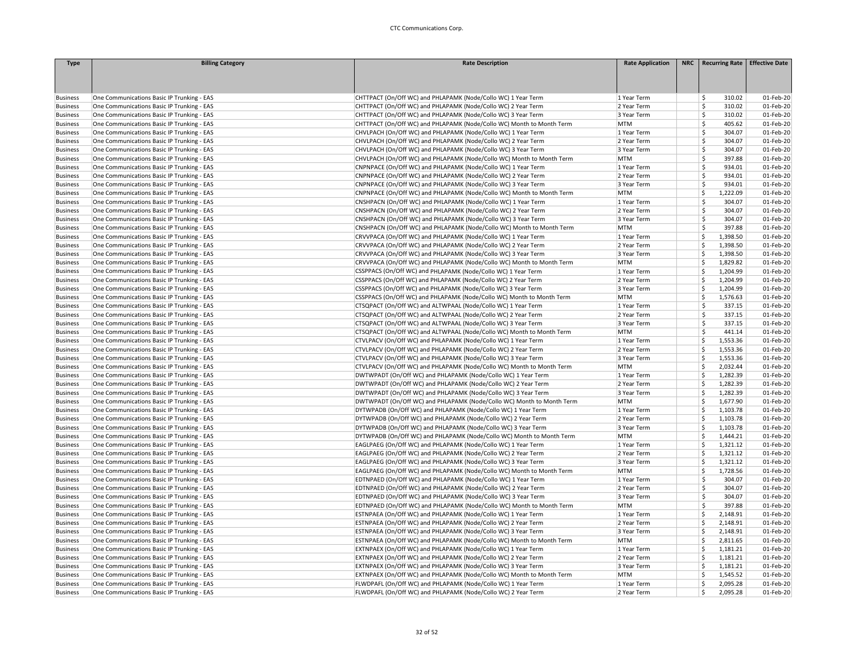| <b>Type</b>     | <b>Billing Category</b>                    | <b>Rate Description</b>                                               | <b>Rate Application</b> | NRC Recurring Rate            | <b>Effective Date</b> |
|-----------------|--------------------------------------------|-----------------------------------------------------------------------|-------------------------|-------------------------------|-----------------------|
|                 |                                            |                                                                       |                         |                               |                       |
|                 |                                            |                                                                       |                         |                               |                       |
|                 |                                            |                                                                       |                         |                               |                       |
| <b>Business</b> | One Communications Basic IP Trunking - EAS | CHTTPACT (On/Off WC) and PHLAPAMK (Node/Collo WC) 1 Year Term         | 1 Year Term             | 310.02<br>Ŝ.                  | 01-Feb-20             |
| <b>Business</b> | One Communications Basic IP Trunking - EAS | CHTTPACT (On/Off WC) and PHLAPAMK (Node/Collo WC) 2 Year Term         | 2 Year Term             | $\ddot{\mathsf{S}}$<br>310.02 | 01-Feb-20             |
| <b>Business</b> | One Communications Basic IP Trunking - EAS | CHTTPACT (On/Off WC) and PHLAPAMK (Node/Collo WC) 3 Year Term         | 3 Year Term             | \$<br>310.02                  | 01-Feb-20             |
| <b>Business</b> | One Communications Basic IP Trunking - EAS | CHTTPACT (On/Off WC) and PHLAPAMK (Node/Collo WC) Month to Month Term | <b>MTM</b>              | Ś<br>405.62                   | 01-Feb-20             |
| <b>Business</b> | One Communications Basic IP Trunking - EAS | CHVLPACH (On/Off WC) and PHLAPAMK (Node/Collo WC) 1 Year Term         | 1 Year Term             | Ś<br>304.07                   | 01-Feb-20             |
| <b>Business</b> | One Communications Basic IP Trunking - EAS | CHVLPACH (On/Off WC) and PHLAPAMK (Node/Collo WC) 2 Year Term         | 2 Year Term             | Ś<br>304.07                   | 01-Feb-20             |
| <b>Business</b> | One Communications Basic IP Trunking - EAS | CHVLPACH (On/Off WC) and PHLAPAMK (Node/Collo WC) 3 Year Term         | 3 Year Term             | Ś<br>304.07                   | 01-Feb-20             |
| <b>Business</b> | One Communications Basic IP Trunking - EAS | CHVLPACH (On/Off WC) and PHLAPAMK (Node/Collo WC) Month to Month Term | <b>MTM</b>              | Ś<br>397.88                   | 01-Feb-20             |
| <b>Business</b> | One Communications Basic IP Trunking - EAS | CNPNPACE (On/Off WC) and PHLAPAMK (Node/Collo WC) 1 Year Term         | 1 Year Term             | Ś<br>934.01                   | 01-Feb-20             |
| <b>Business</b> | One Communications Basic IP Trunking - EAS | CNPNPACE (On/Off WC) and PHLAPAMK (Node/Collo WC) 2 Year Term         | 2 Year Term             | Ś<br>934.01                   | 01-Feb-20             |
| <b>Business</b> | One Communications Basic IP Trunking - EAS | CNPNPACE (On/Off WC) and PHLAPAMK (Node/Collo WC) 3 Year Term         | 3 Year Term             | Ś<br>934.01                   | 01-Feb-20             |
| <b>Business</b> | One Communications Basic IP Trunking - EAS | CNPNPACE (On/Off WC) and PHLAPAMK (Node/Collo WC) Month to Month Term | <b>MTM</b>              | Ś<br>1,222.09                 | 01-Feb-20             |
| <b>Business</b> | One Communications Basic IP Trunking - EAS | CNSHPACN (On/Off WC) and PHLAPAMK (Node/Collo WC) 1 Year Term         | 1 Year Term             | Ś<br>304.07                   | 01-Feb-20             |
| <b>Business</b> | One Communications Basic IP Trunking - EAS | CNSHPACN (On/Off WC) and PHLAPAMK (Node/Collo WC) 2 Year Term         | 2 Year Term             | \$<br>304.07                  | 01-Feb-20             |
| <b>Business</b> | One Communications Basic IP Trunking - EAS | CNSHPACN (On/Off WC) and PHLAPAMK (Node/Collo WC) 3 Year Term         | 3 Year Term             | Ś<br>304.07                   | 01-Feb-20             |
| <b>Business</b> | One Communications Basic IP Trunking - EAS | CNSHPACN (On/Off WC) and PHLAPAMK (Node/Collo WC) Month to Month Term | <b>MTM</b>              | \$<br>397.88                  | 01-Feb-20             |
| <b>Business</b> | One Communications Basic IP Trunking - EAS | CRVVPACA (On/Off WC) and PHLAPAMK (Node/Collo WC) 1 Year Term         | 1 Year Term             | Ś<br>1,398.50                 | 01-Feb-20             |
| <b>Business</b> | One Communications Basic IP Trunking - EAS | CRVVPACA (On/Off WC) and PHLAPAMK (Node/Collo WC) 2 Year Term         | 2 Year Term             | Ś<br>1,398.50                 | 01-Feb-20             |
| <b>Business</b> | One Communications Basic IP Trunking - EAS | CRVVPACA (On/Off WC) and PHLAPAMK (Node/Collo WC) 3 Year Term         | 3 Year Term             | <sub>S</sub><br>1,398.50      | 01-Feb-20             |
| <b>Business</b> | One Communications Basic IP Trunking - EAS | CRVVPACA (On/Off WC) and PHLAPAMK (Node/Collo WC) Month to Month Term | <b>MTM</b>              | Ś<br>1,829.82                 | 01-Feb-20             |
| <b>Business</b> | One Communications Basic IP Trunking - EAS | CSSPPACS (On/Off WC) and PHLAPAMK (Node/Collo WC) 1 Year Term         | 1 Year Term             | <sub>S</sub><br>1,204.99      | 01-Feb-20             |
| <b>Business</b> | One Communications Basic IP Trunking - EAS | CSSPPACS (On/Off WC) and PHLAPAMK (Node/Collo WC) 2 Year Term         | 2 Year Term             | Ś<br>1,204.99                 | 01-Feb-20             |
| <b>Business</b> | One Communications Basic IP Trunking - EAS | CSSPPACS (On/Off WC) and PHLAPAMK (Node/Collo WC) 3 Year Term         | 3 Year Term             | Ś<br>1,204.99                 | 01-Feb-20             |
| <b>Business</b> | One Communications Basic IP Trunking - EAS | CSSPPACS (On/Off WC) and PHLAPAMK (Node/Collo WC) Month to Month Term | <b>MTM</b>              | <sub>S</sub><br>1,576.63      | 01-Feb-20             |
| <b>Business</b> | One Communications Basic IP Trunking - EAS | CTSQPACT (On/Off WC) and ALTWPAAL (Node/Collo WC) 1 Year Term         | 1 Year Term             | Ś<br>337.15                   | 01-Feb-20             |
| <b>Business</b> | One Communications Basic IP Trunking - EAS | CTSQPACT (On/Off WC) and ALTWPAAL (Node/Collo WC) 2 Year Term         | 2 Year Term             | 337.15<br>\$                  | 01-Feb-20             |
| <b>Business</b> | One Communications Basic IP Trunking - EAS | CTSQPACT (On/Off WC) and ALTWPAAL (Node/Collo WC) 3 Year Term         | 3 Year Term             | \$<br>337.15                  | 01-Feb-20             |
| <b>Business</b> | One Communications Basic IP Trunking - EAS | CTSQPACT (On/Off WC) and ALTWPAAL (Node/Collo WC) Month to Month Term | <b>MTM</b>              | Ś<br>441.14                   | 01-Feb-20             |
| <b>Business</b> | One Communications Basic IP Trunking - EAS | CTVLPACV (On/Off WC) and PHLAPAMK (Node/Collo WC) 1 Year Term         | 1 Year Term             | \$<br>1,553.36                | 01-Feb-20             |
| <b>Business</b> | One Communications Basic IP Trunking - EAS | CTVLPACV (On/Off WC) and PHLAPAMK (Node/Collo WC) 2 Year Term         | 2 Year Term             | Ś<br>1,553.36                 | 01-Feb-20             |
| <b>Business</b> | One Communications Basic IP Trunking - EAS | CTVLPACV (On/Off WC) and PHLAPAMK (Node/Collo WC) 3 Year Term         | 3 Year Term             | Ŝ.<br>1,553.36                | 01-Feb-20             |
| <b>Business</b> | One Communications Basic IP Trunking - EAS | CTVLPACV (On/Off WC) and PHLAPAMK (Node/Collo WC) Month to Month Term | <b>MTM</b>              | Ś<br>2,032.44                 | 01-Feb-20             |
| <b>Business</b> | One Communications Basic IP Trunking - EAS | DWTWPADT (On/Off WC) and PHLAPAMK (Node/Collo WC) 1 Year Term         | 1 Year Term             | <sub>S</sub><br>1,282.39      | 01-Feb-20             |
| <b>Business</b> | One Communications Basic IP Trunking - EAS | DWTWPADT (On/Off WC) and PHLAPAMK (Node/Collo WC) 2 Year Term         | 2 Year Term             | Ś<br>1,282.39                 | 01-Feb-20             |
| <b>Business</b> | One Communications Basic IP Trunking - EAS | DWTWPADT (On/Off WC) and PHLAPAMK (Node/Collo WC) 3 Year Term         | 3 Year Term             | Ś<br>1,282.39                 | 01-Feb-20             |
| <b>Business</b> | One Communications Basic IP Trunking - EAS | DWTWPADT (On/Off WC) and PHLAPAMK (Node/Collo WC) Month to Month Term | <b>MTM</b>              | -Ś<br>1,677.90                | 01-Feb-20             |
| <b>Business</b> | One Communications Basic IP Trunking - EAS | DYTWPADB (On/Off WC) and PHLAPAMK (Node/Collo WC) 1 Year Term         | 1 Year Term             | -Ś<br>1,103.78                | 01-Feb-20             |
| <b>Business</b> | One Communications Basic IP Trunking - EAS | DYTWPADB (On/Off WC) and PHLAPAMK (Node/Collo WC) 2 Year Term         | 2 Year Term             | S,<br>1,103.78                | 01-Feb-20             |
| <b>Business</b> | One Communications Basic IP Trunking - EAS | DYTWPADB (On/Off WC) and PHLAPAMK (Node/Collo WC) 3 Year Term         | 3 Year Term             | Ś<br>1,103.78                 | 01-Feb-20             |
| <b>Business</b> | One Communications Basic IP Trunking - EAS | DYTWPADB (On/Off WC) and PHLAPAMK (Node/Collo WC) Month to Month Term | <b>MTM</b>              | \$<br>1,444.21                | 01-Feb-20             |
| <b>Business</b> | One Communications Basic IP Trunking - EAS | EAGLPAEG (On/Off WC) and PHLAPAMK (Node/Collo WC) 1 Year Term         | 1 Year Term             | <sub>S</sub><br>1,321.12      | 01-Feb-20             |
| <b>Business</b> | One Communications Basic IP Trunking - EAS | EAGLPAEG (On/Off WC) and PHLAPAMK (Node/Collo WC) 2 Year Term         | 2 Year Term             | -Ś<br>1,321.12                | 01-Feb-20             |
| <b>Business</b> | One Communications Basic IP Trunking - EAS | EAGLPAEG (On/Off WC) and PHLAPAMK (Node/Collo WC) 3 Year Term         | 3 Year Term             | <b>S</b><br>1,321.12          | 01-Feb-20             |
| <b>Business</b> | One Communications Basic IP Trunking - EAS | EAGLPAEG (On/Off WC) and PHLAPAMK (Node/Collo WC) Month to Month Term | <b>MTM</b>              | <b>S</b><br>1,728.56          | 01-Feb-20             |
| <b>Business</b> | One Communications Basic IP Trunking - EAS | EDTNPAED (On/Off WC) and PHLAPAMK (Node/Collo WC) 1 Year Term         | 1 Year Term             | \$<br>304.07                  | 01-Feb-20             |
| <b>Business</b> | One Communications Basic IP Trunking - EAS | EDTNPAED (On/Off WC) and PHLAPAMK (Node/Collo WC) 2 Year Term         | 2 Year Term             | Ś<br>304.07                   | 01-Feb-20             |
| <b>Business</b> | One Communications Basic IP Trunking - EAS | EDTNPAED (On/Off WC) and PHLAPAMK (Node/Collo WC) 3 Year Term         | 3 Year Term             | Ŝ<br>304.07                   | 01-Feb-20             |
| <b>Business</b> | One Communications Basic IP Trunking - EAS | EDTNPAED (On/Off WC) and PHLAPAMK (Node/Collo WC) Month to Month Term | <b>MTM</b>              | <b>S</b><br>397.88            | 01-Feb-20             |
| <b>Business</b> | One Communications Basic IP Trunking - EAS | ESTNPAEA (On/Off WC) and PHLAPAMK (Node/Collo WC) 1 Year Term         | 1 Year Term             | <sub>S</sub><br>2,148.91      | 01-Feb-20             |
| <b>Business</b> | One Communications Basic IP Trunking - EAS | ESTNPAEA (On/Off WC) and PHLAPAMK (Node/Collo WC) 2 Year Term         | 2 Year Term             | <sub>S</sub><br>2,148.91      | 01-Feb-20             |
| <b>Business</b> | One Communications Basic IP Trunking - EAS | ESTNPAEA (On/Off WC) and PHLAPAMK (Node/Collo WC) 3 Year Term         | 3 Year Term             | \$<br>2,148.91                | 01-Feb-20             |
| <b>Business</b> | One Communications Basic IP Trunking - EAS | ESTNPAEA (On/Off WC) and PHLAPAMK (Node/Collo WC) Month to Month Term | <b>MTM</b>              | \$<br>2,811.65                | 01-Feb-20             |
| <b>Business</b> | One Communications Basic IP Trunking - EAS | EXTNPAEX (On/Off WC) and PHLAPAMK (Node/Collo WC) 1 Year Term         | 1 Year Term             | -Ś<br>1,181.21                | 01-Feb-20             |
| <b>Business</b> | One Communications Basic IP Trunking - EAS | EXTNPAEX (On/Off WC) and PHLAPAMK (Node/Collo WC) 2 Year Term         | 2 Year Term             | Ś<br>1,181.21                 | 01-Feb-20             |
| <b>Business</b> | One Communications Basic IP Trunking - EAS | EXTNPAEX (On/Off WC) and PHLAPAMK (Node/Collo WC) 3 Year Term         | 3 Year Term             | <b>S</b><br>1,181.21          | 01-Feb-20             |
| <b>Business</b> | One Communications Basic IP Trunking - EAS | EXTNPAEX (On/Off WC) and PHLAPAMK (Node/Collo WC) Month to Month Term | <b>MTM</b>              | \$<br>1,545.52                | 01-Feb-20             |
| <b>Business</b> | One Communications Basic IP Trunking - EAS | FLWDPAFL (On/Off WC) and PHLAPAMK (Node/Collo WC) 1 Year Term         | 1 Year Term             | \$<br>2,095.28                | 01-Feb-20             |
| <b>Business</b> | One Communications Basic IP Trunking - EAS | FLWDPAFL (On/Off WC) and PHLAPAMK (Node/Collo WC) 2 Year Term         | 2 Year Term             | -Ś<br>2,095.28                | 01-Feb-20             |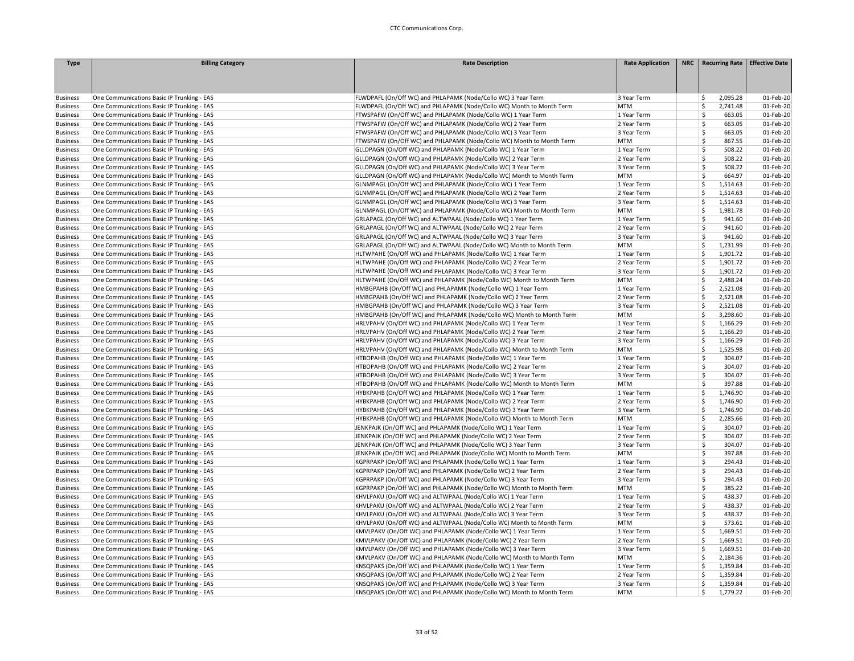| <b>Type</b>     | <b>Billing Category</b>                    | <b>Rate Description</b>                                               | <b>Rate Application</b> | NRC   Recurring Rate   Effective Date |           |
|-----------------|--------------------------------------------|-----------------------------------------------------------------------|-------------------------|---------------------------------------|-----------|
|                 |                                            |                                                                       |                         |                                       |           |
|                 |                                            |                                                                       |                         |                                       |           |
|                 |                                            |                                                                       |                         |                                       |           |
| <b>Business</b> | One Communications Basic IP Trunking - EAS | FLWDPAFL (On/Off WC) and PHLAPAMK (Node/Collo WC) 3 Year Term         | 3 Year Term             | 2,095.28<br>Ŝ                         | 01-Feb-20 |
| <b>Business</b> | One Communications Basic IP Trunking - EAS | FLWDPAFL (On/Off WC) and PHLAPAMK (Node/Collo WC) Month to Month Term | MTM                     | 2,741.48<br>Ś                         | 01-Feb-20 |
| <b>Business</b> | One Communications Basic IP Trunking - EAS | FTWSPAFW (On/Off WC) and PHLAPAMK (Node/Collo WC) 1 Year Term         | 1 Year Term             | Ś<br>663.05                           | 01-Feb-20 |
| <b>Business</b> | One Communications Basic IP Trunking - EAS | FTWSPAFW (On/Off WC) and PHLAPAMK (Node/Collo WC) 2 Year Term         | 2 Year Term             | Ŝ<br>663.05                           | 01-Feb-20 |
| <b>Business</b> | One Communications Basic IP Trunking - EAS | FTWSPAFW (On/Off WC) and PHLAPAMK (Node/Collo WC) 3 Year Term         | 3 Year Term             | Ś<br>663.05                           | 01-Feb-20 |
| <b>Business</b> | One Communications Basic IP Trunking - EAS | FTWSPAFW (On/Off WC) and PHLAPAMK (Node/Collo WC) Month to Month Term | <b>MTM</b>              | Ś<br>867.55                           | 01-Feb-20 |
| <b>Business</b> | One Communications Basic IP Trunking - EAS | GLLDPAGN (On/Off WC) and PHLAPAMK (Node/Collo WC) 1 Year Term         | 1 Year Term             | Ś<br>508.22                           | 01-Feb-20 |
| <b>Business</b> | One Communications Basic IP Trunking - EAS | GLLDPAGN (On/Off WC) and PHLAPAMK (Node/Collo WC) 2 Year Term         | 2 Year Term             | \$<br>508.22                          | 01-Feb-20 |
| <b>Business</b> | One Communications Basic IP Trunking - EAS | GLLDPAGN (On/Off WC) and PHLAPAMK (Node/Collo WC) 3 Year Term         | 3 Year Term             | Ś<br>508.22                           | 01-Feb-20 |
| <b>Business</b> | One Communications Basic IP Trunking - EAS | GLLDPAGN (On/Off WC) and PHLAPAMK (Node/Collo WC) Month to Month Term | <b>MTM</b>              | Ś<br>664.97                           | 01-Feb-20 |
| <b>Business</b> | One Communications Basic IP Trunking - EAS | GLNMPAGL (On/Off WC) and PHLAPAMK (Node/Collo WC) 1 Year Term         | 1 Year Term             | Ŝ.<br>1,514.63                        | 01-Feb-20 |
| <b>Business</b> | One Communications Basic IP Trunking - EAS | GLNMPAGL (On/Off WC) and PHLAPAMK (Node/Collo WC) 2 Year Term         | 2 Year Term             | Ś<br>1,514.63                         | 01-Feb-20 |
| <b>Business</b> | One Communications Basic IP Trunking - EAS | GLNMPAGL (On/Off WC) and PHLAPAMK (Node/Collo WC) 3 Year Term         | 3 Year Term             | \$<br>1,514.63                        | 01-Feb-20 |
| <b>Business</b> | One Communications Basic IP Trunking - EAS | GLNMPAGL (On/Off WC) and PHLAPAMK (Node/Collo WC) Month to Month Term | <b>MTM</b>              | Ś<br>1,981.78                         | 01-Feb-20 |
| <b>Business</b> | One Communications Basic IP Trunking - EAS | GRLAPAGL (On/Off WC) and ALTWPAAL (Node/Collo WC) 1 Year Term         | 1 Year Term             | Ŝ<br>941.60                           | 01-Feb-20 |
| <b>Business</b> | One Communications Basic IP Trunking - EAS | GRLAPAGL (On/Off WC) and ALTWPAAL (Node/Collo WC) 2 Year Term         | 2 Year Term             | 941.60<br>Ŝ                           | 01-Feb-20 |
| <b>Business</b> | One Communications Basic IP Trunking - EAS | GRLAPAGL (On/Off WC) and ALTWPAAL (Node/Collo WC) 3 Year Term         | 3 Year Term             | Ŝ<br>941.60                           | 01-Feb-20 |
| <b>Business</b> | One Communications Basic IP Trunking - EAS | GRLAPAGL (On/Off WC) and ALTWPAAL (Node/Collo WC) Month to Month Term | <b>MTM</b>              | Ś<br>1,231.99                         | 01-Feb-20 |
| <b>Business</b> | One Communications Basic IP Trunking - EAS | HLTWPAHE (On/Off WC) and PHLAPAMK (Node/Collo WC) 1 Year Term         | 1 Year Term             | Ś<br>1,901.72                         | 01-Feb-20 |
| <b>Business</b> | One Communications Basic IP Trunking - EAS | HLTWPAHE (On/Off WC) and PHLAPAMK (Node/Collo WC) 2 Year Term         | 2 Year Term             | Ś<br>1,901.72                         | 01-Feb-20 |
| <b>Business</b> | One Communications Basic IP Trunking - EAS | HLTWPAHE (On/Off WC) and PHLAPAMK (Node/Collo WC) 3 Year Term         | 3 Year Term             | Ś<br>1,901.72                         | 01-Feb-20 |
| <b>Business</b> | One Communications Basic IP Trunking - EAS | HLTWPAHE (On/Off WC) and PHLAPAMK (Node/Collo WC) Month to Month Term | <b>MTM</b>              | Ś<br>2,488.24                         | 01-Feb-20 |
| <b>Business</b> | One Communications Basic IP Trunking - EAS | HMBGPAHB (On/Off WC) and PHLAPAMK (Node/Collo WC) 1 Year Term         | 1 Year Term             | Ś<br>2,521.08                         | 01-Feb-20 |
| <b>Business</b> | One Communications Basic IP Trunking - EAS | HMBGPAHB (On/Off WC) and PHLAPAMK (Node/Collo WC) 2 Year Term         | 2 Year Term             | Ś<br>2,521.08                         | 01-Feb-20 |
| <b>Business</b> | One Communications Basic IP Trunking - EAS | HMBGPAHB (On/Off WC) and PHLAPAMK (Node/Collo WC) 3 Year Term         | 3 Year Term             | Ś<br>2,521.08                         | 01-Feb-20 |
| <b>Business</b> | One Communications Basic IP Trunking - EAS | HMBGPAHB (On/Off WC) and PHLAPAMK (Node/Collo WC) Month to Month Term | MTM                     | Ś<br>3,298.60                         | 01-Feb-20 |
| <b>Business</b> | One Communications Basic IP Trunking - EAS | HRLVPAHV (On/Off WC) and PHLAPAMK (Node/Collo WC) 1 Year Term         | 1 Year Term             | Ś<br>1,166.29                         | 01-Feb-20 |
| <b>Business</b> | One Communications Basic IP Trunking - EAS | HRLVPAHV (On/Off WC) and PHLAPAMK (Node/Collo WC) 2 Year Term         | 2 Year Term             | \$<br>1,166.29                        | 01-Feb-20 |
| <b>Business</b> | One Communications Basic IP Trunking - EAS | HRLVPAHV (On/Off WC) and PHLAPAMK (Node/Collo WC) 3 Year Term         | 3 Year Term             | \$<br>1,166.29                        | 01-Feb-20 |
| <b>Business</b> | One Communications Basic IP Trunking - EAS | HRLVPAHV (On/Off WC) and PHLAPAMK (Node/Collo WC) Month to Month Term | <b>MTM</b>              | Ś<br>1,525.98                         | 01-Feb-20 |
| <b>Business</b> | One Communications Basic IP Trunking - EAS | HTBOPAHB (On/Off WC) and PHLAPAMK (Node/Collo WC) 1 Year Term         | 1 Year Term             | Ŝ<br>304.07                           | 01-Feb-20 |
| <b>Business</b> | One Communications Basic IP Trunking - EAS | HTBOPAHB (On/Off WC) and PHLAPAMK (Node/Collo WC) 2 Year Term         | 2 Year Term             | Ś<br>304.07                           | 01-Feb-20 |
| <b>Business</b> | One Communications Basic IP Trunking - EAS | HTBOPAHB (On/Off WC) and PHLAPAMK (Node/Collo WC) 3 Year Term         | 3 Year Term             | Ŝ<br>304.07                           | 01-Feb-20 |
| <b>Business</b> | One Communications Basic IP Trunking - EAS | HTBOPAHB (On/Off WC) and PHLAPAMK (Node/Collo WC) Month to Month Term | <b>MTM</b>              | <b>S</b><br>397.88                    | 01-Feb-20 |
| <b>Business</b> | One Communications Basic IP Trunking - EAS | HYBKPAHB (On/Off WC) and PHLAPAMK (Node/Collo WC) 1 Year Term         | 1 Year Term             | Š.<br>1,746.90                        | 01-Feb-20 |
| <b>Business</b> | One Communications Basic IP Trunking - EAS | HYBKPAHB (On/Off WC) and PHLAPAMK (Node/Collo WC) 2 Year Term         | 2 Year Term             | Ś<br>1,746.90                         | 01-Feb-20 |
| <b>Business</b> | One Communications Basic IP Trunking - EAS | HYBKPAHB (On/Off WC) and PHLAPAMK (Node/Collo WC) 3 Year Term         | 3 Year Term             | \$<br>1,746.90                        | 01-Feb-20 |
| <b>Business</b> | One Communications Basic IP Trunking - EAS | HYBKPAHB (On/Off WC) and PHLAPAMK (Node/Collo WC) Month to Month Term | <b>MTM</b>              | Ś<br>2,285.66                         | 01-Feb-20 |
| <b>Business</b> | One Communications Basic IP Trunking - EAS | JENKPAJK (On/Off WC) and PHLAPAMK (Node/Collo WC) 1 Year Term         | 1 Year Term             | Ŝ<br>304.07                           | 01-Feb-20 |
| <b>Business</b> | One Communications Basic IP Trunking - EAS | JENKPAJK (On/Off WC) and PHLAPAMK (Node/Collo WC) 2 Year Term         | 2 Year Term             | Ŝ<br>304.07                           | 01-Feb-20 |
| <b>Business</b> | One Communications Basic IP Trunking - EAS | JENKPAJK (On/Off WC) and PHLAPAMK (Node/Collo WC) 3 Year Term         | 3 Year Term             | Ś<br>304.07                           | 01-Feb-20 |
| <b>Business</b> | One Communications Basic IP Trunking - EAS | JENKPAJK (On/Off WC) and PHLAPAMK (Node/Collo WC) Month to Month Term | MTM                     | Ś<br>397.88                           | 01-Feb-20 |
| <b>Business</b> | One Communications Basic IP Trunking - EAS | KGPRPAKP (On/Off WC) and PHLAPAMK (Node/Collo WC) 1 Year Term         | 1 Year Term             | Ś<br>294.43                           | 01-Feb-20 |
| <b>Business</b> | One Communications Basic IP Trunking - EAS | KGPRPAKP (On/Off WC) and PHLAPAMK (Node/Collo WC) 2 Year Term         | 2 Year Term             | Ś<br>294.43                           | 01-Feb-20 |
| <b>Business</b> | One Communications Basic IP Trunking - EAS | KGPRPAKP (On/Off WC) and PHLAPAMK (Node/Collo WC) 3 Year Term         | 3 Year Term             | <b>S</b><br>294.43                    | 01-Feb-20 |
| <b>Business</b> | One Communications Basic IP Trunking - EAS | KGPRPAKP (On/Off WC) and PHLAPAMK (Node/Collo WC) Month to Month Term | <b>MTM</b>              | Ś<br>385.22                           | 01-Feb-20 |
| <b>Business</b> | One Communications Basic IP Trunking - EAS | KHVLPAKU (On/Off WC) and ALTWPAAL (Node/Collo WC) 1 Year Term         | 1 Year Term             | Ŝ<br>438.37                           | 01-Feb-20 |
| <b>Business</b> | One Communications Basic IP Trunking - EAS | KHVLPAKU (On/Off WC) and ALTWPAAL (Node/Collo WC) 2 Year Term         | 2 Year Term             | Ś<br>438.37                           | 01-Feb-20 |
| <b>Business</b> | One Communications Basic IP Trunking - EAS | KHVLPAKU (On/Off WC) and ALTWPAAL (Node/Collo WC) 3 Year Term         | 3 Year Term             | \$<br>438.37                          | 01-Feb-20 |
| <b>Business</b> | One Communications Basic IP Trunking - EAS | KHVLPAKU (On/Off WC) and ALTWPAAL (Node/Collo WC) Month to Month Term | MTM                     | Ś<br>573.61                           | 01-Feb-20 |
| <b>Business</b> | One Communications Basic IP Trunking - EAS | KMVLPAKV (On/Off WC) and PHLAPAMK (Node/Collo WC) 1 Year Term         | 1 Year Term             | Ś<br>1,669.51                         | 01-Feb-20 |
| <b>Business</b> | One Communications Basic IP Trunking - EAS | KMVLPAKV (On/Off WC) and PHLAPAMK (Node/Collo WC) 2 Year Term         | 2 Year Term             | Ś<br>1,669.51                         | 01-Feb-20 |
| <b>Business</b> | One Communications Basic IP Trunking - EAS | KMVLPAKV (On/Off WC) and PHLAPAMK (Node/Collo WC) 3 Year Term         | 3 Year Term             | Ś<br>1,669.51                         | 01-Feb-20 |
| <b>Business</b> | One Communications Basic IP Trunking - EAS | KMVLPAKV (On/Off WC) and PHLAPAMK (Node/Collo WC) Month to Month Term | MTM                     | \$<br>2,184.36                        | 01-Feb-20 |
| <b>Business</b> | One Communications Basic IP Trunking - EAS | KNSQPAKS (On/Off WC) and PHLAPAMK (Node/Collo WC) 1 Year Term         | 1 Year Term             | Ś<br>1,359.84                         | 01-Feb-20 |
| <b>Business</b> | One Communications Basic IP Trunking - EAS | KNSQPAKS (On/Off WC) and PHLAPAMK (Node/Collo WC) 2 Year Term         | 2 Year Term             | Ś<br>1,359.84                         | 01-Feb-20 |
| <b>Business</b> | One Communications Basic IP Trunking - EAS | KNSQPAKS (On/Off WC) and PHLAPAMK (Node/Collo WC) 3 Year Term         | 3 Year Term             | \$<br>1,359.84                        | 01-Feb-20 |
| <b>Business</b> | One Communications Basic IP Trunking - EAS | KNSQPAKS (On/Off WC) and PHLAPAMK (Node/Collo WC) Month to Month Term | MTM                     | Ś<br>1,779.22                         | 01-Feb-20 |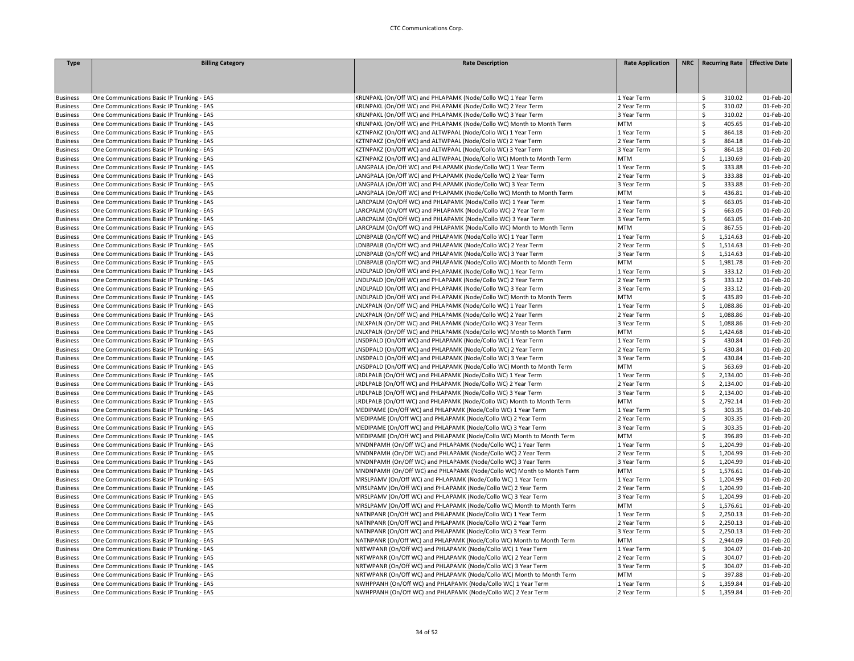| <b>Type</b>     | <b>Billing Category</b>                    | <b>Rate Description</b>                                               | <b>Rate Application</b> | NRC   Recurring Rate   Effective Date |           |
|-----------------|--------------------------------------------|-----------------------------------------------------------------------|-------------------------|---------------------------------------|-----------|
|                 |                                            |                                                                       |                         |                                       |           |
|                 |                                            |                                                                       |                         |                                       |           |
|                 |                                            |                                                                       |                         |                                       |           |
| <b>Business</b> | One Communications Basic IP Trunking - EAS | KRLNPAKL (On/Off WC) and PHLAPAMK (Node/Collo WC) 1 Year Term         | 1 Year Term             | \$<br>310.02                          | 01-Feb-20 |
| <b>Business</b> | One Communications Basic IP Trunking - EAS | KRLNPAKL (On/Off WC) and PHLAPAMK (Node/Collo WC) 2 Year Term         | 2 Year Term             | Ŝ.<br>310.02                          | 01-Feb-20 |
| <b>Business</b> | One Communications Basic IP Trunking - EAS | KRLNPAKL (On/Off WC) and PHLAPAMK (Node/Collo WC) 3 Year Term         | 3 Year Term             | Ś<br>310.02                           | 01-Feb-20 |
| <b>Business</b> | One Communications Basic IP Trunking - EAS | KRLNPAKL (On/Off WC) and PHLAPAMK (Node/Collo WC) Month to Month Term | <b>MTM</b>              | Ŝ<br>405.65                           | 01-Feb-20 |
| <b>Business</b> | One Communications Basic IP Trunking - EAS | KZTNPAKZ (On/Off WC) and ALTWPAAL (Node/Collo WC) 1 Year Term         | 1 Year Term             | Ś<br>864.18                           | 01-Feb-20 |
| <b>Business</b> | One Communications Basic IP Trunking - EAS | KZTNPAKZ (On/Off WC) and ALTWPAAL (Node/Collo WC) 2 Year Term         | 2 Year Term             | \$<br>864.18                          | 01-Feb-20 |
| <b>Business</b> | One Communications Basic IP Trunking - EAS | KZTNPAKZ (On/Off WC) and ALTWPAAL (Node/Collo WC) 3 Year Term         | 3 Year Term             | Ś<br>864.18                           | 01-Feb-20 |
| <b>Business</b> | One Communications Basic IP Trunking - EAS | KZTNPAKZ (On/Off WC) and ALTWPAAL (Node/Collo WC) Month to Month Term | <b>MTM</b>              | \$<br>1,130.69                        | 01-Feb-20 |
| <b>Business</b> | One Communications Basic IP Trunking - EAS | LANGPALA (On/Off WC) and PHLAPAMK (Node/Collo WC) 1 Year Term         | 1 Year Term             | <b>S</b><br>333.88                    | 01-Feb-20 |
| <b>Business</b> | One Communications Basic IP Trunking - EAS | LANGPALA (On/Off WC) and PHLAPAMK (Node/Collo WC) 2 Year Term         | 2 Year Term             | Ś<br>333.88                           | 01-Feb-20 |
| <b>Business</b> | One Communications Basic IP Trunking - EAS | LANGPALA (On/Off WC) and PHLAPAMK (Node/Collo WC) 3 Year Term         | 3 Year Term             | Ś<br>333.88                           | 01-Feb-20 |
|                 |                                            | LANGPALA (On/Off WC) and PHLAPAMK (Node/Collo WC) Month to Month Term | <b>MTM</b>              | \$<br>436.81                          | 01-Feb-20 |
| <b>Business</b> | One Communications Basic IP Trunking - EAS | LARCPALM (On/Off WC) and PHLAPAMK (Node/Collo WC) 1 Year Term         |                         | \$<br>663.05                          | 01-Feb-20 |
| <b>Business</b> | One Communications Basic IP Trunking - EAS |                                                                       | 1 Year Term             |                                       |           |
| <b>Business</b> | One Communications Basic IP Trunking - EAS | LARCPALM (On/Off WC) and PHLAPAMK (Node/Collo WC) 2 Year Term         | 2 Year Term             | Ŝ<br>663.05                           | 01-Feb-20 |
| <b>Business</b> | One Communications Basic IP Trunking - EAS | LARCPALM (On/Off WC) and PHLAPAMK (Node/Collo WC) 3 Year Term         | 3 Year Term             | Ś<br>663.05                           | 01-Feb-20 |
| <b>Business</b> | One Communications Basic IP Trunking - EAS | LARCPALM (On/Off WC) and PHLAPAMK (Node/Collo WC) Month to Month Term | <b>MTM</b>              | \$<br>867.55                          | 01-Feb-20 |
| <b>Business</b> | One Communications Basic IP Trunking - EAS | LDNBPALB (On/Off WC) and PHLAPAMK (Node/Collo WC) 1 Year Term         | 1 Year Term             | \$<br>1,514.63                        | 01-Feb-20 |
| <b>Business</b> | One Communications Basic IP Trunking - EAS | LDNBPALB (On/Off WC) and PHLAPAMK (Node/Collo WC) 2 Year Term         | 2 Year Term             | Ś<br>1,514.63                         | 01-Feb-20 |
| <b>Business</b> | One Communications Basic IP Trunking - EAS | LDNBPALB (On/Off WC) and PHLAPAMK (Node/Collo WC) 3 Year Term         | 3 Year Term             | \$<br>1,514.63                        | 01-Feb-20 |
| <b>Business</b> | One Communications Basic IP Trunking - EAS | LDNBPALB (On/Off WC) and PHLAPAMK (Node/Collo WC) Month to Month Term | <b>MTM</b>              | Ś<br>1,981.78                         | 01-Feb-20 |
| <b>Business</b> | One Communications Basic IP Trunking - EAS | LNDLPALD (On/Off WC) and PHLAPAMK (Node/Collo WC) 1 Year Term         | 1 Year Term             | Ŝ<br>333.12                           | 01-Feb-20 |
| <b>Business</b> | One Communications Basic IP Trunking - EAS | LNDLPALD (On/Off WC) and PHLAPAMK (Node/Collo WC) 2 Year Term         | 2 Year Term             | Ś<br>333.12                           | 01-Feb-20 |
| <b>Business</b> | One Communications Basic IP Trunking - EAS | LNDLPALD (On/Off WC) and PHLAPAMK (Node/Collo WC) 3 Year Term         | 3 Year Term             | Ś<br>333.12                           | 01-Feb-20 |
| <b>Business</b> | One Communications Basic IP Trunking - EAS | LNDLPALD (On/Off WC) and PHLAPAMK (Node/Collo WC) Month to Month Term | <b>MTM</b>              | Ś<br>435.89                           | 01-Feb-20 |
| <b>Business</b> | One Communications Basic IP Trunking - EAS | LNLXPALN (On/Off WC) and PHLAPAMK (Node/Collo WC) 1 Year Term         | 1 Year Term             | <sub>S</sub><br>1,088.86              | 01-Feb-20 |
| <b>Business</b> | One Communications Basic IP Trunking - EAS | LNLXPALN (On/Off WC) and PHLAPAMK (Node/Collo WC) 2 Year Term         | 2 Year Term             | <b>S</b><br>1,088.86                  | 01-Feb-20 |
| <b>Business</b> | One Communications Basic IP Trunking - EAS | LNLXPALN (On/Off WC) and PHLAPAMK (Node/Collo WC) 3 Year Term         | 3 Year Term             | \$<br>1,088.86                        | 01-Feb-20 |
| <b>Business</b> | One Communications Basic IP Trunking - EAS | LNLXPALN (On/Off WC) and PHLAPAMK (Node/Collo WC) Month to Month Term | <b>MTM</b>              | Ś<br>1,424.68                         | 01-Feb-20 |
| <b>Business</b> | One Communications Basic IP Trunking - EAS | LNSDPALD (On/Off WC) and PHLAPAMK (Node/Collo WC) 1 Year Term         | 1 Year Term             | Ś<br>430.84                           | 01-Feb-20 |
| <b>Business</b> | One Communications Basic IP Trunking - EAS | LNSDPALD (On/Off WC) and PHLAPAMK (Node/Collo WC) 2 Year Term         | 2 Year Term             | Ś<br>430.84                           | 01-Feb-20 |
| <b>Business</b> | One Communications Basic IP Trunking - EAS | LNSDPALD (On/Off WC) and PHLAPAMK (Node/Collo WC) 3 Year Term         | 3 Year Term             | 430.84<br>Ŝ.                          | 01-Feb-20 |
| <b>Business</b> | One Communications Basic IP Trunking - EAS | LNSDPALD (On/Off WC) and PHLAPAMK (Node/Collo WC) Month to Month Term | <b>MTM</b>              | Ś<br>563.69                           | 01-Feb-20 |
| <b>Business</b> | One Communications Basic IP Trunking - EAS | LRDLPALB (On/Off WC) and PHLAPAMK (Node/Collo WC) 1 Year Term         | 1 Year Term             | 2,134.00<br>S,                        | 01-Feb-20 |
| <b>Business</b> | One Communications Basic IP Trunking - EAS | LRDLPALB (On/Off WC) and PHLAPAMK (Node/Collo WC) 2 Year Term         | 2 Year Term             | Ś<br>2,134.00                         | 01-Feb-20 |
| <b>Business</b> | One Communications Basic IP Trunking - EAS | LRDLPALB (On/Off WC) and PHLAPAMK (Node/Collo WC) 3 Year Term         | 3 Year Term             | \$<br>2,134.00                        | 01-Feb-20 |
| <b>Business</b> | One Communications Basic IP Trunking - EAS | LRDLPALB (On/Off WC) and PHLAPAMK (Node/Collo WC) Month to Month Term | <b>MTM</b>              | -Ś<br>2,792.14                        | 01-Feb-20 |
| <b>Business</b> | One Communications Basic IP Trunking - EAS | MEDIPAME (On/Off WC) and PHLAPAMK (Node/Collo WC) 1 Year Term         | 1 Year Term             | Ś<br>303.35                           | 01-Feb-20 |
| <b>Business</b> | One Communications Basic IP Trunking - EAS | MEDIPAME (On/Off WC) and PHLAPAMK (Node/Collo WC) 2 Year Term         | 2 Year Term             | Ś<br>303.35                           | 01-Feb-20 |
| <b>Business</b> | One Communications Basic IP Trunking - EAS | MEDIPAME (On/Off WC) and PHLAPAMK (Node/Collo WC) 3 Year Term         | 3 Year Term             | Ś<br>303.35                           | 01-Feb-20 |
| <b>Business</b> | One Communications Basic IP Trunking - EAS | MEDIPAME (On/Off WC) and PHLAPAMK (Node/Collo WC) Month to Month Term | <b>MTM</b>              | Ś<br>396.89                           | 01-Feb-20 |
| <b>Business</b> | One Communications Basic IP Trunking - EAS | MNDNPAMH (On/Off WC) and PHLAPAMK (Node/Collo WC) 1 Year Term         | 1 Year Term             | \$<br>1,204.99                        | 01-Feb-20 |
| <b>Business</b> | One Communications Basic IP Trunking - EAS | MNDNPAMH (On/Off WC) and PHLAPAMK (Node/Collo WC) 2 Year Term         | 2 Year Term             | \$<br>1,204.99                        | 01-Feb-20 |
|                 |                                            | MNDNPAMH (On/Off WC) and PHLAPAMK (Node/Collo WC) 3 Year Term         | 3 Year Term             | -Ś<br>1,204.99                        |           |
| <b>Business</b> | One Communications Basic IP Trunking - EAS |                                                                       | <b>MTM</b>              | Ś                                     | 01-Feb-20 |
| <b>Business</b> | One Communications Basic IP Trunking - EAS | MNDNPAMH (On/Off WC) and PHLAPAMK (Node/Collo WC) Month to Month Term |                         | 1,576.61<br>Ś                         | 01-Feb-20 |
| <b>Business</b> | One Communications Basic IP Trunking - EAS | MRSLPAMV (On/Off WC) and PHLAPAMK (Node/Collo WC) 1 Year Term         | 1 Year Term             | 1,204.99                              | 01-Feb-20 |
| <b>Business</b> | One Communications Basic IP Trunking - EAS | MRSLPAMV (On/Off WC) and PHLAPAMK (Node/Collo WC) 2 Year Term         | 2 Year Term             | Ś<br>1,204.99                         | 01-Feb-20 |
| <b>Business</b> | One Communications Basic IP Trunking - EAS | MRSLPAMV (On/Off WC) and PHLAPAMK (Node/Collo WC) 3 Year Term         | 3 Year Term             | Ś<br>1,204.99                         | 01-Feb-20 |
| <b>Business</b> | One Communications Basic IP Trunking - EAS | MRSLPAMV (On/Off WC) and PHLAPAMK (Node/Collo WC) Month to Month Term | <b>MTM</b>              | <sub>S</sub><br>1,576.61              | 01-Feb-20 |
| <b>Business</b> | One Communications Basic IP Trunking - EAS | NATNPANR (On/Off WC) and PHLAPAMK (Node/Collo WC) 1 Year Term         | 1 Year Term             | Ś<br>2,250.13                         | 01-Feb-20 |
| <b>Business</b> | One Communications Basic IP Trunking - EAS | NATNPANR (On/Off WC) and PHLAPAMK (Node/Collo WC) 2 Year Term         | 2 Year Term             | -Ś<br>2,250.13                        | 01-Feb-20 |
| <b>Business</b> | One Communications Basic IP Trunking - EAS | NATNPANR (On/Off WC) and PHLAPAMK (Node/Collo WC) 3 Year Term         | 3 Year Term             | Ś<br>2,250.13                         | 01-Feb-20 |
| <b>Business</b> | One Communications Basic IP Trunking - EAS | NATNPANR (On/Off WC) and PHLAPAMK (Node/Collo WC) Month to Month Term | <b>MTM</b>              | \$<br>2,944.09                        | 01-Feb-20 |
| <b>Business</b> | One Communications Basic IP Trunking - EAS | NRTWPANR (On/Off WC) and PHLAPAMK (Node/Collo WC) 1 Year Term         | 1 Year Term             | Ś<br>304.07                           | 01-Feb-20 |
| <b>Business</b> | One Communications Basic IP Trunking - EAS | NRTWPANR (On/Off WC) and PHLAPAMK (Node/Collo WC) 2 Year Term         | 2 Year Term             | Ś<br>304.07                           | 01-Feb-20 |
| <b>Business</b> | One Communications Basic IP Trunking - EAS | NRTWPANR (On/Off WC) and PHLAPAMK (Node/Collo WC) 3 Year Term         | 3 Year Term             | \$<br>304.07                          | 01-Feb-20 |
| <b>Business</b> | One Communications Basic IP Trunking - EAS | NRTWPANR (On/Off WC) and PHLAPAMK (Node/Collo WC) Month to Month Term | <b>MTM</b>              | Ś<br>397.88                           | 01-Feb-20 |
| <b>Business</b> | One Communications Basic IP Trunking - EAS | NWHPPANH (On/Off WC) and PHLAPAMK (Node/Collo WC) 1 Year Term         | 1 Year Term             | <sub>S</sub><br>1,359.84              | 01-Feb-20 |
| <b>Business</b> | One Communications Basic IP Trunking - EAS | NWHPPANH (On/Off WC) and PHLAPAMK (Node/Collo WC) 2 Year Term         | 2 Year Term             | <sub>S</sub><br>1,359.84              | 01-Feb-20 |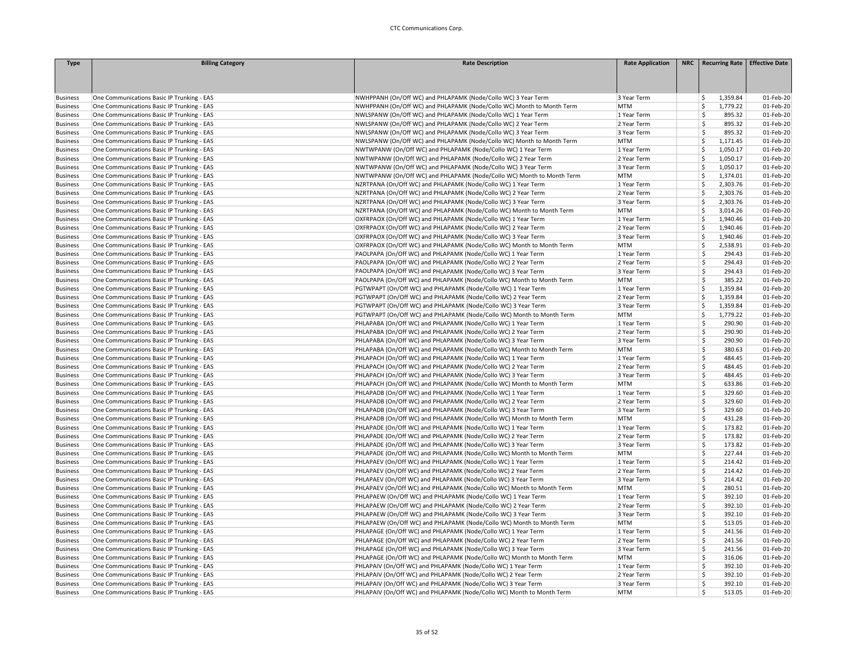| <b>Type</b>     | <b>Billing Category</b>                    | <b>Rate Description</b>                                               | <b>Rate Application</b> | NRC   Recurring Rate   Effective Date |           |
|-----------------|--------------------------------------------|-----------------------------------------------------------------------|-------------------------|---------------------------------------|-----------|
|                 |                                            |                                                                       |                         |                                       |           |
|                 |                                            |                                                                       |                         |                                       |           |
|                 |                                            |                                                                       |                         |                                       |           |
| <b>Business</b> | One Communications Basic IP Trunking - EAS | NWHPPANH (On/Off WC) and PHLAPAMK (Node/Collo WC) 3 Year Term         | 3 Year Term             | 1,359.84<br>\$.                       | 01-Feb-20 |
| <b>Business</b> | One Communications Basic IP Trunking - EAS | NWHPPANH (On/Off WC) and PHLAPAMK (Node/Collo WC) Month to Month Term | MTM                     | Š.<br>1,779.22                        | 01-Feb-20 |
| <b>Business</b> | One Communications Basic IP Trunking - EAS | NWLSPANW (On/Off WC) and PHLAPAMK (Node/Collo WC) 1 Year Term         | 1 Year Term             | Ŝ<br>895.32                           | 01-Feb-20 |
| <b>Business</b> | One Communications Basic IP Trunking - EAS | NWLSPANW (On/Off WC) and PHLAPAMK (Node/Collo WC) 2 Year Term         | 2 Year Term             | Ŝ<br>895.32                           | 01-Feb-20 |
| <b>Business</b> | One Communications Basic IP Trunking - EAS | NWLSPANW (On/Off WC) and PHLAPAMK (Node/Collo WC) 3 Year Term         | 3 Year Term             | \$<br>895.32                          | 01-Feb-20 |
| <b>Business</b> | One Communications Basic IP Trunking - EAS | NWLSPANW (On/Off WC) and PHLAPAMK (Node/Collo WC) Month to Month Term | MTM                     | \$<br>1,171.45                        | 01-Feb-20 |
| <b>Business</b> | One Communications Basic IP Trunking - EAS | NWTWPANW (On/Off WC) and PHLAPAMK (Node/Collo WC) 1 Year Term         | 1 Year Term             | \$<br>1,050.17                        | 01-Feb-20 |
| <b>Business</b> | One Communications Basic IP Trunking - EAS | NWTWPANW (On/Off WC) and PHLAPAMK (Node/Collo WC) 2 Year Term         | 2 Year Term             | \$<br>1,050.17                        | 01-Feb-20 |
| <b>Business</b> | One Communications Basic IP Trunking - EAS | NWTWPANW (On/Off WC) and PHLAPAMK (Node/Collo WC) 3 Year Term         | 3 Year Term             | Ŝ<br>1,050.17                         | 01-Feb-20 |
| <b>Business</b> | One Communications Basic IP Trunking - EAS | NWTWPANW (On/Off WC) and PHLAPAMK (Node/Collo WC) Month to Month Term | <b>MTM</b>              | Ś<br>1,374.01                         | 01-Feb-20 |
| <b>Business</b> | One Communications Basic IP Trunking - EAS | NZRTPANA (On/Off WC) and PHLAPAMK (Node/Collo WC) 1 Year Term         | 1 Year Term             | Ś<br>2,303.76                         | 01-Feb-20 |
| <b>Business</b> | One Communications Basic IP Trunking - EAS | NZRTPANA (On/Off WC) and PHLAPAMK (Node/Collo WC) 2 Year Term         | 2 Year Term             | Ś<br>2,303.76                         | 01-Feb-20 |
| <b>Business</b> | One Communications Basic IP Trunking - EAS | NZRTPANA (On/Off WC) and PHLAPAMK (Node/Collo WC) 3 Year Term         | 3 Year Term             | Ś<br>2,303.76                         | 01-Feb-20 |
| <b>Business</b> | One Communications Basic IP Trunking - EAS | NZRTPANA (On/Off WC) and PHLAPAMK (Node/Collo WC) Month to Month Term | <b>MTM</b>              | Ś<br>3,014.26                         | 01-Feb-20 |
| <b>Business</b> | One Communications Basic IP Trunking - EAS | OXFRPAOX (On/Off WC) and PHLAPAMK (Node/Collo WC) 1 Year Term         | 1 Year Term             | Ś<br>1,940.46                         | 01-Feb-20 |
| <b>Business</b> | One Communications Basic IP Trunking - EAS | OXFRPAOX (On/Off WC) and PHLAPAMK (Node/Collo WC) 2 Year Term         | 2 Year Term             | Ś<br>1,940.46                         | 01-Feb-20 |
| <b>Business</b> | One Communications Basic IP Trunking - EAS | OXFRPAOX (On/Off WC) and PHLAPAMK (Node/Collo WC) 3 Year Term         | 3 Year Term             | Ś<br>1,940.46                         | 01-Feb-20 |
| <b>Business</b> | One Communications Basic IP Trunking - EAS | OXFRPAOX (On/Off WC) and PHLAPAMK (Node/Collo WC) Month to Month Term | MTM                     | Ś<br>2,538.91                         | 01-Feb-20 |
| <b>Business</b> | One Communications Basic IP Trunking - EAS | PAOLPAPA (On/Off WC) and PHLAPAMK (Node/Collo WC) 1 Year Term         | 1 Year Term             | Ś<br>294.43                           | 01-Feb-20 |
| <b>Business</b> | One Communications Basic IP Trunking - EAS | PAOLPAPA (On/Off WC) and PHLAPAMK (Node/Collo WC) 2 Year Term         | 2 Year Term             | <b>S</b><br>294.43                    | 01-Feb-20 |
| <b>Business</b> | One Communications Basic IP Trunking - EAS | PAOLPAPA (On/Off WC) and PHLAPAMK (Node/Collo WC) 3 Year Term         | 3 Year Term             | <b>S</b><br>294.43                    | 01-Feb-20 |
| <b>Business</b> | One Communications Basic IP Trunking - EAS | PAOLPAPA (On/Off WC) and PHLAPAMK (Node/Collo WC) Month to Month Term | <b>MTM</b>              | Ś<br>385.22                           | 01-Feb-20 |
| <b>Business</b> | One Communications Basic IP Trunking - EAS | PGTWPAPT (On/Off WC) and PHLAPAMK (Node/Collo WC) 1 Year Term         | 1 Year Term             | Ś<br>1,359.84                         | 01-Feb-20 |
| <b>Business</b> | One Communications Basic IP Trunking - EAS | PGTWPAPT (On/Off WC) and PHLAPAMK (Node/Collo WC) 2 Year Term         | 2 Year Term             | \$<br>1,359.84                        | 01-Feb-20 |
| <b>Business</b> | One Communications Basic IP Trunking - EAS | PGTWPAPT (On/Off WC) and PHLAPAMK (Node/Collo WC) 3 Year Term         | 3 Year Term             | Ś<br>1,359.84                         | 01-Feb-20 |
| <b>Business</b> | One Communications Basic IP Trunking - EAS | PGTWPAPT (On/Off WC) and PHLAPAMK (Node/Collo WC) Month to Month Term | <b>MTM</b>              | Ŝ<br>1,779.22                         | 01-Feb-20 |
| <b>Business</b> | One Communications Basic IP Trunking - EAS | PHLAPABA (On/Off WC) and PHLAPAMK (Node/Collo WC) 1 Year Term         | 1 Year Term             | Ŝ<br>290.90                           | 01-Feb-20 |
| <b>Business</b> | One Communications Basic IP Trunking - EAS | PHLAPABA (On/Off WC) and PHLAPAMK (Node/Collo WC) 2 Year Term         | 2 Year Term             | Ŝ<br>290.90                           | 01-Feb-20 |
| <b>Business</b> | One Communications Basic IP Trunking - EAS | PHLAPABA (On/Off WC) and PHLAPAMK (Node/Collo WC) 3 Year Term         | 3 Year Term             | Ś<br>290.90                           | 01-Feb-20 |
| <b>Business</b> | One Communications Basic IP Trunking - EAS | PHLAPABA (On/Off WC) and PHLAPAMK (Node/Collo WC) Month to Month Term | <b>MTM</b>              | $\mathsf{\hat{S}}$<br>380.63          | 01-Feb-20 |
| <b>Business</b> | One Communications Basic IP Trunking - EAS | PHLAPACH (On/Off WC) and PHLAPAMK (Node/Collo WC) 1 Year Term         | 1 Year Term             | Ś<br>484.45                           | 01-Feb-20 |
| <b>Business</b> | One Communications Basic IP Trunking - EAS | PHLAPACH (On/Off WC) and PHLAPAMK (Node/Collo WC) 2 Year Term         | 2 Year Term             | Ŝ<br>484.45                           | 01-Feb-20 |
| <b>Business</b> | One Communications Basic IP Trunking - EAS | PHLAPACH (On/Off WC) and PHLAPAMK (Node/Collo WC) 3 Year Term         | 3 Year Term             | Ŝ<br>484.45                           | 01-Feb-20 |
| <b>Business</b> | One Communications Basic IP Trunking - EAS | PHLAPACH (On/Off WC) and PHLAPAMK (Node/Collo WC) Month to Month Term | <b>MTM</b>              | Ś<br>633.86                           | 01-Feb-20 |
| <b>Business</b> | One Communications Basic IP Trunking - EAS | PHLAPADB (On/Off WC) and PHLAPAMK (Node/Collo WC) 1 Year Term         | 1 Year Term             | Ś<br>329.60                           | 01-Feb-20 |
| <b>Business</b> | One Communications Basic IP Trunking - EAS | PHLAPADB (On/Off WC) and PHLAPAMK (Node/Collo WC) 2 Year Term         | 2 Year Term             | Ś<br>329.60                           | 01-Feb-20 |
| <b>Business</b> | One Communications Basic IP Trunking - EAS | PHLAPADB (On/Off WC) and PHLAPAMK (Node/Collo WC) 3 Year Term         | 3 Year Term             | \$<br>329.60                          | 01-Feb-20 |
| <b>Business</b> | One Communications Basic IP Trunking - EAS | PHLAPADB (On/Off WC) and PHLAPAMK (Node/Collo WC) Month to Month Term | <b>MTM</b>              | <sup>\$</sup><br>431.28               | 01-Feb-20 |
| <b>Business</b> | One Communications Basic IP Trunking - EAS | PHLAPADE (On/Off WC) and PHLAPAMK (Node/Collo WC) 1 Year Term         | 1 Year Term             | Ś<br>173.82                           | 01-Feb-20 |
| <b>Business</b> | One Communications Basic IP Trunking - EAS | PHLAPADE (On/Off WC) and PHLAPAMK (Node/Collo WC) 2 Year Term         | 2 Year Term             | Ŝ<br>173.82                           | 01-Feb-20 |
| <b>Business</b> | One Communications Basic IP Trunking - EAS | PHLAPADE (On/Off WC) and PHLAPAMK (Node/Collo WC) 3 Year Term         | 3 Year Term             | Ś<br>173.82                           | 01-Feb-20 |
| <b>Business</b> | One Communications Basic IP Trunking - EAS | PHLAPADE (On/Off WC) and PHLAPAMK (Node/Collo WC) Month to Month Term | MTM                     | \$<br>227.44                          | 01-Feb-20 |
| <b>Business</b> | One Communications Basic IP Trunking - EAS | PHLAPAEV (On/Off WC) and PHLAPAMK (Node/Collo WC) 1 Year Term         | 1 Year Term             | Ś<br>214.42                           | 01-Feb-20 |
| <b>Business</b> | One Communications Basic IP Trunking - EAS | PHLAPAEV (On/Off WC) and PHLAPAMK (Node/Collo WC) 2 Year Term         | 2 Year Term             | <b>S</b><br>214.42                    | 01-Feb-20 |
| <b>Business</b> | One Communications Basic IP Trunking - EAS | PHLAPAEV (On/Off WC) and PHLAPAMK (Node/Collo WC) 3 Year Term         | 3 Year Term             | Ŝ<br>214.42                           | 01-Feb-20 |
| <b>Business</b> | One Communications Basic IP Trunking - EAS | PHLAPAEV (On/Off WC) and PHLAPAMK (Node/Collo WC) Month to Month Term | MTM                     | Ś<br>280.51                           | 01-Feb-20 |
| <b>Business</b> | One Communications Basic IP Trunking - EAS | PHLAPAEW (On/Off WC) and PHLAPAMK (Node/Collo WC) 1 Year Term         | 1 Year Term             | $\dot{\mathsf{S}}$<br>392.10          | 01-Feb-20 |
| <b>Business</b> | One Communications Basic IP Trunking - EAS | PHLAPAEW (On/Off WC) and PHLAPAMK (Node/Collo WC) 2 Year Term         | 2 Year Term             | Ś<br>392.10                           | 01-Feb-20 |
| <b>Business</b> | One Communications Basic IP Trunking - EAS | PHLAPAEW (On/Off WC) and PHLAPAMK (Node/Collo WC) 3 Year Term         | 3 Year Term             | Ŝ<br>392.10                           | 01-Feb-20 |
| <b>Business</b> | One Communications Basic IP Trunking - EAS | PHLAPAEW (On/Off WC) and PHLAPAMK (Node/Collo WC) Month to Month Term | <b>MTM</b>              | <b>S</b><br>513.05                    | 01-Feb-20 |
| <b>Business</b> | One Communications Basic IP Trunking - EAS | PHLAPAGE (On/Off WC) and PHLAPAMK (Node/Collo WC) 1 Year Term         | 1 Year Term             | Ŝ<br>241.56                           | 01-Feb-20 |
| <b>Business</b> | One Communications Basic IP Trunking - EAS | PHLAPAGE (On/Off WC) and PHLAPAMK (Node/Collo WC) 2 Year Term         | 2 Year Term             | Ś<br>241.56                           | 01-Feb-20 |
| <b>Business</b> | One Communications Basic IP Trunking - EAS | PHLAPAGE (On/Off WC) and PHLAPAMK (Node/Collo WC) 3 Year Term         | 3 Year Term             | $\mathsf{\hat{S}}$<br>241.56          | 01-Feb-20 |
| <b>Business</b> | One Communications Basic IP Trunking - EAS | PHLAPAGE (On/Off WC) and PHLAPAMK (Node/Collo WC) Month to Month Term | <b>MTM</b>              | \$<br>316.06                          | 01-Feb-20 |
| <b>Business</b> | One Communications Basic IP Trunking - EAS | PHLAPAIV (On/Off WC) and PHLAPAMK (Node/Collo WC) 1 Year Term         | 1 Year Term             | Ś<br>392.10                           | 01-Feb-20 |
| <b>Business</b> | One Communications Basic IP Trunking - EAS | PHLAPAIV (On/Off WC) and PHLAPAMK (Node/Collo WC) 2 Year Term         | 2 Year Term             | Ŝ<br>392.10                           | 01-Feb-20 |
| <b>Business</b> | One Communications Basic IP Trunking - EAS | PHLAPAIV (On/Off WC) and PHLAPAMK (Node/Collo WC) 3 Year Term         | 3 Year Term             | Ś<br>392.10                           | 01-Feb-20 |
| <b>Business</b> | One Communications Basic IP Trunking - EAS | PHLAPAIV (On/Off WC) and PHLAPAMK (Node/Collo WC) Month to Month Term | MTM                     | Ś<br>513.05                           | 01-Feb-20 |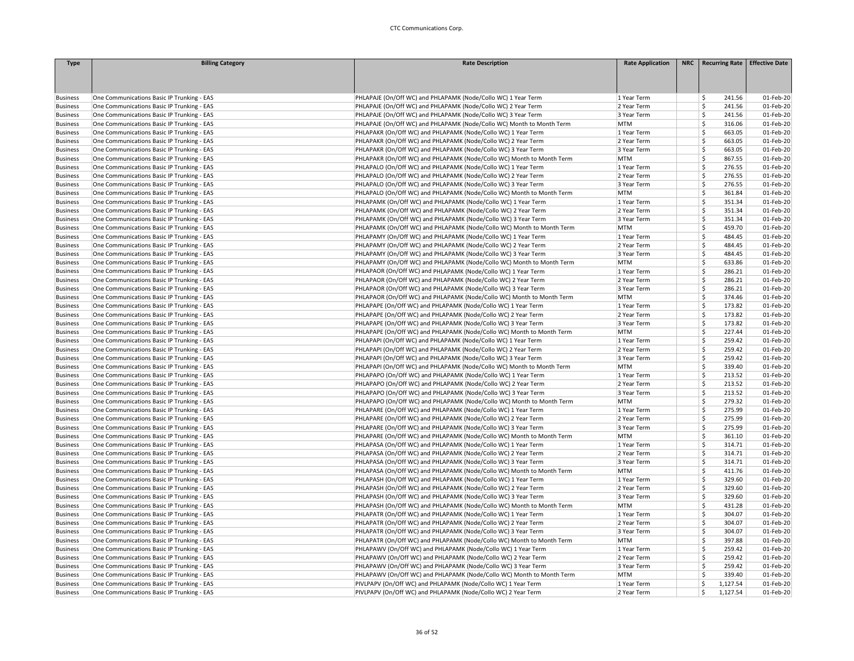| <b>Type</b>     | <b>Billing Category</b>                    | <b>Rate Description</b>                                               | <b>Rate Application</b>    | NRC   Recurring Rate   Effective Date |           |
|-----------------|--------------------------------------------|-----------------------------------------------------------------------|----------------------------|---------------------------------------|-----------|
|                 |                                            |                                                                       |                            |                                       |           |
|                 |                                            |                                                                       |                            |                                       |           |
|                 |                                            |                                                                       |                            |                                       |           |
| <b>Business</b> | One Communications Basic IP Trunking - EAS | PHLAPAJE (On/Off WC) and PHLAPAMK (Node/Collo WC) 1 Year Term         | 1 Year Term                | \$<br>241.56                          | 01-Feb-20 |
| <b>Business</b> | One Communications Basic IP Trunking - EAS | PHLAPAJE (On/Off WC) and PHLAPAMK (Node/Collo WC) 2 Year Term         | 2 Year Term                | \$<br>241.56                          | 01-Feb-20 |
| <b>Business</b> | One Communications Basic IP Trunking - EAS | PHLAPAJE (On/Off WC) and PHLAPAMK (Node/Collo WC) 3 Year Term         | 3 Year Term                | <b>S</b><br>241.56                    | 01-Feb-20 |
| <b>Business</b> | One Communications Basic IP Trunking - EAS | PHLAPAJE (On/Off WC) and PHLAPAMK (Node/Collo WC) Month to Month Term | <b>MTM</b>                 | Ŝ<br>316.06                           | 01-Feb-20 |
| <b>Business</b> | One Communications Basic IP Trunking - EAS | PHLAPAKR (On/Off WC) and PHLAPAMK (Node/Collo WC) 1 Year Term         | 1 Year Term                | Ś<br>663.05                           | 01-Feb-20 |
| <b>Business</b> | One Communications Basic IP Trunking - EAS | PHLAPAKR (On/Off WC) and PHLAPAMK (Node/Collo WC) 2 Year Term         | 2 Year Term                | \$<br>663.05                          | 01-Feb-20 |
| <b>Business</b> | One Communications Basic IP Trunking - EAS | PHLAPAKR (On/Off WC) and PHLAPAMK (Node/Collo WC) 3 Year Term         | 3 Year Term                | Ś<br>663.05                           | 01-Feb-20 |
| <b>Business</b> | One Communications Basic IP Trunking - EAS | PHLAPAKR (On/Off WC) and PHLAPAMK (Node/Collo WC) Month to Month Term | <b>MTM</b>                 | Ŝ<br>867.55                           | 01-Feb-20 |
| <b>Business</b> | One Communications Basic IP Trunking - EAS | PHLAPALO (On/Off WC) and PHLAPAMK (Node/Collo WC) 1 Year Term         | 1 Year Term                | -Ś<br>276.55                          | 01-Feb-20 |
| <b>Business</b> | One Communications Basic IP Trunking - EAS | PHLAPALO (On/Off WC) and PHLAPAMK (Node/Collo WC) 2 Year Term         | 2 Year Term                | Ś<br>276.55                           | 01-Feb-20 |
| <b>Business</b> | One Communications Basic IP Trunking - EAS | PHLAPALO (On/Off WC) and PHLAPAMK (Node/Collo WC) 3 Year Term         | 3 Year Term                | Ś<br>276.55                           | 01-Feb-20 |
| <b>Business</b> | One Communications Basic IP Trunking - EAS | PHLAPALO (On/Off WC) and PHLAPAMK (Node/Collo WC) Month to Month Term | <b>MTM</b>                 | $\mathsf{\hat{S}}$<br>361.84          | 01-Feb-20 |
| <b>Business</b> | One Communications Basic IP Trunking - EAS | PHLAPAMK (On/Off WC) and PHLAPAMK (Node/Collo WC) 1 Year Term         | 1 Year Term                | \$<br>351.34                          | 01-Feb-20 |
| <b>Business</b> | One Communications Basic IP Trunking - EAS | PHLAPAMK (On/Off WC) and PHLAPAMK (Node/Collo WC) 2 Year Term         | 2 Year Term                | -Ś<br>351.34                          | 01-Feb-20 |
| <b>Business</b> | One Communications Basic IP Trunking - EAS | PHLAPAMK (On/Off WC) and PHLAPAMK (Node/Collo WC) 3 Year Term         | 3 Year Term                | Ś<br>351.34                           | 01-Feb-20 |
|                 |                                            | PHLAPAMK (On/Off WC) and PHLAPAMK (Node/Collo WC) Month to Month Term | <b>MTM</b>                 | Ś<br>459.70                           | 01-Feb-20 |
| <b>Business</b> | One Communications Basic IP Trunking - EAS | PHLAPAMY (On/Off WC) and PHLAPAMK (Node/Collo WC) 1 Year Term         | 1 Year Term                | Ś<br>484.45                           | 01-Feb-20 |
| <b>Business</b> | One Communications Basic IP Trunking - EAS |                                                                       |                            |                                       |           |
| <b>Business</b> | One Communications Basic IP Trunking - EAS | PHLAPAMY (On/Off WC) and PHLAPAMK (Node/Collo WC) 2 Year Term         | 2 Year Term                | Ś<br>484.45<br>Ś                      | 01-Feb-20 |
| <b>Business</b> | One Communications Basic IP Trunking - EAS | PHLAPAMY (On/Off WC) and PHLAPAMK (Node/Collo WC) 3 Year Term         | 3 Year Term                | 484.45                                | 01-Feb-20 |
| <b>Business</b> | One Communications Basic IP Trunking - EAS | PHLAPAMY (On/Off WC) and PHLAPAMK (Node/Collo WC) Month to Month Term | <b>MTM</b>                 | Ś<br>633.86                           | 01-Feb-20 |
| <b>Business</b> | One Communications Basic IP Trunking - EAS | PHLAPAOR (On/Off WC) and PHLAPAMK (Node/Collo WC) 1 Year Term         | 1 Year Term                | \$<br>286.21                          | 01-Feb-20 |
| <b>Business</b> | One Communications Basic IP Trunking - EAS | PHLAPAOR (On/Off WC) and PHLAPAMK (Node/Collo WC) 2 Year Term         | 2 Year Term                | Ŝ<br>286.21                           | 01-Feb-20 |
| <b>Business</b> | One Communications Basic IP Trunking - EAS | PHLAPAOR (On/Off WC) and PHLAPAMK (Node/Collo WC) 3 Year Term         | 3 Year Term                | Ś<br>286.21                           | 01-Feb-20 |
| <b>Business</b> | One Communications Basic IP Trunking - EAS | PHLAPAOR (On/Off WC) and PHLAPAMK (Node/Collo WC) Month to Month Term | <b>MTM</b>                 | Ś<br>374.46                           | 01-Feb-20 |
| <b>Business</b> | One Communications Basic IP Trunking - EAS | PHLAPAPE (On/Off WC) and PHLAPAMK (Node/Collo WC) 1 Year Term         | 1 Year Term                | Ś<br>173.82                           | 01-Feb-20 |
| <b>Business</b> | One Communications Basic IP Trunking - EAS | PHLAPAPE (On/Off WC) and PHLAPAMK (Node/Collo WC) 2 Year Term         | 2 Year Term                | <b>S</b><br>173.82                    | 01-Feb-20 |
| <b>Business</b> | One Communications Basic IP Trunking - EAS | PHLAPAPE (On/Off WC) and PHLAPAMK (Node/Collo WC) 3 Year Term         | 3 Year Term                | \$<br>173.82                          | 01-Feb-20 |
| <b>Business</b> | One Communications Basic IP Trunking - EAS | PHLAPAPE (On/Off WC) and PHLAPAMK (Node/Collo WC) Month to Month Term | <b>MTM</b>                 | Ŝ<br>227.44                           | 01-Feb-20 |
| <b>Business</b> | One Communications Basic IP Trunking - EAS | PHLAPAPI (On/Off WC) and PHLAPAMK (Node/Collo WC) 1 Year Term         | 1 Year Term                | Ś<br>259.42                           | 01-Feb-20 |
| <b>Business</b> | One Communications Basic IP Trunking - EAS | PHLAPAPI (On/Off WC) and PHLAPAMK (Node/Collo WC) 2 Year Term         | 2 Year Term                | \$<br>259.42                          | 01-Feb-20 |
| <b>Business</b> | One Communications Basic IP Trunking - EAS | PHLAPAPI (On/Off WC) and PHLAPAMK (Node/Collo WC) 3 Year Term         | 3 Year Term                | \$<br>259.42                          | 01-Feb-20 |
| <b>Business</b> | One Communications Basic IP Trunking - EAS | PHLAPAPI (On/Off WC) and PHLAPAMK (Node/Collo WC) Month to Month Term | <b>MTM</b>                 | <b>S</b><br>339.40                    | 01-Feb-20 |
| <b>Business</b> | One Communications Basic IP Trunking - EAS | PHLAPAPO (On/Off WC) and PHLAPAMK (Node/Collo WC) 1 Year Term         | 1 Year Term                | \$<br>213.52                          | 01-Feb-20 |
| <b>Business</b> | One Communications Basic IP Trunking - EAS | PHLAPAPO (On/Off WC) and PHLAPAMK (Node/Collo WC) 2 Year Term         | 2 Year Term                | Ś<br>213.52                           | 01-Feb-20 |
| <b>Business</b> | One Communications Basic IP Trunking - EAS | PHLAPAPO (On/Off WC) and PHLAPAMK (Node/Collo WC) 3 Year Term         | 3 Year Term                | $\mathsf{\hat{S}}$<br>213.52          | 01-Feb-20 |
| <b>Business</b> | One Communications Basic IP Trunking - EAS | PHLAPAPO (On/Off WC) and PHLAPAMK (Node/Collo WC) Month to Month Term | <b>MTM</b>                 | Ŝ.<br>279.32                          | 01-Feb-20 |
| <b>Business</b> | One Communications Basic IP Trunking - EAS | PHLAPARE (On/Off WC) and PHLAPAMK (Node/Collo WC) 1 Year Term         | 1 Year Term                | Ŝ<br>275.99                           | 01-Feb-20 |
| <b>Business</b> | One Communications Basic IP Trunking - EAS | PHLAPARE (On/Off WC) and PHLAPAMK (Node/Collo WC) 2 Year Term         | 2 Year Term                | Ŝ<br>275.99                           | 01-Feb-20 |
| <b>Business</b> | One Communications Basic IP Trunking - EAS | PHLAPARE (On/Off WC) and PHLAPAMK (Node/Collo WC) 3 Year Term         | 3 Year Term                | Ś<br>275.99                           | 01-Feb-20 |
| <b>Business</b> | One Communications Basic IP Trunking - EAS | PHLAPARE (On/Off WC) and PHLAPAMK (Node/Collo WC) Month to Month Term | <b>MTM</b>                 | Ś<br>361.10                           | 01-Feb-20 |
| <b>Business</b> | One Communications Basic IP Trunking - EAS | PHLAPASA (On/Off WC) and PHLAPAMK (Node/Collo WC) 1 Year Term         | 1 Year Term                | $\mathsf{\hat{S}}$<br>314.71          | 01-Feb-20 |
| <b>Business</b> | One Communications Basic IP Trunking - EAS | PHLAPASA (On/Off WC) and PHLAPAMK (Node/Collo WC) 2 Year Term         | 2 Year Term                | \$<br>314.71                          | 01-Feb-20 |
| <b>Business</b> | One Communications Basic IP Trunking - EAS | PHLAPASA (On/Off WC) and PHLAPAMK (Node/Collo WC) 3 Year Term         | 3 Year Term                | Ŝ<br>314.71                           | 01-Feb-20 |
| <b>Business</b> | One Communications Basic IP Trunking - EAS | PHLAPASA (On/Off WC) and PHLAPAMK (Node/Collo WC) Month to Month Term | <b>MTM</b>                 | Ś<br>411.76                           | 01-Feb-20 |
| <b>Business</b> | One Communications Basic IP Trunking - EAS | PHLAPASH (On/Off WC) and PHLAPAMK (Node/Collo WC) 1 Year Term         | 1 Year Term                | Ś<br>329.60                           | 01-Feb-20 |
| <b>Business</b> | One Communications Basic IP Trunking - EAS | PHLAPASH (On/Off WC) and PHLAPAMK (Node/Collo WC) 2 Year Term         | 2 Year Term                | Ś<br>329.60                           | 01-Feb-20 |
| <b>Business</b> | One Communications Basic IP Trunking - EAS | PHLAPASH (On/Off WC) and PHLAPAMK (Node/Collo WC) 3 Year Term         | 3 Year Term                | Ś<br>329.60                           | 01-Feb-20 |
| <b>Business</b> | One Communications Basic IP Trunking - EAS | PHLAPASH (On/Off WC) and PHLAPAMK (Node/Collo WC) Month to Month Term | <b>MTM</b>                 | Ś<br>431.28                           | 01-Feb-20 |
| <b>Business</b> | One Communications Basic IP Trunking - EAS | PHLAPATR (On/Off WC) and PHLAPAMK (Node/Collo WC) 1 Year Term         | 1 Year Term                | Ś<br>304.07                           | 01-Feb-20 |
| <b>Business</b> | One Communications Basic IP Trunking - EAS | PHLAPATR (On/Off WC) and PHLAPAMK (Node/Collo WC) 2 Year Term         | 2 Year Term                | Ŝ<br>304.07                           | 01-Feb-20 |
| <b>Business</b> | One Communications Basic IP Trunking - EAS | PHLAPATR (On/Off WC) and PHLAPAMK (Node/Collo WC) 3 Year Term         | 3 Year Term                | Ŝ<br>304.07                           | 01-Feb-20 |
| <b>Business</b> | One Communications Basic IP Trunking - EAS | PHLAPATR (On/Off WC) and PHLAPAMK (Node/Collo WC) Month to Month Term | <b>MTM</b>                 | \$<br>397.88                          | 01-Feb-20 |
|                 |                                            | PHLAPAWV (On/Off WC) and PHLAPAMK (Node/Collo WC) 1 Year Term         |                            | Ś<br>259.42                           |           |
| <b>Business</b> | One Communications Basic IP Trunking - EAS |                                                                       | 1 Year Term<br>2 Year Term | Ś                                     | 01-Feb-20 |
| <b>Business</b> | One Communications Basic IP Trunking - EAS | PHLAPAWV (On/Off WC) and PHLAPAMK (Node/Collo WC) 2 Year Term         |                            | 259.42                                | 01-Feb-20 |
| <b>Business</b> | One Communications Basic IP Trunking - EAS | PHLAPAWV (On/Off WC) and PHLAPAMK (Node/Collo WC) 3 Year Term         | 3 Year Term                | \$<br>259.42                          | 01-Feb-20 |
| <b>Business</b> | One Communications Basic IP Trunking - EAS | PHLAPAWV (On/Off WC) and PHLAPAMK (Node/Collo WC) Month to Month Term | <b>MTM</b>                 | \$<br>339.40                          | 01-Feb-20 |
| <b>Business</b> | One Communications Basic IP Trunking - EAS | PIVLPAPV (On/Off WC) and PHLAPAMK (Node/Collo WC) 1 Year Term         | 1 Year Term                | <sub>S</sub><br>1,127.54              | 01-Feb-20 |
| <b>Business</b> | One Communications Basic IP Trunking - EAS | PIVLPAPV (On/Off WC) and PHLAPAMK (Node/Collo WC) 2 Year Term         | 2 Year Term                | <sub>S</sub><br>1,127.54              | 01-Feb-20 |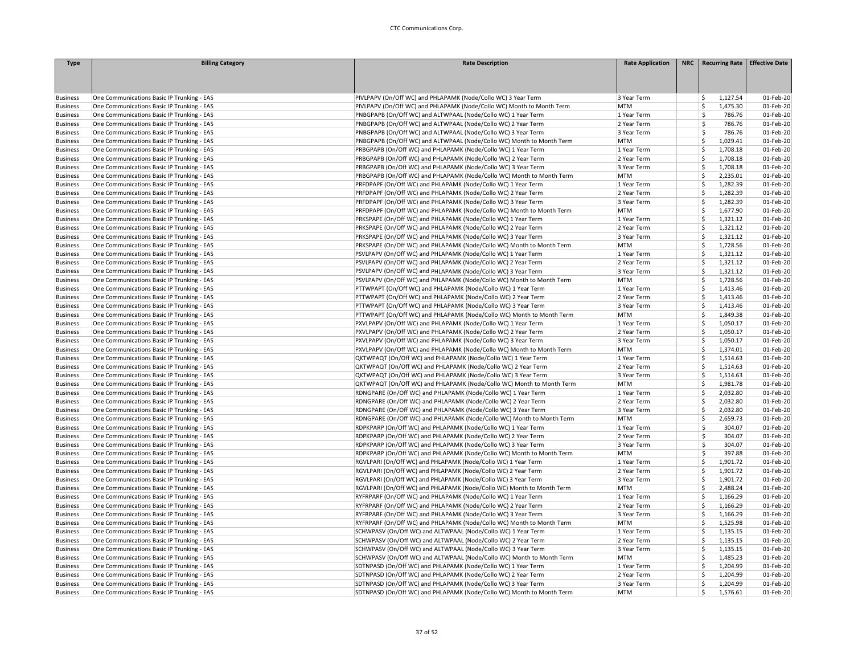| <b>Type</b>     | <b>Billing Category</b>                    | <b>Rate Description</b>                                               | <b>Rate Application</b> | NRC   Recurring Rate   Effective Date |           |
|-----------------|--------------------------------------------|-----------------------------------------------------------------------|-------------------------|---------------------------------------|-----------|
|                 |                                            |                                                                       |                         |                                       |           |
|                 |                                            |                                                                       |                         |                                       |           |
|                 |                                            |                                                                       |                         |                                       |           |
| <b>Business</b> | One Communications Basic IP Trunking - EAS | PIVLPAPV (On/Off WC) and PHLAPAMK (Node/Collo WC) 3 Year Term         | 3 Year Term             | 1,127.54<br>\$                        | 01-Feb-20 |
| <b>Business</b> | One Communications Basic IP Trunking - EAS | PIVLPAPV (On/Off WC) and PHLAPAMK (Node/Collo WC) Month to Month Term | <b>MTM</b>              | -Ś<br>1,475.30                        | 01-Feb-20 |
| <b>Business</b> | One Communications Basic IP Trunking - EAS | PNBGPAPB (On/Off WC) and ALTWPAAL (Node/Collo WC) 1 Year Term         | 1 Year Term             | Ŝ<br>786.76                           | 01-Feb-20 |
| <b>Business</b> | One Communications Basic IP Trunking - EAS | PNBGPAPB (On/Off WC) and ALTWPAAL (Node/Collo WC) 2 Year Term         | 2 Year Term             | Ŝ<br>786.76                           | 01-Feb-20 |
| <b>Business</b> | One Communications Basic IP Trunking - EAS | PNBGPAPB (On/Off WC) and ALTWPAAL (Node/Collo WC) 3 Year Term         | 3 Year Term             | \$<br>786.76                          | 01-Feb-20 |
| <b>Business</b> | One Communications Basic IP Trunking - EAS | PNBGPAPB (On/Off WC) and ALTWPAAL (Node/Collo WC) Month to Month Term | <b>MTM</b>              | \$<br>1,029.41                        | 01-Feb-20 |
| <b>Business</b> | One Communications Basic IP Trunking - EAS | PRBGPAPB (On/Off WC) and PHLAPAMK (Node/Collo WC) 1 Year Term         | 1 Year Term             | \$<br>1,708.18                        | 01-Feb-20 |
| <b>Business</b> | One Communications Basic IP Trunking - EAS | PRBGPAPB (On/Off WC) and PHLAPAMK (Node/Collo WC) 2 Year Term         | 2 Year Term             | \$<br>1,708.18                        | 01-Feb-20 |
| <b>Business</b> | One Communications Basic IP Trunking - EAS | PRBGPAPB (On/Off WC) and PHLAPAMK (Node/Collo WC) 3 Year Term         | 3 Year Term             | -Ś<br>1,708.18                        | 01-Feb-20 |
| <b>Business</b> | One Communications Basic IP Trunking - EAS | PRBGPAPB (On/Off WC) and PHLAPAMK (Node/Collo WC) Month to Month Term | <b>MTM</b>              | Ś<br>2,235.01                         | 01-Feb-20 |
| <b>Business</b> | One Communications Basic IP Trunking - EAS | PRFDPAPF (On/Off WC) and PHLAPAMK (Node/Collo WC) 1 Year Term         | 1 Year Term             | Ś<br>1,282.39                         | 01-Feb-20 |
| <b>Business</b> | One Communications Basic IP Trunking - EAS | PRFDPAPF (On/Off WC) and PHLAPAMK (Node/Collo WC) 2 Year Term         | 2 Year Term             | Ś<br>1,282.39                         | 01-Feb-20 |
| <b>Business</b> | One Communications Basic IP Trunking - EAS | PRFDPAPF (On/Off WC) and PHLAPAMK (Node/Collo WC) 3 Year Term         | 3 Year Term             | Ś<br>1,282.39                         | 01-Feb-20 |
| <b>Business</b> | One Communications Basic IP Trunking - EAS | PRFDPAPF (On/Off WC) and PHLAPAMK (Node/Collo WC) Month to Month Term | <b>MTM</b>              | <sub>S</sub><br>1,677.90              | 01-Feb-20 |
| <b>Business</b> | One Communications Basic IP Trunking - EAS | PRKSPAPE (On/Off WC) and PHLAPAMK (Node/Collo WC) 1 Year Term         | 1 Year Term             | Ś<br>1,321.12                         | 01-Feb-20 |
|                 |                                            |                                                                       |                         | -Ś                                    |           |
| <b>Business</b> | One Communications Basic IP Trunking - EAS | PRKSPAPE (On/Off WC) and PHLAPAMK (Node/Collo WC) 2 Year Term         | 2 Year Term             | 1,321.12<br>Ś                         | 01-Feb-20 |
| <b>Business</b> | One Communications Basic IP Trunking - EAS | PRKSPAPE (On/Off WC) and PHLAPAMK (Node/Collo WC) 3 Year Term         | 3 Year Term             | 1,321.12                              | 01-Feb-20 |
| <b>Business</b> | One Communications Basic IP Trunking - EAS | PRKSPAPE (On/Off WC) and PHLAPAMK (Node/Collo WC) Month to Month Term | <b>MTM</b>              | Ś<br>1,728.56                         | 01-Feb-20 |
| <b>Business</b> | One Communications Basic IP Trunking - EAS | PSVLPAPV (On/Off WC) and PHLAPAMK (Node/Collo WC) 1 Year Term         | 1 Year Term             | <sub>S</sub><br>1,321.12              | 01-Feb-20 |
| <b>Business</b> | One Communications Basic IP Trunking - EAS | PSVLPAPV (On/Off WC) and PHLAPAMK (Node/Collo WC) 2 Year Term         | 2 Year Term             | Ś<br>1,321.12                         | 01-Feb-20 |
| <b>Business</b> | One Communications Basic IP Trunking - EAS | PSVLPAPV (On/Off WC) and PHLAPAMK (Node/Collo WC) 3 Year Term         | 3 Year Term             | <b>S</b><br>1,321.12                  | 01-Feb-20 |
| <b>Business</b> | One Communications Basic IP Trunking - EAS | PSVLPAPV (On/Off WC) and PHLAPAMK (Node/Collo WC) Month to Month Term | <b>MTM</b>              | Ś<br>1,728.56                         | 01-Feb-20 |
| <b>Business</b> | One Communications Basic IP Trunking - EAS | PTTWPAPT (On/Off WC) and PHLAPAMK (Node/Collo WC) 1 Year Term         | 1 Year Term             | Ś<br>1,413.46                         | 01-Feb-20 |
| <b>Business</b> | One Communications Basic IP Trunking - EAS | PTTWPAPT (On/Off WC) and PHLAPAMK (Node/Collo WC) 2 Year Term         | 2 Year Term             | $\mathsf{\hat{S}}$<br>1,413.46        | 01-Feb-20 |
| <b>Business</b> | One Communications Basic IP Trunking - EAS | PTTWPAPT (On/Off WC) and PHLAPAMK (Node/Collo WC) 3 Year Term         | 3 Year Term             | \$<br>1,413.46                        | 01-Feb-20 |
| <b>Business</b> | One Communications Basic IP Trunking - EAS | PTTWPAPT (On/Off WC) and PHLAPAMK (Node/Collo WC) Month to Month Term | <b>MTM</b>              | -Ś<br>1,849.38                        | 01-Feb-20 |
| <b>Business</b> | One Communications Basic IP Trunking - EAS | PXVLPAPV (On/Off WC) and PHLAPAMK (Node/Collo WC) 1 Year Term         | 1 Year Term             | -Ś<br>1,050.17                        | 01-Feb-20 |
| <b>Business</b> | One Communications Basic IP Trunking - EAS | PXVLPAPV (On/Off WC) and PHLAPAMK (Node/Collo WC) 2 Year Term         | 2 Year Term             | 1,050.17<br>-Ś                        | 01-Feb-20 |
| <b>Business</b> | One Communications Basic IP Trunking - EAS | PXVLPAPV (On/Off WC) and PHLAPAMK (Node/Collo WC) 3 Year Term         | 3 Year Term             | <sub>S</sub><br>1,050.17              | 01-Feb-20 |
| <b>Business</b> | One Communications Basic IP Trunking - EAS | PXVLPAPV (On/Off WC) and PHLAPAMK (Node/Collo WC) Month to Month Term | <b>MTM</b>              | $\mathsf{\hat{S}}$<br>1,374.01        | 01-Feb-20 |
| <b>Business</b> | One Communications Basic IP Trunking - EAS | QKTWPAQT (On/Off WC) and PHLAPAMK (Node/Collo WC) 1 Year Term         | 1 Year Term             | <sub>S</sub><br>1,514.63              | 01-Feb-20 |
| <b>Business</b> | One Communications Basic IP Trunking - EAS | QKTWPAQT (On/Off WC) and PHLAPAMK (Node/Collo WC) 2 Year Term         | 2 Year Term             | \$<br>1,514.63                        | 01-Feb-20 |
| <b>Business</b> | One Communications Basic IP Trunking - EAS | QKTWPAQT (On/Off WC) and PHLAPAMK (Node/Collo WC) 3 Year Term         | 3 Year Term             | -Ś<br>1,514.63                        | 01-Feb-20 |
| <b>Business</b> | One Communications Basic IP Trunking - EAS | QKTWPAQT (On/Off WC) and PHLAPAMK (Node/Collo WC) Month to Month Term | <b>MTM</b>              | Ś<br>1,981.78                         | 01-Feb-20 |
| <b>Business</b> | One Communications Basic IP Trunking - EAS | RDNGPARE (On/Off WC) and PHLAPAMK (Node/Collo WC) 1 Year Term         | 1 Year Term             | Ś<br>2,032.80                         | 01-Feb-20 |
| <b>Business</b> | One Communications Basic IP Trunking - EAS | RDNGPARE (On/Off WC) and PHLAPAMK (Node/Collo WC) 2 Year Term         | 2 Year Term             | <sub>S</sub><br>2,032.80              | 01-Feb-20 |
| <b>Business</b> | One Communications Basic IP Trunking - EAS | RDNGPARE (On/Off WC) and PHLAPAMK (Node/Collo WC) 3 Year Term         | 3 Year Term             | \$<br>2,032.80                        | 01-Feb-20 |
| <b>Business</b> | One Communications Basic IP Trunking - EAS | RDNGPARE (On/Off WC) and PHLAPAMK (Node/Collo WC) Month to Month Term | <b>MTM</b>              | 2,659.73<br>-Ś                        | 01-Feb-20 |
| <b>Business</b> | One Communications Basic IP Trunking - EAS | RDPKPARP (On/Off WC) and PHLAPAMK (Node/Collo WC) 1 Year Term         | 1 Year Term             | Ś<br>304.07                           | 01-Feb-20 |
| <b>Business</b> | One Communications Basic IP Trunking - EAS | RDPKPARP (On/Off WC) and PHLAPAMK (Node/Collo WC) 2 Year Term         | 2 Year Term             | Ŝ<br>304.07                           | 01-Feb-20 |
| <b>Business</b> | One Communications Basic IP Trunking - EAS | RDPKPARP (On/Off WC) and PHLAPAMK (Node/Collo WC) 3 Year Term         | 3 Year Term             | Ś<br>304.07                           | 01-Feb-20 |
| <b>Business</b> | One Communications Basic IP Trunking - EAS | RDPKPARP (On/Off WC) and PHLAPAMK (Node/Collo WC) Month to Month Term | <b>MTM</b>              | \$<br>397.88                          | 01-Feb-20 |
| <b>Business</b> | One Communications Basic IP Trunking - EAS | RGVLPARI (On/Off WC) and PHLAPAMK (Node/Collo WC) 1 Year Term         | 1 Year Term             | <sub>S</sub><br>1,901.72              | 01-Feb-20 |
| <b>Business</b> | One Communications Basic IP Trunking - EAS | RGVLPARI (On/Off WC) and PHLAPAMK (Node/Collo WC) 2 Year Term         | 2 Year Term             | <sub>S</sub><br>1,901.72              | 01-Feb-20 |
| <b>Business</b> | One Communications Basic IP Trunking - EAS | RGVLPARI (On/Off WC) and PHLAPAMK (Node/Collo WC) 3 Year Term         | 3 Year Term             | -Ś<br>1,901.72                        | 01-Feb-20 |
| <b>Business</b> | One Communications Basic IP Trunking - EAS | RGVLPARI (On/Off WC) and PHLAPAMK (Node/Collo WC) Month to Month Term | <b>MTM</b>              | Ś<br>2,488.24                         | 01-Feb-20 |
| <b>Business</b> | One Communications Basic IP Trunking - EAS | RYFRPARF (On/Off WC) and PHLAPAMK (Node/Collo WC) 1 Year Term         | 1 Year Term             | \$<br>1,166.29                        | 01-Feb-20 |
| <b>Business</b> | One Communications Basic IP Trunking - EAS | RYFRPARF (On/Off WC) and PHLAPAMK (Node/Collo WC) 2 Year Term         | 2 Year Term             | <sub>S</sub><br>1,166.29              | 01-Feb-20 |
| <b>Business</b> | One Communications Basic IP Trunking - EAS | RYFRPARF (On/Off WC) and PHLAPAMK (Node/Collo WC) 3 Year Term         | 3 Year Term             | \$<br>1,166.29                        | 01-Feb-20 |
| <b>Business</b> | One Communications Basic IP Trunking - EAS | RYFRPARF (On/Off WC) and PHLAPAMK (Node/Collo WC) Month to Month Term | <b>MTM</b>              | 1,525.98<br>-Ś                        | 01-Feb-20 |
| <b>Business</b> | One Communications Basic IP Trunking - EAS | SCHWPASV (On/Off WC) and ALTWPAAL (Node/Collo WC) 1 Year Term         | 1 Year Term             | -Ś<br>1,135.15                        | 01-Feb-20 |
| <b>Business</b> | One Communications Basic IP Trunking - EAS | SCHWPASV (On/Off WC) and ALTWPAAL (Node/Collo WC) 2 Year Term         | 2 Year Term             | Ś<br>1,135.15                         | 01-Feb-20 |
| <b>Business</b> | One Communications Basic IP Trunking - EAS | SCHWPASV (On/Off WC) and ALTWPAAL (Node/Collo WC) 3 Year Term         | 3 Year Term             | \$<br>1,135.15                        | 01-Feb-20 |
| <b>Business</b> | One Communications Basic IP Trunking - EAS | SCHWPASV (On/Off WC) and ALTWPAAL (Node/Collo WC) Month to Month Term | <b>MTM</b>              | \$<br>1,485.23                        | 01-Feb-20 |
| <b>Business</b> | One Communications Basic IP Trunking - EAS | SDTNPASD (On/Off WC) and PHLAPAMK (Node/Collo WC) 1 Year Term         | 1 Year Term             | <sub>S</sub><br>1,204.99              | 01-Feb-20 |
| <b>Business</b> | One Communications Basic IP Trunking - EAS | SDTNPASD (On/Off WC) and PHLAPAMK (Node/Collo WC) 2 Year Term         | 2 Year Term             | Ś<br>1,204.99                         | 01-Feb-20 |
|                 | One Communications Basic IP Trunking - EAS | SDTNPASD (On/Off WC) and PHLAPAMK (Node/Collo WC) 3 Year Term         | 3 Year Term             | -Ś<br>1,204.99                        | 01-Feb-20 |
| <b>Business</b> |                                            | SDTNPASD (On/Off WC) and PHLAPAMK (Node/Collo WC) Month to Month Term | <b>MTM</b>              | Ś<br>1,576.61                         |           |
| <b>Business</b> | One Communications Basic IP Trunking - EAS |                                                                       |                         |                                       | 01-Feb-20 |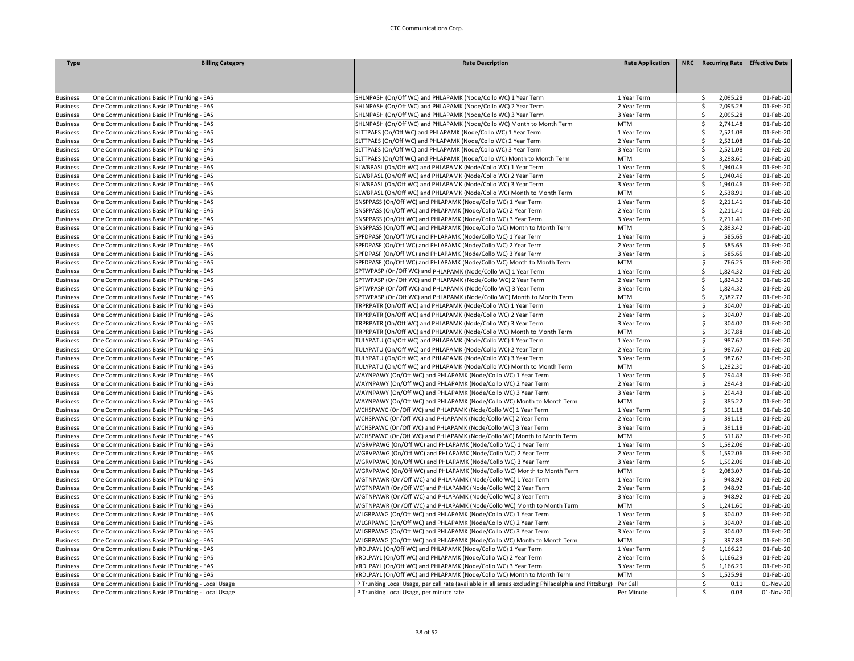| <b>Type</b>                        | <b>Billing Category</b>                            | <b>Rate Description</b>                                                                              | <b>Rate Application</b> | NRC   Recurring Rate   Effective Date |           |
|------------------------------------|----------------------------------------------------|------------------------------------------------------------------------------------------------------|-------------------------|---------------------------------------|-----------|
|                                    |                                                    |                                                                                                      |                         |                                       |           |
|                                    |                                                    |                                                                                                      |                         |                                       |           |
|                                    |                                                    |                                                                                                      |                         |                                       |           |
| <b>Business</b>                    | One Communications Basic IP Trunking - EAS         | SHLNPASH (On/Off WC) and PHLAPAMK (Node/Collo WC) 1 Year Term                                        | 1 Year Term             | 2,095.28<br>\$                        | 01-Feb-20 |
| <b>Business</b>                    | One Communications Basic IP Trunking - EAS         | SHLNPASH (On/Off WC) and PHLAPAMK (Node/Collo WC) 2 Year Term                                        | 2 Year Term             | -Ś<br>2,095.28                        | 01-Feb-20 |
| <b>Business</b>                    | One Communications Basic IP Trunking - EAS         | SHLNPASH (On/Off WC) and PHLAPAMK (Node/Collo WC) 3 Year Term                                        | 3 Year Term             | <sub>S</sub><br>2,095.28              | 01-Feb-20 |
| <b>Business</b>                    | One Communications Basic IP Trunking - EAS         | SHLNPASH (On/Off WC) and PHLAPAMK (Node/Collo WC) Month to Month Term                                | <b>MTM</b>              | -Ś<br>2,741.48                        | 01-Feb-20 |
| <b>Business</b>                    | One Communications Basic IP Trunking - EAS         | SLTTPAES (On/Off WC) and PHLAPAMK (Node/Collo WC) 1 Year Term                                        | 1 Year Term             | Ś<br>2,521.08                         | 01-Feb-20 |
| <b>Business</b>                    | One Communications Basic IP Trunking - EAS         | SLTTPAES (On/Off WC) and PHLAPAMK (Node/Collo WC) 2 Year Term                                        | 2 Year Term             | \$<br>2,521.08                        | 01-Feb-20 |
| <b>Business</b>                    | One Communications Basic IP Trunking - EAS         | SLTTPAES (On/Off WC) and PHLAPAMK (Node/Collo WC) 3 Year Term                                        | 3 Year Term             | 2,521.08<br>Ś                         | 01-Feb-20 |
| <b>Business</b>                    | One Communications Basic IP Trunking - EAS         | SLTTPAES (On/Off WC) and PHLAPAMK (Node/Collo WC) Month to Month Term                                | <b>MTM</b>              | \$<br>3,298.60                        | 01-Feb-20 |
| <b>Business</b>                    | One Communications Basic IP Trunking - EAS         | SLWBPASL (On/Off WC) and PHLAPAMK (Node/Collo WC) 1 Year Term                                        | 1 Year Term             | -Ś<br>1,940.46                        | 01-Feb-20 |
| <b>Business</b>                    | One Communications Basic IP Trunking - EAS         | SLWBPASL (On/Off WC) and PHLAPAMK (Node/Collo WC) 2 Year Term                                        | 2 Year Term             | Ś<br>1,940.46                         | 01-Feb-20 |
| <b>Business</b>                    | One Communications Basic IP Trunking - EAS         | SLWBPASL (On/Off WC) and PHLAPAMK (Node/Collo WC) 3 Year Term                                        | 3 Year Term             | Ś<br>1,940.46                         | 01-Feb-20 |
|                                    |                                                    | SLWBPASL (On/Off WC) and PHLAPAMK (Node/Collo WC) Month to Month Term                                |                         | Ś<br>2,538.91                         | 01-Feb-20 |
| <b>Business</b>                    | One Communications Basic IP Trunking - EAS         |                                                                                                      | <b>MTM</b>              | Ś                                     |           |
| <b>Business</b>                    | One Communications Basic IP Trunking - EAS         | SNSPPASS (On/Off WC) and PHLAPAMK (Node/Collo WC) 1 Year Term                                        | 1 Year Term             | 2,211.41                              | 01-Feb-20 |
| <b>Business</b>                    | One Communications Basic IP Trunking - EAS         | SNSPPASS (On/Off WC) and PHLAPAMK (Node/Collo WC) 2 Year Term                                        | 2 Year Term             | <sub>S</sub><br>2,211.41              | 01-Feb-20 |
| <b>Business</b>                    | One Communications Basic IP Trunking - EAS         | SNSPPASS (On/Off WC) and PHLAPAMK (Node/Collo WC) 3 Year Term                                        | 3 Year Term             | Ś<br>2,211.41                         | 01-Feb-20 |
| <b>Business</b>                    | One Communications Basic IP Trunking - EAS         | SNSPPASS (On/Off WC) and PHLAPAMK (Node/Collo WC) Month to Month Term                                | <b>MTM</b>              | -Ś<br>2,893.42                        | 01-Feb-20 |
| <b>Business</b>                    | One Communications Basic IP Trunking - EAS         | SPFDPASF (On/Off WC) and PHLAPAMK (Node/Collo WC) 1 Year Term                                        | 1 Year Term             | Ś<br>585.65                           | 01-Feb-20 |
| <b>Business</b>                    | One Communications Basic IP Trunking - EAS         | SPFDPASF (On/Off WC) and PHLAPAMK (Node/Collo WC) 2 Year Term                                        | 2 Year Term             | Ś<br>585.65                           | 01-Feb-20 |
| <b>Business</b>                    | One Communications Basic IP Trunking - EAS         | SPFDPASF (On/Off WC) and PHLAPAMK (Node/Collo WC) 3 Year Term                                        | 3 Year Term             | Ś<br>585.65                           | 01-Feb-20 |
| <b>Business</b>                    | One Communications Basic IP Trunking - EAS         | SPFDPASF (On/Off WC) and PHLAPAMK (Node/Collo WC) Month to Month Term                                | <b>MTM</b>              | Ś<br>766.25                           | 01-Feb-20 |
| <b>Business</b>                    | One Communications Basic IP Trunking - EAS         | SPTWPASP (On/Off WC) and PHLAPAMK (Node/Collo WC) 1 Year Term                                        | 1 Year Term             | \$<br>1,824.32                        | 01-Feb-20 |
| <b>Business</b>                    | One Communications Basic IP Trunking - EAS         | SPTWPASP (On/Off WC) and PHLAPAMK (Node/Collo WC) 2 Year Term                                        | 2 Year Term             | Ś<br>1,824.32                         | 01-Feb-20 |
| <b>Business</b>                    | One Communications Basic IP Trunking - EAS         | SPTWPASP (On/Off WC) and PHLAPAMK (Node/Collo WC) 3 Year Term                                        | 3 Year Term             | Ś<br>1,824.32                         | 01-Feb-20 |
| <b>Business</b>                    | One Communications Basic IP Trunking - EAS         | SPTWPASP (On/Off WC) and PHLAPAMK (Node/Collo WC) Month to Month Term                                | <b>MTM</b>              | <sub>S</sub><br>2,382.72              | 01-Feb-20 |
| <b>Business</b>                    | One Communications Basic IP Trunking - EAS         | TRPRPATR (On/Off WC) and PHLAPAMK (Node/Collo WC) 1 Year Term                                        | 1 Year Term             | Ś<br>304.07                           | 01-Feb-20 |
| <b>Business</b>                    | One Communications Basic IP Trunking - EAS         | TRPRPATR (On/Off WC) and PHLAPAMK (Node/Collo WC) 2 Year Term                                        | 2 Year Term             | Ŝ<br>304.07                           | 01-Feb-20 |
| <b>Business</b>                    | One Communications Basic IP Trunking - EAS         | TRPRPATR (On/Off WC) and PHLAPAMK (Node/Collo WC) 3 Year Term                                        | 3 Year Term             | Ŝ<br>304.07                           | 01-Feb-20 |
| <b>Business</b>                    | One Communications Basic IP Trunking - EAS         | TRPRPATR (On/Off WC) and PHLAPAMK (Node/Collo WC) Month to Month Term                                | <b>MTM</b>              | Ś<br>397.88                           | 01-Feb-20 |
| <b>Business</b>                    | One Communications Basic IP Trunking - EAS         | TULYPATU (On/Off WC) and PHLAPAMK (Node/Collo WC) 1 Year Term                                        | 1 Year Term             | Ś<br>987.67                           | 01-Feb-20 |
| <b>Business</b>                    | One Communications Basic IP Trunking - EAS         | TULYPATU (On/Off WC) and PHLAPAMK (Node/Collo WC) 2 Year Term                                        | 2 Year Term             | \$<br>987.67                          | 01-Feb-20 |
| <b>Business</b>                    | One Communications Basic IP Trunking - EAS         | TULYPATU (On/Off WC) and PHLAPAMK (Node/Collo WC) 3 Year Term                                        | 3 Year Term             | Ś<br>987.67                           | 01-Feb-20 |
| <b>Business</b>                    | One Communications Basic IP Trunking - EAS         | TULYPATU (On/Off WC) and PHLAPAMK (Node/Collo WC) Month to Month Term                                | <b>MTM</b>              | S,<br>1,292.30                        | 01-Feb-20 |
| <b>Business</b>                    | One Communications Basic IP Trunking - EAS         | WAYNPAWY (On/Off WC) and PHLAPAMK (Node/Collo WC) 1 Year Term                                        | 1 Year Term             | Ŝ<br>294.43                           | 01-Feb-20 |
| <b>Business</b>                    | One Communications Basic IP Trunking - EAS         | WAYNPAWY (On/Off WC) and PHLAPAMK (Node/Collo WC) 2 Year Term                                        | 2 Year Term             | Ś<br>294.43                           | 01-Feb-20 |
| <b>Business</b>                    | One Communications Basic IP Trunking - EAS         | WAYNPAWY (On/Off WC) and PHLAPAMK (Node/Collo WC) 3 Year Term                                        | 3 Year Term             | Ś<br>294.43                           | 01-Feb-20 |
| <b>Business</b>                    | One Communications Basic IP Trunking - EAS         | WAYNPAWY (On/Off WC) and PHLAPAMK (Node/Collo WC) Month to Month Term                                | <b>MTM</b>              | Ś<br>385.22                           | 01-Feb-20 |
| <b>Business</b>                    | One Communications Basic IP Trunking - EAS         | WCHSPAWC (On/Off WC) and PHLAPAMK (Node/Collo WC) 1 Year Term                                        | 1 Year Term             | \$<br>391.18                          | 01-Feb-20 |
| <b>Business</b>                    | One Communications Basic IP Trunking - EAS         | WCHSPAWC (On/Off WC) and PHLAPAMK (Node/Collo WC) 2 Year Term                                        | 2 Year Term             | <b>S</b><br>391.18                    | 01-Feb-20 |
| <b>Business</b>                    | One Communications Basic IP Trunking - EAS         | WCHSPAWC (On/Off WC) and PHLAPAMK (Node/Collo WC) 3 Year Term                                        | 3 Year Term             | Ś<br>391.18                           | 01-Feb-20 |
| <b>Business</b>                    | One Communications Basic IP Trunking - EAS         | WCHSPAWC (On/Off WC) and PHLAPAMK (Node/Collo WC) Month to Month Term                                | <b>MTM</b>              | \$<br>511.87                          | 01-Feb-20 |
| <b>Business</b>                    | One Communications Basic IP Trunking - EAS         | WGRVPAWG (On/Off WC) and PHLAPAMK (Node/Collo WC) 1 Year Term                                        | 1 Year Term             | Ś<br>1,592.06                         | 01-Feb-20 |
| <b>Business</b>                    | One Communications Basic IP Trunking - EAS         | WGRVPAWG (On/Off WC) and PHLAPAMK (Node/Collo WC) 2 Year Term                                        | 2 Year Term             | \$<br>1,592.06                        | 01-Feb-20 |
|                                    | One Communications Basic IP Trunking - EAS         | WGRVPAWG (On/Off WC) and PHLAPAMK (Node/Collo WC) 3 Year Term                                        | 3 Year Term             | <sub>S</sub><br>1,592.06              | 01-Feb-20 |
| <b>Business</b><br><b>Business</b> | One Communications Basic IP Trunking - EAS         | WGRVPAWG (On/Off WC) and PHLAPAMK (Node/Collo WC) Month to Month Term                                | <b>MTM</b>              | Ś<br>2,083.07                         | 01-Feb-20 |
|                                    |                                                    |                                                                                                      |                         | Ŝ                                     |           |
| <b>Business</b>                    | One Communications Basic IP Trunking - EAS         | WGTNPAWR (On/Off WC) and PHLAPAMK (Node/Collo WC) 1 Year Term                                        | 1 Year Term             | 948.92<br>Ś                           | 01-Feb-20 |
| <b>Business</b>                    | One Communications Basic IP Trunking - EAS         | WGTNPAWR (On/Off WC) and PHLAPAMK (Node/Collo WC) 2 Year Term                                        | 2 Year Term             | 948.92                                | 01-Feb-20 |
| <b>Business</b>                    | One Communications Basic IP Trunking - EAS         | WGTNPAWR (On/Off WC) and PHLAPAMK (Node/Collo WC) 3 Year Term                                        | 3 Year Term             | \$<br>948.92                          | 01-Feb-20 |
| <b>Business</b>                    | One Communications Basic IP Trunking - EAS         | WGTNPAWR (On/Off WC) and PHLAPAMK (Node/Collo WC) Month to Month Term                                | <b>MTM</b>              | <sub>S</sub><br>1,241.60              | 01-Feb-20 |
| <b>Business</b>                    | One Communications Basic IP Trunking - EAS         | WLGRPAWG (On/Off WC) and PHLAPAMK (Node/Collo WC) 1 Year Term                                        | 1 Year Term             | Ś<br>304.07                           | 01-Feb-20 |
| <b>Business</b>                    | One Communications Basic IP Trunking - EAS         | WLGRPAWG (On/Off WC) and PHLAPAMK (Node/Collo WC) 2 Year Term                                        | 2 Year Term             | 304.07<br>Ŝ                           | 01-Feb-20 |
| <b>Business</b>                    | One Communications Basic IP Trunking - EAS         | WLGRPAWG (On/Off WC) and PHLAPAMK (Node/Collo WC) 3 Year Term                                        | 3 Year Term             | Ŝ<br>304.07                           | 01-Feb-20 |
| <b>Business</b>                    | One Communications Basic IP Trunking - EAS         | WLGRPAWG (On/Off WC) and PHLAPAMK (Node/Collo WC) Month to Month Term                                | <b>MTM</b>              | Ś<br>397.88                           | 01-Feb-20 |
| <b>Business</b>                    | One Communications Basic IP Trunking - EAS         | YRDLPAYL (On/Off WC) and PHLAPAMK (Node/Collo WC) 1 Year Term                                        | 1 Year Term             | $\mathsf{\hat{S}}$<br>1,166.29        | 01-Feb-20 |
| <b>Business</b>                    | One Communications Basic IP Trunking - EAS         | YRDLPAYL (On/Off WC) and PHLAPAMK (Node/Collo WC) 2 Year Term                                        | 2 Year Term             | \$<br>1,166.29                        | 01-Feb-20 |
| <b>Business</b>                    | One Communications Basic IP Trunking - EAS         | YRDLPAYL (On/Off WC) and PHLAPAMK (Node/Collo WC) 3 Year Term                                        | 3 Year Term             | <sub>S</sub><br>1,166.29              | 01-Feb-20 |
| <b>Business</b>                    | One Communications Basic IP Trunking - EAS         | YRDLPAYL (On/Off WC) and PHLAPAMK (Node/Collo WC) Month to Month Term                                | <b>MTM</b>              | Ś<br>1,525.98                         | 01-Feb-20 |
| <b>Business</b>                    | One Communications Basic IP Trunking - Local Usage | IP Trunking Local Usage, per call rate (available in all areas excluding Philadelphia and Pittsburg) | Per Call                | \$<br>0.11                            | 01-Nov-20 |
| <b>Business</b>                    | One Communications Basic IP Trunking - Local Usage | IP Trunking Local Usage, per minute rate                                                             | Per Minute              | \$<br>0.03                            | 01-Nov-20 |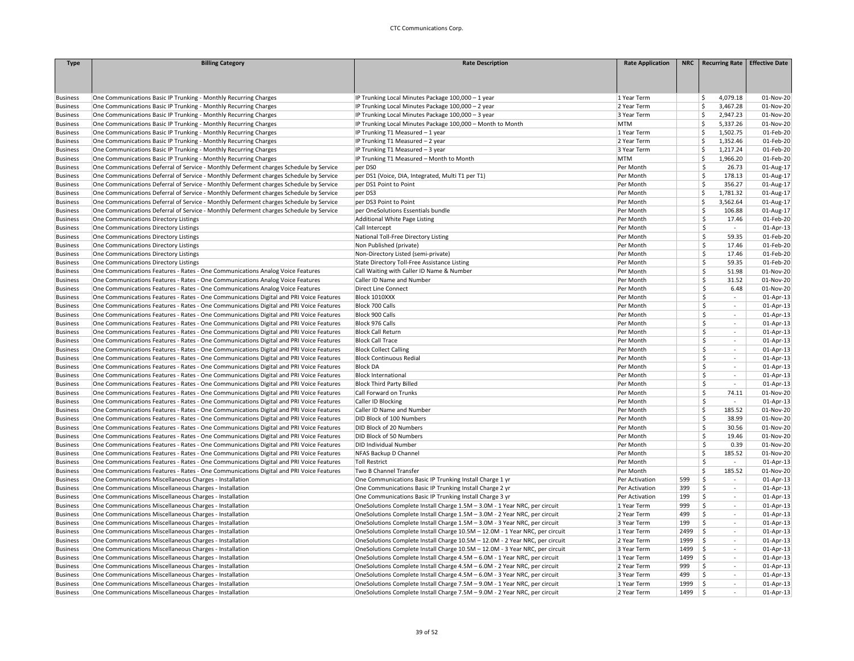| <b>Type</b>                        | <b>Billing Category</b>                                                                                                                                                          | <b>Rate Description</b>                                                      | <b>Rate Application</b> |      | NRC Recurring Rate                | <b>Effective Date</b>  |
|------------------------------------|----------------------------------------------------------------------------------------------------------------------------------------------------------------------------------|------------------------------------------------------------------------------|-------------------------|------|-----------------------------------|------------------------|
|                                    |                                                                                                                                                                                  |                                                                              |                         |      |                                   |                        |
|                                    |                                                                                                                                                                                  |                                                                              |                         |      |                                   |                        |
|                                    |                                                                                                                                                                                  |                                                                              |                         |      |                                   |                        |
| <b>Business</b>                    | One Communications Basic IP Trunking - Monthly Recurring Charges                                                                                                                 | IP Trunking Local Minutes Package 100,000 - 1 year                           | 1 Year Term             |      | 4,079.18<br>S.                    | 01-Nov-20              |
| <b>Business</b>                    | One Communications Basic IP Trunking - Monthly Recurring Charges                                                                                                                 | IP Trunking Local Minutes Package 100,000 - 2 year                           | 2 Year Term             |      | \$<br>3,467.28                    | 01-Nov-20              |
| <b>Business</b>                    | One Communications Basic IP Trunking - Monthly Recurring Charges                                                                                                                 | IP Trunking Local Minutes Package 100,000 - 3 year                           | 3 Year Term             |      | \$<br>2,947.23                    | 01-Nov-20              |
| <b>Business</b>                    | One Communications Basic IP Trunking - Monthly Recurring Charges                                                                                                                 | IP Trunking Local Minutes Package 100,000 - Month to Month                   | <b>MTM</b>              |      | <b>S</b><br>5,337.26              | 01-Nov-20              |
| <b>Business</b>                    | One Communications Basic IP Trunking - Monthly Recurring Charges                                                                                                                 | IP Trunking T1 Measured - 1 year                                             | 1 Year Term             |      | Ś<br>1,502.75                     | 01-Feb-20              |
| <b>Business</b>                    | One Communications Basic IP Trunking - Monthly Recurring Charges                                                                                                                 | IP Trunking T1 Measured - 2 year                                             | 2 Year Term             |      | Ś<br>1,352.46                     | 01-Feb-20              |
| <b>Business</b>                    | One Communications Basic IP Trunking - Monthly Recurring Charges                                                                                                                 | IP Trunking T1 Measured - 3 year                                             | 3 Year Term             |      | Ś<br>1,217.24                     | 01-Feb-20              |
| <b>Business</b>                    | One Communications Basic IP Trunking - Monthly Recurring Charges                                                                                                                 | IP Trunking T1 Measured - Month to Month                                     | <b>MTM</b>              |      | \$<br>1,966.20                    | 01-Feb-20              |
|                                    |                                                                                                                                                                                  | per DS0                                                                      |                         |      | \$<br>26.73                       | 01-Aug-17              |
| <b>Business</b><br><b>Business</b> | One Communications Deferral of Service - Monthly Deferment charges Schedule by Service<br>One Communications Deferral of Service - Monthly Deferment charges Schedule by Service | per DS1 (Voice, DIA, Integrated, Multi T1 per T1)                            | Per Month<br>Per Month  |      | Ś<br>178.13                       |                        |
| <b>Business</b>                    | One Communications Deferral of Service - Monthly Deferment charges Schedule by Service                                                                                           | per DS1 Point to Point                                                       | Per Month               |      | \$<br>356.27                      | 01-Aug-17<br>01-Aug-17 |
|                                    |                                                                                                                                                                                  |                                                                              |                         |      | \$                                |                        |
| <b>Business</b>                    | One Communications Deferral of Service - Monthly Deferment charges Schedule by Service                                                                                           | per DS3                                                                      | Per Month               |      | 1,781.32<br>$\mathsf{\hat{S}}$    | 01-Aug-17              |
| <b>Business</b>                    | One Communications Deferral of Service - Monthly Deferment charges Schedule by Service                                                                                           | per DS3 Point to Point                                                       | Per Month               |      | 3,562.64                          | 01-Aug-17              |
| <b>Business</b>                    | One Communications Deferral of Service - Monthly Deferment charges Schedule by Service                                                                                           | per OneSolutions Essentials bundle                                           | Per Month               |      | \$<br>106.88                      | 01-Aug-17              |
| <b>Business</b>                    | One Communications Directory Listings                                                                                                                                            | Additional White Page Listing                                                | Per Month               |      | \$<br>17.46                       | 01-Feb-20              |
| <b>Business</b>                    | One Communications Directory Listings                                                                                                                                            | Call Intercept                                                               | Per Month               |      | Ś.<br>$\sim$                      | 01-Apr-13              |
| <b>Business</b>                    | One Communications Directory Listings                                                                                                                                            | National Toll-Free Directory Listing                                         | Per Month               |      | \$<br>59.35                       | 01-Feb-20              |
| <b>Business</b>                    | One Communications Directory Listings                                                                                                                                            | Non Published (private)                                                      | Per Month               |      | \$<br>17.46                       | 01-Feb-20              |
| <b>Business</b>                    | One Communications Directory Listings                                                                                                                                            | Non-Directory Listed (semi-private)                                          | Per Month               |      | \$<br>17.46                       | 01-Feb-20              |
| <b>Business</b>                    | One Communications Directory Listings                                                                                                                                            | State Directory Toll-Free Assistance Listing                                 | Per Month               |      | \$<br>59.35                       | 01-Feb-20              |
| <b>Business</b>                    | One Communications Features - Rates - One Communications Analog Voice Features                                                                                                   | Call Waiting with Caller ID Name & Number                                    | Per Month               |      | \$<br>51.98                       | 01-Nov-20              |
| <b>Business</b>                    | One Communications Features - Rates - One Communications Analog Voice Features                                                                                                   | Caller ID Name and Number                                                    | Per Month               |      | \$<br>31.52                       | 01-Nov-20              |
| <b>Business</b>                    | One Communications Features - Rates - One Communications Analog Voice Features                                                                                                   | <b>Direct Line Connect</b>                                                   | Per Month               |      | \$<br>6.48                        | 01-Nov-20              |
| <b>Business</b>                    | One Communications Features - Rates - One Communications Digital and PRI Voice Features                                                                                          | Block 1010XXX                                                                | Per Month               |      | \$<br>$\sim$                      | 01-Apr-13              |
| <b>Business</b>                    | One Communications Features - Rates - One Communications Digital and PRI Voice Features                                                                                          | Block 700 Calls                                                              | Per Month               |      | \$<br>$\sim$                      | 01-Apr-13              |
| <b>Business</b>                    | One Communications Features - Rates - One Communications Digital and PRI Voice Features                                                                                          | Block 900 Calls                                                              | Per Month               |      | \$<br>$\overline{a}$              | 01-Apr-13              |
| <b>Business</b>                    | One Communications Features - Rates - One Communications Digital and PRI Voice Features                                                                                          | Block 976 Calls                                                              | Per Month               |      | \$<br>$\overline{\phantom{a}}$    | 01-Apr-13              |
| <b>Business</b>                    | One Communications Features - Rates - One Communications Digital and PRI Voice Features                                                                                          | <b>Block Call Return</b>                                                     | Per Month               |      | \$<br>$\sim$                      | 01-Apr-13              |
| <b>Business</b>                    | One Communications Features - Rates - One Communications Digital and PRI Voice Features                                                                                          | <b>Block Call Trace</b>                                                      | Per Month               |      | \$<br>$\sim$                      | 01-Apr-13              |
| <b>Business</b>                    | One Communications Features - Rates - One Communications Digital and PRI Voice Features                                                                                          | <b>Block Collect Calling</b>                                                 | Per Month               |      | \$<br>$\sim$                      | 01-Apr-13              |
| <b>Business</b>                    | One Communications Features - Rates - One Communications Digital and PRI Voice Features                                                                                          | <b>Block Continuous Redial</b>                                               | Per Month               |      | \$<br>$\mathcal{L}$               | 01-Apr-13              |
| <b>Business</b>                    | One Communications Features - Rates - One Communications Digital and PRI Voice Features                                                                                          | <b>Block DA</b>                                                              | Per Month               |      | \$<br>$\sim$                      | 01-Apr-13              |
| <b>Business</b>                    | One Communications Features - Rates - One Communications Digital and PRI Voice Features                                                                                          | <b>Block International</b>                                                   | Per Month               |      | \$<br>$\sim$                      | 01-Apr-13              |
| <b>Business</b>                    | One Communications Features - Rates - One Communications Digital and PRI Voice Features                                                                                          | <b>Block Third Party Billed</b>                                              | Per Month               |      | \$<br>$\sim$                      | 01-Apr-13              |
| <b>Business</b>                    | One Communications Features - Rates - One Communications Digital and PRI Voice Features                                                                                          | Call Forward on Trunks                                                       | Per Month               |      | \$<br>74.11                       | 01-Nov-20              |
| <b>Business</b>                    | One Communications Features - Rates - One Communications Digital and PRI Voice Features                                                                                          | Caller ID Blocking                                                           | Per Month               |      | \$                                | 01-Apr-13              |
| <b>Business</b>                    | One Communications Features - Rates - One Communications Digital and PRI Voice Features                                                                                          | Caller ID Name and Number                                                    | Per Month               |      | \$<br>185.52                      | 01-Nov-20              |
| <b>Business</b>                    | One Communications Features - Rates - One Communications Digital and PRI Voice Features                                                                                          | DID Block of 100 Numbers                                                     | Per Month               |      | \$<br>38.99                       | 01-Nov-20              |
| <b>Business</b>                    | One Communications Features - Rates - One Communications Digital and PRI Voice Features                                                                                          | DID Block of 20 Numbers                                                      | Per Month               |      | Ś<br>30.56                        | 01-Nov-20              |
| <b>Business</b>                    | One Communications Features - Rates - One Communications Digital and PRI Voice Features                                                                                          | DID Block of 50 Numbers                                                      | Per Month               |      | 19.46<br>\$                       | 01-Nov-20              |
|                                    | One Communications Features - Rates - One Communications Digital and PRI Voice Features                                                                                          | DID Individual Number                                                        |                         |      | \$<br>0.39                        | 01-Nov-20              |
| <b>Business</b>                    | One Communications Features - Rates - One Communications Digital and PRI Voice Features                                                                                          | NFAS Backup D Channel                                                        | Per Month               |      | \$<br>185.52                      | 01-Nov-20              |
| <b>Business</b>                    |                                                                                                                                                                                  |                                                                              | Per Month               |      | Ś<br>$\sim$                       |                        |
| <b>Business</b>                    | One Communications Features - Rates - One Communications Digital and PRI Voice Features                                                                                          | <b>Toll Restrict</b>                                                         | Per Month               |      |                                   | 01-Apr-13              |
| <b>Business</b>                    | One Communications Features - Rates - One Communications Digital and PRI Voice Features                                                                                          | Two B Channel Transfer                                                       | Per Month               |      | \$<br>185.52                      | 01-Nov-20              |
| <b>Business</b>                    | One Communications Miscellaneous Charges - Installation                                                                                                                          | One Communications Basic IP Trunking Install Charge 1 yr                     | Per Activation          | 599  | \$<br>$\sim$                      | 01-Apr-13              |
| <b>Business</b>                    | One Communications Miscellaneous Charges - Installation                                                                                                                          | One Communications Basic IP Trunking Install Charge 2 yr                     | Per Activation          | 399  | \$<br>$\sim$                      | 01-Apr-13              |
| <b>Business</b>                    | One Communications Miscellaneous Charges - Installation                                                                                                                          | One Communications Basic IP Trunking Install Charge 3 yr                     | Per Activation          | 199  | \$<br>$\sim$                      | 01-Apr-13              |
| <b>Business</b>                    | One Communications Miscellaneous Charges - Installation                                                                                                                          | OneSolutions Complete Install Charge 1.5M - 3.0M - 1 Year NRC, per circuit   | 1 Year Term             | 999  | \$<br>$\overline{a}$              | 01-Apr-13              |
| <b>Business</b>                    | One Communications Miscellaneous Charges - Installation                                                                                                                          | OneSolutions Complete Install Charge 1.5M - 3.0M - 2 Year NRC, per circuit   | 2 Year Term             | 499  | \$<br>$\mathcal{L}_{\mathcal{A}}$ | 01-Apr-13              |
| <b>Business</b>                    | One Communications Miscellaneous Charges - Installation                                                                                                                          | OneSolutions Complete Install Charge 1.5M - 3.0M - 3 Year NRC, per circuit   | 3 Year Term             | 199  | \$<br>$\sim$                      | 01-Apr-13              |
| <b>Business</b>                    | One Communications Miscellaneous Charges - Installation                                                                                                                          | OneSolutions Complete Install Charge 10.5M - 12.0M - 1 Year NRC, per circuit | 1 Year Term             | 2499 | ۱\$<br>$\overline{\phantom{a}}$   | 01-Apr-13              |
| <b>Business</b>                    | One Communications Miscellaneous Charges - Installation                                                                                                                          | OneSolutions Complete Install Charge 10.5M - 12.0M - 2 Year NRC, per circuit | 2 Year Term             | 1999 | ۱\$<br>$\sim$                     | 01-Apr-13              |
| <b>Business</b>                    | One Communications Miscellaneous Charges - Installation                                                                                                                          | OneSolutions Complete Install Charge 10.5M - 12.0M - 3 Year NRC, per circuit | 3 Year Term             | 1499 | ∣\$<br>$\sim$                     | 01-Apr-13              |
| <b>Business</b>                    | One Communications Miscellaneous Charges - Installation                                                                                                                          | OneSolutions Complete Install Charge 4.5M - 6.0M - 1 Year NRC, per circuit   | 1 Year Term             | 1499 | $\vert$ \$<br>$\sim$              | 01-Apr-13              |
| <b>Business</b>                    | One Communications Miscellaneous Charges - Installation                                                                                                                          | OneSolutions Complete Install Charge 4.5M - 6.0M - 2 Year NRC, per circuit   | 2 Year Term             | 999  | \$<br>$\overline{a}$              | 01-Apr-13              |
| <b>Business</b>                    | One Communications Miscellaneous Charges - Installation                                                                                                                          | OneSolutions Complete Install Charge 4.5M - 6.0M - 3 Year NRC, per circuit   | 3 Year Term             | 499  | S.<br>$\overline{\phantom{a}}$    | 01-Apr-13              |
| <b>Business</b>                    | One Communications Miscellaneous Charges - Installation                                                                                                                          | OneSolutions Complete Install Charge 7.5M - 9.0M - 1 Year NRC, per circuit   | 1 Year Term             | 1999 | ۱\$<br>$\sim$                     | 01-Apr-13              |
| <b>Business</b>                    | One Communications Miscellaneous Charges - Installation                                                                                                                          | OneSolutions Complete Install Charge 7.5M - 9.0M - 2 Year NRC, per circuit   | 2 Year Term             | 1499 | ۱\$                               | 01-Apr-13              |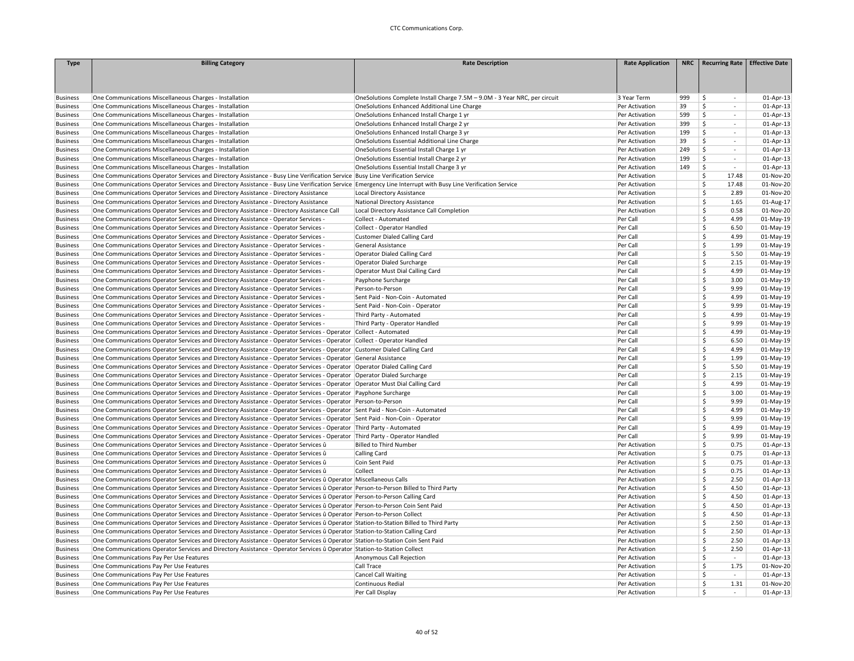| <b>Type</b>     | <b>Billing Category</b>                                                                                                                                     | <b>Rate Description</b>                                                    | <b>Rate Application</b> |     | NRC   Recurring Rate   Effective Date |             |
|-----------------|-------------------------------------------------------------------------------------------------------------------------------------------------------------|----------------------------------------------------------------------------|-------------------------|-----|---------------------------------------|-------------|
|                 |                                                                                                                                                             |                                                                            |                         |     |                                       |             |
|                 |                                                                                                                                                             |                                                                            |                         |     |                                       |             |
|                 |                                                                                                                                                             |                                                                            |                         |     |                                       |             |
| <b>Business</b> | One Communications Miscellaneous Charges - Installation                                                                                                     | OneSolutions Complete Install Charge 7.5M - 9.0M - 3 Year NRC, per circuit | 3 Year Term             | 999 | \$<br>$\sim$                          | 01-Apr-13   |
| <b>Business</b> | One Communications Miscellaneous Charges - Installation                                                                                                     | OneSolutions Enhanced Additional Line Charge                               | Per Activation          | 39  | \$<br>$\sim$                          | 01-Apr-13   |
| <b>Business</b> | One Communications Miscellaneous Charges - Installation                                                                                                     | OneSolutions Enhanced Install Charge 1 yr                                  | Per Activation          | 599 | Ś.<br>$\sim$                          | 01-Apr-13   |
| <b>Business</b> | One Communications Miscellaneous Charges - Installation                                                                                                     | OneSolutions Enhanced Install Charge 2 yr                                  | Per Activation          | 399 | \$<br>$\overline{\phantom{a}}$        | 01-Apr-13   |
| <b>Business</b> | One Communications Miscellaneous Charges - Installation                                                                                                     | OneSolutions Enhanced Install Charge 3 yr                                  | Per Activation          | 199 | \$<br>$\sim$                          | 01-Apr-13   |
| <b>Business</b> | One Communications Miscellaneous Charges - Installation                                                                                                     | OneSolutions Essential Additional Line Charge                              | Per Activation          | 39  | \$<br>$\overline{\phantom{a}}$        | 01-Apr-13   |
| <b>Business</b> | One Communications Miscellaneous Charges - Installation                                                                                                     | OneSolutions Essential Install Charge 1 yr                                 | Per Activation          | 249 | \$<br>$\sim$                          | 01-Apr-13   |
| <b>Business</b> | One Communications Miscellaneous Charges - Installation                                                                                                     | OneSolutions Essential Install Charge 2 yr                                 | Per Activation          | 199 | \$<br>$\overline{\phantom{a}}$        | 01-Apr-13   |
| <b>Business</b> | One Communications Miscellaneous Charges - Installation                                                                                                     | OneSolutions Essential Install Charge 3 yr                                 | Per Activation          | 149 | Ŝ.<br>$\sim$                          | 01-Apr-13   |
| <b>Business</b> | One Communications Operator Services and Directory Assistance - Busy Line Verification Service Busy Line Verification Service                               |                                                                            | Per Activation          |     | Ś<br>17.48                            | 01-Nov-20   |
| <b>Business</b> | One Communications Operator Services and Directory Assistance - Busy Line Verification Service Emergency Line Interrupt with Busy Line Verification Service |                                                                            | Per Activation          |     | Ś<br>17.48                            | 01-Nov-20   |
| <b>Business</b> | One Communications Operator Services and Directory Assistance - Directory Assistance                                                                        | Local Directory Assistance                                                 | Per Activation          |     | \$<br>2.89                            | 01-Nov-20   |
| <b>Business</b> | One Communications Operator Services and Directory Assistance - Directory Assistance                                                                        | National Directory Assistance                                              | Per Activation          |     | \$<br>1.65                            | 01-Aug-17   |
| <b>Business</b> | One Communications Operator Services and Directory Assistance - Directory Assistance Call                                                                   | Local Directory Assistance Call Completion                                 | Per Activation          |     | \$<br>0.58                            | 01-Nov-20   |
| <b>Business</b> | One Communications Operator Services and Directory Assistance - Operator Services -                                                                         | Collect - Automated                                                        | Per Call                |     | \$<br>4.99                            | 01-May-19   |
|                 | One Communications Operator Services and Directory Assistance - Operator Services -                                                                         | Collect - Operator Handled                                                 | Per Call                |     | \$<br>6.50                            | 01-May-19   |
| <b>Business</b> |                                                                                                                                                             |                                                                            |                         |     | \$<br>4.99                            |             |
| <b>Business</b> | One Communications Operator Services and Directory Assistance - Operator Services -                                                                         | <b>Customer Dialed Calling Card</b>                                        | Per Call                |     | 1.99                                  | 01-May-19   |
| <b>Business</b> | One Communications Operator Services and Directory Assistance - Operator Services -                                                                         | General Assistance                                                         | Per Call                |     | \$                                    | 01-May-19   |
| <b>Business</b> | One Communications Operator Services and Directory Assistance - Operator Services -                                                                         | Operator Dialed Calling Card                                               | Per Call                |     | \$<br>5.50                            | 01-May-19   |
| <b>Business</b> | One Communications Operator Services and Directory Assistance - Operator Services -                                                                         | Operator Dialed Surcharge                                                  | Per Call                |     | \$<br>2.15                            | 01-May-19   |
| <b>Business</b> | One Communications Operator Services and Directory Assistance - Operator Services -                                                                         | Operator Must Dial Calling Card                                            | Per Call                |     | \$<br>4.99                            | 01-May-19   |
| <b>Business</b> | One Communications Operator Services and Directory Assistance - Operator Services -                                                                         | Payphone Surcharge                                                         | Per Call                |     | \$<br>3.00                            | 01-May-19   |
| <b>Business</b> | One Communications Operator Services and Directory Assistance - Operator Services -                                                                         | Person-to-Person                                                           | Per Call                |     | \$<br>9.99                            | $01-May-19$ |
| <b>Business</b> | One Communications Operator Services and Directory Assistance - Operator Services -                                                                         | Sent Paid - Non-Coin - Automated                                           | Per Call                |     | \$<br>4.99                            | 01-May-19   |
| <b>Business</b> | One Communications Operator Services and Directory Assistance - Operator Services -                                                                         | Sent Paid - Non-Coin - Operator                                            | Per Call                |     | \$<br>9.99                            | 01-May-19   |
| <b>Business</b> | One Communications Operator Services and Directory Assistance - Operator Services -                                                                         | Third Party - Automated                                                    | Per Call                |     | \$<br>4.99                            | 01-May-19   |
| <b>Business</b> | One Communications Operator Services and Directory Assistance - Operator Services -                                                                         | Third Party - Operator Handled                                             | Per Call                |     | \$<br>9.99                            | 01-May-19   |
| <b>Business</b> | One Communications Operator Services and Directory Assistance - Operator Services - Operator Collect - Automated                                            |                                                                            | Per Call                |     | \$<br>4.99                            | 01-May-19   |
| <b>Business</b> | One Communications Operator Services and Directory Assistance - Operator Services - Operator                                                                | Collect - Operator Handled                                                 | Per Call                |     | \$<br>6.50                            | 01-May-19   |
| <b>Business</b> | One Communications Operator Services and Directory Assistance - Operator Services - Operator Customer Dialed Calling Card                                   |                                                                            | Per Call                |     | \$<br>4.99                            | 01-May-19   |
| <b>Business</b> | One Communications Operator Services and Directory Assistance - Operator Services - Operator                                                                | General Assistance                                                         | Per Call                |     | \$<br>1.99                            | 01-May-19   |
| <b>Business</b> | One Communications Operator Services and Directory Assistance - Operator Services - Operator   Operator Dialed Calling Card                                 |                                                                            | Per Call                |     | \$<br>5.50                            | 01-May-19   |
| <b>Business</b> | One Communications Operator Services and Directory Assistance - Operator Services - Operator   Operator Dialed Surcharge                                    |                                                                            | Per Call                |     | \$<br>2.15                            | 01-May-19   |
| <b>Business</b> | One Communications Operator Services and Directory Assistance - Operator Services - Operator                                                                | Operator Must Dial Calling Card                                            | Per Call                |     | \$<br>4.99                            | 01-May-19   |
| <b>Business</b> | One Communications Operator Services and Directory Assistance - Operator Services - Operator   Payphone Surcharge                                           |                                                                            | Per Call                |     | \$<br>3.00                            | 01-May-19   |
| <b>Business</b> | One Communications Operator Services and Directory Assistance - Operator Services - Operator   Person-to-Person                                             |                                                                            | Per Call                |     | 9.99<br>\$                            | 01-May-19   |
| <b>Business</b> | One Communications Operator Services and Directory Assistance - Operator Services - Operator Sent Paid - Non-Coin - Automated                               |                                                                            | Per Call                |     | \$<br>4.99                            | 01-May-19   |
| <b>Business</b> | One Communications Operator Services and Directory Assistance - Operator Services - Operator Sent Paid - Non-Coin - Operator                                |                                                                            | Per Call                |     | \$<br>9.99                            | 01-May-19   |
| <b>Business</b> | One Communications Operator Services and Directory Assistance - Operator Services - Operator Third Party - Automated                                        |                                                                            | Per Call                |     | \$<br>4.99                            | 01-May-19   |
| <b>Business</b> | One Communications Operator Services and Directory Assistance - Operator Services - Operator   Third Party - Operator Handled                               |                                                                            | Per Call                |     | \$<br>9.99                            | 01-May-19   |
| <b>Business</b> | One Communications Operator Services and Directory Assistance - Operator Services û                                                                         | <b>Billed to Third Number</b>                                              | Per Activation          |     | \$<br>0.75                            | 01-Apr-13   |
| <b>Business</b> | One Communications Operator Services and Directory Assistance - Operator Services û                                                                         | Calling Card                                                               | Per Activation          |     | \$<br>0.75                            | 01-Apr-13   |
| <b>Business</b> | One Communications Operator Services and Directory Assistance - Operator Services û                                                                         | Coin Sent Paid                                                             | Per Activation          |     | \$<br>0.75                            | 01-Apr-13   |
| <b>Business</b> | One Communications Operator Services and Directory Assistance - Operator Services û                                                                         | Collect                                                                    | Per Activation          |     | \$<br>0.75                            | 01-Apr-13   |
| <b>Business</b> | One Communications Operator Services and Directory Assistance - Operator Services û Operator Miscellaneous Calls                                            |                                                                            | Per Activation          |     | \$<br>2.50                            | 01-Apr-13   |
| <b>Business</b> | One Communications Operator Services and Directory Assistance - Operator Services û Operator Person-to-Person Billed to Third Party                         |                                                                            | Per Activation          |     | \$<br>4.50                            | 01-Apr-13   |
| <b>Business</b> | One Communications Operator Services and Directory Assistance - Operator Services û Operator Person-to-Person Calling Card                                  |                                                                            | Per Activation          |     | \$<br>4.50                            | 01-Apr-13   |
|                 | One Communications Operator Services and Directory Assistance - Operator Services û Operator Person-to-Person Coin Sent Paid                                |                                                                            | Per Activation          |     | \$<br>4.50                            | 01-Apr-13   |
| <b>Business</b> | One Communications Operator Services and Directory Assistance - Operator Services û Operator Person-to-Person Collect                                       |                                                                            |                         |     | \$<br>4.50                            | 01-Apr-13   |
| <b>Business</b> |                                                                                                                                                             |                                                                            | Per Activation          |     | \$<br>2.50                            |             |
| <b>Business</b> | One Communications Operator Services and Directory Assistance - Operator Services û Operator Station-to-Station Billed to Third Party                       |                                                                            | Per Activation          |     |                                       | 01-Apr-13   |
| <b>Business</b> | One Communications Operator Services and Directory Assistance - Operator Services û Operator Station-to-Station Calling Card                                |                                                                            | Per Activation          |     | \$<br>2.50                            | 01-Apr-13   |
| <b>Business</b> | One Communications Operator Services and Directory Assistance - Operator Services û Operator Station-to-Station Coin Sent Paid                              |                                                                            | Per Activation          |     | \$<br>2.50                            | 01-Apr-13   |
| <b>Business</b> | One Communications Operator Services and Directory Assistance - Operator Services û Operator Station-to-Station Collect                                     |                                                                            | Per Activation          |     | \$<br>2.50                            | 01-Apr-13   |
| <b>Business</b> | One Communications Pay Per Use Features                                                                                                                     | Anonymous Call Rejection                                                   | Per Activation          |     | Ś<br>$\sim$                           | 01-Apr-13   |
| <b>Business</b> | One Communications Pay Per Use Features                                                                                                                     | Call Trace                                                                 | Per Activation          |     | \$<br>1.75                            | 01-Nov-20   |
| <b>Business</b> | One Communications Pay Per Use Features                                                                                                                     | <b>Cancel Call Waiting</b>                                                 | Per Activation          |     | \$                                    | 01-Apr-13   |
| <b>Business</b> | One Communications Pay Per Use Features                                                                                                                     | Continuous Redial                                                          | Per Activation          |     | \$<br>1.31                            | 01-Nov-20   |
| <b>Business</b> | One Communications Pay Per Use Features                                                                                                                     | Per Call Display                                                           | Per Activation          |     | Ś<br>$\sim$                           | 01-Apr-13   |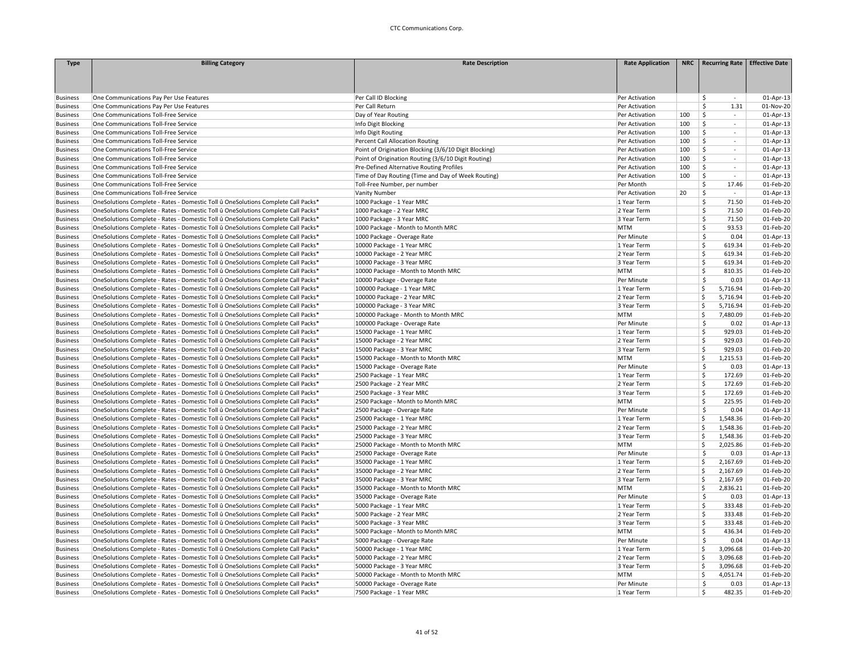| <b>Type</b>     | <b>Billing Category</b>                                                           | <b>Rate Description</b>                               | <b>Rate Application</b> | <b>NRC</b> | <b>Recurring Rate</b>               | <b>Effective Date</b> |
|-----------------|-----------------------------------------------------------------------------------|-------------------------------------------------------|-------------------------|------------|-------------------------------------|-----------------------|
|                 |                                                                                   |                                                       |                         |            |                                     |                       |
|                 |                                                                                   |                                                       |                         |            |                                     |                       |
|                 |                                                                                   |                                                       |                         |            |                                     |                       |
| Business        | One Communications Pay Per Use Features                                           | Per Call ID Blocking                                  | Per Activation          |            | \$<br>$\sim$                        | 01-Apr-13             |
| Business        | One Communications Pay Per Use Features                                           | Per Call Return                                       | Per Activation          |            | \$<br>1.31                          | 01-Nov-20             |
| <b>Business</b> | One Communications Toll-Free Service                                              | Day of Year Routing                                   | Per Activation          | 100        | $\mathsf{\hat{S}}$<br>$\mathcal{L}$ | 01-Apr-13             |
| <b>Business</b> | One Communications Toll-Free Service                                              | Info Digit Blocking                                   | Per Activation          | 100        | Ś<br>$\sim$                         | 01-Apr-13             |
| <b>Business</b> | One Communications Toll-Free Service                                              | Info Digit Routing                                    | Per Activation          | 100        | Ś<br>$\omega$                       | 01-Apr-13             |
| Business        | One Communications Toll-Free Service                                              | Percent Call Allocation Routing                       | Per Activation          | 100        | Ś<br>$\overline{\phantom{a}}$       | 01-Apr-13             |
| Business        | One Communications Toll-Free Service                                              | Point of Origination Blocking (3/6/10 Digit Blocking) | Per Activation          | 100        | Ś<br>$\sim$                         | 01-Apr-13             |
| <b>Business</b> | One Communications Toll-Free Service                                              | Point of Origination Routing (3/6/10 Digit Routing)   | Per Activation          | 100        | Ś<br>$\omega$                       | 01-Apr-13             |
| <b>Business</b> | One Communications Toll-Free Service                                              | Pre-Defined Alternative Routing Profiles              | Per Activation          | 100        | Ś<br>$\mathcal{L}_{\mathcal{A}}$    | 01-Apr-13             |
| <b>Business</b> | One Communications Toll-Free Service                                              | Time of Day Routing (Time and Day of Week Routing)    | Per Activation          | 100        | Ŝ<br>$\mathcal{L}_{\mathcal{A}}$    | 01-Apr-13             |
| Business        | One Communications Toll-Free Service                                              | Toll-Free Number, per number                          | Per Month               |            | Ŝ.<br>17.46                         | 01-Feb-20             |
| Business        | One Communications Toll-Free Service                                              | Vanity Number                                         | Per Activation          | 20         | \$                                  | 01-Apr-13             |
| Business        | OneSolutions Complete - Rates - Domestic Toll û OneSolutions Complete Call Packs* | 1000 Package - 1 Year MRC                             | 1 Year Term             |            | \$<br>71.50                         | 01-Feb-20             |
| <b>Business</b> | OneSolutions Complete - Rates - Domestic Toll û OneSolutions Complete Call Packs* | 1000 Package - 2 Year MRC                             | 2 Year Term             |            | \$.<br>71.50                        | 01-Feb-20             |
| <b>Business</b> | OneSolutions Complete - Rates - Domestic Toll û OneSolutions Complete Call Packs* | 1000 Package - 3 Year MRC                             | 3 Year Term             |            | \$<br>71.50                         | 01-Feb-20             |
| <b>Business</b> | OneSolutions Complete - Rates - Domestic Toll û OneSolutions Complete Call Packs* | 1000 Package - Month to Month MRC                     | <b>MTM</b>              |            | Š.<br>93.53                         | 01-Feb-20             |
| Business        | OneSolutions Complete - Rates - Domestic Toll û OneSolutions Complete Call Packs* | 1000 Package - Overage Rate                           | Per Minute              |            | \$<br>0.04                          | 01-Apr-13             |
| <b>Business</b> | OneSolutions Complete - Rates - Domestic Toll û OneSolutions Complete Call Packs* | 10000 Package - 1 Year MRC                            | 1 Year Term             |            | Ś<br>619.34                         | 01-Feb-20             |
| <b>Business</b> | OneSolutions Complete - Rates - Domestic Toll û OneSolutions Complete Call Packs* | 10000 Package - 2 Year MRC                            | 2 Year Term             |            | Ś<br>619.34                         | 01-Feb-20             |
| <b>Business</b> | OneSolutions Complete - Rates - Domestic Toll û OneSolutions Complete Call Packs* | 10000 Package - 3 Year MRC                            | 3 Year Term             |            | Ś<br>619.34                         | 01-Feb-20             |
| <b>Business</b> | OneSolutions Complete - Rates - Domestic Toll û OneSolutions Complete Call Packs* | 10000 Package - Month to Month MRC                    | <b>MTM</b>              |            | Ś<br>810.35                         | 01-Feb-20             |
| <b>Business</b> | OneSolutions Complete - Rates - Domestic Toll û OneSolutions Complete Call Packs* | 10000 Package - Overage Rate                          | Per Minute              |            | 0.03<br>\$                          | 01-Apr-13             |
| <b>Business</b> | OneSolutions Complete - Rates - Domestic Toll û OneSolutions Complete Call Packs* | 100000 Package - 1 Year MRC                           | 1 Year Term             |            | Ś<br>5,716.94                       | 01-Feb-20             |
| Business        | OneSolutions Complete - Rates - Domestic Toll û OneSolutions Complete Call Packs* | 100000 Package - 2 Year MRC                           | 2 Year Term             |            | \$<br>5,716.94                      | 01-Feb-20             |
| Business        | OneSolutions Complete - Rates - Domestic Toll û OneSolutions Complete Call Packs* | 100000 Package - 3 Year MRC                           | 3 Year Term             |            | Ś<br>5,716.94                       | 01-Feb-20             |
| <b>Business</b> | OneSolutions Complete - Rates - Domestic Toll û OneSolutions Complete Call Packs* | 100000 Package - Month to Month MRC                   | <b>MTM</b>              |            | 7,480.09<br>Ś                       | 01-Feb-20             |
| <b>Business</b> | OneSolutions Complete - Rates - Domestic Toll û OneSolutions Complete Call Packs* | 100000 Package - Overage Rate                         | Per Minute              |            | \$<br>0.02                          | 01-Apr-13             |
| <b>Business</b> | OneSolutions Complete - Rates - Domestic Toll û OneSolutions Complete Call Packs* | 15000 Package - 1 Year MRC                            | 1 Year Term             |            | Ś<br>929.03                         | 01-Feb-20             |
| Business        | OneSolutions Complete - Rates - Domestic Toll û OneSolutions Complete Call Packs* | 15000 Package - 2 Year MRC                            | 2 Year Term             |            | Ś<br>929.03                         | 01-Feb-20             |
| Business        | OneSolutions Complete - Rates - Domestic Toll û OneSolutions Complete Call Packs* | 15000 Package - 3 Year MRC                            | 3 Year Term             |            | Ś<br>929.03                         | 01-Feb-20             |
| Business        | OneSolutions Complete - Rates - Domestic Toll û OneSolutions Complete Call Packs* | 15000 Package - Month to Month MRC                    | <b>MTM</b>              |            | 1,215.53<br>Ś.                      | 01-Feb-20             |
| Business        | OneSolutions Complete - Rates - Domestic Toll û OneSolutions Complete Call Packs* | 15000 Package - Overage Rate                          | Per Minute              |            | <sup>\$</sup><br>0.03               | 01-Apr-13             |
| <b>Business</b> | OneSolutions Complete - Rates - Domestic Toll û OneSolutions Complete Call Packs* | 2500 Package - 1 Year MRC                             | 1 Year Term             |            | Ś<br>172.69                         | 01-Feb-20             |
| <b>Business</b> | OneSolutions Complete - Rates - Domestic Toll û OneSolutions Complete Call Packs* | 2500 Package - 2 Year MRC                             | 2 Year Term             |            | Ś<br>172.69                         | 01-Feb-20             |
| Business        | OneSolutions Complete - Rates - Domestic Toll û OneSolutions Complete Call Packs* | 2500 Package - 3 Year MRC                             | 3 Year Term             |            | \$<br>172.69                        | 01-Feb-20             |
| <b>Business</b> | OneSolutions Complete - Rates - Domestic Toll û OneSolutions Complete Call Packs* | 2500 Package - Month to Month MRC                     | <b>MTM</b>              |            | 225.95<br>Ś.                        | 01-Feb-20             |
| Business        | OneSolutions Complete - Rates - Domestic Toll û OneSolutions Complete Call Packs* | 2500 Package - Overage Rate                           | Per Minute              |            | <sup>\$</sup><br>0.04               | 01-Apr-13             |
| <b>Business</b> | OneSolutions Complete - Rates - Domestic Toll û OneSolutions Complete Call Packs* | 25000 Package - 1 Year MRC                            | 1 Year Term             |            | \$<br>1,548.36                      | 01-Feb-20             |
| <b>Business</b> | OneSolutions Complete - Rates - Domestic Toll û OneSolutions Complete Call Packs* | 25000 Package - 2 Year MRC                            | 2 Year Term             |            | Ś<br>1,548.36                       | 01-Feb-20             |
| Business        | OneSolutions Complete - Rates - Domestic Toll û OneSolutions Complete Call Packs* | 25000 Package - 3 Year MRC                            | 3 Year Term             |            | \$<br>1,548.36                      | 01-Feb-20             |
| Business        | OneSolutions Complete - Rates - Domestic Toll û OneSolutions Complete Call Packs* | 25000 Package - Month to Month MRC                    | <b>MTM</b>              |            | \$<br>2,025.86                      | 01-Feb-20             |
| Business        | OneSolutions Complete - Rates - Domestic Toll û OneSolutions Complete Call Packs* | 25000 Package - Overage Rate                          | Per Minute              |            | Ŝ.<br>0.03                          | 01-Apr-13             |
| <b>Business</b> | OneSolutions Complete - Rates - Domestic Toll û OneSolutions Complete Call Packs* | 35000 Package - 1 Year MRC                            | 1 Year Term             |            | Ś<br>2,167.69                       | 01-Feb-20             |
| <b>Business</b> | OneSolutions Complete - Rates - Domestic Toll û OneSolutions Complete Call Packs* | 35000 Package - 2 Year MRC                            | 2 Year Term             |            | \$<br>2,167.69                      | 01-Feb-20             |
| Business        | OneSolutions Complete - Rates - Domestic Toll û OneSolutions Complete Call Packs* | 35000 Package - 3 Year MRC                            | 3 Year Term             |            | \$<br>2,167.69                      | 01-Feb-20             |
| Business        | OneSolutions Complete - Rates - Domestic Toll û OneSolutions Complete Call Packs* | 35000 Package - Month to Month MRC                    | <b>MTM</b>              |            | Ś<br>2,836.21                       | 01-Feb-20             |
| <b>Business</b> | OneSolutions Complete - Rates - Domestic Toll û OneSolutions Complete Call Packs* | 35000 Package - Overage Rate                          | Per Minute              |            | Ŝ<br>0.03                           | 01-Apr-13             |
| <b>Business</b> | OneSolutions Complete - Rates - Domestic Toll û OneSolutions Complete Call Packs* | 5000 Package - 1 Year MRC                             | 1 Year Term             |            | Ś<br>333.48                         | 01-Feb-20             |
| <b>Business</b> | OneSolutions Complete - Rates - Domestic Toll û OneSolutions Complete Call Packs* | 5000 Package - 2 Year MRC                             | 2 Year Term             |            | Ś<br>333.48                         | 01-Feb-20             |
| <b>Business</b> | OneSolutions Complete - Rates - Domestic Toll û OneSolutions Complete Call Packs* | 5000 Package - 3 Year MRC                             | 3 Year Term             |            | Ś<br>333.48                         | 01-Feb-20             |
| Business        | OneSolutions Complete - Rates - Domestic Toll û OneSolutions Complete Call Packs* | 5000 Package - Month to Month MRC                     | <b>MTM</b>              |            | \$<br>436.34                        | 01-Feb-20             |
| <b>Business</b> | OneSolutions Complete - Rates - Domestic Toll û OneSolutions Complete Call Packs* | 5000 Package - Overage Rate                           | Per Minute              |            | \$<br>0.04                          | 01-Apr-13             |
| <b>Business</b> | OneSolutions Complete - Rates - Domestic Toll û OneSolutions Complete Call Packs* | 50000 Package - 1 Year MRC                            | 1 Year Term             |            | Ś<br>3,096.68                       | 01-Feb-20             |
| <b>Business</b> | OneSolutions Complete - Rates - Domestic Toll û OneSolutions Complete Call Packs* | 50000 Package - 2 Year MRC                            | 2 Year Term             |            | Ś<br>3,096.68                       | 01-Feb-20             |
| <b>Business</b> | OneSolutions Complete - Rates - Domestic Toll û OneSolutions Complete Call Packs* | 50000 Package - 3 Year MRC                            | 3 Year Term             |            | Ś<br>3,096.68                       | 01-Feb-20             |
| <b>Business</b> | OneSolutions Complete - Rates - Domestic Toll û OneSolutions Complete Call Packs* | 50000 Package - Month to Month MRC                    | <b>MTM</b>              |            | \$<br>4,051.74                      | 01-Feb-20             |
| <b>Business</b> | OneSolutions Complete - Rates - Domestic Toll û OneSolutions Complete Call Packs* | 50000 Package - Overage Rate                          | Per Minute              |            | $\mathsf{\hat{S}}$<br>0.03          | 01-Apr-13             |
| <b>Business</b> | OneSolutions Complete - Rates - Domestic Toll û OneSolutions Complete Call Packs* | 7500 Package - 1 Year MRC                             | 1 Year Term             |            | Ś.<br>482.35                        | 01-Feb-20             |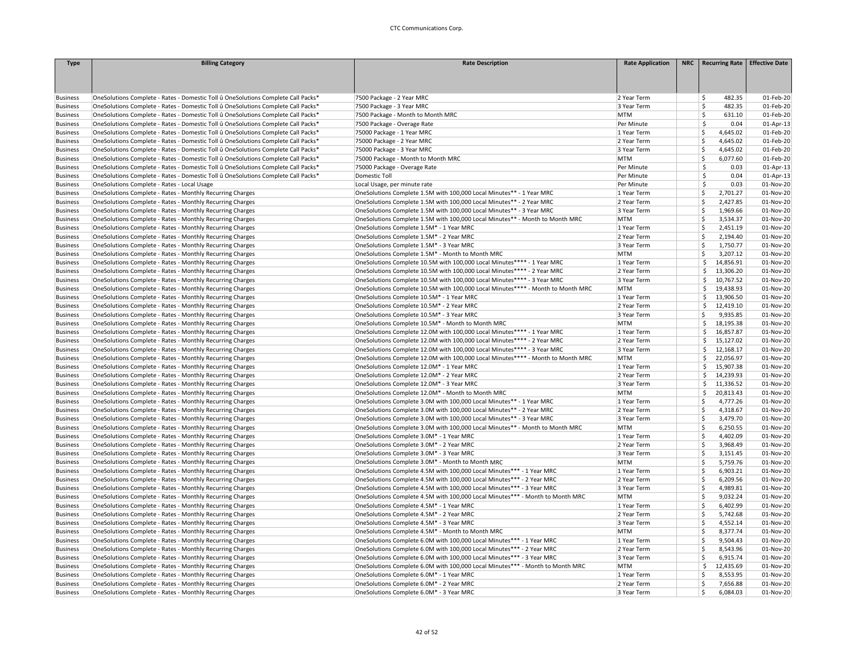| <b>Type</b>     | <b>Billing Category</b>                                                           | <b>Rate Description</b>                                                         | <b>Rate Application</b> | NRC   Recurring Rate   Effective Date |           |
|-----------------|-----------------------------------------------------------------------------------|---------------------------------------------------------------------------------|-------------------------|---------------------------------------|-----------|
|                 |                                                                                   |                                                                                 |                         |                                       |           |
|                 |                                                                                   |                                                                                 |                         |                                       |           |
|                 |                                                                                   |                                                                                 |                         |                                       |           |
| <b>Business</b> | OneSolutions Complete - Rates - Domestic Toll û OneSolutions Complete Call Packs* | 7500 Package - 2 Year MRC                                                       | 2 Year Term             | Ŝ<br>482.35                           | 01-Feb-20 |
| <b>Business</b> | OneSolutions Complete - Rates - Domestic Toll û OneSolutions Complete Call Packs* | 7500 Package - 3 Year MRC                                                       | 3 Year Term             | \$<br>482.35                          | 01-Feb-20 |
| <b>Business</b> | OneSolutions Complete - Rates - Domestic Toll û OneSolutions Complete Call Packs* | 7500 Package - Month to Month MRC                                               | <b>MTM</b>              | \$<br>631.10                          | 01-Feb-20 |
| <b>Business</b> | OneSolutions Complete - Rates - Domestic Toll û OneSolutions Complete Call Packs* | 7500 Package - Overage Rate                                                     | Per Minute              | \$<br>0.04                            | 01-Apr-13 |
| <b>Business</b> | OneSolutions Complete - Rates - Domestic Toll û OneSolutions Complete Call Packs* | 75000 Package - 1 Year MRC                                                      | 1 Year Term             | \$<br>4,645.02                        | 01-Feb-20 |
| <b>Business</b> | OneSolutions Complete - Rates - Domestic Toll û OneSolutions Complete Call Packs* | 75000 Package - 2 Year MRC                                                      | 2 Year Term             | \$<br>4,645.02                        | 01-Feb-20 |
| <b>Business</b> | OneSolutions Complete - Rates - Domestic Toll û OneSolutions Complete Call Packs* | 75000 Package - 3 Year MRC                                                      | 3 Year Term             | -Ś<br>4,645.02                        | 01-Feb-20 |
| <b>Business</b> | OneSolutions Complete - Rates - Domestic Toll û OneSolutions Complete Call Packs* | 75000 Package - Month to Month MRC                                              | <b>MTM</b>              | Ś<br>6,077.60                         | 01-Feb-20 |
| <b>Business</b> | OneSolutions Complete - Rates - Domestic Toll û OneSolutions Complete Call Packs* | 75000 Package - Overage Rate                                                    | Per Minute              | \$<br>0.03                            | 01-Apr-13 |
| <b>Business</b> | OneSolutions Complete - Rates - Domestic Toll û OneSolutions Complete Call Packs* | Domestic Toll                                                                   | Per Minute              | \$<br>0.04                            | 01-Apr-13 |
| <b>Business</b> | OneSolutions Complete - Rates - Local Usage                                       | Local Usage, per minute rate                                                    | Per Minute              | \$<br>0.03                            | 01-Nov-20 |
| <b>Business</b> | OneSolutions Complete - Rates - Monthly Recurring Charges                         | OneSolutions Complete 1.5M with 100,000 Local Minutes** - 1 Year MRC            | 1 Year Term             | \$<br>2,701.27                        | 01-Nov-20 |
| <b>Business</b> | OneSolutions Complete - Rates - Monthly Recurring Charges                         | OneSolutions Complete 1.5M with 100,000 Local Minutes** - 2 Year MRC            | 2 Year Term             | \$<br>2,427.85                        | 01-Nov-20 |
| <b>Business</b> | OneSolutions Complete - Rates - Monthly Recurring Charges                         | OneSolutions Complete 1.5M with 100,000 Local Minutes** - 3 Year MRC            | 3 Year Term             | -Ś<br>1,969.66                        | 01-Nov-20 |
| <b>Business</b> | OneSolutions Complete - Rates - Monthly Recurring Charges                         | OneSolutions Complete 1.5M with 100,000 Local Minutes** - Month to Month MRC    | <b>MTM</b>              | <sub>S</sub><br>3,534.37              | 01-Nov-20 |
| <b>Business</b> | OneSolutions Complete - Rates - Monthly Recurring Charges                         | OneSolutions Complete 1.5M* - 1 Year MRC                                        | 1 Year Term             | Ś<br>2,451.19                         | 01-Nov-20 |
| <b>Business</b> | OneSolutions Complete - Rates - Monthly Recurring Charges                         | OneSolutions Complete 1.5M* - 2 Year MRC                                        | 2 Year Term             | 2,194.40<br>Ś                         | 01-Nov-20 |
| <b>Business</b> | OneSolutions Complete - Rates - Monthly Recurring Charges                         | OneSolutions Complete 1.5M* - 3 Year MRC                                        | 3 Year Term             | Ś<br>1,750.77                         | 01-Nov-20 |
| <b>Business</b> | OneSolutions Complete - Rates - Monthly Recurring Charges                         | OneSolutions Complete 1.5M* - Month to Month MRC                                | <b>MTM</b>              | Ś<br>3,207.12                         | 01-Nov-20 |
| <b>Business</b> | OneSolutions Complete - Rates - Monthly Recurring Charges                         | OneSolutions Complete 10.5M with 100,000 Local Minutes**** - 1 Year MRC         | 1 Year Term             | \$<br>14,856.91                       | 01-Nov-20 |
|                 | OneSolutions Complete - Rates - Monthly Recurring Charges                         | OneSolutions Complete 10.5M with 100,000 Local Minutes**** - 2 Year MRC         | 2 Year Term             | 13,306.20<br>Ś                        | 01-Nov-20 |
| <b>Business</b> |                                                                                   | OneSolutions Complete 10.5M with 100,000 Local Minutes**** - 3 Year MRC         | 3 Year Term             | 10,767.52<br>\$                       | 01-Nov-20 |
| <b>Business</b> | OneSolutions Complete - Rates - Monthly Recurring Charges                         |                                                                                 | <b>MTM</b>              | 19,438.93<br>Ŝ.                       |           |
| <b>Business</b> | OneSolutions Complete - Rates - Monthly Recurring Charges                         | OneSolutions Complete 10.5M with 100,000 Local Minutes**** - Month to Month MRC |                         |                                       | 01-Nov-20 |
| <b>Business</b> | OneSolutions Complete - Rates - Monthly Recurring Charges                         | OneSolutions Complete 10.5M* - 1 Year MRC                                       | 1 Year Term             | \$<br>13,906.50                       | 01-Nov-20 |
| <b>Business</b> | OneSolutions Complete - Rates - Monthly Recurring Charges                         | OneSolutions Complete 10.5M* - 2 Year MRC                                       | 2 Year Term             | \$.<br>12,419.10                      | 01-Nov-20 |
| <b>Business</b> | OneSolutions Complete - Rates - Monthly Recurring Charges                         | OneSolutions Complete 10.5M* - 3 Year MRC                                       | 3 Year Term             | Š.<br>9,935.85                        | 01-Nov-20 |
| <b>Business</b> | OneSolutions Complete - Rates - Monthly Recurring Charges                         | OneSolutions Complete 10.5M* - Month to Month MRC                               | <b>MTM</b>              | \$<br>18,195.38                       | 01-Nov-20 |
| <b>Business</b> | OneSolutions Complete - Rates - Monthly Recurring Charges                         | OneSolutions Complete 12.0M with 100,000 Local Minutes**** - 1 Year MRC         | 1 Year Term             | \$<br>16,857.87                       | 01-Nov-20 |
| <b>Business</b> | OneSolutions Complete - Rates - Monthly Recurring Charges                         | OneSolutions Complete 12.0M with 100,000 Local Minutes**** - 2 Year MRC         | 2 Year Term             | \$<br>15,127.02                       | 01-Nov-20 |
| <b>Business</b> | OneSolutions Complete - Rates - Monthly Recurring Charges                         | OneSolutions Complete 12.0M with 100,000 Local Minutes**** - 3 Year MRC         | 3 Year Term             | Ś.<br>12,168.17                       | 01-Nov-20 |
| <b>Business</b> | OneSolutions Complete - Rates - Monthly Recurring Charges                         | OneSolutions Complete 12.0M with 100,000 Local Minutes**** - Month to Month MRC | <b>MTM</b>              | Ŝ.<br>22,056.97                       | 01-Nov-20 |
| <b>Business</b> | OneSolutions Complete - Rates - Monthly Recurring Charges                         | OneSolutions Complete 12.0M* - 1 Year MRC                                       | 1 Year Term             | 15,907.38<br>Ŝ.                       | 01-Nov-20 |
| <b>Business</b> | OneSolutions Complete - Rates - Monthly Recurring Charges                         | OneSolutions Complete 12.0M* - 2 Year MRC                                       | 2 Year Term             | 14,239.93<br>Ŝ.                       | 01-Nov-20 |
| <b>Business</b> | OneSolutions Complete - Rates - Monthly Recurring Charges                         | OneSolutions Complete 12.0M* - 3 Year MRC                                       | 3 Year Term             | \$<br>11,336.52                       | 01-Nov-20 |
| <b>Business</b> | OneSolutions Complete - Rates - Monthly Recurring Charges                         | OneSolutions Complete 12.0M* - Month to Month MRC                               | <b>MTM</b>              | \$<br>20,813.43                       | 01-Nov-20 |
| <b>Business</b> | OneSolutions Complete - Rates - Monthly Recurring Charges                         | OneSolutions Complete 3.0M with 100,000 Local Minutes** - 1 Year MRC            | 1 Year Term             | \$.<br>4,777.26                       | 01-Nov-20 |
| <b>Business</b> | OneSolutions Complete - Rates - Monthly Recurring Charges                         | OneSolutions Complete 3.0M with 100,000 Local Minutes** - 2 Year MRC            | 2 Year Term             | \$.<br>4,318.67                       | 01-Nov-20 |
| <b>Business</b> | OneSolutions Complete - Rates - Monthly Recurring Charges                         | OneSolutions Complete 3.0M with 100,000 Local Minutes** - 3 Year MRC            | 3 Year Term             | -Ś<br>3,479.70                        | 01-Nov-20 |
| <b>Business</b> | OneSolutions Complete - Rates - Monthly Recurring Charges                         | OneSolutions Complete 3.0M with 100,000 Local Minutes** - Month to Month MRC    | <b>MTM</b>              | Ś<br>6,250.55                         | 01-Nov-20 |
| <b>Business</b> | OneSolutions Complete - Rates - Monthly Recurring Charges                         | OneSolutions Complete 3.0M* - 1 Year MRC                                        | 1 Year Term             | \$<br>4,402.09                        | 01-Nov-20 |
| <b>Business</b> | OneSolutions Complete - Rates - Monthly Recurring Charges                         | OneSolutions Complete 3.0M* - 2 Year MRC                                        | 2 Year Term             | \$<br>3,968.49                        | 01-Nov-20 |
| <b>Business</b> | OneSolutions Complete - Rates - Monthly Recurring Charges                         | OneSolutions Complete 3.0M* - 3 Year MRC                                        | 3 Year Term             | \$<br>3,151.45                        | 01-Nov-20 |
| <b>Business</b> | OneSolutions Complete - Rates - Monthly Recurring Charges                         | OneSolutions Complete 3.0M* - Month to Month MRC                                | <b>MTM</b>              | -Ś<br>5,759.76                        | 01-Nov-20 |
| <b>Business</b> | OneSolutions Complete - Rates - Monthly Recurring Charges                         | OneSolutions Complete 4.5M with 100,000 Local Minutes*** - 1 Year MRC           | 1 Year Term             | <sub>S</sub><br>6,903.21              | 01-Nov-20 |
| <b>Business</b> | OneSolutions Complete - Rates - Monthly Recurring Charges                         | OneSolutions Complete 4.5M with 100,000 Local Minutes*** - 2 Year MRC           | 2 Year Term             | \$<br>6,209.56                        | 01-Nov-20 |
| <b>Business</b> | OneSolutions Complete - Rates - Monthly Recurring Charges                         | OneSolutions Complete 4.5M with 100,000 Local Minutes*** - 3 Year MRC           | 3 Year Term             | <sub>S</sub><br>4,989.81              | 01-Nov-20 |
| <b>Business</b> | OneSolutions Complete - Rates - Monthly Recurring Charges                         | OneSolutions Complete 4.5M with 100,000 Local Minutes*** - Month to Month MRC   | <b>MTM</b>              | Ś<br>9,032.24                         | 01-Nov-20 |
| <b>Business</b> | OneSolutions Complete - Rates - Monthly Recurring Charges                         | OneSolutions Complete 4.5M* - 1 Year MRC                                        | 1 Year Term             | <b>S</b><br>6,402.99                  | 01-Nov-20 |
| <b>Business</b> | OneSolutions Complete - Rates - Monthly Recurring Charges                         | OneSolutions Complete 4.5M* - 2 Year MRC                                        | 2 Year Term             | \$<br>5,742.68                        | 01-Nov-20 |
| <b>Business</b> | OneSolutions Complete - Rates - Monthly Recurring Charges                         | OneSolutions Complete 4.5M* - 3 Year MRC                                        | 3 Year Term             | <sub>S</sub><br>4,552.14              | 01-Nov-20 |
| <b>Business</b> | OneSolutions Complete - Rates - Monthly Recurring Charges                         | OneSolutions Complete 4.5M* - Month to Month MRC                                | <b>MTM</b>              | \$<br>8,377.74                        | 01-Nov-20 |
| <b>Business</b> | OneSolutions Complete - Rates - Monthly Recurring Charges                         | OneSolutions Complete 6.0M with 100,000 Local Minutes*** - 1 Year MRC           | 1 Year Term             | \$<br>9,504.43                        | 01-Nov-20 |
| <b>Business</b> | OneSolutions Complete - Rates - Monthly Recurring Charges                         | OneSolutions Complete 6.0M with 100,000 Local Minutes*** - 2 Year MRC           | 2 Year Term             | 8,543.96<br>\$.                       | 01-Nov-20 |
| <b>Business</b> | OneSolutions Complete - Rates - Monthly Recurring Charges                         | OneSolutions Complete 6.0M with 100,000 Local Minutes*** - 3 Year MRC           | 3 Year Term             | Ś<br>6,915.74                         | 01-Nov-20 |
| <b>Business</b> | OneSolutions Complete - Rates - Monthly Recurring Charges                         | OneSolutions Complete 6.0M with 100,000 Local Minutes*** - Month to Month MRC   | <b>MTM</b>              | \$<br>12,435.69                       | 01-Nov-20 |
| <b>Business</b> |                                                                                   | OneSolutions Complete 6.0M* - 1 Year MRC                                        | 1 Year Term             | \$<br>8,553.95                        | 01-Nov-20 |
|                 | OneSolutions Complete - Rates - Monthly Recurring Charges                         |                                                                                 |                         |                                       |           |
| <b>Business</b> | OneSolutions Complete - Rates - Monthly Recurring Charges                         | OneSolutions Complete 6.0M* - 2 Year MRC                                        | 2 Year Term             | \$<br>7,656.88                        | 01-Nov-20 |
| <b>Business</b> | OneSolutions Complete - Rates - Monthly Recurring Charges                         | OneSolutions Complete 6.0M* - 3 Year MRC                                        | 3 Year Term             | -Ś<br>6,084.03                        | 01-Nov-20 |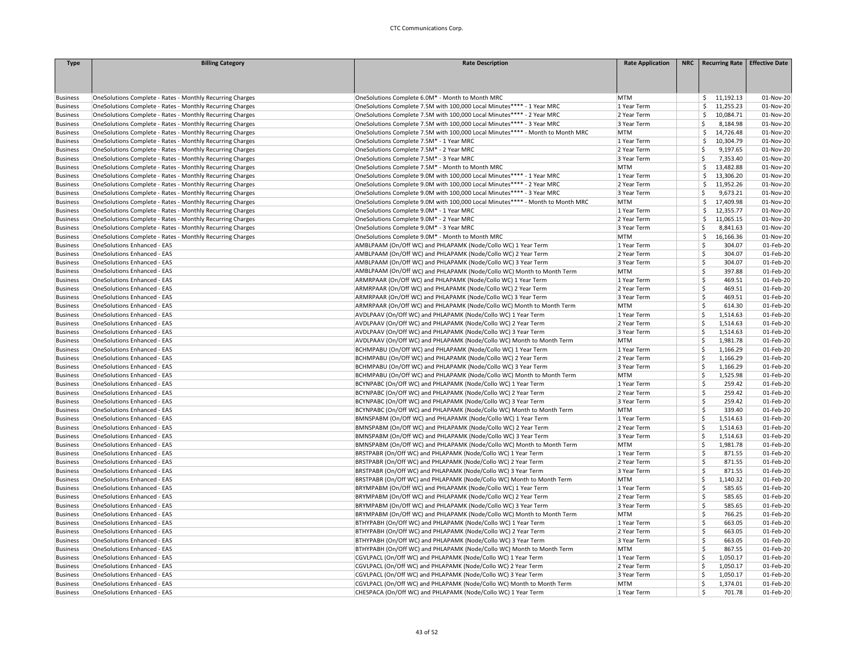| <b>Type</b>                        | <b>Billing Category</b>                                   | <b>Rate Description</b>                                                        | <b>Rate Application</b>    | NRC   Recurring Rate   Effective Date |           |
|------------------------------------|-----------------------------------------------------------|--------------------------------------------------------------------------------|----------------------------|---------------------------------------|-----------|
|                                    |                                                           |                                                                                |                            |                                       |           |
|                                    |                                                           |                                                                                |                            |                                       |           |
|                                    |                                                           |                                                                                |                            |                                       |           |
| <b>Business</b>                    | OneSolutions Complete - Rates - Monthly Recurring Charges | OneSolutions Complete 6.0M* - Month to Month MRC                               | <b>MTM</b>                 | \$11,192.13                           | 01-Nov-20 |
| <b>Business</b>                    | OneSolutions Complete - Rates - Monthly Recurring Charges | OneSolutions Complete 7.5M with 100,000 Local Minutes**** - 1 Year MRC         | 1 Year Term                | \$<br>11,255.23                       | 01-Nov-20 |
| <b>Business</b>                    | OneSolutions Complete - Rates - Monthly Recurring Charges | OneSolutions Complete 7.5M with 100,000 Local Minutes**** - 2 Year MRC         | 2 Year Term                | Š.<br>10,084.71                       | 01-Nov-20 |
| <b>Business</b>                    | OneSolutions Complete - Rates - Monthly Recurring Charges | OneSolutions Complete 7.5M with 100,000 Local Minutes**** - 3 Year MRC         | 3 Year Term                | Ś<br>8,184.98                         | 01-Nov-20 |
| <b>Business</b>                    | OneSolutions Complete - Rates - Monthly Recurring Charges | OneSolutions Complete 7.5M with 100,000 Local Minutes**** - Month to Month MRC | <b>MTM</b>                 | Ś<br>14,726.48                        | 01-Nov-20 |
| <b>Business</b>                    | OneSolutions Complete - Rates - Monthly Recurring Charges | OneSolutions Complete 7.5M* - 1 Year MRC                                       | 1 Year Term                | 10,304.79<br>Ŝ.                       | 01-Nov-20 |
| <b>Business</b>                    | OneSolutions Complete - Rates - Monthly Recurring Charges | OneSolutions Complete 7.5M* - 2 Year MRC                                       | 2 Year Term                | Ś<br>9,197.65                         | 01-Nov-20 |
| <b>Business</b>                    | OneSolutions Complete - Rates - Monthly Recurring Charges | OneSolutions Complete 7.5M* - 3 Year MRC                                       | 3 Year Term                | \$<br>7,353.40                        | 01-Nov-20 |
| <b>Business</b>                    | OneSolutions Complete - Rates - Monthly Recurring Charges | OneSolutions Complete 7.5M* - Month to Month MRC                               | <b>MTM</b>                 | Š.<br>13,482.88                       | 01-Nov-20 |
| <b>Business</b>                    | OneSolutions Complete - Rates - Monthly Recurring Charges | OneSolutions Complete 9.0M with 100,000 Local Minutes**** - 1 Year MRC         | 1 Year Term                | Ŝ.<br>13,306.20                       | 01-Nov-20 |
| <b>Business</b>                    | OneSolutions Complete - Rates - Monthly Recurring Charges | OneSolutions Complete 9.0M with 100,000 Local Minutes**** - 2 Year MRC         | 2 Year Term                | Ŝ.<br>11,952.26                       | 01-Nov-20 |
| <b>Business</b>                    | OneSolutions Complete - Rates - Monthly Recurring Charges | OneSolutions Complete 9.0M with 100,000 Local Minutes**** - 3 Year MRC         | 3 Year Term                | 9,673.21<br>Ś                         | 01-Nov-20 |
| <b>Business</b>                    | OneSolutions Complete - Rates - Monthly Recurring Charges | OneSolutions Complete 9.0M with 100,000 Local Minutes**** - Month to Month MRC | <b>MTM</b>                 | Ŝ.<br>17,409.98                       | 01-Nov-20 |
| <b>Business</b>                    | OneSolutions Complete - Rates - Monthly Recurring Charges | OneSolutions Complete 9.0M* - 1 Year MRC                                       | 1 Year Term                | Ś.<br>12,355.77                       | 01-Nov-20 |
| <b>Business</b>                    | OneSolutions Complete - Rates - Monthly Recurring Charges | OneSolutions Complete 9.0M* - 2 Year MRC                                       | 2 Year Term                | 11,065.15<br>Š.                       | 01-Nov-20 |
| <b>Business</b>                    | OneSolutions Complete - Rates - Monthly Recurring Charges | OneSolutions Complete 9.0M* - 3 Year MRC                                       | 3 Year Term                | Ś<br>8,841.63                         | 01-Nov-20 |
|                                    |                                                           |                                                                                | <b>MTM</b>                 | \$.                                   |           |
| <b>Business</b>                    | OneSolutions Complete - Rates - Monthly Recurring Charges | OneSolutions Complete 9.0M* - Month to Month MRC                               |                            | 16,166.36<br>Ś                        | 01-Nov-20 |
| <b>Business</b>                    | OneSolutions Enhanced - EAS                               | AMBLPAAM (On/Off WC) and PHLAPAMK (Node/Collo WC) 1 Year Term                  | 1 Year Term                | 304.07                                | 01-Feb-20 |
| <b>Business</b>                    | OneSolutions Enhanced - EAS                               | AMBLPAAM (On/Off WC) and PHLAPAMK (Node/Collo WC) 2 Year Term                  | 2 Year Term                | Ś<br>304.07                           | 01-Feb-20 |
| <b>Business</b>                    | OneSolutions Enhanced - EAS                               | AMBLPAAM (On/Off WC) and PHLAPAMK (Node/Collo WC) 3 Year Term                  | 3 Year Term                | Ś.<br>304.07                          | 01-Feb-20 |
| <b>Business</b>                    | OneSolutions Enhanced - EAS                               | AMBLPAAM (On/Off WC) and PHLAPAMK (Node/Collo WC) Month to Month Term          | <b>MTM</b>                 | \$<br>397.88                          | 01-Feb-20 |
| <b>Business</b>                    | OneSolutions Enhanced - EAS                               | ARMRPAAR (On/Off WC) and PHLAPAMK (Node/Collo WC) 1 Year Term                  | 1 Year Term                | Ŝ<br>469.51                           | 01-Feb-20 |
| <b>Business</b>                    | OneSolutions Enhanced - EAS                               | ARMRPAAR (On/Off WC) and PHLAPAMK (Node/Collo WC) 2 Year Term                  | 2 Year Term                | Ś<br>469.51                           | 01-Feb-20 |
| <b>Business</b>                    | OneSolutions Enhanced - EAS                               | ARMRPAAR (On/Off WC) and PHLAPAMK (Node/Collo WC) 3 Year Term                  | 3 Year Term                | Ś<br>469.51                           | 01-Feb-20 |
| <b>Business</b>                    | OneSolutions Enhanced - EAS                               | ARMRPAAR (On/Off WC) and PHLAPAMK (Node/Collo WC) Month to Month Term          | <b>MTM</b>                 | \$<br>614.30                          | 01-Feb-20 |
| <b>Business</b>                    | OneSolutions Enhanced - EAS                               | AVDLPAAV (On/Off WC) and PHLAPAMK (Node/Collo WC) 1 Year Term                  | 1 Year Term                | Ś<br>1,514.63                         | 01-Feb-20 |
| <b>Business</b>                    | OneSolutions Enhanced - EAS                               | AVDLPAAV (On/Off WC) and PHLAPAMK (Node/Collo WC) 2 Year Term                  | 2 Year Term                | \$<br>1,514.63                        | 01-Feb-20 |
| <b>Business</b>                    | OneSolutions Enhanced - EAS                               | AVDLPAAV (On/Off WC) and PHLAPAMK (Node/Collo WC) 3 Year Term                  | 3 Year Term                | Ś<br>1,514.63                         | 01-Feb-20 |
| <b>Business</b>                    | OneSolutions Enhanced - EAS                               | AVDLPAAV (On/Off WC) and PHLAPAMK (Node/Collo WC) Month to Month Term          | <b>MTM</b>                 | Ś<br>1,981.78                         | 01-Feb-20 |
| <b>Business</b>                    | OneSolutions Enhanced - EAS                               | BCHMPABU (On/Off WC) and PHLAPAMK (Node/Collo WC) 1 Year Term                  | 1 Year Term                | Ś<br>1,166.29                         | 01-Feb-20 |
| <b>Business</b>                    | OneSolutions Enhanced - EAS                               | BCHMPABU (On/Off WC) and PHLAPAMK (Node/Collo WC) 2 Year Term                  | 2 Year Term                | Ś<br>1,166.29                         | 01-Feb-20 |
| <b>Business</b>                    | OneSolutions Enhanced - EAS                               | BCHMPABU (On/Off WC) and PHLAPAMK (Node/Collo WC) 3 Year Term                  | 3 Year Term                | \$<br>1,166.29                        | 01-Feb-20 |
| <b>Business</b>                    | OneSolutions Enhanced - EAS                               | BCHMPABU (On/Off WC) and PHLAPAMK (Node/Collo WC) Month to Month Term          | <b>MTM</b>                 | \$.<br>1,525.98                       | 01-Feb-20 |
| <b>Business</b>                    | OneSolutions Enhanced - EAS                               | BCYNPABC (On/Off WC) and PHLAPAMK (Node/Collo WC) 1 Year Term                  | 1 Year Term                | Ś<br>259.42                           | 01-Feb-20 |
| <b>Business</b>                    | OneSolutions Enhanced - EAS                               | BCYNPABC (On/Off WC) and PHLAPAMK (Node/Collo WC) 2 Year Term                  | 2 Year Term                | 259.42<br>Ŝ.                          | 01-Feb-20 |
| <b>Business</b>                    | OneSolutions Enhanced - EAS                               | BCYNPABC (On/Off WC) and PHLAPAMK (Node/Collo WC) 3 Year Term                  | 3 Year Term                | \$<br>259.42                          | 01-Feb-20 |
| <b>Business</b>                    | OneSolutions Enhanced - EAS                               | BCYNPABC (On/Off WC) and PHLAPAMK (Node/Collo WC) Month to Month Term          | <b>MTM</b>                 | 339.40<br>\$                          | 01-Feb-20 |
| <b>Business</b>                    | OneSolutions Enhanced - EAS                               | BMNSPABM (On/Off WC) and PHLAPAMK (Node/Collo WC) 1 Year Term                  | 1 Year Term                | -Ś<br>1,514.63                        | 01-Feb-20 |
| <b>Business</b>                    | OneSolutions Enhanced - EAS                               | BMNSPABM (On/Off WC) and PHLAPAMK (Node/Collo WC) 2 Year Term                  | 2 Year Term                | Ś<br>1,514.63                         | 01-Feb-20 |
| <b>Business</b>                    | OneSolutions Enhanced - EAS                               | BMNSPABM (On/Off WC) and PHLAPAMK (Node/Collo WC) 3 Year Term                  | 3 Year Term                | -Ś<br>1,514.63                        | 01-Feb-20 |
| <b>Business</b>                    | OneSolutions Enhanced - EAS                               | BMNSPABM (On/Off WC) and PHLAPAMK (Node/Collo WC) Month to Month Term          | <b>MTM</b>                 | Ś<br>1,981.78                         | 01-Feb-20 |
| <b>Business</b>                    | OneSolutions Enhanced - EAS                               | BRSTPABR (On/Off WC) and PHLAPAMK (Node/Collo WC) 1 Year Term                  | 1 Year Term                | Ś<br>871.55                           | 01-Feb-20 |
| <b>Business</b>                    | OneSolutions Enhanced - EAS                               | BRSTPABR (On/Off WC) and PHLAPAMK (Node/Collo WC) 2 Year Term                  | 2 Year Term                | Ś<br>871.55                           | 01-Feb-20 |
| <b>Business</b>                    | OneSolutions Enhanced - EAS                               | BRSTPABR (On/Off WC) and PHLAPAMK (Node/Collo WC) 3 Year Term                  | 3 Year Term                | \$<br>871.55                          | 01-Feb-20 |
| <b>Business</b>                    | OneSolutions Enhanced - EAS                               | BRSTPABR (On/Off WC) and PHLAPAMK (Node/Collo WC) Month to Month Term          | <b>MTM</b>                 | \$<br>1,140.32                        | 01-Feb-20 |
| <b>Business</b>                    | OneSolutions Enhanced - EAS                               | BRYMPABM (On/Off WC) and PHLAPAMK (Node/Collo WC) 1 Year Term                  | 1 Year Term                | Ś<br>585.65                           | 01-Feb-20 |
| <b>Business</b>                    | OneSolutions Enhanced - EAS                               | BRYMPABM (On/Off WC) and PHLAPAMK (Node/Collo WC) 2 Year Term                  | 2 Year Term                | Ś<br>585.65                           | 01-Feb-20 |
| <b>Business</b>                    | OneSolutions Enhanced - EAS                               | BRYMPABM (On/Off WC) and PHLAPAMK (Node/Collo WC) 3 Year Term                  | 3 Year Term                | Ś<br>585.65                           | 01-Feb-20 |
| <b>Business</b>                    | OneSolutions Enhanced - EAS                               | BRYMPABM (On/Off WC) and PHLAPAMK (Node/Collo WC) Month to Month Term          | <b>MTM</b>                 | \$<br>766.25                          | 01-Feb-20 |
|                                    | OneSolutions Enhanced - EAS                               | BTHYPABH (On/Off WC) and PHLAPAMK (Node/Collo WC) 1 Year Term                  |                            | \$<br>663.05                          | 01-Feb-20 |
| <b>Business</b><br><b>Business</b> | OneSolutions Enhanced - EAS                               | BTHYPABH (On/Off WC) and PHLAPAMK (Node/Collo WC) 2 Year Term                  | 1 Year Term<br>2 Year Term | Ś<br>663.05                           | 01-Feb-20 |
|                                    |                                                           |                                                                                |                            | \$                                    |           |
| <b>Business</b>                    | OneSolutions Enhanced - EAS                               | BTHYPABH (On/Off WC) and PHLAPAMK (Node/Collo WC) 3 Year Term                  | 3 Year Term                | 663.05<br>Ś                           | 01-Feb-20 |
| <b>Business</b>                    | OneSolutions Enhanced - EAS                               | BTHYPABH (On/Off WC) and PHLAPAMK (Node/Collo WC) Month to Month Term          | <b>MTM</b>                 | 867.55                                | 01-Feb-20 |
| <b>Business</b>                    | OneSolutions Enhanced - EAS                               | CGVLPACL (On/Off WC) and PHLAPAMK (Node/Collo WC) 1 Year Term                  | 1 Year Term                | \$<br>1,050.17                        | 01-Feb-20 |
| <b>Business</b>                    | OneSolutions Enhanced - EAS                               | CGVLPACL (On/Off WC) and PHLAPAMK (Node/Collo WC) 2 Year Term                  | 2 Year Term                | Ś<br>1,050.17                         | 01-Feb-20 |
| <b>Business</b>                    | OneSolutions Enhanced - EAS                               | CGVLPACL (On/Off WC) and PHLAPAMK (Node/Collo WC) 3 Year Term                  | 3 Year Term                | \$<br>1,050.17                        | 01-Feb-20 |
| <b>Business</b>                    | OneSolutions Enhanced - EAS                               | CGVLPACL (On/Off WC) and PHLAPAMK (Node/Collo WC) Month to Month Term          | <b>MTM</b>                 | \$.<br>1,374.01                       | 01-Feb-20 |
| <b>Business</b>                    | OneSolutions Enhanced - EAS                               | CHESPACA (On/Off WC) and PHLAPAMK (Node/Collo WC) 1 Year Term                  | 1 Year Term                | Ś<br>701.78                           | 01-Feb-20 |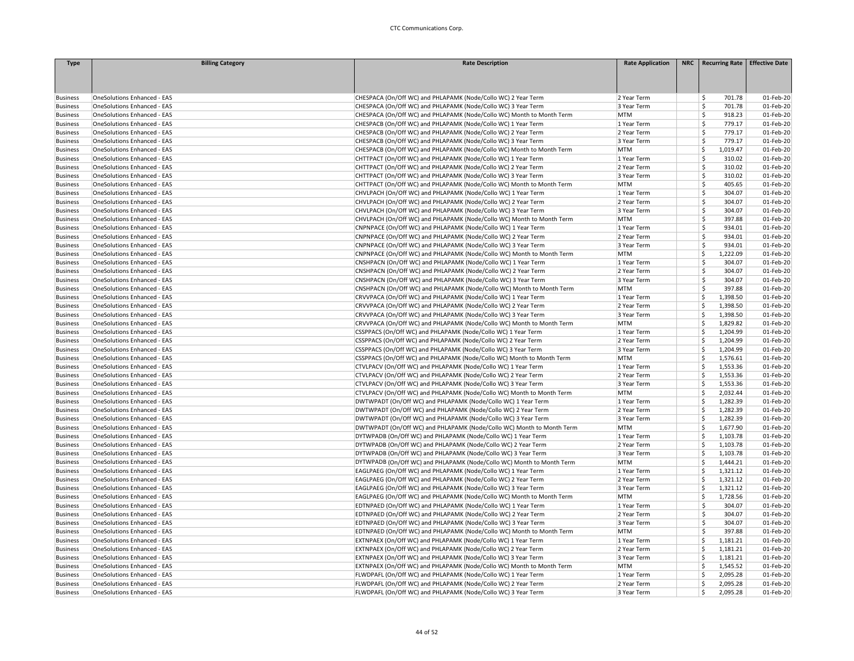| <b>Type</b>     | <b>Billing Category</b>            | <b>Rate Description</b>                                               | <b>Rate Application</b> | NRC   Recurring Rate   Effective Date |           |
|-----------------|------------------------------------|-----------------------------------------------------------------------|-------------------------|---------------------------------------|-----------|
|                 |                                    |                                                                       |                         |                                       |           |
|                 |                                    |                                                                       |                         |                                       |           |
|                 |                                    |                                                                       |                         |                                       |           |
| <b>Business</b> | OneSolutions Enhanced - EAS        | CHESPACA (On/Off WC) and PHLAPAMK (Node/Collo WC) 2 Year Term         | 2 Year Term             | \$<br>701.78                          | 01-Feb-20 |
| <b>Business</b> | OneSolutions Enhanced - EAS        | CHESPACA (On/Off WC) and PHLAPAMK (Node/Collo WC) 3 Year Term         | 3 Year Term             | \$<br>701.78                          | 01-Feb-20 |
| <b>Business</b> | <b>OneSolutions Enhanced - EAS</b> | CHESPACA (On/Off WC) and PHLAPAMK (Node/Collo WC) Month to Month Term | <b>MTM</b>              | <b>S</b><br>918.23                    | 01-Feb-20 |
| <b>Business</b> | <b>OneSolutions Enhanced - EAS</b> | CHESPACB (On/Off WC) and PHLAPAMK (Node/Collo WC) 1 Year Term         | 1 Year Term             | \$<br>779.17                          | 01-Feb-20 |
| <b>Business</b> | OneSolutions Enhanced - EAS        | CHESPACB (On/Off WC) and PHLAPAMK (Node/Collo WC) 2 Year Term         | 2 Year Term             | Ś<br>779.17                           | 01-Feb-20 |
| <b>Business</b> | OneSolutions Enhanced - EAS        | CHESPACB (On/Off WC) and PHLAPAMK (Node/Collo WC) 3 Year Term         | 3 Year Term             | \$<br>779.17                          | 01-Feb-20 |
| <b>Business</b> | <b>OneSolutions Enhanced - EAS</b> | CHESPACB (On/Off WC) and PHLAPAMK (Node/Collo WC) Month to Month Term | <b>MTM</b>              | \$<br>1,019.47                        | 01-Feb-20 |
| <b>Business</b> | <b>OneSolutions Enhanced - EAS</b> | CHTTPACT (On/Off WC) and PHLAPAMK (Node/Collo WC) 1 Year Term         | 1 Year Term             | Ŝ<br>310.02                           | 01-Feb-20 |
| <b>Business</b> | <b>OneSolutions Enhanced - EAS</b> | CHTTPACT (On/Off WC) and PHLAPAMK (Node/Collo WC) 2 Year Term         | 2 Year Term             | <b>S</b><br>310.02                    | 01-Feb-20 |
| <b>Business</b> | <b>OneSolutions Enhanced - EAS</b> | CHTTPACT (On/Off WC) and PHLAPAMK (Node/Collo WC) 3 Year Term         | 3 Year Term             | \$<br>310.02                          | 01-Feb-20 |
| <b>Business</b> | OneSolutions Enhanced - EAS        | CHTTPACT (On/Off WC) and PHLAPAMK (Node/Collo WC) Month to Month Term | <b>MTM</b>              | \$<br>405.65                          | 01-Feb-20 |
| <b>Business</b> | OneSolutions Enhanced - EAS        | CHVLPACH (On/Off WC) and PHLAPAMK (Node/Collo WC) 1 Year Term         | 1 Year Term             | $\mathsf{\hat{S}}$<br>304.07          | 01-Feb-20 |
| <b>Business</b> | <b>OneSolutions Enhanced - EAS</b> | CHVLPACH (On/Off WC) and PHLAPAMK (Node/Collo WC) 2 Year Term         | 2 Year Term             | \$<br>304.07                          | 01-Feb-20 |
| <b>Business</b> | <b>OneSolutions Enhanced - EAS</b> | CHVLPACH (On/Off WC) and PHLAPAMK (Node/Collo WC) 3 Year Term         | 3 Year Term             | Ŝ<br>304.07                           | 01-Feb-20 |
| <b>Business</b> | <b>OneSolutions Enhanced - EAS</b> | CHVLPACH (On/Off WC) and PHLAPAMK (Node/Collo WC) Month to Month Term | <b>MTM</b>              | Ś<br>397.88                           | 01-Feb-20 |
|                 |                                    |                                                                       |                         | Ś.                                    |           |
| <b>Business</b> | <b>OneSolutions Enhanced - EAS</b> | CNPNPACE (On/Off WC) and PHLAPAMK (Node/Collo WC) 1 Year Term         | 1 Year Term             | 934.01<br>\$<br>934.01                | 01-Feb-20 |
| <b>Business</b> | <b>OneSolutions Enhanced - EAS</b> | CNPNPACE (On/Off WC) and PHLAPAMK (Node/Collo WC) 2 Year Term         | 2 Year Term             |                                       | 01-Feb-20 |
| <b>Business</b> | OneSolutions Enhanced - EAS        | CNPNPACE (On/Off WC) and PHLAPAMK (Node/Collo WC) 3 Year Term         | 3 Year Term             | \$<br>934.01                          | 01-Feb-20 |
| <b>Business</b> | <b>OneSolutions Enhanced - EAS</b> | CNPNPACE (On/Off WC) and PHLAPAMK (Node/Collo WC) Month to Month Term | <b>MTM</b>              | -Ś<br>1,222.09                        | 01-Feb-20 |
| <b>Business</b> | <b>OneSolutions Enhanced - EAS</b> | CNSHPACN (On/Off WC) and PHLAPAMK (Node/Collo WC) 1 Year Term         | 1 Year Term             | Ś<br>304.07                           | 01-Feb-20 |
| <b>Business</b> | <b>OneSolutions Enhanced - EAS</b> | CNSHPACN (On/Off WC) and PHLAPAMK (Node/Collo WC) 2 Year Term         | 2 Year Term             | \$<br>304.07                          | 01-Feb-20 |
| <b>Business</b> | <b>OneSolutions Enhanced - EAS</b> | CNSHPACN (On/Off WC) and PHLAPAMK (Node/Collo WC) 3 Year Term         | 3 Year Term             | Ś<br>304.07                           | 01-Feb-20 |
| <b>Business</b> | <b>OneSolutions Enhanced - EAS</b> | CNSHPACN (On/Off WC) and PHLAPAMK (Node/Collo WC) Month to Month Term | <b>MTM</b>              | \$<br>397.88                          | 01-Feb-20 |
| <b>Business</b> | <b>OneSolutions Enhanced - EAS</b> | CRVVPACA (On/Off WC) and PHLAPAMK (Node/Collo WC) 1 Year Term         | 1 Year Term             | \$<br>1,398.50                        | 01-Feb-20 |
| <b>Business</b> | <b>OneSolutions Enhanced - EAS</b> | CRVVPACA (On/Off WC) and PHLAPAMK (Node/Collo WC) 2 Year Term         | 2 Year Term             | \$<br>1,398.50                        | 01-Feb-20 |
| <b>Business</b> | <b>OneSolutions Enhanced - EAS</b> | CRVVPACA (On/Off WC) and PHLAPAMK (Node/Collo WC) 3 Year Term         | 3 Year Term             | -Ś<br>1,398.50                        | 01-Feb-20 |
| <b>Business</b> | <b>OneSolutions Enhanced - EAS</b> | CRVVPACA (On/Off WC) and PHLAPAMK (Node/Collo WC) Month to Month Term | <b>MTM</b>              | Ś<br>1,829.82                         | 01-Feb-20 |
| <b>Business</b> | <b>OneSolutions Enhanced - EAS</b> | CSSPPACS (On/Off WC) and PHLAPAMK (Node/Collo WC) 1 Year Term         | 1 Year Term             | Ś<br>1,204.99                         | 01-Feb-20 |
| <b>Business</b> | <b>OneSolutions Enhanced - EAS</b> | CSSPPACS (On/Off WC) and PHLAPAMK (Node/Collo WC) 2 Year Term         | 2 Year Term             | <sub>S</sub><br>1,204.99              | 01-Feb-20 |
| <b>Business</b> | <b>OneSolutions Enhanced - EAS</b> | CSSPPACS (On/Off WC) and PHLAPAMK (Node/Collo WC) 3 Year Term         | 3 Year Term             | \$<br>1,204.99                        | 01-Feb-20 |
| <b>Business</b> | <b>OneSolutions Enhanced - EAS</b> | CSSPPACS (On/Off WC) and PHLAPAMK (Node/Collo WC) Month to Month Term | <b>MTM</b>              | 1,576.61<br>-Ś                        | 01-Feb-20 |
| <b>Business</b> | <b>OneSolutions Enhanced - EAS</b> | CTVLPACV (On/Off WC) and PHLAPAMK (Node/Collo WC) 1 Year Term         | 1 Year Term             | Ś<br>1,553.36                         | 01-Feb-20 |
| <b>Business</b> | <b>OneSolutions Enhanced - EAS</b> | CTVLPACV (On/Off WC) and PHLAPAMK (Node/Collo WC) 2 Year Term         | 2 Year Term             | Ś<br>1,553.36                         | 01-Feb-20 |
| <b>Business</b> | <b>OneSolutions Enhanced - EAS</b> | CTVLPACV (On/Off WC) and PHLAPAMK (Node/Collo WC) 3 Year Term         | 3 Year Term             | Ś<br>1,553.36                         | 01-Feb-20 |
| <b>Business</b> | <b>OneSolutions Enhanced - EAS</b> | CTVLPACV (On/Off WC) and PHLAPAMK (Node/Collo WC) Month to Month Term | <b>MTM</b>              | Ś<br>2,032.44                         | 01-Feb-20 |
| <b>Business</b> | OneSolutions Enhanced - EAS        | DWTWPADT (On/Off WC) and PHLAPAMK (Node/Collo WC) 1 Year Term         | 1 Year Term             | -Ś<br>1,282.39                        | 01-Feb-20 |
| <b>Business</b> | <b>OneSolutions Enhanced - EAS</b> | DWTWPADT (On/Off WC) and PHLAPAMK (Node/Collo WC) 2 Year Term         | 2 Year Term             | Ś<br>1,282.39                         | 01-Feb-20 |
| <b>Business</b> | OneSolutions Enhanced - EAS        | DWTWPADT (On/Off WC) and PHLAPAMK (Node/Collo WC) 3 Year Term         | 3 Year Term             | -Ś<br>1,282.39                        | 01-Feb-20 |
| <b>Business</b> | <b>OneSolutions Enhanced - EAS</b> | DWTWPADT (On/Off WC) and PHLAPAMK (Node/Collo WC) Month to Month Term | <b>MTM</b>              | Ś<br>1,677.90                         | 01-Feb-20 |
| <b>Business</b> | OneSolutions Enhanced - EAS        | DYTWPADB (On/Off WC) and PHLAPAMK (Node/Collo WC) 1 Year Term         | 1 Year Term             | \$<br>1,103.78                        | 01-Feb-20 |
| <b>Business</b> | <b>OneSolutions Enhanced - EAS</b> | DYTWPADB (On/Off WC) and PHLAPAMK (Node/Collo WC) 2 Year Term         | 2 Year Term             | <sub>S</sub><br>1,103.78              | 01-Feb-20 |
| <b>Business</b> | <b>OneSolutions Enhanced - EAS</b> | DYTWPADB (On/Off WC) and PHLAPAMK (Node/Collo WC) 3 Year Term         | 3 Year Term             | -Ś<br>1,103.78                        | 01-Feb-20 |
| <b>Business</b> | <b>OneSolutions Enhanced - EAS</b> | DYTWPADB (On/Off WC) and PHLAPAMK (Node/Collo WC) Month to Month Term | <b>MTM</b>              | Ś<br>1,444.21                         | 01-Feb-20 |
| <b>Business</b> | OneSolutions Enhanced - EAS        | EAGLPAEG (On/Off WC) and PHLAPAMK (Node/Collo WC) 1 Year Term         | 1 Year Term             | <sub>S</sub><br>1,321.12              | 01-Feb-20 |
| <b>Business</b> | OneSolutions Enhanced - EAS        | EAGLPAEG (On/Off WC) and PHLAPAMK (Node/Collo WC) 2 Year Term         | 2 Year Term             | \$<br>1,321.12                        | 01-Feb-20 |
| <b>Business</b> | <b>OneSolutions Enhanced - EAS</b> | EAGLPAEG (On/Off WC) and PHLAPAMK (Node/Collo WC) 3 Year Term         | 3 Year Term             | Ś<br>1,321.12                         | 01-Feb-20 |
| <b>Business</b> | <b>OneSolutions Enhanced - EAS</b> | EAGLPAEG (On/Off WC) and PHLAPAMK (Node/Collo WC) Month to Month Term | <b>MTM</b>              | -Ś<br>1,728.56                        | 01-Feb-20 |
| <b>Business</b> | <b>OneSolutions Enhanced - EAS</b> | EDTNPAED (On/Off WC) and PHLAPAMK (Node/Collo WC) 1 Year Term         | 1 Year Term             | Ŝ<br>304.07                           | 01-Feb-20 |
| <b>Business</b> | <b>OneSolutions Enhanced - EAS</b> | EDTNPAED (On/Off WC) and PHLAPAMK (Node/Collo WC) 2 Year Term         | 2 Year Term             | \$<br>304.07                          | 01-Feb-20 |
| <b>Business</b> | OneSolutions Enhanced - EAS        | EDTNPAED (On/Off WC) and PHLAPAMK (Node/Collo WC) 3 Year Term         | 3 Year Term             | Ś<br>304.07                           | 01-Feb-20 |
| <b>Business</b> | OneSolutions Enhanced - EAS        | EDTNPAED (On/Off WC) and PHLAPAMK (Node/Collo WC) Month to Month Term | <b>MTM</b>              | \$<br>397.88                          | 01-Feb-20 |
| <b>Business</b> | <b>OneSolutions Enhanced - EAS</b> | EXTNPAEX (On/Off WC) and PHLAPAMK (Node/Collo WC) 1 Year Term         | 1 Year Term             | S,<br>1,181.21                        | 01-Feb-20 |
| <b>Business</b> | <b>OneSolutions Enhanced - EAS</b> | EXTNPAEX (On/Off WC) and PHLAPAMK (Node/Collo WC) 2 Year Term         | 2 Year Term             | -Ś<br>1,181.21                        | 01-Feb-20 |
| <b>Business</b> | <b>OneSolutions Enhanced - EAS</b> | EXTNPAEX (On/Off WC) and PHLAPAMK (Node/Collo WC) 3 Year Term         | 3 Year Term             | Ś<br>1,181.21                         | 01-Feb-20 |
| <b>Business</b> | <b>OneSolutions Enhanced - EAS</b> | EXTNPAEX (On/Off WC) and PHLAPAMK (Node/Collo WC) Month to Month Term | <b>MTM</b>              | <b>S</b><br>1,545.52                  | 01-Feb-20 |
| <b>Business</b> | <b>OneSolutions Enhanced - EAS</b> | FLWDPAFL (On/Off WC) and PHLAPAMK (Node/Collo WC) 1 Year Term         | 1 Year Term             | \$<br>2,095.28                        | 01-Feb-20 |
| <b>Business</b> | OneSolutions Enhanced - EAS        | FLWDPAFL (On/Off WC) and PHLAPAMK (Node/Collo WC) 2 Year Term         | 2 Year Term             | \$<br>2,095.28                        | 01-Feb-20 |
| <b>Business</b> | <b>OneSolutions Enhanced - EAS</b> | FLWDPAFL (On/Off WC) and PHLAPAMK (Node/Collo WC) 3 Year Term         | 3 Year Term             | -Ś<br>2,095.28                        | 01-Feb-20 |
|                 |                                    |                                                                       |                         |                                       |           |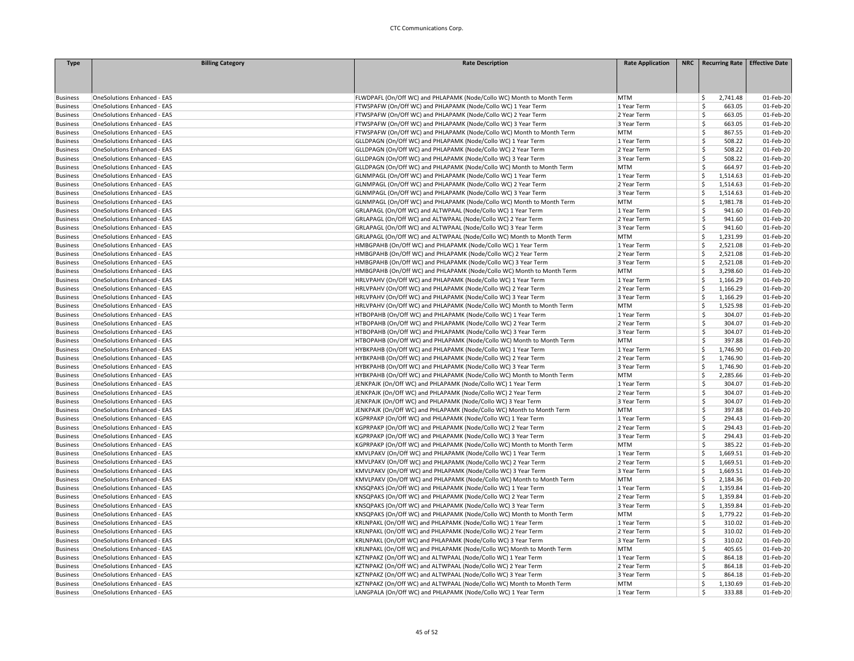| <b>Type</b>                        | <b>Billing Category</b>            | <b>Rate Description</b>                                               | <b>Rate Application</b> | NRC   Recurring Rate   Effective Date |                        |
|------------------------------------|------------------------------------|-----------------------------------------------------------------------|-------------------------|---------------------------------------|------------------------|
|                                    |                                    |                                                                       |                         |                                       |                        |
|                                    |                                    |                                                                       |                         |                                       |                        |
|                                    |                                    |                                                                       |                         |                                       |                        |
| <b>Business</b>                    | OneSolutions Enhanced - EAS        | FLWDPAFL (On/Off WC) and PHLAPAMK (Node/Collo WC) Month to Month Term | <b>MTM</b>              | 2,741.48<br>\$                        | 01-Feb-20              |
| <b>Business</b>                    | OneSolutions Enhanced - EAS        | FTWSPAFW (On/Off WC) and PHLAPAMK (Node/Collo WC) 1 Year Term         | 1 Year Term             | Ś<br>663.05                           | 01-Feb-20              |
| <b>Business</b>                    | <b>OneSolutions Enhanced - EAS</b> | FTWSPAFW (On/Off WC) and PHLAPAMK (Node/Collo WC) 2 Year Term         | 2 Year Term             | Ŝ<br>663.05                           | 01-Feb-20              |
| <b>Business</b>                    | <b>OneSolutions Enhanced - EAS</b> | FTWSPAFW (On/Off WC) and PHLAPAMK (Node/Collo WC) 3 Year Term         | 3 Year Term             | Ś<br>663.05                           | 01-Feb-20              |
| <b>Business</b>                    | <b>OneSolutions Enhanced - EAS</b> | FTWSPAFW (On/Off WC) and PHLAPAMK (Node/Collo WC) Month to Month Term | <b>MTM</b>              | Ś<br>867.55                           | 01-Feb-20              |
| <b>Business</b>                    | OneSolutions Enhanced - EAS        | GLLDPAGN (On/Off WC) and PHLAPAMK (Node/Collo WC) 1 Year Term         | 1 Year Term             | \$<br>508.22                          | 01-Feb-20              |
| <b>Business</b>                    | OneSolutions Enhanced - EAS        | GLLDPAGN (On/Off WC) and PHLAPAMK (Node/Collo WC) 2 Year Term         | 2 Year Term             | \$<br>508.22                          | 01-Feb-20              |
| <b>Business</b>                    | OneSolutions Enhanced - EAS        | GLLDPAGN (On/Off WC) and PHLAPAMK (Node/Collo WC) 3 Year Term         | 3 Year Term             | \$<br>508.22                          | 01-Feb-20              |
| <b>Business</b>                    | <b>OneSolutions Enhanced - EAS</b> | GLLDPAGN (On/Off WC) and PHLAPAMK (Node/Collo WC) Month to Month Term | <b>MTM</b>              | Ŝ<br>664.97                           | 01-Feb-20              |
| <b>Business</b>                    | <b>OneSolutions Enhanced - EAS</b> | GLNMPAGL (On/Off WC) and PHLAPAMK (Node/Collo WC) 1 Year Term         | 1 Year Term             | Ś<br>1,514.63                         | 01-Feb-20              |
| <b>Business</b>                    | OneSolutions Enhanced - EAS        | GLNMPAGL (On/Off WC) and PHLAPAMK (Node/Collo WC) 2 Year Term         | 2 Year Term             | Ś<br>1,514.63                         | 01-Feb-20              |
| <b>Business</b>                    | <b>OneSolutions Enhanced - EAS</b> | GLNMPAGL (On/Off WC) and PHLAPAMK (Node/Collo WC) 3 Year Term         | 3 Year Term             | Ś<br>1,514.63                         | 01-Feb-20              |
| <b>Business</b>                    | <b>OneSolutions Enhanced - EAS</b> | GLNMPAGL (On/Off WC) and PHLAPAMK (Node/Collo WC) Month to Month Term | <b>MTM</b>              | 1,981.78<br>\$                        | 01-Feb-20              |
| <b>Business</b>                    | <b>OneSolutions Enhanced - EAS</b> | GRLAPAGL (On/Off WC) and ALTWPAAL (Node/Collo WC) 1 Year Term         | 1 Year Term             | Ś<br>941.60                           | 01-Feb-20              |
| <b>Business</b>                    | OneSolutions Enhanced - EAS        | GRLAPAGL (On/Off WC) and ALTWPAAL (Node/Collo WC) 2 Year Term         | 2 Year Term             | Ś<br>941.60                           | 01-Feb-20              |
| <b>Business</b>                    | <b>OneSolutions Enhanced - EAS</b> | GRLAPAGL (On/Off WC) and ALTWPAAL (Node/Collo WC) 3 Year Term         | 3 Year Term             | Ś<br>941.60                           | 01-Feb-20              |
| <b>Business</b>                    | OneSolutions Enhanced - EAS        | GRLAPAGL (On/Off WC) and ALTWPAAL (Node/Collo WC) Month to Month Term | <b>MTM</b>              | Ś<br>1,231.99                         | 01-Feb-20              |
| <b>Business</b>                    | <b>OneSolutions Enhanced - EAS</b> | HMBGPAHB (On/Off WC) and PHLAPAMK (Node/Collo WC) 1 Year Term         | 1 Year Term             | Ś<br>2,521.08                         | 01-Feb-20              |
| <b>Business</b>                    | <b>OneSolutions Enhanced - EAS</b> | HMBGPAHB (On/Off WC) and PHLAPAMK (Node/Collo WC) 2 Year Term         | 2 Year Term             | Ś<br>2,521.08                         | 01-Feb-20              |
| <b>Business</b>                    | OneSolutions Enhanced - EAS        | HMBGPAHB (On/Off WC) and PHLAPAMK (Node/Collo WC) 3 Year Term         | 3 Year Term             | Ś<br>2,521.08                         | 01-Feb-20              |
| <b>Business</b>                    | <b>OneSolutions Enhanced - EAS</b> | HMBGPAHB (On/Off WC) and PHLAPAMK (Node/Collo WC) Month to Month Term | <b>MTM</b>              | 3,298.60<br>Ś.                        | 01-Feb-20              |
| <b>Business</b>                    | <b>OneSolutions Enhanced - EAS</b> | HRLVPAHV (On/Off WC) and PHLAPAMK (Node/Collo WC) 1 Year Term         | 1 Year Term             | \$<br>1,166.29                        | 01-Feb-20              |
| <b>Business</b>                    | OneSolutions Enhanced - EAS        | HRLVPAHV (On/Off WC) and PHLAPAMK (Node/Collo WC) 2 Year Term         | 2 Year Term             | Ś<br>1,166.29                         | 01-Feb-20              |
| <b>Business</b>                    | OneSolutions Enhanced - EAS        | HRLVPAHV (On/Off WC) and PHLAPAMK (Node/Collo WC) 3 Year Term         | 3 Year Term             | \$<br>1,166.29                        | 01-Feb-20              |
| <b>Business</b>                    | OneSolutions Enhanced - EAS        | HRLVPAHV (On/Off WC) and PHLAPAMK (Node/Collo WC) Month to Month Term | <b>MTM</b>              | Ś<br>1,525.98                         | 01-Feb-20              |
| <b>Business</b>                    | OneSolutions Enhanced - EAS        | HTBOPAHB (On/Off WC) and PHLAPAMK (Node/Collo WC) 1 Year Term         | 1 Year Term             | Ŝ<br>304.07                           | 01-Feb-20              |
| <b>Business</b>                    | <b>OneSolutions Enhanced - EAS</b> | HTBOPAHB (On/Off WC) and PHLAPAMK (Node/Collo WC) 2 Year Term         | 2 Year Term             | Ś<br>304.07                           | 01-Feb-20              |
| <b>Business</b>                    | <b>OneSolutions Enhanced - EAS</b> | HTBOPAHB (On/Off WC) and PHLAPAMK (Node/Collo WC) 3 Year Term         | 3 Year Term             | Ś<br>304.07                           | 01-Feb-20              |
| <b>Business</b>                    | <b>OneSolutions Enhanced - EAS</b> | HTBOPAHB (On/Off WC) and PHLAPAMK (Node/Collo WC) Month to Month Term | <b>MTM</b>              | Ś<br>397.88                           | 01-Feb-20              |
| <b>Business</b>                    | OneSolutions Enhanced - EAS        | HYBKPAHB (On/Off WC) and PHLAPAMK (Node/Collo WC) 1 Year Term         | 1 Year Term             | \$<br>1,746.90                        | 01-Feb-20              |
| <b>Business</b>                    | OneSolutions Enhanced - EAS        | HYBKPAHB (On/Off WC) and PHLAPAMK (Node/Collo WC) 2 Year Term         | 2 Year Term             | \$<br>1,746.90                        | 01-Feb-20              |
| <b>Business</b>                    | <b>OneSolutions Enhanced - EAS</b> | HYBKPAHB (On/Off WC) and PHLAPAMK (Node/Collo WC) 3 Year Term         | 3 Year Term             | Ś<br>1,746.90                         | 01-Feb-20              |
| <b>Business</b>                    | <b>OneSolutions Enhanced - EAS</b> | HYBKPAHB (On/Off WC) and PHLAPAMK (Node/Collo WC) Month to Month Term | <b>MTM</b>              | Ś<br>2,285.66                         | 01-Feb-20              |
| <b>Business</b>                    | <b>OneSolutions Enhanced - EAS</b> | JENKPAJK (On/Off WC) and PHLAPAMK (Node/Collo WC) 1 Year Term         | 1 Year Term             | Ś<br>304.07                           | 01-Feb-20              |
| <b>Business</b>                    | OneSolutions Enhanced - EAS        | JENKPAJK (On/Off WC) and PHLAPAMK (Node/Collo WC) 2 Year Term         | 2 Year Term             | Ś<br>304.07                           | 01-Feb-20              |
| <b>Business</b>                    | OneSolutions Enhanced - EAS        | JENKPAJK (On/Off WC) and PHLAPAMK (Node/Collo WC) 3 Year Term         | 3 Year Term             | \$<br>304.07                          | 01-Feb-20              |
| <b>Business</b>                    | <b>OneSolutions Enhanced - EAS</b> | JENKPAJK (On/Off WC) and PHLAPAMK (Node/Collo WC) Month to Month Term | <b>MTM</b>              | \$<br>397.88                          | 01-Feb-20              |
| <b>Business</b>                    | <b>OneSolutions Enhanced - EAS</b> | KGPRPAKP (On/Off WC) and PHLAPAMK (Node/Collo WC) 1 Year Term         | 1 Year Term             | 294.43<br>\$                          | 01-Feb-20              |
| <b>Business</b>                    | <b>OneSolutions Enhanced - EAS</b> | KGPRPAKP (On/Off WC) and PHLAPAMK (Node/Collo WC) 2 Year Term         | 2 Year Term             | Ś<br>294.43                           | 01-Feb-20              |
| <b>Business</b>                    | OneSolutions Enhanced - EAS        | KGPRPAKP (On/Off WC) and PHLAPAMK (Node/Collo WC) 3 Year Term         | 3 Year Term             | \$<br>294.43                          | 01-Feb-20              |
| <b>Business</b>                    | <b>OneSolutions Enhanced - EAS</b> | KGPRPAKP (On/Off WC) and PHLAPAMK (Node/Collo WC) Month to Month Term | <b>MTM</b>              | Ś<br>385.22                           | 01-Feb-20              |
| <b>Business</b>                    | <b>OneSolutions Enhanced - EAS</b> | KMVLPAKV (On/Off WC) and PHLAPAMK (Node/Collo WC) 1 Year Term         | 1 Year Term             | \$<br>1,669.51                        | 01-Feb-20              |
|                                    | <b>OneSolutions Enhanced - EAS</b> | KMVLPAKV (On/Off WC) and PHLAPAMK (Node/Collo WC) 2 Year Term         | 2 Year Term             | Ś<br>1,669.51                         | 01-Feb-20              |
| <b>Business</b><br><b>Business</b> | <b>OneSolutions Enhanced - EAS</b> | KMVLPAKV (On/Off WC) and PHLAPAMK (Node/Collo WC) 3 Year Term         | 3 Year Term             | Ś<br>1,669.51                         | 01-Feb-20              |
| <b>Business</b>                    | <b>OneSolutions Enhanced - EAS</b> | KMVLPAKV (On/Off WC) and PHLAPAMK (Node/Collo WC) Month to Month Term | <b>MTM</b>              | Ś<br>2,184.36                         | 01-Feb-20              |
|                                    |                                    |                                                                       |                         |                                       |                        |
| <b>Business</b>                    | <b>OneSolutions Enhanced - EAS</b> | KNSQPAKS (On/Off WC) and PHLAPAMK (Node/Collo WC) 1 Year Term         | 1 Year Term             | 1,359.84<br>\$                        | 01-Feb-20<br>01-Feb-20 |
| <b>Business</b>                    | OneSolutions Enhanced - EAS        | KNSQPAKS (On/Off WC) and PHLAPAMK (Node/Collo WC) 2 Year Term         | 2 Year Term             | \$<br>1,359.84                        |                        |
| <b>Business</b>                    | OneSolutions Enhanced - EAS        | KNSQPAKS (On/Off WC) and PHLAPAMK (Node/Collo WC) 3 Year Term         | 3 Year Term             | \$<br>1,359.84                        | 01-Feb-20              |
| <b>Business</b>                    | OneSolutions Enhanced - EAS        | KNSQPAKS (On/Off WC) and PHLAPAMK (Node/Collo WC) Month to Month Term | <b>MTM</b>              | Ś<br>1,779.22                         | 01-Feb-20              |
| <b>Business</b>                    | OneSolutions Enhanced - EAS        | KRLNPAKL (On/Off WC) and PHLAPAMK (Node/Collo WC) 1 Year Term         | 1 Year Term             | Ŝ<br>310.02                           | 01-Feb-20              |
| <b>Business</b>                    | OneSolutions Enhanced - EAS        | KRLNPAKL (On/Off WC) and PHLAPAMK (Node/Collo WC) 2 Year Term         | 2 Year Term             | Ś<br>310.02                           | 01-Feb-20              |
| <b>Business</b>                    | <b>OneSolutions Enhanced - EAS</b> | KRLNPAKL (On/Off WC) and PHLAPAMK (Node/Collo WC) 3 Year Term         | 3 Year Term             | Ś<br>310.02                           | 01-Feb-20              |
| <b>Business</b>                    | <b>OneSolutions Enhanced - EAS</b> | KRLNPAKL (On/Off WC) and PHLAPAMK (Node/Collo WC) Month to Month Term | <b>MTM</b>              | \$<br>405.65                          | 01-Feb-20              |
| <b>Business</b>                    | <b>OneSolutions Enhanced - EAS</b> | KZTNPAKZ (On/Off WC) and ALTWPAAL (Node/Collo WC) 1 Year Term         | 1 Year Term             | \$<br>864.18                          | 01-Feb-20              |
| <b>Business</b>                    | <b>OneSolutions Enhanced - EAS</b> | KZTNPAKZ (On/Off WC) and ALTWPAAL (Node/Collo WC) 2 Year Term         | 2 Year Term             | Ś<br>864.18                           | 01-Feb-20              |
| <b>Business</b>                    | <b>OneSolutions Enhanced - EAS</b> | KZTNPAKZ (On/Off WC) and ALTWPAAL (Node/Collo WC) 3 Year Term         | 3 Year Term             | Ś<br>864.18                           | 01-Feb-20              |
| <b>Business</b>                    | <b>OneSolutions Enhanced - EAS</b> | KZTNPAKZ (On/Off WC) and ALTWPAAL (Node/Collo WC) Month to Month Term | <b>MTM</b>              | Ś<br>1,130.69                         | 01-Feb-20              |
| <b>Business</b>                    | <b>OneSolutions Enhanced - EAS</b> | LANGPALA (On/Off WC) and PHLAPAMK (Node/Collo WC) 1 Year Term         | 1 Year Term             | Ś<br>333.88                           | 01-Feb-20              |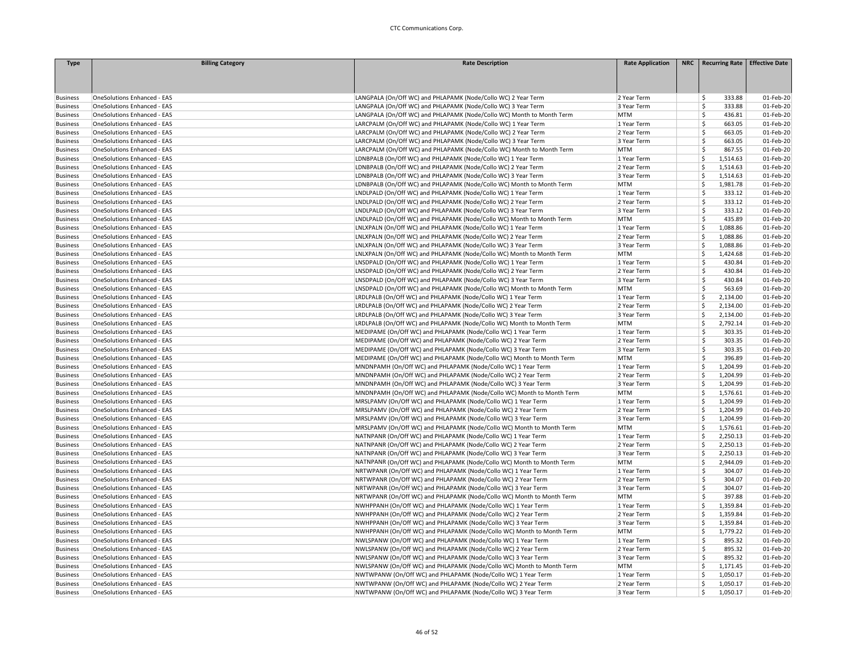| <b>Type</b>                        | <b>Billing Category</b>            | <b>Rate Description</b>                                               | <b>Rate Application</b> | NRC   Recurring Rate   Effective Date |           |
|------------------------------------|------------------------------------|-----------------------------------------------------------------------|-------------------------|---------------------------------------|-----------|
|                                    |                                    |                                                                       |                         |                                       |           |
|                                    |                                    |                                                                       |                         |                                       |           |
|                                    |                                    |                                                                       |                         |                                       |           |
| <b>Business</b>                    | OneSolutions Enhanced - EAS        | LANGPALA (On/Off WC) and PHLAPAMK (Node/Collo WC) 2 Year Term         | 2 Year Term             | 333.88<br>\$.                         | 01-Feb-20 |
| <b>Business</b>                    | OneSolutions Enhanced - EAS        | LANGPALA (On/Off WC) and PHLAPAMK (Node/Collo WC) 3 Year Term         | 3 Year Term             | \$<br>333.88                          | 01-Feb-20 |
| <b>Business</b>                    | <b>OneSolutions Enhanced - EAS</b> | LANGPALA (On/Off WC) and PHLAPAMK (Node/Collo WC) Month to Month Term | <b>MTM</b>              | Ś<br>436.81                           | 01-Feb-20 |
| <b>Business</b>                    | <b>OneSolutions Enhanced - EAS</b> | LARCPALM (On/Off WC) and PHLAPAMK (Node/Collo WC) 1 Year Term         | 1 Year Term             | Ŝ<br>663.05                           | 01-Feb-20 |
| <b>Business</b>                    | <b>OneSolutions Enhanced - EAS</b> | LARCPALM (On/Off WC) and PHLAPAMK (Node/Collo WC) 2 Year Term         | 2 Year Term             | \$<br>663.05                          | 01-Feb-20 |
| <b>Business</b>                    | OneSolutions Enhanced - EAS        | LARCPALM (On/Off WC) and PHLAPAMK (Node/Collo WC) 3 Year Term         | 3 Year Term             | \$<br>663.05                          | 01-Feb-20 |
| <b>Business</b>                    | OneSolutions Enhanced - EAS        | LARCPALM (On/Off WC) and PHLAPAMK (Node/Collo WC) Month to Month Term | <b>MTM</b>              | \$<br>867.55                          | 01-Feb-20 |
| <b>Business</b>                    | <b>OneSolutions Enhanced - EAS</b> | LDNBPALB (On/Off WC) and PHLAPAMK (Node/Collo WC) 1 Year Term         | 1 Year Term             | \$<br>1,514.63                        | 01-Feb-20 |
| <b>Business</b>                    | <b>OneSolutions Enhanced - EAS</b> | LDNBPALB (On/Off WC) and PHLAPAMK (Node/Collo WC) 2 Year Term         | 2 Year Term             | -Ś<br>1,514.63                        | 01-Feb-20 |
| <b>Business</b>                    | <b>OneSolutions Enhanced - EAS</b> | LDNBPALB (On/Off WC) and PHLAPAMK (Node/Collo WC) 3 Year Term         | 3 Year Term             | Ś<br>1,514.63                         | 01-Feb-20 |
| <b>Business</b>                    | OneSolutions Enhanced - EAS        | LDNBPALB (On/Off WC) and PHLAPAMK (Node/Collo WC) Month to Month Term | <b>MTM</b>              | Ś<br>1,981.78                         | 01-Feb-20 |
|                                    | <b>OneSolutions Enhanced - EAS</b> | LNDLPALD (On/Off WC) and PHLAPAMK (Node/Collo WC) 1 Year Term         | 1 Year Term             | Ś<br>333.12                           | 01-Feb-20 |
| <b>Business</b>                    |                                    |                                                                       |                         |                                       |           |
| <b>Business</b>                    | <b>OneSolutions Enhanced - EAS</b> | LNDLPALD (On/Off WC) and PHLAPAMK (Node/Collo WC) 2 Year Term         | 2 Year Term             | \$<br>333.12                          | 01-Feb-20 |
| <b>Business</b>                    | <b>OneSolutions Enhanced - EAS</b> | LNDLPALD (On/Off WC) and PHLAPAMK (Node/Collo WC) 3 Year Term         | 3 Year Term             | Ś<br>333.12                           | 01-Feb-20 |
| <b>Business</b>                    | <b>OneSolutions Enhanced - EAS</b> | LNDLPALD (On/Off WC) and PHLAPAMK (Node/Collo WC) Month to Month Term | <b>MTM</b>              | Ś<br>435.89                           | 01-Feb-20 |
| <b>Business</b>                    | <b>OneSolutions Enhanced - EAS</b> | LNLXPALN (On/Off WC) and PHLAPAMK (Node/Collo WC) 1 Year Term         | 1 Year Term             | \$.<br>1,088.86                       | 01-Feb-20 |
| <b>Business</b>                    | OneSolutions Enhanced - EAS        | LNLXPALN (On/Off WC) and PHLAPAMK (Node/Collo WC) 2 Year Term         | 2 Year Term             | -Ś<br>1,088.86                        | 01-Feb-20 |
| <b>Business</b>                    | <b>OneSolutions Enhanced - EAS</b> | LNLXPALN (On/Off WC) and PHLAPAMK (Node/Collo WC) 3 Year Term         | 3 Year Term             | <sub>S</sub><br>1,088.86              | 01-Feb-20 |
| <b>Business</b>                    | <b>OneSolutions Enhanced - EAS</b> | LNLXPALN (On/Off WC) and PHLAPAMK (Node/Collo WC) Month to Month Term | <b>MTM</b>              | <sub>S</sub><br>1,424.68              | 01-Feb-20 |
| <b>Business</b>                    | <b>OneSolutions Enhanced - EAS</b> | LNSDPALD (On/Off WC) and PHLAPAMK (Node/Collo WC) 1 Year Term         | 1 Year Term             | Ś<br>430.84                           | 01-Feb-20 |
| <b>Business</b>                    | <b>OneSolutions Enhanced - EAS</b> | LNSDPALD (On/Off WC) and PHLAPAMK (Node/Collo WC) 2 Year Term         | 2 Year Term             | \$<br>430.84                          | 01-Feb-20 |
| <b>Business</b>                    | <b>OneSolutions Enhanced - EAS</b> | LNSDPALD (On/Off WC) and PHLAPAMK (Node/Collo WC) 3 Year Term         | 3 Year Term             | \$<br>430.84                          | 01-Feb-20 |
| <b>Business</b>                    | OneSolutions Enhanced - EAS        | LNSDPALD (On/Off WC) and PHLAPAMK (Node/Collo WC) Month to Month Term | <b>MTM</b>              | Ś<br>563.69                           | 01-Feb-20 |
| <b>Business</b>                    | OneSolutions Enhanced - EAS        | LRDLPALB (On/Off WC) and PHLAPAMK (Node/Collo WC) 1 Year Term         | 1 Year Term             | $\mathsf{\hat{S}}$<br>2,134.00        | 01-Feb-20 |
| <b>Business</b>                    | OneSolutions Enhanced - EAS        | LRDLPALB (On/Off WC) and PHLAPAMK (Node/Collo WC) 2 Year Term         | 2 Year Term             | \$<br>2,134.00                        | 01-Feb-20 |
| <b>Business</b>                    | <b>OneSolutions Enhanced - EAS</b> | LRDLPALB (On/Off WC) and PHLAPAMK (Node/Collo WC) 3 Year Term         | 3 Year Term             | -Ś<br>2,134.00                        | 01-Feb-20 |
| <b>Business</b>                    | <b>OneSolutions Enhanced - EAS</b> | LRDLPALB (On/Off WC) and PHLAPAMK (Node/Collo WC) Month to Month Term | <b>MTM</b>              | -Ś<br>2,792.14                        | 01-Feb-20 |
| <b>Business</b>                    | <b>OneSolutions Enhanced - EAS</b> | MEDIPAME (On/Off WC) and PHLAPAMK (Node/Collo WC) 1 Year Term         | 1 Year Term             | Ś<br>303.35                           | 01-Feb-20 |
| <b>Business</b>                    | <b>OneSolutions Enhanced - EAS</b> | MEDIPAME (On/Off WC) and PHLAPAMK (Node/Collo WC) 2 Year Term         | 2 Year Term             | Ś<br>303.35                           | 01-Feb-20 |
| <b>Business</b>                    | OneSolutions Enhanced - EAS        | MEDIPAME (On/Off WC) and PHLAPAMK (Node/Collo WC) 3 Year Term         | 3 Year Term             | \$<br>303.35                          | 01-Feb-20 |
| <b>Business</b>                    | OneSolutions Enhanced - EAS        | MEDIPAME (On/Off WC) and PHLAPAMK (Node/Collo WC) Month to Month Term | <b>MTM</b>              | \$<br>396.89                          | 01-Feb-20 |
| <b>Business</b>                    | <b>OneSolutions Enhanced - EAS</b> | MNDNPAMH (On/Off WC) and PHLAPAMK (Node/Collo WC) 1 Year Term         | 1 Year Term             | \$<br>1,204.99                        | 01-Feb-20 |
| <b>Business</b>                    | <b>OneSolutions Enhanced - EAS</b> | MNDNPAMH (On/Off WC) and PHLAPAMK (Node/Collo WC) 2 Year Term         | 2 Year Term             | -Ś<br>1,204.99                        | 01-Feb-20 |
| <b>Business</b>                    | <b>OneSolutions Enhanced - EAS</b> | MNDNPAMH (On/Off WC) and PHLAPAMK (Node/Collo WC) 3 Year Term         | 3 Year Term             | Ś<br>1,204.99                         | 01-Feb-20 |
| <b>Business</b>                    | OneSolutions Enhanced - EAS        | MNDNPAMH (On/Off WC) and PHLAPAMK (Node/Collo WC) Month to Month Term | <b>MTM</b>              | Ś<br>1,576.61                         | 01-Feb-20 |
| <b>Business</b>                    | OneSolutions Enhanced - EAS        | MRSLPAMV (On/Off WC) and PHLAPAMK (Node/Collo WC) 1 Year Term         | 1 Year Term             | <sub>S</sub><br>1,204.99              | 01-Feb-20 |
| <b>Business</b>                    | <b>OneSolutions Enhanced - EAS</b> | MRSLPAMV (On/Off WC) and PHLAPAMK (Node/Collo WC) 2 Year Term         | 2 Year Term             | \$<br>1,204.99                        | 01-Feb-20 |
| <b>Business</b>                    | <b>OneSolutions Enhanced - EAS</b> | MRSLPAMV (On/Off WC) and PHLAPAMK (Node/Collo WC) 3 Year Term         | 3 Year Term             | <b>S</b><br>1,204.99                  | 01-Feb-20 |
| <b>Business</b>                    | <b>OneSolutions Enhanced - EAS</b> | MRSLPAMV (On/Off WC) and PHLAPAMK (Node/Collo WC) Month to Month Term | <b>MTM</b>              | Ś<br>1,576.61                         | 01-Feb-20 |
| <b>Business</b>                    | OneSolutions Enhanced - EAS        | NATNPANR (On/Off WC) and PHLAPAMK (Node/Collo WC) 1 Year Term         | 1 Year Term             | -Ś<br>2,250.13                        | 01-Feb-20 |
| <b>Business</b>                    | <b>OneSolutions Enhanced - EAS</b> | NATNPANR (On/Off WC) and PHLAPAMK (Node/Collo WC) 2 Year Term         | 2 Year Term             | Ś<br>2,250.13                         | 01-Feb-20 |
| <b>Business</b>                    | <b>OneSolutions Enhanced - EAS</b> | NATNPANR (On/Off WC) and PHLAPAMK (Node/Collo WC) 3 Year Term         | 3 Year Term             | 2,250.13<br>\$                        | 01-Feb-20 |
|                                    | <b>OneSolutions Enhanced - EAS</b> | NATNPANR (On/Off WC) and PHLAPAMK (Node/Collo WC) Month to Month Term | <b>MTM</b>              | Ś<br>2,944.09                         | 01-Feb-20 |
| <b>Business</b><br><b>Business</b> | <b>OneSolutions Enhanced - EAS</b> | NRTWPANR (On/Off WC) and PHLAPAMK (Node/Collo WC) 1 Year Term         | 1 Year Term             | Ś<br>304.07                           | 01-Feb-20 |
|                                    |                                    |                                                                       |                         |                                       |           |
| <b>Business</b>                    | <b>OneSolutions Enhanced - EAS</b> | NRTWPANR (On/Off WC) and PHLAPAMK (Node/Collo WC) 2 Year Term         | 2 Year Term             | \$<br>304.07<br>Ś                     | 01-Feb-20 |
| <b>Business</b>                    | <b>OneSolutions Enhanced - EAS</b> | NRTWPANR (On/Off WC) and PHLAPAMK (Node/Collo WC) 3 Year Term         | 3 Year Term             | 304.07                                | 01-Feb-20 |
| <b>Business</b>                    | OneSolutions Enhanced - EAS        | NRTWPANR (On/Off WC) and PHLAPAMK (Node/Collo WC) Month to Month Term | <b>MTM</b>              | \$<br>397.88                          | 01-Feb-20 |
| <b>Business</b>                    | OneSolutions Enhanced - EAS        | NWHPPANH (On/Off WC) and PHLAPAMK (Node/Collo WC) 1 Year Term         | 1 Year Term             | \$<br>1,359.84                        | 01-Feb-20 |
| <b>Business</b>                    | OneSolutions Enhanced - EAS        | NWHPPANH (On/Off WC) and PHLAPAMK (Node/Collo WC) 2 Year Term         | 2 Year Term             | \$<br>1,359.84                        | 01-Feb-20 |
| <b>Business</b>                    | OneSolutions Enhanced - EAS        | NWHPPANH (On/Off WC) and PHLAPAMK (Node/Collo WC) 3 Year Term         | 3 Year Term             | 1,359.84<br>-Ś                        | 01-Feb-20 |
| <b>Business</b>                    | <b>OneSolutions Enhanced - EAS</b> | NWHPPANH (On/Off WC) and PHLAPAMK (Node/Collo WC) Month to Month Term | <b>MTM</b>              | -Ś<br>1,779.22                        | 01-Feb-20 |
| <b>Business</b>                    | <b>OneSolutions Enhanced - EAS</b> | NWLSPANW (On/Off WC) and PHLAPAMK (Node/Collo WC) 1 Year Term         | 1 Year Term             | Ś<br>895.32                           | 01-Feb-20 |
| <b>Business</b>                    | <b>OneSolutions Enhanced - EAS</b> | NWLSPANW (On/Off WC) and PHLAPAMK (Node/Collo WC) 2 Year Term         | 2 Year Term             | \$<br>895.32                          | 01-Feb-20 |
| <b>Business</b>                    | <b>OneSolutions Enhanced - EAS</b> | NWLSPANW (On/Off WC) and PHLAPAMK (Node/Collo WC) 3 Year Term         | 3 Year Term             | \$<br>895.32                          | 01-Feb-20 |
| <b>Business</b>                    | <b>OneSolutions Enhanced - EAS</b> | NWLSPANW (On/Off WC) and PHLAPAMK (Node/Collo WC) Month to Month Term | <b>MTM</b>              | <sub>S</sub><br>1,171.45              | 01-Feb-20 |
| <b>Business</b>                    | <b>OneSolutions Enhanced - EAS</b> | NWTWPANW (On/Off WC) and PHLAPAMK (Node/Collo WC) 1 Year Term         | 1 Year Term             | -Ś<br>1,050.17                        | 01-Feb-20 |
| <b>Business</b>                    | <b>OneSolutions Enhanced - EAS</b> | NWTWPANW (On/Off WC) and PHLAPAMK (Node/Collo WC) 2 Year Term         | 2 Year Term             | -Ś<br>1,050.17                        | 01-Feb-20 |
| <b>Business</b>                    | OneSolutions Enhanced - EAS        | NWTWPANW (On/Off WC) and PHLAPAMK (Node/Collo WC) 3 Year Term         | 3 Year Term             | <sub>S</sub><br>1,050.17              | 01-Feb-20 |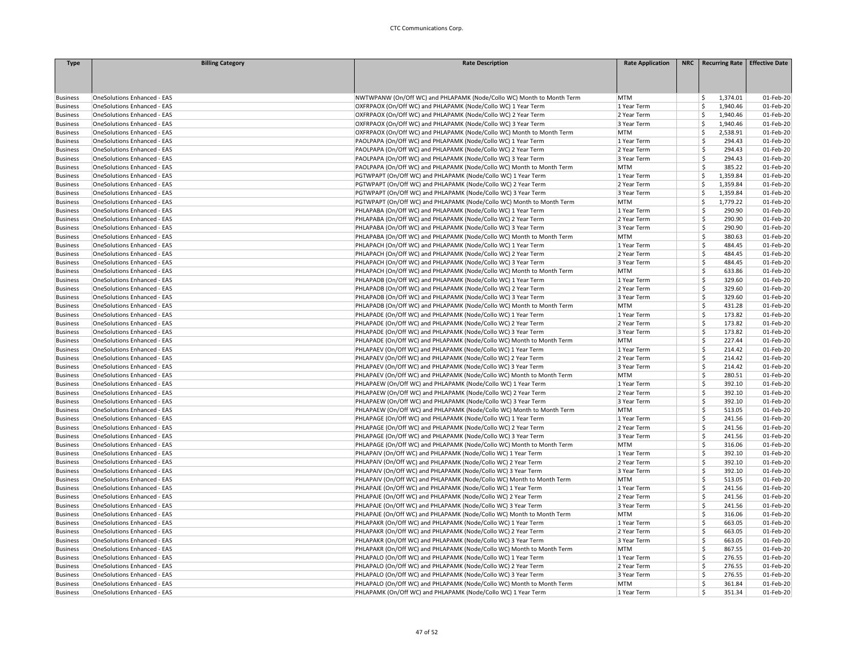| <b>Type</b>     | <b>Billing Category</b>            | <b>Rate Description</b>                                                                                                                | <b>Rate Application</b> | NRC   Recurring Rate   Effective Date |                        |
|-----------------|------------------------------------|----------------------------------------------------------------------------------------------------------------------------------------|-------------------------|---------------------------------------|------------------------|
|                 |                                    |                                                                                                                                        |                         |                                       |                        |
|                 |                                    |                                                                                                                                        |                         |                                       |                        |
|                 |                                    |                                                                                                                                        |                         |                                       |                        |
| <b>Business</b> | OneSolutions Enhanced - EAS        | NWTWPANW (On/Off WC) and PHLAPAMK (Node/Collo WC) Month to Month Term                                                                  | <b>MTM</b>              | 1,374.01<br>\$                        | 01-Feb-20              |
| <b>Business</b> | OneSolutions Enhanced - EAS        | OXFRPAOX (On/Off WC) and PHLAPAMK (Node/Collo WC) 1 Year Term                                                                          | 1 Year Term             | Ś<br>1,940.46                         | 01-Feb-20              |
| <b>Business</b> | <b>OneSolutions Enhanced - EAS</b> | OXFRPAOX (On/Off WC) and PHLAPAMK (Node/Collo WC) 2 Year Term                                                                          | 2 Year Term             | 1,940.46<br>Ś.                        | 01-Feb-20              |
| <b>Business</b> | <b>OneSolutions Enhanced - EAS</b> | OXFRPAOX (On/Off WC) and PHLAPAMK (Node/Collo WC) 3 Year Term                                                                          | 3 Year Term             | Ś<br>1,940.46                         | 01-Feb-20              |
| <b>Business</b> | <b>OneSolutions Enhanced - EAS</b> | OXFRPAOX (On/Off WC) and PHLAPAMK (Node/Collo WC) Month to Month Term                                                                  | <b>MTM</b>              | Ś<br>2,538.91                         | 01-Feb-20              |
| <b>Business</b> | OneSolutions Enhanced - EAS        | PAOLPAPA (On/Off WC) and PHLAPAMK (Node/Collo WC) 1 Year Term                                                                          | 1 Year Term             | \$<br>294.43                          | 01-Feb-20              |
| <b>Business</b> | <b>OneSolutions Enhanced - EAS</b> | PAOLPAPA (On/Off WC) and PHLAPAMK (Node/Collo WC) 2 Year Term                                                                          | 2 Year Term             | Ś<br>294.43                           | 01-Feb-20              |
| <b>Business</b> | <b>OneSolutions Enhanced - EAS</b> | PAOLPAPA (On/Off WC) and PHLAPAMK (Node/Collo WC) 3 Year Term                                                                          | 3 Year Term             | Ś<br>294.43                           | 01-Feb-20              |
| <b>Business</b> | <b>OneSolutions Enhanced - EAS</b> | PAOLPAPA (On/Off WC) and PHLAPAMK (Node/Collo WC) Month to Month Term                                                                  | <b>MTM</b>              | Š.<br>385.22                          | 01-Feb-20              |
| <b>Business</b> | <b>OneSolutions Enhanced - EAS</b> | PGTWPAPT (On/Off WC) and PHLAPAMK (Node/Collo WC) 1 Year Term                                                                          | 1 Year Term             | Ś<br>1,359.84                         | 01-Feb-20              |
| <b>Business</b> | OneSolutions Enhanced - EAS        | PGTWPAPT (On/Off WC) and PHLAPAMK (Node/Collo WC) 2 Year Term                                                                          | 2 Year Term             | Ś<br>1,359.84                         | 01-Feb-20              |
| <b>Business</b> | <b>OneSolutions Enhanced - EAS</b> | PGTWPAPT (On/Off WC) and PHLAPAMK (Node/Collo WC) 3 Year Term                                                                          | 3 Year Term             | \$<br>1,359.84                        | 01-Feb-20              |
| <b>Business</b> | OneSolutions Enhanced - EAS        | PGTWPAPT (On/Off WC) and PHLAPAMK (Node/Collo WC) Month to Month Term                                                                  | <b>MTM</b>              | \$<br>1,779.22                        | 01-Feb-20              |
| <b>Business</b> | <b>OneSolutions Enhanced - EAS</b> | PHLAPABA (On/Off WC) and PHLAPAMK (Node/Collo WC) 1 Year Term                                                                          | 1 Year Term             | Ś.<br>290.90                          | 01-Feb-20              |
| <b>Business</b> | <b>OneSolutions Enhanced - EAS</b> | PHLAPABA (On/Off WC) and PHLAPAMK (Node/Collo WC) 2 Year Term                                                                          | 2 Year Term             | Ś<br>290.90                           | 01-Feb-20              |
| <b>Business</b> | <b>OneSolutions Enhanced - EAS</b> | PHLAPABA (On/Off WC) and PHLAPAMK (Node/Collo WC) 3 Year Term                                                                          | 3 Year Term             | Ś.<br>290.90                          | 01-Feb-20              |
| <b>Business</b> | <b>OneSolutions Enhanced - EAS</b> | PHLAPABA (On/Off WC) and PHLAPAMK (Node/Collo WC) Month to Month Term                                                                  | <b>MTM</b>              | Ś<br>380.63                           | 01-Feb-20              |
| <b>Business</b> | <b>OneSolutions Enhanced - EAS</b> | PHLAPACH (On/Off WC) and PHLAPAMK (Node/Collo WC) 1 Year Term                                                                          | 1 Year Term             | Ś<br>484.45                           | 01-Feb-20              |
| <b>Business</b> | <b>OneSolutions Enhanced - EAS</b> | PHLAPACH (On/Off WC) and PHLAPAMK (Node/Collo WC) 2 Year Term                                                                          | 2 Year Term             | \$<br>484.45                          | 01-Feb-20              |
| <b>Business</b> | <b>OneSolutions Enhanced - EAS</b> | PHLAPACH (On/Off WC) and PHLAPAMK (Node/Collo WC) 3 Year Term                                                                          | 3 Year Term             | Ś<br>484.45                           | 01-Feb-20              |
| <b>Business</b> | <b>OneSolutions Enhanced - EAS</b> | PHLAPACH (On/Off WC) and PHLAPAMK (Node/Collo WC) Month to Month Term                                                                  | <b>MTM</b>              | Ś.<br>633.86                          | 01-Feb-20              |
| <b>Business</b> | OneSolutions Enhanced - EAS        | PHLAPADB (On/Off WC) and PHLAPAMK (Node/Collo WC) 1 Year Term                                                                          | 1 Year Term             | Ś<br>329.60                           | 01-Feb-20              |
| <b>Business</b> | <b>OneSolutions Enhanced - EAS</b> | PHLAPADB (On/Off WC) and PHLAPAMK (Node/Collo WC) 2 Year Term                                                                          | 2 Year Term             | Ś<br>329.60                           | 01-Feb-20              |
|                 | <b>OneSolutions Enhanced - EAS</b> | PHLAPADB (On/Off WC) and PHLAPAMK (Node/Collo WC) 3 Year Term                                                                          | 3 Year Term             | Ś<br>329.60                           | 01-Feb-20              |
| <b>Business</b> |                                    |                                                                                                                                        | <b>MTM</b>              | Ś                                     |                        |
| <b>Business</b> | <b>OneSolutions Enhanced - EAS</b> | PHLAPADB (On/Off WC) and PHLAPAMK (Node/Collo WC) Month to Month Term<br>PHLAPADE (On/Off WC) and PHLAPAMK (Node/Collo WC) 1 Year Term |                         | 431.28<br>Š.<br>173.82                | 01-Feb-20<br>01-Feb-20 |
| <b>Business</b> | <b>OneSolutions Enhanced - EAS</b> |                                                                                                                                        | 1 Year Term             | \$                                    |                        |
| <b>Business</b> | <b>OneSolutions Enhanced - EAS</b> | PHLAPADE (On/Off WC) and PHLAPAMK (Node/Collo WC) 2 Year Term                                                                          | 2 Year Term             | 173.82                                | 01-Feb-20              |
| <b>Business</b> | <b>OneSolutions Enhanced - EAS</b> | PHLAPADE (On/Off WC) and PHLAPAMK (Node/Collo WC) 3 Year Term                                                                          | 3 Year Term             | Ś<br>173.82<br>Ś                      | 01-Feb-20              |
| <b>Business</b> | OneSolutions Enhanced - EAS        | PHLAPADE (On/Off WC) and PHLAPAMK (Node/Collo WC) Month to Month Term                                                                  | <b>MTM</b>              | 227.44                                | 01-Feb-20              |
| <b>Business</b> | <b>OneSolutions Enhanced - EAS</b> | PHLAPAEV (On/Off WC) and PHLAPAMK (Node/Collo WC) 1 Year Term                                                                          | 1 Year Term             | Ś<br>214.42                           | 01-Feb-20              |
| <b>Business</b> | OneSolutions Enhanced - EAS        | PHLAPAEV (On/Off WC) and PHLAPAMK (Node/Collo WC) 2 Year Term                                                                          | 2 Year Term             | Ś.<br>214.42                          | 01-Feb-20              |
| <b>Business</b> | <b>OneSolutions Enhanced - EAS</b> | PHLAPAEV (On/Off WC) and PHLAPAMK (Node/Collo WC) 3 Year Term                                                                          | 3 Year Term             | Ś<br>214.42                           | 01-Feb-20              |
| <b>Business</b> | <b>OneSolutions Enhanced - EAS</b> | PHLAPAEV (On/Off WC) and PHLAPAMK (Node/Collo WC) Month to Month Term                                                                  | <b>MTM</b>              | 280.51<br>\$                          | 01-Feb-20              |
| <b>Business</b> | OneSolutions Enhanced - EAS        | PHLAPAEW (On/Off WC) and PHLAPAMK (Node/Collo WC) 1 Year Term                                                                          | 1 Year Term             | Ś<br>392.10                           | 01-Feb-20              |
| <b>Business</b> | OneSolutions Enhanced - EAS        | PHLAPAEW (On/Off WC) and PHLAPAMK (Node/Collo WC) 2 Year Term                                                                          | 2 Year Term             | \$<br>392.10                          | 01-Feb-20              |
| <b>Business</b> | OneSolutions Enhanced - EAS        | PHLAPAEW (On/Off WC) and PHLAPAMK (Node/Collo WC) 3 Year Term                                                                          | 3 Year Term             | \$<br>392.10                          | 01-Feb-20              |
| <b>Business</b> | <b>OneSolutions Enhanced - EAS</b> | PHLAPAEW (On/Off WC) and PHLAPAMK (Node/Collo WC) Month to Month Term                                                                  | <b>MTM</b>              | Ś<br>513.05                           | 01-Feb-20              |
| <b>Business</b> | <b>OneSolutions Enhanced - EAS</b> | PHLAPAGE (On/Off WC) and PHLAPAMK (Node/Collo WC) 1 Year Term                                                                          | 1 Year Term             | Ś<br>241.56                           | 01-Feb-20              |
| <b>Business</b> | <b>OneSolutions Enhanced - EAS</b> | PHLAPAGE (On/Off WC) and PHLAPAMK (Node/Collo WC) 2 Year Term                                                                          | 2 Year Term             | Ś<br>241.56                           | 01-Feb-20              |
| <b>Business</b> | OneSolutions Enhanced - EAS        | PHLAPAGE (On/Off WC) and PHLAPAMK (Node/Collo WC) 3 Year Term                                                                          | 3 Year Term             | Ś<br>241.56                           | 01-Feb-20              |
| <b>Business</b> | <b>OneSolutions Enhanced - EAS</b> | PHLAPAGE (On/Off WC) and PHLAPAMK (Node/Collo WC) Month to Month Term                                                                  | <b>MTM</b>              | \$<br>316.06                          | 01-Feb-20              |
| <b>Business</b> | <b>OneSolutions Enhanced - EAS</b> | PHLAPAIV (On/Off WC) and PHLAPAMK (Node/Collo WC) 1 Year Term                                                                          | 1 Year Term             | \$<br>392.10                          | 01-Feb-20              |
| <b>Business</b> | <b>OneSolutions Enhanced - EAS</b> | PHLAPAIV (On/Off WC) and PHLAPAMK (Node/Collo WC) 2 Year Term                                                                          | 2 Year Term             | Ś<br>392.10                           | 01-Feb-20              |
| <b>Business</b> | <b>OneSolutions Enhanced - EAS</b> | PHLAPAIV (On/Off WC) and PHLAPAMK (Node/Collo WC) 3 Year Term                                                                          | 3 Year Term             | Ś<br>392.10                           | 01-Feb-20              |
| <b>Business</b> | <b>OneSolutions Enhanced - EAS</b> | PHLAPAIV (On/Off WC) and PHLAPAMK (Node/Collo WC) Month to Month Term                                                                  | <b>MTM</b>              | Ś<br>513.05                           | 01-Feb-20              |
| <b>Business</b> | <b>OneSolutions Enhanced - EAS</b> | PHLAPAJE (On/Off WC) and PHLAPAMK (Node/Collo WC) 1 Year Term                                                                          | 1 Year Term             | Ś<br>241.56                           | 01-Feb-20              |
| <b>Business</b> | <b>OneSolutions Enhanced - EAS</b> | PHLAPAJE (On/Off WC) and PHLAPAMK (Node/Collo WC) 2 Year Term                                                                          | 2 Year Term             | \$<br>241.56                          | 01-Feb-20              |
| <b>Business</b> | <b>OneSolutions Enhanced - EAS</b> | PHLAPAJE (On/Off WC) and PHLAPAMK (Node/Collo WC) 3 Year Term                                                                          | 3 Year Term             | Ś<br>241.56                           | 01-Feb-20              |
| <b>Business</b> | OneSolutions Enhanced - EAS        | PHLAPAJE (On/Off WC) and PHLAPAMK (Node/Collo WC) Month to Month Term                                                                  | <b>MTM</b>              | Ś<br>316.06                           | 01-Feb-20              |
| <b>Business</b> | <b>OneSolutions Enhanced - EAS</b> | PHLAPAKR (On/Off WC) and PHLAPAMK (Node/Collo WC) 1 Year Term                                                                          | 1 Year Term             | Ś.<br>663.05                          | 01-Feb-20              |
| <b>Business</b> | <b>OneSolutions Enhanced - EAS</b> | PHLAPAKR (On/Off WC) and PHLAPAMK (Node/Collo WC) 2 Year Term                                                                          | 2 Year Term             | Ś<br>663.05                           | 01-Feb-20              |
| <b>Business</b> | <b>OneSolutions Enhanced - EAS</b> | PHLAPAKR (On/Off WC) and PHLAPAMK (Node/Collo WC) 3 Year Term                                                                          | 3 Year Term             | \$<br>663.05                          | 01-Feb-20              |
| <b>Business</b> | <b>OneSolutions Enhanced - EAS</b> | PHLAPAKR (On/Off WC) and PHLAPAMK (Node/Collo WC) Month to Month Term                                                                  | <b>MTM</b>              | Ś<br>867.55                           | 01-Feb-20              |
| <b>Business</b> | OneSolutions Enhanced - EAS        | PHLAPALO (On/Off WC) and PHLAPAMK (Node/Collo WC) 1 Year Term                                                                          | 1 Year Term             | Ś<br>276.55                           | 01-Feb-20              |
| <b>Business</b> | <b>OneSolutions Enhanced - EAS</b> | PHLAPALO (On/Off WC) and PHLAPAMK (Node/Collo WC) 2 Year Term                                                                          | 2 Year Term             | Ś<br>276.55                           | 01-Feb-20              |
| <b>Business</b> | OneSolutions Enhanced - EAS        | PHLAPALO (On/Off WC) and PHLAPAMK (Node/Collo WC) 3 Year Term                                                                          | 3 Year Term             | Ś<br>276.55                           | 01-Feb-20              |
| <b>Business</b> | <b>OneSolutions Enhanced - EAS</b> | PHLAPALO (On/Off WC) and PHLAPAMK (Node/Collo WC) Month to Month Term                                                                  | <b>MTM</b>              | Ś<br>361.84                           | 01-Feb-20              |
| <b>Business</b> | <b>OneSolutions Enhanced - EAS</b> | PHLAPAMK (On/Off WC) and PHLAPAMK (Node/Collo WC) 1 Year Term                                                                          | 1 Year Term             | Ś<br>351.34                           | 01-Feb-20              |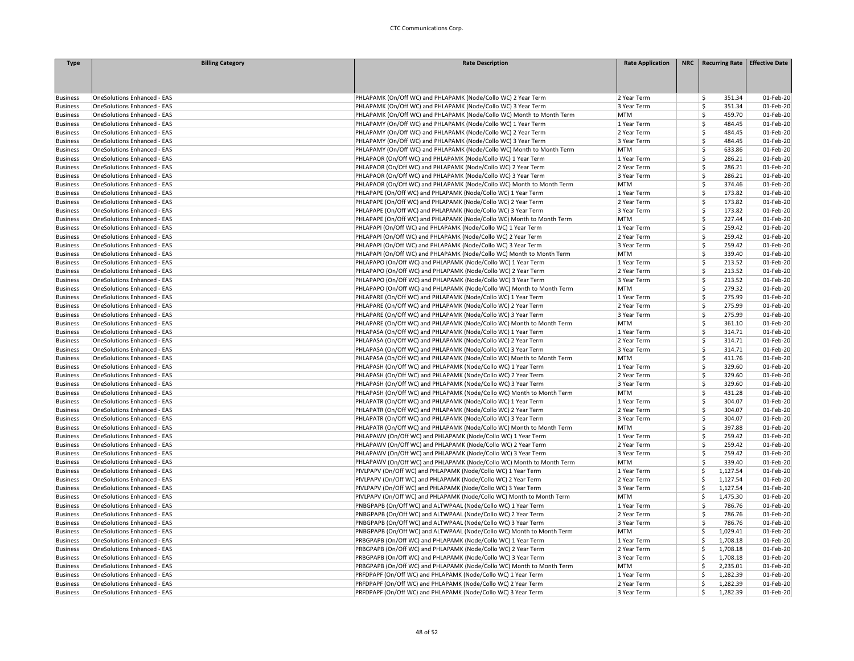| <b>Type</b>     | <b>Billing Category</b>            | <b>Rate Description</b>                                                                                                        | <b>Rate Application</b>   | NRC   Recurring Rate   Effective Date |                        |
|-----------------|------------------------------------|--------------------------------------------------------------------------------------------------------------------------------|---------------------------|---------------------------------------|------------------------|
|                 |                                    |                                                                                                                                |                           |                                       |                        |
|                 |                                    |                                                                                                                                |                           |                                       |                        |
|                 |                                    |                                                                                                                                |                           |                                       |                        |
| <b>Business</b> | OneSolutions Enhanced - EAS        | PHLAPAMK (On/Off WC) and PHLAPAMK (Node/Collo WC) 2 Year Term                                                                  | 2 Year Term               | 351.34<br>\$                          | 01-Feb-20              |
| <b>Business</b> | OneSolutions Enhanced - EAS        | PHLAPAMK (On/Off WC) and PHLAPAMK (Node/Collo WC) 3 Year Term                                                                  | 3 Year Term               | Ś<br>351.34                           | 01-Feb-20              |
| <b>Business</b> | OneSolutions Enhanced - EAS        | PHLAPAMK (On/Off WC) and PHLAPAMK (Node/Collo WC) Month to Month Term                                                          | <b>MTM</b>                | Ś<br>459.70                           | 01-Feb-20              |
| <b>Business</b> | <b>OneSolutions Enhanced - EAS</b> | PHLAPAMY (On/Off WC) and PHLAPAMK (Node/Collo WC) 1 Year Term                                                                  | 1 Year Term               | Ś<br>484.45                           | 01-Feb-20              |
| <b>Business</b> | <b>OneSolutions Enhanced - EAS</b> | PHLAPAMY (On/Off WC) and PHLAPAMK (Node/Collo WC) 2 Year Term                                                                  | 2 Year Term               | Ś<br>484.45                           | 01-Feb-20              |
| <b>Business</b> | <b>OneSolutions Enhanced - EAS</b> | PHLAPAMY (On/Off WC) and PHLAPAMK (Node/Collo WC) 3 Year Term                                                                  | 3 Year Term               | Ś<br>484.45                           | 01-Feb-20              |
| <b>Business</b> | <b>OneSolutions Enhanced - EAS</b> | PHLAPAMY (On/Off WC) and PHLAPAMK (Node/Collo WC) Month to Month Term                                                          | <b>MTM</b>                | \$<br>633.86                          | 01-Feb-20              |
| <b>Business</b> | <b>OneSolutions Enhanced - EAS</b> | PHLAPAOR (On/Off WC) and PHLAPAMK (Node/Collo WC) 1 Year Term                                                                  | 1 Year Term               | \$<br>286.21                          | 01-Feb-20              |
| <b>Business</b> | <b>OneSolutions Enhanced - EAS</b> | PHLAPAOR (On/Off WC) and PHLAPAMK (Node/Collo WC) 2 Year Term                                                                  | 2 Year Term               | Ś<br>286.21                           | 01-Feb-20              |
| <b>Business</b> | OneSolutions Enhanced - EAS        | PHLAPAOR (On/Off WC) and PHLAPAMK (Node/Collo WC) 3 Year Term                                                                  | 3 Year Term               | Ś<br>286.21                           | 01-Feb-20              |
| <b>Business</b> | OneSolutions Enhanced - EAS        | PHLAPAOR (On/Off WC) and PHLAPAMK (Node/Collo WC) Month to Month Term                                                          | <b>MTM</b>                | \$<br>374.46                          | 01-Feb-20              |
| <b>Business</b> | <b>OneSolutions Enhanced - EAS</b> | PHLAPAPE (On/Off WC) and PHLAPAMK (Node/Collo WC) 1 Year Term                                                                  | 1 Year Term               | Ś<br>173.82                           | 01-Feb-20              |
| <b>Business</b> | <b>OneSolutions Enhanced - EAS</b> | PHLAPAPE (On/Off WC) and PHLAPAMK (Node/Collo WC) 2 Year Term                                                                  | 2 Year Term               | Ś<br>173.82                           | 01-Feb-20              |
| <b>Business</b> | <b>OneSolutions Enhanced - EAS</b> | PHLAPAPE (On/Off WC) and PHLAPAMK (Node/Collo WC) 3 Year Term                                                                  | 3 Year Term               | Ś<br>173.82                           | 01-Feb-20              |
| <b>Business</b> | <b>OneSolutions Enhanced - EAS</b> | PHLAPAPE (On/Off WC) and PHLAPAMK (Node/Collo WC) Month to Month Term                                                          | <b>MTM</b>                | Ś<br>227.44                           | 01-Feb-20              |
| <b>Business</b> | <b>OneSolutions Enhanced - EAS</b> | PHLAPAPI (On/Off WC) and PHLAPAMK (Node/Collo WC) 1 Year Term                                                                  | 1 Year Term               | Ś<br>259.42                           | 01-Feb-20              |
| <b>Business</b> | <b>OneSolutions Enhanced - EAS</b> | PHLAPAPI (On/Off WC) and PHLAPAMK (Node/Collo WC) 2 Year Term                                                                  | 2 Year Term               | \$<br>259.42                          | 01-Feb-20              |
| <b>Business</b> | OneSolutions Enhanced - EAS        | PHLAPAPI (On/Off WC) and PHLAPAMK (Node/Collo WC) 3 Year Term                                                                  | 3 Year Term               | \$<br>259.42                          | 01-Feb-20              |
| <b>Business</b> | <b>OneSolutions Enhanced - EAS</b> | PHLAPAPI (On/Off WC) and PHLAPAMK (Node/Collo WC) Month to Month Term                                                          | <b>MTM</b>                | Ś<br>339.40                           | 01-Feb-20              |
| <b>Business</b> | <b>OneSolutions Enhanced - EAS</b> | PHLAPAPO (On/Off WC) and PHLAPAMK (Node/Collo WC) 1 Year Term                                                                  | 1 Year Term               | Ś<br>213.52                           | 01-Feb-20              |
| <b>Business</b> | <b>OneSolutions Enhanced - EAS</b> | PHLAPAPO (On/Off WC) and PHLAPAMK (Node/Collo WC) 2 Year Term                                                                  | 2 Year Term               | Ś<br>213.52                           | 01-Feb-20              |
| <b>Business</b> | <b>OneSolutions Enhanced - EAS</b> | PHLAPAPO (On/Off WC) and PHLAPAMK (Node/Collo WC) 3 Year Term                                                                  | 3 Year Term               | Ś<br>213.52                           | 01-Feb-20              |
| <b>Business</b> | <b>OneSolutions Enhanced - EAS</b> | PHLAPAPO (On/Off WC) and PHLAPAMK (Node/Collo WC) Month to Month Term                                                          | <b>MTM</b>                | Ś<br>279.32                           | 01-Feb-20              |
|                 | OneSolutions Enhanced - EAS        | PHLAPARE (On/Off WC) and PHLAPAMK (Node/Collo WC) 1 Year Term                                                                  | 1 Year Term               | Ś<br>275.99                           | 01-Feb-20              |
| <b>Business</b> |                                    |                                                                                                                                |                           | \$                                    |                        |
| <b>Business</b> | <b>OneSolutions Enhanced - EAS</b> | PHLAPARE (On/Off WC) and PHLAPAMK (Node/Collo WC) 2 Year Term<br>PHLAPARE (On/Off WC) and PHLAPAMK (Node/Collo WC) 3 Year Term | 2 Year Term               | 275.99<br>Ś<br>275.99                 | 01-Feb-20<br>01-Feb-20 |
| <b>Business</b> | <b>OneSolutions Enhanced - EAS</b> |                                                                                                                                | 3 Year Term<br><b>MTM</b> | \$                                    |                        |
| <b>Business</b> | <b>OneSolutions Enhanced - EAS</b> | PHLAPARE (On/Off WC) and PHLAPAMK (Node/Collo WC) Month to Month Term                                                          |                           | 361.10                                | 01-Feb-20              |
| <b>Business</b> | <b>OneSolutions Enhanced - EAS</b> | PHLAPASA (On/Off WC) and PHLAPAMK (Node/Collo WC) 1 Year Term                                                                  | 1 Year Term               | Ś<br>314.71                           | 01-Feb-20              |
| <b>Business</b> | OneSolutions Enhanced - EAS        | PHLAPASA (On/Off WC) and PHLAPAMK (Node/Collo WC) 2 Year Term                                                                  | 2 Year Term               | \$<br>314.71                          | 01-Feb-20              |
| <b>Business</b> | OneSolutions Enhanced - EAS        | PHLAPASA (On/Off WC) and PHLAPAMK (Node/Collo WC) 3 Year Term                                                                  | 3 Year Term               | Ś<br>314.71                           | 01-Feb-20              |
| <b>Business</b> | OneSolutions Enhanced - EAS        | PHLAPASA (On/Off WC) and PHLAPAMK (Node/Collo WC) Month to Month Term                                                          | <b>MTM</b>                | Ŝ<br>411.76                           | 01-Feb-20              |
| <b>Business</b> | <b>OneSolutions Enhanced - EAS</b> | PHLAPASH (On/Off WC) and PHLAPAMK (Node/Collo WC) 1 Year Term                                                                  | 1 Year Term               | Ś<br>329.60                           | 01-Feb-20              |
| <b>Business</b> | <b>OneSolutions Enhanced - EAS</b> | PHLAPASH (On/Off WC) and PHLAPAMK (Node/Collo WC) 2 Year Term                                                                  | 2 Year Term               | Ś<br>329.60                           | 01-Feb-20              |
| <b>Business</b> | <b>OneSolutions Enhanced - EAS</b> | PHLAPASH (On/Off WC) and PHLAPAMK (Node/Collo WC) 3 Year Term                                                                  | 3 Year Term               | Ś<br>329.60                           | 01-Feb-20              |
| <b>Business</b> | OneSolutions Enhanced - EAS        | PHLAPASH (On/Off WC) and PHLAPAMK (Node/Collo WC) Month to Month Term                                                          | <b>MTM</b>                | \$<br>431.28                          | 01-Feb-20              |
| <b>Business</b> | OneSolutions Enhanced - EAS        | PHLAPATR (On/Off WC) and PHLAPAMK (Node/Collo WC) 1 Year Term                                                                  | 1 Year Term               | \$<br>304.07                          | 01-Feb-20              |
| <b>Business</b> | <b>OneSolutions Enhanced - EAS</b> | PHLAPATR (On/Off WC) and PHLAPAMK (Node/Collo WC) 2 Year Term                                                                  | 2 Year Term               | \$<br>304.07                          | 01-Feb-20              |
| <b>Business</b> | <b>OneSolutions Enhanced - EAS</b> | PHLAPATR (On/Off WC) and PHLAPAMK (Node/Collo WC) 3 Year Term                                                                  | 3 Year Term               | Ś<br>304.07                           | 01-Feb-20              |
| <b>Business</b> | <b>OneSolutions Enhanced - EAS</b> | PHLAPATR (On/Off WC) and PHLAPAMK (Node/Collo WC) Month to Month Term                                                          | <b>MTM</b>                | Ś<br>397.88                           | 01-Feb-20              |
| <b>Business</b> | OneSolutions Enhanced - EAS        | PHLAPAWV (On/Off WC) and PHLAPAMK (Node/Collo WC) 1 Year Term                                                                  | 1 Year Term               | Ś<br>259.42                           | 01-Feb-20              |
| <b>Business</b> | <b>OneSolutions Enhanced - EAS</b> | PHLAPAWV (On/Off WC) and PHLAPAMK (Node/Collo WC) 2 Year Term                                                                  | 2 Year Term               | Ś<br>259.42                           | 01-Feb-20              |
| <b>Business</b> | <b>OneSolutions Enhanced - EAS</b> | PHLAPAWV (On/Off WC) and PHLAPAMK (Node/Collo WC) 3 Year Term                                                                  | 3 Year Term               | Ś<br>259.42                           | 01-Feb-20              |
| <b>Business</b> | <b>OneSolutions Enhanced - EAS</b> | PHLAPAWV (On/Off WC) and PHLAPAMK (Node/Collo WC) Month to Month Term                                                          | <b>MTM</b>                | \$<br>339.40                          | 01-Feb-20              |
| <b>Business</b> | <b>OneSolutions Enhanced - EAS</b> | PIVLPAPV (On/Off WC) and PHLAPAMK (Node/Collo WC) 1 Year Term                                                                  | 1 Year Term               | Ś<br>1,127.54                         | 01-Feb-20              |
| <b>Business</b> | <b>OneSolutions Enhanced - EAS</b> | PIVLPAPV (On/Off WC) and PHLAPAMK (Node/Collo WC) 2 Year Term                                                                  | 2 Year Term               | Ś<br>1,127.54                         | 01-Feb-20              |
| <b>Business</b> | OneSolutions Enhanced - EAS        | PIVLPAPV (On/Off WC) and PHLAPAMK (Node/Collo WC) 3 Year Term                                                                  | 3 Year Term               | Ś<br>1,127.54                         | 01-Feb-20              |
| <b>Business</b> | OneSolutions Enhanced - EAS        | PIVLPAPV (On/Off WC) and PHLAPAMK (Node/Collo WC) Month to Month Term                                                          | <b>MTM</b>                | \$<br>1,475.30                        | 01-Feb-20              |
| <b>Business</b> | OneSolutions Enhanced - EAS        | PNBGPAPB (On/Off WC) and ALTWPAAL (Node/Collo WC) 1 Year Term                                                                  | 1 Year Term               | Ś<br>786.76                           | 01-Feb-20              |
| <b>Business</b> | <b>OneSolutions Enhanced - EAS</b> | PNBGPAPB (On/Off WC) and ALTWPAAL (Node/Collo WC) 2 Year Term                                                                  | 2 Year Term               | Ś<br>786.76                           | 01-Feb-20              |
| <b>Business</b> | OneSolutions Enhanced - EAS        | PNBGPAPB (On/Off WC) and ALTWPAAL (Node/Collo WC) 3 Year Term                                                                  | 3 Year Term               | Ś<br>786.76                           | 01-Feb-20              |
| <b>Business</b> | OneSolutions Enhanced - EAS        | PNBGPAPB (On/Off WC) and ALTWPAAL (Node/Collo WC) Month to Month Term                                                          | <b>MTM</b>                | Ś<br>1,029.41                         | 01-Feb-20              |
| <b>Business</b> | OneSolutions Enhanced - EAS        | PRBGPAPB (On/Off WC) and PHLAPAMK (Node/Collo WC) 1 Year Term                                                                  | 1 Year Term               | Ś<br>1,708.18                         | 01-Feb-20              |
| <b>Business</b> | <b>OneSolutions Enhanced - EAS</b> | PRBGPAPB (On/Off WC) and PHLAPAMK (Node/Collo WC) 2 Year Term                                                                  | 2 Year Term               | \$<br>1,708.18                        | 01-Feb-20              |
| <b>Business</b> | <b>OneSolutions Enhanced - EAS</b> | PRBGPAPB (On/Off WC) and PHLAPAMK (Node/Collo WC) 3 Year Term                                                                  | 3 Year Term               | \$<br>1,708.18                        | 01-Feb-20              |
| <b>Business</b> | <b>OneSolutions Enhanced - EAS</b> | PRBGPAPB (On/Off WC) and PHLAPAMK (Node/Collo WC) Month to Month Term                                                          | <b>MTM</b>                | Ś<br>2,235.01                         | 01-Feb-20              |
| <b>Business</b> | <b>OneSolutions Enhanced - EAS</b> | PRFDPAPF (On/Off WC) and PHLAPAMK (Node/Collo WC) 1 Year Term                                                                  | 1 Year Term               | Ś<br>1,282.39                         | 01-Feb-20              |
| <b>Business</b> | <b>OneSolutions Enhanced - EAS</b> | PRFDPAPF (On/Off WC) and PHLAPAMK (Node/Collo WC) 2 Year Term                                                                  | 2 Year Term               | Ś<br>1,282.39                         | 01-Feb-20              |
| <b>Business</b> | <b>OneSolutions Enhanced - EAS</b> | PRFDPAPF (On/Off WC) and PHLAPAMK (Node/Collo WC) 3 Year Term                                                                  | 3 Year Term               | Ś<br>1,282.39                         | 01-Feb-20              |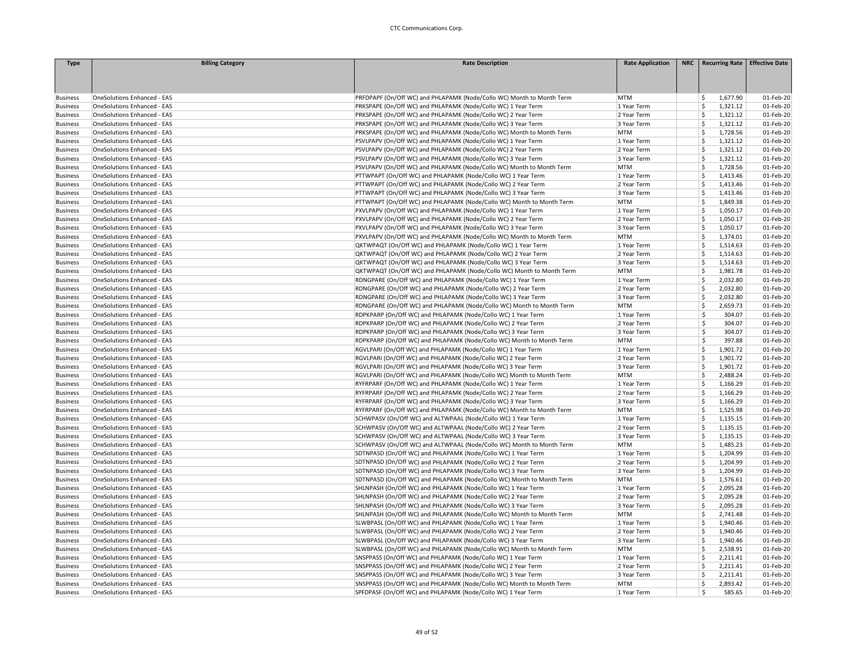| <b>Type</b>     | <b>Billing Category</b>            | <b>Rate Description</b>                                               | <b>Rate Application</b> | NRC   Recurring Rate   Effective Date |           |
|-----------------|------------------------------------|-----------------------------------------------------------------------|-------------------------|---------------------------------------|-----------|
|                 |                                    |                                                                       |                         |                                       |           |
|                 |                                    |                                                                       |                         |                                       |           |
|                 |                                    |                                                                       |                         |                                       |           |
| <b>Business</b> | OneSolutions Enhanced - EAS        | PRFDPAPF (On/Off WC) and PHLAPAMK (Node/Collo WC) Month to Month Term | <b>MTM</b>              | \$<br>1,677.90                        | 01-Feb-20 |
| <b>Business</b> | OneSolutions Enhanced - EAS        | PRKSPAPE (On/Off WC) and PHLAPAMK (Node/Collo WC) 1 Year Term         | 1 Year Term             | Ś<br>1,321.12                         | 01-Feb-20 |
| <b>Business</b> | <b>OneSolutions Enhanced - EAS</b> | PRKSPAPE (On/Off WC) and PHLAPAMK (Node/Collo WC) 2 Year Term         | 2 Year Term             | Ś.<br>1,321.12                        | 01-Feb-20 |
| <b>Business</b> | <b>OneSolutions Enhanced - EAS</b> | PRKSPAPE (On/Off WC) and PHLAPAMK (Node/Collo WC) 3 Year Term         | 3 Year Term             | Ś<br>1,321.12                         | 01-Feb-20 |
| <b>Business</b> | <b>OneSolutions Enhanced - EAS</b> | PRKSPAPE (On/Off WC) and PHLAPAMK (Node/Collo WC) Month to Month Term | <b>MTM</b>              | Ś<br>1,728.56                         | 01-Feb-20 |
| <b>Business</b> | OneSolutions Enhanced - EAS        | PSVLPAPV (On/Off WC) and PHLAPAMK (Node/Collo WC) 1 Year Term         | 1 Year Term             | \$<br>1,321.12                        | 01-Feb-20 |
| <b>Business</b> | OneSolutions Enhanced - EAS        | PSVLPAPV (On/Off WC) and PHLAPAMK (Node/Collo WC) 2 Year Term         | 2 Year Term             | Ś<br>1,321.12                         | 01-Feb-20 |
| <b>Business</b> | OneSolutions Enhanced - EAS        | PSVLPAPV (On/Off WC) and PHLAPAMK (Node/Collo WC) 3 Year Term         | 3 Year Term             | \$<br>1,321.12                        | 01-Feb-20 |
| <b>Business</b> | <b>OneSolutions Enhanced - EAS</b> | PSVLPAPV (On/Off WC) and PHLAPAMK (Node/Collo WC) Month to Month Term | <b>MTM</b>              | Ś.<br>1,728.56                        | 01-Feb-20 |
| <b>Business</b> | <b>OneSolutions Enhanced - EAS</b> | PTTWPAPT (On/Off WC) and PHLAPAMK (Node/Collo WC) 1 Year Term         | 1 Year Term             | Ś<br>1,413.46                         | 01-Feb-20 |
| <b>Business</b> | <b>OneSolutions Enhanced - EAS</b> | PTTWPAPT (On/Off WC) and PHLAPAMK (Node/Collo WC) 2 Year Term         | 2 Year Term             | Ś<br>1,413.46                         | 01-Feb-20 |
| <b>Business</b> | <b>OneSolutions Enhanced - EAS</b> | PTTWPAPT (On/Off WC) and PHLAPAMK (Node/Collo WC) 3 Year Term         | 3 Year Term             | Ś<br>1,413.46                         | 01-Feb-20 |
| <b>Business</b> | <b>OneSolutions Enhanced - EAS</b> | PTTWPAPT (On/Off WC) and PHLAPAMK (Node/Collo WC) Month to Month Term | <b>MTM</b>              | Ś<br>1,849.38                         | 01-Feb-20 |
| <b>Business</b> | <b>OneSolutions Enhanced - EAS</b> | PXVLPAPV (On/Off WC) and PHLAPAMK (Node/Collo WC) 1 Year Term         | 1 Year Term             | Ś<br>1,050.17                         | 01-Feb-20 |
| <b>Business</b> | OneSolutions Enhanced - EAS        | PXVLPAPV (On/Off WC) and PHLAPAMK (Node/Collo WC) 2 Year Term         | 2 Year Term             | Ś<br>1,050.17                         | 01-Feb-20 |
| <b>Business</b> | <b>OneSolutions Enhanced - EAS</b> | PXVLPAPV (On/Off WC) and PHLAPAMK (Node/Collo WC) 3 Year Term         | 3 Year Term             | Ś<br>1,050.17                         | 01-Feb-20 |
| <b>Business</b> | OneSolutions Enhanced - EAS        | PXVLPAPV (On/Off WC) and PHLAPAMK (Node/Collo WC) Month to Month Term | <b>MTM</b>              | Ś<br>1,374.01                         | 01-Feb-20 |
| <b>Business</b> | <b>OneSolutions Enhanced - EAS</b> | QKTWPAQT (On/Off WC) and PHLAPAMK (Node/Collo WC) 1 Year Term         | 1 Year Term             | Ś<br>1,514.63                         | 01-Feb-20 |
| <b>Business</b> | <b>OneSolutions Enhanced - EAS</b> | QKTWPAQT (On/Off WC) and PHLAPAMK (Node/Collo WC) 2 Year Term         | 2 Year Term             | Ś<br>1,514.63                         | 01-Feb-20 |
| <b>Business</b> | <b>OneSolutions Enhanced - EAS</b> | QKTWPAQT (On/Off WC) and PHLAPAMK (Node/Collo WC) 3 Year Term         | 3 Year Term             | Ś<br>1,514.63                         | 01-Feb-20 |
| <b>Business</b> | <b>OneSolutions Enhanced - EAS</b> | QKTWPAQT (On/Off WC) and PHLAPAMK (Node/Collo WC) Month to Month Term | <b>MTM</b>              | Ś.<br>1,981.78                        | 01-Feb-20 |
| <b>Business</b> | <b>OneSolutions Enhanced - EAS</b> | RDNGPARE (On/Off WC) and PHLAPAMK (Node/Collo WC) 1 Year Term         | 1 Year Term             | Ś<br>2,032.80                         | 01-Feb-20 |
|                 |                                    | RDNGPARE (On/Off WC) and PHLAPAMK (Node/Collo WC) 2 Year Term         |                         | Ś<br>2,032.80                         |           |
| <b>Business</b> | OneSolutions Enhanced - EAS        |                                                                       | 2 Year Term             | \$                                    | 01-Feb-20 |
| <b>Business</b> | OneSolutions Enhanced - EAS        | RDNGPARE (On/Off WC) and PHLAPAMK (Node/Collo WC) 3 Year Term         | 3 Year Term             | 2,032.80<br>Ś                         | 01-Feb-20 |
| <b>Business</b> | OneSolutions Enhanced - EAS        | RDNGPARE (On/Off WC) and PHLAPAMK (Node/Collo WC) Month to Month Term | <b>MTM</b>              | 2,659.73<br>Ŝ                         | 01-Feb-20 |
| <b>Business</b> | OneSolutions Enhanced - EAS        | RDPKPARP (On/Off WC) and PHLAPAMK (Node/Collo WC) 1 Year Term         | 1 Year Term             | 304.07                                | 01-Feb-20 |
| <b>Business</b> | <b>OneSolutions Enhanced - EAS</b> | RDPKPARP (On/Off WC) and PHLAPAMK (Node/Collo WC) 2 Year Term         | 2 Year Term             | Ś<br>304.07                           | 01-Feb-20 |
| <b>Business</b> | <b>OneSolutions Enhanced - EAS</b> | RDPKPARP (On/Off WC) and PHLAPAMK (Node/Collo WC) 3 Year Term         | 3 Year Term             | Ś<br>304.07                           | 01-Feb-20 |
| <b>Business</b> | OneSolutions Enhanced - EAS        | RDPKPARP (On/Off WC) and PHLAPAMK (Node/Collo WC) Month to Month Term | <b>MTM</b>              | Ś<br>397.88                           | 01-Feb-20 |
| <b>Business</b> | OneSolutions Enhanced - EAS        | RGVLPARI (On/Off WC) and PHLAPAMK (Node/Collo WC) 1 Year Term         | 1 Year Term             | \$<br>1,901.72                        | 01-Feb-20 |
| <b>Business</b> | OneSolutions Enhanced - EAS        | RGVLPARI (On/Off WC) and PHLAPAMK (Node/Collo WC) 2 Year Term         | 2 Year Term             | Ś<br>1,901.72                         | 01-Feb-20 |
| <b>Business</b> | <b>OneSolutions Enhanced - EAS</b> | RGVLPARI (On/Off WC) and PHLAPAMK (Node/Collo WC) 3 Year Term         | 3 Year Term             | Ś<br>1,901.72                         | 01-Feb-20 |
| <b>Business</b> | <b>OneSolutions Enhanced - EAS</b> | RGVLPARI (On/Off WC) and PHLAPAMK (Node/Collo WC) Month to Month Term | <b>MTM</b>              | Ś<br>2,488.24                         | 01-Feb-20 |
| <b>Business</b> | <b>OneSolutions Enhanced - EAS</b> | RYFRPARF (On/Off WC) and PHLAPAMK (Node/Collo WC) 1 Year Term         | 1 Year Term             | Ś<br>1,166.29                         | 01-Feb-20 |
| <b>Business</b> | <b>OneSolutions Enhanced - EAS</b> | RYFRPARF (On/Off WC) and PHLAPAMK (Node/Collo WC) 2 Year Term         | 2 Year Term             | Ś<br>1,166.29                         | 01-Feb-20 |
| <b>Business</b> | OneSolutions Enhanced - EAS        | RYFRPARF (On/Off WC) and PHLAPAMK (Node/Collo WC) 3 Year Term         | 3 Year Term             | Ś<br>1,166.29                         | 01-Feb-20 |
| <b>Business</b> | <b>OneSolutions Enhanced - EAS</b> | RYFRPARF (On/Off WC) and PHLAPAMK (Node/Collo WC) Month to Month Term | <b>MTM</b>              | \$<br>1,525.98                        | 01-Feb-20 |
| <b>Business</b> | <b>OneSolutions Enhanced - EAS</b> | SCHWPASV (On/Off WC) and ALTWPAAL (Node/Collo WC) 1 Year Term         | 1 Year Term             | Ś.<br>1,135.15                        | 01-Feb-20 |
| <b>Business</b> | <b>OneSolutions Enhanced - EAS</b> | SCHWPASV (On/Off WC) and ALTWPAAL (Node/Collo WC) 2 Year Term         | 2 Year Term             | Ś<br>1,135.15                         | 01-Feb-20 |
| <b>Business</b> | OneSolutions Enhanced - EAS        | SCHWPASV (On/Off WC) and ALTWPAAL (Node/Collo WC) 3 Year Term         | 3 Year Term             | Ś<br>1,135.15                         | 01-Feb-20 |
| <b>Business</b> | <b>OneSolutions Enhanced - EAS</b> | SCHWPASV (On/Off WC) and ALTWPAAL (Node/Collo WC) Month to Month Term | <b>MTM</b>              | Ś<br>1,485.23                         | 01-Feb-20 |
| <b>Business</b> | <b>OneSolutions Enhanced - EAS</b> | SDTNPASD (On/Off WC) and PHLAPAMK (Node/Collo WC) 1 Year Term         | 1 Year Term             | \$<br>1,204.99                        | 01-Feb-20 |
| <b>Business</b> | <b>OneSolutions Enhanced - EAS</b> | SDTNPASD (On/Off WC) and PHLAPAMK (Node/Collo WC) 2 Year Term         | 2 Year Term             | Ś<br>1,204.99                         | 01-Feb-20 |
| <b>Business</b> | <b>OneSolutions Enhanced - EAS</b> | SDTNPASD (On/Off WC) and PHLAPAMK (Node/Collo WC) 3 Year Term         | 3 Year Term             | Ś<br>1,204.99                         | 01-Feb-20 |
| <b>Business</b> | <b>OneSolutions Enhanced - EAS</b> | SDTNPASD (On/Off WC) and PHLAPAMK (Node/Collo WC) Month to Month Term | <b>MTM</b>              | Ś.<br>1,576.61                        | 01-Feb-20 |
| <b>Business</b> | <b>OneSolutions Enhanced - EAS</b> | SHLNPASH (On/Off WC) and PHLAPAMK (Node/Collo WC) 1 Year Term         | 1 Year Term             | Ś<br>2,095.28                         | 01-Feb-20 |
| <b>Business</b> | OneSolutions Enhanced - EAS        | SHLNPASH (On/Off WC) and PHLAPAMK (Node/Collo WC) 2 Year Term         | 2 Year Term             | \$<br>2,095.28                        | 01-Feb-20 |
| <b>Business</b> | OneSolutions Enhanced - EAS        | SHLNPASH (On/Off WC) and PHLAPAMK (Node/Collo WC) 3 Year Term         | 3 Year Term             | Ś<br>2,095.28                         | 01-Feb-20 |
| <b>Business</b> | OneSolutions Enhanced - EAS        | SHLNPASH (On/Off WC) and PHLAPAMK (Node/Collo WC) Month to Month Term | <b>MTM</b>              | Ś<br>2,741.48                         | 01-Feb-20 |
| <b>Business</b> | OneSolutions Enhanced - EAS        | SLWBPASL (On/Off WC) and PHLAPAMK (Node/Collo WC) 1 Year Term         | 1 Year Term             | Ś.<br>1,940.46                        | 01-Feb-20 |
| <b>Business</b> | <b>OneSolutions Enhanced - EAS</b> | SLWBPASL (On/Off WC) and PHLAPAMK (Node/Collo WC) 2 Year Term         | 2 Year Term             | Ś<br>1,940.46                         | 01-Feb-20 |
| <b>Business</b> | <b>OneSolutions Enhanced - EAS</b> | SLWBPASL (On/Off WC) and PHLAPAMK (Node/Collo WC) 3 Year Term         | 3 Year Term             | Ś<br>1,940.46                         | 01-Feb-20 |
| <b>Business</b> | <b>OneSolutions Enhanced - EAS</b> | SLWBPASL (On/Off WC) and PHLAPAMK (Node/Collo WC) Month to Month Term | <b>MTM</b>              | \$<br>2,538.91                        | 01-Feb-20 |
| <b>Business</b> | OneSolutions Enhanced - EAS        | SNSPPASS (On/Off WC) and PHLAPAMK (Node/Collo WC) 1 Year Term         | 1 Year Term             | \$<br>2,211.41                        | 01-Feb-20 |
| <b>Business</b> | OneSolutions Enhanced - EAS        | SNSPPASS (On/Off WC) and PHLAPAMK (Node/Collo WC) 2 Year Term         | 2 Year Term             | Ś<br>2,211.41                         | 01-Feb-20 |
| <b>Business</b> | <b>OneSolutions Enhanced - EAS</b> | SNSPPASS (On/Off WC) and PHLAPAMK (Node/Collo WC) 3 Year Term         | 3 Year Term             | Ś<br>2,211.41                         | 01-Feb-20 |
| <b>Business</b> | <b>OneSolutions Enhanced - EAS</b> | SNSPPASS (On/Off WC) and PHLAPAMK (Node/Collo WC) Month to Month Term | <b>MTM</b>              | Ś<br>2,893.42                         | 01-Feb-20 |
| <b>Business</b> | OneSolutions Enhanced - EAS        | SPFDPASF (On/Off WC) and PHLAPAMK (Node/Collo WC) 1 Year Term         | 1 Year Term             | Ś<br>585.65                           | 01-Feb-20 |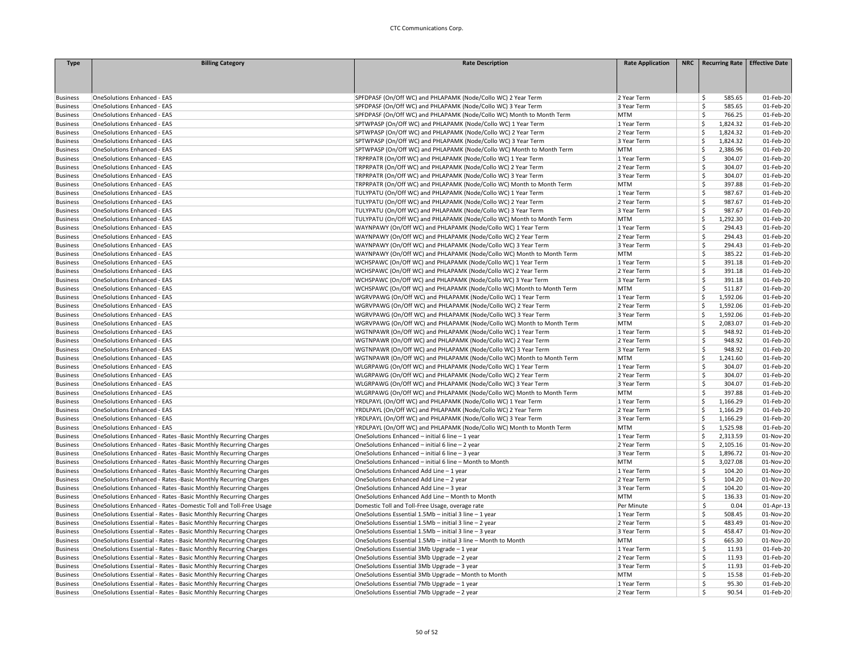| <b>Type</b>     | <b>Billing Category</b>                                          | <b>Rate Description</b>                                               | <b>Rate Application</b> | NRC   Recurring Rate   Effective Date |           |
|-----------------|------------------------------------------------------------------|-----------------------------------------------------------------------|-------------------------|---------------------------------------|-----------|
|                 |                                                                  |                                                                       |                         |                                       |           |
|                 |                                                                  |                                                                       |                         |                                       |           |
|                 |                                                                  |                                                                       |                         |                                       |           |
| <b>Business</b> | OneSolutions Enhanced - EAS                                      | SPFDPASF (On/Off WC) and PHLAPAMK (Node/Collo WC) 2 Year Term         | 2 Year Term             | \$<br>585.65                          | 01-Feb-20 |
| <b>Business</b> | OneSolutions Enhanced - EAS                                      | SPFDPASF (On/Off WC) and PHLAPAMK (Node/Collo WC) 3 Year Term         | 3 Year Term             | Ś.<br>585.65                          | 01-Feb-20 |
| <b>Business</b> | OneSolutions Enhanced - EAS                                      | SPFDPASF (On/Off WC) and PHLAPAMK (Node/Collo WC) Month to Month Term | <b>MTM</b>              | Š.<br>766.25                          | 01-Feb-20 |
| <b>Business</b> | OneSolutions Enhanced - EAS                                      | SPTWPASP (On/Off WC) and PHLAPAMK (Node/Collo WC) 1 Year Term         | 1 Year Term             | \$<br>1,824.32                        | 01-Feb-20 |
| <b>Business</b> | OneSolutions Enhanced - EAS                                      | SPTWPASP (On/Off WC) and PHLAPAMK (Node/Collo WC) 2 Year Term         | 2 Year Term             | Ś<br>1,824.32                         | 01-Feb-20 |
| <b>Business</b> | OneSolutions Enhanced - EAS                                      | SPTWPASP (On/Off WC) and PHLAPAMK (Node/Collo WC) 3 Year Term         | 3 Year Term             | \$<br>1,824.32                        | 01-Feb-20 |
| <b>Business</b> | OneSolutions Enhanced - EAS                                      | SPTWPASP (On/Off WC) and PHLAPAMK (Node/Collo WC) Month to Month Term | <b>MTM</b>              | \$<br>2,386.96                        | 01-Feb-20 |
| <b>Business</b> | OneSolutions Enhanced - EAS                                      | TRPRPATR (On/Off WC) and PHLAPAMK (Node/Collo WC) 1 Year Term         | 1 Year Term             | 304.07<br>Ś                           | 01-Feb-20 |
| <b>Business</b> | OneSolutions Enhanced - EAS                                      | TRPRPATR (On/Off WC) and PHLAPAMK (Node/Collo WC) 2 Year Term         | 2 Year Term             | Ś<br>304.07                           | 01-Feb-20 |
| <b>Business</b> | OneSolutions Enhanced - EAS                                      | TRPRPATR (On/Off WC) and PHLAPAMK (Node/Collo WC) 3 Year Term         | 3 Year Term             | Ś<br>304.07                           | 01-Feb-20 |
| <b>Business</b> | OneSolutions Enhanced - EAS                                      | TRPRPATR (On/Off WC) and PHLAPAMK (Node/Collo WC) Month to Month Term | <b>MTM</b>              | \$<br>397.88                          | 01-Feb-20 |
| <b>Business</b> | OneSolutions Enhanced - EAS                                      | TULYPATU (On/Off WC) and PHLAPAMK (Node/Collo WC) 1 Year Term         | 1 Year Term             | Ś<br>987.67                           | 01-Feb-20 |
| <b>Business</b> | OneSolutions Enhanced - EAS                                      | TULYPATU (On/Off WC) and PHLAPAMK (Node/Collo WC) 2 Year Term         | 2 Year Term             | Ś<br>987.67                           | 01-Feb-20 |
| <b>Business</b> | OneSolutions Enhanced - EAS                                      | TULYPATU (On/Off WC) and PHLAPAMK (Node/Collo WC) 3 Year Term         | 3 Year Term             | Š.<br>987.67                          | 01-Feb-20 |
| <b>Business</b> | OneSolutions Enhanced - EAS                                      | TULYPATU (On/Off WC) and PHLAPAMK (Node/Collo WC) Month to Month Term | <b>MTM</b>              | \$<br>1,292.30                        | 01-Feb-20 |
| <b>Business</b> | OneSolutions Enhanced - EAS                                      | WAYNPAWY (On/Off WC) and PHLAPAMK (Node/Collo WC) 1 Year Term         | 1 Year Term             | Ś<br>294.43                           | 01-Feb-20 |
| <b>Business</b> | OneSolutions Enhanced - EAS                                      | WAYNPAWY (On/Off WC) and PHLAPAMK (Node/Collo WC) 2 Year Term         | 2 Year Term             | \$<br>294.43                          | 01-Feb-20 |
| <b>Business</b> | OneSolutions Enhanced - EAS                                      | WAYNPAWY (On/Off WC) and PHLAPAMK (Node/Collo WC) 3 Year Term         | 3 Year Term             | \$<br>294.43                          | 01-Feb-20 |
| <b>Business</b> | OneSolutions Enhanced - EAS                                      | WAYNPAWY (On/Off WC) and PHLAPAMK (Node/Collo WC) Month to Month Term | <b>MTM</b>              | Ś.<br>385.22                          | 01-Feb-20 |
| <b>Business</b> | OneSolutions Enhanced - EAS                                      | WCHSPAWC (On/Off WC) and PHLAPAMK (Node/Collo WC) 1 Year Term         | 1 Year Term             | Ś<br>391.18                           | 01-Feb-20 |
| <b>Business</b> | OneSolutions Enhanced - EAS                                      | WCHSPAWC (On/Off WC) and PHLAPAMK (Node/Collo WC) 2 Year Term         | 2 Year Term             | Ś<br>391.18                           | 01-Feb-20 |
| <b>Business</b> | OneSolutions Enhanced - EAS                                      | WCHSPAWC (On/Off WC) and PHLAPAMK (Node/Collo WC) 3 Year Term         | 3 Year Term             | \$<br>391.18                          | 01-Feb-20 |
| <b>Business</b> | OneSolutions Enhanced - EAS                                      | WCHSPAWC (On/Off WC) and PHLAPAMK (Node/Collo WC) Month to Month Term | <b>MTM</b>              | \$<br>511.87                          | 01-Feb-20 |
| <b>Business</b> | OneSolutions Enhanced - EAS                                      | WGRVPAWG (On/Off WC) and PHLAPAMK (Node/Collo WC) 1 Year Term         | 1 Year Term             | Ś<br>1,592.06                         | 01-Feb-20 |
| <b>Business</b> | OneSolutions Enhanced - EAS                                      | WGRVPAWG (On/Off WC) and PHLAPAMK (Node/Collo WC) 2 Year Term         | 2 Year Term             | Ś<br>1,592.06                         | 01-Feb-20 |
| <b>Business</b> | OneSolutions Enhanced - EAS                                      | WGRVPAWG (On/Off WC) and PHLAPAMK (Node/Collo WC) 3 Year Term         | 3 Year Term             | Ś<br>1,592.06                         | 01-Feb-20 |
| <b>Business</b> | OneSolutions Enhanced - EAS                                      | WGRVPAWG (On/Off WC) and PHLAPAMK (Node/Collo WC) Month to Month Term | <b>MTM</b>              | \$<br>2,083.07                        | 01-Feb-20 |
| <b>Business</b> | OneSolutions Enhanced - EAS                                      | WGTNPAWR (On/Off WC) and PHLAPAMK (Node/Collo WC) 1 Year Term         | 1 Year Term             | \$<br>948.92                          | 01-Feb-20 |
| <b>Business</b> | OneSolutions Enhanced - EAS                                      | WGTNPAWR (On/Off WC) and PHLAPAMK (Node/Collo WC) 2 Year Term         | 2 Year Term             | Ś.<br>948.92                          | 01-Feb-20 |
| <b>Business</b> | OneSolutions Enhanced - EAS                                      | WGTNPAWR (On/Off WC) and PHLAPAMK (Node/Collo WC) 3 Year Term         | 3 Year Term             | Ś<br>948.92                           | 01-Feb-20 |
| <b>Business</b> | OneSolutions Enhanced - EAS                                      | WGTNPAWR (On/Off WC) and PHLAPAMK (Node/Collo WC) Month to Month Term | <b>MTM</b>              | Ś.<br>1,241.60                        | 01-Feb-20 |
| <b>Business</b> | OneSolutions Enhanced - EAS                                      | WLGRPAWG (On/Off WC) and PHLAPAMK (Node/Collo WC) 1 Year Term         | 1 Year Term             | Ś<br>304.07                           | 01-Feb-20 |
| <b>Business</b> | OneSolutions Enhanced - EAS                                      | WLGRPAWG (On/Off WC) and PHLAPAMK (Node/Collo WC) 2 Year Term         | 2 Year Term             | \$<br>304.07                          | 01-Feb-20 |
| <b>Business</b> | OneSolutions Enhanced - EAS                                      | WLGRPAWG (On/Off WC) and PHLAPAMK (Node/Collo WC) 3 Year Term         | 3 Year Term             | Ś<br>304.07                           | 01-Feb-20 |
| <b>Business</b> | OneSolutions Enhanced - EAS                                      | WLGRPAWG (On/Off WC) and PHLAPAMK (Node/Collo WC) Month to Month Term | <b>MTM</b>              | Ś<br>397.88                           | 01-Feb-20 |
| <b>Business</b> | OneSolutions Enhanced - EAS                                      | YRDLPAYL (On/Off WC) and PHLAPAMK (Node/Collo WC) 1 Year Term         | 1 Year Term             | Ś<br>1,166.29                         | 01-Feb-20 |
| <b>Business</b> | OneSolutions Enhanced - EAS                                      | YRDLPAYL (On/Off WC) and PHLAPAMK (Node/Collo WC) 2 Year Term         | 2 Year Term             | Ś<br>1,166.29                         | 01-Feb-20 |
| <b>Business</b> | OneSolutions Enhanced - EAS                                      | YRDLPAYL (On/Off WC) and PHLAPAMK (Node/Collo WC) 3 Year Term         | 3 Year Term             | Ś<br>1,166.29                         | 01-Feb-20 |
| <b>Business</b> | OneSolutions Enhanced - EAS                                      | YRDLPAYL (On/Off WC) and PHLAPAMK (Node/Collo WC) Month to Month Term | <b>MTM</b>              | \$<br>1,525.98                        | 01-Feb-20 |
| <b>Business</b> | OneSolutions Enhanced - Rates -Basic Monthly Recurring Charges   | OneSolutions Enhanced - initial 6 line - 1 year                       | 1 Year Term             | \$<br>2,313.59                        | 01-Nov-20 |
| <b>Business</b> | OneSolutions Enhanced - Rates - Basic Monthly Recurring Charges  | OneSolutions Enhanced - initial 6 line - 2 year                       | 2 Year Term             | Ś<br>2,105.16                         | 01-Nov-20 |
| <b>Business</b> | OneSolutions Enhanced - Rates - Basic Monthly Recurring Charges  | OneSolutions Enhanced - initial 6 line - 3 year                       | 3 Year Term             | Ś<br>1,896.72                         | 01-Nov-20 |
| <b>Business</b> | OneSolutions Enhanced - Rates - Basic Monthly Recurring Charges  | OneSolutions Enhanced - initial 6 line - Month to Month               | <b>MTM</b>              | Ś<br>3,027.08                         | 01-Nov-20 |
| <b>Business</b> | OneSolutions Enhanced - Rates -Basic Monthly Recurring Charges   | OneSolutions Enhanced Add Line - 1 year                               | 1 Year Term             | Ś<br>104.20                           | 01-Nov-20 |
| <b>Business</b> | OneSolutions Enhanced - Rates - Basic Monthly Recurring Charges  | OneSolutions Enhanced Add Line - 2 year                               | 2 Year Term             | \$<br>104.20                          | 01-Nov-20 |
| <b>Business</b> | OneSolutions Enhanced - Rates -Basic Monthly Recurring Charges   | OneSolutions Enhanced Add Line - 3 year                               | 3 Year Term             | Ś<br>104.20                           | 01-Nov-20 |
| <b>Business</b> | OneSolutions Enhanced - Rates - Basic Monthly Recurring Charges  | OneSolutions Enhanced Add Line - Month to Month                       | <b>MTM</b>              | Ś.<br>136.33                          | 01-Nov-20 |
| <b>Business</b> | OneSolutions Enhanced - Rates -Domestic Toll and Toll-Free Usage | Domestic Toll and Toll-Free Usage, overage rate                       | Per Minute              | Ŝ<br>0.04                             | 01-Apr-13 |
| <b>Business</b> | OneSolutions Essential - Rates - Basic Monthly Recurring Charges | OneSolutions Essential 1.5Mb - initial 3 line - 1 year                | 1 Year Term             | Ś<br>508.45                           | 01-Nov-20 |
| <b>Business</b> | OneSolutions Essential - Rates - Basic Monthly Recurring Charges | OneSolutions Essential 1.5Mb - initial 3 line - 2 year                | 2 Year Term             | \$<br>483.49                          | 01-Nov-20 |
| <b>Business</b> | OneSolutions Essential - Rates - Basic Monthly Recurring Charges | OneSolutions Essential 1.5Mb - initial 3 line - 3 year                | 3 Year Term             | \$<br>458.47                          | 01-Nov-20 |
| <b>Business</b> | OneSolutions Essential - Rates - Basic Monthly Recurring Charges | OneSolutions Essential 1.5Mb - initial 3 line - Month to Month        | <b>MTM</b>              | Ś<br>665.30                           | 01-Nov-20 |
| <b>Business</b> | OneSolutions Essential - Rates - Basic Monthly Recurring Charges | OneSolutions Essential 3Mb Upgrade - 1 year                           | 1 Year Term             | Š.<br>11.93                           | 01-Feb-20 |
| <b>Business</b> | OneSolutions Essential - Rates - Basic Monthly Recurring Charges | OneSolutions Essential 3Mb Upgrade - 2 year                           | 2 Year Term             | \$<br>11.93                           | 01-Feb-20 |
| <b>Business</b> | OneSolutions Essential - Rates - Basic Monthly Recurring Charges | OneSolutions Essential 3Mb Upgrade - 3 year                           | 3 Year Term             | \$<br>11.93                           | 01-Feb-20 |
| <b>Business</b> | OneSolutions Essential - Rates - Basic Monthly Recurring Charges | OneSolutions Essential 3Mb Upgrade - Month to Month                   | <b>MTM</b>              | \$.<br>15.58                          | 01-Feb-20 |
| <b>Business</b> | OneSolutions Essential - Rates - Basic Monthly Recurring Charges | OneSolutions Essential 7Mb Upgrade - 1 year                           | 1 Year Term             | \$<br>95.30                           | 01-Feb-20 |
| <b>Business</b> | OneSolutions Essential - Rates - Basic Monthly Recurring Charges | OneSolutions Essential 7Mb Upgrade - 2 year                           | 2 Year Term             | \$<br>90.54                           | 01-Feb-20 |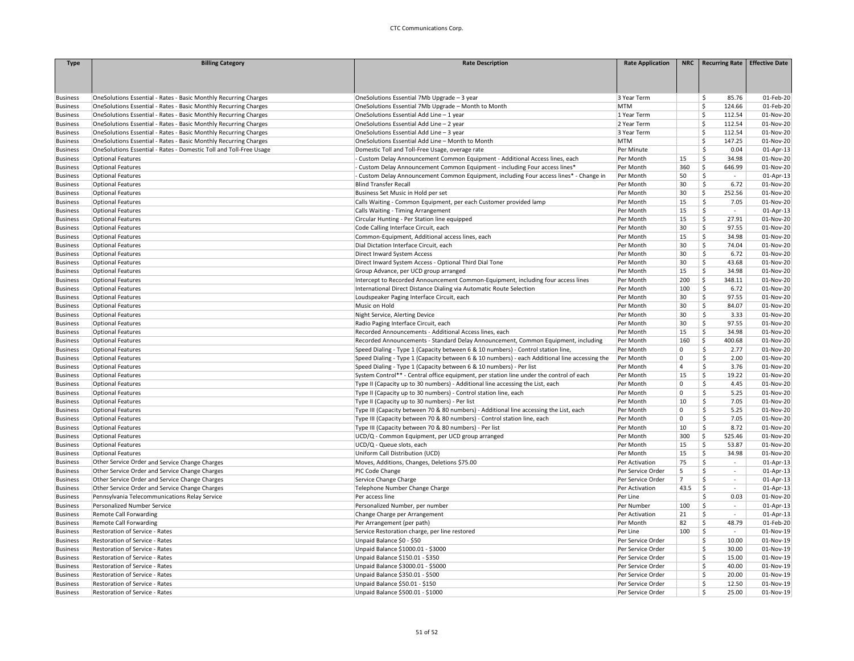| <b>Type</b>                        | <b>Billing Category</b>                                            | <b>Rate Description</b>                                                                       | <b>Rate Application</b> |                 | NRC   Recurring Rate              | <b>Effective Date</b>  |
|------------------------------------|--------------------------------------------------------------------|-----------------------------------------------------------------------------------------------|-------------------------|-----------------|-----------------------------------|------------------------|
|                                    |                                                                    |                                                                                               |                         |                 |                                   |                        |
|                                    |                                                                    |                                                                                               |                         |                 |                                   |                        |
|                                    |                                                                    |                                                                                               |                         |                 |                                   |                        |
| <b>Business</b>                    | OneSolutions Essential - Rates - Basic Monthly Recurring Charges   | OneSolutions Essential 7Mb Upgrade - 3 year                                                   | 3 Year Term             |                 | \$<br>85.76                       | 01-Feb-20              |
| <b>Business</b>                    | OneSolutions Essential - Rates - Basic Monthly Recurring Charges   | OneSolutions Essential 7Mb Upgrade - Month to Month                                           | <b>MTM</b>              |                 | Ś<br>124.66                       | 01-Feb-20              |
| <b>Business</b>                    | OneSolutions Essential - Rates - Basic Monthly Recurring Charges   | OneSolutions Essential Add Line - 1 year                                                      | 1 Year Term             |                 | Ś<br>112.54                       | 01-Nov-20              |
| <b>Business</b>                    | OneSolutions Essential - Rates - Basic Monthly Recurring Charges   | OneSolutions Essential Add Line - 2 year                                                      | 2 Year Term             |                 | Ś<br>112.54                       | 01-Nov-20              |
| <b>Business</b>                    | OneSolutions Essential - Rates - Basic Monthly Recurring Charges   | OneSolutions Essential Add Line - 3 year                                                      | 3 Year Term             |                 | Ś<br>112.54                       | 01-Nov-20              |
| <b>Business</b>                    | OneSolutions Essential - Rates - Basic Monthly Recurring Charges   | OneSolutions Essential Add Line - Month to Month                                              | <b>MTM</b>              |                 | Ś<br>147.25                       | 01-Nov-20              |
| <b>Business</b>                    | OneSolutions Essential - Rates - Domestic Toll and Toll-Free Usage | Domestic Toll and Toll-Free Usage, overage rate                                               | Per Minute              |                 | Ś<br>0.04                         | 01-Apr-13              |
| <b>Business</b>                    | <b>Optional Features</b>                                           | - Custom Delay Announcement Common Equipment - Additional Access lines, each                  | Per Month               | 15              | \$<br>34.98                       | 01-Nov-20              |
| <b>Business</b>                    | <b>Optional Features</b>                                           | Custom Delay Announcement Common Equipment - including Four access lines*                     | Per Month               | 360             | Ś<br>646.99                       | 01-Nov-20              |
| <b>Business</b>                    | <b>Optional Features</b>                                           | - Custom Delay Announcement Common Equipment, including Four access lines* - Change in        | Per Month               | 50              | Ś<br>$\sim$                       | 01-Apr-13              |
| <b>Business</b>                    | <b>Optional Features</b>                                           | <b>Blind Transfer Recall</b>                                                                  | Per Month               | 30              | \$<br>6.72                        | 01-Nov-20              |
| <b>Business</b>                    | <b>Optional Features</b>                                           | Business Set Music in Hold per set                                                            | Per Month               | 30              | \$<br>252.56                      | 01-Nov-20              |
| <b>Business</b>                    | <b>Optional Features</b>                                           | Calls Waiting - Common Equipment, per each Customer provided lamp                             | Per Month               | 15              | \$<br>7.05                        | 01-Nov-20              |
|                                    |                                                                    |                                                                                               |                         | 15              | \$<br>$\sim$                      |                        |
| <b>Business</b>                    | <b>Optional Features</b>                                           | Calls Waiting - Timing Arrangement                                                            | Per Month<br>Per Month  | 15              | \$<br>27.91                       | 01-Apr-13<br>01-Nov-20 |
| <b>Business</b>                    | <b>Optional Features</b>                                           | Circular Hunting - Per Station line equipped                                                  |                         |                 |                                   |                        |
| <b>Business</b>                    | <b>Optional Features</b>                                           | Code Calling Interface Circuit, each                                                          | Per Month               | 30              | \$<br>97.55                       | 01-Nov-20              |
| <b>Business</b>                    | <b>Optional Features</b>                                           | Common-Equipment, Additional access lines, each                                               | Per Month               | 15              | \$<br>34.98                       | 01-Nov-20              |
| <b>Business</b>                    | <b>Optional Features</b>                                           | Dial Dictation Interface Circuit, each                                                        | Per Month               | 30              | \$<br>74.04                       | 01-Nov-20              |
| <b>Business</b>                    | <b>Optional Features</b>                                           | Direct Inward System Access                                                                   | Per Month               | 30              | \$<br>6.72                        | 01-Nov-20              |
| <b>Business</b>                    | <b>Optional Features</b>                                           | Direct Inward System Access - Optional Third Dial Tone                                        | Per Month               | 30              | \$<br>43.68                       | 01-Nov-20              |
| <b>Business</b>                    | <b>Optional Features</b>                                           | Group Advance, per UCD group arranged                                                         | Per Month               | 15              | 34.98<br>Ś.                       | 01-Nov-20              |
| <b>Business</b>                    | <b>Optional Features</b>                                           | Intercept to Recorded Announcement Common-Equipment, including four access lines              | Per Month               | 200             | \$<br>348.11                      | 01-Nov-20              |
| <b>Business</b>                    | <b>Optional Features</b>                                           | International Direct Distance Dialing via Automatic Route Selection                           | Per Month               | 100             | Ś<br>6.72                         | 01-Nov-20              |
| <b>Business</b>                    | <b>Optional Features</b>                                           | Loudspeaker Paging Interface Circuit, each                                                    | Per Month               | 30              | Ś<br>97.55                        | 01-Nov-20              |
| <b>Business</b>                    | <b>Optional Features</b>                                           | Music on Hold                                                                                 | Per Month               | 30              | \$<br>84.07                       | 01-Nov-20              |
| <b>Business</b>                    | <b>Optional Features</b>                                           | Night Service, Alerting Device                                                                | Per Month               | 30              | Ś<br>3.33                         | 01-Nov-20              |
| <b>Business</b>                    | <b>Optional Features</b>                                           | Radio Paging Interface Circuit, each                                                          | Per Month               | 30              | \$<br>97.55                       | 01-Nov-20              |
| <b>Business</b>                    | <b>Optional Features</b>                                           | Recorded Announcements - Additional Access lines, each                                        | Per Month               | 15              | \$<br>34.98                       | 01-Nov-20              |
| <b>Business</b>                    | <b>Optional Features</b>                                           | Recorded Announcements - Standard Delay Announcement, Common Equipment, including             | Per Month               | 160             | \$<br>400.68                      | 01-Nov-20              |
| <b>Business</b>                    | <b>Optional Features</b>                                           | Speed Dialing - Type 1 (Capacity between 6 & 10 numbers) - Control station line,              | Per Month               | 0               | Ś<br>2.77                         | 01-Nov-20              |
| <b>Business</b>                    | <b>Optional Features</b>                                           | Speed Dialing - Type 1 (Capacity between 6 & 10 numbers) - each Additional line accessing the | Per Month               | $\mathsf 0$     | Ś<br>2.00                         | 01-Nov-20              |
| <b>Business</b>                    | <b>Optional Features</b>                                           | Speed Dialing - Type 1 (Capacity between 6 & 10 numbers) - Per list                           | Per Month               | $\overline{a}$  | \$<br>3.76                        | 01-Nov-20              |
| <b>Business</b>                    | <b>Optional Features</b>                                           | System Control** - Central office equipment, per station line under the control of each       | Per Month               | 15              | \$<br>19.22                       | 01-Nov-20              |
| <b>Business</b>                    | <b>Optional Features</b>                                           | Type II (Capacity up to 30 numbers) - Additional line accessing the List, each                | Per Month               | 0               | Ś<br>4.45                         | 01-Nov-20              |
| <b>Business</b>                    | <b>Optional Features</b>                                           | Type II (Capacity up to 30 numbers) - Control station line, each                              | Per Month               | 0               | 5.25<br>Ŝ.                        | 01-Nov-20              |
| <b>Business</b>                    | <b>Optional Features</b>                                           | Type II (Capacity up to 30 numbers) - Per list                                                | Per Month               | 10              | \$<br>7.05                        | 01-Nov-20              |
| <b>Business</b>                    | <b>Optional Features</b>                                           | Type III (Capacity between 70 & 80 numbers) - Additional line accessing the List, each        | Per Month               | $\mathbf 0$     | \$<br>5.25                        | 01-Nov-20              |
| <b>Business</b>                    | <b>Optional Features</b>                                           | Type III (Capacity between 70 & 80 numbers) - Control station line, each                      | Per Month               | $\mathbf 0$     | Ś<br>7.05                         | 01-Nov-20              |
| <b>Business</b>                    | <b>Optional Features</b>                                           | Type III (Capacity between 70 & 80 numbers) - Per list                                        | Per Month               | 10              | \$.<br>8.72                       | 01-Nov-20              |
| <b>Business</b>                    | <b>Optional Features</b>                                           | UCD/Q - Common Equipment, per UCD group arranged                                              | Per Month               | 300             | \$<br>525.46                      | 01-Nov-20              |
| <b>Business</b>                    | <b>Optional Features</b>                                           | UCD/Q - Queue slots, each                                                                     | Per Month               | 15              | Ś<br>53.87                        | 01-Nov-20              |
| <b>Business</b>                    | <b>Optional Features</b>                                           | Uniform Call Distribution (UCD)                                                               | Per Month               | 15              | \$<br>34.98                       | 01-Nov-20              |
| <b>Business</b>                    | Other Service Order and Service Change Charges                     | Moves, Additions, Changes, Deletions \$75.00                                                  | Per Activation          | 75              | \$<br>$\mathbf{r}$                | 01-Apr-13              |
| <b>Business</b>                    | Other Service Order and Service Change Charges                     | PIC Code Change                                                                               | Per Service Order       | 5               | Ś.<br>$\mathcal{L}_{\mathcal{A}}$ | 01-Apr-13              |
| <b>Business</b>                    | Other Service Order and Service Change Charges                     | Service Change Charge                                                                         | Per Service Order       | $7\overline{ }$ | Ś.<br>$\sim$                      | 01-Apr-13              |
| <b>Business</b>                    | Other Service Order and Service Change Charges                     | Telephone Number Change Charge                                                                | Per Activation          | 43.5            | \$<br>$\overline{\phantom{a}}$    | 01-Apr-13              |
| <b>Business</b>                    | Pennsylvania Telecommunications Relay Service                      | Per access line                                                                               | Per Line                |                 | \$<br>0.03                        | 01-Nov-20              |
|                                    | Personalized Number Service                                        | Personalized Number, per number                                                               | Per Number              | 100             | \$<br>$\omega$                    | 01-Apr-13              |
| <b>Business</b><br><b>Business</b> | <b>Remote Call Forwarding</b>                                      |                                                                                               | Per Activation          | 21              | \$<br>$\sim$                      | 01-Apr-13              |
|                                    |                                                                    | Change Charge per Arrangement                                                                 | Per Month               | 82              | Ś.<br>48.79                       | 01-Feb-20              |
| <b>Business</b><br><b>Business</b> | <b>Remote Call Forwarding</b><br>Restoration of Service - Rates    | Per Arrangement (per path)                                                                    | Per Line                | 100             | \$<br>$\sim$                      | 01-Nov-19              |
|                                    |                                                                    | Service Restoration charge, per line restored                                                 |                         |                 | \$                                | 01-Nov-19              |
| <b>Business</b>                    | Restoration of Service - Rates                                     | Unpaid Balance \$0 - \$50                                                                     | Per Service Order       |                 | 10.00<br>Ś                        |                        |
| <b>Business</b>                    | Restoration of Service - Rates                                     | Unpaid Balance \$1000.01 - \$3000                                                             | Per Service Order       |                 | 30.00                             | 01-Nov-19              |
| <b>Business</b>                    | Restoration of Service - Rates                                     | Unpaid Balance \$150.01 - \$350                                                               | Per Service Order       |                 | \$<br>15.00                       | 01-Nov-19              |
| <b>Business</b>                    | Restoration of Service - Rates                                     | Unpaid Balance \$3000.01 - \$5000                                                             | Per Service Order       |                 | \$<br>40.00                       | 01-Nov-19              |
| <b>Business</b>                    | Restoration of Service - Rates                                     | Unpaid Balance \$350.01 - \$500                                                               | Per Service Order       |                 | Ś<br>20.00                        | 01-Nov-19              |
| <b>Business</b>                    | Restoration of Service - Rates                                     | Unpaid Balance \$50.01 - \$150                                                                | Per Service Order       |                 | Ś<br>12.50                        | 01-Nov-19              |
| <b>Business</b>                    | Restoration of Service - Rates                                     | Unpaid Balance \$500.01 - \$1000                                                              | Per Service Order       |                 | Ś<br>25.00                        | 01-Nov-19              |